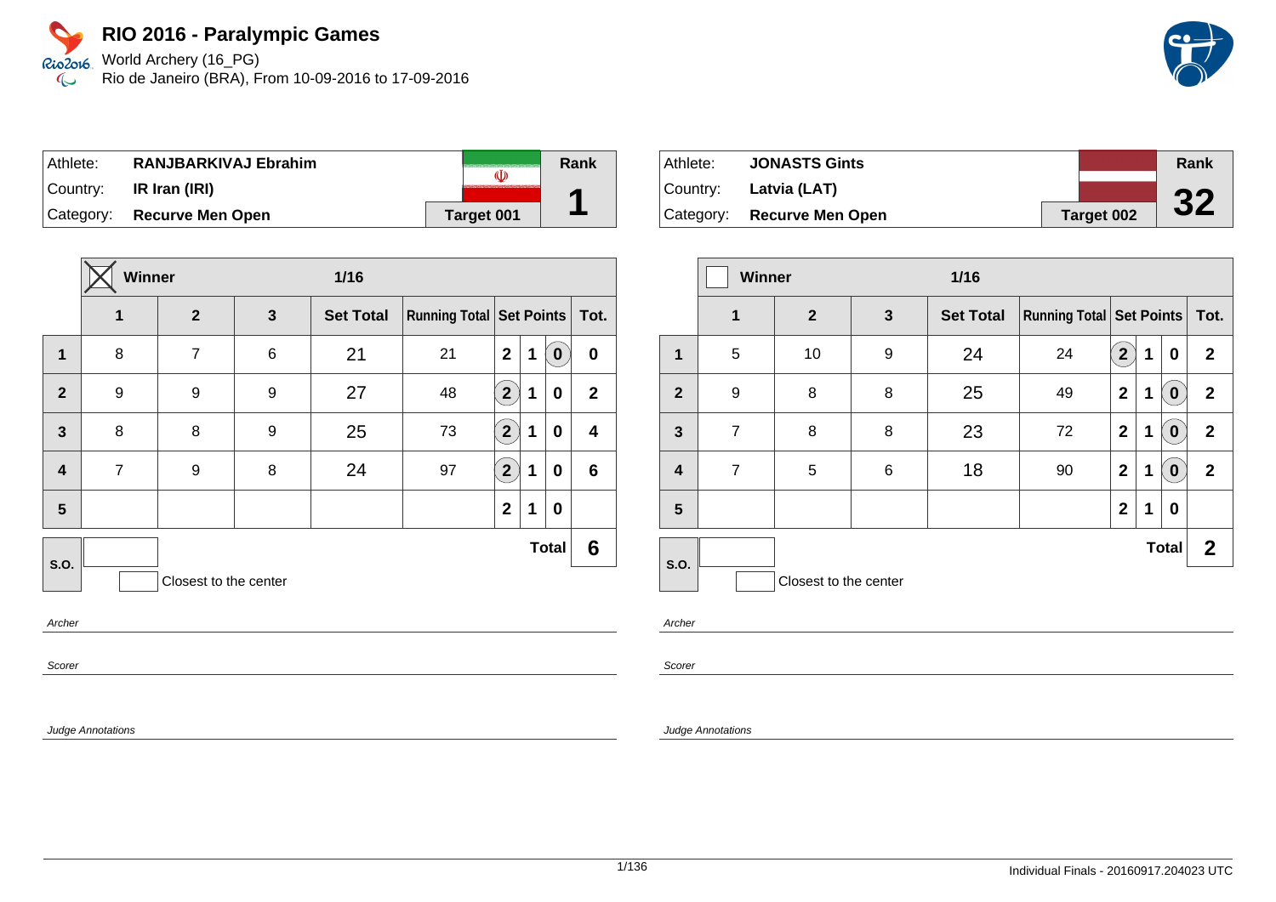World Archery (16\_PG) Rio de Janeiro (BRA), From 10-09-2016 to 17-09-2016

| Athlete:  | <b>RANJBARKIVAJ Ebrahim</b> |            | Rank |
|-----------|-----------------------------|------------|------|
| ⊺Countr∨: | IR Iran (IRI)               |            |      |
|           | Category: Recurve Men Open  | Target 001 |      |

|                | Winner<br>$1/16$ |                       |              |                  |                                     |                |             |              |                  |
|----------------|------------------|-----------------------|--------------|------------------|-------------------------------------|----------------|-------------|--------------|------------------|
|                | 1                | $\overline{2}$        | $\mathbf{3}$ | <b>Set Total</b> | <b>Running Total   Set Points  </b> |                |             |              | Tot.             |
| $\mathbf{1}$   | 8                | $\overline{7}$        | 6            | 21               | 21                                  | $\overline{2}$ | $\mathbf 1$ | $\bf{0}$     | $\bf{0}$         |
| $\overline{2}$ | 9                | 9                     | 9            | 27               | 48                                  | $2^{1}$        | 1           | 0            | $\overline{2}$   |
| $\mathbf{3}$   | 8                | 8                     | 9            | 25               | 73                                  | $2^{1}$        | 1           | 0            | $\boldsymbol{4}$ |
| 4              | $\overline{7}$   | 9                     | 8            | 24               | 97                                  | $2^{1}$        | 1           | 0            | $6\phantom{1}6$  |
| 5              |                  |                       |              |                  |                                     | $\mathbf 2$    | 1           | 0            |                  |
| S.O.           |                  |                       |              |                  |                                     |                |             | <b>Total</b> | 6                |
|                |                  | Closest to the center |              |                  |                                     |                |             |              |                  |
|                |                  |                       |              |                  |                                     |                |             |              |                  |

Archer

Scorer

Judge Annotations

| Athlete: | <b>JONASTS Gints</b>          |            | Rank |
|----------|-------------------------------|------------|------|
|          | $\vert$ Country: Latvia (LAT) |            |      |
|          | Category: Recurve Men Open    | Target 002 | 32   |

|                         | <b>Winner</b>  |                       |              | $1/16$           |                                 |              |   |              |              |
|-------------------------|----------------|-----------------------|--------------|------------------|---------------------------------|--------------|---|--------------|--------------|
|                         | $\mathbf 1$    | $\mathbf{2}$          | $\mathbf{3}$ | <b>Set Total</b> | <b>Running Total Set Points</b> |              |   |              | Tot.         |
| $\mathbf{1}$            | 5              | 10                    | 9            | 24               | 24                              | $\mathbf{2}$ | 1 | 0            | $\mathbf{2}$ |
| $\overline{2}$          | 9              | 8                     | 8            | 25               | 49                              | $\mathbf{2}$ | 1 | $\mathbf 0$  | $\mathbf{2}$ |
| $\mathbf{3}$            | $\overline{7}$ | 8                     | 8            | 23               | 72                              | $\mathbf{2}$ | 1 | $\bullet$    | $\mathbf{2}$ |
| $\overline{\mathbf{4}}$ | $\overline{7}$ | 5                     | 6            | 18               | 90                              | $\mathbf{2}$ | 1 | $\pmb{0}$    | $\mathbf{2}$ |
| 5                       |                |                       |              |                  |                                 | $\mathbf 2$  | 1 | $\bf{0}$     |              |
| S.O.                    |                |                       |              |                  |                                 |              |   | <b>Total</b> | $\mathbf{2}$ |
|                         |                | Closest to the center |              |                  |                                 |              |   |              |              |

Archer

Scorer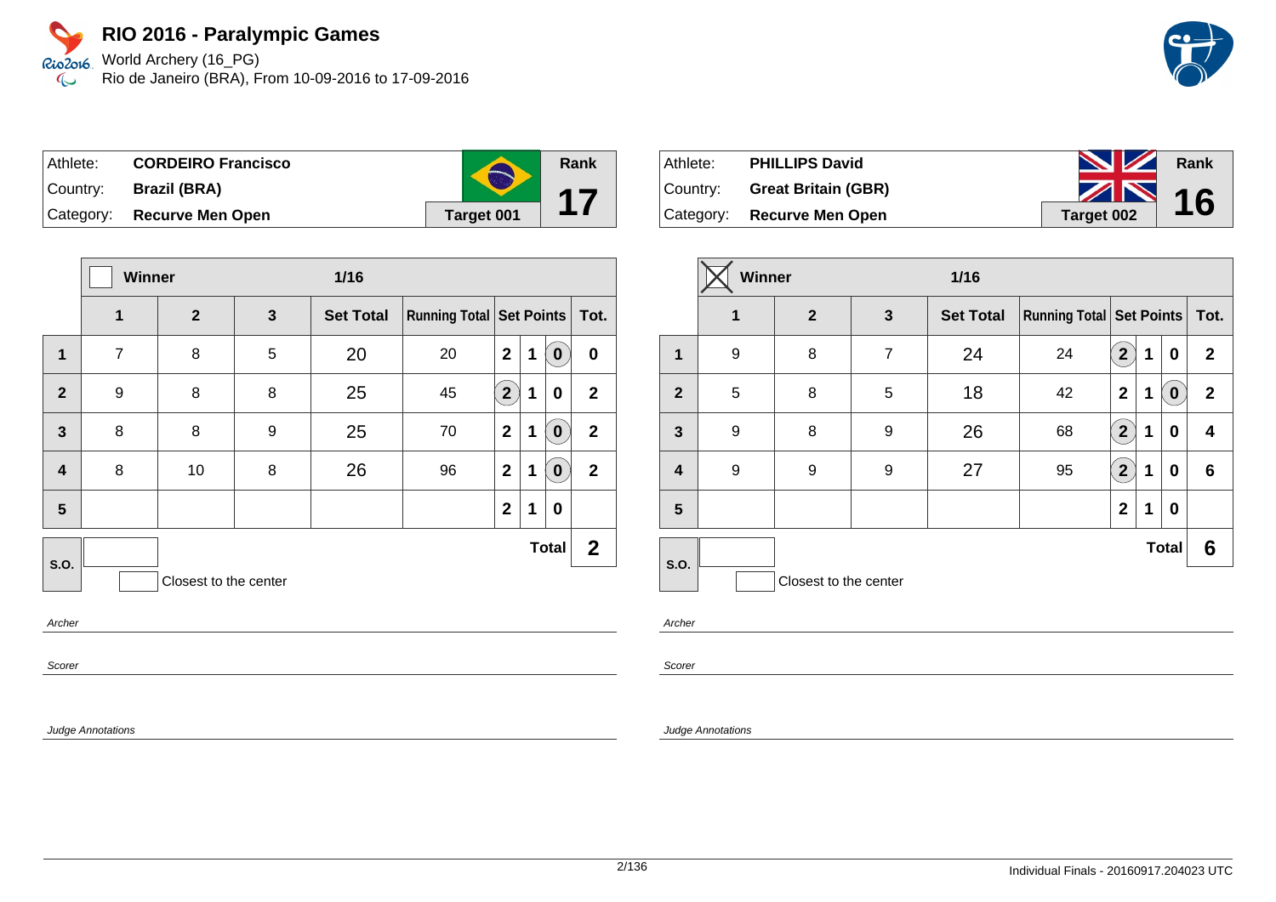World Archery (16\_PG) Rio de Janeiro (BRA), From 10-09-2016 to 17-09-2016

| Athlete:  | <b>CORDEIRO Francisco</b> |            | Rank |
|-----------|---------------------------|------------|------|
| Country:  | Brazil (BRA)              |            |      |
| Category: | <b>Recurve Men Open</b>   | Target 001 |      |

|                         | Winner         |                       | $1/16$       |                  |                                     |                |             |              |              |
|-------------------------|----------------|-----------------------|--------------|------------------|-------------------------------------|----------------|-------------|--------------|--------------|
|                         | 1              | $\mathbf{2}$          | $\mathbf{3}$ | <b>Set Total</b> | <b>Running Total   Set Points  </b> |                |             |              | Tot.         |
| 1                       | $\overline{7}$ | 8                     | 5            | 20               | 20                                  | $\mathbf{2}$   | $\mathbf 1$ | $\mathbf{0}$ | $\bf{0}$     |
| $\overline{2}$          | 9              | 8                     | 8            | 25               | 45                                  | 2 <sup>2</sup> | $\mathbf 1$ | 0            | $\mathbf{2}$ |
| $\mathbf{3}$            | 8              | 8                     | 9            | 25               | 70                                  | $\mathbf{2}$   | $\mathbf 1$ | $\mathbf{0}$ | $\mathbf{2}$ |
| $\overline{\mathbf{4}}$ | 8              | 10                    | 8            | 26               | 96                                  | $\mathbf{2}$   | $\mathbf 1$ | $\mathbf 0$  | $\mathbf{2}$ |
| $5\phantom{.0}$         |                |                       |              |                  |                                     | $\mathbf{2}$   | $\mathbf 1$ | 0            |              |
| <b>S.O.</b>             |                |                       |              |                  |                                     |                |             | <b>Total</b> | $\mathbf{2}$ |
|                         |                | Closest to the center |              |                  |                                     |                |             |              |              |
|                         |                |                       |              |                  |                                     |                |             |              |              |

Archer

Scorer

Judge Annotations

| Athlete: | <b>PHILLIPS David</b>      | <b>No. 12 Rank</b> |  |
|----------|----------------------------|--------------------|--|
| Country: | <b>Great Britain (GBR)</b> | $\sim$ 16          |  |
|          | Category: Recurve Men Open | Target 002         |  |

|                         | <b>Winner</b> |                       |                | $1/16$           |                                     |                            |   |                  |                 |
|-------------------------|---------------|-----------------------|----------------|------------------|-------------------------------------|----------------------------|---|------------------|-----------------|
|                         | $\mathbf{1}$  | $\overline{2}$        | 3              | <b>Set Total</b> | <b>Running Total   Set Points  </b> |                            |   |                  | Tot.            |
| $\mathbf 1$             | 9             | 8                     | $\overline{7}$ | 24               | 24                                  | 2 <sup>2</sup>             | 1 | 0                | $\mathbf{2}$    |
| $\mathbf{2}$            | 5             | 8                     | 5              | 18               | 42                                  | $\mathbf{2}$               | 1 | $\boldsymbol{0}$ | $\overline{2}$  |
| $\mathbf{3}$            | 9             | 8                     | 9              | 26               | 68                                  | $\overline{2}$             | 1 | 0                | 4               |
| $\overline{\mathbf{4}}$ | 9             | 9                     | 9              | 27               | 95                                  | $\left( \mathbf{2}\right)$ | 1 | 0                | $6\phantom{1}6$ |
| $5\phantom{.0}$         |               |                       |                |                  |                                     | $\mathbf{2}$               | 1 | 0                |                 |
| <b>S.O.</b>             |               |                       |                |                  |                                     |                            |   | <b>Total</b>     | 6               |
|                         |               | Closest to the center |                |                  |                                     |                            |   |                  |                 |

Archer

Scorer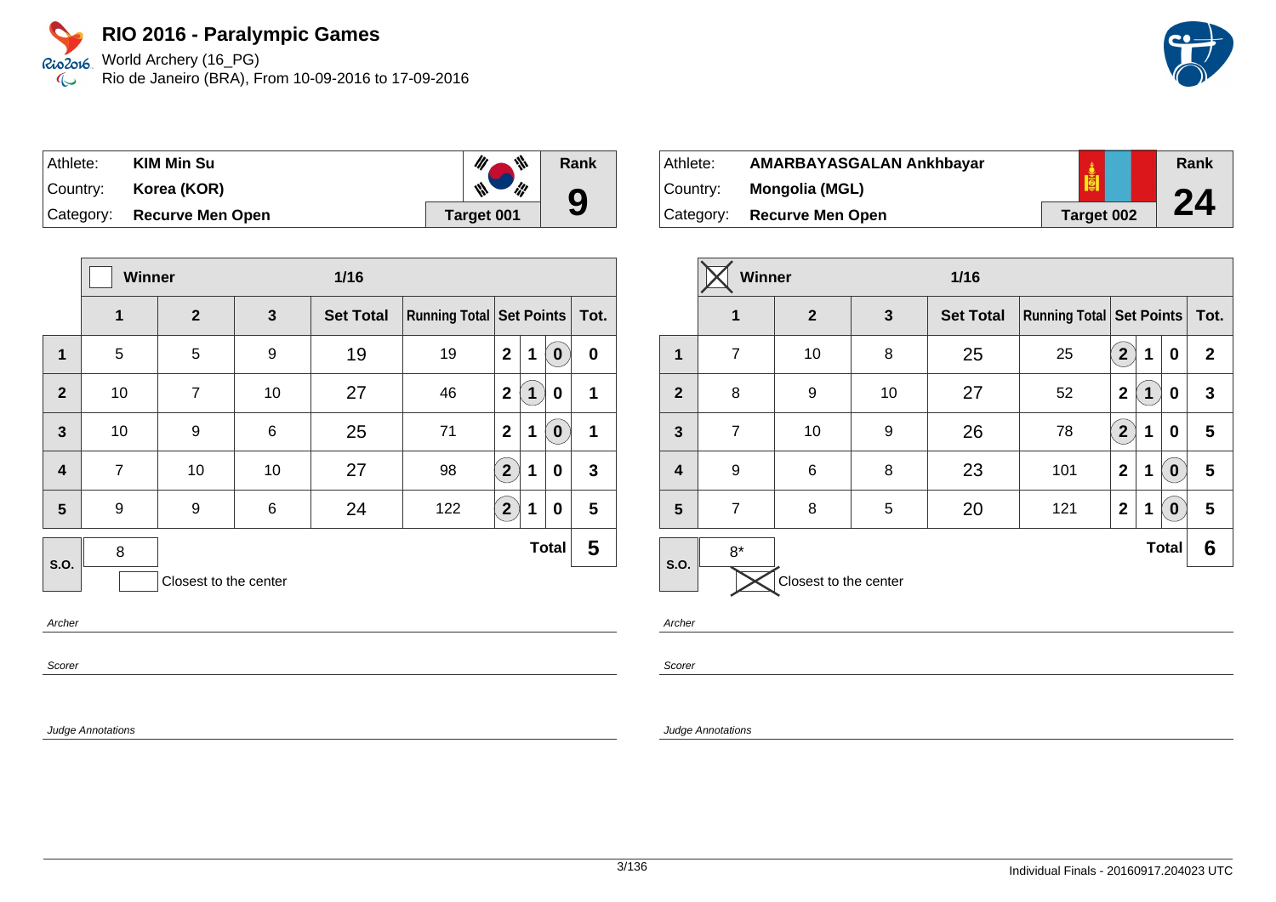World Archery (16\_PG) Rio de Janeiro (BRA), From 10-09-2016 to 17-09-2016

| Athlete:  | <b>KIM Min Su</b>       | 带          | Rank |
|-----------|-------------------------|------------|------|
| Country:  | Korea (KOR)             | ₩<br>ill   |      |
| Category: | <b>Recurve Men Open</b> | Target 001 | 9    |

|                         | Winner         |                       |    | $1/16$           |                            |                |             |              |             |
|-------------------------|----------------|-----------------------|----|------------------|----------------------------|----------------|-------------|--------------|-------------|
|                         | 1              | $\overline{2}$        | 3  | <b>Set Total</b> | Running Total   Set Points |                |             |              | Tot.        |
| $\overline{\mathbf{1}}$ | 5              | 5                     | 9  | 19               | 19                         | $\mathbf{2}$   | 1           | $\bf{0}$     | $\bf{0}$    |
| $\overline{2}$          | 10             | $\overline{7}$        | 10 | 27               | 46                         | $\mathbf{2}$   | $\mathbf 1$ | 0            | 1           |
| $\overline{3}$          | 10             | 9                     | 6  | 25               | 71                         | $\overline{2}$ | 1           | $\bf{0}$     | $\mathbf 1$ |
| $\overline{\mathbf{4}}$ | $\overline{7}$ | 10                    | 10 | 27               | 98                         | $\overline{2}$ | 1           | 0            | 3           |
| 5                       | 9              | 9                     | 6  | 24               | 122                        | $2^{1}$        | 1           | 0            | 5           |
| S.O.                    | 8              |                       |    |                  |                            |                |             | <b>Total</b> | 5           |
|                         |                | Closest to the center |    |                  |                            |                |             |              |             |

Archer

Scorer

Judge Annotations

| ⊺Athlete: | AMARBAYASGALAN Ankhbayar |            | Rank |
|-----------|--------------------------|------------|------|
| ∣Countr∨: | Mongolia (MGL)           | <u>iei</u> | 24   |
| Category: | <b>Recurve Men Open</b>  | Target 002 |      |

|                         | Winner            |                       |                       | $1/16$ |                                     |                |              |              |              |  |
|-------------------------|-------------------|-----------------------|-----------------------|--------|-------------------------------------|----------------|--------------|--------------|--------------|--|
|                         | 1<br>$\mathbf{2}$ |                       | <b>Set Total</b><br>3 |        | <b>Running Total   Set Points  </b> |                |              |              | Tot.         |  |
| 1                       | $\overline{7}$    | 10                    | 8                     | 25     | 25                                  | $\mathbf{2}$   | 1            | 0            | $\mathbf{2}$ |  |
| $\overline{2}$          | 8                 | 9                     | 10                    | 27     | 52                                  | $\mathbf 2$    | $\mathbf{1}$ | 0            | $\mathbf{3}$ |  |
| $\mathbf{3}$            | $\overline{7}$    | 10                    | 9                     | 26     | 78                                  | $\overline{2}$ | 1            | 0            | 5            |  |
| $\overline{\mathbf{4}}$ | 9                 | 6                     | 8                     | 23     | 101                                 | $\mathbf{2}$   | 1            | $\bf{0}$     | 5            |  |
| 5                       | $\overline{7}$    | 8                     | 5                     | 20     | 121                                 | $\mathbf{2}$   | 1            | $\mathbf 0$  | 5            |  |
| S.O.                    | $8*$              |                       |                       |        |                                     |                |              | <b>Total</b> | 6            |  |
|                         |                   | Closest to the center |                       |        |                                     |                |              |              |              |  |

Archer

Scorer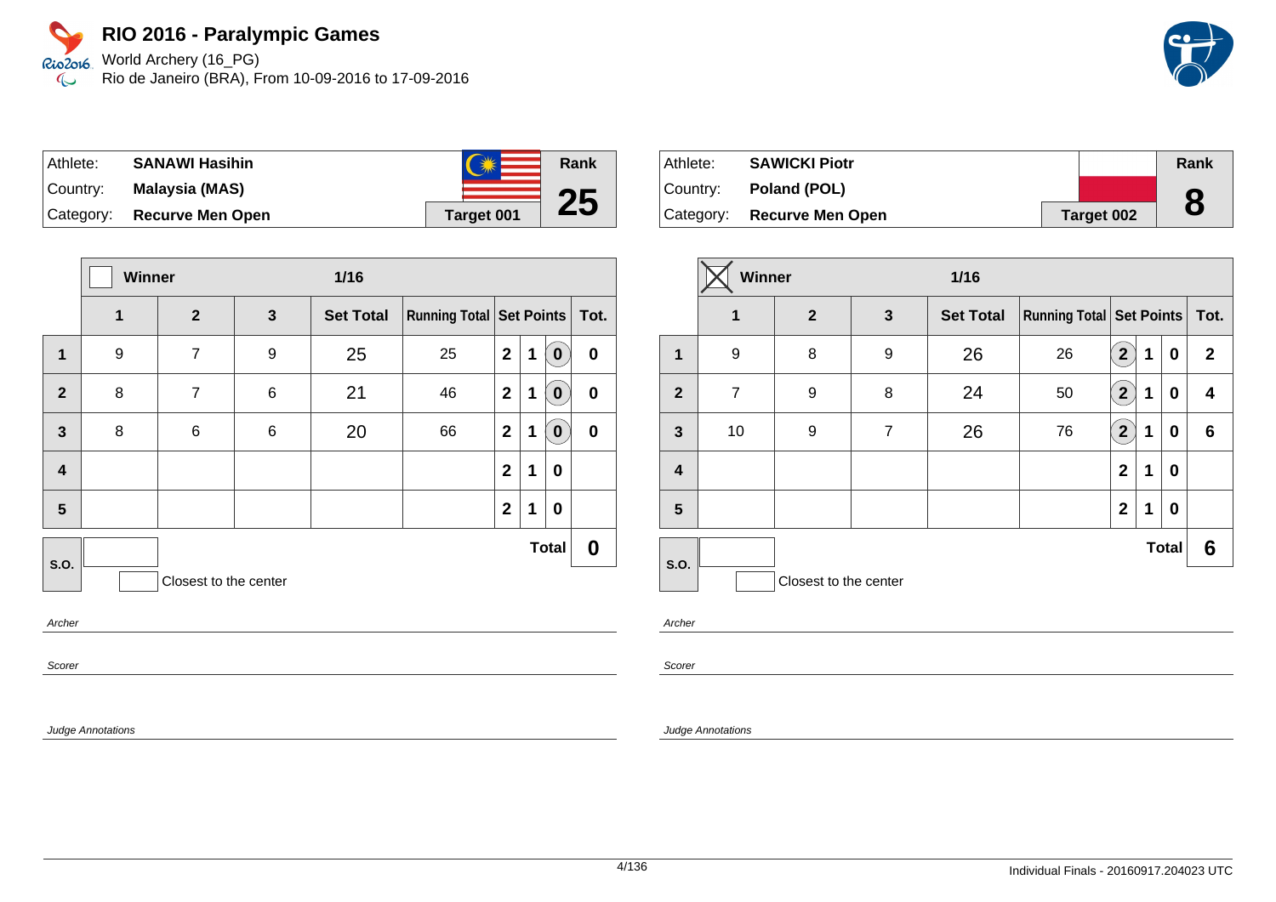Rio2o16, World Archery (16\_PG) Rio de Janeiro (BRA), From 10-09-2016 to 17-09-2016  $\infty$ 

| Athlete: | <b>SANAWI Hasihin</b>      | $N_{\rm B}$<br>えば | <b>Rank</b> |
|----------|----------------------------|-------------------|-------------|
| Country: | Malaysia (MAS)             |                   |             |
|          | Category: Recurve Men Open | <b>Target 001</b> | 25          |

|                         | Winner |                       |              | $1/16$           |                                 |              |   |                  |                  |
|-------------------------|--------|-----------------------|--------------|------------------|---------------------------------|--------------|---|------------------|------------------|
|                         | 1      | $\overline{2}$        | $\mathbf{3}$ | <b>Set Total</b> | <b>Running Total Set Points</b> |              |   | Tot.             |                  |
| $\mathbf{1}$            | 9      | $\overline{7}$        | 9            | 25               | 25                              | $\mathbf{2}$ | 1 | $\mathbf 0$      | $\mathbf 0$      |
| $\overline{2}$          | 8      | $\overline{7}$        | $\,6$        | 21               | 46                              | $\mathbf{2}$ | 1 | $\bf{0}$         | $\bf{0}$         |
| $\mathbf{3}$            | 8      | 6                     | 6            | 20               | 66                              | $\mathbf{2}$ | 1 | $\mathbf 0$      | $\boldsymbol{0}$ |
| $\overline{\mathbf{4}}$ |        |                       |              |                  |                                 | $\mathbf{2}$ | 1 | $\mathbf 0$      |                  |
| $5\phantom{.0}$         |        |                       |              |                  |                                 | $\mathbf{2}$ | 1 | $\boldsymbol{0}$ |                  |
| S.O.                    |        |                       |              |                  |                                 |              |   | <b>Total</b>     | 0                |
|                         |        | Closest to the center |              |                  |                                 |              |   |                  |                  |
| Archor                  |        |                       |              |                  |                                 |              |   |                  |                  |

Archer

Scorer

Judge Annotations



|                | Winner         |                       |                | $1/16$                |    |                            |   |              |                |
|----------------|----------------|-----------------------|----------------|-----------------------|----|----------------------------|---|--------------|----------------|
|                | $\mathbf 1$    | $\overline{2}$        |                | <b>Set Total</b><br>3 |    | Running Total   Set Points |   |              | Tot.           |
| 1              | 9              | 8                     | 9              | 26                    | 26 | $\overline{2}$             | 1 | 0            | $\overline{2}$ |
| $\overline{2}$ | $\overline{7}$ | 9                     | 8              | 24                    | 50 | $\mathbf{2}^{\circ}$       | 1 | 0            | 4              |
| $\mathbf{3}$   | 10             | 9                     | $\overline{7}$ | 26                    | 76 | $\mathbf{2}^{\setminus}$   | 1 | 0            | 6              |
| 4              |                |                       |                |                       |    | $\mathbf{2}$               | 1 | 0            |                |
| 5              |                |                       |                |                       |    | $\mathbf{2}$               | 1 | 0            |                |
|                |                |                       |                |                       |    |                            |   | <b>Total</b> | 6              |
| <b>S.O.</b>    |                | Closest to the center |                |                       |    |                            |   |              |                |

Archer

Scorer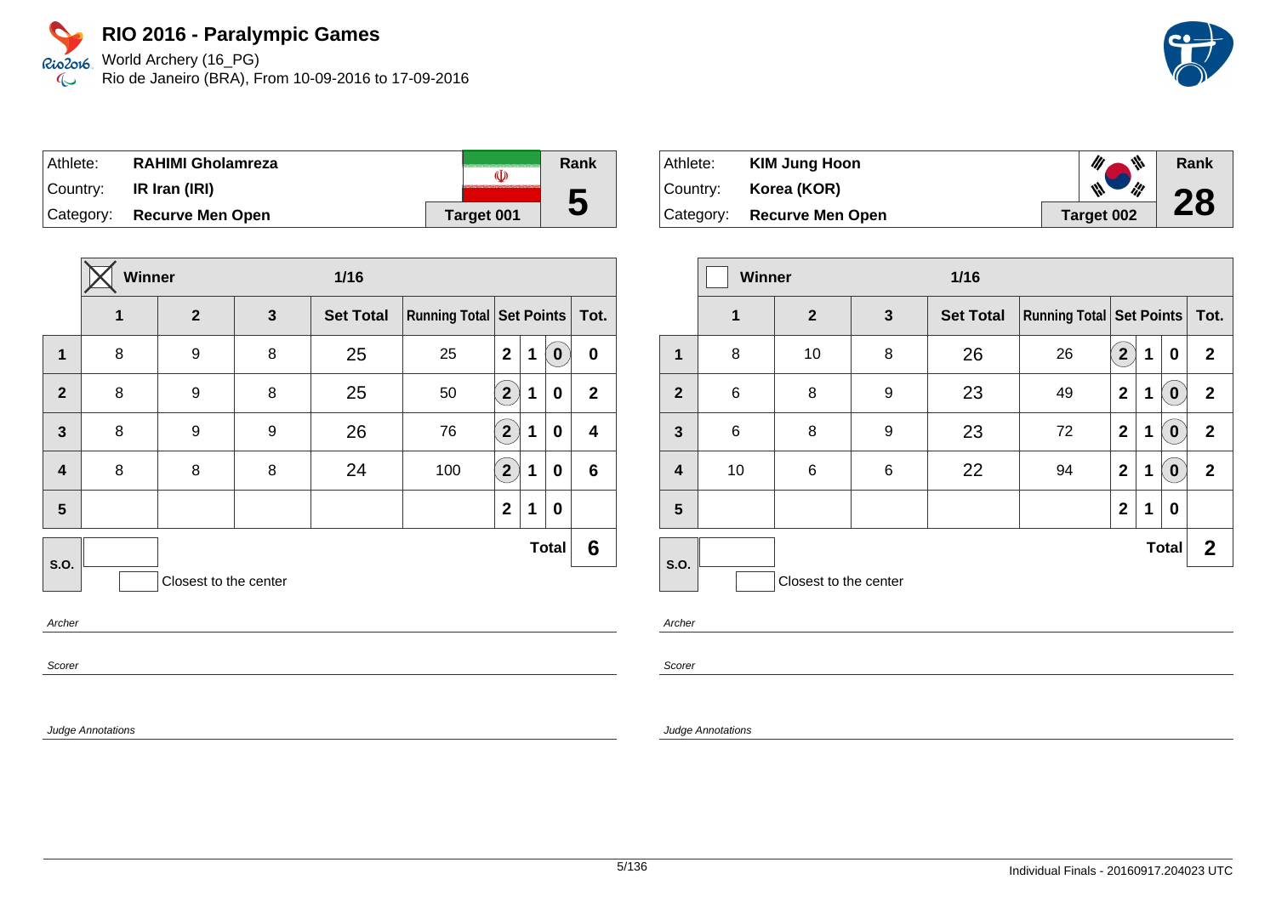World Archery (16\_PG) Rio de Janeiro (BRA), From 10-09-2016 to 17-09-2016

| Athlete: | <b>RAHIMI Gholamreza</b>   | (I)        | Rank |
|----------|----------------------------|------------|------|
| Country: | IR Iran (IRI)              |            |      |
|          | Category: Recurve Men Open | Target 001 | C    |

|                         | Winner |                       |   | $1/16$           |                            |                      |   |              |              |
|-------------------------|--------|-----------------------|---|------------------|----------------------------|----------------------|---|--------------|--------------|
|                         | 1      | $\overline{2}$        | 3 | <b>Set Total</b> | Running Total   Set Points |                      |   |              | Tot.         |
| $\mathbf{1}$            | 8      | 9                     | 8 | 25               | 25                         | $\mathbf{2}$         | 1 | $\bf{0}$     | 0            |
| $\overline{2}$          | 8      | 9                     | 8 | 25               | 50                         | $\overline{2}$       | 1 | 0            | $\mathbf{2}$ |
| $\mathbf{3}$            | 8      | 9                     | 9 | 26               | 76                         | $\mathbf{2}^{\circ}$ | 1 | 0            | 4            |
| $\overline{\mathbf{4}}$ | 8      | 8                     | 8 | 24               | 100                        | $\mathbf{2}^{\circ}$ | 1 | 0            | 6            |
| 5                       |        |                       |   |                  |                            | $\mathbf{2}$         | 1 | 0            |              |
| S.O.                    |        |                       |   |                  |                            |                      |   | <b>Total</b> | 6            |
|                         |        | Closest to the center |   |                  |                            |                      |   |              |              |
|                         |        |                       |   |                  |                            |                      |   |              |              |

Archer

Scorer

Judge Annotations

| Athlete:    | <b>KIM Jung Hoon</b>    | 带          | Rank |
|-------------|-------------------------|------------|------|
| ∣Country: ⊦ | Korea (KOR)             | ₩<br>li!   | 28   |
| Category:   | <b>Recurve Men Open</b> | Target 002 |      |

|                | <b>Winner</b>                 |                       |   | $1/16$           |                                     |                |   |              |              |
|----------------|-------------------------------|-----------------------|---|------------------|-------------------------------------|----------------|---|--------------|--------------|
|                | $\mathbf 1$<br>$\overline{2}$ |                       | 3 | <b>Set Total</b> | <b>Running Total   Set Points  </b> |                |   |              | Tot.         |
| 1              | 8                             | 10                    | 8 | 26               | 26                                  | $\overline{2}$ | 1 | 0            | $\mathbf{2}$ |
| $\overline{2}$ | 6                             | 8                     | 9 | 23               | 49                                  | $\mathbf{2}$   | 1 | $\mathbf 0$  | $\mathbf{2}$ |
| $\mathbf{3}$   | 6                             | 8                     | 9 | 23               | 72                                  | $\mathbf{2}$   | 1 | $\bf{0}$     | $\mathbf{2}$ |
| 4              | 10                            | 6                     | 6 | 22               | 94                                  | $\mathbf{2}$   | 1 | $\mathbf 0$  | $\mathbf{2}$ |
| 5              |                               |                       |   |                  |                                     | $\mathbf{2}$   | 1 | 0            |              |
| <b>S.O.</b>    |                               |                       |   |                  |                                     |                |   | <b>Total</b> | $\mathbf{2}$ |
|                |                               | Closest to the center |   |                  |                                     |                |   |              |              |

Archer

Scorer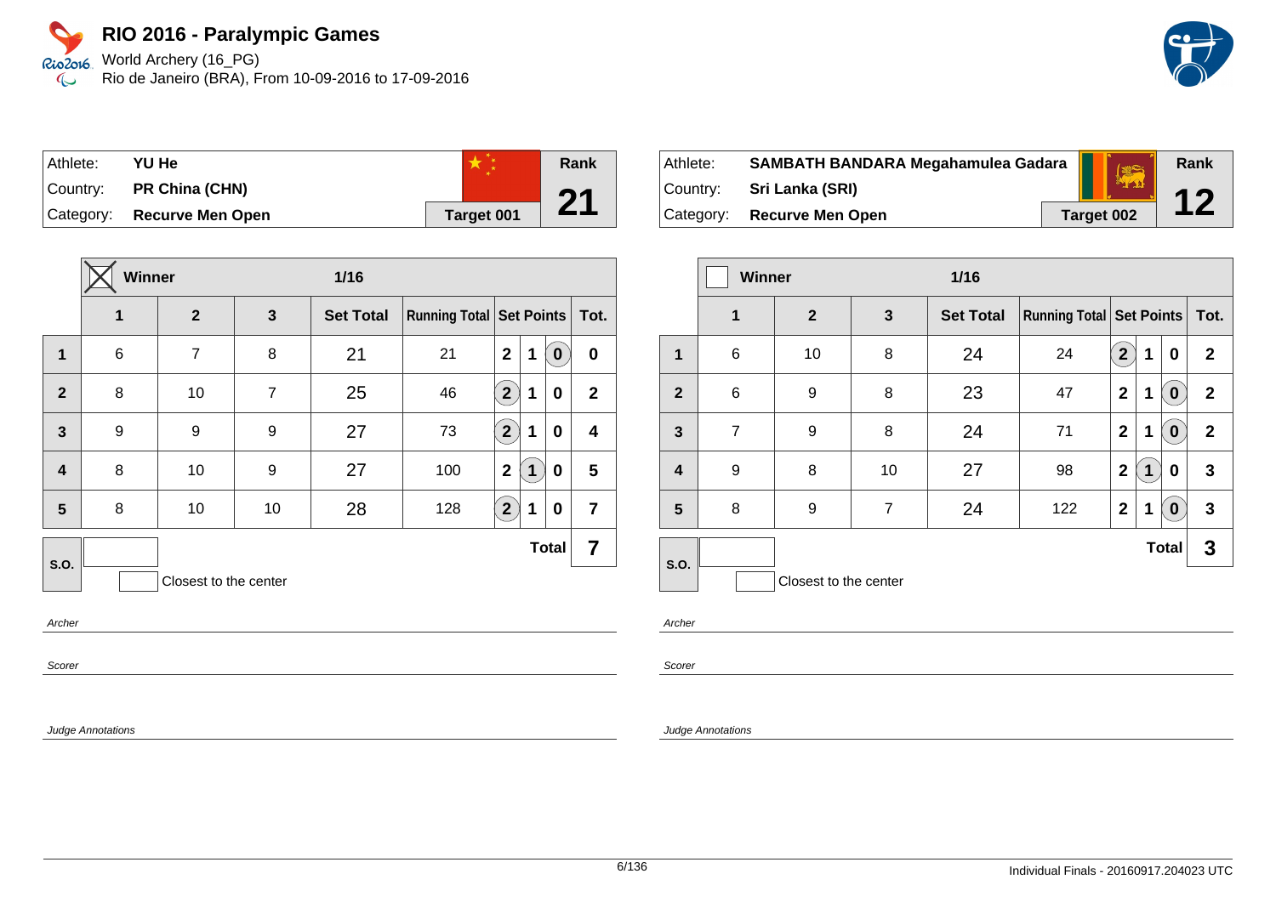World Archery (16\_PG) Rio de Janeiro (BRA), From 10-09-2016 to 17-09-2016

| ⊺Athlete: | YU He                   |            | Rank |
|-----------|-------------------------|------------|------|
| Country:  | PR China (CHN)          |            | 94   |
| Category: | <b>Recurve Men Open</b> | Target 001 |      |

|                         | Winner<br>$1/16$ |                       |                |                  |                            |              |   |              |                |
|-------------------------|------------------|-----------------------|----------------|------------------|----------------------------|--------------|---|--------------|----------------|
|                         | 1                | $\overline{2}$        | 3              | <b>Set Total</b> | Running Total   Set Points |              |   |              | Tot.           |
| $\overline{1}$          | 6                | $\overline{7}$        | 8              | 21               | 21                         | $\mathbf{2}$ | 1 | $\bf{0}$     | $\bf{0}$       |
| $\overline{2}$          | 8                | 10                    | $\overline{7}$ | 25               | 46                         | $2^{1}$      | 1 | 0            | $\mathbf{2}$   |
| $\overline{3}$          | 9                | 9                     | 9              | 27               | 73                         | $\boxed{2}$  | 1 | 0            | 4              |
| $\overline{\mathbf{4}}$ | 8                | 10                    | 9              | 27               | 100                        | $\mathbf{2}$ | 1 | 0            | 5              |
| 5                       | 8                | 10                    | 10             | 28               | 128                        | $\boxed{2}$  | 1 | 0            | $\overline{7}$ |
| <b>S.O.</b>             |                  |                       |                |                  |                            |              |   | <b>Total</b> | 7              |
|                         |                  | Closest to the center |                |                  |                            |              |   |              |                |

Archer

Scorer

Judge Annotations

| Athlete: . | SAMBATH BANDARA Megahamulea Gadara | (章)        | Rank        |
|------------|------------------------------------|------------|-------------|
|            | Country: Sri Lanka (SRI)           |            | $\mathbf 1$ |
|            | Category: Recurve Men Open         | Target 002 |             |

|                         | <b>Winner</b><br>$1/16$ |                       |                |                  |                                     |                |   |                  |              |  |      |
|-------------------------|-------------------------|-----------------------|----------------|------------------|-------------------------------------|----------------|---|------------------|--------------|--|------|
|                         | $\mathbf 1$             | $\overline{2}$        | $\mathbf{3}$   | <b>Set Total</b> | <b>Running Total   Set Points  </b> |                |   |                  |              |  | Tot. |
| 1                       | 6                       | 10                    | 8              | 24               | 24                                  | $\overline{2}$ | 1 | 0                | $\mathbf{2}$ |  |      |
| $\mathbf{2}$            | 6                       | 9                     | 8              | 23               | 47                                  | $\overline{2}$ | 1 | $\boldsymbol{0}$ | $\mathbf{2}$ |  |      |
| $\mathbf{3}$            | $\overline{7}$          | 9                     | 8              | 24               | 71                                  | $\mathbf 2$    | 1 | $\boldsymbol{0}$ | $\mathbf{2}$ |  |      |
| $\overline{\mathbf{4}}$ | 9                       | 8                     | 10             | 27               | 98                                  | $\mathbf{2}$   | 1 | 0                | 3            |  |      |
| 5                       | 8                       | 9                     | $\overline{7}$ | 24               | 122                                 | $\mathbf 2$    | 1 | $\bf{0}$         | 3            |  |      |
| S.O.                    |                         |                       |                |                  |                                     |                |   | <b>Total</b>     | 3            |  |      |
|                         |                         | Closest to the center |                |                  |                                     |                |   |                  |              |  |      |

Archer

Scorer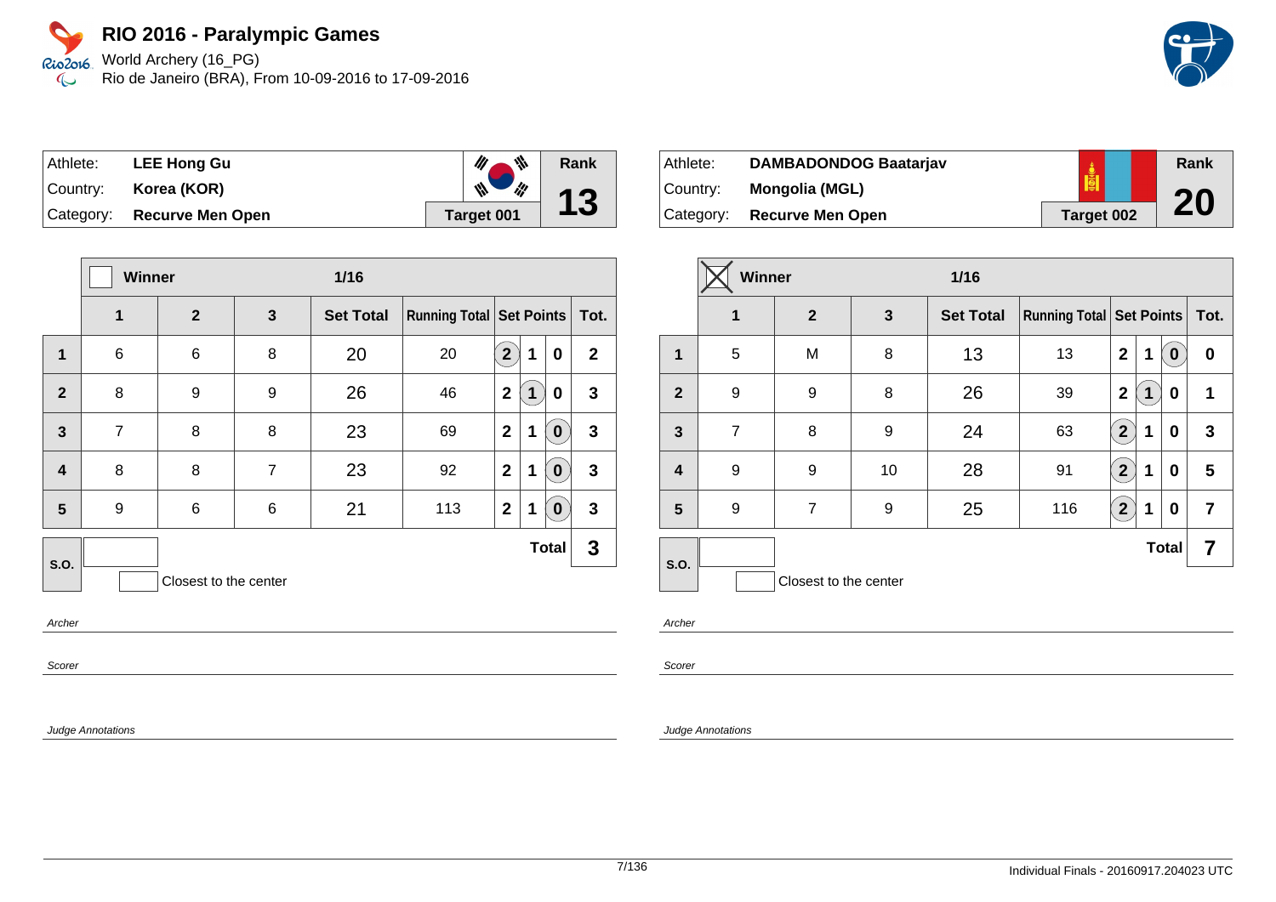World Archery (16\_PG) Rio de Janeiro (BRA), From 10-09-2016 to 17-09-2016

| Athlete: | <b>LEE Hong Gu</b>          | $\mathbb{Z}^m$<br>$\mathscr{U}_\ell$     | Rank |
|----------|-----------------------------|------------------------------------------|------|
|          | Country: <b>Korea (KOR)</b> | $\mathbb{Z}$<br>$\frac{d\mathbf{y}}{dt}$ | 13   |
|          | Category: Recurve Men Open  | Target 001                               |      |

|                  | <b>Winner</b><br>$1/16$ |                       |   |                  |                                 |                |   |              |              |
|------------------|-------------------------|-----------------------|---|------------------|---------------------------------|----------------|---|--------------|--------------|
|                  | 1                       | $\mathbf{2}$          | 3 | <b>Set Total</b> | <b>Running Total Set Points</b> |                |   |              | Tot.         |
| $\mathbf{1}$     | 6                       | 6                     | 8 | 20               | 20                              | 2 <sup>2</sup> | 1 | 0            | $\mathbf{2}$ |
| $\overline{2}$   | 8                       | 9                     | 9 | 26               | 46                              | $\mathbf{2}$   | 1 | 0            | $\mathbf{3}$ |
| $\overline{3}$   | $\overline{7}$          | 8                     | 8 | 23               | 69                              | $\mathbf{2}$   | 1 | $\bf{0}$     | $\mathbf{3}$ |
| $\boldsymbol{4}$ | 8                       | 8                     | 7 | 23               | 92                              | $\overline{2}$ | 1 | $\bf{0}$     | $\mathbf{3}$ |
| 5                | 9                       | 6                     | 6 | 21               | 113                             | $\mathbf{2}$   | 1 | $\bf{0}$     | $\mathbf{3}$ |
| <b>S.O.</b>      |                         |                       |   |                  |                                 |                |   | <b>Total</b> | 3            |
|                  |                         | Closest to the center |   |                  |                                 |                |   |              |              |

Archer

Scorer

Judge Annotations

| Athlete:  | <b>DAMBADONDOG Baatarjav</b> |            | Rank |
|-----------|------------------------------|------------|------|
| Country:  | Mongolia (MGL)               |            |      |
| Category: | <b>Recurve Men Open</b>      | Target 002 | 20   |

|                         | <b>Winner</b><br>$1/16$ |                       |              |                  |                                     |                         |   |              |      |
|-------------------------|-------------------------|-----------------------|--------------|------------------|-------------------------------------|-------------------------|---|--------------|------|
|                         | 1                       | $\overline{2}$        | $\mathbf{3}$ | <b>Set Total</b> | <b>Running Total   Set Points  </b> |                         |   |              | Tot. |
| 1                       | 5                       | M                     | 8            | 13               | 13                                  | $\overline{2}$          | 1 | $\mathbf 0$  | 0    |
| $\overline{2}$          | 9                       | 9                     | 8            | 26               | 39                                  | $\mathbf 2$             | 1 | 0            | 1    |
| $\overline{\mathbf{3}}$ | $\overline{7}$          | 8                     | 9            | 24               | 63                                  | $\overline{\mathbf{2}}$ | 1 | 0            | 3    |
| $\boldsymbol{4}$        | 9                       | 9                     | 10           | 28               | 91                                  | $2^{1}$                 | 1 | 0            | 5    |
| 5                       | 9                       | $\overline{7}$        | 9            | 25               | 116                                 | $\overline{2}$          | 1 | 0            | 7    |
| <b>S.O.</b>             |                         |                       |              |                  |                                     |                         |   | <b>Total</b> | 7    |
|                         |                         | Closest to the center |              |                  |                                     |                         |   |              |      |

Archer

Scorer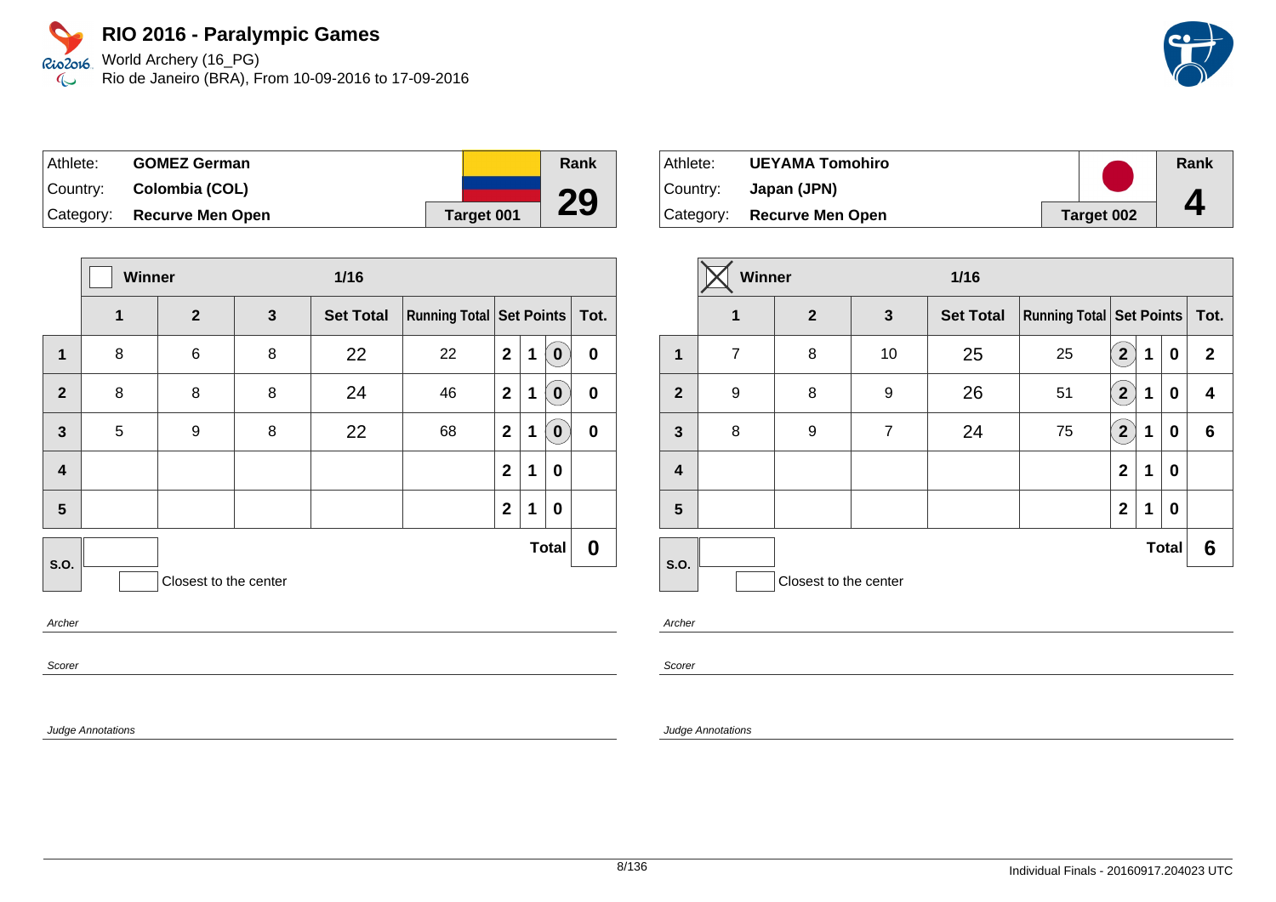World Archery (16\_PG) Rio de Janeiro (BRA), From 10-09-2016 to 17-09-2016

| Athlete:  | <b>GOMEZ German</b>     |            | Rank |
|-----------|-------------------------|------------|------|
| Country:  | Colombia (COL)          |            |      |
| Category: | <b>Recurve Men Open</b> | Target 001 | 29   |

|                         | Winner<br>$1/16$ |                       |              |                  |                               |                |   |              |           |
|-------------------------|------------------|-----------------------|--------------|------------------|-------------------------------|----------------|---|--------------|-----------|
|                         | 1                | $\overline{2}$        | $\mathbf{3}$ | <b>Set Total</b> | Running Total Set Points Tot. |                |   |              |           |
| $\mathbf 1$             | 8                | 6                     | 8            | 22               | 22                            | $\mathbf{2}$   | 1 | $\bf{0}$     | $\pmb{0}$ |
| $\overline{2}$          | 8                | 8                     | 8            | 24               | 46                            | $\overline{2}$ | 1 | $\mathbf 0$  | $\pmb{0}$ |
| $\mathbf{3}$            | 5                | 9                     | 8            | 22               | 68                            | $\mathbf{2}$   | 1 | $\mathbf 0$  | $\bf{0}$  |
| $\overline{\mathbf{4}}$ |                  |                       |              |                  |                               | $\mathbf{2}$   | 1 | $\mathbf 0$  |           |
| 5                       |                  |                       |              |                  |                               | $\mathbf{2}$   | 1 | $\mathbf 0$  |           |
| S.O.                    |                  |                       |              |                  |                               |                |   | <b>Total</b> | 0         |
|                         |                  | Closest to the center |              |                  |                               |                |   |              |           |
| $A$ ration              |                  |                       |              |                  |                               |                |   |              |           |

Archer

Scorer

Judge Annotations

| Athlete: | <b>UEYAMA Tomohiro</b>     |            | Rank |
|----------|----------------------------|------------|------|
| Country: | Japan (JPN)                |            |      |
|          | Category: Recurve Men Open | Target 002 |      |

|                | Winner<br>$1/16$ |                       |                |                  |                                   |                               |   |              |              |
|----------------|------------------|-----------------------|----------------|------------------|-----------------------------------|-------------------------------|---|--------------|--------------|
|                | 1                | $\mathbf{2}$          | $\mathbf{3}$   | <b>Set Total</b> | Running Total   Set Points   Tot. |                               |   |              |              |
| $\mathbf{1}$   | $\overline{7}$   | 8                     | 10             | 25               | 25                                | $\mathbf{2}$                  | 1 | 0            | $\mathbf{2}$ |
| $\overline{2}$ | 9                | 8                     | 9              | 26               | 51                                | $\mathbf{2}^{\mathbf{\cdot}}$ | 1 | 0            | 4            |
| $\mathbf{3}$   | 8                | 9                     | $\overline{7}$ | 24               | 75                                | $\boxed{2}$                   | 1 | 0            | 6            |
| 4              |                  |                       |                |                  |                                   | $\overline{2}$                | 1 | 0            |              |
| 5              |                  |                       |                |                  |                                   | $\mathbf{2}$                  | 1 | 0            |              |
| S.O.           |                  |                       |                |                  |                                   |                               |   | <b>Total</b> | 6            |
|                |                  | Closest to the center |                |                  |                                   |                               |   |              |              |

Archer

Scorer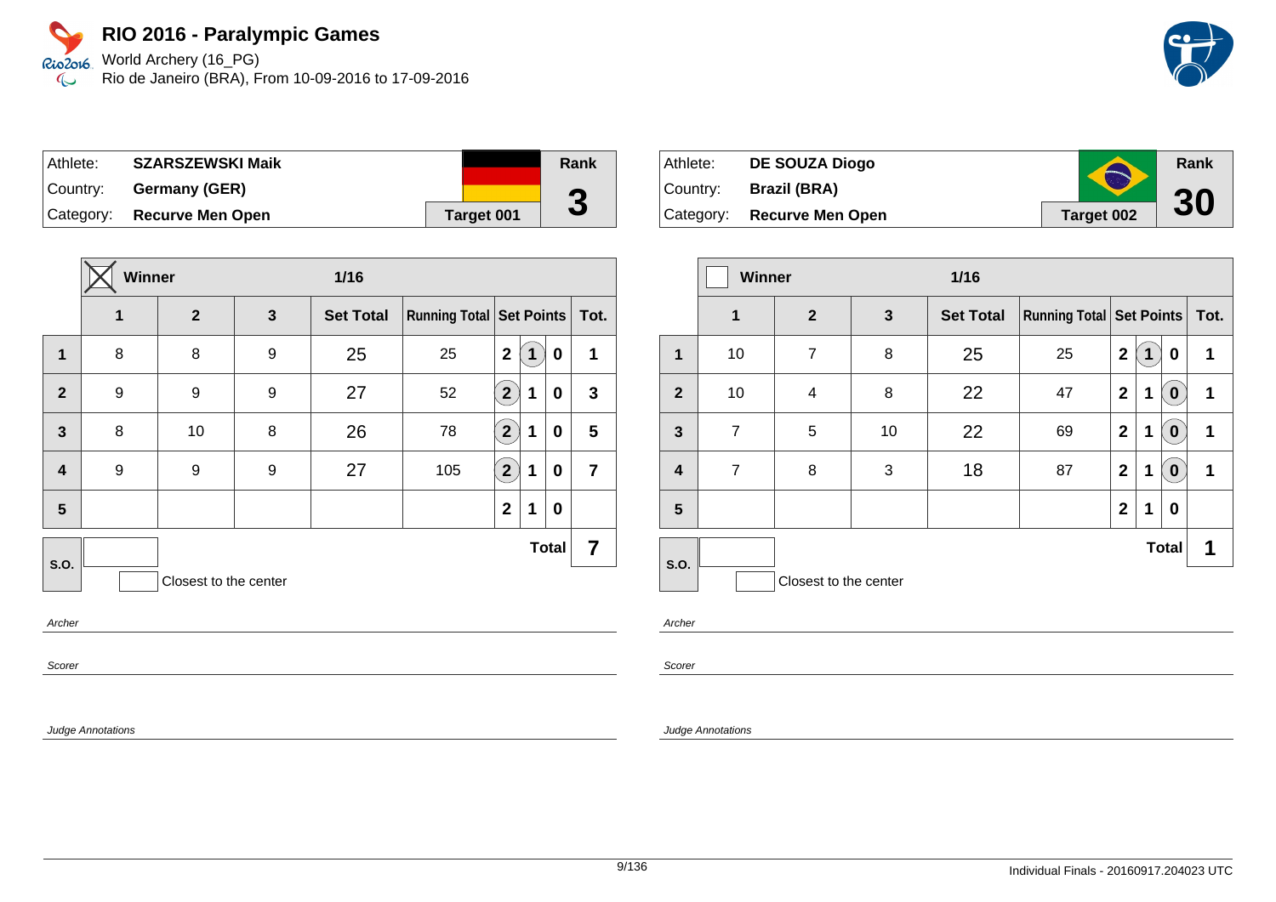World Archery (16\_PG) Rio de Janeiro (BRA), From 10-09-2016 to 17-09-2016

| Athlete:  | <b>SZARSZEWSKI Maik</b>    |            | Rank |
|-----------|----------------------------|------------|------|
| ∣Country: | Germany (GER)              |            | G    |
|           | Category: Recurve Men Open | Target 001 | J    |

| Winner<br>$1/16$ |              |              |                       |     |                       |   |   |                                                     |
|------------------|--------------|--------------|-----------------------|-----|-----------------------|---|---|-----------------------------------------------------|
| 1                | $\mathbf{2}$ | $\mathbf{3}$ | <b>Set Total</b>      |     |                       |   |   | Tot.                                                |
| 8                | 8            | 9            | 25                    | 25  | $\mathbf{2}$          | 1 | 0 | 1                                                   |
| 9                | 9            | 9            | 27                    | 52  | $\mathbf{2}^{\prime}$ | 1 | 0 | $\mathbf{3}$                                        |
| 8                | 10           | 8            | 26                    | 78  | $\mathbf{2}^{\prime}$ | 1 | 0 | 5                                                   |
| 9                | 9            | 9            | 27                    | 105 | $\mathbf{2}^{\prime}$ | 1 | 0 | $\overline{7}$                                      |
|                  |              |              |                       |     | $\mathbf{2}$          | 1 | 0 |                                                     |
|                  |              |              |                       |     |                       |   |   | 7                                                   |
|                  |              |              |                       |     |                       |   |   |                                                     |
|                  |              |              | Closest to the center |     |                       |   |   | <b>Running Total   Set Points  </b><br><b>Total</b> |

Archer

Scorer

Judge Annotations

| Athlete: | <b>DE SOUZA Diogo</b>      | $\blacktriangle$  | Rank |
|----------|----------------------------|-------------------|------|
| Country: | <b>Brazil (BRA)</b>        |                   |      |
|          | Category: Recurve Men Open | <b>Target 002</b> | 30   |

|                         | Winner<br>$1/16$ |                       |              |                  |                          |                |   |              |      |
|-------------------------|------------------|-----------------------|--------------|------------------|--------------------------|----------------|---|--------------|------|
|                         | $\mathbf 1$      | $\overline{2}$        | $\mathbf{3}$ | <b>Set Total</b> | Running Total Set Points |                |   |              | Tot. |
| $\mathbf{1}$            | 10               | $\overline{7}$        | 8            | 25               | 25                       | $\overline{2}$ | 1 | 0            | 1    |
| $\overline{2}$          | 10               | 4                     | 8            | 22               | 47                       | $\overline{2}$ | 1 | $\bf{0}$     | 1    |
| $\mathbf{3}$            | $\overline{7}$   | 5                     | 10           | 22               | 69                       | $\mathbf{2}$   | 1 | $\bf{0}$     | 1    |
| $\overline{\mathbf{4}}$ | $\overline{7}$   | 8                     | 3            | 18               | 87                       | $\mathbf{2}$   | 1 | $\bf{0}$     | 1    |
| 5                       |                  |                       |              |                  |                          | $\mathbf{2}$   | 1 | 0            |      |
| S.O.                    |                  |                       |              |                  |                          |                |   | <b>Total</b> | 1    |
|                         |                  | Closest to the center |              |                  |                          |                |   |              |      |

Archer

Scorer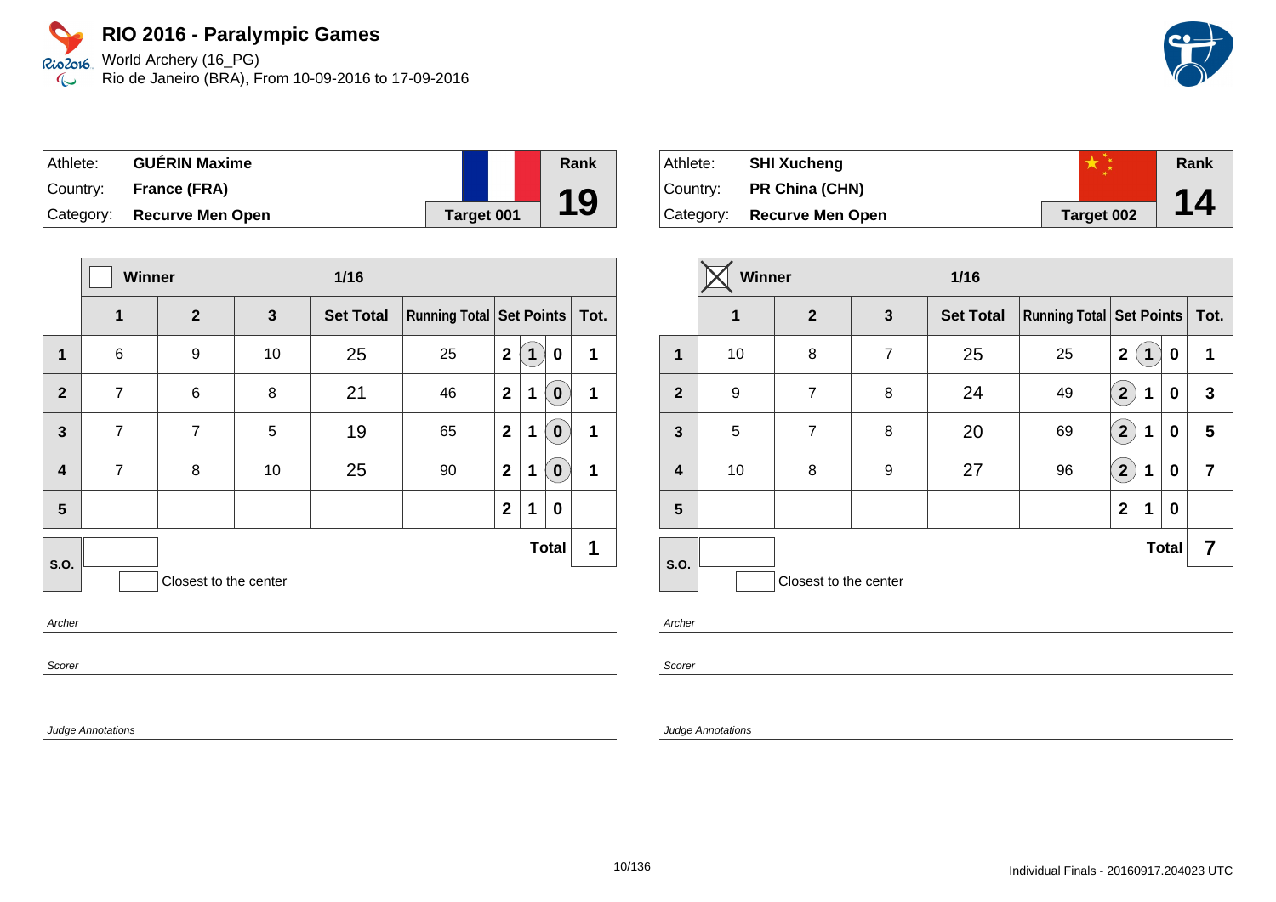World Archery (16\_PG) Rio de Janeiro (BRA), From 10-09-2016 to 17-09-2016

| Athlete:  | <b>GUÉRIN Maxime</b>       |                   | Rank |
|-----------|----------------------------|-------------------|------|
| ⊺Countr∨: | <b>France (FRA)</b>        |                   |      |
|           | Category: Recurve Men Open | <b>Target 001</b> | 19   |

|                         | Winner         |                       | $1/16$ |                  |                               |              |   |                  |   |
|-------------------------|----------------|-----------------------|--------|------------------|-------------------------------|--------------|---|------------------|---|
|                         | 1              | $\mathbf{2}$          | 3      | <b>Set Total</b> | Running Total Set Points Tot. |              |   |                  |   |
| 1                       | $\,6$          | 9                     | 10     | 25               | 25                            | $\mathbf{2}$ | 1 | 0                | 1 |
| $\overline{2}$          | $\overline{7}$ | 6                     | 8      | 21               | 46                            | $\mathbf{2}$ | 1 | $\mathbf 0$      | 1 |
| $\mathbf{3}$            | $\overline{7}$ | $\overline{7}$        | 5      | 19               | 65                            | $\mathbf{2}$ | 1 | $\boldsymbol{0}$ | 1 |
| $\overline{\mathbf{4}}$ | $\overline{7}$ | 8                     | 10     | 25               | 90                            | $\mathbf{2}$ | 1 | $\boldsymbol{0}$ | 1 |
| 5                       |                |                       |        |                  |                               | $\mathbf{2}$ | 1 | 0                |   |
| S.O.                    |                |                       |        |                  |                               |              |   | <b>Total</b>     | 1 |
|                         |                | Closest to the center |        |                  |                               |              |   |                  |   |
| Archor                  |                |                       |        |                  |                               |              |   |                  |   |

Archer

Scorer

Judge Annotations

| Athlete:  | <b>SHI Xucheng</b>      |            | Rank |
|-----------|-------------------------|------------|------|
| ⊺Countr∨: | <b>PR China (CHN)</b>   |            |      |
| Category: | <b>Recurve Men Open</b> | Target 002 | 14   |

|                | Winner<br>$1/16$ |                       |                |                  |                                     |                      |   |              |                |
|----------------|------------------|-----------------------|----------------|------------------|-------------------------------------|----------------------|---|--------------|----------------|
|                | $\mathbf 1$      | $\mathbf{2}$          | $\mathbf{3}$   | <b>Set Total</b> | <b>Running Total   Set Points  </b> |                      |   |              | Tot.           |
| $\mathbf 1$    | 10               | 8                     | $\overline{7}$ | 25               | 25                                  | $\overline{2}$       | 1 | 0            | 1              |
| $\overline{2}$ | 9                | $\overline{7}$        | 8              | 24               | 49                                  | $\mathbf{2}^{\circ}$ | 1 | 0            | 3              |
| 3              | 5                | 7                     | 8              | 20               | 69                                  | $\overline{2}$       | 1 | 0            | 5              |
| 4              | 10               | 8                     | 9              | 27               | 96                                  | $\overline{2}$       | 1 | 0            | $\overline{7}$ |
| 5              |                  |                       |                |                  |                                     | $\mathbf{2}$         | 1 | 0            |                |
| S.O.           |                  |                       |                |                  |                                     |                      |   | <b>Total</b> | 7              |
|                |                  | Closest to the center |                |                  |                                     |                      |   |              |                |

Archer

Scorer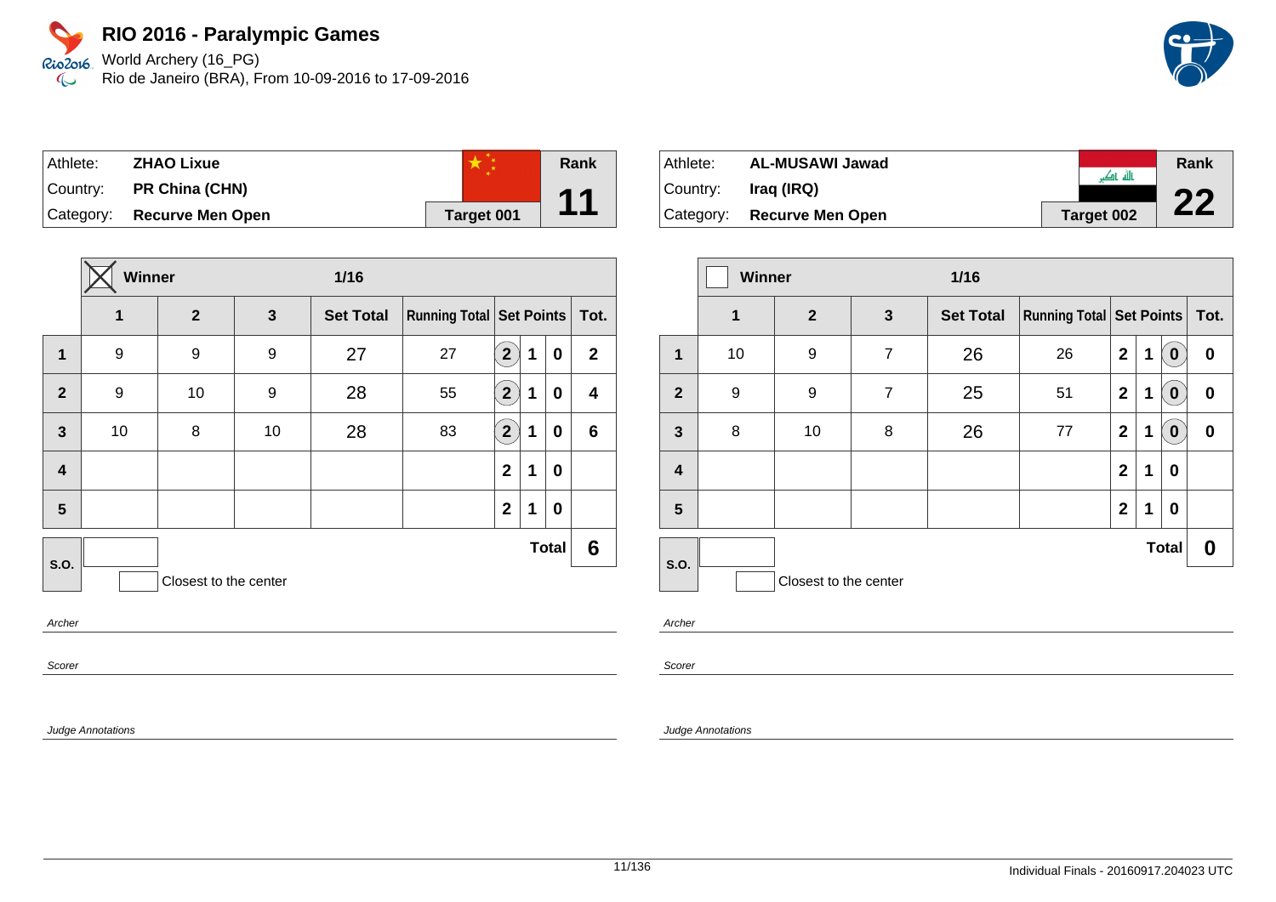World Archery (16\_PG) Rio de Janeiro (BRA), From 10-09-2016 to 17-09-2016



| Athlete: | <b>ZHAO Lixue</b>          |            | Rank |
|----------|----------------------------|------------|------|
| Country: | <b>PR China (CHN)</b>      |            | 11   |
|          | Category: Recurve Men Open | Target 001 |      |

|                | Winner |                       |              | $1/16$           |                                     |                       |   |              |                |
|----------------|--------|-----------------------|--------------|------------------|-------------------------------------|-----------------------|---|--------------|----------------|
|                | 1      | $\mathbf{2}$          | $\mathbf{3}$ | <b>Set Total</b> | <b>Running Total   Set Points  </b> |                       |   |              | Tot.           |
| 1              | 9      | 9                     | 9            | 27               | 27                                  | $\mathbf{2}^{\prime}$ | 1 | 0            | $\overline{2}$ |
| $\overline{2}$ | 9      | 10                    | 9            | 28               | 55                                  | $\mathbf{2}^{\circ}$  | 1 | 0            | 4              |
| $\mathbf{3}$   | 10     | 8                     | 10           | 28               | 83                                  | $\mathbf{2}^{\prime}$ | 1 | 0            | $6\phantom{1}$ |
| 4              |        |                       |              |                  |                                     | $\mathbf{2}$          | 1 | 0            |                |
| 5              |        |                       |              |                  |                                     | $\mathbf{2}$          | 1 | 0            |                |
| S.O.           |        |                       |              |                  |                                     |                       |   | <b>Total</b> | 6              |
|                |        | Closest to the center |              |                  |                                     |                       |   |              |                |
| Archar         |        |                       |              |                  |                                     |                       |   |              |                |

Archer

Scorer

Judge Annotations

| <b>AL-MUSAWI Jawad</b><br>Athlete: |                            |  | Rank       |    |
|------------------------------------|----------------------------|--|------------|----|
| Country:                           | Irag (IRQ)                 |  | ناله ناک   | nη |
|                                    | Category: Recurve Men Open |  | Target 002 |    |

|                         | <b>Winner</b> |                       |                | $1/16$           |                                     |                |   |                  |          |
|-------------------------|---------------|-----------------------|----------------|------------------|-------------------------------------|----------------|---|------------------|----------|
|                         | 1             | 2 <sup>2</sup>        | $\mathbf{3}$   | <b>Set Total</b> | <b>Running Total   Set Points  </b> |                |   | Tot.             |          |
| 1                       | 10            | 9                     | $\overline{7}$ | 26               | 26                                  | $\mathbf{2}$   | 1 | $\bf{0}$         | 0        |
| $\overline{2}$          | 9             | 9                     | $\overline{7}$ | 25               | 51                                  | $\mathbf{2}$   | 1 | $\boldsymbol{0}$ | 0        |
| $\overline{\mathbf{3}}$ | 8             | 10                    | 8              | 26               | 77                                  | $\mathbf{2}$   | 1 | $\bf{0}$         | $\bf{0}$ |
| $\overline{\mathbf{4}}$ |               |                       |                |                  |                                     | $\overline{2}$ | 1 | 0                |          |
| 5                       |               |                       |                |                  |                                     | $\mathbf{2}$   | 1 | 0                |          |
|                         |               |                       |                |                  |                                     |                |   | <b>Total</b>     | 0        |
| <b>S.O.</b>             |               | Closest to the center |                |                  |                                     |                |   |                  |          |

Archer

Scorer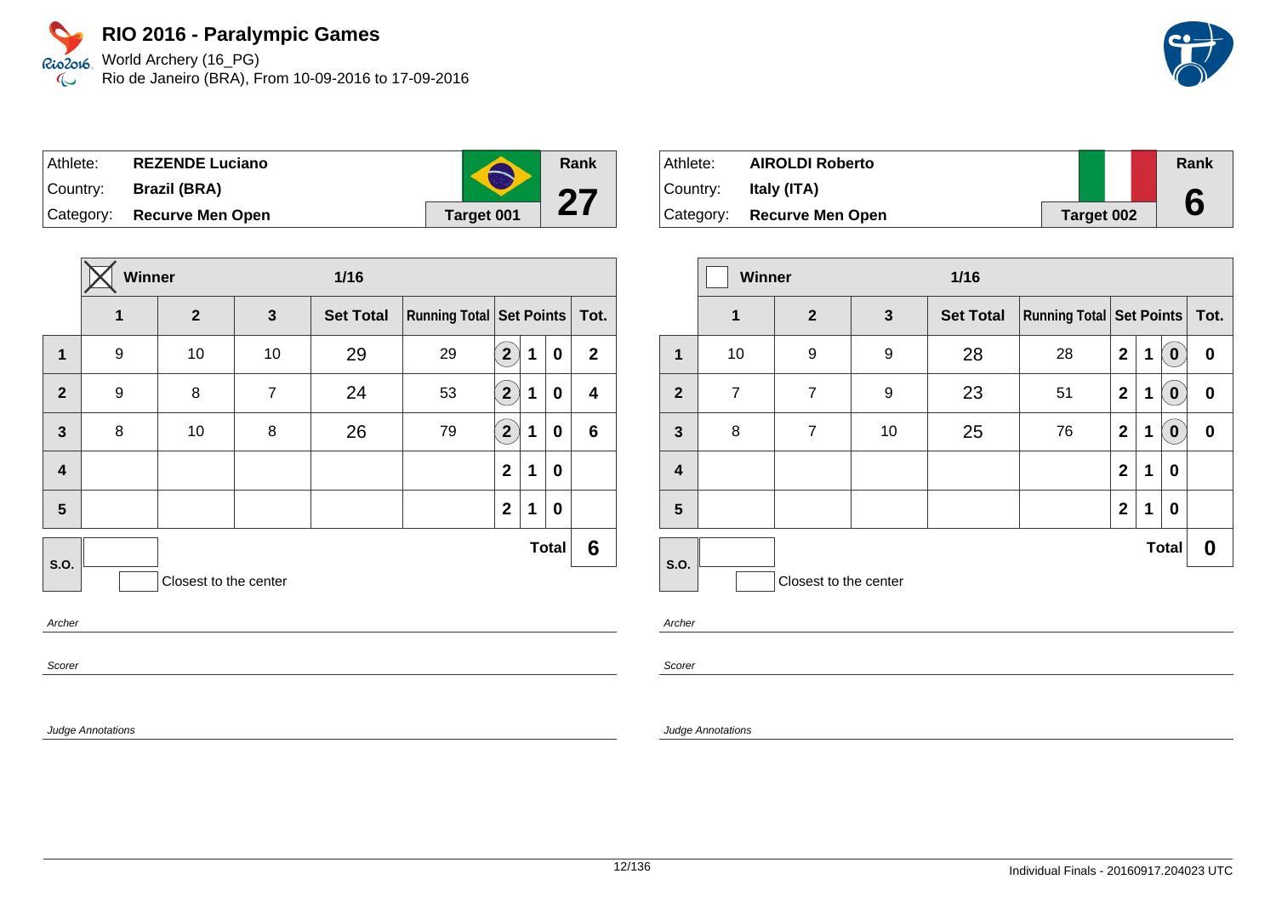World Archery (16\_PG) Rio de Janeiro (BRA), From 10-09-2016 to 17-09-2016

| Athlete: | <b>REZENDE Luciano</b>     | $\blacktriangle$ | Rank |
|----------|----------------------------|------------------|------|
|          | Country: Brazil (BRA)      |                  |      |
|          | Category: Recurve Men Open | Target 001       | Z I  |

|                         | Winner |                       |                | 1/16             |                                     |                                  |   |              |              |
|-------------------------|--------|-----------------------|----------------|------------------|-------------------------------------|----------------------------------|---|--------------|--------------|
|                         | 1      | $\mathbf{2}$          | $\mathbf{3}$   | <b>Set Total</b> | <b>Running Total   Set Points  </b> |                                  |   |              | Tot.         |
| $\mathbf 1$             | 9      | 10                    | 10             | 29               | 29                                  | 2 <sup>1</sup>                   | 1 | 0            | $\mathbf{2}$ |
| $\overline{2}$          | 9      | 8                     | $\overline{7}$ | 24               | 53                                  | $\left  \mathbf{2}\right\rangle$ | 1 | 0            | 4            |
| $\mathbf{3}$            | 8      | 10                    | 8              | 26               | 79                                  | $\mathbf{2}^{\prime}$            | 1 | 0            | $\bf 6$      |
| $\overline{\mathbf{4}}$ |        |                       |                |                  |                                     | $\mathbf{2}$                     | 1 | 0            |              |
| 5                       |        |                       |                |                  |                                     | $\mathbf{2}$                     | 1 | 0            |              |
| S.O.                    |        |                       |                |                  |                                     |                                  |   | <b>Total</b> | 6            |
|                         |        | Closest to the center |                |                  |                                     |                                  |   |              |              |
| Archar                  |        |                       |                |                  |                                     |                                  |   |              |              |

Archer

Scorer

Judge Annotations

| Athlete: | <b>AIROLDI Roberto</b>     |                   | Rank |
|----------|----------------------------|-------------------|------|
| Country: | Italy (ITA)                |                   |      |
|          | Category: Recurve Men Open | <b>Target 002</b> | 6    |

|              | Winner         |                       |              | $1/16$           |                                 |                |             |                  |          |
|--------------|----------------|-----------------------|--------------|------------------|---------------------------------|----------------|-------------|------------------|----------|
|              | $\overline{1}$ | $\overline{2}$        | $\mathbf{3}$ | <b>Set Total</b> | <b>Running Total Set Points</b> |                |             |                  | Tot.     |
| $\mathbf 1$  | 10             | 9                     | 9            | 28               | 28                              | $\overline{2}$ | 1           | $\bf{0}$         | 0        |
| $\mathbf{2}$ | $\overline{7}$ | $\overline{7}$        | 9            | 23               | 51                              | $\overline{2}$ | 1           | $\boldsymbol{0}$ | $\bf{0}$ |
| 3            | 8              | $\overline{7}$        | 10           | 25               | 76                              | $\mathbf{2}$   | 1           | $\bf{0}$         | 0        |
| 4            |                |                       |              |                  |                                 | $\mathbf{2}$   | $\mathbf 1$ | 0                |          |
| 5            |                |                       |              |                  |                                 | $\overline{2}$ | 1           | $\bf{0}$         |          |
| S.O.         |                |                       |              |                  |                                 |                |             | <b>Total</b>     | 0        |
|              |                | Closest to the center |              |                  |                                 |                |             |                  |          |

Archer

Scorer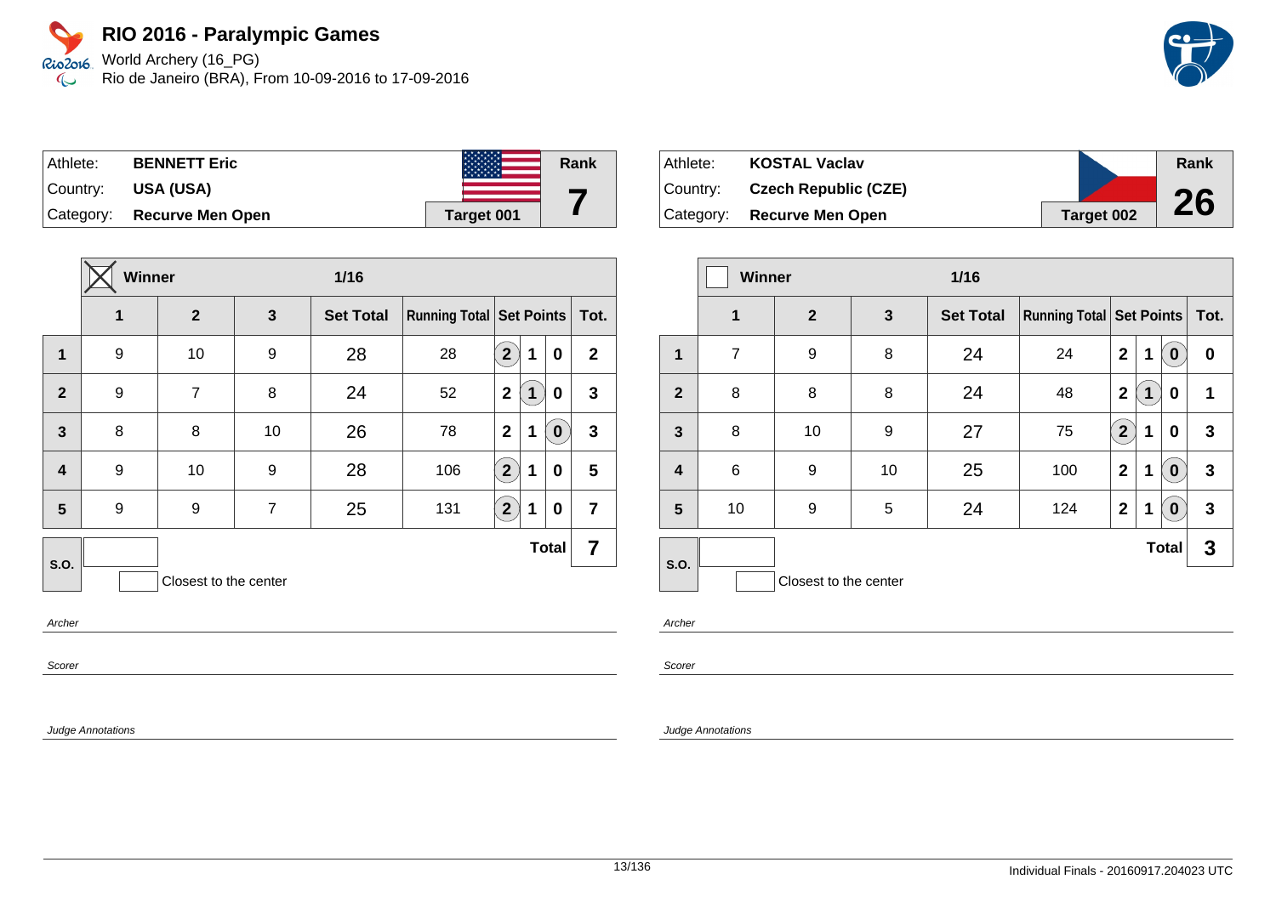World Archery (16\_PG) Rio de Janeiro (BRA), From 10-09-2016 to 17-09-2016



| Athlete: | <b>BENNETT Eric</b>        |            | Rank |
|----------|----------------------------|------------|------|
| Country: | USA (USA)                  |            |      |
|          | Category: Recurve Men Open | Target 001 |      |

|                         | <b>Winner</b>         |                |                | $1/16$           |                                 |                |             |              |                |
|-------------------------|-----------------------|----------------|----------------|------------------|---------------------------------|----------------|-------------|--------------|----------------|
|                         | 1                     | $\mathbf{2}$   | 3              | <b>Set Total</b> | <b>Running Total Set Points</b> |                |             |              | Tot.           |
| $\mathbf{1}$            | 9                     | 10             | 9              | 28               | 28                              | $\mathbf{2}$   | $\mathbf 1$ | $\bf{0}$     | $\mathbf{2}$   |
| $\overline{2}$          | 9                     | $\overline{7}$ | 8              | 24               | 52                              | $\mathbf{2}$   | 1           | $\bf{0}$     | 3              |
| $\overline{\mathbf{3}}$ | 8                     | 8              | 10             | 26               | 78                              | $\overline{2}$ | 1           | $\pmb{0}$    | $\mathbf{3}$   |
| $\overline{\mathbf{4}}$ | 9                     | 10             | 9              | 28               | 106                             | $2^{1}$        | 1           | 0            | 5              |
| 5                       | 9                     | 9              | $\overline{7}$ | 25               | 131                             | $2^{1}$        | 1           | 0            | $\overline{7}$ |
| <b>S.O.</b>             |                       |                |                |                  |                                 |                |             | <b>Total</b> | 7              |
|                         | Closest to the center |                |                |                  |                                 |                |             |              |                |

Archer

Scorer

Judge Annotations

| Athlete:    | <b>KOSTAL Vaclav</b>        |                   | Rank |
|-------------|-----------------------------|-------------------|------|
| ∣Countr∨: l | <b>Czech Republic (CZE)</b> |                   |      |
| Category:   | <b>Recurve Men Open</b>     | <b>Target 002</b> | 26   |

|                         | <b>Winner</b>  |                       |              | $1/16$           |                                 |                |   |              |      |
|-------------------------|----------------|-----------------------|--------------|------------------|---------------------------------|----------------|---|--------------|------|
|                         | $\mathbf 1$    | $\overline{2}$        | $\mathbf{3}$ | <b>Set Total</b> | <b>Running Total Set Points</b> |                |   |              | Tot. |
| 1                       | $\overline{7}$ | 9                     | 8            | 24               | 24                              | $\mathbf{2}$   | 1 | $\bf{0}$     | 0    |
| $\overline{2}$          | 8              | 8                     | 8            | 24               | 48                              | $\overline{2}$ | 1 | 0            | 1    |
| $\mathbf{3}$            | 8              | 10                    | 9            | 27               | 75                              | $2^{1}$        | 1 | $\bf{0}$     | 3    |
| $\overline{\mathbf{4}}$ | 6              | 9                     | 10           | 25               | 100                             | $\mathbf{2}$   | 1 | $\bf{0}$     | 3    |
| 5                       | 10             | 9                     | 5            | 24               | 124                             | $\overline{2}$ | 1 | $\bf{0}$     | 3    |
| S.O.                    |                |                       |              |                  |                                 |                |   | <b>Total</b> | 3    |
|                         |                | Closest to the center |              |                  |                                 |                |   |              |      |

Archer

Scorer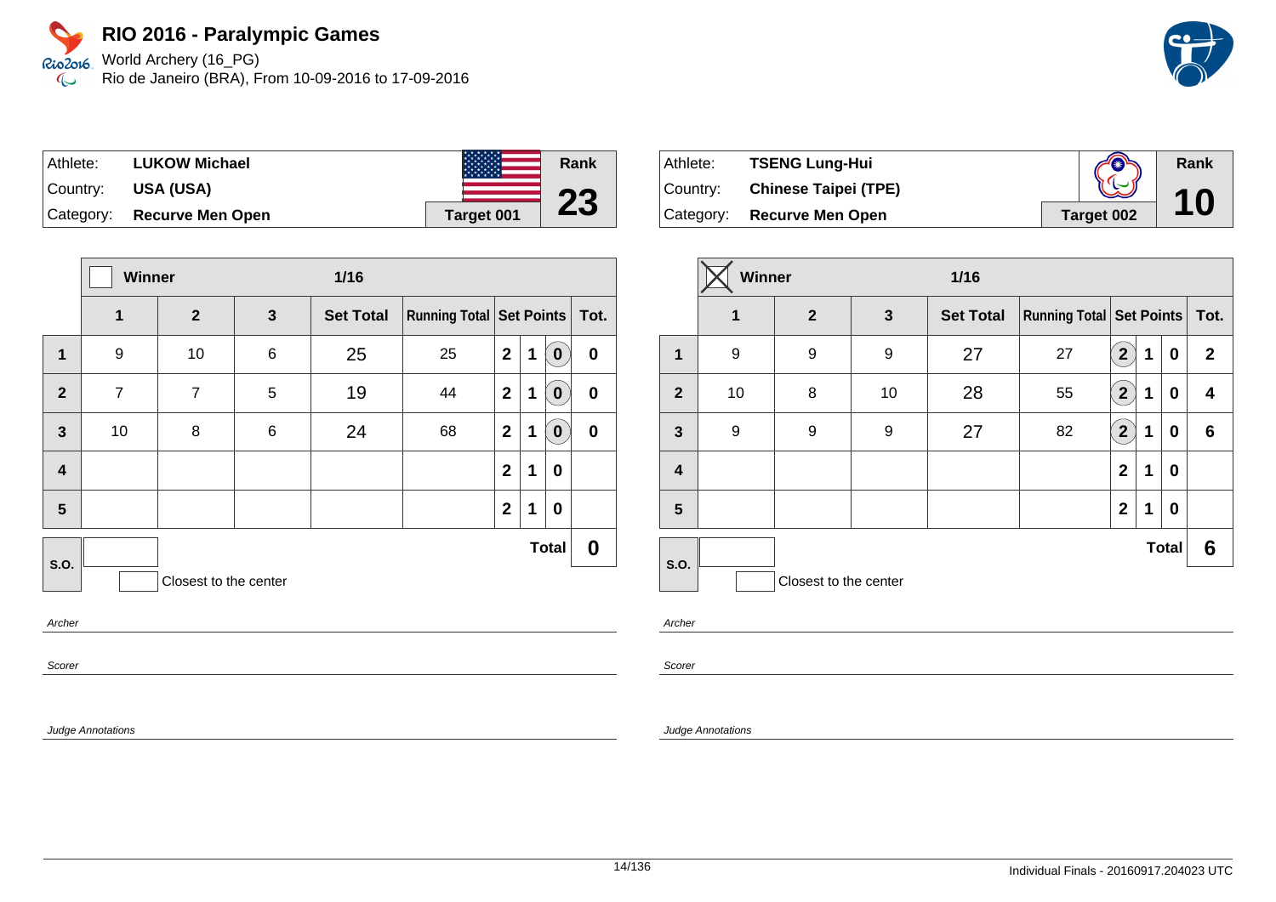World Archery (16\_PG) Rio de Janeiro (BRA), From 10-09-2016 to 17-09-2016



| Athlete:  | <b>LUKOW Michael</b>    | <b>ASASASAS</b> | Rank |
|-----------|-------------------------|-----------------|------|
| ⊺Countr∨: | USA (USA)               |                 | nn.  |
| Category: | <b>Recurve Men Open</b> | Target 001      | 25   |

|                         |                | Winner<br>1/16        |              |                  |                                     |              |   |              |              |
|-------------------------|----------------|-----------------------|--------------|------------------|-------------------------------------|--------------|---|--------------|--------------|
|                         | 1              | $\mathbf{2}$          | $\mathbf{3}$ | <b>Set Total</b> | <b>Running Total   Set Points  </b> |              |   |              | $\vert$ Tot. |
| $\mathbf 1$             | 9              | 10                    | $\,6$        | 25               | 25                                  | $\mathbf{2}$ | 1 | $\bf{0}$     | $\pmb{0}$    |
| $\overline{2}$          | $\overline{7}$ | 7                     | 5            | 19               | 44                                  | $\mathbf{2}$ | 1 | $\bf{0}$     | $\pmb{0}$    |
| $\mathbf{3}$            | 10             | 8                     | 6            | 24               | 68                                  | $\mathbf{2}$ | 1 | $\bf{0}$     | $\pmb{0}$    |
| $\overline{\mathbf{4}}$ |                |                       |              |                  |                                     | $\mathbf{2}$ | 1 | 0            |              |
| 5                       |                |                       |              |                  |                                     | $\mathbf{2}$ | 1 | 0            |              |
| <b>S.O.</b>             |                |                       |              |                  |                                     |              |   | <b>Total</b> | 0            |
|                         |                | Closest to the center |              |                  |                                     |              |   |              |              |
| Archor                  |                |                       |              |                  |                                     |              |   |              |              |

Archer

Scorer

Judge Annotations

| Athlete:  | <b>TSENG Lung-Hui</b>       | Æ          | Rank |
|-----------|-----------------------------|------------|------|
| ∣Countr∨: | <b>Chinese Taipei (TPE)</b> |            | 10   |
| Category: | <b>Recurve Men Open</b>     | Target 002 |      |

|                | Winner<br>$1/16$ |                       |              |                  |                                   |                         |   |              |              |
|----------------|------------------|-----------------------|--------------|------------------|-----------------------------------|-------------------------|---|--------------|--------------|
|                | 1                | $\mathbf{2}$          | $\mathbf{3}$ | <b>Set Total</b> | Running Total   Set Points   Tot. |                         |   |              |              |
| $\mathbf 1$    | 9                | 9                     | 9            | 27               | 27                                | $\overline{2}$          | 1 | 0            | $\mathbf{2}$ |
| $\overline{2}$ | 10               | 8                     | 10           | 28               | 55                                | $\overline{\mathbf{2}}$ | 1 | 0            | 4            |
| $\mathbf{3}$   | 9                | 9                     | 9            | 27               | 82                                | $\overline{2}$          | 1 | 0            | 6            |
| 4              |                  |                       |              |                  |                                   | $\mathbf{2}$            | 1 | 0            |              |
| 5              |                  |                       |              |                  |                                   | $\mathbf{2}$            | 1 | 0            |              |
| S.O.           |                  |                       |              |                  |                                   |                         |   | <b>Total</b> | 6            |
|                |                  | Closest to the center |              |                  |                                   |                         |   |              |              |

Archer

Scorer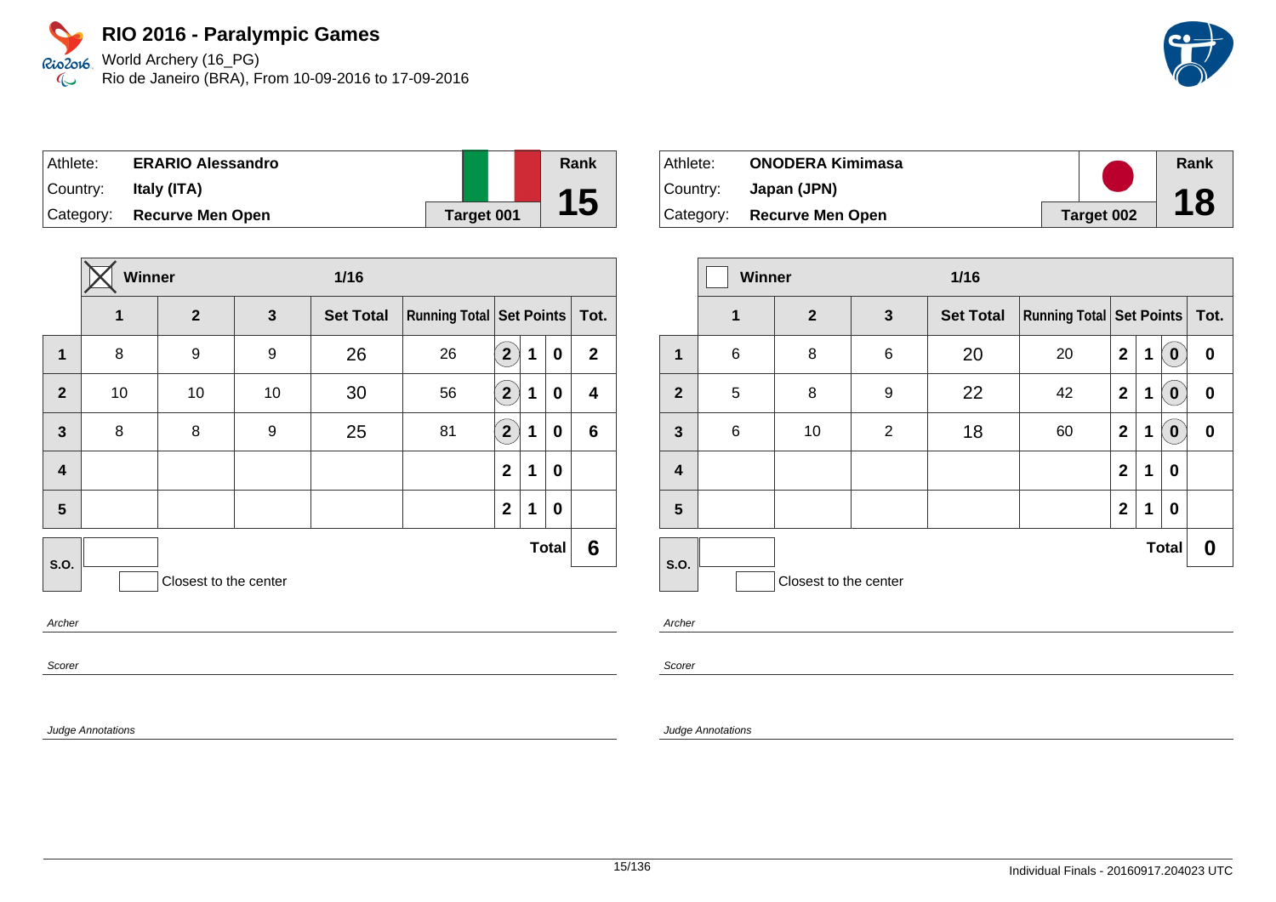World Archery (16\_PG) Rio de Janeiro (BRA), From 10-09-2016 to 17-09-2016

| Athlete:  | <b>ERARIO Alessandro</b> |            | Rank |
|-----------|--------------------------|------------|------|
| Country:  | Italy (ITA)              |            |      |
| Category: | <b>Recurve Men Open</b>  | Target 001 | 15   |

|                         | Winner<br>1/16 |                       |              |                  |                                 |                       |   |              |                |
|-------------------------|----------------|-----------------------|--------------|------------------|---------------------------------|-----------------------|---|--------------|----------------|
|                         | 1              | $\overline{2}$        | $\mathbf{3}$ | <b>Set Total</b> | <b>Running Total Set Points</b> |                       |   |              | Tot.           |
| 1                       | 8              | 9                     | 9            | 26               | 26                              | $\mathbf{2}^{\prime}$ | 1 | 0            | $\mathbf{2}$   |
| $\overline{2}$          | 10             | 10                    | 10           | 30               | 56                              | $\mathbf{2}^{\prime}$ | 1 | 0            | 4              |
| $\mathbf{3}$            | 8              | 8                     | 9            | 25               | 81                              | $\mathbf{[2]}$        | 1 | 0            | $6\phantom{1}$ |
| $\overline{\mathbf{4}}$ |                |                       |              |                  |                                 | $\mathbf{2}$          | 1 | 0            |                |
| 5                       |                |                       |              |                  |                                 | $\mathbf{2}$          | 1 | 0            |                |
| S.O.                    |                |                       |              |                  |                                 |                       |   | <b>Total</b> | 6              |
|                         |                | Closest to the center |              |                  |                                 |                       |   |              |                |
| Archor                  |                |                       |              |                  |                                 |                       |   |              |                |

Archer

Scorer

Judge Annotations

| ⊺Athlete: | <b>ONODERA Kimimasa</b>    |            | Rank |
|-----------|----------------------------|------------|------|
| ⊺Countr∨: | Japan (JPN)                |            | 18   |
|           | Category: Recurve Men Open | Target 002 |      |

|                         | <b>Winner</b> |                       | $1/16$         |                  |                                     |                |   |                  |          |
|-------------------------|---------------|-----------------------|----------------|------------------|-------------------------------------|----------------|---|------------------|----------|
|                         | $\mathbf 1$   | $\overline{2}$        | $\mathbf{3}$   | <b>Set Total</b> | <b>Running Total   Set Points  </b> |                |   |                  | Tot.     |
| 1                       | $\,6$         | 8                     | $\,6$          | 20               | 20                                  | $\mathbf{2}$   | 1 | $\bf{0}$         | 0        |
| $\overline{2}$          | 5             | 8                     | 9              | 22               | 42                                  | $\mathbf 2$    | 1 | $\boldsymbol{0}$ | $\bf{0}$ |
| $\mathbf{3}$            | 6             | 10                    | $\overline{2}$ | 18               | 60                                  | $\mathbf 2$    | 1 | $\bf{0}$         | $\bf{0}$ |
| $\overline{\mathbf{4}}$ |               |                       |                |                  |                                     | $\overline{2}$ | 1 | 0                |          |
| 5                       |               |                       |                |                  |                                     | $\mathbf 2$    | 1 | 0                |          |
| S.O.                    |               |                       |                |                  |                                     |                |   | <b>Total</b>     | 0        |
|                         |               | Closest to the center |                |                  |                                     |                |   |                  |          |

Archer

Scorer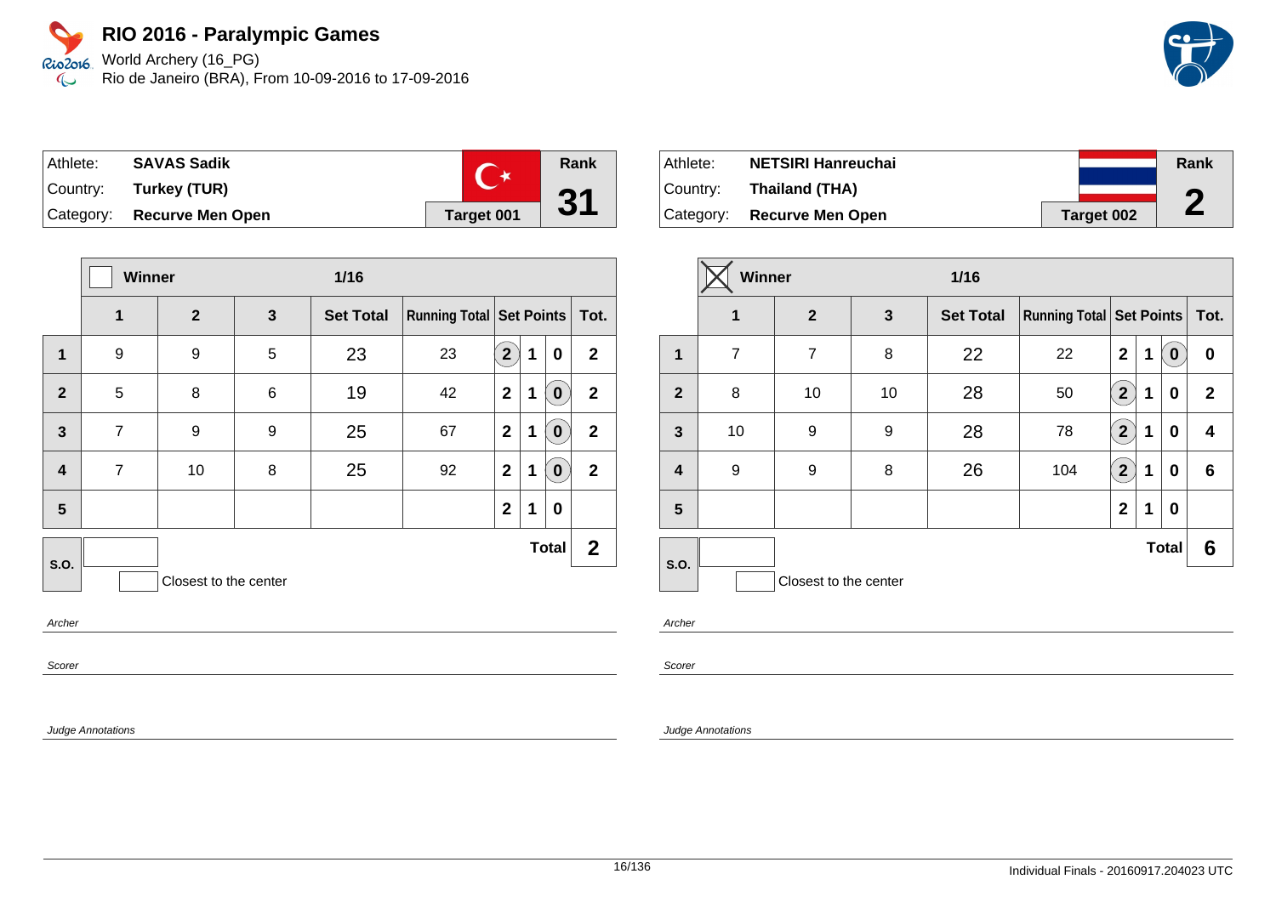World Archery (16\_PG) Rio de Janeiro (BRA), From 10-09-2016 to 17-09-2016



| Athlete: | <b>SAVAS Sadik</b>         |            | Rank |
|----------|----------------------------|------------|------|
| Country: | Turkey (TUR)               |            |      |
|          | Category: Recurve Men Open | Target 001 | 31   |

|                         |                | Winner<br>$1/16$      |   |                  |                               |                |   |              |              |
|-------------------------|----------------|-----------------------|---|------------------|-------------------------------|----------------|---|--------------|--------------|
|                         | $\mathbf{1}$   | $\overline{2}$        | 3 | <b>Set Total</b> | Running Total Set Points Tot. |                |   |              |              |
| 1                       | 9              | 9                     | 5 | 23               | 23                            | 2 <sup>2</sup> | 1 | 0            | $\mathbf{2}$ |
| $\overline{2}$          | 5              | 8                     | 6 | 19               | 42                            | $\mathbf{2}$   | 1 | 0            | $\mathbf{2}$ |
| $\mathbf{3}$            | $\overline{7}$ | 9                     | 9 | 25               | 67                            | $\mathbf{2}$   | 1 | 0            | $\mathbf{2}$ |
| $\overline{\mathbf{4}}$ | $\overline{7}$ | 10                    | 8 | 25               | 92                            | $\mathbf{2}$   | 1 | 0            | $\mathbf{2}$ |
| 5                       |                |                       |   |                  |                               | $\mathbf{2}$   | 1 | 0            |              |
| S.O.                    |                |                       |   |                  |                               |                |   | <b>Total</b> | $\mathbf{2}$ |
|                         |                | Closest to the center |   |                  |                               |                |   |              |              |
| $\sim$ $\sim$           |                |                       |   |                  |                               |                |   |              |              |

Archer

Scorer

Judge Annotations

| Athlete:  | <b>NETSIRI Hanreuchai</b>  |            | Rank |
|-----------|----------------------------|------------|------|
| ⊺Countr∨: | Thailand (THA)             |            | n    |
|           | Category: Recurve Men Open | Target 002 | L    |

|                         | Winner<br>$1/16$ |                       |    |                  |                                     |                      |   |              |              |
|-------------------------|------------------|-----------------------|----|------------------|-------------------------------------|----------------------|---|--------------|--------------|
|                         | $\mathbf 1$      | $\overline{2}$        | 3  | <b>Set Total</b> | <b>Running Total   Set Points  </b> |                      |   |              | Tot.         |
| $\mathbf 1$             | $\overline{7}$   | $\overline{7}$        | 8  | 22               | 22                                  | $\overline{2}$       | 1 | $\bf{0}$     | 0            |
| $\overline{2}$          | 8                | 10                    | 10 | 28               | 50                                  | $\mathbf{2}^{\circ}$ | 1 | 0            | $\mathbf{2}$ |
| 3                       | 10               | 9                     | 9  | 28               | 78                                  | $\boxed{2}$          | 1 | 0            | 4            |
| $\overline{\mathbf{4}}$ | 9                | 9                     | 8  | 26               | 104                                 | $\mathbf{2} \rangle$ | 1 | 0            | 6            |
| 5                       |                  |                       |    |                  |                                     | $\mathbf{2}$         | 1 | 0            |              |
| <b>S.O.</b>             |                  |                       |    |                  |                                     |                      |   | <b>Total</b> | 6            |
|                         |                  | Closest to the center |    |                  |                                     |                      |   |              |              |

Archer

Scorer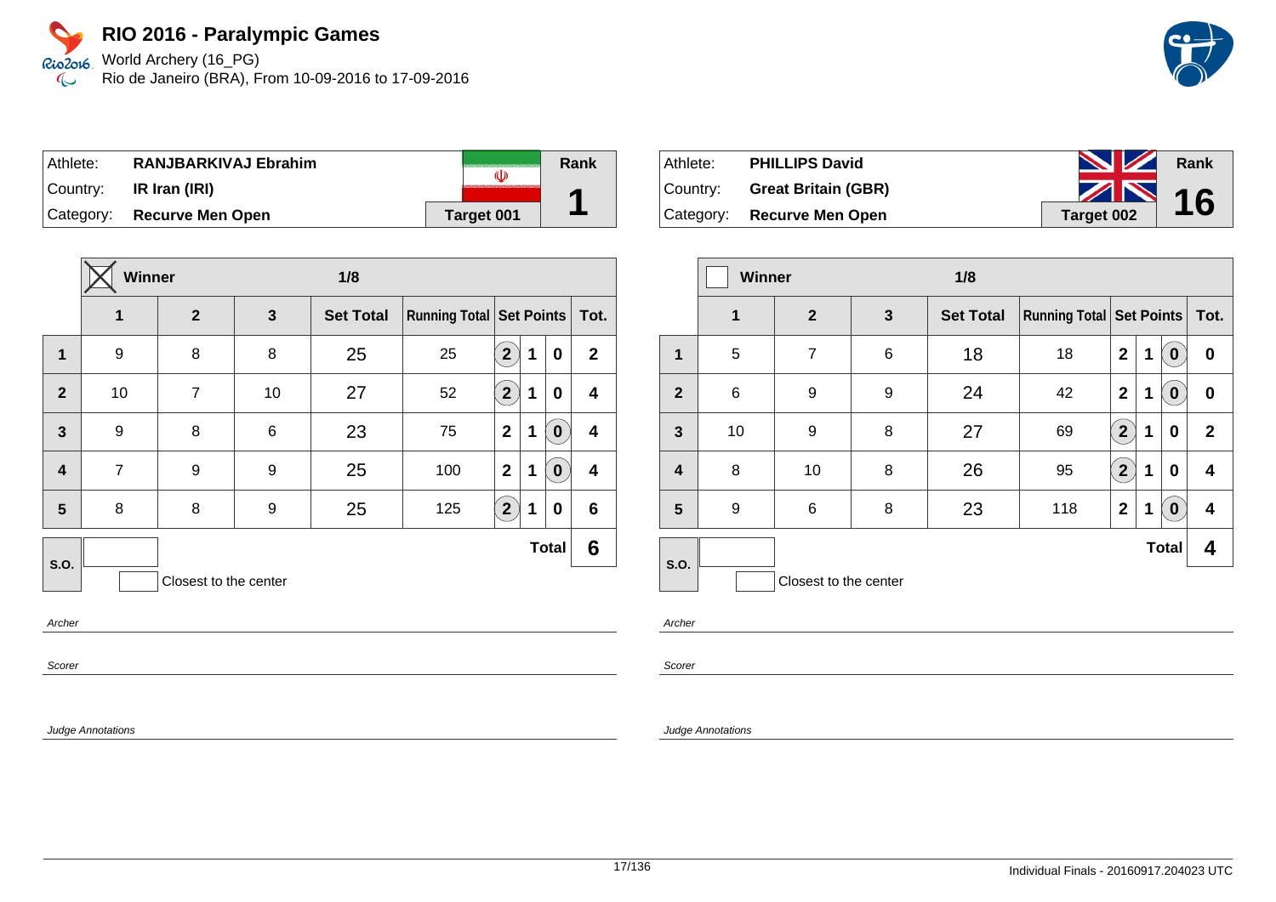World Archery (16\_PG) Rio de Janeiro (BRA), From 10-09-2016 to 17-09-2016

| Athlete:  | <b>RANJBARKIVAJ Ebrahim</b> |            | Rank |
|-----------|-----------------------------|------------|------|
| ⊺Countr∨: | IR Iran (IRI)               |            |      |
|           | Category: Recurve Men Open  | Target 001 |      |

|                         | <b>Winner</b>  |                       |                 | 1/8              |                                     |                |   |                  |              |
|-------------------------|----------------|-----------------------|-----------------|------------------|-------------------------------------|----------------|---|------------------|--------------|
|                         | 1              | $\overline{2}$        | 3               | <b>Set Total</b> | <b>Running Total   Set Points  </b> |                |   |                  | Tot.         |
| 1                       | 9              | 8                     | 8               | 25               | 25                                  | $\mathbf{2}$   | 1 | 0                | $\mathbf{2}$ |
| $\overline{2}$          | 10             | $\overline{7}$        | 10              | 27               | 52                                  | $\mathbf{2}$   | 1 | 0                | 4            |
| 3                       | 9              | 8                     | $6\phantom{1}6$ | 23               | 75                                  | $\overline{2}$ | 1 | $\boldsymbol{0}$ | 4            |
| $\overline{\mathbf{4}}$ | $\overline{7}$ | 9                     | 9               | 25               | 100                                 | $\overline{2}$ | 1 | $\boldsymbol{0}$ | 4            |
| 5                       | 8              | 8                     | 9               | 25               | 125                                 | $\mathbf{2}$   | 1 | 0                | 6            |
| S.O.                    |                |                       |                 |                  |                                     |                |   | <b>Total</b>     | 6            |
|                         |                | Closest to the center |                 |                  |                                     |                |   |                  |              |

Archer

Scorer

Judge Annotations

| Athlete: | <b>PHILLIPS David</b>        | <b>NZ</b>  | Rank |
|----------|------------------------------|------------|------|
|          | Country: Great Britain (GBR) | $\sim$ 16  |      |
|          | Category: Recurve Men Open   | Target 002 |      |

|                 | <b>Winner</b><br>1/8 |                       |              |                  |                                     |                      |   |              |              |
|-----------------|----------------------|-----------------------|--------------|------------------|-------------------------------------|----------------------|---|--------------|--------------|
|                 | $\mathbf 1$          | $\mathbf{2}$          | $\mathbf{3}$ | <b>Set Total</b> | <b>Running Total   Set Points  </b> |                      |   |              | Tot.         |
| 1               | 5                    | 7                     | 6            | 18               | 18                                  | $\mathbf{2}$         | 1 | 0            | 0            |
| $\overline{2}$  | 6                    | 9                     | 9            | 24               | 42                                  | $\mathbf{2}$         | 1 | $\mathbf 0$  | 0            |
| $\mathbf{3}$    | 10                   | 9                     | 8            | 27               | 69                                  | 2 <sup>1</sup>       | 1 | 0            | $\mathbf{2}$ |
| 4               | 8                    | 10                    | 8            | 26               | 95                                  | $\mathbf{2}^{\circ}$ | 1 | 0            | 4            |
| $5\phantom{.0}$ | 9                    | 6                     | 8            | 23               | 118                                 | $\mathbf{2}$         | 1 | $\bf{0}$     | 4            |
| S.O.            |                      |                       |              |                  |                                     |                      |   | <b>Total</b> | 4            |
|                 |                      | Closest to the center |              |                  |                                     |                      |   |              |              |

Archer

Scorer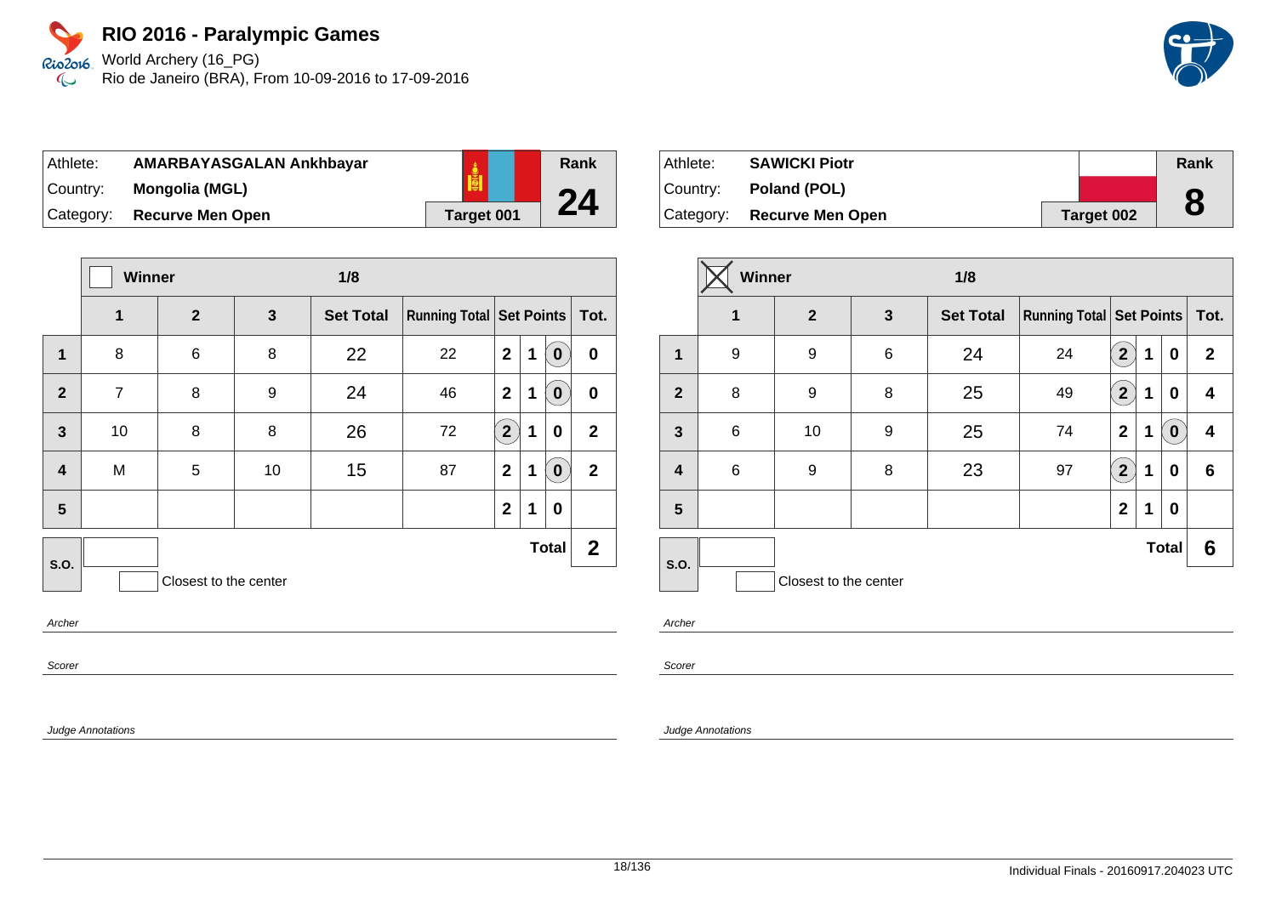World Archery (16\_PG) Rio de Janeiro (BRA), From 10-09-2016 to 17-09-2016

| ⊺Athlete:   | AMARBAYASGALAN Ankhbayar |                   |
|-------------|--------------------------|-------------------|
| ∣Countr∨: l | Mongolia (MGL)           |                   |
| Category:   | <b>Recurve Men Open</b>  | <b>Target 001</b> |

|                         | Winner         |                       |              | 1/8              |                                   |                |   |              |              |
|-------------------------|----------------|-----------------------|--------------|------------------|-----------------------------------|----------------|---|--------------|--------------|
|                         | 1              | $\overline{2}$        | $\mathbf{3}$ | <b>Set Total</b> | Running Total   Set Points   Tot. |                |   |              |              |
| 1                       | 8              | 6                     | 8            | 22               | 22                                | $\overline{2}$ | 1 | $\bf{0}$     | $\bf{0}$     |
| $\overline{2}$          | $\overline{7}$ | 8                     | 9            | 24               | 46                                | $\mathbf{2}$   | 1 | $\bf{0}$     | $\bf{0}$     |
| $\overline{\mathbf{3}}$ | 10             | 8                     | 8            | 26               | 72                                | $2^{1}$        | 1 | 0            | $\mathbf{2}$ |
| $\overline{\mathbf{4}}$ | M              | 5                     | 10           | 15               | 87                                | $\mathbf{2}$   | 1 | $\bf{0}$     | $\mathbf{2}$ |
| 5                       |                |                       |              |                  |                                   | $\overline{2}$ | 1 | 0            |              |
| <b>S.O.</b>             |                |                       |              |                  |                                   |                |   | <b>Total</b> | $\mathbf{2}$ |
|                         |                | Closest to the center |              |                  |                                   |                |   |              |              |

Archer

Scorer

Judge Annotations

| Athlete:  | <b>SAWICKI Piotr</b>    |            | Rank |
|-----------|-------------------------|------------|------|
| Country:  | Poland (POL)            |            | O    |
| Category: | <b>Recurve Men Open</b> | Target 002 |      |

|                | Winner<br>1/8 |                       |              |                  |                                     |                           |   |                  |              |
|----------------|---------------|-----------------------|--------------|------------------|-------------------------------------|---------------------------|---|------------------|--------------|
|                | 1             | $\mathbf{2}$          | $\mathbf{3}$ | <b>Set Total</b> | <b>Running Total   Set Points  </b> |                           |   |                  | Tot.         |
| $\mathbf{1}$   | 9             | 9                     | 6            | 24               | 24                                  | $\mathbf{2}$              | 1 | 0                | $\mathbf{2}$ |
| $\overline{2}$ | 8             | 9                     | 8            | 25               | 49                                  | $\mathbf{2}^{\mathbf{1}}$ | 1 | 0                | 4            |
| $\mathbf{3}$   | 6             | 10                    | 9            | 25               | 74                                  | $\mathbf{2}$              | 1 | $\boldsymbol{0}$ | 4            |
| 4              | 6             | 9                     | 8            | 23               | 97                                  | $\mathbf{2}^{\mathbf{2}}$ | 1 | 0                | 6            |
| 5              |               |                       |              |                  |                                     | $\mathbf{2}$              | 1 | 0                |              |
| S.O.           |               |                       |              |                  |                                     |                           |   | <b>Total</b>     | 6            |
|                |               | Closest to the center |              |                  |                                     |                           |   |                  |              |

Archer

**Rank**

**24**

Scorer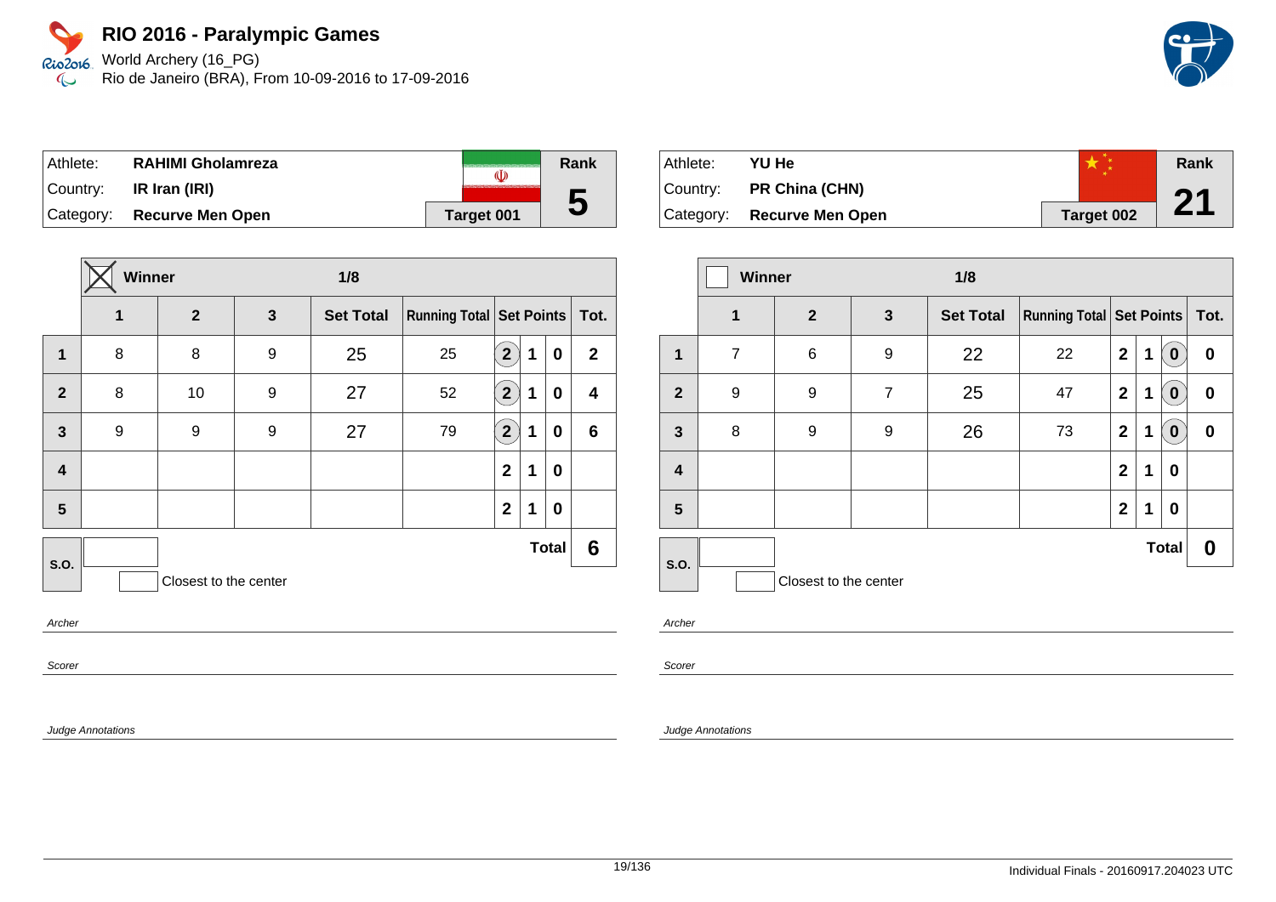World Archery (16\_PG) Rio de Janeiro (BRA), From 10-09-2016 to 17-09-2016

| Athlete:  | RAHIMI Gholamreza          | (I)        | <b>Rank</b> |
|-----------|----------------------------|------------|-------------|
| ⊺Countr∨: | IR Iran (IRI)              |            |             |
|           | Category: Recurve Men Open | Target 001 | IJ          |

|                         | <b>Winner</b><br>1/8 |                       |   |                  |                            |                         |   |              |                         |
|-------------------------|----------------------|-----------------------|---|------------------|----------------------------|-------------------------|---|--------------|-------------------------|
|                         | 1                    | $\overline{2}$        | 3 | <b>Set Total</b> | Running Total   Set Points |                         |   |              | Tot.                    |
| 1                       | 8                    | 8                     | 9 | 25               | 25                         | $\overline{\mathbf{2}}$ | 1 | 0            | $\mathbf{2}$            |
| $\overline{2}$          | 8                    | 10                    | 9 | 27               | 52                         | $\mathbf{2}^{\prime}$   | 1 | 0            | $\overline{\mathbf{4}}$ |
| $\mathbf{3}$            | 9                    | 9                     | 9 | 27               | 79                         | $\overline{\mathbf{2}}$ | 1 | 0            | $6\phantom{1}$          |
| $\overline{\mathbf{4}}$ |                      |                       |   |                  |                            | $\mathbf{2}$            | 1 | $\bf{0}$     |                         |
| 5                       |                      |                       |   |                  |                            | $\mathbf{2}$            | 1 | $\bf{0}$     |                         |
| S.O.                    |                      |                       |   |                  |                            |                         |   | <b>Total</b> | 6                       |
|                         |                      | Closest to the center |   |                  |                            |                         |   |              |                         |
| $A \cdot B = B$         |                      |                       |   |                  |                            |                         |   |              |                         |

Archer

Scorer

Judge Annotations

| Athlete:  | YU He                   |            | Rank |
|-----------|-------------------------|------------|------|
| Country:  | PR China (CHN)          |            |      |
| Category: | <b>Recurve Men Open</b> | Target 002 | 21   |

|                  | Winner<br>1/8  |                       |                |                  |                                   |              |   |                  |   |
|------------------|----------------|-----------------------|----------------|------------------|-----------------------------------|--------------|---|------------------|---|
|                  | $\mathbf 1$    | 2 <sup>2</sup>        | $\mathbf{3}$   | <b>Set Total</b> | Running Total   Set Points   Tot. |              |   |                  |   |
| 1                | $\overline{7}$ | 6                     | 9              | 22               | 22                                | $\mathbf 2$  | 1 | $\bf{0}$         | 0 |
| $\overline{2}$   | 9              | 9                     | $\overline{7}$ | 25               | 47                                | $\mathbf 2$  | 1 | $\boldsymbol{0}$ | 0 |
| 3                | 8              | 9                     | 9              | 26               | 73                                | $\mathbf 2$  | 1 | $\boldsymbol{0}$ | 0 |
| $\boldsymbol{4}$ |                |                       |                |                  |                                   | $\mathbf{2}$ | 1 | 0                |   |
| 5                |                |                       |                |                  |                                   | $\mathbf{2}$ | 1 | 0                |   |
| <b>S.O.</b>      |                |                       |                |                  |                                   |              |   | <b>Total</b>     | 0 |
|                  |                | Closest to the center |                |                  |                                   |              |   |                  |   |

Archer

Scorer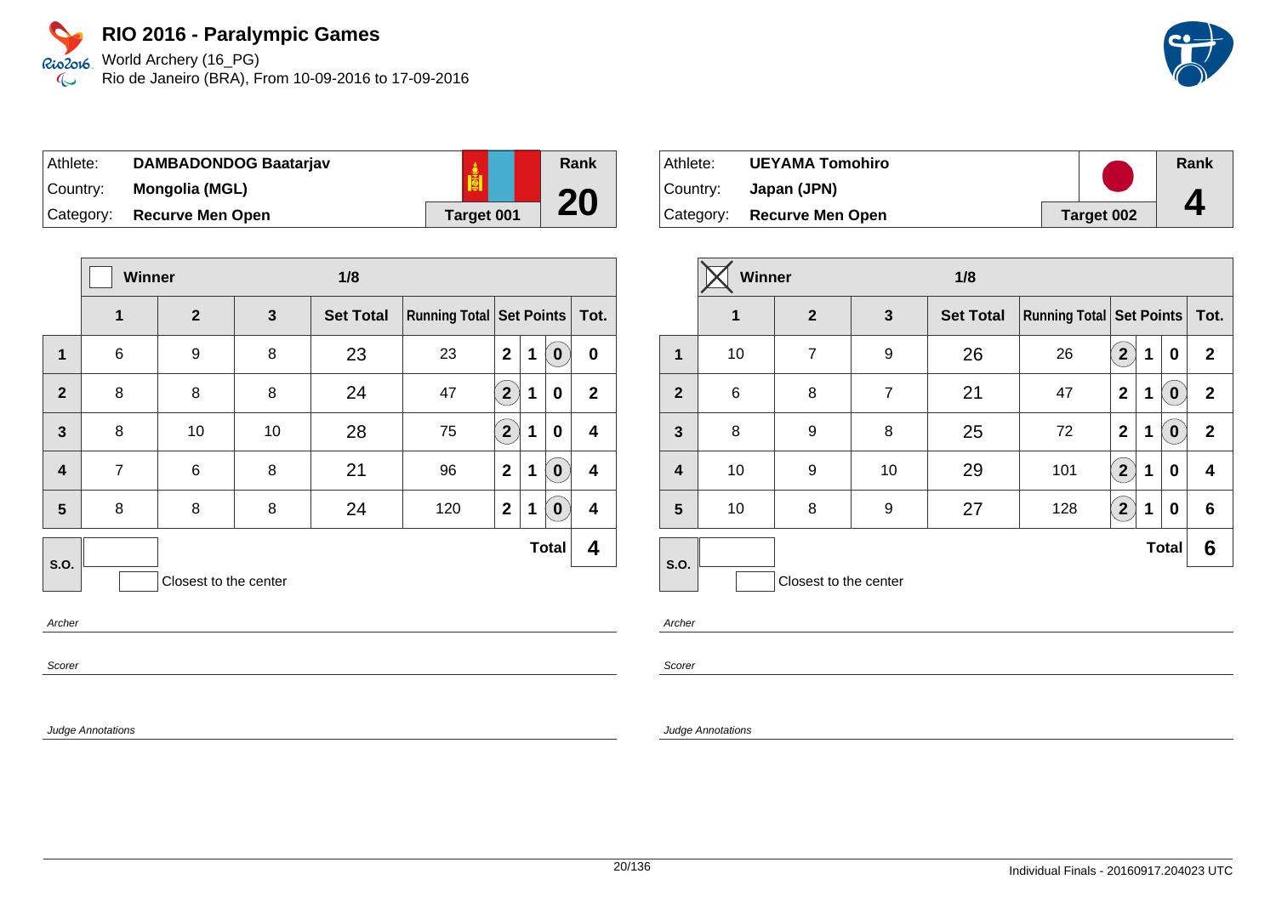World Archery (16\_PG) Rio de Janeiro (BRA), From 10-09-2016 to 17-09-2016

| Athlete:  | <b>DAMBADONDOG Baatarjav</b> |            |
|-----------|------------------------------|------------|
| Country:  | <b>Mongolia (MGL)</b>        |            |
| Category: | <b>Recurve Men Open</b>      | Target 001 |

|                         | <b>Winner</b>  |                       | 1/8 |                  |                                     |                |   |              |              |
|-------------------------|----------------|-----------------------|-----|------------------|-------------------------------------|----------------|---|--------------|--------------|
|                         | 1              | $\overline{2}$        | 3   | <b>Set Total</b> | <b>Running Total   Set Points  </b> |                |   |              | Tot.         |
| $\mathbf{1}$            | $\,6$          | 9                     | 8   | 23               | 23                                  | $\overline{2}$ | 1 | $\bf{0}$     | $\bf{0}$     |
| $\overline{2}$          | 8              | 8                     | 8   | 24               | 47                                  | $2^{1}$        | 1 | 0            | $\mathbf{2}$ |
| $\overline{\mathbf{3}}$ | 8              | 10                    | 10  | 28               | 75                                  | $2^{1}$        | 1 | 0            | 4            |
| $\overline{\mathbf{4}}$ | $\overline{7}$ | 6                     | 8   | 21               | 96                                  | $\mathbf{2}$   | 1 | $\bf{0}$     | 4            |
| 5                       | 8              | 8                     | 8   | 24               | 120                                 | $\overline{2}$ | 1 | $\bf{0}$     | 4            |
| <b>S.O.</b>             |                |                       |     |                  |                                     |                |   | <b>Total</b> | 4            |
|                         |                | Closest to the center |     |                  |                                     |                |   |              |              |

Archer

Scorer

Judge Annotations

| Athlete:  | <b>UEYAMA Tomohiro</b>     |                   | Rank |
|-----------|----------------------------|-------------------|------|
| ⊺Countr∨: | Japan (JPN)                |                   |      |
|           | Category: Recurve Men Open | <b>Target 002</b> | 4    |

|                | Winner<br>1/8 |                       |                |                  |                                     |                      |   |                  |              |
|----------------|---------------|-----------------------|----------------|------------------|-------------------------------------|----------------------|---|------------------|--------------|
|                | $\mathbf 1$   | $\overline{2}$        | 3              | <b>Set Total</b> | <b>Running Total   Set Points  </b> |                      |   |                  | Tot.         |
| 1              | 10            | $\overline{7}$        | 9              | 26               | 26                                  | $\mathbf{2}$         | 1 | $\bf{0}$         | $\mathbf{2}$ |
| $\overline{2}$ | $\,6$         | 8                     | $\overline{7}$ | 21               | 47                                  | $\overline{2}$       | 1 | $\boldsymbol{0}$ | $\mathbf{2}$ |
| $\mathbf{3}$   | 8             | 9                     | 8              | 25               | 72                                  | $\overline{2}$       | 1 | $\bf{0}$         | $\mathbf{2}$ |
| 4              | 10            | 9                     | 10             | 29               | 101                                 | $\mathbf{2}^{\circ}$ | 1 | 0                | 4            |
| 5              | 10            | 8                     | 9              | 27               | 128                                 | $2^{1}$              | 1 | 0                | 6            |
| <b>S.O.</b>    |               |                       |                |                  |                                     |                      |   | <b>Total</b>     | 6            |
|                |               | Closest to the center |                |                  |                                     |                      |   |                  |              |

Archer

**Rank**

**20**

Scorer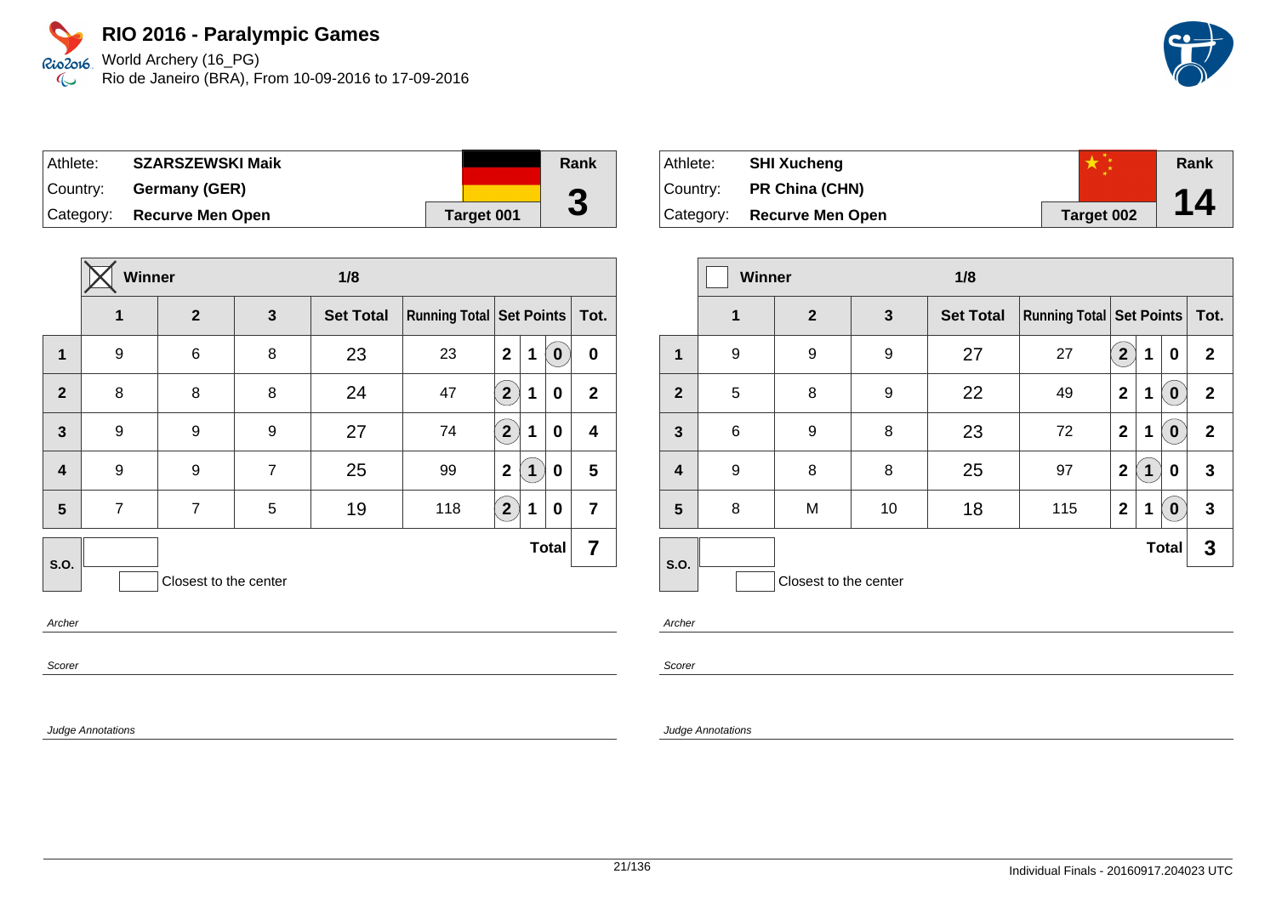World Archery (16\_PG) Rio de Janeiro (BRA), From 10-09-2016 to 17-09-2016

| Athlete:  | <b>SZARSZEWSKI Maik</b>    |                   | Rank       |
|-----------|----------------------------|-------------------|------------|
| ∣Country: | Germany (GER)              |                   | $\sqrt{2}$ |
|           | Category: Recurve Men Open | <b>Target 001</b> | J          |

|                         | <b>Winner</b><br>1/8 |                       |   |                  |                                     |                |                       |                |
|-------------------------|----------------------|-----------------------|---|------------------|-------------------------------------|----------------|-----------------------|----------------|
|                         | 1                    | $\overline{2}$        | 3 | <b>Set Total</b> | <b>Running Total   Set Points  </b> |                |                       | Tot.           |
| 1                       | 9                    | 6                     | 8 | 23               | 23                                  | $\overline{2}$ | 1<br>$\boldsymbol{0}$ | $\bf{0}$       |
| $\overline{2}$          | 8                    | 8                     | 8 | 24               | 47                                  | $\overline{2}$ | 1<br>$\bf{0}$         | $\mathbf{2}$   |
| $\overline{3}$          | 9                    | 9                     | 9 | 27               | 74                                  | $2^{1}$        | $\mathbf 1$<br>0      | 4              |
| $\overline{\mathbf{4}}$ | 9                    | 9                     | 7 | 25               | 99                                  | $\mathbf{2}$   | $\bf{0}$<br>1         | 5              |
| 5                       | $\overline{7}$       | $\overline{7}$        | 5 | 19               | 118                                 | $2^{1}$        | 1<br>$\bf{0}$         | $\overline{7}$ |
| <b>S.O.</b>             |                      |                       |   |                  |                                     |                | <b>Total</b>          | 7              |
|                         |                      | Closest to the center |   |                  |                                     |                |                       |                |

Archer

Scorer

Judge Annotations

| Athlete: | <b>SHI Xucheng</b>         |            | Rank |
|----------|----------------------------|------------|------|
| Country: | <b>PR China (CHN)</b>      |            |      |
|          | Category: Recurve Men Open | Target 002 | 14   |

|                | Winner<br>1/8 |                       |    |                  |                                     |                |   |                  |              |
|----------------|---------------|-----------------------|----|------------------|-------------------------------------|----------------|---|------------------|--------------|
|                | $\mathbf 1$   | $\mathbf{2}$          | 3  | <b>Set Total</b> | <b>Running Total   Set Points  </b> |                |   |                  | Tot.         |
| 1              | 9             | 9                     | 9  | 27               | 27                                  | $\overline{2}$ | 1 | 0                | $\mathbf{2}$ |
| $\overline{2}$ | 5             | 8                     | 9  | 22               | 49                                  | $\mathbf 2$    | 1 | $\boldsymbol{0}$ | $\mathbf{2}$ |
| 3              | 6             | 9                     | 8  | 23               | 72                                  | $\overline{2}$ | 1 | $\bf{0}$         | $\mathbf{2}$ |
| 4              | 9             | 8                     | 8  | 25               | 97                                  | $\mathbf{2}$   | 1 | 0                | 3            |
| 5              | 8             | M                     | 10 | 18               | 115                                 | $\overline{2}$ | 1 | $\bf{0}$         | 3            |
| S.O.           |               |                       |    |                  |                                     |                |   | <b>Total</b>     | 3            |
|                |               | Closest to the center |    |                  |                                     |                |   |                  |              |

Archer

Scorer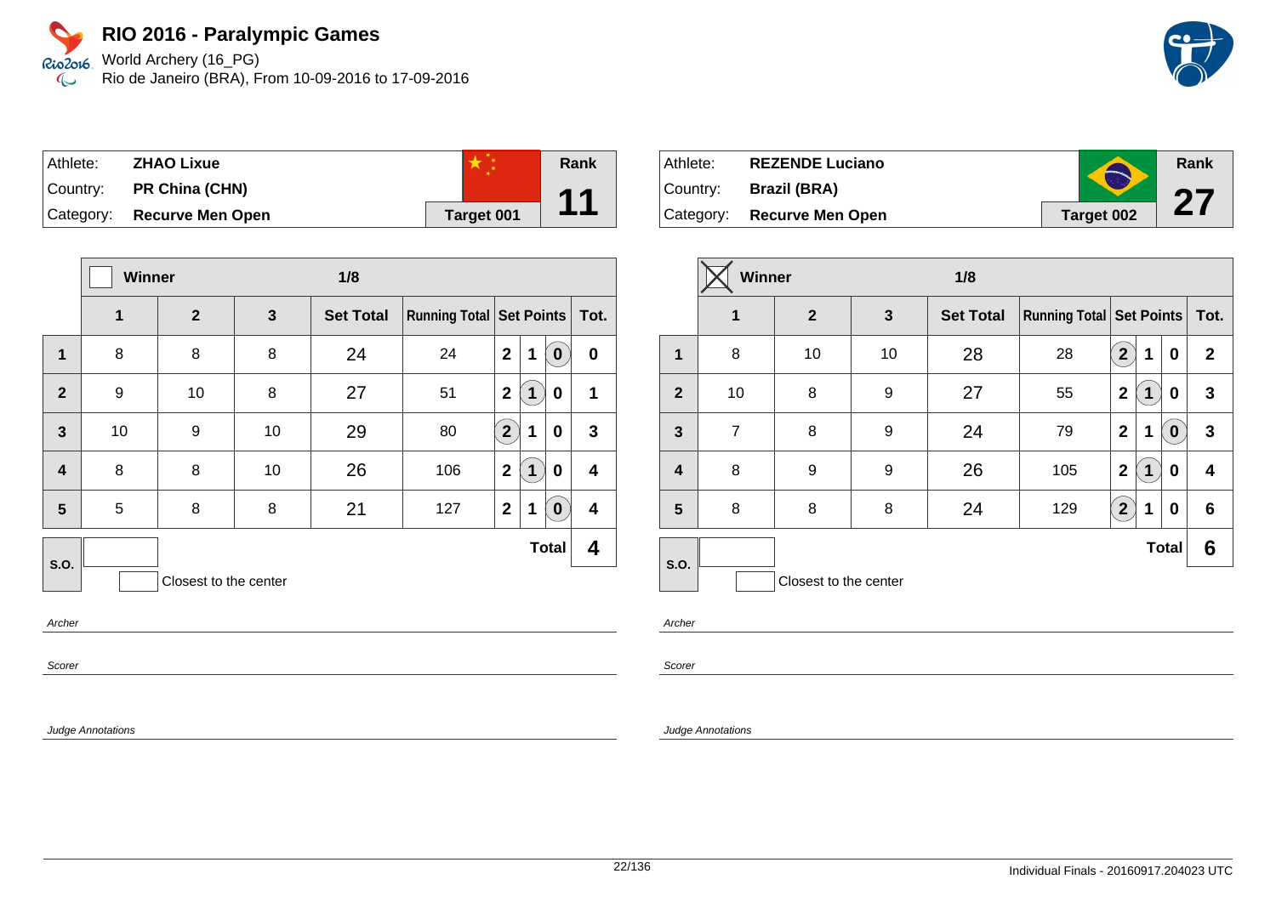World Archery (16\_PG) Rio de Janeiro (BRA), From 10-09-2016 to 17-09-2016

| Athlete:  | <b>ZHAO Lixue</b>       |            | Rank |
|-----------|-------------------------|------------|------|
| Country:  | PR China (CHN)          |            | 11   |
| Category: | <b>Recurve Men Open</b> | Target 001 |      |

|                  | Winner       |                       | 1/8 |                  |                            |                |             |              |              |
|------------------|--------------|-----------------------|-----|------------------|----------------------------|----------------|-------------|--------------|--------------|
|                  | $\mathbf{1}$ | $\overline{2}$        | 3   | <b>Set Total</b> | Running Total   Set Points |                |             |              | Tot.         |
| 1                | 8            | 8                     | 8   | 24               | 24                         | $\overline{2}$ | 1           | $\bf{0}$     | $\bf{0}$     |
| $\overline{2}$   | 9            | 10                    | 8   | 27               | 51                         | $\mathbf{2}$   | $\mathbf 1$ | 0            | 1            |
| $\overline{3}$   | 10           | 9                     | 10  | 29               | 80                         | $2^{1}$        | 1           | 0            | $\mathbf{3}$ |
| $\boldsymbol{4}$ | 8            | 8                     | 10  | 26               | 106                        | $\mathbf{2}$   | 1           | 0            | 4            |
| 5                | 5            | 8                     | 8   | 21               | 127                        | $\mathbf{2}$   | 1           | $\bf{0}$     | 4            |
| S.O.             |              |                       |     |                  |                            |                |             | <b>Total</b> | 4            |
|                  |              | Closest to the center |     |                  |                            |                |             |              |              |

Archer

Scorer

Judge Annotations

| Athlete:  | <b>REZENDE Luciano</b>     |                   | Rank         |
|-----------|----------------------------|-------------------|--------------|
| ∣Country: | Brazil (BRA)               |                   | 67           |
|           | Category: Recurve Men Open | <b>Target 002</b> | $\mathbf{Z}$ |

|                | Winner         |                       |    | 1/8              |                                     |                |   |              |              |
|----------------|----------------|-----------------------|----|------------------|-------------------------------------|----------------|---|--------------|--------------|
|                | $\mathbf 1$    | $\overline{2}$        | 3  | <b>Set Total</b> | <b>Running Total   Set Points  </b> |                |   |              | Tot.         |
| $\mathbf 1$    | 8              | 10                    | 10 | 28               | 28                                  | $\mathbf{2}$   | 1 | 0            | $\mathbf{2}$ |
| $\overline{2}$ | 10             | 8                     | 9  | 27               | 55                                  | $\overline{2}$ | 1 | 0            | 3            |
| $\mathbf{3}$   | $\overline{7}$ | 8                     | 9  | 24               | 79                                  | $\mathbf 2$    | 1 | $\bf{0}$     | 3            |
| 4              | 8              | 9                     | 9  | 26               | 105                                 | $\overline{2}$ | 1 | 0            | 4            |
| 5              | 8              | 8                     | 8  | 24               | 129                                 | $\mathbf{2}$   | 1 | 0            | 6            |
| S.O.           |                |                       |    |                  |                                     |                |   | <b>Total</b> | 6            |
|                |                | Closest to the center |    |                  |                                     |                |   |              |              |

Archer

Scorer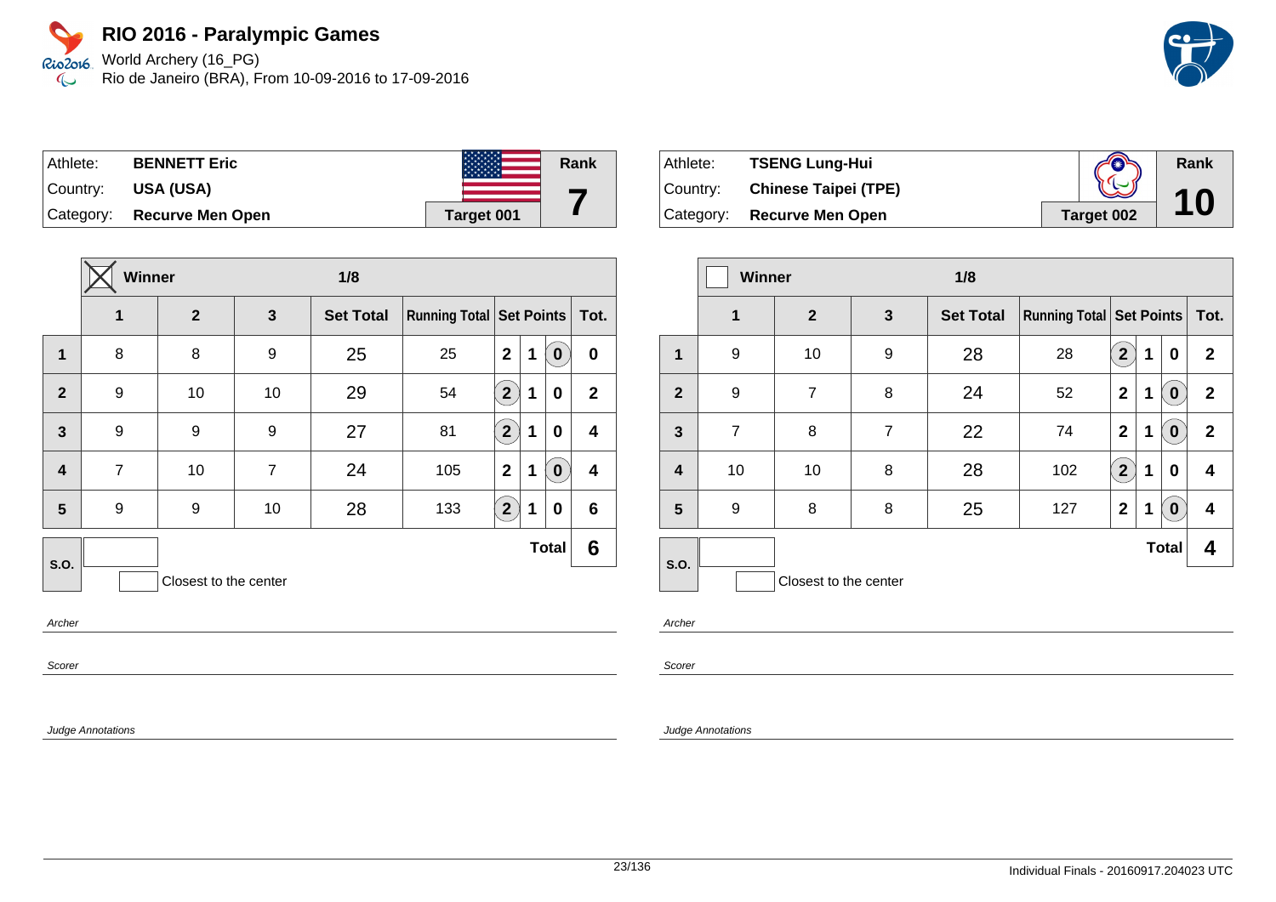World Archery (16\_PG) Rio de Janeiro (BRA), From 10-09-2016 to 17-09-2016

| Athlete: | <b>BENNETT Eric</b>        |            | Rank |
|----------|----------------------------|------------|------|
| Country: | USA (USA)                  |            |      |
|          | Category: Recurve Men Open | Target 001 |      |

|                         | <b>Winner</b><br>1/8 |                       |                |                  |                                     |                |   |                  |              |
|-------------------------|----------------------|-----------------------|----------------|------------------|-------------------------------------|----------------|---|------------------|--------------|
|                         | 1                    | $\overline{2}$        | $\mathbf{3}$   | <b>Set Total</b> | <b>Running Total   Set Points  </b> |                |   |                  | Tot.         |
| $\mathbf 1$             | 8                    | 8                     | 9              | 25               | 25                                  | $\overline{2}$ | 1 | $\boldsymbol{0}$ | $\bf{0}$     |
| $\overline{2}$          | 9                    | 10                    | 10             | 29               | 54                                  | $2^{1}$        | 1 | 0                | $\mathbf{2}$ |
| $\mathbf{3}$            | 9                    | 9                     | 9              | 27               | 81                                  | $2^{1}$        | 1 | 0                | 4            |
| $\overline{\mathbf{4}}$ | $\overline{7}$       | 10                    | $\overline{7}$ | 24               | 105                                 | $\overline{2}$ | 1 | $\bf{0}$         | 4            |
| 5                       | 9                    | 9                     | 10             | 28               | 133                                 | 2 <sup>2</sup> | 1 | 0                | 6            |
| S.O.                    |                      |                       |                |                  |                                     |                |   | <b>Total</b>     | 6            |
|                         |                      | Closest to the center |                |                  |                                     |                |   |                  |              |

Archer

Scorer

Judge Annotations

| Athlete:  | <b>TSENG Lung-Hui</b>       | $\mathbb{C}$ | Rank |
|-----------|-----------------------------|--------------|------|
| Country:  | <b>Chinese Taipei (TPE)</b> |              | 10   |
| Category: | <b>Recurve Men Open</b>     | Target 002   |      |

|                | <b>Winner</b><br>1/8 |                       |                |                  |                                     |                |   |                  |              |
|----------------|----------------------|-----------------------|----------------|------------------|-------------------------------------|----------------|---|------------------|--------------|
|                | $\mathbf 1$          | $\mathbf{2}$          | 3              | <b>Set Total</b> | <b>Running Total   Set Points  </b> |                |   |                  | Tot.         |
| 1              | 9                    | 10                    | 9              | 28               | 28                                  | $\mathbf{2}$   | 1 | 0                | $\mathbf{2}$ |
| $\overline{2}$ | 9                    | $\overline{7}$        | 8              | 24               | 52                                  | $\overline{2}$ | 1 | $\boldsymbol{0}$ | $\mathbf{2}$ |
| $\mathbf{3}$   | $\overline{7}$       | 8                     | $\overline{7}$ | 22               | 74                                  | $\mathbf 2$    | 1 | $\bf{0}$         | $\mathbf{2}$ |
| 4              | 10                   | 10                    | 8              | 28               | 102                                 | $\overline{2}$ | 1 | 0                | 4            |
| 5              | 9                    | 8                     | 8              | 25               | 127                                 | $\mathbf 2$    | 1 | $\boldsymbol{0}$ | 4            |
| S.O.           |                      |                       |                |                  |                                     |                |   | <b>Total</b>     | 4            |
|                |                      | Closest to the center |                |                  |                                     |                |   |                  |              |

Archer

Scorer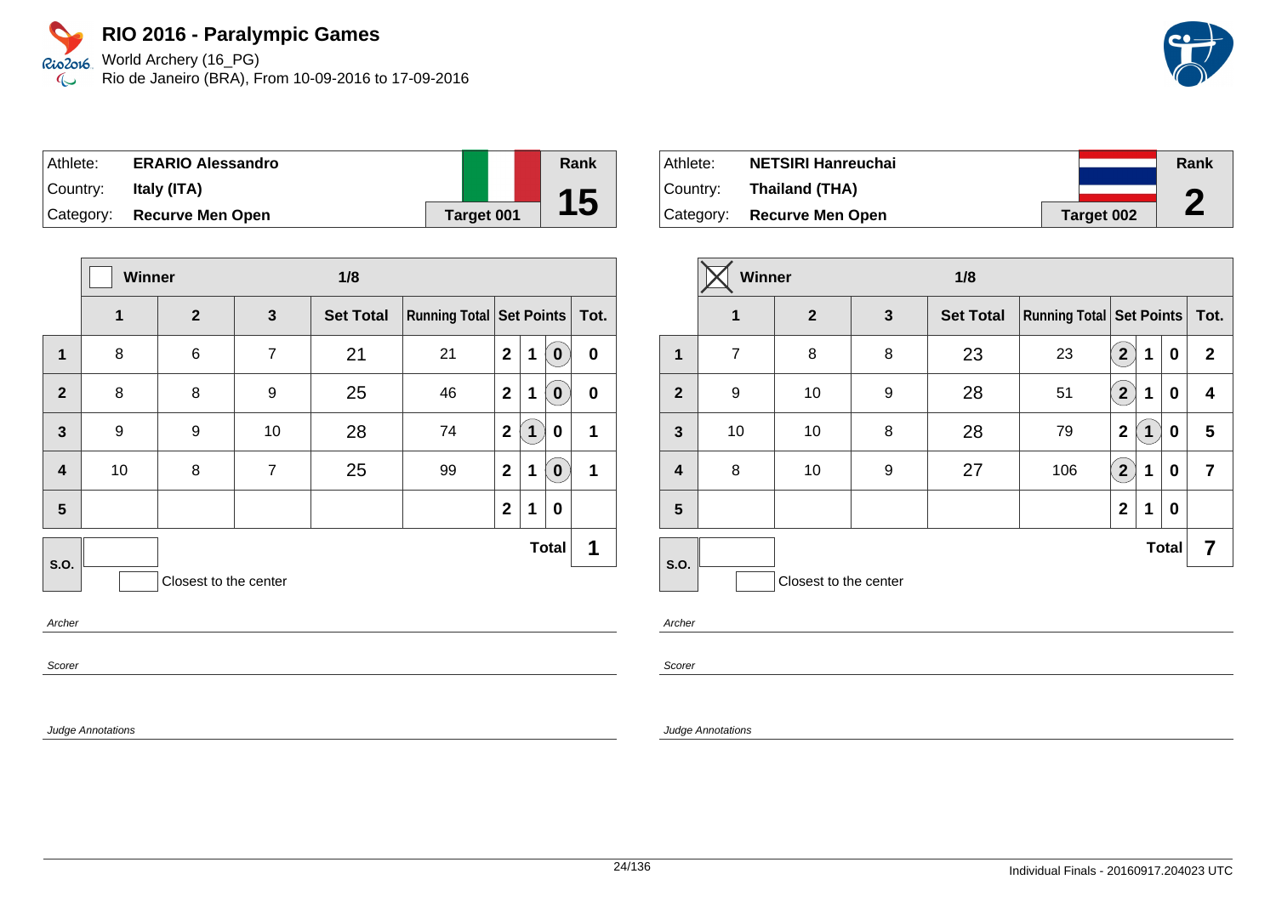World Archery (16\_PG) Rio de Janeiro (BRA), From 10-09-2016 to 17-09-2016

| Athlete:  | <b>ERARIO Alessandro</b>   |            | Rank      |
|-----------|----------------------------|------------|-----------|
| ⊺Countr∨: | Italy (ITA)                |            |           |
|           | Category: Recurve Men Open | Target 001 | <b>15</b> |

|                                 | Winner |                       |                | 1/8              |                               |              |              |                  |           |
|---------------------------------|--------|-----------------------|----------------|------------------|-------------------------------|--------------|--------------|------------------|-----------|
|                                 | 1      | $\overline{2}$        | 3              | <b>Set Total</b> | Running Total Set Points Tot. |              |              |                  |           |
| 1                               | 8      | 6                     | $\overline{7}$ | 21               | 21                            | $\mathbf{2}$ | 1            | $\boldsymbol{0}$ | $\pmb{0}$ |
| $\overline{2}$                  | 8      | 8                     | 9              | 25               | 46                            | $\mathbf{2}$ | 1            | 0                | $\bf{0}$  |
| $\mathbf{3}$                    | 9      | 9                     | 10             | 28               | 74                            | $\mathbf{2}$ | $\mathbf 1$  | 0                | 1         |
| $\overline{\mathbf{4}}$         | 10     | 8                     | $\overline{7}$ | 25               | 99                            | $\mathbf{2}$ | 1            | $\bf{0}$         | 1         |
| 5                               |        |                       |                |                  |                               | $\mathbf{2}$ | 1            | $\bf{0}$         |           |
| S.O.                            |        |                       |                |                  |                               |              | <b>Total</b> |                  | 1         |
|                                 |        | Closest to the center |                |                  |                               |              |              |                  |           |
| $A \rightarrow B \rightarrow C$ |        |                       |                |                  |                               |              |              |                  |           |

Archer

Scorer

Judge Annotations

| Athlete:  | <b>NETSIRI Hanreuchai</b>  |            | Rank |
|-----------|----------------------------|------------|------|
| ⊺Country: | Thailand (THA)             |            | A    |
|           | Category: Recurve Men Open | Target 002 | L    |

|                         | Winner         |                       |              | 1/8              |                               |                           |   |              |                |
|-------------------------|----------------|-----------------------|--------------|------------------|-------------------------------|---------------------------|---|--------------|----------------|
|                         | $\mathbf 1$    | $\mathbf{2}$          | $\mathbf{3}$ | <b>Set Total</b> | Running Total Set Points Tot. |                           |   |              |                |
| 1                       | $\overline{7}$ | 8                     | 8            | 23               | 23                            | $\mathbf{2}$              | 1 | 0            | $\mathbf{2}$   |
| $\overline{2}$          | 9              | 10                    | 9            | 28               | 51                            | $\overline{\mathbf{2}}$   | 1 | 0            | 4              |
| $\mathbf{3}$            | 10             | 10                    | 8            | 28               | 79                            | $\mathbf 2$               | 1 | 0            | 5              |
| $\overline{\mathbf{4}}$ | 8              | 10                    | 9            | 27               | 106                           | $\mathbf{2}^{\mathbf{1}}$ | 1 | 0            | $\overline{7}$ |
| 5                       |                |                       |              |                  |                               | $\mathbf{2}$              | 1 | $\bf{0}$     |                |
| S.O.                    |                |                       |              |                  |                               |                           |   | <b>Total</b> | 7              |
|                         |                | Closest to the center |              |                  |                               |                           |   |              |                |

Archer

Scorer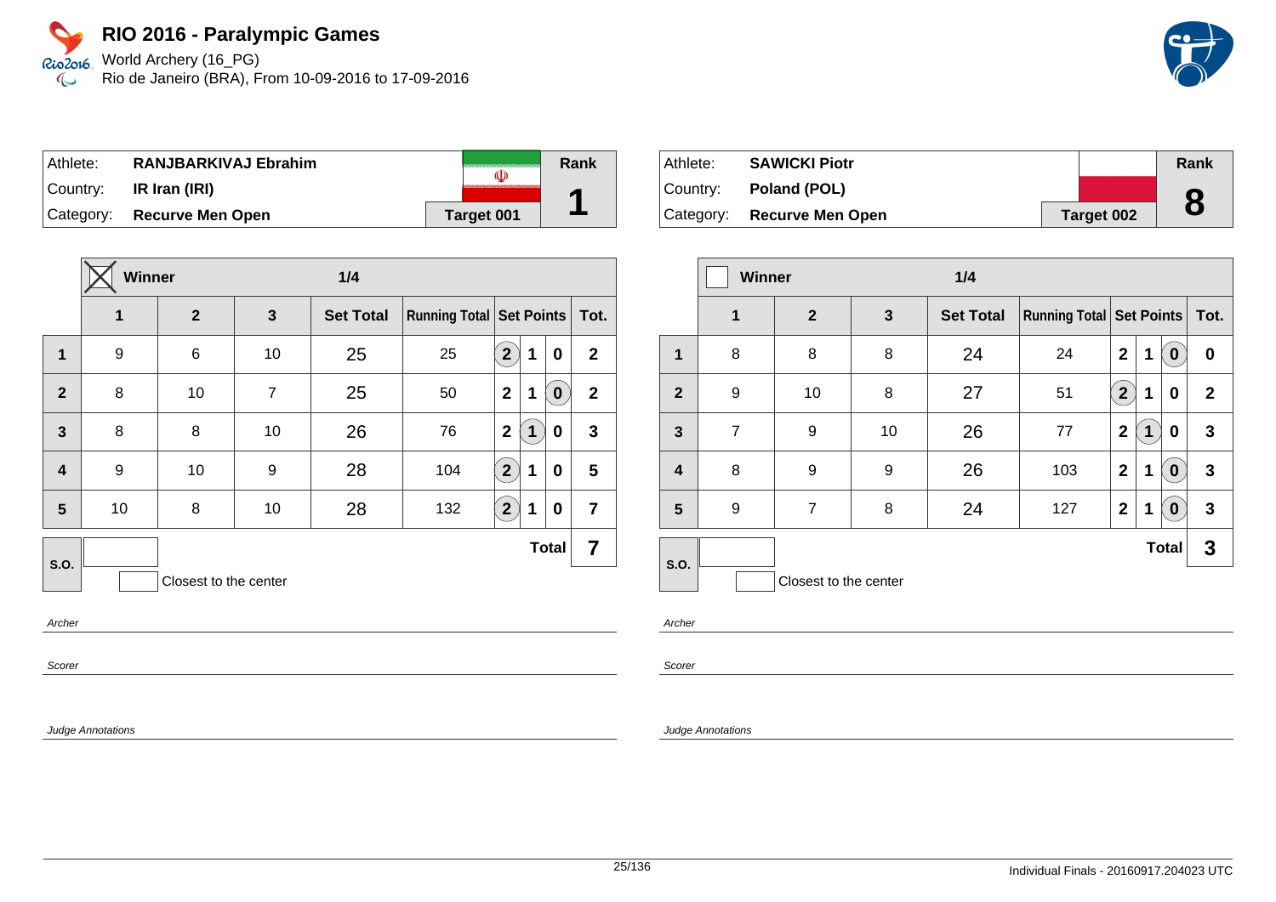World Archery (16\_PG) Rio de Janeiro (BRA), From 10-09-2016 to 17-09-2016

| Athlete:  | <b>RANJBARKIVAJ Ebrahim</b> | (I)        | Rank |
|-----------|-----------------------------|------------|------|
| ∣Country: | IR Iran (IRI)               |            |      |
|           | Category: Recurve Men Open  | Target 001 |      |

|                         | <b>Winner</b> |                       |    | 1/4              |                                 |                |              |              |                |
|-------------------------|---------------|-----------------------|----|------------------|---------------------------------|----------------|--------------|--------------|----------------|
|                         | 1             | $\overline{2}$        | 3  | <b>Set Total</b> | <b>Running Total Set Points</b> |                |              |              | Tot.           |
| $\mathbf 1$             | 9             | 6                     | 10 | 25               | 25                              | 2 <sup>2</sup> | 1            | 0            | $\mathbf{2}$   |
| $\overline{2}$          | 8             | 10                    | 7  | 25               | 50                              | $\overline{2}$ | 1            | $\bf{0}$     | $\mathbf{2}$   |
| $\overline{3}$          | 8             | 8                     | 10 | 26               | 76                              | $\overline{2}$ | $\mathbf{1}$ | 0            | $\mathbf{3}$   |
| $\overline{\mathbf{4}}$ | 9             | 10                    | 9  | 28               | 104                             | $2^{7}$        | 1            | 0            | 5              |
| 5                       | 10            | 8                     | 10 | 28               | 132                             | $2^{1}$        | $\mathbf 1$  | 0            | $\overline{7}$ |
| <b>S.O.</b>             |               |                       |    |                  |                                 |                |              | <b>Total</b> | 7              |
|                         |               | Closest to the center |    |                  |                                 |                |              |              |                |

Archer

Scorer

Judge Annotations

| Athlete: | <b>SAWICKI Piotr</b>         |            | Rank |
|----------|------------------------------|------------|------|
|          | Country: <b>Poland (POL)</b> |            |      |
|          | Category: Recurve Men Open   | Target 002 | 8    |

|                | <b>Winner</b>  |                       |              | 1/4              |                                     |                |   |              |              |
|----------------|----------------|-----------------------|--------------|------------------|-------------------------------------|----------------|---|--------------|--------------|
|                | $\mathbf 1$    | $\overline{2}$        | $\mathbf{3}$ | <b>Set Total</b> | <b>Running Total   Set Points  </b> |                |   |              | Tot.         |
| $\overline{1}$ | 8              | 8                     | 8            | 24               | 24                                  | $\mathbf{2}$   | 1 | $\bf{0}$     | 0            |
| $\overline{2}$ | 9              | 10                    | 8            | 27               | 51                                  | $\overline{2}$ | 1 | 0            | $\mathbf{2}$ |
| $\mathbf{3}$   | $\overline{7}$ | 9                     | 10           | 26               | 77                                  | $\mathbf{2}$   | 1 | 0            | 3            |
| 4              | 8              | 9                     | 9            | 26               | 103                                 | $\mathbf{2}$   | 1 | $\bf{0}$     | 3            |
| 5              | 9              | $\overline{7}$        | 8            | 24               | 127                                 | $\mathbf 2$    | 1 | $\bf{0}$     | 3            |
| S.O.           |                |                       |              |                  |                                     |                |   | <b>Total</b> | 3            |
|                |                | Closest to the center |              |                  |                                     |                |   |              |              |

Archer

Scorer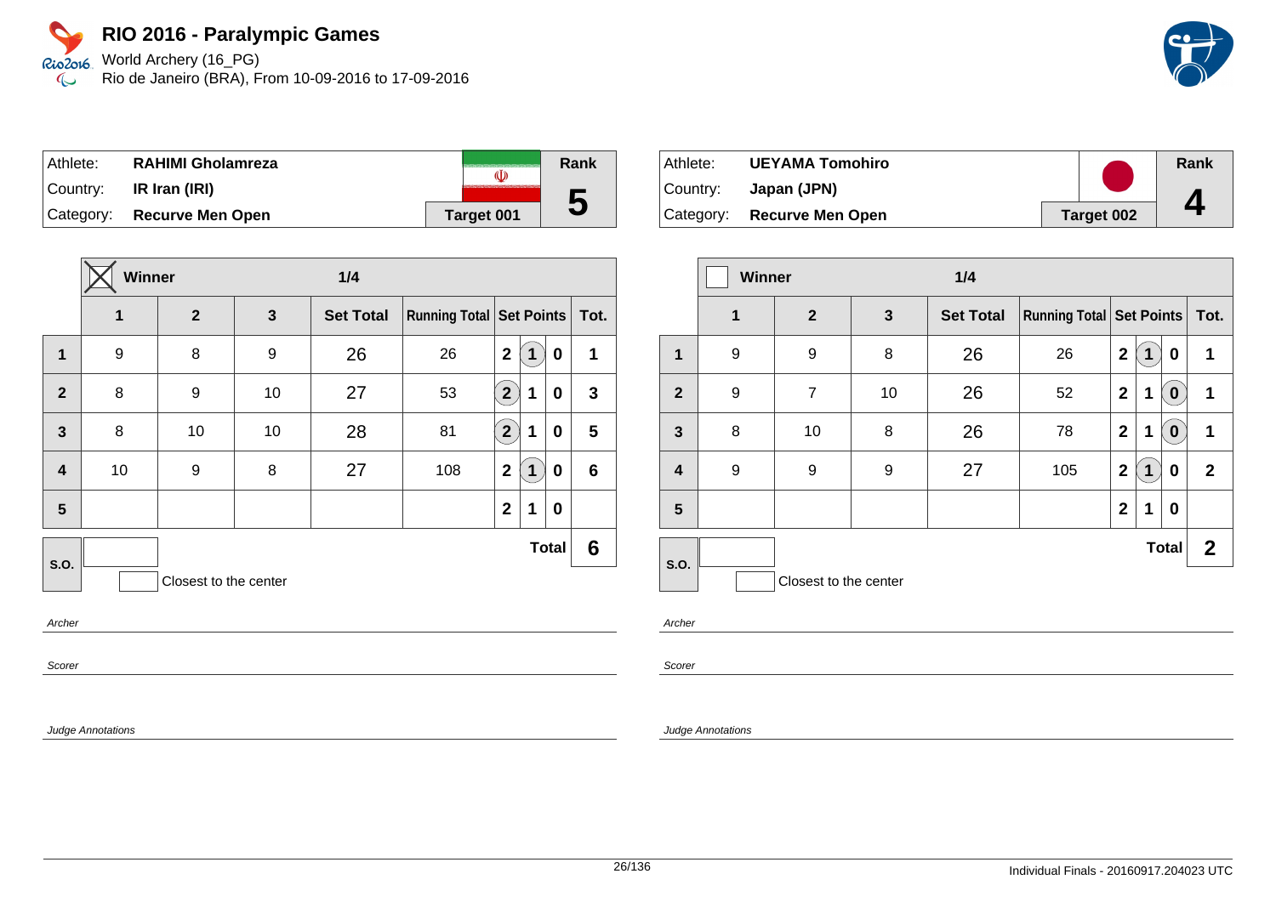World Archery (16\_PG) Rio de Janeiro (BRA), From 10-09-2016 to 17-09-2016

| Athlete:  | <b>RAHIMI Gholamreza</b>   | (I)               | Rank |
|-----------|----------------------------|-------------------|------|
| ∣Country: | IR Iran (IRI)              |                   |      |
|           | Category: Recurve Men Open | <b>Target 001</b> | IJ   |

|                         | <b>Winner</b> |                       |              | 1/4              |                            |                   |   |              |                 |
|-------------------------|---------------|-----------------------|--------------|------------------|----------------------------|-------------------|---|--------------|-----------------|
|                         | 1             | $\overline{2}$        | $\mathbf{3}$ | <b>Set Total</b> | Running Total   Set Points |                   |   |              | Tot.            |
| $\mathbf{1}$            | 9             | 8                     | 9            | 26               | 26                         | $\mathbf{2}$      | 1 | $\mathbf 0$  | 1               |
| $\overline{2}$          | 8             | 9                     | 10           | 27               | 53                         | $\left( 2\right)$ | 1 | 0            | $\mathbf{3}$    |
| $\overline{3}$          | 8             | 10                    | 10           | 28               | 81                         | $\left( 2\right)$ | 1 | 0            | 5               |
| $\overline{\mathbf{4}}$ | 10            | 9                     | 8            | 27               | 108                        | $\mathbf 2$       | 1 | $\mathbf 0$  | $6\phantom{1}6$ |
| 5                       |               |                       |              |                  |                            | $\mathbf 2$       | 1 | 0            |                 |
| S.O.                    |               |                       |              |                  |                            |                   |   | <b>Total</b> | 6               |
|                         |               | Closest to the center |              |                  |                            |                   |   |              |                 |

Archer

Scorer

Judge Annotations

| Athlete:  | <b>UEYAMA Tomohiro</b>     |            | Rank |
|-----------|----------------------------|------------|------|
| ⊺Countr∨: | Japan (JPN)                |            |      |
|           | Category: Recurve Men Open | Target 002 |      |

|                         | Winner<br>1/4 |                       |              |                  |                                     |                |             |              |              |
|-------------------------|---------------|-----------------------|--------------|------------------|-------------------------------------|----------------|-------------|--------------|--------------|
|                         | $\mathbf 1$   | $\overline{2}$        | $\mathbf{3}$ | <b>Set Total</b> | <b>Running Total   Set Points  </b> |                |             |              | Tot.         |
| 1                       | 9             | 9                     | 8            | 26               | 26                                  | $\mathbf{2}$   | 1           | 0            | 1            |
| $\mathbf{2}$            | 9             | $\overline{7}$        | 10           | 26               | 52                                  | $\overline{2}$ | 1           | $\bf{0}$     | 1            |
| $\mathbf{3}$            | 8             | 10                    | 8            | 26               | 78                                  | $\mathbf{2}$   | 1           | $\bf{0}$     | 1            |
| $\overline{\mathbf{4}}$ | 9             | 9                     | 9            | 27               | 105                                 | $\mathbf 2$    | $\mathbf 1$ | 0            | $\mathbf{2}$ |
| 5                       |               |                       |              |                  |                                     | $\mathbf{2}$   | 1           | 0            |              |
| S.O.                    |               |                       |              |                  |                                     |                |             | <b>Total</b> | $\mathbf{2}$ |
|                         |               | Closest to the center |              |                  |                                     |                |             |              |              |

Archer

Scorer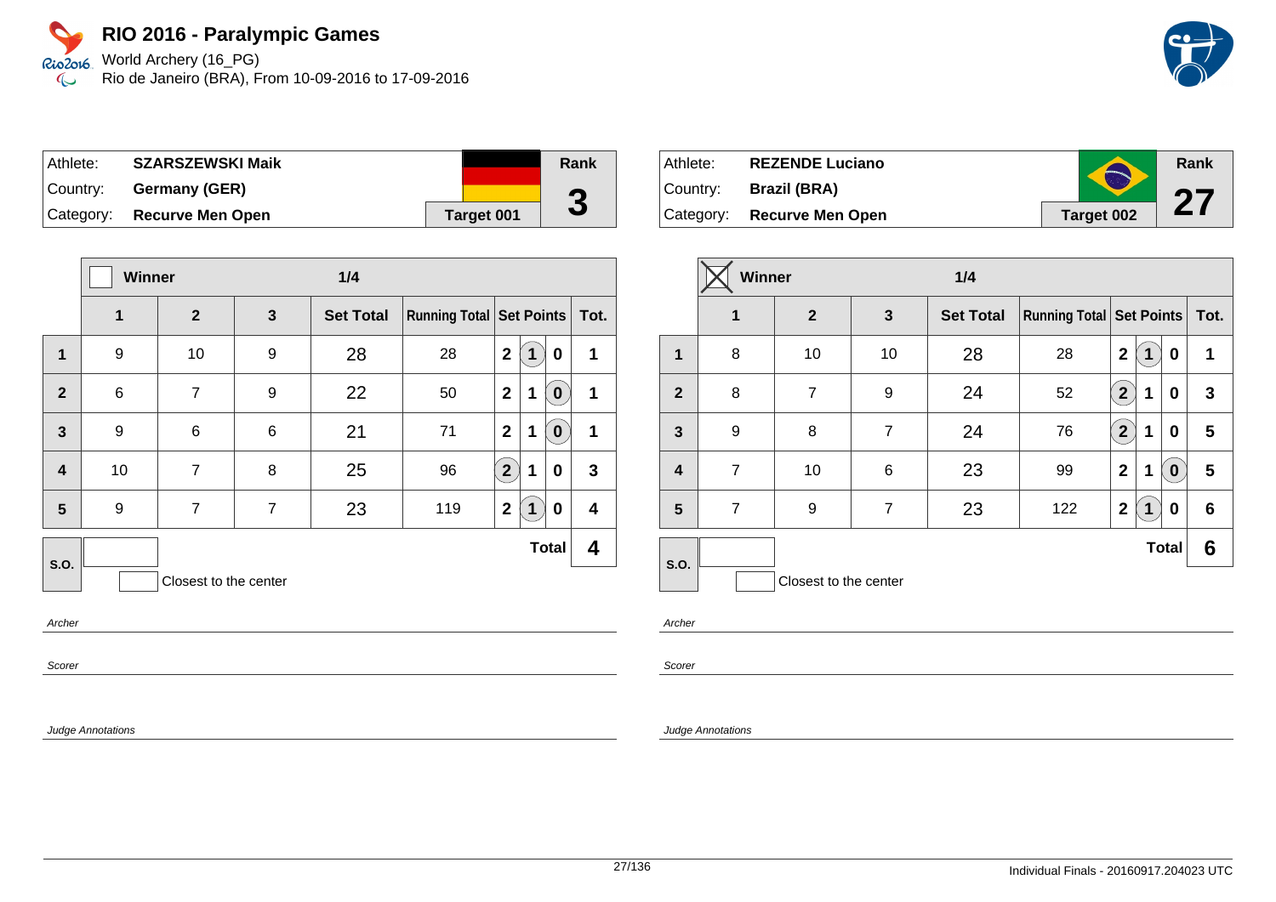World Archery (16\_PG) Rio de Janeiro (BRA), From 10-09-2016 to 17-09-2016

| Athlete:  | <b>SZARSZEWSKI Maik</b> |            | Rank   |
|-----------|-------------------------|------------|--------|
| ⊺Countr∨: | Germany (GER)           |            | $\sim$ |
| Category: | <b>Recurve Men Open</b> | Target 001 | J      |

|                         | <b>Winner</b><br>1/4 |                       |                |                  |                                     |                |              |              |                         |
|-------------------------|----------------------|-----------------------|----------------|------------------|-------------------------------------|----------------|--------------|--------------|-------------------------|
|                         | 1                    | $\overline{2}$        | 3              | <b>Set Total</b> | <b>Running Total   Set Points  </b> |                |              |              | Tot.                    |
| 1                       | 9                    | 10                    | 9              | 28               | 28                                  | $\mathbf{2}$   | $\mathbf 1$  | 0            | 1                       |
| $\overline{2}$          | $\,6$                | $\overline{7}$        | 9              | 22               | 50                                  | $\overline{2}$ | 1            | $\mathbf 0$  | 1                       |
| $\overline{3}$          | 9                    | 6                     | 6              | 21               | 71                                  | $\overline{2}$ | 1            | $\mathbf 0$  | 1                       |
| $\overline{\mathbf{4}}$ | 10                   | 7                     | 8              | 25               | 96                                  | $\overline{2}$ | $\mathbf 1$  | 0            | 3                       |
| 5                       | 9                    | 7                     | $\overline{7}$ | 23               | 119                                 | $\mathbf{2}$   | $\mathbf{1}$ | 0            | $\overline{\mathbf{4}}$ |
| S.O.                    |                      |                       |                |                  |                                     |                |              | <b>Total</b> | 4                       |
|                         |                      | Closest to the center |                |                  |                                     |                |              |              |                         |

Archer

Scorer

Judge Annotations

| Athlete:  | <b>REZENDE Luciano</b>     | $\blacktriangle$ | Rank |
|-----------|----------------------------|------------------|------|
| ∣Country: | <b>Brazil (BRA)</b>        |                  | 07   |
|           | Category: Recurve Men Open | Target 002       | Z 1  |

|                         | Winner         |                       |                | 1/4              |                                 |                         |              |              |      |
|-------------------------|----------------|-----------------------|----------------|------------------|---------------------------------|-------------------------|--------------|--------------|------|
|                         | 1              | $\mathbf{2}$          | 3              | <b>Set Total</b> | <b>Running Total Set Points</b> |                         |              |              | Tot. |
| $\mathbf 1$             | 8              | 10                    | 10             | 28               | 28                              | $\mathbf{2}$            | 1            | 0            | 1    |
| $\overline{2}$          | 8              | $\overline{7}$        | 9              | 24               | 52                              | $\overline{2}$          | 1            | 0            | 3    |
| $\mathbf{3}$            | 9              | 8                     | $\overline{7}$ | 24               | 76                              | $\overline{\mathbf{2}}$ | 1            | 0            | 5    |
| $\overline{\mathbf{4}}$ | $\overline{7}$ | 10                    | 6              | 23               | 99                              | $\mathbf 2$             | 1            | $\bf{0}$     | 5    |
| 5                       | $\overline{7}$ | 9                     | $\overline{7}$ | 23               | 122                             | $\mathbf 2$             | $\mathbf{1}$ | 0            | 6    |
| <b>S.O.</b>             |                |                       |                |                  |                                 |                         |              | <b>Total</b> | 6    |
|                         |                | Closest to the center |                |                  |                                 |                         |              |              |      |

Archer

Scorer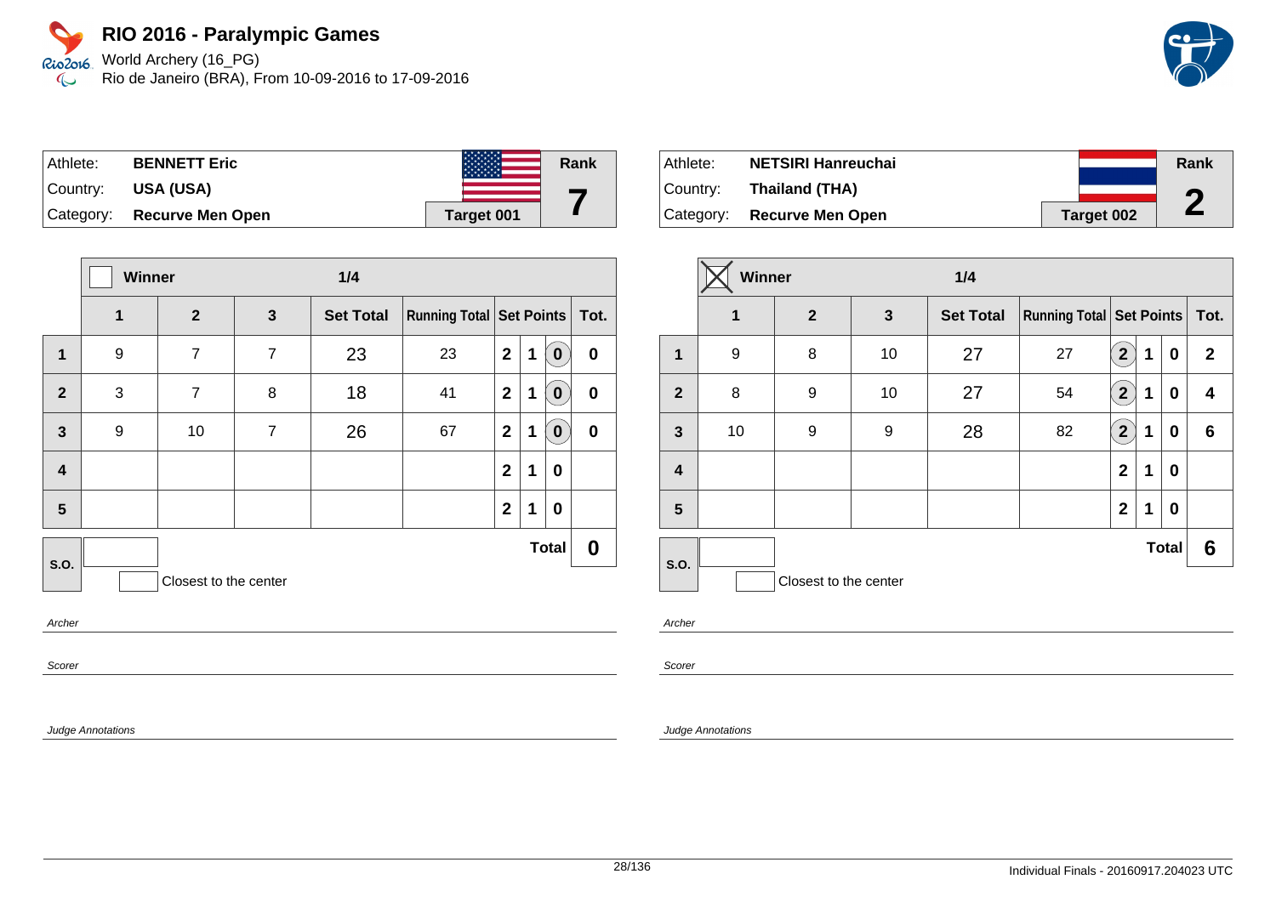World Archery (16\_PG) Rio de Janeiro (BRA), From 10-09-2016 to 17-09-2016



| Athlete:  | <b>BENNETT Eric</b>        | <b>TANKS</b> | Rank |
|-----------|----------------------------|--------------|------|
| ∣Country: | USA (USA)                  |              |      |
|           | Category: Recurve Men Open | Target 001   |      |

|                | Winner<br>1/4 |                       |                |                  |                                   |                         |   |              |          |
|----------------|---------------|-----------------------|----------------|------------------|-----------------------------------|-------------------------|---|--------------|----------|
|                | 1             | $\overline{2}$        | $\mathbf{3}$   | <b>Set Total</b> | Running Total   Set Points   Tot. |                         |   |              |          |
| 1              | 9             | $\overline{7}$        | $\overline{7}$ | 23               | 23                                | $\mathbf{2}$            | 1 | $\bf{0}$     | $\bf{0}$ |
| $\overline{2}$ | 3             | $\overline{7}$        | 8              | 18               | 41                                | $\mathbf{2}$            | 1 | $\mathbf 0$  | $\bf{0}$ |
| $\mathbf{3}$   | 9             | 10                    | 7              | 26               | 67                                | $\overline{\mathbf{2}}$ | 1 | $\bf{0}$     | $\bf{0}$ |
| 4              |               |                       |                |                  |                                   | $\mathbf{2}$            | 1 | 0            |          |
| 5              |               |                       |                |                  |                                   | $\mathbf{2}$            | 1 | 0            |          |
| S.O.           |               |                       |                |                  |                                   |                         |   | <b>Total</b> | 0        |
|                |               | Closest to the center |                |                  |                                   |                         |   |              |          |
| Archar         |               |                       |                |                  |                                   |                         |   |              |          |

Archer

Scorer

Judge Annotations

| Athlete:  | <b>NETSIRI Hanreuchai</b>  |                   | Rank |
|-----------|----------------------------|-------------------|------|
| ⊺Countr∨: | Thailand (THA)             |                   | n    |
|           | Category: Recurve Men Open | <b>Target 002</b> | L    |

|                         | Winner      |                       |              | 1/4              |                                     |                |   |              |              |
|-------------------------|-------------|-----------------------|--------------|------------------|-------------------------------------|----------------|---|--------------|--------------|
|                         | $\mathbf 1$ | $\mathbf{2}$          | $\mathbf{3}$ | <b>Set Total</b> | <b>Running Total   Set Points  </b> |                |   |              | Tot.         |
| 1                       | 9           | 8                     | 10           | 27               | 27                                  | $\mathbf{2}$   | 1 | 0            | $\mathbf{2}$ |
| $\overline{2}$          | 8           | 9                     | 10           | 27               | 54                                  | $\mathbf{[2)}$ | 1 | 0            | 4            |
| $\mathbf{3}$            | 10          | 9                     | 9            | 28               | 82                                  | $\overline{2}$ | 1 | 0            | 6            |
| $\overline{\mathbf{4}}$ |             |                       |              |                  |                                     | $\mathbf{2}$   | 1 | 0            |              |
| 5                       |             |                       |              |                  |                                     | $\mathbf{2}$   | 1 | $\bf{0}$     |              |
|                         |             |                       |              |                  |                                     |                |   | <b>Total</b> | 6            |
| S.O.                    |             | Closest to the center |              |                  |                                     |                |   |              |              |

Archer

Scorer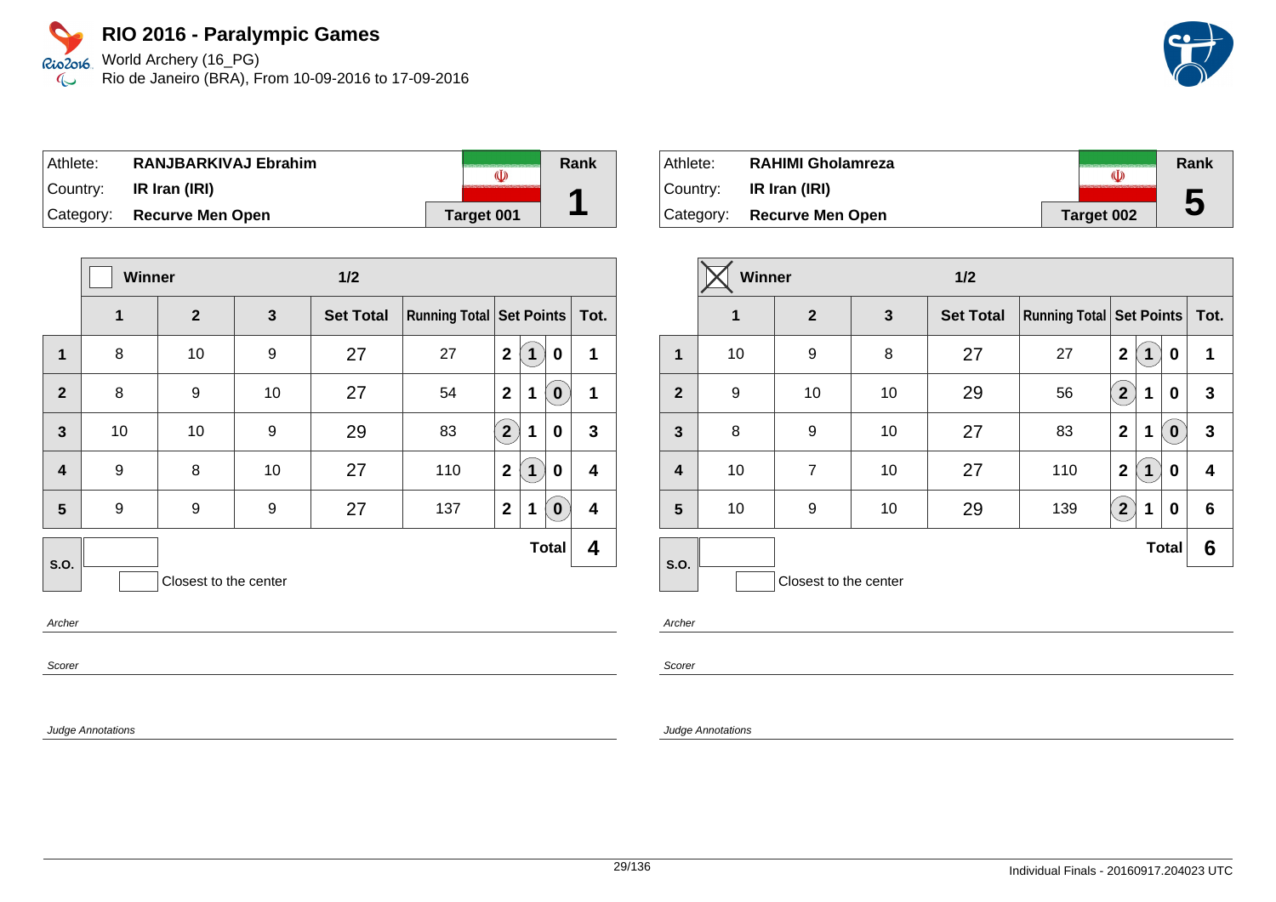World Archery (16\_PG) Rio de Janeiro (BRA), From 10-09-2016 to 17-09-2016

| Athlete:  | RANJBARKIVAJ Ebrahim       |            | Rank |
|-----------|----------------------------|------------|------|
| ⊺Countr∨: | IR Iran (IRI)              |            |      |
|           | Category: Recurve Men Open | Target 001 |      |

|                         | <b>Winner</b> |                       |    | 1/2              |                                 |                |                            |                         |
|-------------------------|---------------|-----------------------|----|------------------|---------------------------------|----------------|----------------------------|-------------------------|
|                         | 1             | $\overline{2}$        | 3  | <b>Set Total</b> | <b>Running Total Set Points</b> |                |                            | Tot.                    |
| $\mathbf{1}$            | 8             | 10                    | 9  | 27               | 27                              | $\mathbf{2}$   | 0<br>1                     | 1                       |
| $\overline{2}$          | 8             | 9                     | 10 | 27               | 54                              | $\mathbf{2}$   | 1<br>$\mathbf 0$           | 1                       |
| $\overline{3}$          | 10            | 10                    | 9  | 29               | 83                              | $\boxed{2}$    | 1<br>0                     | 3                       |
| $\overline{\mathbf{4}}$ | 9             | 8                     | 10 | 27               | 110                             | $\overline{2}$ | $\mathbf{1}$<br>0          | $\overline{\mathbf{4}}$ |
| 5                       | 9             | 9                     | 9  | 27               | 137                             | $\mathbf{2}$   | $\mathbf 1$<br>$\mathbf 0$ | $\overline{\mathbf{4}}$ |
| S.O.                    |               |                       |    |                  |                                 |                | <b>Total</b>               | 4                       |
|                         |               | Closest to the center |    |                  |                                 |                |                            |                         |

Archer

Scorer

Judge Annotations

| Athlete:  | <b>RAHIMI Gholamreza</b>   |            | Rank |
|-----------|----------------------------|------------|------|
| ⊺Countr∨: | IR Iran (IRI)              |            |      |
|           | Category: Recurve Men Open | Target 002 | 5    |

|                         | Winner       | $1/2$                 |    |                  |                                 |                      |             |              |      |
|-------------------------|--------------|-----------------------|----|------------------|---------------------------------|----------------------|-------------|--------------|------|
|                         | $\mathbf{1}$ | $\overline{2}$        | 3  | <b>Set Total</b> | <b>Running Total Set Points</b> |                      |             |              | Tot. |
| $\mathbf 1$             | 10           | 9                     | 8  | 27               | 27                              | $\overline{2}$       | 1           | 0            | 1    |
| $\overline{2}$          | 9            | 10                    | 10 | 29               | 56                              | $\mathbf{2}^{\circ}$ | 1           | 0            | 3    |
| $\overline{\mathbf{3}}$ | 8            | 9                     | 10 | 27               | 83                              | $\mathbf{2}$         | 1           | $\bf{0}$     | 3    |
| $\overline{\mathbf{4}}$ | 10           | $\overline{7}$        | 10 | 27               | 110                             | $\mathbf{2}$         | $\mathbf 1$ | 0            | 4    |
| 5                       | 10           | 9                     | 10 | 29               | 139                             | $2^{1}$              | 1           | 0            | 6    |
| <b>S.O.</b>             |              |                       |    |                  |                                 |                      |             | <b>Total</b> | 6    |
|                         |              | Closest to the center |    |                  |                                 |                      |             |              |      |

Archer

Scorer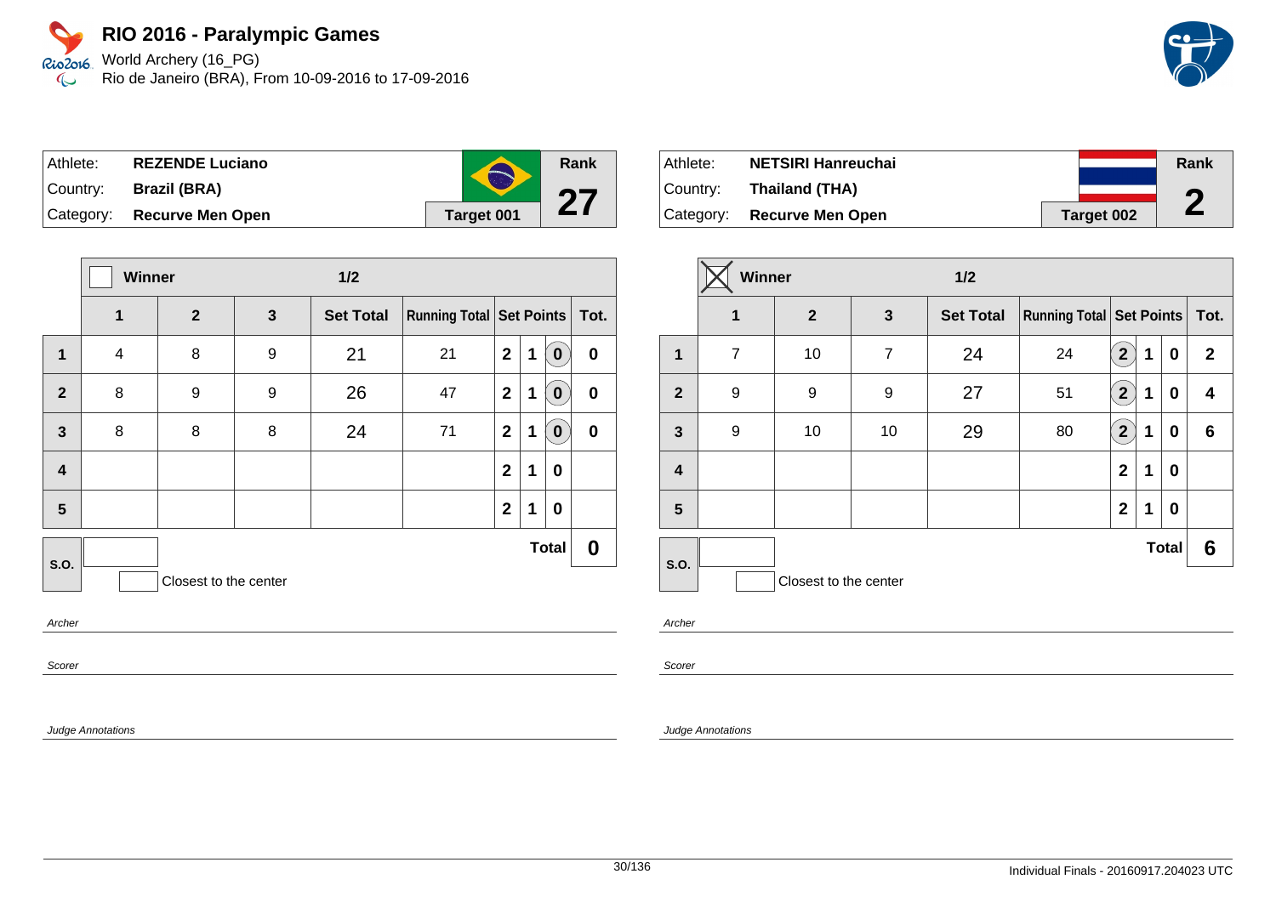Rio2o16, World Archery (16\_PG) Rio de Janeiro (BRA), From 10-09-2016 to 17-09-2016  $\infty$ 

| Athlete:    | <b>REZENDE Luciano</b>     |            | Rank |
|-------------|----------------------------|------------|------|
| ∣Countr∨: l | Brazil (BRA)               |            |      |
|             | Category: Recurve Men Open | Target 001 |      |

|                         | Winner         |                       |              | 1/2              |                               |              |   |              |           |
|-------------------------|----------------|-----------------------|--------------|------------------|-------------------------------|--------------|---|--------------|-----------|
|                         | $\mathbf{1}$   | $\overline{2}$        | $\mathbf{3}$ | <b>Set Total</b> | Running Total Set Points Tot. |              |   |              |           |
| 1                       | $\overline{4}$ | 8                     | 9            | 21               | 21                            | $\mathbf{2}$ | 1 | 0            | $\pmb{0}$ |
| $\overline{2}$          | 8              | 9                     | 9            | 26               | 47                            | $\mathbf{2}$ | 1 | 0            | $\bf{0}$  |
| $\mathbf{3}$            | 8              | 8                     | 8            | 24               | 71                            | $\mathbf{2}$ | 1 | 0            | $\bf{0}$  |
| $\overline{\mathbf{4}}$ |                |                       |              |                  |                               | $\mathbf{2}$ | 1 | $\bf{0}$     |           |
| 5                       |                |                       |              |                  |                               | $\mathbf{2}$ | 1 | $\bf{0}$     |           |
| S.O.                    |                |                       |              |                  |                               |              |   | <b>Total</b> | 0         |
|                         |                | Closest to the center |              |                  |                               |              |   |              |           |
| Archer                  |                |                       |              |                  |                               |              |   |              |           |

Athlete: **NETSIRI Hanreuchai** Country: **Thailand (THA)** Category: **Recurve Men Open Target 002 Rank 2**

|                         | Winner         |                       |                | $1/2$            |                                     |                |   |              |              |
|-------------------------|----------------|-----------------------|----------------|------------------|-------------------------------------|----------------|---|--------------|--------------|
|                         | $\mathbf 1$    | $\mathbf{2}$          | $\mathbf{3}$   | <b>Set Total</b> | <b>Running Total   Set Points  </b> |                |   |              | Tot.         |
| 1                       | $\overline{7}$ | 10                    | $\overline{7}$ | 24               | 24                                  | $\overline{2}$ | 1 | 0            | $\mathbf{2}$ |
| $\overline{2}$          | 9              | 9                     | 9              | 27               | 51                                  | $\mathbf{[2)}$ | 1 | 0            | 4            |
| $\mathbf{3}$            | 9              | 10                    | 10             | 29               | 80                                  | $\overline{2}$ | 1 | 0            | 6            |
| $\overline{\mathbf{4}}$ |                |                       |                |                  |                                     | $\mathbf{2}$   | 1 | 0            |              |
| 5                       |                |                       |                |                  |                                     | $\mathbf{2}$   | 1 | $\bf{0}$     |              |
|                         |                |                       |                |                  |                                     |                |   | <b>Total</b> | 6            |
| S.O.                    |                | Closest to the center |                |                  |                                     |                |   |              |              |

Archer

Scorer

Judge Annotations

Scorer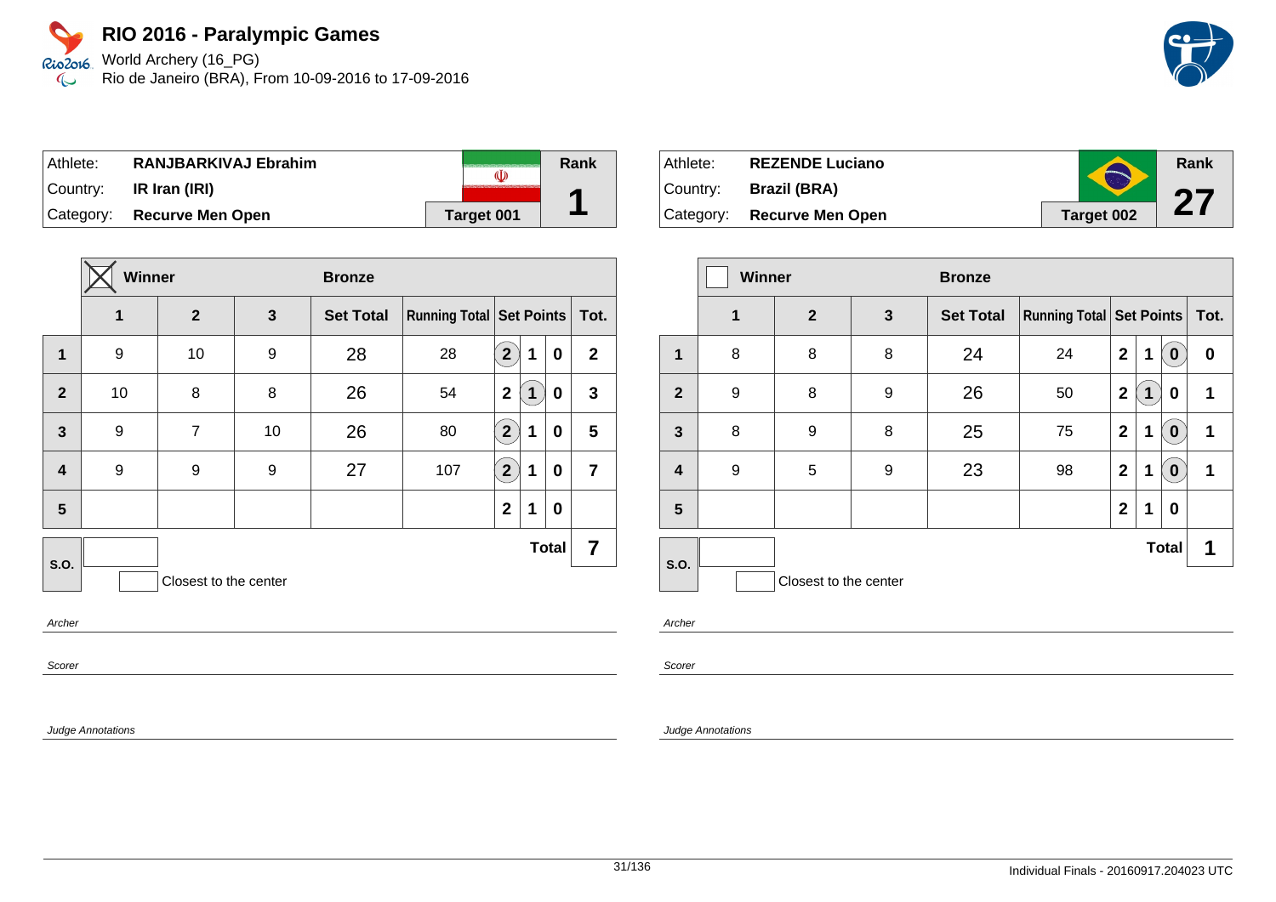World Archery (16\_PG) Rio de Janeiro (BRA), From 10-09-2016 to 17-09-2016

| Athlete:  | RANJBARKIVAJ Ebrahim       |            | Rank |
|-----------|----------------------------|------------|------|
| ⊺Countr∨: | IR Iran (IRI)              |            |      |
|           | Category: Recurve Men Open | Target 001 |      |

|                         | Winner |                       |              | <b>Bronze</b>    |                            |                      |   |              |                |
|-------------------------|--------|-----------------------|--------------|------------------|----------------------------|----------------------|---|--------------|----------------|
|                         | 1      | $\overline{2}$        | $\mathbf{3}$ | <b>Set Total</b> | Running Total   Set Points |                      |   |              | Tot.           |
| $\mathbf 1$             | 9      | 10                    | 9            | 28               | 28                         | $\overline{2}$       | 1 | 0            | $\mathbf{2}$   |
| $\overline{2}$          | 10     | 8                     | 8            | 26               | 54                         | $\mathbf{2}$         | 1 | 0            | $\mathbf{3}$   |
| $\mathbf{3}$            | 9      | 7                     | 10           | 26               | 80                         | $\overline{2}$       | 1 | 0            | 5              |
| $\overline{\mathbf{4}}$ | 9      | 9                     | 9            | 27               | 107                        | $\mathbf{2}^{\circ}$ | 1 | 0            | $\overline{7}$ |
| 5                       |        |                       |              |                  |                            | $\mathbf 2$          | 1 | 0            |                |
| <b>S.O.</b>             |        |                       |              |                  |                            |                      |   | <b>Total</b> | 7              |
|                         |        | Closest to the center |              |                  |                            |                      |   |              |                |
| $\sim$                  |        |                       |              |                  |                            |                      |   |              |                |

**Archer** 

Scorer

Judge Annotations

| Athlete:  | <b>REZENDE Luciano</b>     |            | Rank |
|-----------|----------------------------|------------|------|
| ⊺Countr∨: | <b>Brazil (BRA)</b>        |            | 67   |
|           | Category: Recurve Men Open | Target 002 |      |

|                | <b>Winner</b> |                       |              | <b>Bronze</b>    |                                     |                |   |              |      |
|----------------|---------------|-----------------------|--------------|------------------|-------------------------------------|----------------|---|--------------|------|
|                | $\mathbf 1$   | $\overline{2}$        | $\mathbf{3}$ | <b>Set Total</b> | <b>Running Total   Set Points  </b> |                |   |              | Tot. |
| 1              | 8             | 8                     | 8            | 24               | 24                                  | $\overline{2}$ | 1 | $\bf{0}$     | 0    |
| $\overline{2}$ | 9             | 8                     | 9            | 26               | 50                                  | $\mathbf{2}$   | 1 | 0            | 1    |
| $\mathbf{3}$   | 8             | 9                     | 8            | 25               | 75                                  | $\overline{2}$ | 1 | $\bf{0}$     | 1    |
| 4              | 9             | 5                     | 9            | 23               | 98                                  | $\mathbf{2}$   | 1 | 0            | 1    |
| 5              |               |                       |              |                  |                                     | $\overline{2}$ | 1 | 0            |      |
| S.O.           |               |                       |              |                  |                                     |                |   | <b>Total</b> | 1    |
|                |               | Closest to the center |              |                  |                                     |                |   |              |      |

Archer

Scorer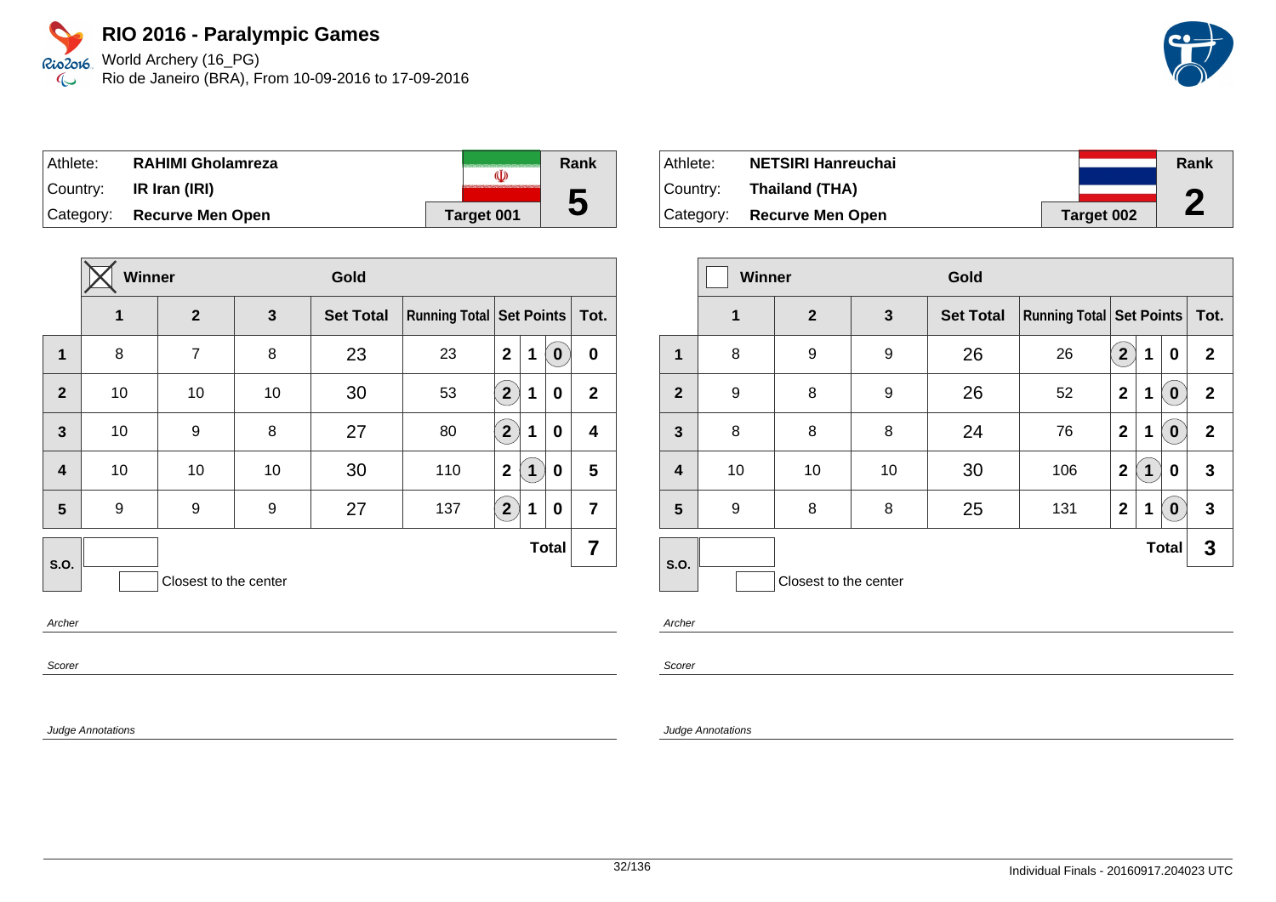Rio2o16, World Archery (16\_PG) Rio de Janeiro (BRA), From 10-09-2016 to 17-09-2016  $\infty$ 

| Athlete:  | <b>RAHIMI Gholamreza</b>   | (I)        | Rank |
|-----------|----------------------------|------------|------|
| ⊺Countr∨: | IR Iran (IRI)              |            |      |
|           | Category: Recurve Men Open | Target 001 | IJ   |

|                         | Winner<br>Gold |                       |    |                  |                                   |                |             |                  |                         |
|-------------------------|----------------|-----------------------|----|------------------|-----------------------------------|----------------|-------------|------------------|-------------------------|
|                         | 1              | $\overline{2}$        | 3  | <b>Set Total</b> | Running Total   Set Points   Tot. |                |             |                  |                         |
| 1                       | 8              | $\overline{7}$        | 8  | 23               | 23                                | $\mathbf{2}$   | 1           | $\boldsymbol{0}$ | $\bf{0}$                |
| $\overline{2}$          | 10             | 10                    | 10 | 30               | 53                                | $\overline{2}$ | 1           | 0                | $\mathbf{2}$            |
| $\mathbf{3}$            | 10             | 9                     | 8  | 27               | 80                                | $\overline{2}$ | 1           | 0                | 4                       |
| $\overline{\mathbf{4}}$ | 10             | 10                    | 10 | 30               | 110                               | $\mathbf 2$    | $\mathbf 1$ | 0                | 5                       |
| 5                       | 9              | 9                     | 9  | 27               | 137                               | $2^{1}$        | 1           | 0                | $\overline{\mathbf{7}}$ |
| S.O.                    |                |                       |    |                  |                                   |                |             | <b>Total</b>     | 7                       |
|                         |                | Closest to the center |    |                  |                                   |                |             |                  |                         |
| Archer                  |                |                       |    |                  |                                   |                |             |                  |                         |

Athlete: **NETSIRI Hanreuchai** Country: **Thailand (THA)** Category: **Recurve Men Open Target 002 Rank 2**

|                | <b>Winner</b><br>Gold |                       |              |                  |                                     |                |   |              |              |
|----------------|-----------------------|-----------------------|--------------|------------------|-------------------------------------|----------------|---|--------------|--------------|
|                | $\mathbf 1$           | $\overline{2}$        | $\mathbf{3}$ | <b>Set Total</b> | <b>Running Total   Set Points  </b> |                |   |              | Tot.         |
| 1              | 8                     | 9                     | 9            | 26               | 26                                  | $\overline{2}$ | 1 | 0            | $\mathbf{2}$ |
| $\overline{2}$ | 9                     | 8                     | 9            | 26               | 52                                  | $\mathbf 2$    | 1 | $\bf{0}$     | $\mathbf{2}$ |
| $\mathbf{3}$   | 8                     | 8                     | 8            | 24               | 76                                  | $\mathbf 2$    | 1 | $\bf{0}$     | $\mathbf{2}$ |
| 4              | 10                    | 10                    | 10           | 30               | 106                                 | $\mathbf 2$    | 1 | 0            | 3            |
| 5              | 9                     | 8                     | 8            | 25               | 131                                 | $\mathbf 2$    | 1 | $\bf{0}$     | 3            |
| <b>S.O.</b>    |                       |                       |              |                  |                                     |                |   | <b>Total</b> | 3            |
|                |                       | Closest to the center |              |                  |                                     |                |   |              |              |

Archer

Scorer

Judge Annotations

Scorer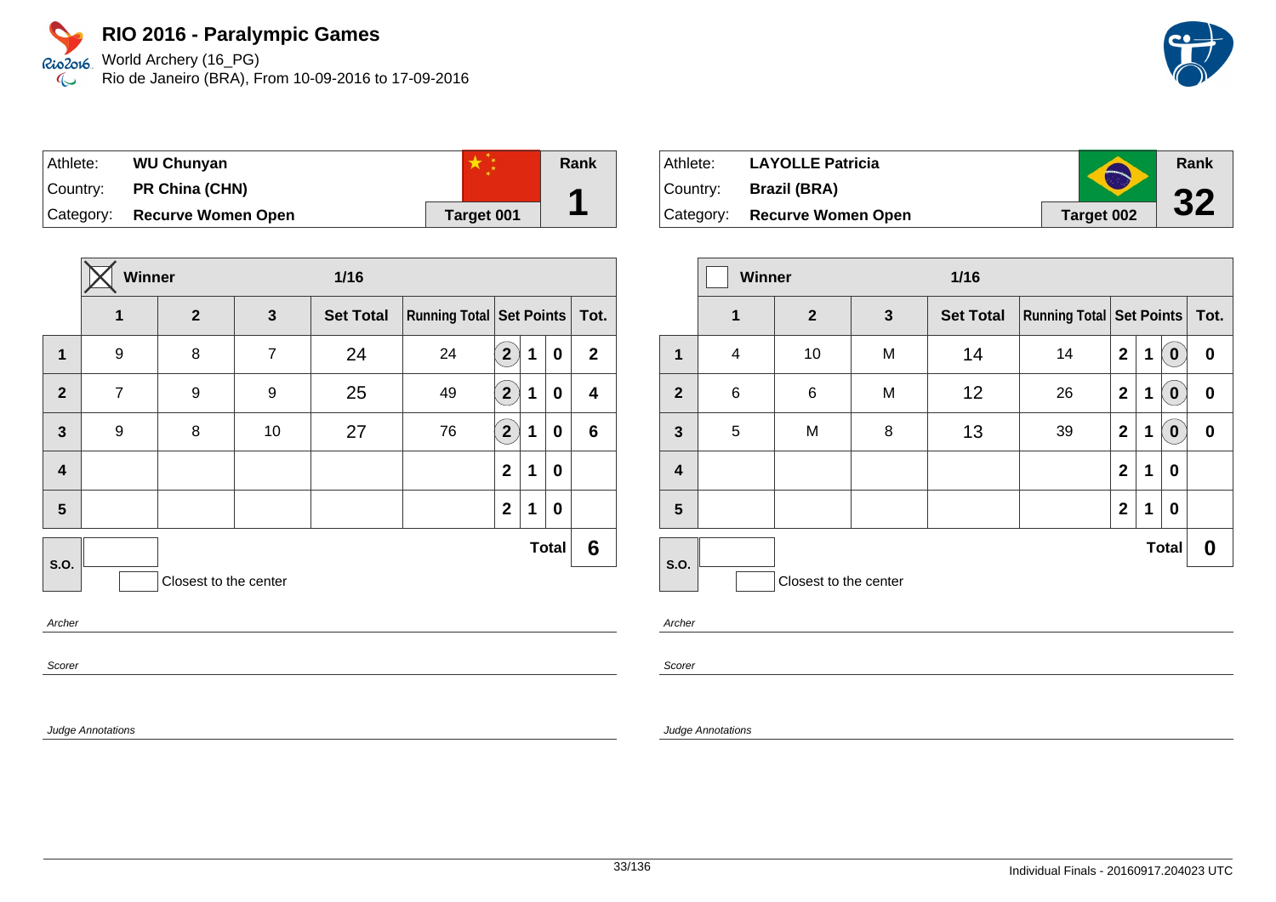World Archery (16\_PG) Rio de Janeiro (BRA), From 10-09-2016 to 17-09-2016

| Athlete: l | <b>WU Chunyan</b>         |            | Rank |
|------------|---------------------------|------------|------|
| Country:   | <b>PR China (CHN)</b>     |            |      |
| Category:  | <b>Recurve Women Open</b> | Target 001 |      |

|                         | Winner<br>$1/16$ |                       |                |                  |                                      |                       |   |              |                         |
|-------------------------|------------------|-----------------------|----------------|------------------|--------------------------------------|-----------------------|---|--------------|-------------------------|
|                         | 1                | $\overline{2}$        | $\mathbf{3}$   | <b>Set Total</b> | <b>Running Total Set Points Tot.</b> |                       |   |              |                         |
| 1                       | 9                | 8                     | $\overline{7}$ | 24               | 24                                   | $\mathbf{2}^{\prime}$ | 1 | $\mathbf 0$  | $\mathbf{2}$            |
| $\overline{2}$          | $\overline{7}$   | 9                     | 9              | 25               | 49                                   | $\mathbf{2}^{\prime}$ | 1 | 0            | $\overline{\mathbf{4}}$ |
| $\overline{\mathbf{3}}$ | 9                | 8                     | 10             | 27               | 76                                   | $\boxed{2}$           | 1 | 0            | $\bf 6$                 |
| 4                       |                  |                       |                |                  |                                      | $\mathbf{2}$          | 1 | 0            |                         |
| 5                       |                  |                       |                |                  |                                      | $\mathbf{2}$          | 1 | 0            |                         |
| S.O.                    |                  |                       |                |                  |                                      |                       |   | <b>Total</b> | 6                       |
|                         |                  | Closest to the center |                |                  |                                      |                       |   |              |                         |
| $A = b = a$             |                  |                       |                |                  |                                      |                       |   |              |                         |

Archer

Scorer

Judge Annotations

| Athlete:  | <b>LAYOLLE Patricia</b>   |            | Rank |
|-----------|---------------------------|------------|------|
| ⊺Countr∨: | <b>Brazil (BRA)</b>       |            | 22   |
| Category: | <b>Recurve Women Open</b> | Target 002 |      |

|                         | <b>Winner</b> |                       |              | $1/16$           |                                   |                |   |                  |          |
|-------------------------|---------------|-----------------------|--------------|------------------|-----------------------------------|----------------|---|------------------|----------|
|                         | $\mathbf 1$   | $\overline{2}$        | $\mathbf{3}$ | <b>Set Total</b> | Running Total   Set Points   Tot. |                |   |                  |          |
| 1                       | 4             | 10                    | M            | 14               | 14                                | $\mathbf 2$    | 1 | $\bf{0}$         | 0        |
| $\mathbf{2}$            | 6             | $\,6$                 | M            | 12               | 26                                | $\mathbf 2$    | 1 | $\boldsymbol{0}$ | 0        |
| $\mathbf{3}$            | 5             | M                     | 8            | 13               | 39                                | $\mathbf 2$    | 1 | $\boldsymbol{0}$ | $\bf{0}$ |
| $\overline{\mathbf{4}}$ |               |                       |              |                  |                                   | $\overline{2}$ | 1 | 0                |          |
| $5\phantom{.0}$         |               |                       |              |                  |                                   | $\mathbf{2}$   | 1 | 0                |          |
|                         |               |                       |              |                  |                                   |                |   | <b>Total</b>     | 0        |
| S.O.                    |               | Closest to the center |              |                  |                                   |                |   |                  |          |

Archer

Scorer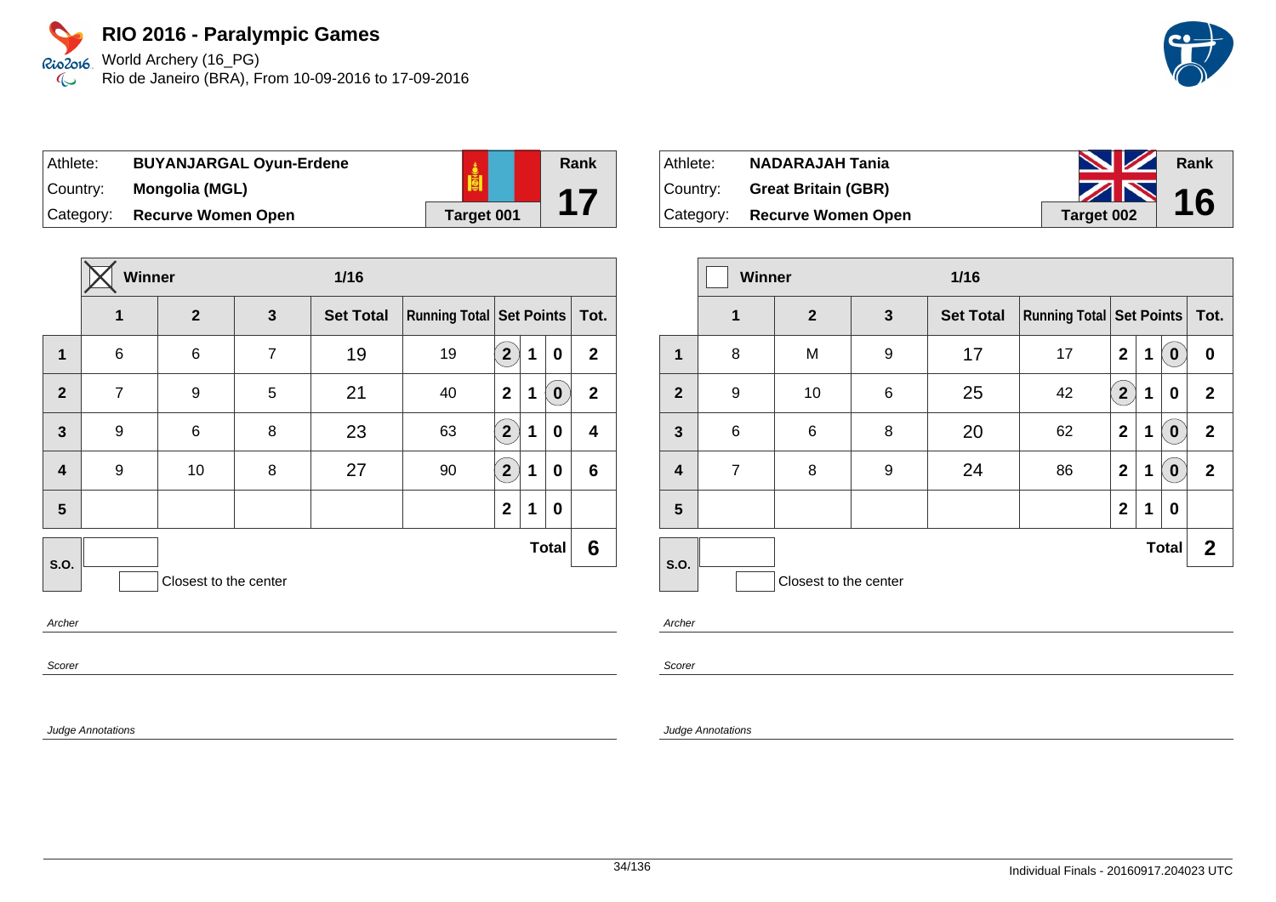Rio2o16 World Archery (16\_PG) Rio de Janeiro (BRA), From 10-09-2016 to 17-09-2016  $\infty$ 

| Athlete:  | <b>BUYANJARGAL Oyun-Erdene</b> |                   |
|-----------|--------------------------------|-------------------|
| Country:  | Mongolia (MGL)                 |                   |
| Category: | <b>Recurve Women Open</b>      | <b>Target 001</b> |

| 3<br>$\overline{7}$<br>5<br>8 | $\overline{2}$<br>6<br>9<br>6 | <b>Set Total</b><br>19<br>21<br>23 | Running Total Set Points Tot.<br>19<br>40<br>63 | $\overline{2}$<br>$\overline{2}$ | 1<br>1 | 0<br>$\bf{0}$ | $\mathbf{2}$<br>$\mathbf{2}$ |
|-------------------------------|-------------------------------|------------------------------------|-------------------------------------------------|----------------------------------|--------|---------------|------------------------------|
|                               |                               |                                    |                                                 |                                  |        |               |                              |
|                               |                               |                                    |                                                 |                                  |        |               |                              |
|                               |                               |                                    |                                                 |                                  |        |               |                              |
|                               |                               |                                    |                                                 | $\mathbf{2}$                     | 1      | 0             | 4                            |
| 8                             | 10                            | 27                                 | 90                                              | $2^{1}$                          | 1      | 0             | 6                            |
|                               |                               |                                    |                                                 | $\mathbf{2}$                     | 1      | 0             |                              |
|                               |                               |                                    |                                                 |                                  |        |               | 6                            |
|                               |                               | Closest to the center              |                                                 |                                  |        |               | <b>Total</b>                 |
|                               |                               |                                    |                                                 |                                  |        |               |                              |

| Athlete: | <b>NADARAJAH Tania</b>       | <b>NZ</b>  | Rank |
|----------|------------------------------|------------|------|
| Country: | <b>Great Britain (GBR)</b>   | $\sim$ 16  |      |
|          | Category: Recurve Women Open | Target 002 |      |

|                         | <b>Winner</b><br>$1/16$ |                       |              |                  |                                     |                |   |              |              |
|-------------------------|-------------------------|-----------------------|--------------|------------------|-------------------------------------|----------------|---|--------------|--------------|
|                         | $\mathbf 1$             | $\overline{2}$        | $\mathbf{3}$ | <b>Set Total</b> | <b>Running Total   Set Points  </b> |                |   |              | Tot.         |
| 1                       | 8                       | M                     | 9            | 17               | 17                                  | $\mathbf{2}$   | 1 | $\bf{0}$     | 0            |
| $\mathbf{2}$            | 9                       | 10                    | 6            | 25               | 42                                  | $2^{^{\circ}}$ | 1 | 0            | $\mathbf{2}$ |
| $\mathbf{3}$            | 6                       | 6                     | 8            | 20               | 62                                  | $\mathbf{2}$   | 1 | $\bf{0}$     | $\mathbf 2$  |
| $\overline{\mathbf{4}}$ | $\overline{7}$          | 8                     | 9            | 24               | 86                                  | $\mathbf{2}$   | 1 | $\bf{0}$     | $\mathbf{2}$ |
| 5                       |                         |                       |              |                  |                                     | $\mathbf 2$    | 1 | 0            |              |
| S.O.                    |                         |                       |              |                  |                                     |                |   | <b>Total</b> | $\mathbf{2}$ |
|                         |                         | Closest to the center |              |                  |                                     |                |   |              |              |

Archer

**Rank**

**17**

Scorer

Judge Annotations

Scorer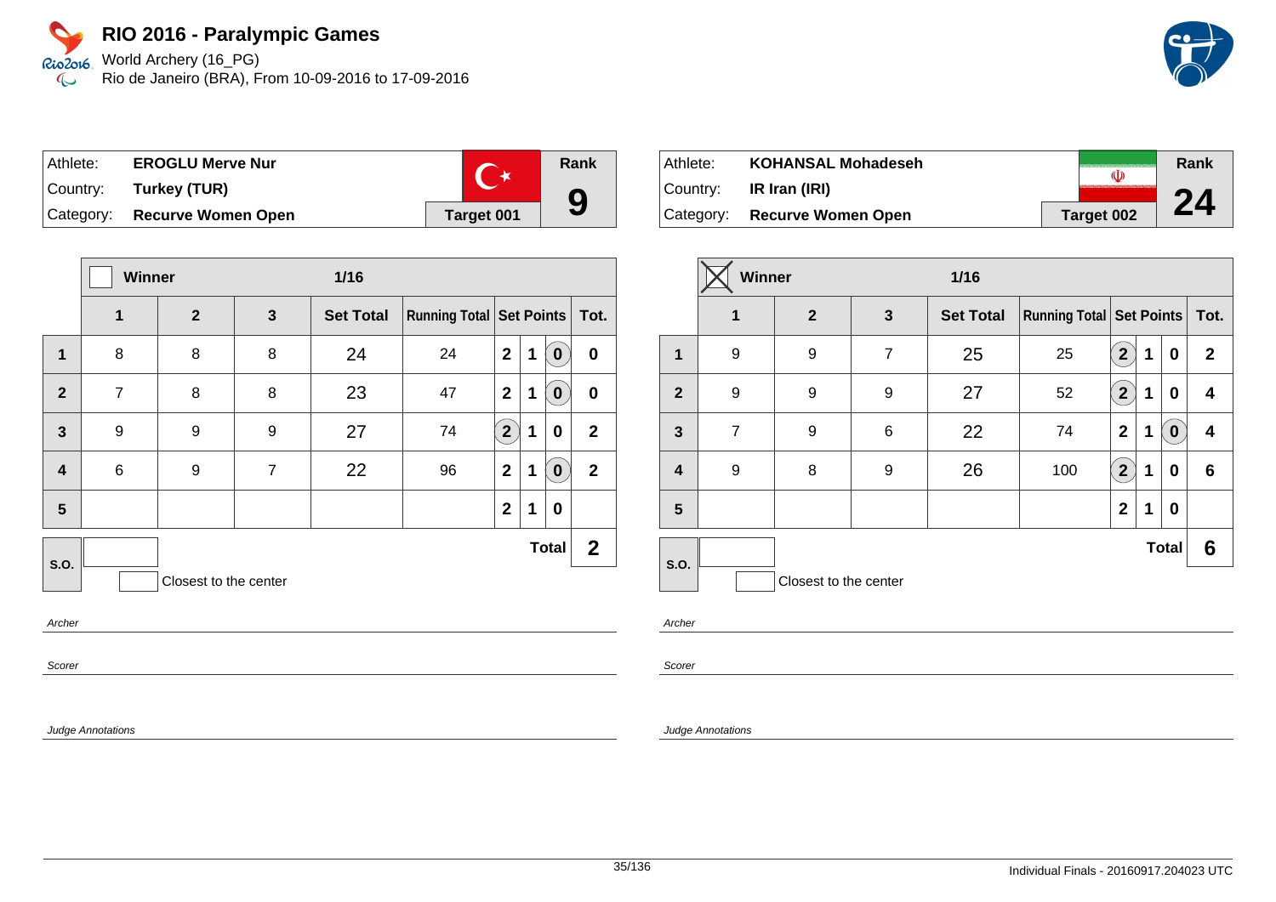World Archery (16\_PG) Rio de Janeiro (BRA), From 10-09-2016 to 17-09-2016

| Athlete: | <b>EROGLU Merve Nur</b>      |            | Rank |
|----------|------------------------------|------------|------|
|          | Country: Turkey (TUR)        |            |      |
|          | Category: Recurve Women Open | Target 001 | 9    |

|                         | Winner<br>$1/16$ |                       |                |                  |    |                |   |              |                               |  |  |
|-------------------------|------------------|-----------------------|----------------|------------------|----|----------------|---|--------------|-------------------------------|--|--|
|                         | 1                | $\overline{2}$        | $\mathbf{3}$   | <b>Set Total</b> |    |                |   |              | Running Total Set Points Tot. |  |  |
| $\mathbf 1$             | 8                | 8                     | 8              | 24               | 24 | $\mathbf{2}$   | 1 | $\mathbf 0$  | $\mathbf 0$                   |  |  |
| $\overline{2}$          | $\overline{7}$   | 8                     | 8              | 23               | 47 | $\mathbf{2}$   | 1 | $\bf{0}$     | $\pmb{0}$                     |  |  |
| $\mathbf{3}$            | 9                | 9                     | 9              | 27               | 74 | $\overline{2}$ | 1 | 0            | $\overline{2}$                |  |  |
| $\overline{\mathbf{4}}$ | 6                | 9                     | $\overline{7}$ | 22               | 96 | $\mathbf{2}$   | 1 | $\mathbf 0$  | $\overline{2}$                |  |  |
| 5                       |                  |                       |                |                  |    | $\mathbf 2$    | 1 | 0            |                               |  |  |
| <b>S.O.</b>             |                  |                       |                |                  |    |                |   | <b>Total</b> | $\mathbf{2}$                  |  |  |
|                         |                  | Closest to the center |                |                  |    |                |   |              |                               |  |  |
|                         |                  |                       |                |                  |    |                |   |              |                               |  |  |

Archer

Scorer

Judge Annotations

| Athlete:    | <b>KOHANSAL Mohadeseh</b>    |            | Rank |
|-------------|------------------------------|------------|------|
| ∣Countr∨: ⊥ | IR Iran (IRI)                |            |      |
|             | Category: Recurve Women Open | Target 002 | 24   |

|                         | Winner         |                       |                | $1/16$           |                                     |                      |   |                  |              |
|-------------------------|----------------|-----------------------|----------------|------------------|-------------------------------------|----------------------|---|------------------|--------------|
|                         | $\mathbf 1$    | $\mathbf{2}$<br>3     |                | <b>Set Total</b> | <b>Running Total   Set Points  </b> |                      |   |                  | Tot.         |
| $\mathbf 1$             | 9              | 9                     | $\overline{7}$ | 25               | 25                                  | $\overline{2}$       | 1 | 0                | $\mathbf{2}$ |
| $\overline{2}$          | 9              | 9                     | 9              | 27               | 52                                  | $\mathbf{2}^{\circ}$ | 1 | 0                | 4            |
| $\overline{\mathbf{3}}$ | $\overline{7}$ | 9                     | 6              | 22               | 74                                  | $\mathbf{2}$         | 1 | $\boldsymbol{0}$ | 4            |
| $\overline{\mathbf{4}}$ | 9              | 8                     | 9              | 26               | 100                                 | (2)                  | 1 | 0                | 6            |
| 5                       |                |                       |                |                  |                                     | $\mathbf{2}$         | 1 | 0                |              |
| S.O.                    |                |                       |                |                  |                                     |                      |   | <b>Total</b>     | 6            |
|                         |                | Closest to the center |                |                  |                                     |                      |   |                  |              |

Archer

Scorer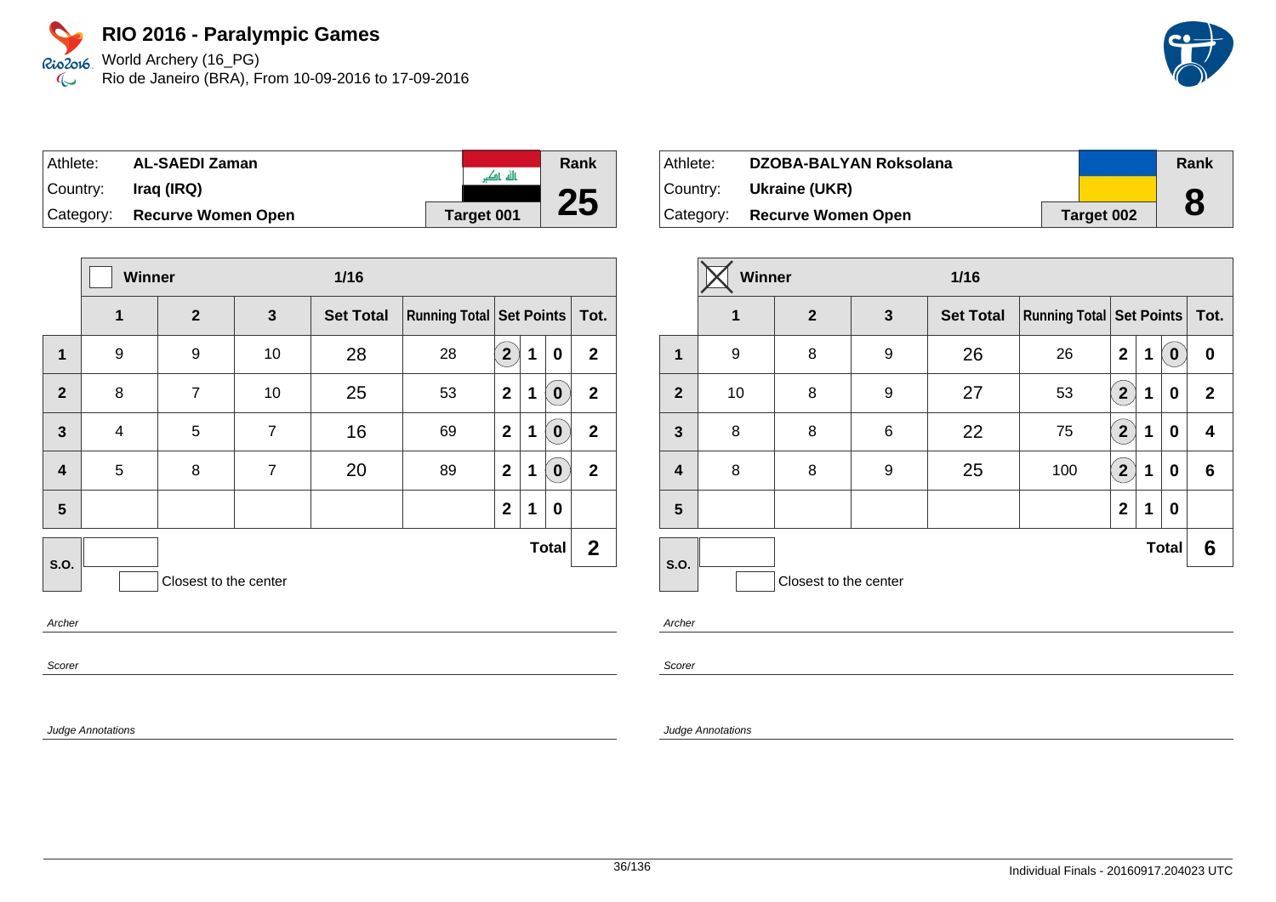World Archery (16\_PG) Rio de Janeiro (BRA), From 10-09-2016 to 17-09-2016

| Athlete:  | <b>AL-SAEDI Zaman</b>     |                   | Rank |
|-----------|---------------------------|-------------------|------|
|           |                           | ىللە ئەگ          |      |
| Country:  | Iraq (IRQ)                |                   | 25   |
| Category: | <b>Recurve Women Open</b> | <b>Target 001</b> |      |

|                         | Winner<br>$1/16$ |                       |                |                  |                                     |                |   |              |                |
|-------------------------|------------------|-----------------------|----------------|------------------|-------------------------------------|----------------|---|--------------|----------------|
|                         | 1                | $\overline{2}$        | 3              | <b>Set Total</b> | <b>Running Total   Set Points  </b> |                |   |              | Tot.           |
| 1                       | 9                | 9                     | 10             | 28               | 28                                  | 2 <sup>1</sup> | 1 | 0            | $\mathbf{2}$   |
| $\overline{2}$          | 8                | $\overline{7}$        | 10             | 25               | 53                                  | $\mathbf{2}$   | 1 | $\mathbf 0$  | $\overline{2}$ |
| $\mathbf{3}$            | 4                | 5                     | $\overline{7}$ | 16               | 69                                  | $\mathbf 2$    | 1 | $\mathbf 0$  | $\mathbf{2}$   |
| $\overline{\mathbf{4}}$ | 5                | 8                     | $\overline{7}$ | 20               | 89                                  | $\mathbf{2}$   | 1 | $\mathbf 0$  | $\overline{2}$ |
| 5                       |                  |                       |                |                  |                                     | $\mathbf 2$    | 1 | 0            |                |
| S.O.                    |                  |                       |                |                  |                                     |                |   | <b>Total</b> | $\mathbf{2}$   |
|                         |                  | Closest to the center |                |                  |                                     |                |   |              |                |
|                         |                  |                       |                |                  |                                     |                |   |              |                |

Archer

Scorer

Judge Annotations

| Athlete: | DZOBA-BALYAN Roksolana        |            | Rank |
|----------|-------------------------------|------------|------|
|          | Country: <b>Ukraine (UKR)</b> |            |      |
|          | Category: Recurve Women Open  | Target 002 | 8    |

|                  | Winner |                       |   | $1/16$           |                                     |                         |   |              |              |
|------------------|--------|-----------------------|---|------------------|-------------------------------------|-------------------------|---|--------------|--------------|
|                  | 1      | $\overline{2}$        | 3 | <b>Set Total</b> | <b>Running Total   Set Points  </b> |                         |   |              | Tot.         |
| 1                | 9      | 8                     | 9 | 26               | 26                                  | $\mathbf{2}$            | 1 | $\bf{0}$     | 0            |
| $\overline{2}$   | 10     | 8                     | 9 | 27               | 53                                  | $\overline{\mathbf{2}}$ | 1 | 0            | $\mathbf{2}$ |
| $\mathbf{3}$     | 8      | 8                     | 6 | 22               | 75                                  | $2^{1}$                 | 1 | 0            | 4            |
| $\boldsymbol{4}$ | 8      | 8                     | 9 | 25               | 100                                 | $\overline{\mathbf{2}}$ | 1 | 0            | 6            |
| 5                |        |                       |   |                  |                                     | $\mathbf{2}$            | 1 | 0            |              |
| <b>S.O.</b>      |        |                       |   |                  |                                     |                         |   | <b>Total</b> | 6            |
|                  |        | Closest to the center |   |                  |                                     |                         |   |              |              |

Archer

Scorer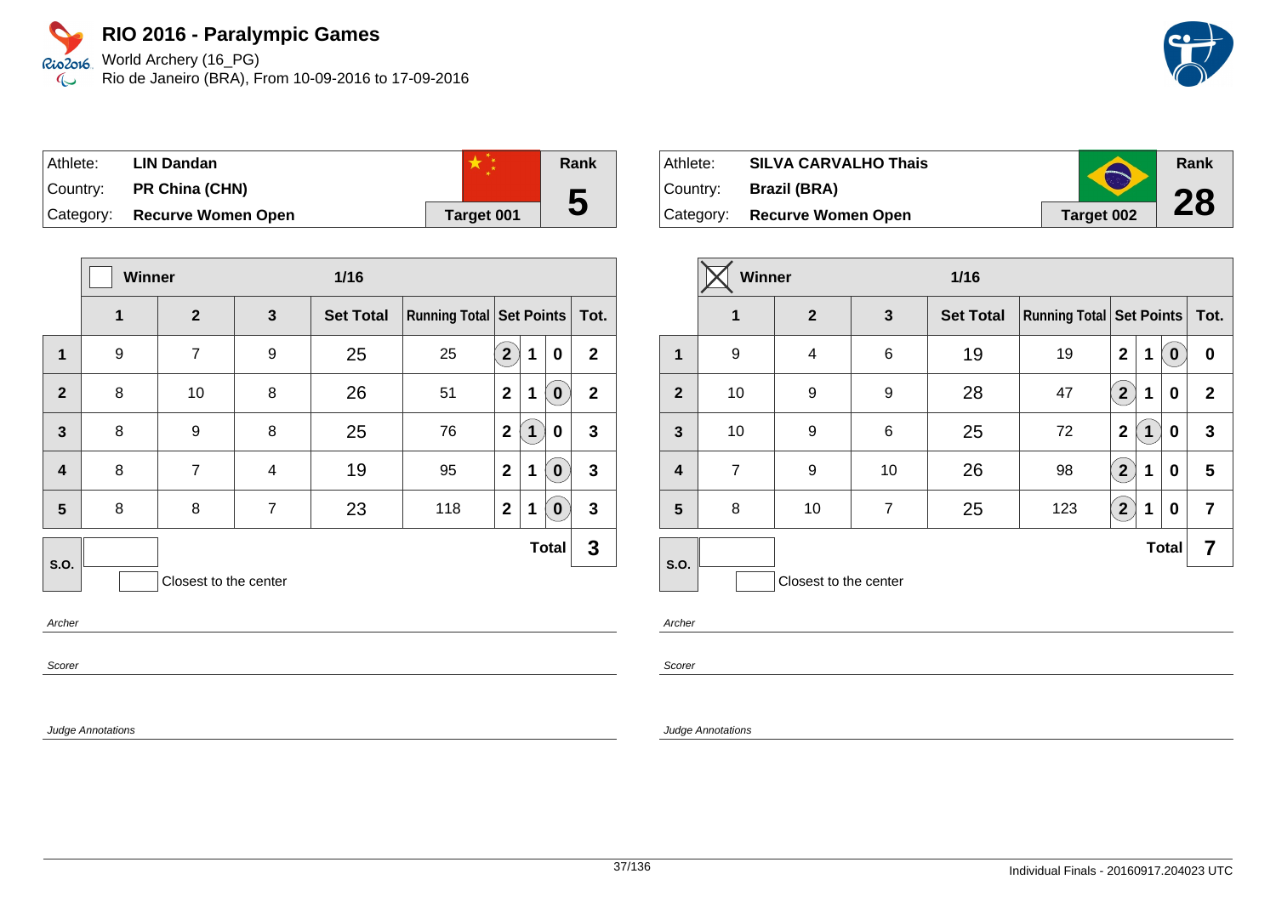World Archery (16\_PG) Rio de Janeiro (BRA), From 10-09-2016 to 17-09-2016

| ⊺Athlete:   | LIN Dandan                |            | Rank |
|-------------|---------------------------|------------|------|
| ∣Country: i | PR China (CHN)            |            |      |
| Category:   | <b>Recurve Women Open</b> | Target 001 | 5    |

|                         | Winner       |                       |                | $1/16$           |                                     |                |   |              |              |
|-------------------------|--------------|-----------------------|----------------|------------------|-------------------------------------|----------------|---|--------------|--------------|
|                         | $\mathbf{1}$ | $\overline{2}$        | 3              | <b>Set Total</b> | <b>Running Total   Set Points  </b> |                |   |              | Tot.         |
| $\mathbf{1}$            | 9            | 7                     | 9              | 25               | 25                                  | $\overline{2}$ | 1 | 0            | $\mathbf{2}$ |
| $\overline{2}$          | 8            | 10                    | 8              | 26               | 51                                  | $\mathbf{2}$   | 1 | 0            | $\mathbf{2}$ |
| $\mathbf{3}$            | 8            | 9                     | 8              | 25               | 76                                  | $\mathbf{2}$   | 1 | 0            | $\mathbf{3}$ |
| $\overline{\mathbf{4}}$ | 8            | 7                     | 4              | 19               | 95                                  | $\mathbf{2}$   | 1 | 0            | $\mathbf{3}$ |
| 5                       | 8            | 8                     | $\overline{7}$ | 23               | 118                                 | $\mathbf{2}$   | 1 | 0            | 3            |
| S.O.                    |              |                       |                |                  |                                     |                |   | <b>Total</b> | 3            |
|                         |              | Closest to the center |                |                  |                                     |                |   |              |              |

Archer

Scorer

Judge Annotations

| Athlete:  | <b>SILVA CARVALHO Thais</b> | $\bigodot$ | Rank |
|-----------|-----------------------------|------------|------|
| Country:  | <b>Brazil (BRA)</b>         |            | 28   |
| Category: | <b>Recurve Women Open</b>   | Target 002 |      |

|                         | Winner         |                       |                | $1/16$           |                                 |                         |   |              |              |  |
|-------------------------|----------------|-----------------------|----------------|------------------|---------------------------------|-------------------------|---|--------------|--------------|--|
|                         | 1              | $\mathbf{2}$          | $\mathbf{3}$   | <b>Set Total</b> | <b>Running Total Set Points</b> |                         |   |              | Tot.         |  |
| 1                       | 9              | 4                     | 6              | 19               | 19                              | $\overline{2}$          | 1 | $\bf{0}$     | 0            |  |
| $\overline{2}$          | 10             | 9                     | 9              | 28               | 47                              | $\overline{\mathbf{2}}$ | 1 | 0            | $\mathbf{2}$ |  |
| $\mathbf{3}$            | 10             | 9                     | $\,6$          | 25               | 72                              | $\mathbf 2$             | 1 | 0            | 3            |  |
| $\overline{\mathbf{4}}$ | $\overline{7}$ | 9                     | 10             | 26               | 98                              | $\overline{2}$          | 1 | 0            | 5            |  |
| 5                       | 8              | 10                    | $\overline{7}$ | 25               | 123                             | $2^{1}$                 | 1 | 0            | 7            |  |
| S.O.                    |                |                       |                |                  |                                 |                         |   | <b>Total</b> | 7            |  |
|                         |                | Closest to the center |                |                  |                                 |                         |   |              |              |  |

Archer

Scorer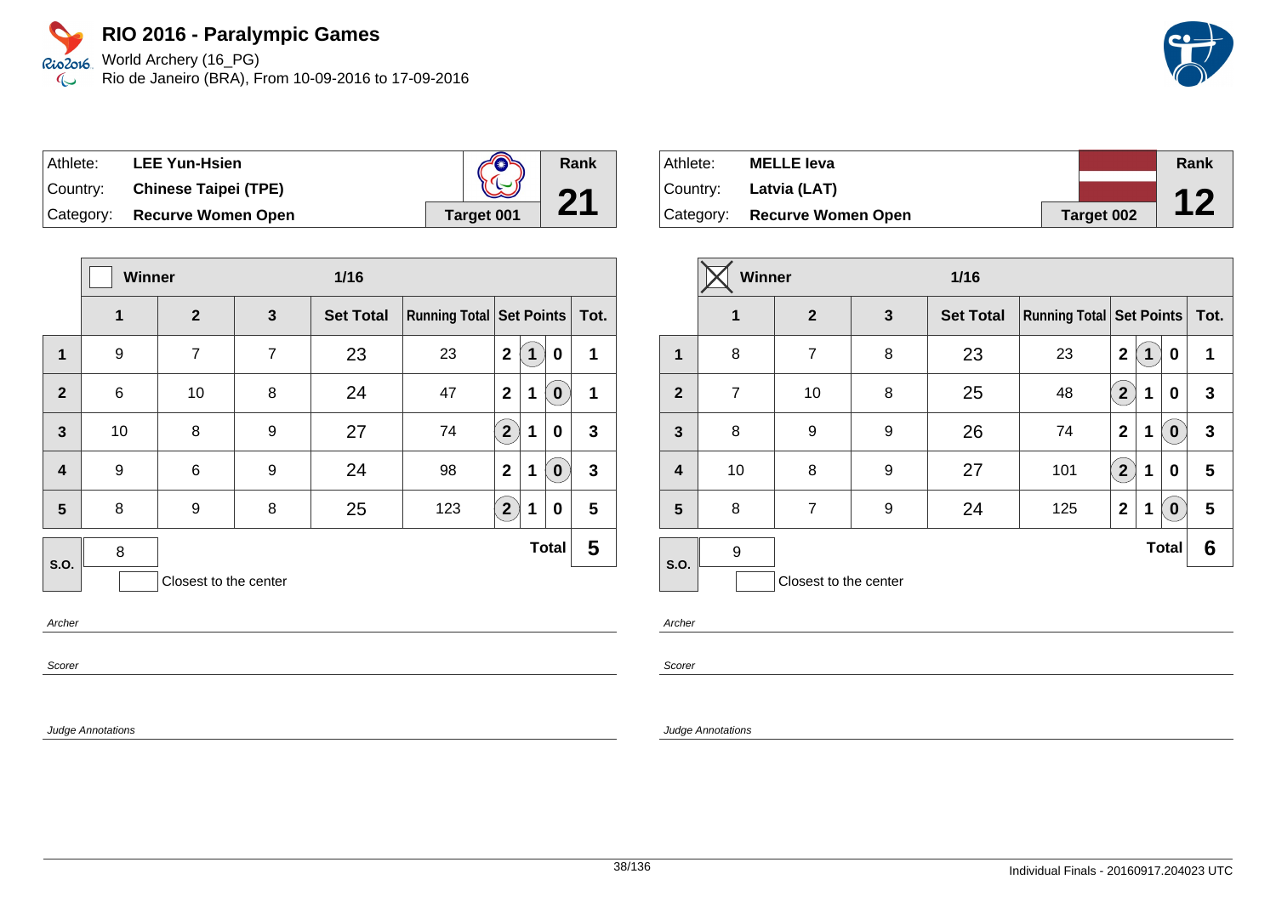World Archery (16\_PG) Rio de Janeiro (BRA), From 10-09-2016 to 17-09-2016

| Athlete:  | <b>LEE Yun-Hsien</b>         | $\sum$     | Rank |
|-----------|------------------------------|------------|------|
| ∣Countr∨: | <b>Chinese Taipei (TPE)</b>  |            |      |
|           | Category: Recurve Women Open | Target 001 |      |

|                         | <b>Winner</b><br>$1/16$ |                       |                |                  |                            |                |   |              |              |
|-------------------------|-------------------------|-----------------------|----------------|------------------|----------------------------|----------------|---|--------------|--------------|
|                         | 1                       | $\overline{2}$        | 3              | <b>Set Total</b> | Running Total   Set Points |                |   |              | Tot.         |
| 1                       | 9                       | $\overline{7}$        | $\overline{7}$ | 23               | 23                         | $\overline{2}$ | 1 | 0            | 1            |
| $\overline{2}$          | 6                       | 10                    | 8              | 24               | 47                         | $\mathbf{2}$   | 1 | $\bf{0}$     | 1            |
| $\mathbf{3}$            | 10                      | 8                     | 9              | 27               | 74                         | $\overline{2}$ | 1 | 0            | 3            |
| $\overline{\mathbf{4}}$ | 9                       | 6                     | 9              | 24               | 98                         | $\mathbf{2}$   | 1 | 0            | $\mathbf{3}$ |
| 5                       | 8                       | 9                     | 8              | 25               | 123                        | $\overline{2}$ | 1 | 0            | 5            |
| <b>S.O.</b>             | 8                       |                       |                |                  |                            |                |   | <b>Total</b> | 5            |
|                         |                         | Closest to the center |                |                  |                            |                |   |              |              |

Archer

Scorer

Judge Annotations

| Athlete: | <b>MELLE leva</b>            |            | Rank |
|----------|------------------------------|------------|------|
|          | Country: Latvia (LAT)        |            |      |
|          | Category: Recurve Women Open | Target 002 |      |

|                         | Winner         |                       | $1/16$ |                  |                                 |                |   |                  |      |
|-------------------------|----------------|-----------------------|--------|------------------|---------------------------------|----------------|---|------------------|------|
|                         | 1              | $\mathbf{2}$          | 3      | <b>Set Total</b> | <b>Running Total Set Points</b> |                |   |                  | Tot. |
| 1                       | 8              | $\overline{7}$        | 8      | 23               | 23                              | $\mathbf 2$    | 1 | 0                | 1    |
| $\overline{2}$          | $\overline{7}$ | 10                    | 8      | 25               | 48                              | $\overline{2}$ | 1 | 0                | 3    |
| $\mathbf{3}$            | 8              | 9                     | 9      | 26               | 74                              | $\mathbf{2}$   | 1 | $\bf{0}$         | 3    |
| $\overline{\mathbf{4}}$ | 10             | 8                     | 9      | 27               | 101                             | 2 <sup>1</sup> | 1 | 0                | 5    |
| $5\phantom{1}$          | 8              | $\overline{7}$        | 9      | 24               | 125                             | $\mathbf{2}$   | 1 | $\boldsymbol{0}$ | 5    |
| <b>S.O.</b>             | 9              |                       |        |                  |                                 |                |   | <b>Total</b>     | 6    |
|                         |                | Closest to the center |        |                  |                                 |                |   |                  |      |

Archer

Scorer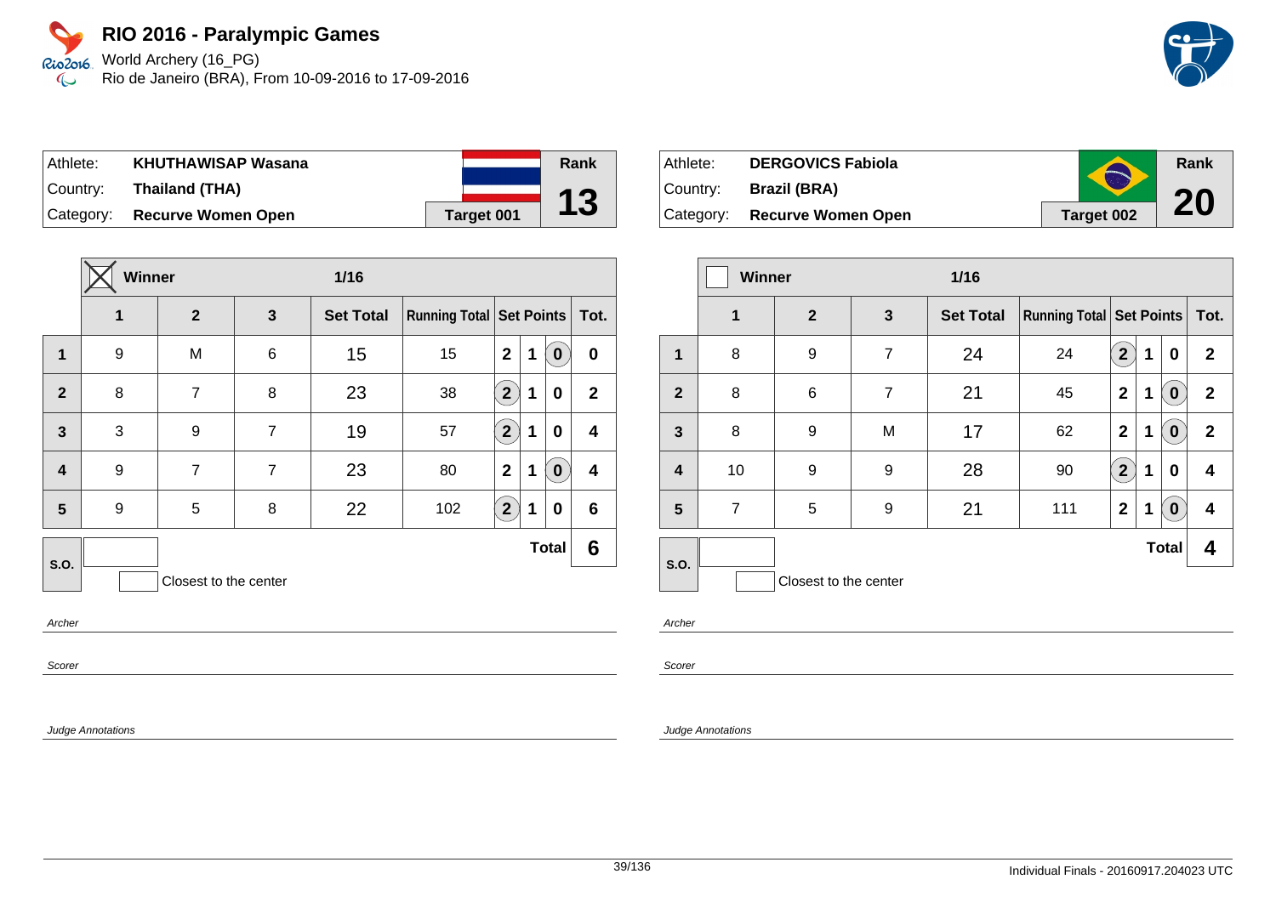World Archery (16\_PG) Rio de Janeiro (BRA), From 10-09-2016 to 17-09-2016

| Athlete: | <b>KHUTHAWISAP Wasana</b>    |            | Rank             |
|----------|------------------------------|------------|------------------|
|          | Country: Thailand (THA)      |            | 12               |
|          | Category: Recurve Women Open | Target 001 | $\mathbf \omega$ |

|                         | <b>Winner</b><br>1/16 |                       |                |                  |                            |              |   |              |                  |
|-------------------------|-----------------------|-----------------------|----------------|------------------|----------------------------|--------------|---|--------------|------------------|
|                         | 1                     | $\mathbf{2}$          | $\mathbf{3}$   | <b>Set Total</b> | Running Total   Set Points |              |   |              | Tot.             |
| $\mathbf{1}$            | 9                     | M                     | 6              | 15               | 15                         | $\mathbf{2}$ | 1 | $\bf{0}$     | 0                |
| $\overline{2}$          | 8                     | $\overline{7}$        | 8              | 23               | 38                         | $2^{1}$      | 1 | 0            | $\mathbf{2}$     |
| $\mathbf{3}$            | 3                     | 9                     | $\overline{7}$ | 19               | 57                         | $\boxed{2}$  | 1 | 0            | $\boldsymbol{4}$ |
| $\overline{\mathbf{4}}$ | 9                     | $\overline{7}$        | $\overline{7}$ | 23               | 80                         | $\mathbf{2}$ | 1 | $\bf{0}$     | $\boldsymbol{4}$ |
| 5                       | 9                     | 5                     | 8              | 22               | 102                        | $2^{1}$      | 1 | 0            | 6                |
| S.O.                    |                       |                       |                |                  |                            |              |   | <b>Total</b> | 6                |
|                         |                       | Closest to the center |                |                  |                            |              |   |              |                  |
|                         |                       |                       |                |                  |                            |              |   |              |                  |

Archer

Scorer

Judge Annotations

| Athlete:  | <b>DERGOVICS Fabiola</b>  | $\bigcap$  | Rank |
|-----------|---------------------------|------------|------|
| ⊺Countr∨: | <b>Brazil (BRA)</b>       |            |      |
| Category: | <b>Recurve Women Open</b> | Target 002 | 20   |

|                         | <b>Winner</b>  |                       |                | $1/16$           |                                     |                         |   |                  |              |
|-------------------------|----------------|-----------------------|----------------|------------------|-------------------------------------|-------------------------|---|------------------|--------------|
|                         | 1              | $\overline{2}$        | 3              | <b>Set Total</b> | <b>Running Total   Set Points  </b> |                         |   |                  | Tot.         |
| 1                       | 8              | 9                     | $\overline{7}$ | 24               | 24                                  | $\overline{2}$          | 1 | 0                | $\mathbf{2}$ |
| $\overline{2}$          | 8              | $\,6$                 | $\overline{7}$ | 21               | 45                                  | $\mathbf{2}$            | 1 | $\boldsymbol{0}$ | $\mathbf{2}$ |
| $\mathbf{3}$            | 8              | 9                     | M              | 17               | 62                                  | $\mathbf{2}$            | 1 | $\boldsymbol{0}$ | $\mathbf{2}$ |
| $\overline{\mathbf{4}}$ | 10             | 9                     | 9              | 28               | 90                                  | $\overline{\mathbf{2}}$ | 1 | 0                | 4            |
| 5                       | $\overline{7}$ | 5                     | 9              | 21               | 111                                 | $\mathbf{2}$            | 1 | $\bf{0}$         | 4            |
| <b>S.O.</b>             |                |                       |                |                  |                                     |                         |   | <b>Total</b>     | 4            |
|                         |                | Closest to the center |                |                  |                                     |                         |   |                  |              |

Archer

Scorer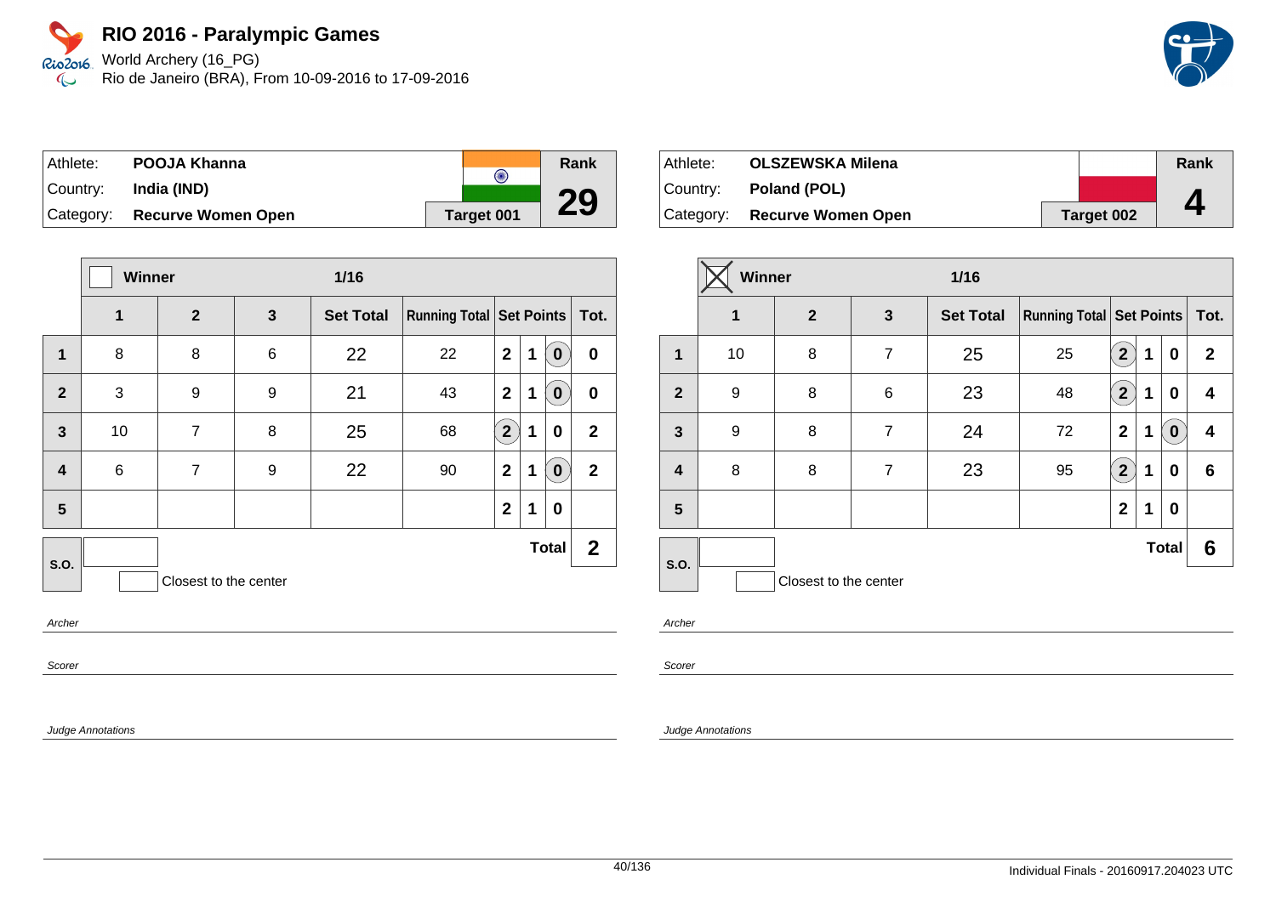World Archery (16\_PG) Rio de Janeiro (BRA), From 10-09-2016 to 17-09-2016

| Athlete:  | POOJA Khanna              |            | Rank |
|-----------|---------------------------|------------|------|
|           |                           | $\bigodot$ |      |
| Country:  | India (IND)               |            | 29   |
| Category: | <b>Recurve Women Open</b> | Target 001 |      |

|                         |       | Winner                |       | $1/16$           |                               |                |   |              |                |
|-------------------------|-------|-----------------------|-------|------------------|-------------------------------|----------------|---|--------------|----------------|
|                         | 1     | $\overline{2}$        | 3     | <b>Set Total</b> | Running Total Set Points Tot. |                |   |              |                |
| 1                       | 8     | 8                     | $\,6$ | 22               | 22                            | $\mathbf{2}$   | 1 | 0            | $\bf{0}$       |
| $\overline{2}$          | 3     | 9                     | 9     | 21               | 43                            | $\mathbf{2}$   | 1 | $\bf{0}$     | $\mathbf 0$    |
| $\mathbf{3}$            | 10    | $\overline{7}$        | 8     | 25               | 68                            | $\overline{2}$ | 1 | 0            | $\overline{2}$ |
| $\overline{\mathbf{4}}$ | $\,6$ | $\overline{7}$        | 9     | 22               | 90                            | $\mathbf{2}$   | 1 | $\bf{0}$     | $\overline{2}$ |
| 5                       |       |                       |       |                  |                               | $\mathbf{2}$   | 1 | 0            |                |
| <b>S.O.</b>             |       |                       |       |                  |                               |                |   | <b>Total</b> | $\mathbf{2}$   |
|                         |       | Closest to the center |       |                  |                               |                |   |              |                |

Archer

Scorer

Judge Annotations

| Athlete: | <b>OLSZEWSKA Milena</b>      |            | Rank |
|----------|------------------------------|------------|------|
|          | Country: <b>Poland (POL)</b> |            |      |
|          | Category: Recurve Women Open | Target 002 | 4    |

|                  | Winner<br>$1/16$ |                       |                |                  |                                     |                         |   |              |              |
|------------------|------------------|-----------------------|----------------|------------------|-------------------------------------|-------------------------|---|--------------|--------------|
|                  | 1                | $\mathbf{2}$          | 3              | <b>Set Total</b> | <b>Running Total   Set Points  </b> |                         |   |              | Tot.         |
| $\mathbf 1$      | 10               | 8                     | $\overline{7}$ | 25               | 25                                  | $\mathbf{2}$            | 1 | 0            | $\mathbf{2}$ |
| $\overline{2}$   | 9                | 8                     | 6              | 23               | 48                                  | $\overline{\mathbf{2}}$ | 1 | 0            | 4            |
| $\mathbf{3}$     | 9                | 8                     | $\overline{7}$ | 24               | 72                                  | $\mathbf{2}$            | 1 | $\bf{0}$     | 4            |
| $\boldsymbol{4}$ | 8                | 8                     | $\overline{7}$ | 23               | 95                                  | $\overline{\mathbf{2}}$ | 1 | 0            | 6            |
| 5                |                  |                       |                |                  |                                     | $\mathbf 2$             | 1 | 0            |              |
| <b>S.O.</b>      |                  |                       |                |                  |                                     |                         |   | <b>Total</b> | 6            |
|                  |                  | Closest to the center |                |                  |                                     |                         |   |              |              |

Archer

Scorer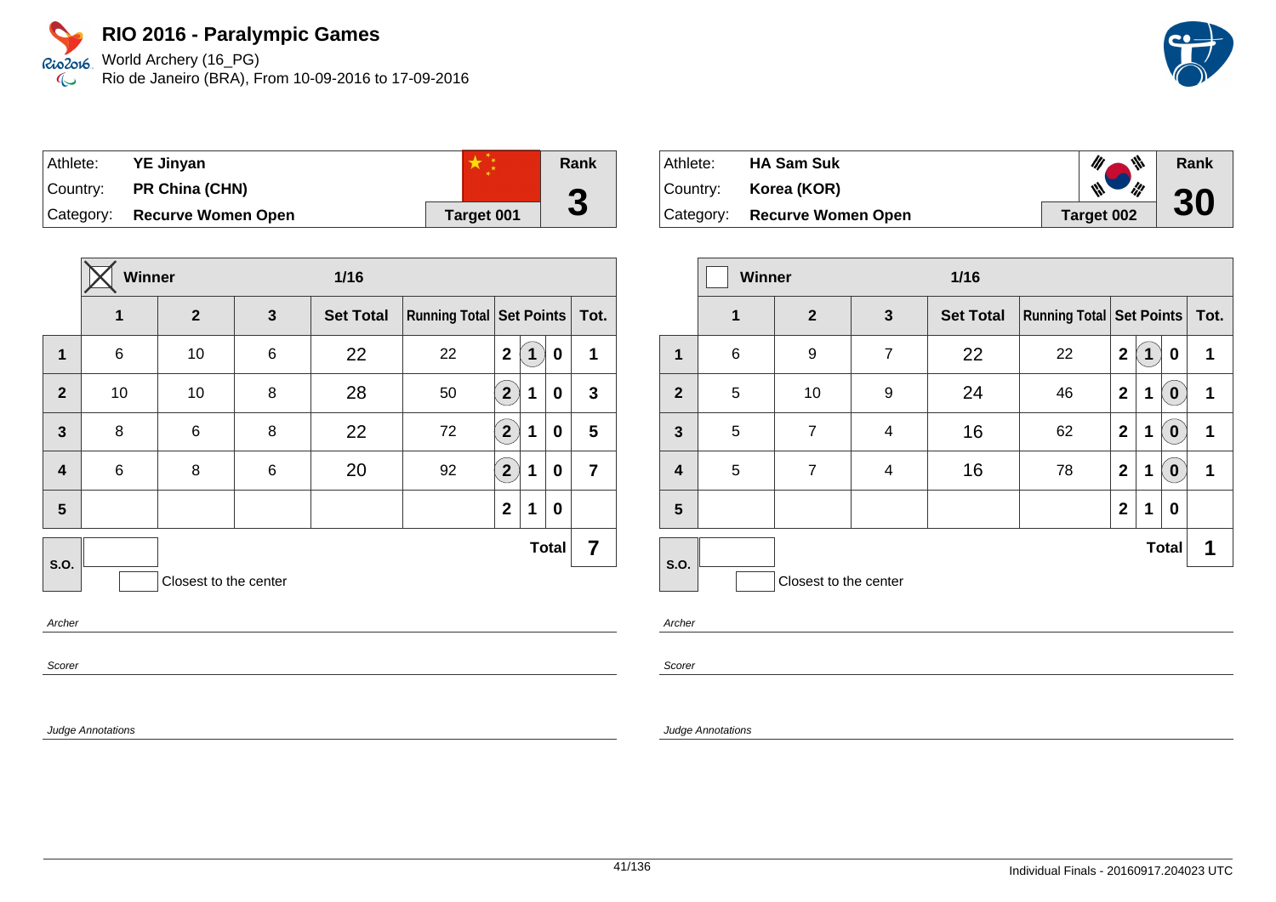World Archery (16\_PG) Rio de Janeiro (BRA), From 10-09-2016 to 17-09-2016

| Athlete:  | <b>YE Jinyan</b>          |            | Rank |
|-----------|---------------------------|------------|------|
| Country:  | <b>PR China (CHN)</b>     |            | О    |
| Category: | <b>Recurve Women Open</b> | Target 001 | J    |

|                         | Winner |                       |   | $1/16$           |                            |                         |   |              |                |
|-------------------------|--------|-----------------------|---|------------------|----------------------------|-------------------------|---|--------------|----------------|
|                         | 1      | $\mathbf{2}$          | 3 | <b>Set Total</b> | Running Total   Set Points |                         |   |              | Tot.           |
| 1                       | 6      | 10                    | 6 | 22               | 22                         | $\mathbf 2$             | 1 | 0            | 1              |
| $\overline{2}$          | 10     | 10                    | 8 | 28               | 50                         | $\mathbf{2}^{\prime}$   | 1 | 0            | $\mathbf{3}$   |
| $\overline{3}$          | 8      | 6                     | 8 | 22               | 72                         | $\overline{2}$          | 1 | 0            | 5              |
| $\overline{\mathbf{4}}$ | 6      | 8                     | 6 | 20               | 92                         | $\overline{\mathbf{2}}$ | 1 | 0            | $\overline{7}$ |
| 5                       |        |                       |   |                  |                            | $\mathbf 2$             | 1 | 0            |                |
| <b>S.O.</b>             |        |                       |   |                  |                            |                         |   | <b>Total</b> | 7              |
|                         |        | Closest to the center |   |                  |                            |                         |   |              |                |
| $\sim$                  |        |                       |   |                  |                            |                         |   |              |                |

**Archer** 

Scorer

Judge Annotations

| Athlete: | <b>HA Sam Suk</b>            | 带                               | Rank |
|----------|------------------------------|---------------------------------|------|
| Country: | Korea (KOR)                  | $\frac{1}{2}$<br>$\frac{1}{10}$ | 30   |
|          | Category: Recurve Women Open | Target 002                      |      |

|                         | <b>Winner</b><br>$1/16$ |                       |                |                  |                                     |                |   |              |      |
|-------------------------|-------------------------|-----------------------|----------------|------------------|-------------------------------------|----------------|---|--------------|------|
|                         | $\mathbf 1$             | $\overline{2}$        | $\mathbf{3}$   | <b>Set Total</b> | <b>Running Total   Set Points  </b> |                |   |              | Tot. |
| 1                       | 6                       | 9                     | $\overline{7}$ | 22               | 22                                  | $\mathbf 2$    | 1 | 0            | 1    |
| $\overline{2}$          | 5                       | 10                    | 9              | 24               | 46                                  | $\mathbf{2}$   | 1 | $\mathbf 0$  | 1    |
| $\mathbf{3}$            | 5                       | $\overline{7}$        | 4              | 16               | 62                                  | $\mathbf{2}$   | 1 | $\bf{0}$     | 1    |
| $\overline{\mathbf{4}}$ | 5                       | $\overline{7}$        | 4              | 16               | 78                                  | $\mathbf{2}$   | 1 | $\bf{0}$     | 1    |
| 5                       |                         |                       |                |                  |                                     | $\overline{2}$ | 1 | 0            |      |
| S.O.                    |                         |                       |                |                  |                                     |                |   | <b>Total</b> | 1    |
|                         |                         | Closest to the center |                |                  |                                     |                |   |              |      |

Archer

Scorer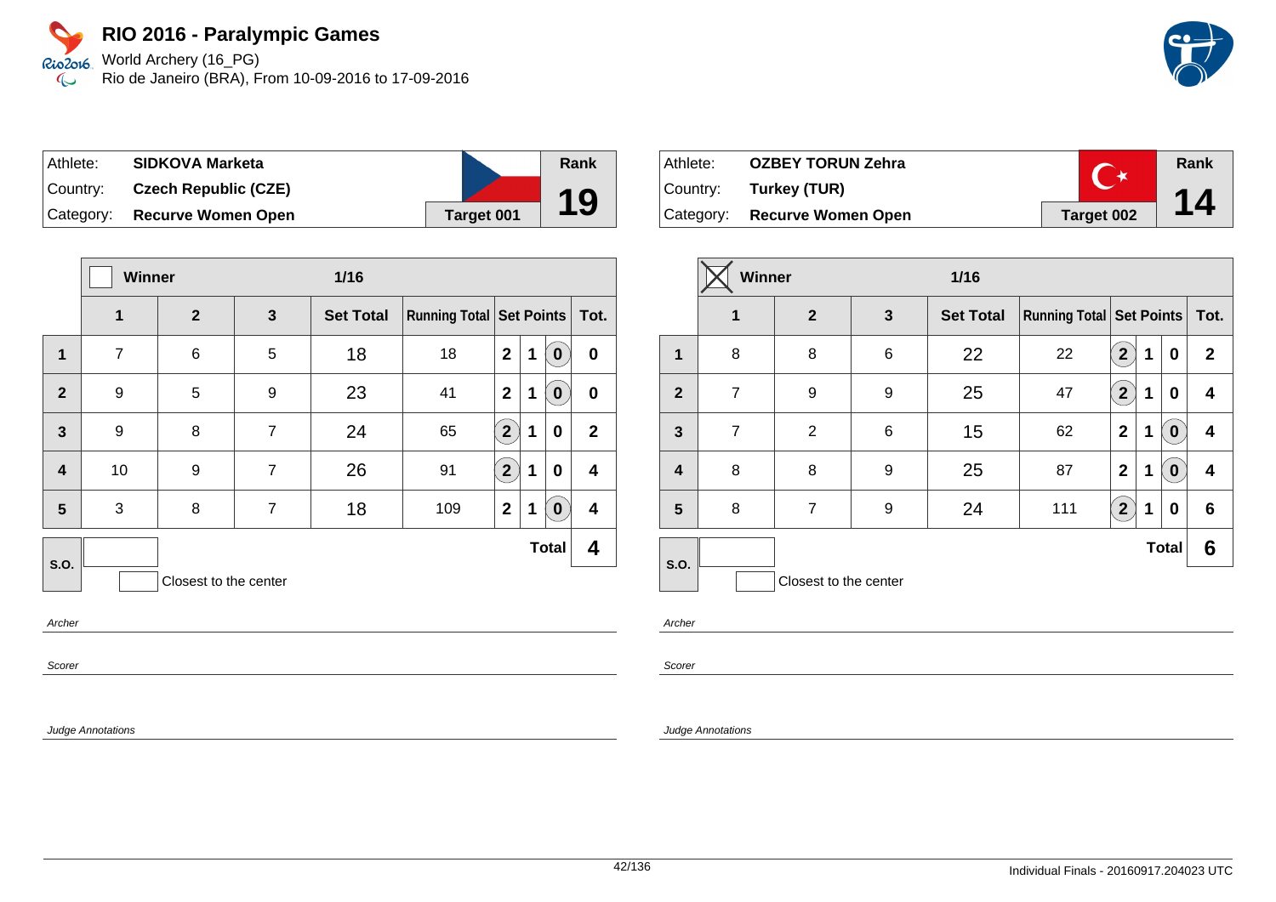World Archery (16\_PG) Rio de Janeiro (BRA), From 10-09-2016 to 17-09-2016

| Athlete:  | <b>SIDKOVA Marketa</b>      |            | Rank |
|-----------|-----------------------------|------------|------|
| Country:  | <b>Czech Republic (CZE)</b> |            |      |
| Category: | <b>Recurve Women Open</b>   | Target 001 | 19   |

|                         | Winner         |                       |                | $1/16$           |                                     |                |             |                  |              |
|-------------------------|----------------|-----------------------|----------------|------------------|-------------------------------------|----------------|-------------|------------------|--------------|
|                         | 1              | $\mathbf{2}$          | $\mathbf{3}$   | <b>Set Total</b> | <b>Running Total   Set Points  </b> |                |             |                  | Tot.         |
| 1                       | $\overline{7}$ | 6                     | 5              | 18               | 18                                  | $\overline{2}$ | $\mathbf 1$ | $\mathbf 0$      | $\bf{0}$     |
| $\overline{2}$          | 9              | 5                     | 9              | 23               | 41                                  | $\overline{2}$ | $\mathbf 1$ | $\boldsymbol{0}$ | $\bf{0}$     |
| $\overline{\mathbf{3}}$ | 9              | 8                     | $\overline{7}$ | 24               | 65                                  | 2 <sup>1</sup> | 1           | $\bf{0}$         | $\mathbf{2}$ |
| $\overline{\mathbf{4}}$ | 10             | 9                     | $\overline{7}$ | 26               | 91                                  | $2^{1}$        | 1           | 0                | 4            |
| 5                       | 3              | 8                     | $\overline{7}$ | 18               | 109                                 | $\mathbf{2}$   | $\mathbf 1$ | $\mathbf 0$      | 4            |
| S.O.                    |                |                       |                |                  |                                     |                |             | <b>Total</b>     | 4            |
|                         |                | Closest to the center |                |                  |                                     |                |             |                  |              |

Archer

Scorer

Judge Annotations

| Athlete:   | <b>OZBEY TORUN Zehra</b>     |            | Rank |
|------------|------------------------------|------------|------|
| Country: _ | Turkey (TUR)                 |            |      |
|            | Category: Recurve Women Open | Target 002 | 14   |

|                         | Winner<br>$1/16$ |                       |       |                  |                                     |                |   |              |              |
|-------------------------|------------------|-----------------------|-------|------------------|-------------------------------------|----------------|---|--------------|--------------|
|                         | $\mathbf 1$      | $\overline{2}$        | 3     | <b>Set Total</b> | <b>Running Total   Set Points  </b> |                |   |              | Tot.         |
| 1                       | 8                | 8                     | $\,6$ | 22               | 22                                  | 2 <sup>2</sup> | 1 | 0            | $\mathbf{2}$ |
| $\mathbf{2}$            | $\overline{7}$   | 9                     | 9     | 25               | 47                                  | 2 <sup>1</sup> | 1 | 0            | 4            |
| $\overline{\mathbf{3}}$ | $\overline{7}$   | $\overline{2}$        | $\,6$ | 15               | 62                                  | $\mathbf{2}$   | 1 | 0            | 4            |
| $\overline{\mathbf{4}}$ | 8                | 8                     | 9     | 25               | 87                                  | $\overline{2}$ | 1 | 0            | 4            |
| 5                       | 8                | $\overline{7}$        | 9     | 24               | 111                                 | 2 <sup>1</sup> | 1 | 0            | 6            |
| S.O.                    |                  |                       |       |                  |                                     |                |   | <b>Total</b> | 6            |
|                         |                  | Closest to the center |       |                  |                                     |                |   |              |              |

Archer

Scorer

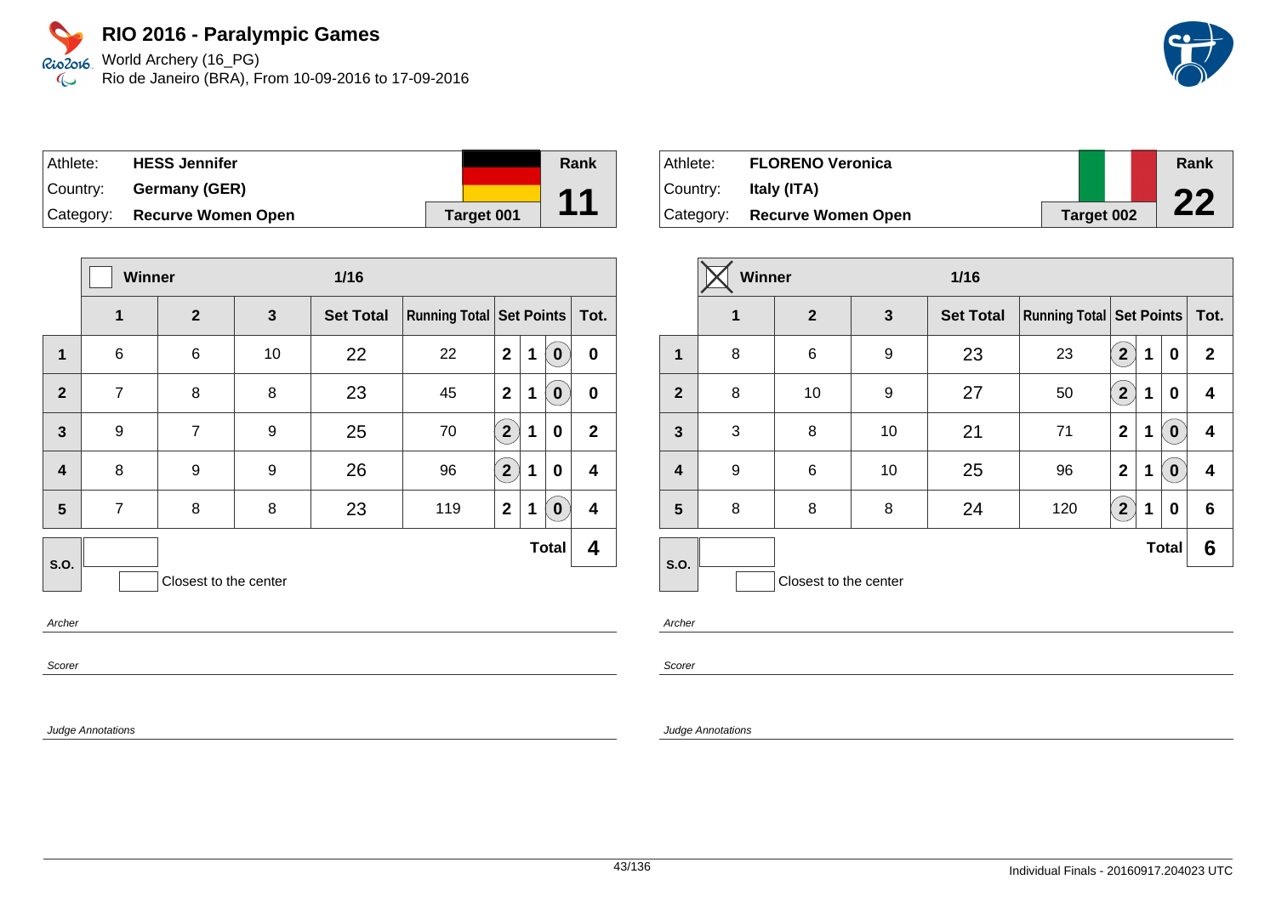World Archery (16\_PG) Rio de Janeiro (BRA), From 10-09-2016 to 17-09-2016

| Athlete:  | <b>HESS Jennifer</b>      |            | Rank |
|-----------|---------------------------|------------|------|
| Country:  | Germany (GER)             |            |      |
| Category: | <b>Recurve Women Open</b> | Target 001 | 11   |

|                         | <b>Winner</b>  |                       |    | $1/16$           |                            |              |             |              |              |
|-------------------------|----------------|-----------------------|----|------------------|----------------------------|--------------|-------------|--------------|--------------|
|                         | 1              | $\overline{2}$        | 3  | <b>Set Total</b> | Running Total   Set Points |              |             |              | Tot.         |
| $\mathbf 1$             | $\,6$          | 6                     | 10 | 22               | 22                         | $\mathbf{2}$ | $\mathbf 1$ | $\bf{0}$     | $\bf{0}$     |
| $\overline{2}$          | $\overline{7}$ | 8                     | 8  | 23               | 45                         | $\mathbf{2}$ | 1           | $\bf{0}$     | $\bf{0}$     |
| $\overline{3}$          | 9              | $\overline{7}$        | 9  | 25               | 70                         | $2^{1}$      | 1           | 0            | $\mathbf{2}$ |
| $\overline{\mathbf{4}}$ | 8              | 9                     | 9  | 26               | 96                         | $2^{1}$      | 1           | $\bf{0}$     | 4            |
| 5                       | $\overline{7}$ | 8                     | 8  | 23               | 119                        | $\mathbf{2}$ | 1           | $\bf{0}$     | 4            |
| S.O.                    |                |                       |    |                  |                            |              |             | <b>Total</b> | 4            |
|                         |                | Closest to the center |    |                  |                            |              |             |              |              |

Archer

Scorer

Judge Annotations

| Athlete:  | <b>FLORENO Veronica</b>      |                   | Rank |
|-----------|------------------------------|-------------------|------|
| ⊺Countr∨: | Italy (ITA)                  |                   | nn   |
|           | Category: Recurve Women Open | <b>Target 002</b> |      |

|                         | Winner<br>$1/16$ |                       |              |                  |                                     |                |   |              |              |
|-------------------------|------------------|-----------------------|--------------|------------------|-------------------------------------|----------------|---|--------------|--------------|
|                         | 1                | $\overline{2}$        | $\mathbf{3}$ | <b>Set Total</b> | <b>Running Total   Set Points  </b> |                |   |              | Tot.         |
| 1                       | 8                | 6                     | 9            | 23               | 23                                  | $\overline{2}$ | 1 | 0            | $\mathbf{2}$ |
| $\overline{2}$          | 8                | 10                    | 9            | 27               | 50                                  | $\overline{2}$ | 1 | $\bf{0}$     | 4            |
| 3                       | 3                | 8                     | 10           | 21               | 71                                  | $\mathbf{2}$   | 1 | $\bf{0}$     | 4            |
| $\overline{\mathbf{4}}$ | 9                | 6                     | 10           | 25               | 96                                  | $\overline{2}$ | 1 | $\mathbf 0$  | 4            |
| 5                       | 8                | 8                     | 8            | 24               | 120                                 | $2^{1}$        | 1 | 0            | 6            |
| S.O.                    |                  |                       |              |                  |                                     |                |   | <b>Total</b> | 6            |
|                         |                  | Closest to the center |              |                  |                                     |                |   |              |              |

Archer

Scorer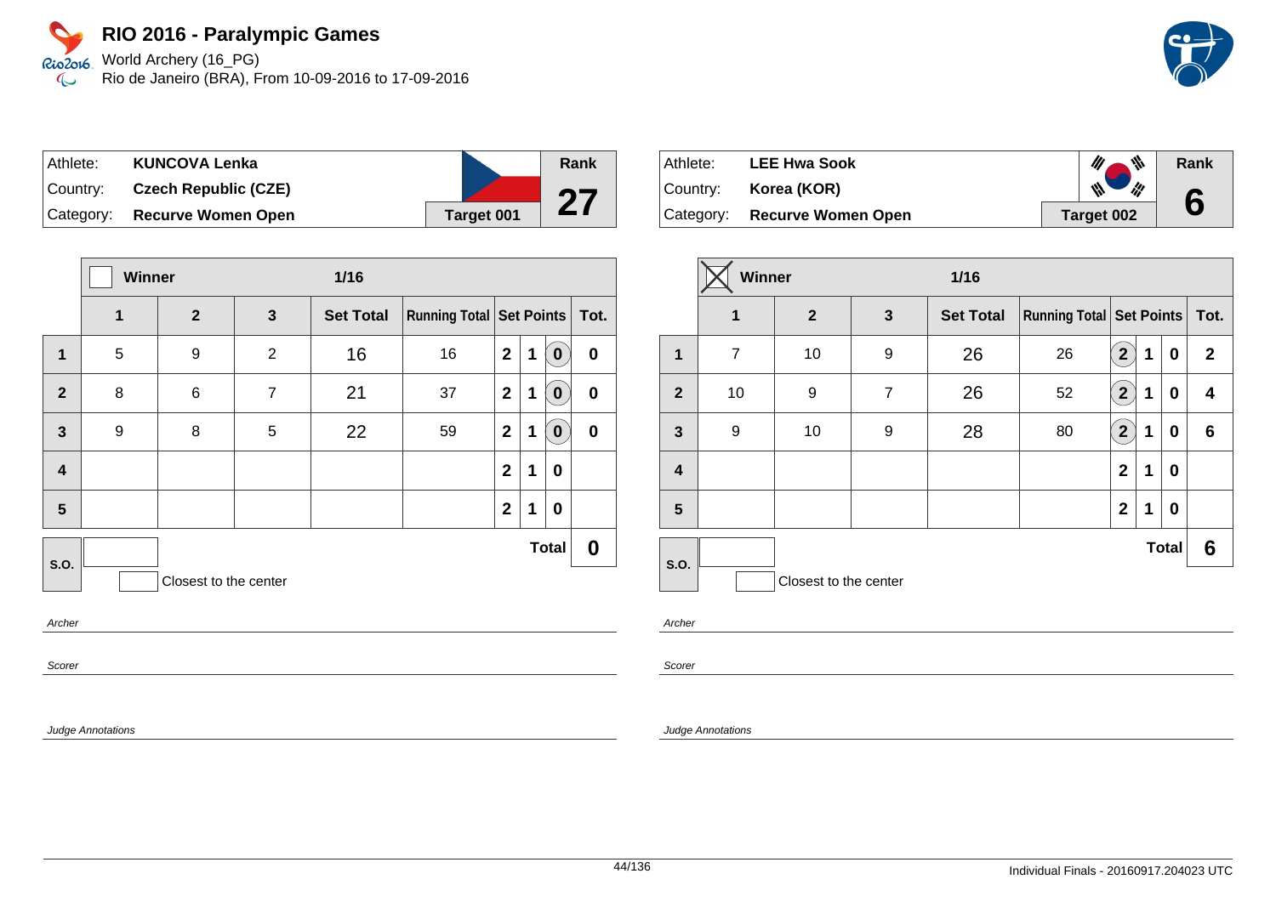World Archery (16\_PG) Rio de Janeiro (BRA), From 10-09-2016 to 17-09-2016

 $\overline{\phantom{a}}$ 

| Athlete:    | <b>KUNCOVA Lenka</b>        |            | <b>Rank</b> |
|-------------|-----------------------------|------------|-------------|
| ∣Country: i | <b>Czech Republic (CZE)</b> |            | CC          |
| Category:   | <b>Recurve Women Open</b>   | Target 001 | ∠           |

|                         |   | Winner<br>$1/16$      |                |                  |                               |              |             |              |           |
|-------------------------|---|-----------------------|----------------|------------------|-------------------------------|--------------|-------------|--------------|-----------|
|                         | 1 | $\overline{2}$        | 3              | <b>Set Total</b> | Running Total Set Points Tot. |              |             |              |           |
| $\mathbf 1$             | 5 | 9                     | $\overline{2}$ | 16               | 16                            | $\mathbf{2}$ | 1           | $\mathbf 0$  | $\pmb{0}$ |
| $\overline{2}$          | 8 | 6                     | $\overline{7}$ | 21               | 37                            | $\mathbf{2}$ | 1           | $\bf{0}$     | $\pmb{0}$ |
| $\overline{\mathbf{3}}$ | 9 | 8                     | 5              | 22               | 59                            | $\mathbf{2}$ | 1           | $\bf{0}$     | $\bf{0}$  |
| $\overline{\mathbf{4}}$ |   |                       |                |                  |                               | $\mathbf{2}$ | 1           | 0            |           |
| 5                       |   |                       |                |                  |                               | $\mathbf{2}$ | $\mathbf 1$ | $\mathbf 0$  |           |
| S.O.                    |   |                       |                |                  |                               |              |             | <b>Total</b> | 0         |
|                         |   | Closest to the center |                |                  |                               |              |             |              |           |
| $\overline{a}$          |   |                       |                |                  |                               |              |             |              |           |

**Archer** 

Scorer

Judge Annotations

| ⊦Athlete:   | <b>LEE Hwa Sook</b>          | $\mathscr{U}$<br>M.       | Rank |
|-------------|------------------------------|---------------------------|------|
| ∣Countr∨: l | Korea (KOR)                  | $\mathscr{M}_{\ell}$<br>W |      |
|             | Category: Recurve Women Open | Target 002                |      |

|                |             | Winner<br>$1/16$      |                |                  |                                     |                |   |              |              |
|----------------|-------------|-----------------------|----------------|------------------|-------------------------------------|----------------|---|--------------|--------------|
|                | $\mathbf 1$ | $\overline{2}$        | 3              | <b>Set Total</b> | <b>Running Total   Set Points  </b> |                |   |              | Tot.         |
| 1              | 7           | 10                    | 9              | 26               | 26                                  | $\overline{2}$ | 1 | 0            | $\mathbf{2}$ |
| $\mathbf{2}$   | 10          | 9                     | $\overline{7}$ | 26               | 52                                  | $\overline{2}$ | 1 | 0            | 4            |
| $\mathbf{3}$   | 9           | 10                    | 9              | 28               | 80                                  | $\mathbf{2}$   | 1 | 0            | 6            |
| 4              |             |                       |                |                  |                                     | $\mathbf{2}$   | 1 | 0            |              |
| $5\phantom{1}$ |             |                       |                |                  |                                     | $\overline{2}$ | 1 | 0            |              |
|                |             |                       |                |                  |                                     |                |   | <b>Total</b> | 6            |
| S.O.           |             | Closest to the center |                |                  |                                     |                |   |              |              |

Archer

Scorer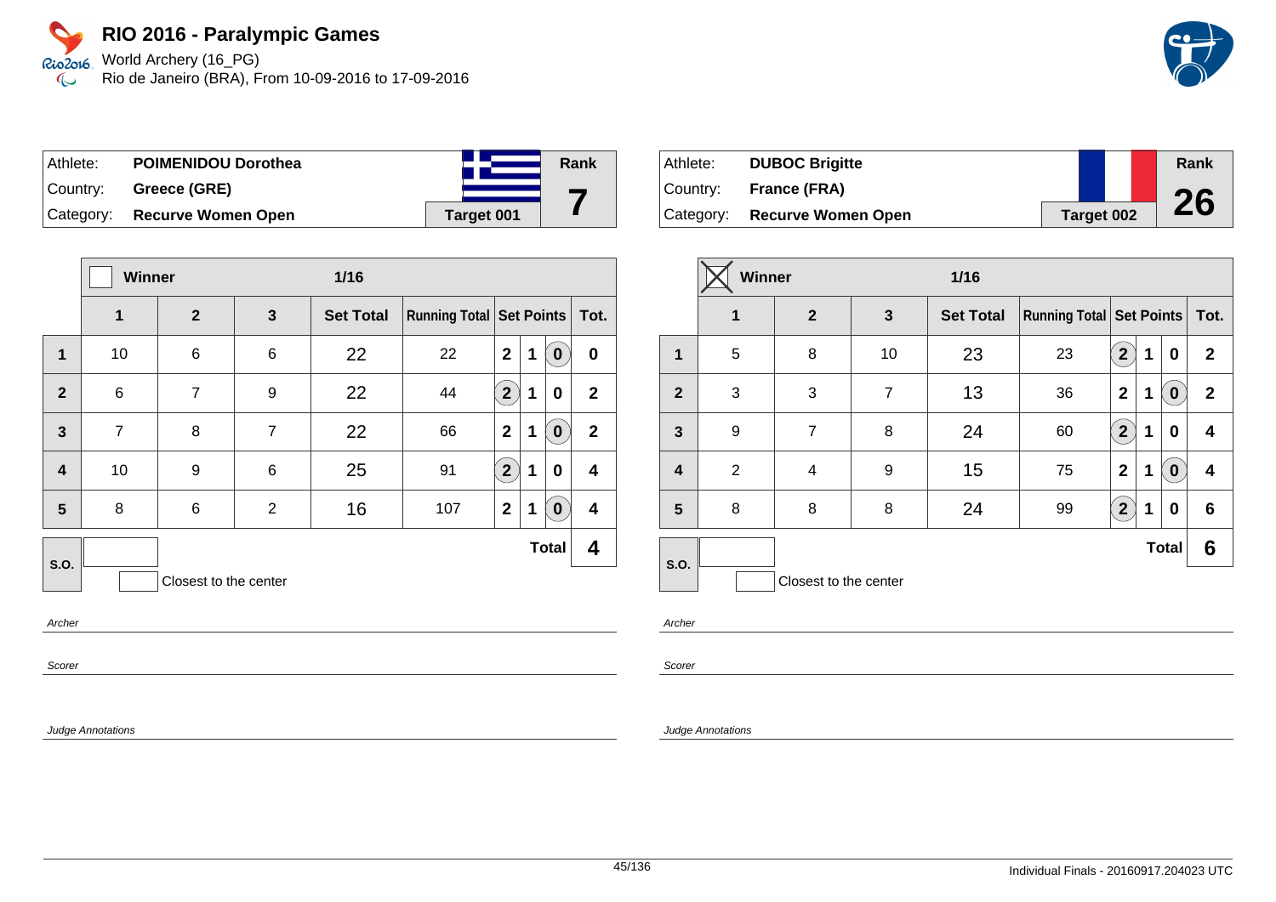World Archery (16\_PG) Rio de Janeiro (BRA), From 10-09-2016 to 17-09-2016

| Athlete:  | <b>POIMENIDOU Dorothea</b> |            | Rank |
|-----------|----------------------------|------------|------|
| ⊺Countr∨: | Greece (GRE)               |            |      |
| Category: | <b>Recurve Women Open</b>  | Target 001 |      |

|                         | <b>Winner</b>  |                       |                 | $1/16$           |                                     |                |             |                  |              |
|-------------------------|----------------|-----------------------|-----------------|------------------|-------------------------------------|----------------|-------------|------------------|--------------|
|                         | 1              | $\overline{2}$        | $\mathbf{3}$    | <b>Set Total</b> | <b>Running Total   Set Points  </b> |                |             |                  | Tot.         |
| $\mathbf 1$             | 10             | 6                     | $6\phantom{1}6$ | 22               | 22                                  | $\overline{2}$ | $\mathbf 1$ | $\boldsymbol{0}$ | 0            |
| $\overline{2}$          | $\,6$          | $\overline{7}$        | 9               | 22               | 44                                  | $\overline{2}$ | 1           | $\bf{0}$         | $\mathbf{2}$ |
| $\overline{3}$          | $\overline{7}$ | 8                     | $\overline{7}$  | 22               | 66                                  | $\overline{2}$ | 1           | $\boldsymbol{0}$ | $\mathbf{2}$ |
| $\overline{\mathbf{4}}$ | 10             | 9                     | $6\phantom{1}6$ | 25               | 91                                  | $\overline{2}$ | 1           | $\bf{0}$         | 4            |
| 5                       | 8              | 6                     | 2               | 16               | 107                                 | $\mathbf{2}$   | 1           | $\mathbf 0$      | 4            |
| S.O.                    |                |                       |                 |                  |                                     |                |             | <b>Total</b>     | 4            |
|                         |                | Closest to the center |                 |                  |                                     |                |             |                  |              |

Archer

Scorer

Judge Annotations

| Athlete:  | <b>DUBOC Brigitte</b>     |            | Rank |
|-----------|---------------------------|------------|------|
| ⊺Countr∨: | <b>France (FRA)</b>       |            |      |
| Category: | <b>Recurve Women Open</b> | Target 002 | 26   |

|                | Winner<br>$1/16$ |                       |                |                  |                                 |                         |   |                  |              |
|----------------|------------------|-----------------------|----------------|------------------|---------------------------------|-------------------------|---|------------------|--------------|
|                | 1                | $\overline{2}$        | $\mathbf{3}$   | <b>Set Total</b> | <b>Running Total Set Points</b> |                         |   |                  | Tot.         |
| 1              | 5                | 8                     | 10             | 23               | 23                              | $\overline{\mathbf{2}}$ | 1 | 0                | $\mathbf{2}$ |
| $\overline{2}$ | 3                | 3                     | $\overline{7}$ | 13               | 36                              | $\mathbf{2}$            | 1 | $\bf{0}$         | $\mathbf{2}$ |
| 3              | 9                | $\overline{7}$        | 8              | 24               | 60                              | $\overline{2}$          | 1 | 0                | 4            |
| 4              | 2                | 4                     | 9              | 15               | 75                              | $\mathbf{2}$            | 1 | $\boldsymbol{0}$ | 4            |
| 5              | 8                | 8                     | 8              | 24               | 99                              | $2^{1}$                 | 1 | 0                | 6            |
| S.O.           |                  |                       |                |                  |                                 |                         |   | <b>Total</b>     | 6            |
|                |                  | Closest to the center |                |                  |                                 |                         |   |                  |              |

Archer

Scorer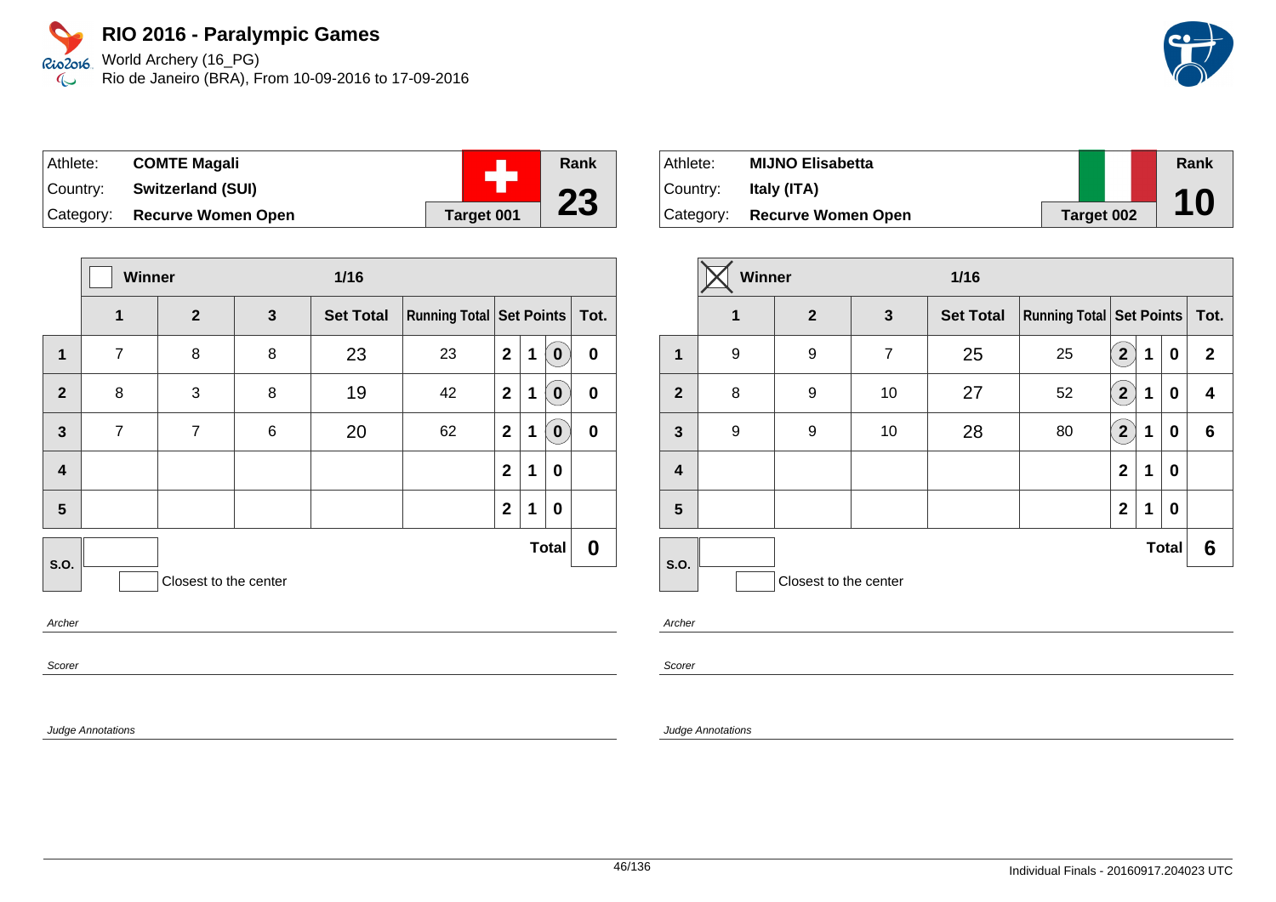World Archery (16\_PG) Rio de Janeiro (BRA), From 10-09-2016 to 17-09-2016

| Athlete:  | <b>COMTE Magali</b>       |            | <b>Rank</b> |
|-----------|---------------------------|------------|-------------|
| Country:  | <b>Switzerland (SUI)</b>  |            |             |
| Category: | <b>Recurve Women Open</b> | Target 001 | 23          |

|                         |                | Winner<br>$1/16$      |              |                  |                               |              |   |              |           |
|-------------------------|----------------|-----------------------|--------------|------------------|-------------------------------|--------------|---|--------------|-----------|
|                         | 1              | $\overline{2}$        | $\mathbf{3}$ | <b>Set Total</b> | Running Total Set Points Tot. |              |   |              |           |
| $\mathbf 1$             | $\overline{7}$ | 8                     | 8            | 23               | 23                            | $\mathbf{2}$ | 1 | $\bf{0}$     | $\bf{0}$  |
| $\overline{2}$          | 8              | 3                     | 8            | 19               | 42                            | $\mathbf{2}$ | 1 | $\mathbf 0$  | $\bf{0}$  |
| $\mathbf{3}$            | $\overline{7}$ | $\overline{7}$        | 6            | 20               | 62                            | $\mathbf{2}$ | 1 | $\mathbf 0$  | $\pmb{0}$ |
| $\overline{\mathbf{4}}$ |                |                       |              |                  |                               | $\mathbf{2}$ | 1 | $\mathbf 0$  |           |
| 5                       |                |                       |              |                  |                               | $\mathbf{2}$ | 1 | $\mathbf 0$  |           |
| S.O.                    |                |                       |              |                  |                               |              |   | <b>Total</b> | 0         |
|                         |                | Closest to the center |              |                  |                               |              |   |              |           |
| Arches                  |                |                       |              |                  |                               |              |   |              |           |

Archer

Scorer

Judge Annotations

| Athlete:  | <b>MIJNO Elisabetta</b>   |            | Rank |
|-----------|---------------------------|------------|------|
| ⊺Countr∨: | Italy (ITA)               |            |      |
| Category: | <b>Recurve Women Open</b> | Target 002 | 10   |

|                  | Winner |                       |                | $1/16$           |                                 |                         |   |              |              |
|------------------|--------|-----------------------|----------------|------------------|---------------------------------|-------------------------|---|--------------|--------------|
|                  | 1      | $\overline{2}$        | $\mathbf{3}$   | <b>Set Total</b> | <b>Running Total Set Points</b> |                         |   | Tot.         |              |
| $\mathbf 1$      | 9      | 9                     | $\overline{7}$ | 25               | 25                              | $\overline{\mathbf{2}}$ | 1 | $\bf{0}$     | $\mathbf{2}$ |
| $\overline{2}$   | 8      | 9                     | 10             | 27               | 52                              | $\overline{\mathbf{2}}$ | 1 | $\bf{0}$     | 4            |
| $\mathbf{3}$     | 9      | 9                     | 10             | 28               | 80                              | $\overline{2}$          | 1 | 0            | 6            |
| $\boldsymbol{4}$ |        |                       |                |                  |                                 | $\overline{2}$          | 1 | 0            |              |
| 5                |        |                       |                |                  |                                 | $\overline{2}$          | 1 | 0            |              |
|                  |        |                       |                |                  |                                 |                         |   | <b>Total</b> | 6            |
| <b>S.O.</b>      |        | Closest to the center |                |                  |                                 |                         |   |              |              |

Archer

Scorer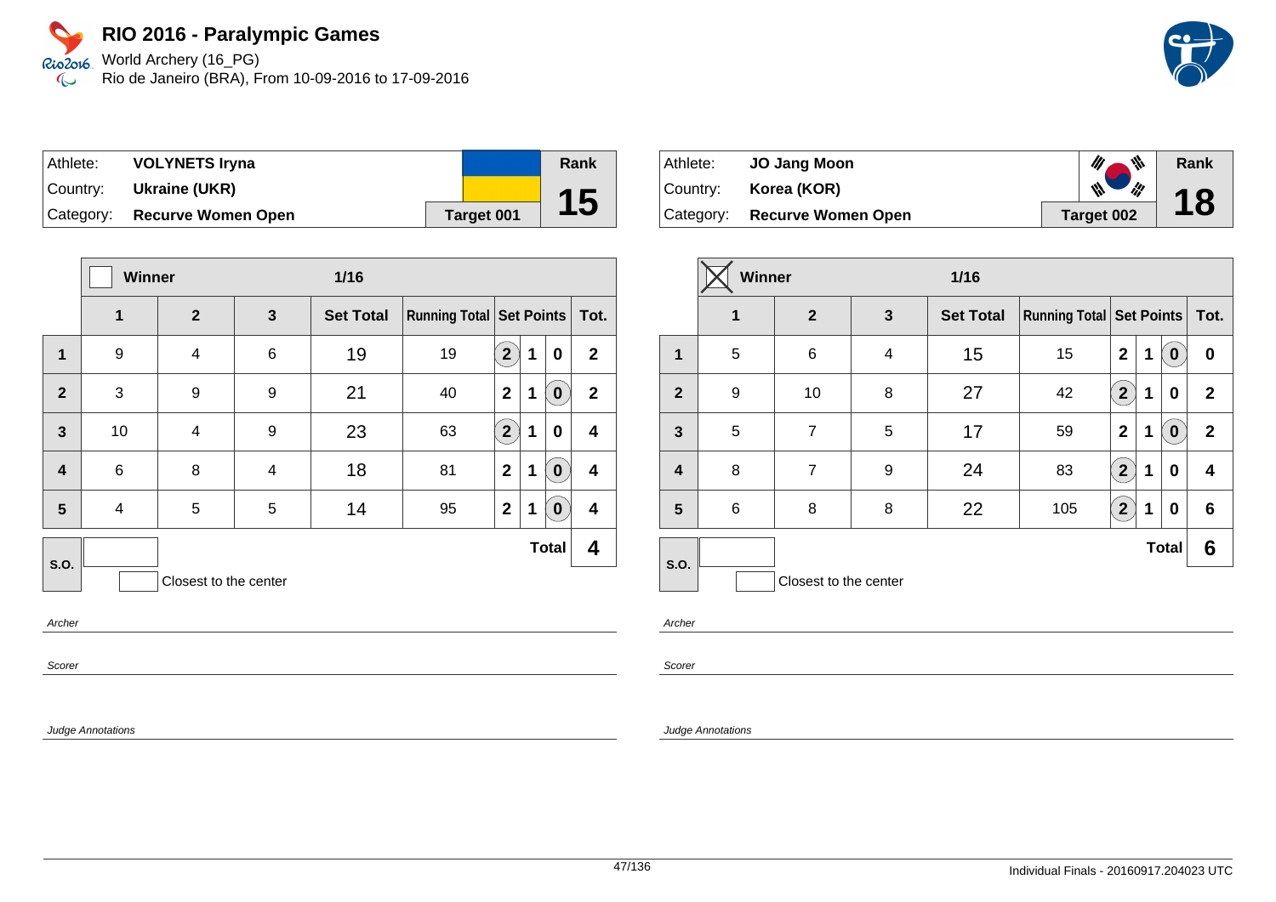World Archery (16\_PG) Rio de Janeiro (BRA), From 10-09-2016 to 17-09-2016

| ∣Athlete: | <b>VOLYNETS Iryna</b>     |            | Rank |
|-----------|---------------------------|------------|------|
| Country:  | Ukraine (UKR)             |            |      |
| Category: | <b>Recurve Women Open</b> | Target 001 | 15   |

|                         | Winner          |                       |   | $1/16$           |                            |                |             |              |              |
|-------------------------|-----------------|-----------------------|---|------------------|----------------------------|----------------|-------------|--------------|--------------|
|                         | 1               | $\overline{2}$        | 3 | <b>Set Total</b> | Running Total   Set Points |                |             |              | Tot.         |
| 1                       | 9               | 4                     | 6 | 19               | 19                         | $\overline{2}$ | 1           | $\bf{0}$     | $\mathbf{2}$ |
| $\overline{2}$          | 3               | 9                     | 9 | 21               | 40                         | $\mathbf{2}$   | 1           | 0            | $\mathbf{2}$ |
| 3                       | 10              | 4                     | 9 | 23               | 63                         | $2^{1}$        | 1           | 0            | 4            |
| $\overline{\mathbf{4}}$ | $6\phantom{1}6$ | 8                     | 4 | 18               | 81                         | $\mathbf{2}$   | 1           | 0            | 4            |
| 5                       | 4               | 5                     | 5 | 14               | 95                         | $\mathbf{2}$   | $\mathbf 1$ | $\bf{0}$     | 4            |
| S.O.                    |                 |                       |   |                  |                            |                |             | <b>Total</b> | 4            |
|                         |                 | Closest to the center |   |                  |                            |                |             |              |              |

Archer

Scorer

Judge Annotations

| Athlete:  | <b>JO Jang Moon</b>       | 111        | Rank |
|-----------|---------------------------|------------|------|
| Country:  | Korea (KOR)               | ill<br>W   | 18   |
| Category: | <b>Recurve Women Open</b> | Target 002 |      |

|                | Winner      |                       |   | $1/16$           |                                 |                         |   |              |              |  |      |
|----------------|-------------|-----------------------|---|------------------|---------------------------------|-------------------------|---|--------------|--------------|--|------|
|                | $\mathbf 1$ | $\overline{2}$        | 3 | <b>Set Total</b> | <b>Running Total Set Points</b> |                         |   |              |              |  | Tot. |
| 1              | 5           | 6                     | 4 | 15               | 15                              | $\overline{2}$          | 1 | 0            | $\bf{0}$     |  |      |
| $\overline{2}$ | 9           | 10                    | 8 | 27               | 42                              | $\overline{\mathbf{2}}$ | 1 | 0            | $\mathbf{2}$ |  |      |
| 3              | 5           | 7                     | 5 | 17               | 59                              | $\mathbf{2}$            | 1 | 0            | $\mathbf{2}$ |  |      |
| $\overline{4}$ | 8           | $\overline{7}$        | 9 | 24               | 83                              | (2)                     | 1 | 0            | 4            |  |      |
| 5              | 6           | 8                     | 8 | 22               | 105                             | $2^{1}$                 | 1 | 0            | 6            |  |      |
| <b>S.O.</b>    |             |                       |   |                  |                                 |                         |   | <b>Total</b> | 6            |  |      |
|                |             | Closest to the center |   |                  |                                 |                         |   |              |              |  |      |

Archer

Scorer

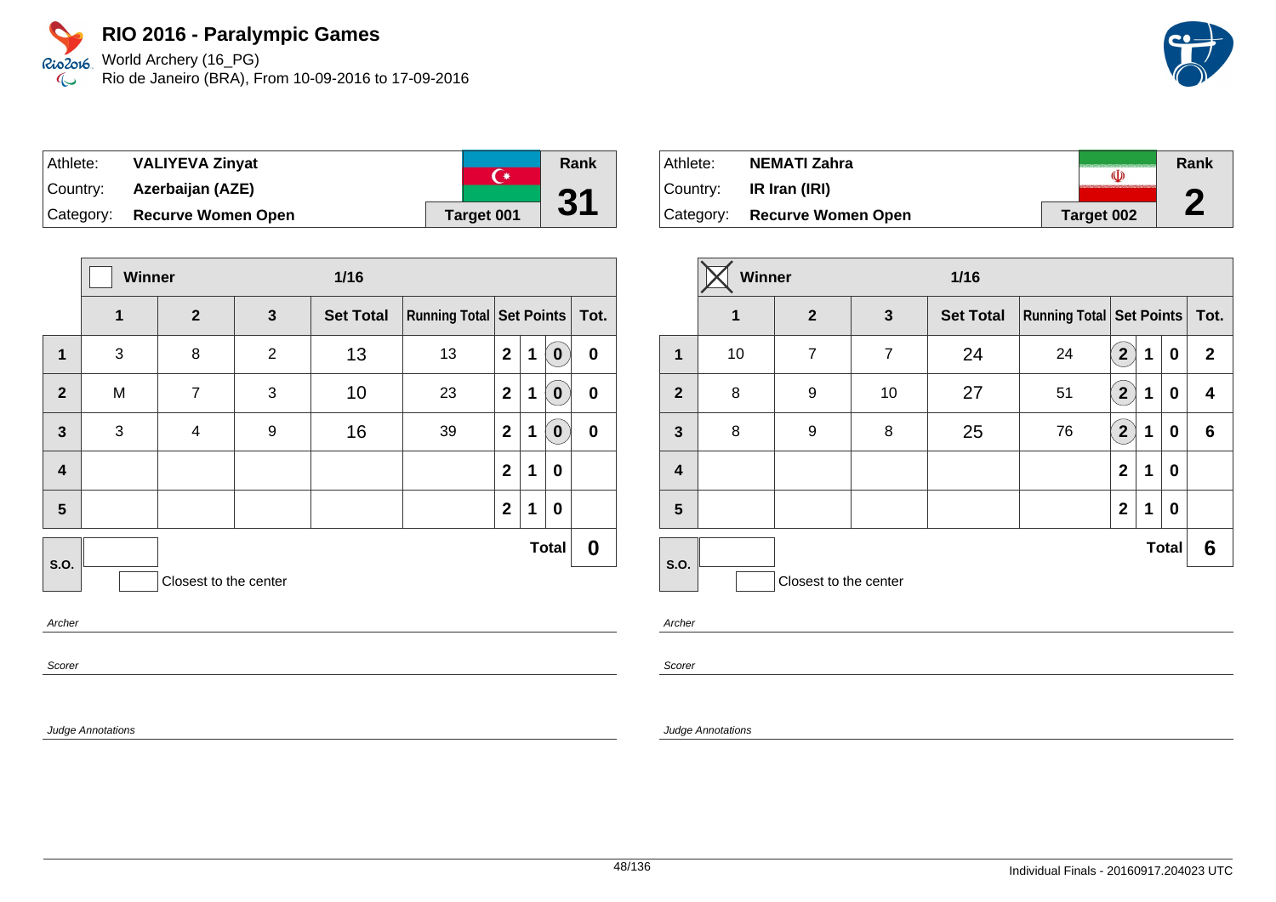World Archery (16\_PG) Rio de Janeiro (BRA), From 10-09-2016 to 17-09-2016

| Athlete:   | <b>VALIYEVA Zinyat</b>    | $\curvearrowright$ | Rank |
|------------|---------------------------|--------------------|------|
| Country: I | Azerbaijan (AZE)          |                    |      |
| Category:  | <b>Recurve Women Open</b> | Target 001         | 31   |

|                         | Winner       |                       |                | $1/16$           |                               |                         |             |              |                  |
|-------------------------|--------------|-----------------------|----------------|------------------|-------------------------------|-------------------------|-------------|--------------|------------------|
|                         | $\mathbf{1}$ | $\overline{2}$        | $\mathbf{3}$   | <b>Set Total</b> | Running Total Set Points Tot. |                         |             |              |                  |
| $\mathbf 1$             | 3            | 8                     | $\overline{2}$ | 13               | 13                            | $\mathbf{2}$            | 1           | $\bf{0}$     | $\boldsymbol{0}$ |
| $\overline{2}$          | M            | $\overline{7}$        | 3              | 10               | 23                            | $\mathbf{2}$            | $\mathbf 1$ | $\bf{0}$     | $\bf{0}$         |
| $\mathbf{3}$            | 3            | 4                     | 9              | 16               | 39                            | $\mathbf{2}$            | 1           | $\bf{0}$     | $\bf{0}$         |
| $\overline{\mathbf{4}}$ |              |                       |                |                  |                               | $\overline{\mathbf{2}}$ | 1           | 0            |                  |
| 5                       |              |                       |                |                  |                               | $\mathbf{2}$            | 1           | $\bf{0}$     |                  |
| S.O.                    |              |                       |                |                  |                               |                         |             | <b>Total</b> | 0                |
|                         |              | Closest to the center |                |                  |                               |                         |             |              |                  |
| Archer                  |              |                       |                |                  |                               |                         |             |              |                  |

Scorer

Judge Annotations

| Athlete:  | NEMATI Zahra                 |            | Rank |
|-----------|------------------------------|------------|------|
| ⊺Countr∨: | IR Iran (IRI)                |            | Ħ    |
|           | Category: Recurve Women Open | Target 002 | L    |

|                | Winner |                       |                | $1/16$           |                                     |                |             |              |              |
|----------------|--------|-----------------------|----------------|------------------|-------------------------------------|----------------|-------------|--------------|--------------|
|                | 1      | $\mathbf{2}$          | $\mathbf{3}$   | <b>Set Total</b> | <b>Running Total   Set Points  </b> |                |             |              | Tot.         |
| $\mathbf 1$    | 10     | $\overline{7}$        | $\overline{7}$ | 24               | 24                                  | $\overline{2}$ | 1           | $\bf{0}$     | $\mathbf{2}$ |
| $\overline{2}$ | 8      | 9                     | 10             | 27               | 51                                  | $\mathbf{[2]}$ | 1           | 0            | 4            |
| $\mathbf{3}$   | 8      | 9                     | 8              | 25               | 76                                  | $\overline{2}$ | 1           | 0            | 6            |
| 4              |        |                       |                |                  |                                     | $\mathbf{2}$   | $\mathbf 1$ | 0            |              |
| 5              |        |                       |                |                  |                                     | $\mathbf{2}$   | 1           | 0            |              |
|                |        |                       |                |                  |                                     |                |             | <b>Total</b> | 6            |
| S.O.           |        | Closest to the center |                |                  |                                     |                |             |              |              |

Archer

Scorer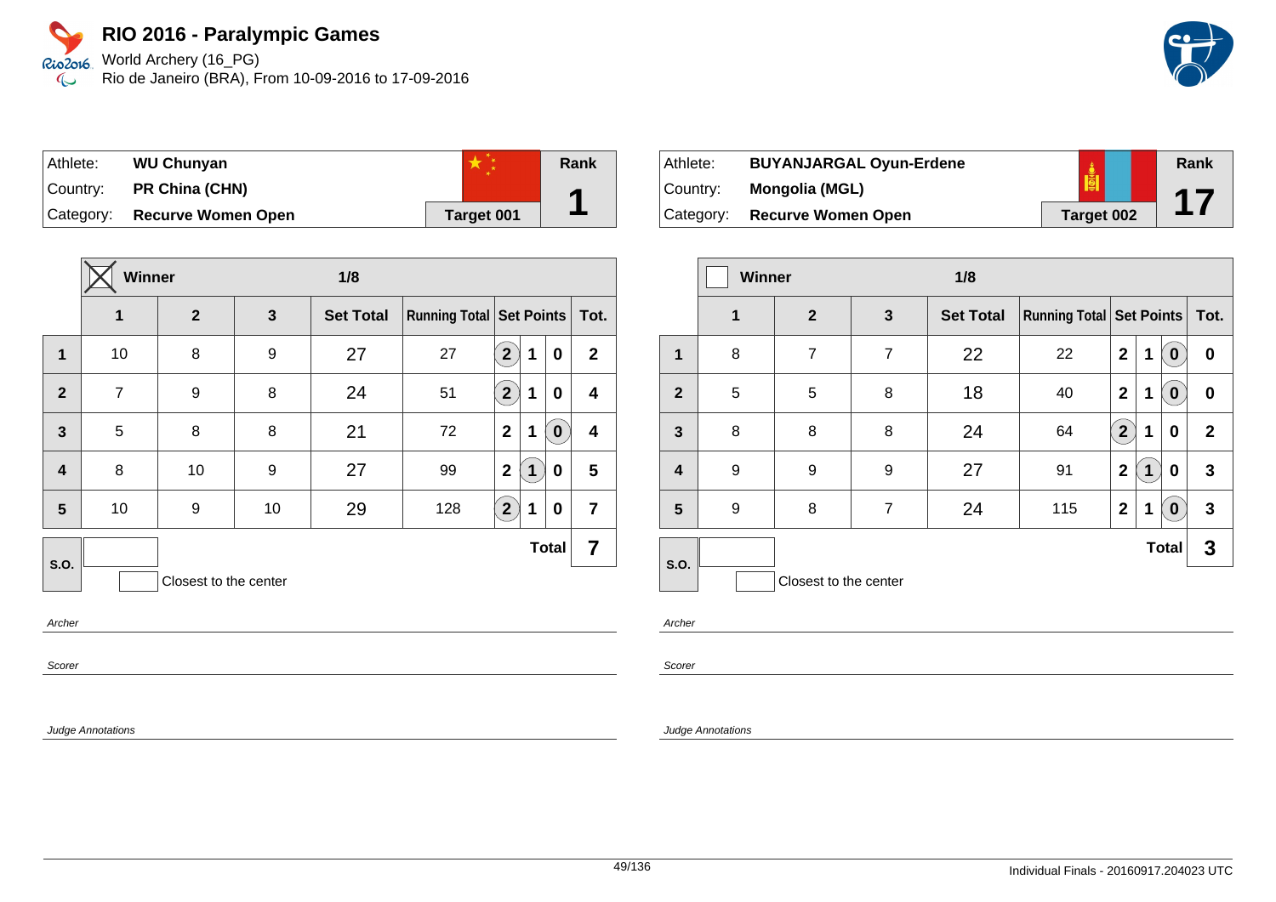World Archery (16\_PG) Rio2016 Rio de Janeiro (BRA), From 10-09-2016 to 17-09-2016  $\infty$ 

| Athlete:  | <b>WU Chunyan</b>         |            | <b>Rank</b> |
|-----------|---------------------------|------------|-------------|
| Country:  | PR China (CHN)            |            | А           |
| Category: | <b>Recurve Women Open</b> | Target 001 |             |

|                         | <b>Winner</b>  |                       |    | 1/8              |                                     |                |   |              |                |
|-------------------------|----------------|-----------------------|----|------------------|-------------------------------------|----------------|---|--------------|----------------|
|                         | 1              | $\mathbf{2}$          | 3  | <b>Set Total</b> | <b>Running Total   Set Points  </b> |                |   |              | Tot.           |
| $\overline{1}$          | 10             | 8                     | 9  | 27               | 27                                  | $\overline{2}$ | 1 | $\bf{0}$     | $\mathbf{2}$   |
| $\overline{2}$          | $\overline{7}$ | 9                     | 8  | 24               | 51                                  | $2^{1}$        | 1 | $\bf{0}$     | 4              |
| $\overline{3}$          | 5              | 8                     | 8  | 21               | 72                                  | $\mathbf{2}$   | 1 | 0            | 4              |
| $\overline{\mathbf{4}}$ | 8              | 10                    | 9  | 27               | 99                                  | $\mathbf{2}$   | 1 | $\bf{0}$     | 5              |
| 5                       | 10             | 9                     | 10 | 29               | 128                                 | $2^{1}$        | 1 | 0            | $\overline{7}$ |
| S.O.                    |                |                       |    |                  |                                     |                |   | <b>Total</b> | 7              |
|                         |                | Closest to the center |    |                  |                                     |                |   |              |                |

Archer

Scorer

Judge Annotations

Athlete: **BUYANJARGAL Oyun-Erdene** Country: **Mongolia (MGL)** Category: **Recurve Women Open Target 002 Rank 17**

|                         | <b>Winner</b> |                       |                | 1/8              |                                     |                |             |                  |              |
|-------------------------|---------------|-----------------------|----------------|------------------|-------------------------------------|----------------|-------------|------------------|--------------|
|                         | $\mathbf 1$   | $\overline{2}$        | 3              | <b>Set Total</b> | <b>Running Total   Set Points  </b> |                |             |                  | Tot.         |
| 1                       | 8             | 7                     | $\overline{7}$ | 22               | 22                                  | $\mathbf{2}$   | 1           | $\bf{0}$         | 0            |
| $\overline{2}$          | 5             | 5                     | 8              | 18               | 40                                  | $\mathbf{2}$   | $\mathbf 1$ | $\boldsymbol{0}$ | 0            |
| $\overline{\mathbf{3}}$ | 8             | 8                     | 8              | 24               | 64                                  | $\overline{2}$ | 1           | 0                | $\mathbf{2}$ |
| 4                       | 9             | 9                     | 9              | 27               | 91                                  | $\mathbf 2$    | 1           | 0                | 3            |
| 5                       | 9             | 8                     | $\overline{7}$ | 24               | 115                                 | $\mathbf{2}$   | 1           | $\mathbf 0$      | 3            |
| S.O.                    |               |                       |                |                  |                                     |                |             | <b>Total</b>     | 3            |
|                         |               | Closest to the center |                |                  |                                     |                |             |                  |              |

Archer

Scorer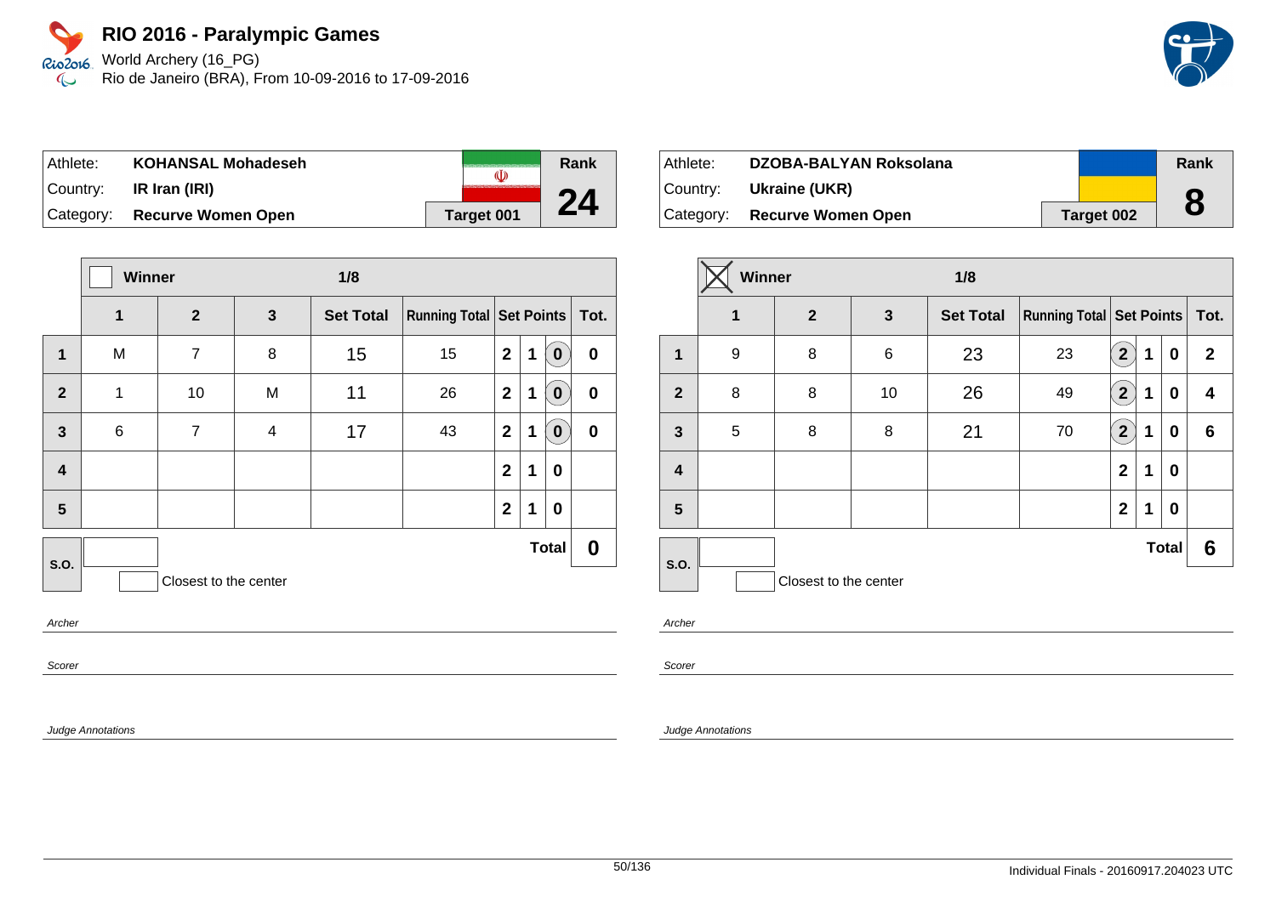World Archery (16\_PG) Rio de Janeiro (BRA), From 10-09-2016 to 17-09-2016

| ∣Athlete: | <b>KOHANSAL Mohadeseh</b>    |            | Rank |
|-----------|------------------------------|------------|------|
| Country:  | IR Iran (IRI)                |            |      |
|           | Category: Recurve Women Open | Target 001 |      |

|                         | Winner |                       |              | 1/8              |                               |              |   |              |                  |
|-------------------------|--------|-----------------------|--------------|------------------|-------------------------------|--------------|---|--------------|------------------|
|                         | 1      | $\overline{2}$        | $\mathbf{3}$ | <b>Set Total</b> | Running Total Set Points Tot. |              |   |              |                  |
| $\mathbf 1$             | M      | $\overline{7}$        | 8            | 15               | 15                            | $\mathbf{2}$ | 1 | $\mathbf 0$  | $\pmb{0}$        |
| $\overline{2}$          | 1      | 10                    | M            | 11               | 26                            | $\mathbf{2}$ | 1 | $\mathbf 0$  | $\boldsymbol{0}$ |
| $\mathbf{3}$            | 6      | $\overline{7}$        | 4            | 17               | 43                            | $\mathbf{2}$ | 1 | $\bf{0}$     | $\pmb{0}$        |
| $\overline{\mathbf{4}}$ |        |                       |              |                  |                               | $\mathbf{2}$ | 1 | 0            |                  |
| 5                       |        |                       |              |                  |                               | $\mathbf{2}$ | 1 | 0            |                  |
| S.O.                    |        |                       |              |                  |                               |              |   | <b>Total</b> | 0                |
|                         |        | Closest to the center |              |                  |                               |              |   |              |                  |
| Archer                  |        |                       |              |                  |                               |              |   |              |                  |

Archer

Scorer

Judge Annotations

| Athlete: | DZOBA-BALYAN Roksolana        |            | Rank |
|----------|-------------------------------|------------|------|
|          | Country: <b>Ukraine (UKR)</b> |            |      |
|          | Category: Recurve Women Open  | Target 002 |      |

|                         | Winner |                       |              | 1/8              |                               |                |   |              |              |
|-------------------------|--------|-----------------------|--------------|------------------|-------------------------------|----------------|---|--------------|--------------|
|                         | 1      | $\overline{2}$        | $\mathbf{3}$ | <b>Set Total</b> | Running Total Set Points Tot. |                |   |              |              |
| 1                       | 9      | 8                     | 6            | 23               | 23                            | $\overline{2}$ | 1 | 0            | $\mathbf{2}$ |
| $\overline{2}$          | 8      | 8                     | 10           | 26               | 49                            | $\boxed{2}$    | 1 | 0            | 4            |
| $\mathbf{3}$            | 5      | 8                     | 8            | 21               | 70                            | $\boxed{2}$    | 1 | 0            | 6            |
| $\overline{\mathbf{r}}$ |        |                       |              |                  |                               | $\mathbf{2}$   | 1 | 0            |              |
| 5                       |        |                       |              |                  |                               | $\overline{2}$ | 1 | 0            |              |
|                         |        |                       |              |                  |                               |                |   | <b>Total</b> | 6            |
| <b>S.O.</b>             |        | Closest to the center |              |                  |                               |                |   |              |              |

Archer

Scorer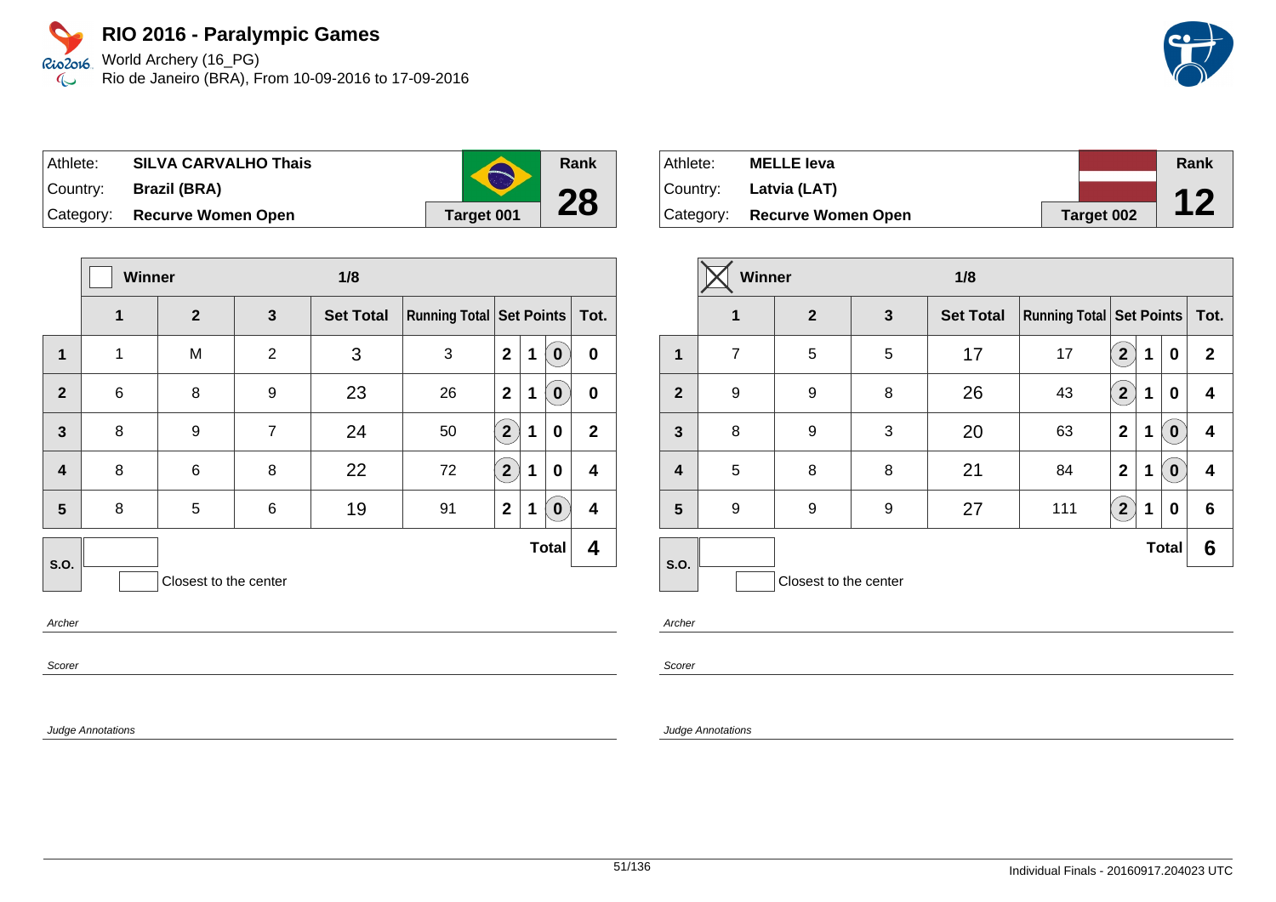World Archery (16\_PG) Rio de Janeiro (BRA), From 10-09-2016 to 17-09-2016

| Athlete: | <b>SILVA CARVALHO Thais</b>  |            |
|----------|------------------------------|------------|
|          | Country: Brazil (BRA)        |            |
|          | Category: Recurve Women Open | Target 001 |

|                         | <b>Winner</b> |                       |                | 1/8              |                                     |                      |   |              |              |
|-------------------------|---------------|-----------------------|----------------|------------------|-------------------------------------|----------------------|---|--------------|--------------|
|                         | $\mathbf{1}$  | $\overline{2}$        | 3              | <b>Set Total</b> | <b>Running Total   Set Points  </b> |                      |   |              | Tot.         |
| 1                       | 1             | M                     | $\overline{2}$ | 3                | 3                                   | $\mathbf{2}$         | 1 | 0            | $\bf{0}$     |
| $\mathbf{2}$            | $\,6$         | 8                     | 9              | 23               | 26                                  | $\mathbf{2}$         | 1 | 0            | $\bf{0}$     |
| $\mathbf{3}$            | 8             | 9                     | $\overline{7}$ | 24               | 50                                  | $\mathbf{2}^{\circ}$ | 1 | $\mathbf 0$  | $\mathbf{2}$ |
| $\overline{\mathbf{r}}$ | 8             | 6                     | 8              | 22               | 72                                  | $\overline{2}$       | 1 | 0            | 4            |
| 5                       | 8             | 5                     | 6              | 19               | 91                                  | $\mathbf 2$          | 1 | 0            | 4            |
| S.O.                    |               |                       |                |                  |                                     |                      |   | <b>Total</b> | 4            |
|                         |               | Closest to the center |                |                  |                                     |                      |   |              |              |

Archer

Scorer

Judge Annotations

| Athlete: | <b>MELLE leva</b>            |                   | Rank |
|----------|------------------------------|-------------------|------|
|          | Country: Latvia (LAT)        |                   |      |
|          | Category: Recurve Women Open | <b>Target 002</b> | 12   |

|                  | Winner         |                       |              | 1/8              |                                 |                |   |              |              |
|------------------|----------------|-----------------------|--------------|------------------|---------------------------------|----------------|---|--------------|--------------|
|                  | 1              | $\mathbf{2}$          | $\mathbf{3}$ | <b>Set Total</b> | <b>Running Total Set Points</b> |                |   |              | Tot.         |
| 1                | $\overline{7}$ | 5                     | 5            | 17               | 17                              | $\mathbf{2}$   | 1 | 0            | $\mathbf{2}$ |
| $\overline{2}$   | 9              | 9                     | 8            | 26               | 43                              | $\overline{2}$ | 1 | 0            | 4            |
| $\mathbf{3}$     | 8              | 9                     | 3            | 20               | 63                              | $\mathbf 2$    | 1 | $\bf{0}$     | 4            |
| $\boldsymbol{4}$ | 5              | 8                     | 8            | 21               | 84                              | $\mathbf 2$    | 1 | $\bf{0}$     | 4            |
| 5                | 9              | 9                     | 9            | 27               | 111                             | $\overline{2}$ | 1 | 0            | 6            |
| <b>S.O.</b>      |                |                       |              |                  |                                 |                |   | <b>Total</b> | 6            |
|                  |                | Closest to the center |              |                  |                                 |                |   |              |              |

Archer

**Rank**

**28**

Scorer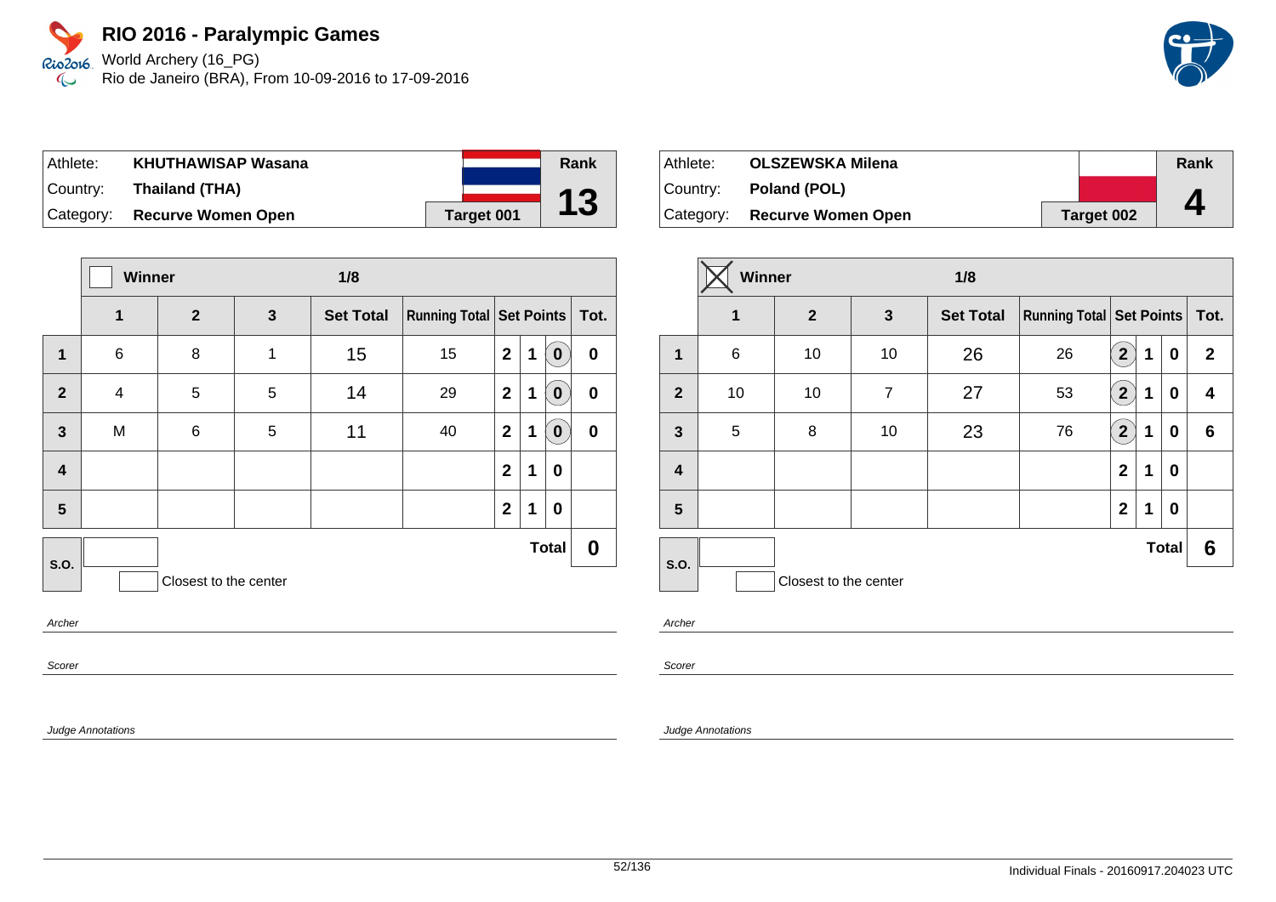Rio2o16, World Archery (16\_PG) Rio de Janeiro (BRA), From 10-09-2016 to 17-09-2016  $\infty$ 

| Athlete:  | <b>KHUTHAWISAP Wasana</b>    |            | Rank |
|-----------|------------------------------|------------|------|
| ⊺Countr∨: | Thailand (THA)               |            |      |
|           | Category: Recurve Women Open | Target 001 | 13   |

|                         |                         | Winner<br>1/8         |   |                  |                               |              |   |              |                  |
|-------------------------|-------------------------|-----------------------|---|------------------|-------------------------------|--------------|---|--------------|------------------|
|                         | $\mathbf{1}$            | $\overline{2}$        | 3 | <b>Set Total</b> | Running Total Set Points Tot. |              |   |              |                  |
| 1                       | $\,6$                   | 8                     | 1 | 15               | 15                            | $\mathbf{2}$ | 1 | $\bf{0}$     | $\boldsymbol{0}$ |
| $\overline{2}$          | $\overline{\mathbf{4}}$ | 5                     | 5 | 14               | 29                            | $\mathbf{2}$ | 1 | $\bf{0}$     | $\pmb{0}$        |
| $\mathbf{3}$            | M                       | $\,6$                 | 5 | 11               | 40                            | $\mathbf{2}$ | 1 | $\mathbf 0$  | $\pmb{0}$        |
| $\overline{\mathbf{4}}$ |                         |                       |   |                  |                               | $\mathbf{2}$ | 1 | 0            |                  |
| $5\phantom{1}$          |                         |                       |   |                  |                               | $\mathbf{2}$ | 1 | 0            |                  |
| <b>S.O.</b>             |                         |                       |   |                  |                               |              |   | <b>Total</b> | 0                |
|                         |                         | Closest to the center |   |                  |                               |              |   |              |                  |
| Archer                  |                         |                       |   |                  |                               |              |   |              |                  |

Athlete: **OLSZEWSKA Milena** Country: **Poland (POL)** Category: **Recurve Women Open Target 002 Rank 4**

|                  | Winner          |                       |                | 1/8              |                                     |                         |   |              |              |
|------------------|-----------------|-----------------------|----------------|------------------|-------------------------------------|-------------------------|---|--------------|--------------|
|                  | 1               | $\mathbf{2}$          | 3              | <b>Set Total</b> | <b>Running Total   Set Points  </b> |                         |   |              | Tot.         |
| 1                | $6\phantom{1}6$ | 10                    | 10             | 26               | 26                                  | $\mathbf{2}$            | 1 | $\bf{0}$     | $\mathbf{2}$ |
| $\overline{2}$   | 10              | 10                    | $\overline{7}$ | 27               | 53                                  | $\overline{\mathbf{2}}$ | 1 | $\bf{0}$     | 4            |
| $\mathbf{3}$     | $\sqrt{5}$      | 8                     | 10             | 23               | 76                                  | $\overline{2}$          | 1 | 0            | 6            |
| $\boldsymbol{4}$ |                 |                       |                |                  |                                     | $\overline{2}$          | 1 | 0            |              |
| $5\phantom{1}$   |                 |                       |                |                  |                                     | $\mathbf{2}$            | 1 | $\bf{0}$     |              |
|                  |                 |                       |                |                  |                                     |                         |   | <b>Total</b> | 6            |
| S.O.             |                 | Closest to the center |                |                  |                                     |                         |   |              |              |

Archer

Scorer

Judge Annotations

Scorer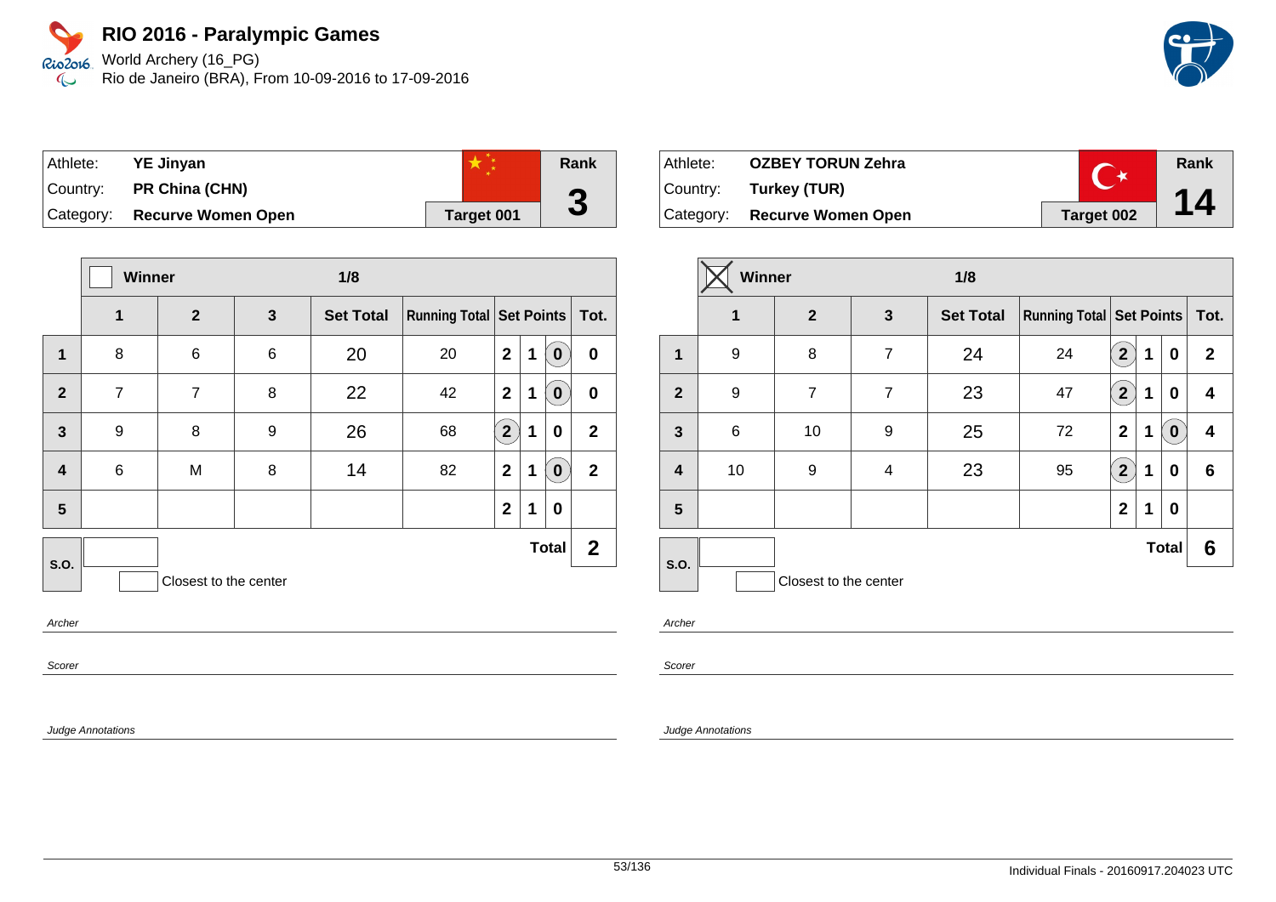World Archery (16\_PG) Rio de Janeiro (BRA), From 10-09-2016 to 17-09-2016



| ⊺Athlete: | <b>YE Jinyan</b>             |            | Rank |
|-----------|------------------------------|------------|------|
|           | Country: PR China (CHN)      |            | Л    |
|           | Category: Recurve Women Open | Target 001 | J    |

|                         | Winner<br>1/8  |                       |   |                  |                               |                |   |              |                |
|-------------------------|----------------|-----------------------|---|------------------|-------------------------------|----------------|---|--------------|----------------|
|                         | 1              | $\overline{2}$        | 3 | <b>Set Total</b> | Running Total Set Points Tot. |                |   |              |                |
| $\mathbf 1$             | 8              | 6                     | 6 | 20               | 20                            | $\mathbf{2}$   | 1 | 0            | $\bf{0}$       |
| $\overline{2}$          | $\overline{7}$ | $\overline{7}$        | 8 | 22               | 42                            | $\mathbf{2}$   | 1 | 0            | $\bf{0}$       |
| $\mathbf{3}$            | 9              | 8                     | 9 | 26               | 68                            | $\overline{2}$ | 1 | 0            | $\overline{2}$ |
| $\overline{\mathbf{4}}$ | 6              | M                     | 8 | 14               | 82                            | $\mathbf{2}$   | 1 | 0            | $\overline{2}$ |
| 5                       |                |                       |   |                  |                               | $\overline{2}$ | 1 | 0            |                |
| <b>S.O.</b>             |                |                       |   |                  |                               |                |   | <b>Total</b> | $\mathbf{2}$   |
|                         |                | Closest to the center |   |                  |                               |                |   |              |                |

Archer

Scorer

Judge Annotations

| ∣ Athlete: | <b>OZBEY TORUN Zehra</b>  |            | Rank |
|------------|---------------------------|------------|------|
|            | Country: Turkey (TUR)     |            |      |
| Category:  | <b>Recurve Women Open</b> | Target 002 | 14   |

|                         | Winner      |                       |                | 1/8              |                                     |                         |   |              |              |
|-------------------------|-------------|-----------------------|----------------|------------------|-------------------------------------|-------------------------|---|--------------|--------------|
|                         | $\mathbf 1$ | $\overline{2}$        | 3              | <b>Set Total</b> | <b>Running Total   Set Points  </b> | Tot.                    |   |              |              |
| 1                       | 9           | 8                     | $\overline{7}$ | 24               | 24                                  | 2 <sup>2</sup>          | 1 | 0            | $\mathbf{2}$ |
| $\overline{2}$          | 9           | $\overline{7}$        | $\overline{7}$ | 23               | 47                                  | $\overline{2}$          | 1 | 0            | 4            |
| $\mathbf{3}$            | 6           | 10                    | 9              | 25               | 72                                  | $\mathbf{2}$            | 1 | $\bf{0}$     | 4            |
| $\overline{\mathbf{4}}$ | 10          | 9                     | 4              | 23               | 95                                  | $\overline{\mathbf{2}}$ | 1 | 0            | 6            |
| 5                       |             |                       |                |                  |                                     | $\overline{2}$          | 1 | 0            |              |
| <b>S.O.</b>             |             |                       |                |                  |                                     |                         |   | <b>Total</b> | 6            |
|                         |             | Closest to the center |                |                  |                                     |                         |   |              |              |

Archer

Scorer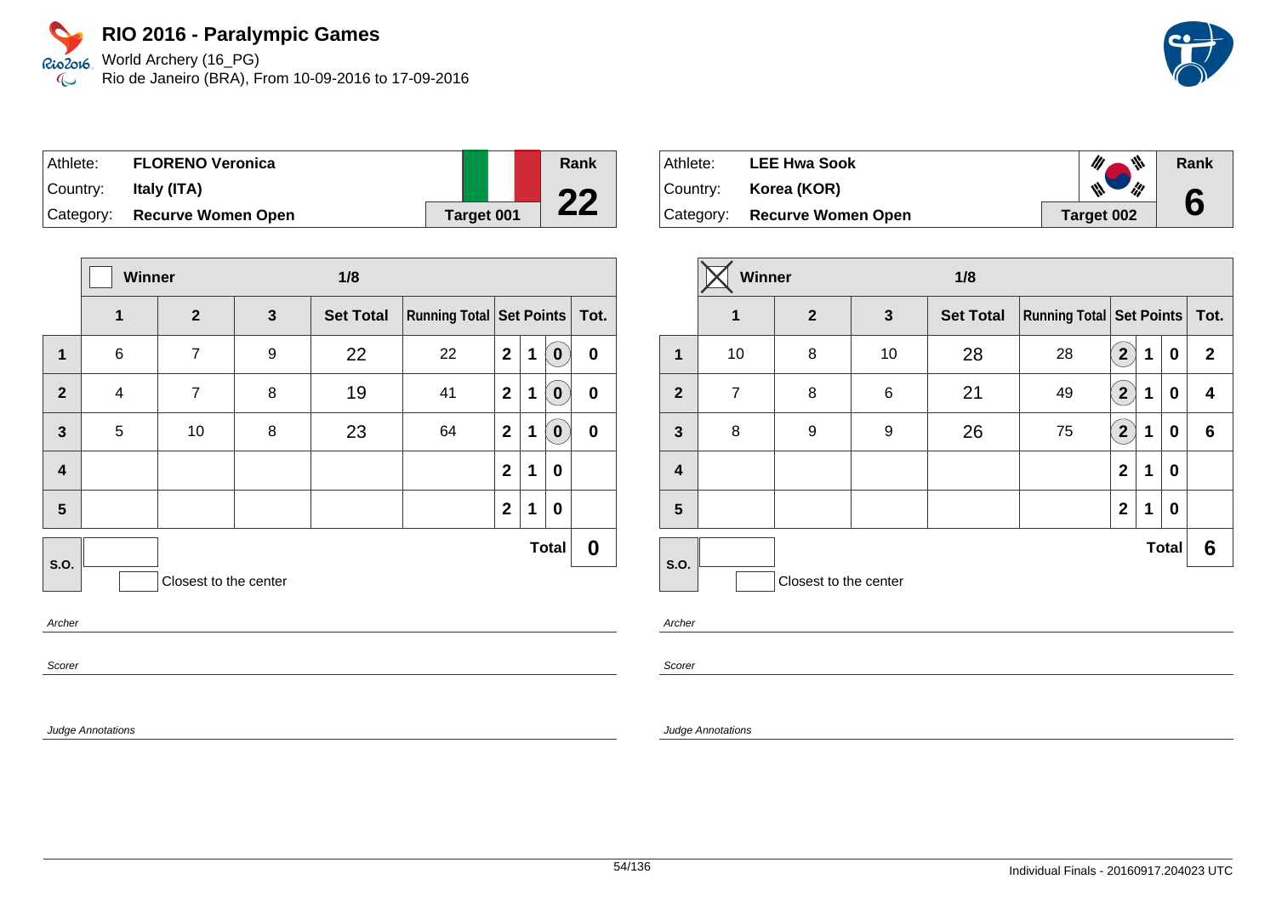World Archery (16\_PG) Rio de Janeiro (BRA), From 10-09-2016 to 17-09-2016

| Athlete:  | <b>FLORENO Veronica</b>      |            | Rank |
|-----------|------------------------------|------------|------|
| ⊺Countr∨: | Italy (ITA)                  |            | nη   |
|           | Category: Recurve Women Open | Target 001 |      |

|                          |       | Winner<br>1/8         |   |                  |                               |              |   |              |                  |
|--------------------------|-------|-----------------------|---|------------------|-------------------------------|--------------|---|--------------|------------------|
|                          | 1     | $\overline{2}$        | 3 | <b>Set Total</b> | Running Total Set Points Tot. |              |   |              |                  |
| $\mathbf 1$              | $\,6$ | 7                     | 9 | 22               | 22                            | $\mathbf{2}$ | 1 | $\bf{0}$     | $\boldsymbol{0}$ |
| $\overline{2}$           | 4     | $\overline{7}$        | 8 | 19               | 41                            | $\mathbf{2}$ | 1 | $\bf{0}$     | $\boldsymbol{0}$ |
| $\overline{\mathbf{3}}$  | 5     | 10                    | 8 | 23               | 64                            | $\mathbf{2}$ | 1 | $\bf{0}$     | $\bf{0}$         |
| $\overline{\mathbf{4}}$  |       |                       |   |                  |                               | $\mathbf{2}$ | 1 | 0            |                  |
| 5                        |       |                       |   |                  |                               | $\mathbf{2}$ | 1 | $\mathbf 0$  |                  |
| S.O.                     |       |                       |   |                  |                               |              |   | <b>Total</b> | 0                |
|                          |       | Closest to the center |   |                  |                               |              |   |              |                  |
| $\overline{\phantom{a}}$ |       |                       |   |                  |                               |              |   |              |                  |

**Archer** 

Scorer

Judge Annotations

| Athlete:  | <b>LEE Hwa Sook</b>       | 带                  | Rank |
|-----------|---------------------------|--------------------|------|
| Country:  | Korea (KOR)               | $\mathscr{W}$<br>W |      |
| Category: | <b>Recurve Women Open</b> | Target 002         |      |

|                | Winner         |                       |    | 1/8              |                               |                           |   |              |              |
|----------------|----------------|-----------------------|----|------------------|-------------------------------|---------------------------|---|--------------|--------------|
|                | 1              | $\mathbf{2}$          | 3  | <b>Set Total</b> | Running Total Set Points Tot. |                           |   |              |              |
| 1              | 10             | 8                     | 10 | 28               | 28                            | $\mathbf{2}$              | 1 | 0            | $\mathbf{2}$ |
| $\overline{2}$ | $\overline{7}$ | 8                     | 6  | 21               | 49                            | $\overline{\mathbf{2}}$   | 1 | 0            | 4            |
| $\mathbf{3}$   | 8              | 9                     | 9  | 26               | 75                            | $\mathbf{2}^{\mathbf{1}}$ | 1 | 0            | 6            |
| 4              |                |                       |    |                  |                               | $\overline{2}$            | 1 | 0            |              |
| 5              |                |                       |    |                  |                               | $\overline{2}$            | 1 | 0            |              |
| S.O.           |                |                       |    |                  |                               |                           |   | <b>Total</b> | 6            |
|                |                | Closest to the center |    |                  |                               |                           |   |              |              |

Archer

Scorer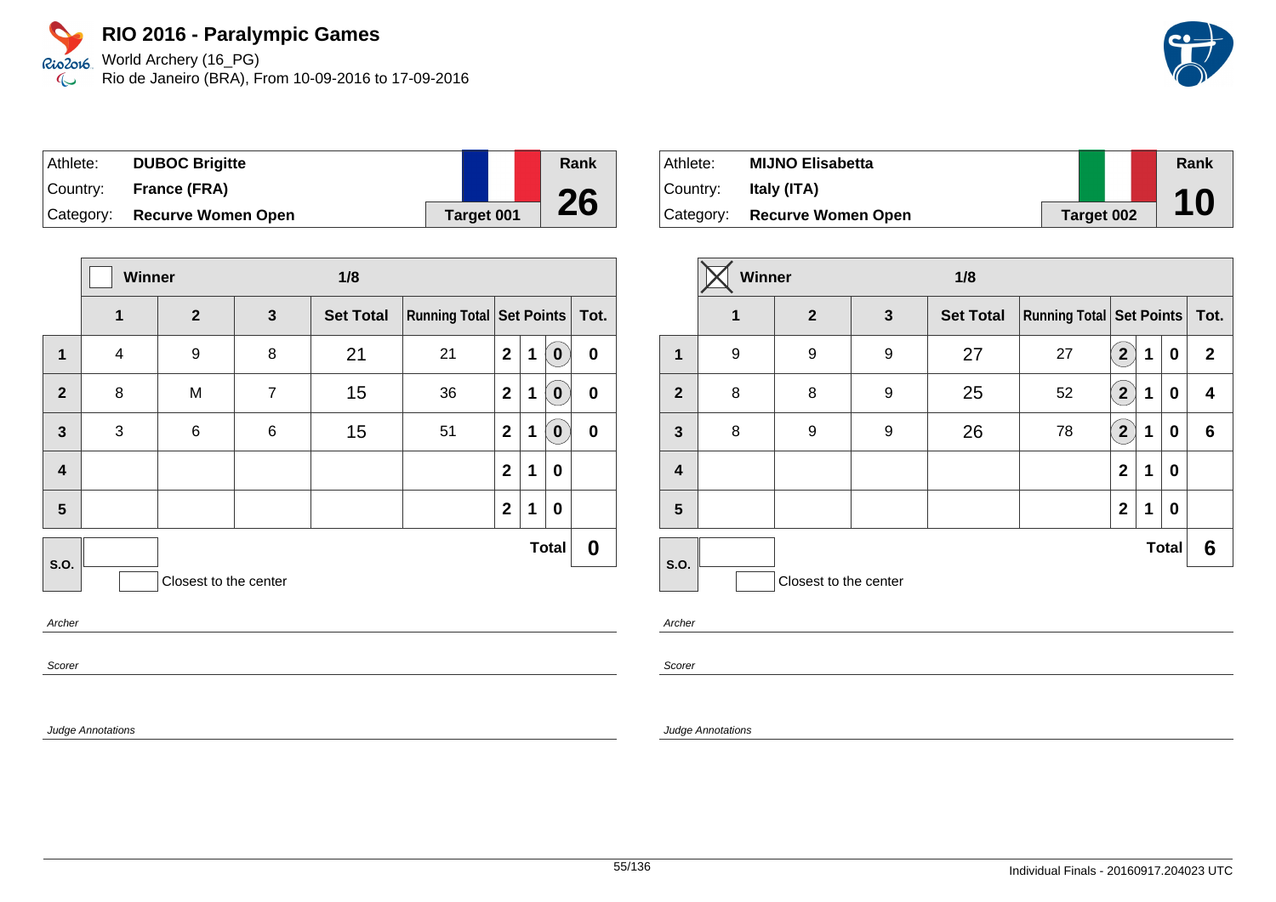World Archery (16\_PG) Rio de Janeiro (BRA), From 10-09-2016 to 17-09-2016

| Athlete:  | <b>DUBOC Brigitte</b>     |  |            | Rank |
|-----------|---------------------------|--|------------|------|
| ⊺Countr∨: | France (FRA)              |  |            |      |
| Category: | <b>Recurve Women Open</b> |  | Target 001 | 26   |

|                         | Winner       |                       |                | 1/8              |                               |                |   |              |           |  |  |
|-------------------------|--------------|-----------------------|----------------|------------------|-------------------------------|----------------|---|--------------|-----------|--|--|
|                         | 1            | $\overline{2}$        | 3              | <b>Set Total</b> | Running Total Set Points Tot. |                |   |              |           |  |  |
| $\mathbf 1$             | 4            | 9                     | 8              | 21               | 21                            | $\mathbf{2}$   | 1 | $\bf{0}$     | $\pmb{0}$ |  |  |
| $\overline{2}$          | 8            | M                     | $\overline{7}$ | 15               | 36                            | $\mathbf{2}$   | 1 | $\bf{0}$     | $\pmb{0}$ |  |  |
| $\mathbf{3}$            | $\mathbf{3}$ | $\,6$                 | $\,6$          | 15               | 51                            | $\overline{2}$ | 1 | $\bf{0}$     | $\pmb{0}$ |  |  |
| $\overline{\mathbf{4}}$ |              |                       |                |                  |                               | $\mathbf{2}$   | 1 | 0            |           |  |  |
| 5                       |              |                       |                |                  |                               | $\mathbf{2}$   | 1 | 0            |           |  |  |
| S.O.                    |              |                       |                |                  |                               |                |   | <b>Total</b> | 0         |  |  |
|                         |              | Closest to the center |                |                  |                               |                |   |              |           |  |  |
| Archer                  |              |                       |                |                  |                               |                |   |              |           |  |  |

Archer

Scorer

Judge Annotations

| Athlete: | <b>MIJNO Elisabetta</b>      |            | Rank |
|----------|------------------------------|------------|------|
| Country: | Italy (ITA)                  |            |      |
|          | Category: Recurve Women Open | Target 002 | 10   |

|                         | <b>Winner</b>         |                |              | 1/8              |                                 |                |             |              |                 |
|-------------------------|-----------------------|----------------|--------------|------------------|---------------------------------|----------------|-------------|--------------|-----------------|
|                         | $\mathbf 1$           | $\overline{2}$ | $\mathbf{3}$ | <b>Set Total</b> | <b>Running Total Set Points</b> |                |             | Tot.         |                 |
| $\mathbf 1$             | 9                     | 9              | 9            | 27               | 27                              | 2 <sub>1</sub> | 1           | 0            | $\mathbf{2}$    |
| $\overline{2}$          | 8                     | 8              | 9            | 25               | 52                              | $\overline{2}$ | 1           | 0            | 4               |
| $\mathbf{3}$            | 8                     | 9              | 9            | 26               | 78                              | $\mathbf{[2)}$ | 1           | 0            | $6\phantom{1}6$ |
| $\overline{\mathbf{r}}$ |                       |                |              |                  |                                 | $\mathbf{2}$   | 1           | $\bf{0}$     |                 |
| 5                       |                       |                |              |                  |                                 | $\mathbf{2}$   | $\mathbf 1$ | 0            |                 |
|                         |                       |                |              |                  |                                 |                |             | <b>Total</b> | 6               |
| S.O.                    | Closest to the center |                |              |                  |                                 |                |             |              |                 |

Archer

Scorer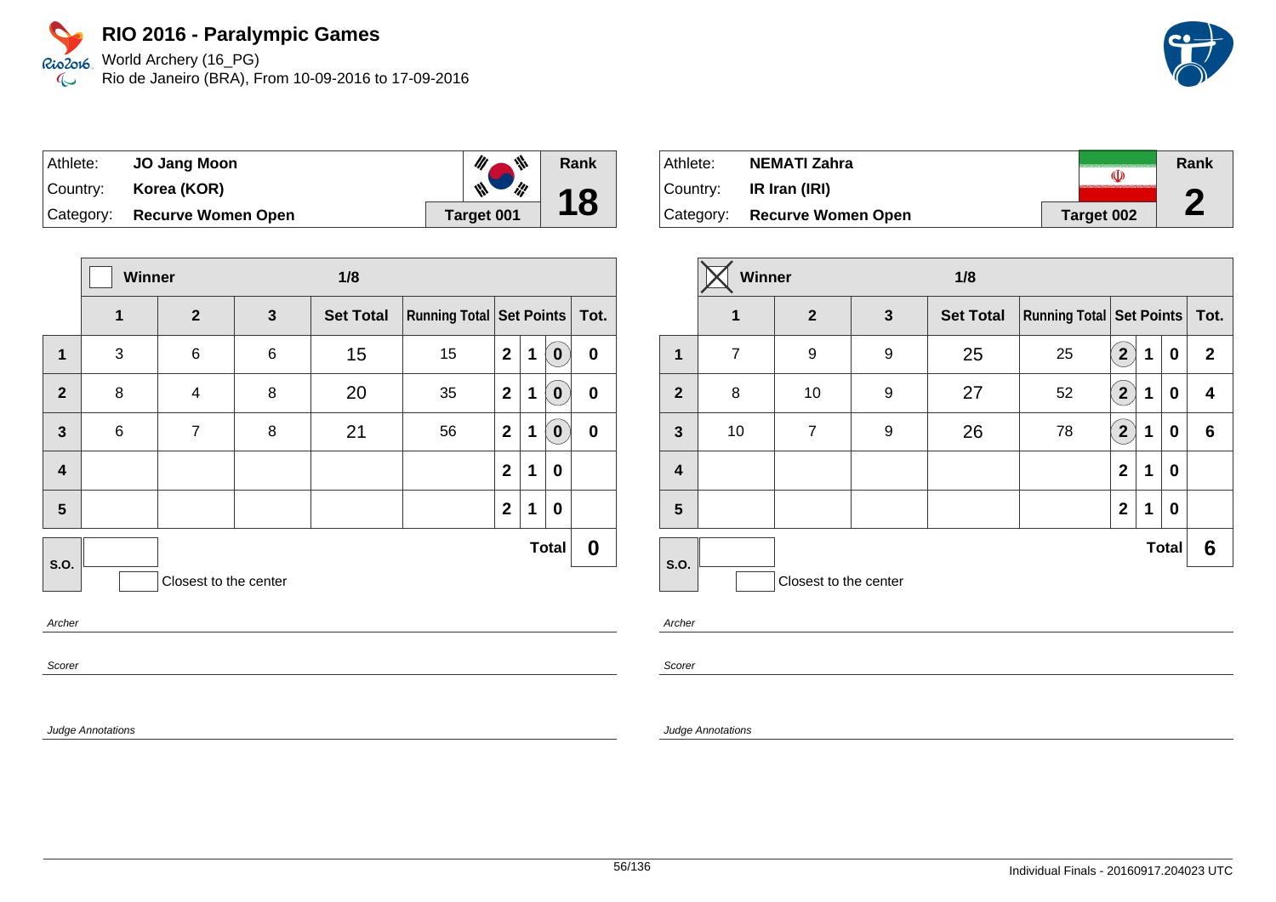Rio2o16 World Archery (16\_PG) Rio de Janeiro (BRA), From 10-09-2016 to 17-09-2016  $\infty$ 

| Athlete:  | <b>JO Jang Moon</b>       | 带                 | Rank |
|-----------|---------------------------|-------------------|------|
| Country:  | Korea (KOR)               | ill<br>W          | 18   |
| Category: | <b>Recurve Women Open</b> | <b>Target 001</b> |      |

|                         | Winner |                       |   | 1/8              |                               |              |   |              |          |
|-------------------------|--------|-----------------------|---|------------------|-------------------------------|--------------|---|--------------|----------|
|                         | 1      | $\overline{2}$        | 3 | <b>Set Total</b> | Running Total Set Points Tot. |              |   |              |          |
| 1                       | 3      | 6                     | 6 | 15               | 15                            | $\mathbf{2}$ | 1 | $\bf{0}$     | $\bf{0}$ |
| $\mathbf{2}$            | 8      | 4                     | 8 | 20               | 35                            | $\mathbf{2}$ | 1 | $\bf{0}$     | $\bf{0}$ |
| $\mathbf{3}$            | $\,6$  | $\overline{7}$        | 8 | 21               | 56                            | $\mathbf{2}$ | 1 | $\bf{0}$     | $\bf{0}$ |
| $\overline{\mathbf{4}}$ |        |                       |   |                  |                               | $\mathbf{2}$ | 1 | $\bf{0}$     |          |
| 5                       |        |                       |   |                  |                               | $\mathbf{2}$ | 1 | $\bf{0}$     |          |
| S.O.                    |        |                       |   |                  |                               |              |   | <b>Total</b> | 0        |
|                         |        | Closest to the center |   |                  |                               |              |   |              |          |
| Archor                  |        |                       |   |                  |                               |              |   |              |          |

Archer

Scorer

Judge Annotations

| Athlete:   | <b>NEMATI Zahra</b>       | (U)        | Rank |
|------------|---------------------------|------------|------|
| ⊺Countr∨:  | IR Iran (IRI)             |            | G    |
| ⊺Categorv: | <b>Recurve Women Open</b> | Target 002 | L    |

|                | Winner         |                       |              | 1/8              |                                     |                |   |              |              |  |      |
|----------------|----------------|-----------------------|--------------|------------------|-------------------------------------|----------------|---|--------------|--------------|--|------|
|                | $\mathbf 1$    | $\overline{2}$        | $\mathbf{3}$ | <b>Set Total</b> | <b>Running Total   Set Points  </b> |                |   |              |              |  | Tot. |
| 1              | $\overline{7}$ | 9                     | 9            | 25               | 25                                  | $\mathbf{2}$   | 1 | 0            | $\mathbf{2}$ |  |      |
| $\overline{2}$ | 8              | 10                    | 9            | 27               | 52                                  | $\overline{2}$ | 1 | 0            | 4            |  |      |
| $\mathbf{3}$   | 10             | $\overline{7}$        | 9            | 26               | 78                                  | $\overline{2}$ | 1 | 0            | 6            |  |      |
| 4              |                |                       |              |                  |                                     | $\overline{2}$ | 1 | 0            |              |  |      |
| 5              |                |                       |              |                  |                                     | $\overline{2}$ | 1 | 0            |              |  |      |
|                |                |                       |              |                  |                                     |                |   | <b>Total</b> | 6            |  |      |
| <b>S.O.</b>    |                | Closest to the center |              |                  |                                     |                |   |              |              |  |      |

Archer

Scorer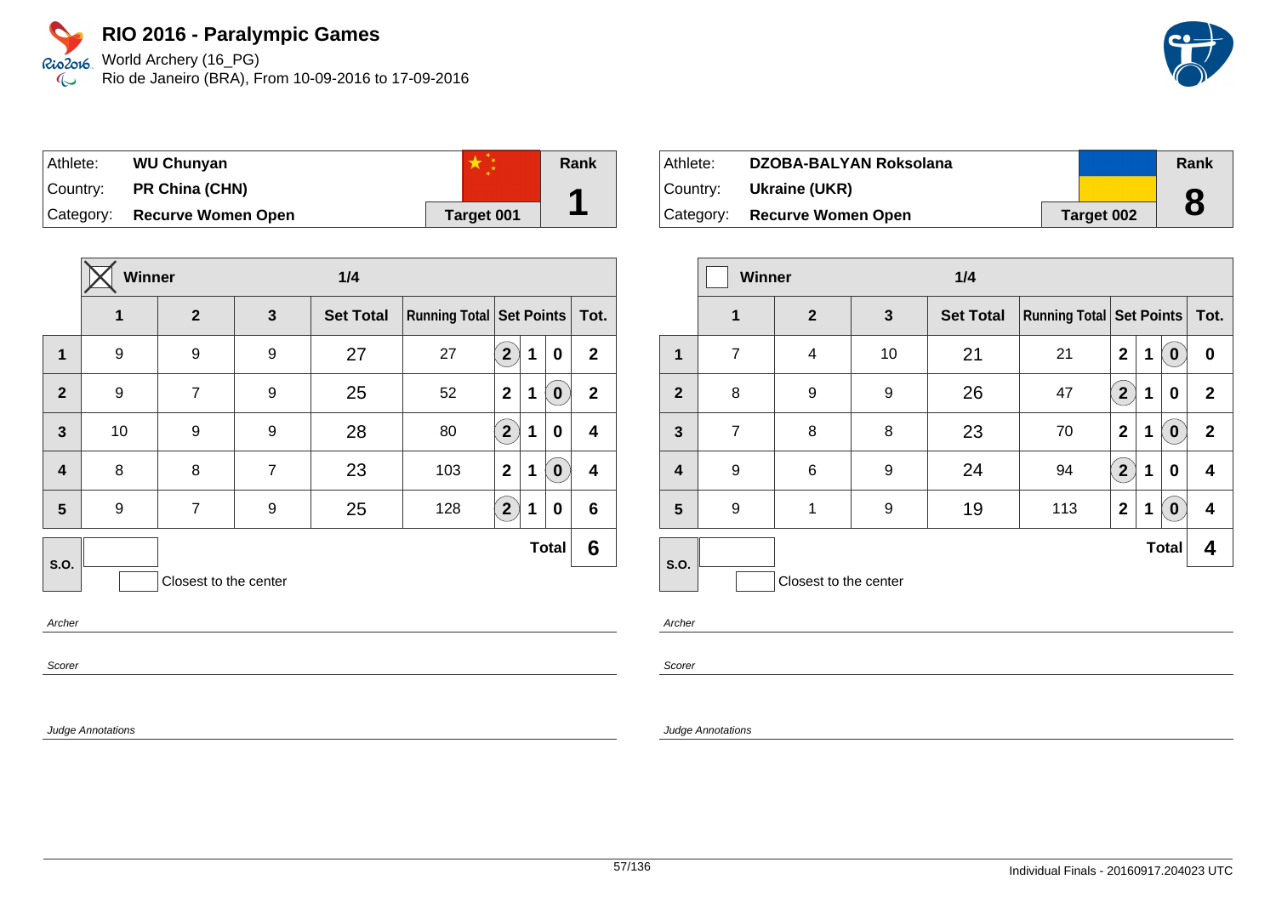World Archery (16\_PG) Rio de Janeiro (BRA), From 10-09-2016 to 17-09-2016



| Athlete:  | <b>WU Chunyan</b>         |            | Rank |
|-----------|---------------------------|------------|------|
| Country:  | PR China (CHN)            |            |      |
| Category: | <b>Recurve Women Open</b> | Target 001 |      |

|                         | <b>Winner</b> |                       |                | 1/4              |     |                                     |   |              |                 |
|-------------------------|---------------|-----------------------|----------------|------------------|-----|-------------------------------------|---|--------------|-----------------|
|                         | 1             | $\overline{2}$        | 3              | <b>Set Total</b> |     | <b>Running Total   Set Points  </b> |   |              |                 |
| $\mathbf{1}$            | 9             | 9                     | 9              | 27               | 27  | $\overline{2}$                      | 1 | 0            | $\mathbf{2}$    |
| $\overline{2}$          | 9             | $\overline{7}$        | 9              | 25               | 52  | $\mathbf 2$                         | 1 | $\bf{0}$     | $\mathbf{2}$    |
| $\overline{3}$          | 10            | 9                     | 9              | 28               | 80  | $\overline{2}$                      | 1 | $\bf{0}$     | 4               |
| $\overline{\mathbf{4}}$ | 8             | 8                     | $\overline{7}$ | 23               | 103 | $\overline{2}$                      | 1 | $\bf{0}$     | 4               |
| 5                       | 9             | $\overline{7}$        | 9              | 25               | 128 | $\overline{2}$                      | 1 | 0            | $6\phantom{1}6$ |
| <b>S.O.</b>             |               |                       |                |                  |     |                                     |   | <b>Total</b> | 6               |
|                         |               | Closest to the center |                |                  |     |                                     |   |              |                 |

Archer

Scorer

Judge Annotations

| Athlete:  | DZOBA-BALYAN Roksolana        |            | Rank |
|-----------|-------------------------------|------------|------|
|           | Country: <b>Ukraine (UKR)</b> |            |      |
| Category: | <b>Recurve Women Open</b>     | Target 002 |      |

|                | <b>Winner</b>  |                       |    | 1/4              |                                     |                      |   |              |              |
|----------------|----------------|-----------------------|----|------------------|-------------------------------------|----------------------|---|--------------|--------------|
|                | $\mathbf 1$    | $\overline{2}$        | 3  | <b>Set Total</b> | <b>Running Total   Set Points  </b> |                      |   |              | Tot.         |
| 1              | 7              | 4                     | 10 | 21               | 21                                  | $\mathbf{2}$         | 1 | $\mathbf 0$  | 0            |
| $\overline{2}$ | 8              | 9                     | 9  | 26               | 47                                  | 2 <sup>1</sup>       | 1 | 0            | $\mathbf{2}$ |
| $\mathbf{3}$   | $\overline{7}$ | 8                     | 8  | 23               | 70                                  | $\mathbf{2}$         | 1 | $\bf{0}$     | $\mathbf{2}$ |
| 4              | 9              | 6                     | 9  | 24               | 94                                  | $\mathbf{2}^{\circ}$ | 1 | 0            | 4            |
| 5              | 9              | 1                     | 9  | 19               | 113                                 | $\mathbf{2}$         | 1 | $\mathbf 0$  | 4            |
| S.O.           |                |                       |    |                  |                                     |                      |   | <b>Total</b> | 4            |
|                |                | Closest to the center |    |                  |                                     |                      |   |              |              |

Archer

Scorer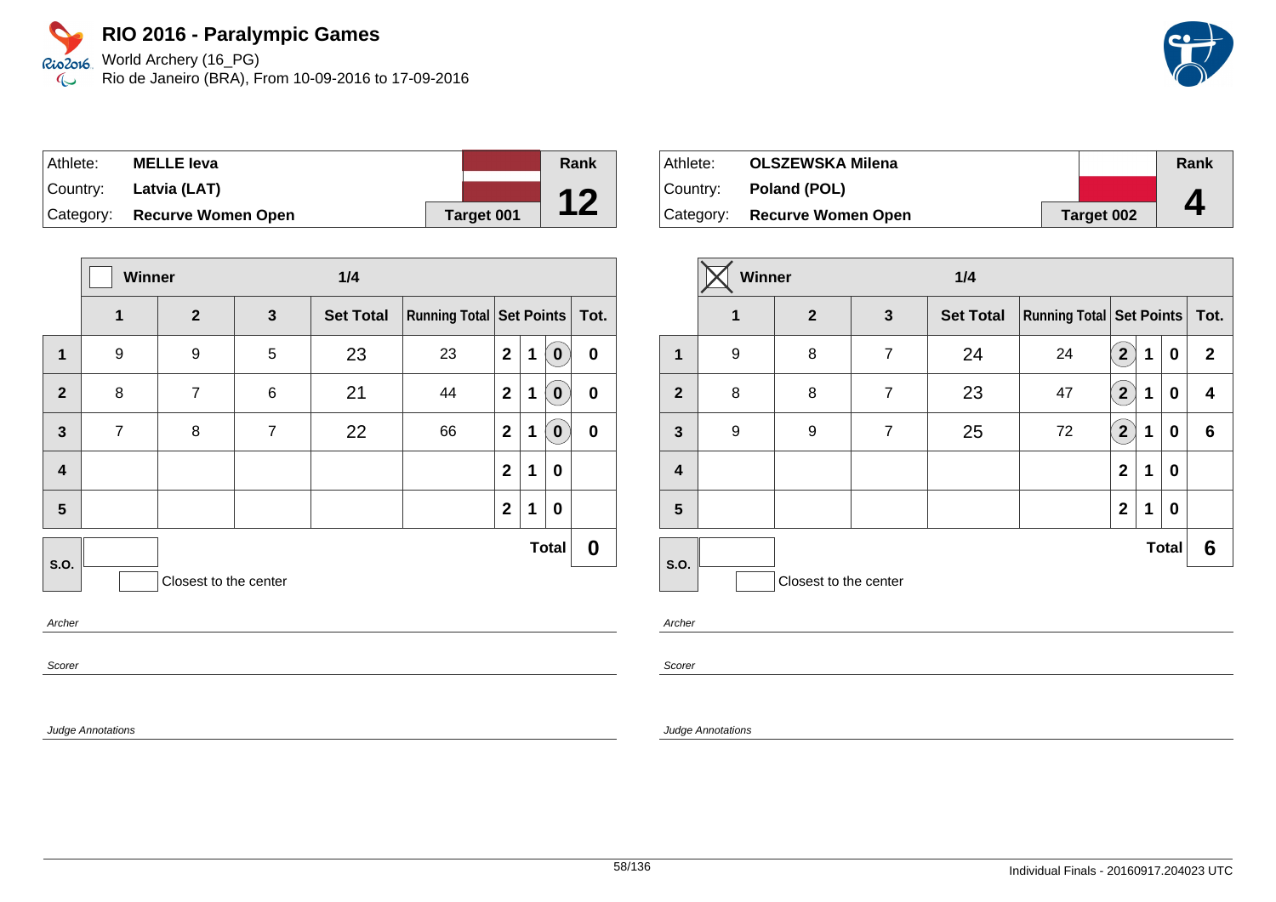World Archery (16\_PG) Rio de Janeiro (BRA), From 10-09-2016 to 17-09-2016

| Athlete: | <b>MELLE leva</b>            |            | Rank |
|----------|------------------------------|------------|------|
|          | Country: Latvia (LAT)        |            | 12   |
|          | Category: Recurve Women Open | Target 001 | L    |

|                         | Winner<br>1/4  |                       |                |                  |                               |                |   |              |                  |
|-------------------------|----------------|-----------------------|----------------|------------------|-------------------------------|----------------|---|--------------|------------------|
|                         | 1              | $\overline{2}$        | 3              | <b>Set Total</b> | Running Total Set Points Tot. |                |   |              |                  |
| $\mathbf{1}$            | 9              | 9                     | 5              | 23               | 23                            | $\mathbf{2}$   | 1 | $\bf{0}$     | $\boldsymbol{0}$ |
| $\mathbf{2}$            | 8              | $\overline{7}$        | 6              | 21               | 44                            | $\mathbf{2}$   | 1 | $\mathbf 0$  | $\pmb{0}$        |
| $\overline{\mathbf{3}}$ | $\overline{7}$ | 8                     | $\overline{7}$ | 22               | 66                            | $\overline{2}$ | 1 | $\mathbf 0$  | $\pmb{0}$        |
| $\overline{\mathbf{4}}$ |                |                       |                |                  |                               | $\mathbf{2}$   | 1 | 0            |                  |
| 5                       |                |                       |                |                  |                               | $\mathbf{2}$   | 1 | 0            |                  |
| <b>S.O.</b>             |                |                       |                |                  |                               |                |   | <b>Total</b> | 0                |
|                         |                | Closest to the center |                |                  |                               |                |   |              |                  |
| Archer                  |                |                       |                |                  |                               |                |   |              |                  |

Archer

Scorer

Judge Annotations

| Athlete: | <b>OLSZEWSKA Milena</b>      |            | Rank |
|----------|------------------------------|------------|------|
|          | Country: <b>Poland (POL)</b> |            |      |
|          | Category: Recurve Women Open | Target 002 |      |

|                | Winner      |                       |                | 1/4              |                                   |                               |   |              |              |
|----------------|-------------|-----------------------|----------------|------------------|-----------------------------------|-------------------------------|---|--------------|--------------|
|                | $\mathbf 1$ | $\mathbf{2}$          | $\mathbf{3}$   | <b>Set Total</b> | Running Total   Set Points   Tot. |                               |   |              |              |
| $\mathbf{1}$   | 9           | 8                     | $\overline{7}$ | 24               | 24                                | $\mathbf{2}$                  | 1 | 0            | $\mathbf{2}$ |
| $\overline{2}$ | 8           | 8                     | $\overline{7}$ | 23               | 47                                | $\mathbf{2}^{\mathbf{\cdot}}$ | 1 | 0            | 4            |
| $\mathbf{3}$   | 9           | 9                     | $\overline{7}$ | 25               | 72                                | $\mathbf{2}$                  | 1 | 0            | 6            |
| 4              |             |                       |                |                  |                                   | $\mathbf{2}$                  | 1 | 0            |              |
| 5              |             |                       |                |                  |                                   | $\mathbf{2}$                  | 1 | 0            |              |
| S.O.           |             |                       |                |                  |                                   |                               |   | <b>Total</b> | 6            |
|                |             | Closest to the center |                |                  |                                   |                               |   |              |              |

Archer

Scorer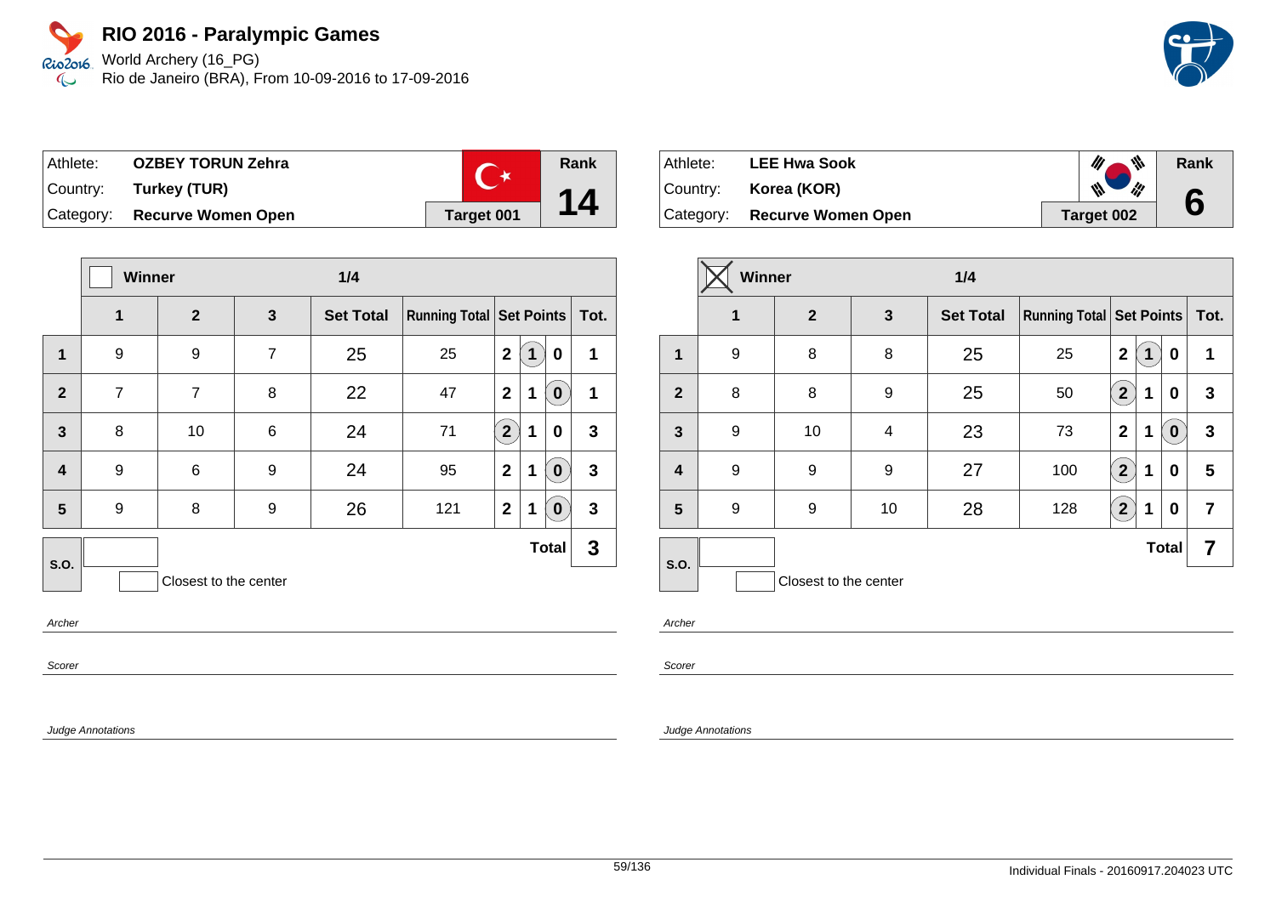World Archery (16\_PG) Rio de Janeiro (BRA), From 10-09-2016 to 17-09-2016

| Athlete: | <b>OZBEY TORUN Zehra</b>     | $\mathbf{C}^*$ |
|----------|------------------------------|----------------|
|          | Country: Turkey (TUR)        |                |
|          | Category: Recurve Women Open | Target 001     |

|                         | <b>Winner</b><br>1/4 |                       |                 |                  |                            |                |   |              |              |
|-------------------------|----------------------|-----------------------|-----------------|------------------|----------------------------|----------------|---|--------------|--------------|
|                         | 1                    | $\overline{2}$        | 3               | <b>Set Total</b> | Running Total   Set Points |                |   |              | Tot.         |
| 1                       | 9                    | 9                     | $\overline{7}$  | 25               | 25                         | $\mathbf{2}$   | 1 | 0            | 1            |
| $\overline{2}$          | $\overline{7}$       | $\overline{7}$        | 8               | 22               | 47                         | $\mathbf{2}$   | 1 | $\bf{0}$     | 1            |
| $\overline{3}$          | 8                    | 10                    | $6\phantom{1}6$ | 24               | 71                         | $2^{1}$        | 1 | 0            | 3            |
| $\overline{\mathbf{4}}$ | 9                    | 6                     | 9               | 24               | 95                         | $\overline{2}$ | 1 | $\bf{0}$     | $\mathbf{3}$ |
| 5                       | 9                    | 8                     | 9               | 26               | 121                        | $\mathbf{2}$   | 1 | $\bf{0}$     | $\mathbf{3}$ |
| S.O.                    |                      |                       |                 |                  |                            |                |   | <b>Total</b> | 3            |
|                         |                      | Closest to the center |                 |                  |                            |                |   |              |              |

Archer

Scorer

Judge Annotations

| ∣ Athlete: | <b>LEE Hwa Sook</b>          | ₩                   | Rank |
|------------|------------------------------|---------------------|------|
| Country:   | Korea (KOR)                  | $\mathscr{C}$<br>th | 6    |
|            | Category: Recurve Women Open | Target 002          |      |

|                | <b>Winner</b> |                       |    | 1/4              |                                     |                      |   |              |                |
|----------------|---------------|-----------------------|----|------------------|-------------------------------------|----------------------|---|--------------|----------------|
|                | 1             | $\mathbf{2}$          | 3  | <b>Set Total</b> | <b>Running Total   Set Points  </b> |                      |   |              | Tot.           |
| 1              | 9             | 8                     | 8  | 25               | 25                                  | $\overline{2}$       | 1 | 0            | 1              |
| $\overline{2}$ | 8             | 8                     | 9  | 25               | 50                                  | $2 \overline{)}$     | 1 | 0            | 3              |
| $\mathbf{3}$   | 9             | 10                    | 4  | 23               | 73                                  | $\mathbf{2}$         | 1 | $\bf{0}$     | 3              |
| 4              | 9             | 9                     | 9  | 27               | 100                                 | $\mathbf{2}^{\circ}$ | 1 | 0            | 5              |
| 5              | 9             | 9                     | 10 | 28               | 128                                 | $2^{1}$              | 1 | 0            | $\overline{7}$ |
| S.O.           |               |                       |    |                  |                                     |                      |   | <b>Total</b> | 7              |
|                |               | Closest to the center |    |                  |                                     |                      |   |              |                |

Archer

**Rank**

**14**

Scorer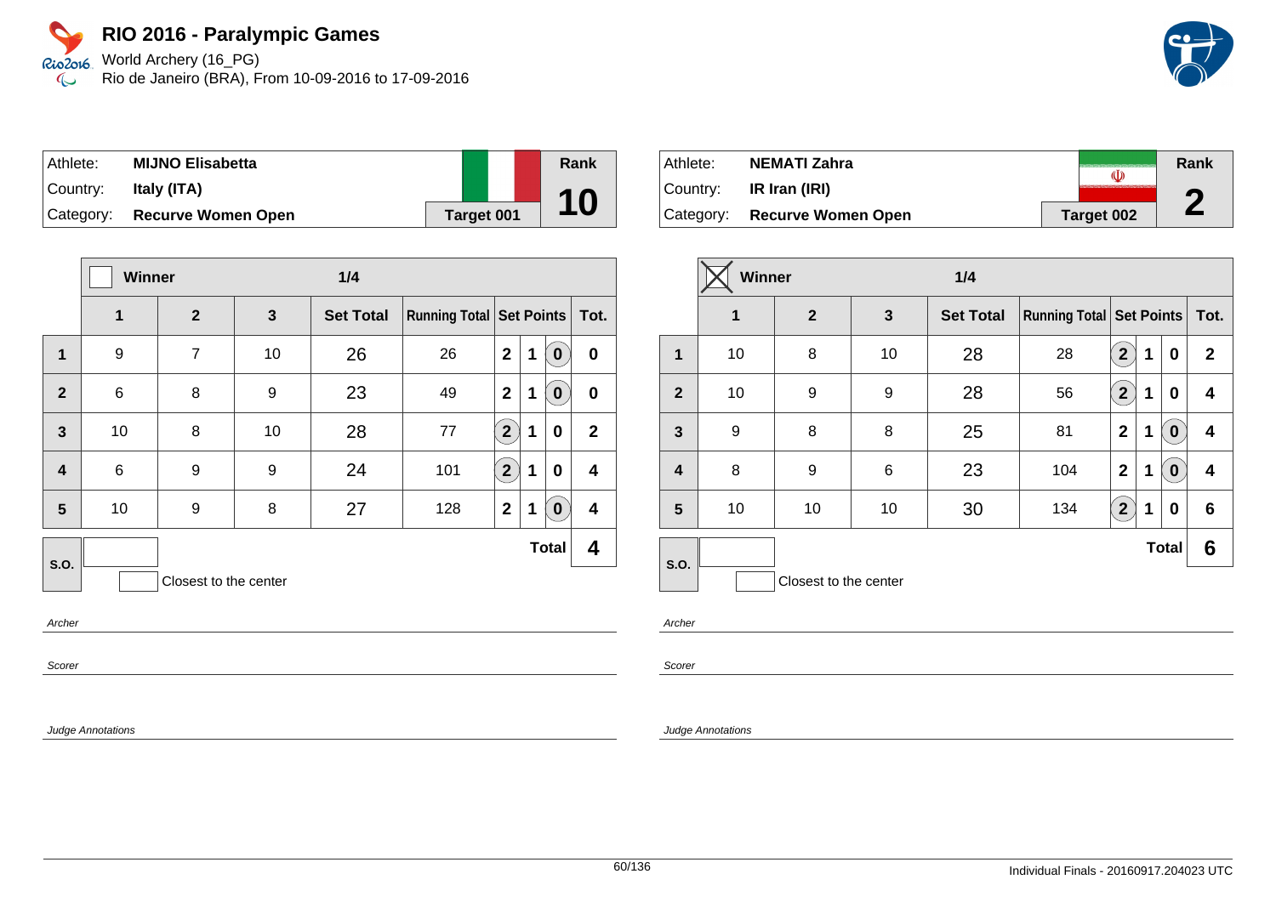World Archery (16\_PG) Rio de Janeiro (BRA), From 10-09-2016 to 17-09-2016

| Athlete:  | <b>MIJNO Elisabetta</b>      |            | Rank |
|-----------|------------------------------|------------|------|
| ⊺Countr∨: | Italy (ITA)                  |            | 10   |
|           | Category: Recurve Women Open | Target 001 |      |

|                         | <b>Winner</b><br>1/4 |                       |              |                  |                                     |                |             |              |                  |
|-------------------------|----------------------|-----------------------|--------------|------------------|-------------------------------------|----------------|-------------|--------------|------------------|
|                         | 1                    | $\overline{2}$        | $\mathbf{3}$ | <b>Set Total</b> | <b>Running Total   Set Points  </b> |                |             |              | Tot.             |
| $\mathbf{1}$            | 9                    | $\overline{7}$        | 10           | 26               | 26                                  | $\mathbf{2}$   | $\mathbf 1$ | $\mathbf 0$  | $\boldsymbol{0}$ |
| $\overline{2}$          | $\,6$                | 8                     | 9            | 23               | 49                                  | $\overline{2}$ | 1           | $\pmb{0}$    | $\bf{0}$         |
| $\mathbf{3}$            | 10                   | 8                     | 10           | 28               | 77                                  | $\overline{2}$ | $\mathbf 1$ | $\bf{0}$     | $\mathbf{2}$     |
| $\overline{\mathbf{4}}$ | $\,6$                | 9                     | 9            | 24               | 101                                 | $\overline{2}$ | $\mathbf 1$ | $\bf{0}$     | 4                |
| 5                       | 10                   | 9                     | 8            | 27               | 128                                 | $\mathbf{2}$   | $\mathbf 1$ | $\mathbf 0$  | 4                |
| <b>S.O.</b>             |                      |                       |              |                  |                                     |                |             | <b>Total</b> | 4                |
|                         |                      | Closest to the center |              |                  |                                     |                |             |              |                  |

Archer

Scorer

Judge Annotations

| Athlete:  | NEMATI Zahra                 | «D         | Rank     |
|-----------|------------------------------|------------|----------|
| ⊺Countr∨: | IR Iran (IRI)                |            | e        |
|           | Category: Recurve Women Open | Target 002 | <b>A</b> |

|                         | <b>Winner</b> |                       |              | 1/4              |                                 |                                    |   |                  |              |
|-------------------------|---------------|-----------------------|--------------|------------------|---------------------------------|------------------------------------|---|------------------|--------------|
|                         | 1             | $\mathbf{2}$          | $\mathbf{3}$ | <b>Set Total</b> | <b>Running Total Set Points</b> |                                    |   |                  | Tot.         |
| $\mathbf{1}$            | 10            | 8                     | 10           | 28               | 28                              | $\mathbf{2}$                       | 1 | 0                | $\mathbf{2}$ |
| $\overline{2}$          | 10            | 9                     | 9            | 28               | 56                              | $\mathbf{2}^{\mathbf{\backslash}}$ | 1 | 0                | 4            |
| $\mathbf{3}$            | 9             | 8                     | 8            | 25               | 81                              | $\mathbf 2$                        | 1 | $\mathbf 0$      | 4            |
| $\overline{\mathbf{4}}$ | 8             | 9                     | $\,6$        | 23               | 104                             | $\mathbf 2$                        | 1 | $\boldsymbol{0}$ | 4            |
| 5                       | 10            | 10                    | 10           | 30               | 134                             | $\overline{2}$                     | 1 | 0                | 6            |
| S.O.                    |               |                       |              |                  |                                 |                                    |   | <b>Total</b>     | 6            |
|                         |               | Closest to the center |              |                  |                                 |                                    |   |                  |              |

Archer

Scorer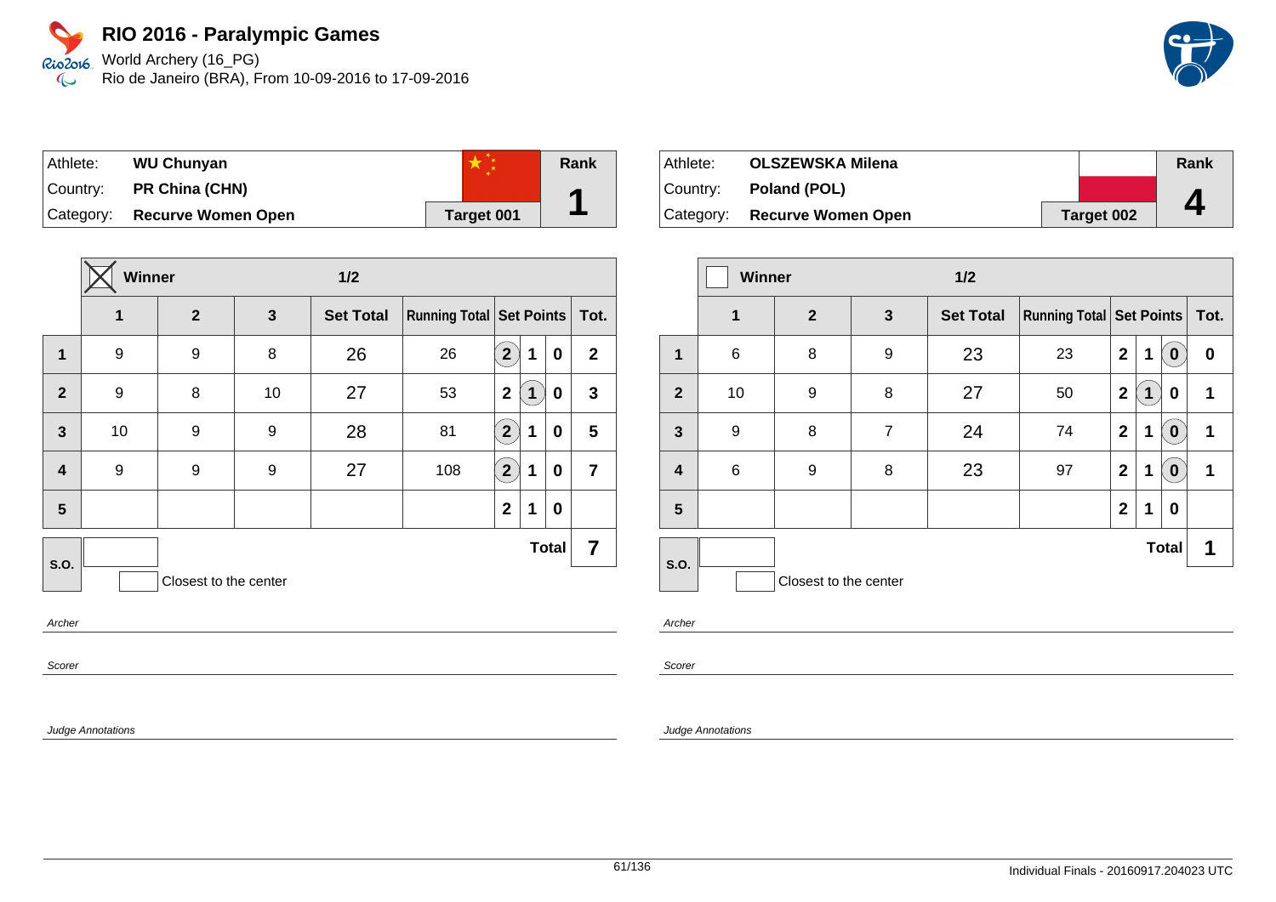World Archery (16\_PG) Rio de Janeiro (BRA), From 10-09-2016 to 17-09-2016



| Athlete:  | <b>WU Chunyan</b>         |            | <b>Rank</b> |
|-----------|---------------------------|------------|-------------|
| Country:  | PR China (CHN)            |            |             |
| Category: | <b>Recurve Women Open</b> | Target 001 |             |

|                         | Winner |                       |              | $1/2$            |                          |                |              |              |                |
|-------------------------|--------|-----------------------|--------------|------------------|--------------------------|----------------|--------------|--------------|----------------|
|                         | 1      | $\overline{2}$        | $\mathbf{3}$ | <b>Set Total</b> | Running Total Set Points |                |              |              | Tot.           |
| 1                       | 9      | 9                     | 8            | 26               | 26                       | 2 <sub>1</sub> | 1            | 0            | $\mathbf{2}$   |
| $\overline{2}$          | 9      | 8                     | 10           | 27               | 53                       | $\mathbf{2}$   | $\mathbf{1}$ | 0            | $\mathbf{3}$   |
| $\overline{\mathbf{3}}$ | 10     | 9                     | 9            | 28               | 81                       | 2 <sup>1</sup> | 1            | $\bf{0}$     | 5              |
| $\overline{\mathbf{4}}$ | 9      | 9                     | 9            | 27               | 108                      | $\overline{2}$ | 1            | 0            | $\overline{7}$ |
| 5                       |        |                       |              |                  |                          | $\overline{2}$ | 1            | 0            |                |
|                         |        |                       |              |                  |                          |                |              | <b>Total</b> | 7              |
|                         |        | Closest to the center |              |                  |                          |                |              |              |                |
| S.O.                    |        |                       |              |                  |                          |                |              |              |                |

Archer

Scorer

Judge Annotations

| Athlete:  | <b>OLSZEWSKA Milena</b>   |            | Rank |
|-----------|---------------------------|------------|------|
| ⊺Countr∨: | Poland (POL)              |            |      |
| Category: | <b>Recurve Women Open</b> | Target 002 | 4    |

|                         | <b>Winner</b> |                       |                | 1/2              |                                     |              |   |              |      |
|-------------------------|---------------|-----------------------|----------------|------------------|-------------------------------------|--------------|---|--------------|------|
|                         | 1             | $\overline{2}$        | $\mathbf{3}$   | <b>Set Total</b> | <b>Running Total   Set Points  </b> |              |   |              | Tot. |
| 1                       | 6             | 8                     | 9              | 23               | 23                                  | $\mathbf{2}$ | 1 | $\bf{0}$     | 0    |
| $\overline{2}$          | 10            | 9                     | 8              | 27               | 50                                  | $\mathbf{2}$ | 1 | 0            | 1    |
| $\overline{\mathbf{3}}$ | 9             | 8                     | $\overline{7}$ | 24               | 74                                  | $\mathbf 2$  | 1 | $\bf{0}$     | 1    |
| $\overline{\mathbf{4}}$ | 6             | 9                     | 8              | 23               | 97                                  | $\mathbf 2$  | 1 | $\bf{0}$     | 1    |
| 5                       |               |                       |                |                  |                                     | $\mathbf 2$  | 1 | 0            |      |
| S.O.                    |               |                       |                |                  |                                     |              |   | <b>Total</b> | 1    |
|                         |               | Closest to the center |                |                  |                                     |              |   |              |      |

Archer

Scorer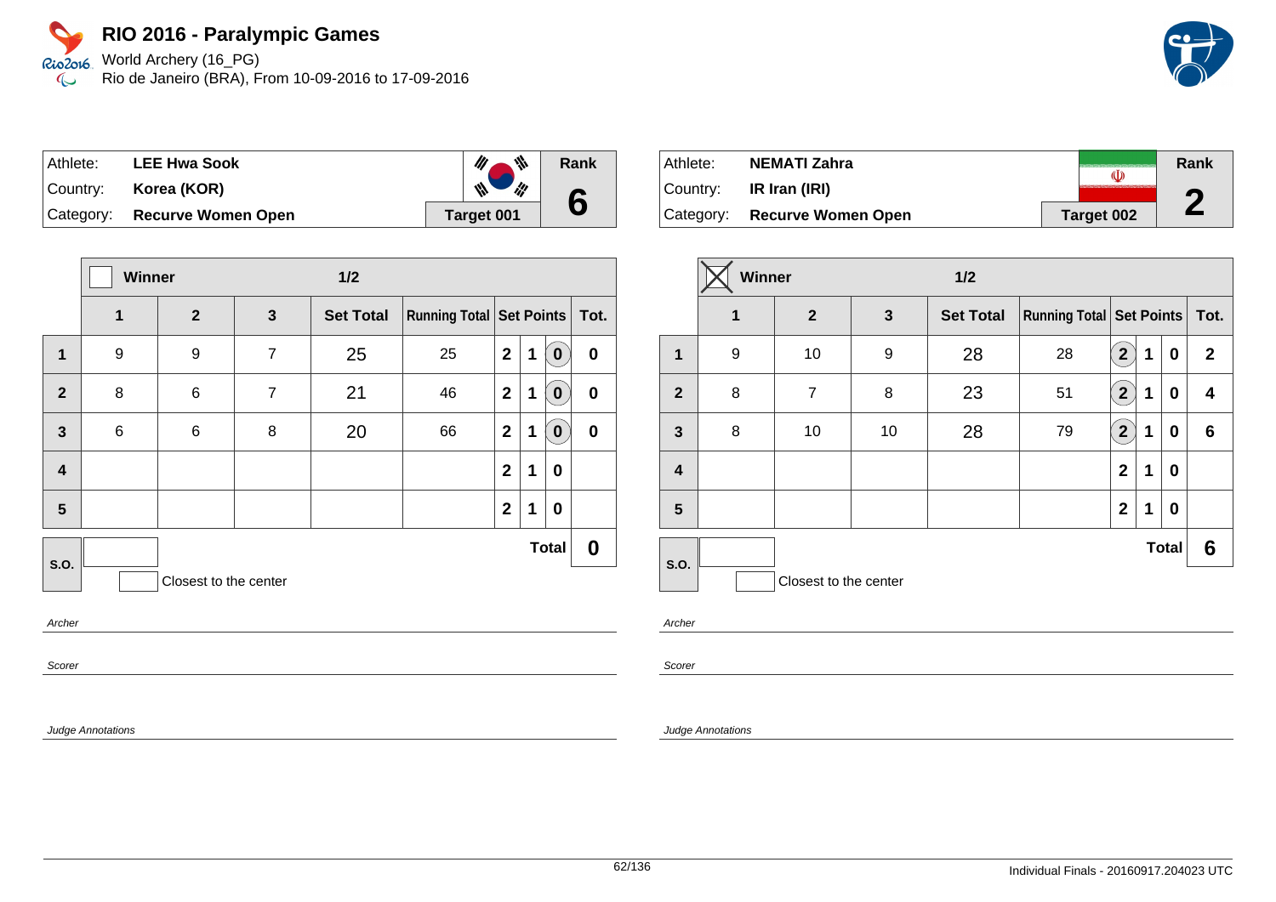Rio2o16, World Archery (16\_PG) Rio de Janeiro (BRA), From 10-09-2016 to 17-09-2016  $\infty$ 

| Athlete: | <b>LEE Hwa Sook</b>          | 业                                  | Rank |
|----------|------------------------------|------------------------------------|------|
| Country: | Korea (KOR)                  | $\mathscr{M}_{\mathscr{A}}$<br>i¦! | 6    |
|          | Category: Recurve Women Open | <b>Target 001</b>                  |      |

|                         | Winner |                       |                | 1/2              |                               |              |   |              |                  |
|-------------------------|--------|-----------------------|----------------|------------------|-------------------------------|--------------|---|--------------|------------------|
|                         | 1      | $\overline{2}$        | 3              | <b>Set Total</b> | Running Total Set Points Tot. |              |   |              |                  |
| 1                       | 9      | 9                     | $\overline{7}$ | 25               | 25                            | $\mathbf{2}$ | 1 | 0            | $\pmb{0}$        |
| $\overline{2}$          | 8      | 6                     | $\overline{7}$ | 21               | 46                            | $\mathbf{2}$ | 1 | 0            | $\boldsymbol{0}$ |
| $\overline{\mathbf{3}}$ | $\,6$  | 6                     | 8              | 20               | 66                            | $\mathbf{2}$ | 1 | 0            | $\boldsymbol{0}$ |
| $\overline{\mathbf{4}}$ |        |                       |                |                  |                               | $\mathbf{2}$ | 1 | 0            |                  |
| 5                       |        |                       |                |                  |                               | $\mathbf{2}$ | 1 | 0            |                  |
| S.O.                    |        |                       |                |                  |                               |              |   | <b>Total</b> | 0                |
|                         |        | Closest to the center |                |                  |                               |              |   |              |                  |
| $A \cdot B = B$         |        |                       |                |                  |                               |              |   |              |                  |

Archer

Scorer

Judge Annotations

Athlete: **NEMATI Zahra Rank**  $\overline{\mathbb{Q}}$ Country: **IR Iran (IRI) 2** Category: **Recurve Women Open Target 002** 

|                | Winner |                       |              | $1/2$            |                                     |                           |   |              |              |
|----------------|--------|-----------------------|--------------|------------------|-------------------------------------|---------------------------|---|--------------|--------------|
|                | 1      | $\mathbf{2}$          | $\mathbf{3}$ | <b>Set Total</b> | <b>Running Total   Set Points  </b> |                           |   |              | Tot.         |
| $\mathbf{1}$   | 9      | 10                    | 9            | 28               | 28                                  | $\mathbf{2}$              | 1 | 0            | $\mathbf{2}$ |
| $\overline{2}$ | 8      | 7                     | 8            | 23               | 51                                  | $\boxed{2}$               | 1 | 0            | 4            |
| $\mathbf{3}$   | 8      | 10                    | 10           | 28               | 79                                  | $\mathbf{2}^{\mathbf{2}}$ | 1 | 0            | 6            |
| 4              |        |                       |              |                  |                                     | $\mathbf{2}$              | 1 | 0            |              |
| 5              |        |                       |              |                  |                                     | $\mathbf{2}$              | 1 | 0            |              |
| S.O.           |        |                       |              |                  |                                     |                           |   | <b>Total</b> | 6            |
|                |        | Closest to the center |              |                  |                                     |                           |   |              |              |

Archer

Scorer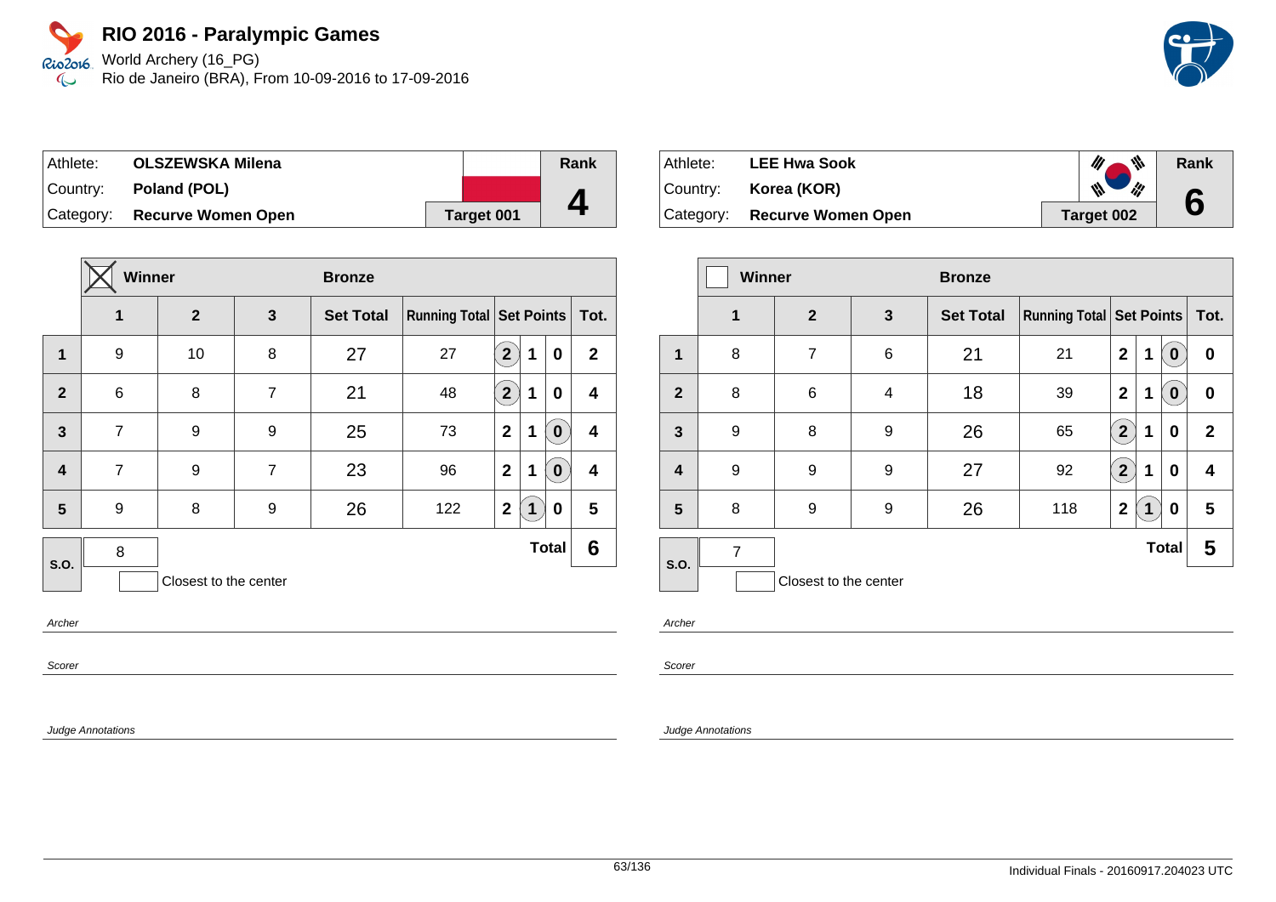World Archery (16\_PG) Rio de Janeiro (BRA), From 10-09-2016 to 17-09-2016

| Athlete: | <b>OLSZEWSKA Milena</b>      |                   | Rank |
|----------|------------------------------|-------------------|------|
| Country: | Poland (POL)                 |                   |      |
|          | Category: Recurve Women Open | <b>Target 001</b> |      |

|                         | <b>Winner</b>         |    |                | <b>Bronze</b>    |                                     |                         |   |              |                         |
|-------------------------|-----------------------|----|----------------|------------------|-------------------------------------|-------------------------|---|--------------|-------------------------|
|                         | 1<br>$\mathbf{2}$     |    | $\mathbf{3}$   | <b>Set Total</b> | <b>Running Total   Set Points  </b> |                         |   |              | Tot.                    |
| $\mathbf{1}$            | 9                     | 10 | 8              | 27               | 27                                  | $\overline{\mathbf{2}}$ | 1 | $\mathbf 0$  | $\mathbf{2}$            |
| $\overline{2}$          | $6\phantom{1}$        | 8  | 7              | 21               | 48                                  | $\mathbf{2}^{\prime}$   | 1 | 0            | 4                       |
| $\overline{3}$          | $\overline{7}$        | 9  | 9              | 25               | 73                                  | $\mathbf{2}$            | 1 | $\mathbf 0$  | $\overline{\mathbf{4}}$ |
| $\overline{\mathbf{4}}$ | $\overline{7}$        | 9  | $\overline{7}$ | 23               | 96                                  | $\mathbf{2}$            | 1 | $\mathbf 0$  | $\overline{\mathbf{4}}$ |
| 5                       | 9                     | 8  | 9              | 26               | 122                                 | $\mathbf{2}$            | 1 | 0            | 5                       |
| S.O.                    | 8                     |    |                |                  |                                     |                         |   | <b>Total</b> | 6                       |
|                         | Closest to the center |    |                |                  |                                     |                         |   |              |                         |

Archer

Scorer

Judge Annotations

| Athlete: .  | <b>LEE Hwa Sook</b>          | 带                    | Rank |
|-------------|------------------------------|----------------------|------|
| ∣Country: i | Korea (KOR)                  | $\mathscr{W}$<br>ill | 6    |
|             | Category: Recurve Women Open | Target 002           |      |

|                         | <b>Winner</b>  |                       |   | <b>Bronze</b>    |                                     |                                 |   |                  |                  |
|-------------------------|----------------|-----------------------|---|------------------|-------------------------------------|---------------------------------|---|------------------|------------------|
|                         | 1              | $\overline{2}$        | 3 | <b>Set Total</b> | <b>Running Total   Set Points  </b> |                                 |   |                  | Tot.             |
| 1                       | 8              | 7                     | 6 | 21               | 21                                  | $\mathbf{2}$                    | 1 | 0                | $\boldsymbol{0}$ |
| $\mathbf{2}$            | 8              | 6                     | 4 | 18               | 39                                  | $\mathbf{2}$                    | 1 | $\boldsymbol{0}$ | $\bf{0}$         |
| 3                       | 9              | 8                     | 9 | 26               | 65                                  | $\mathbf{2}^{\mathbf{\degree}}$ | 1 | 0                | $\mathbf{2}$     |
| $\overline{\mathbf{4}}$ | 9              | 9                     | 9 | 27               | 92                                  | $\overline{2}$                  | 1 | 0                | 4                |
| 5                       | 8              | 9                     | 9 | 26               | 118                                 | $\overline{2}$                  | 1 | 0                | 5                |
| <b>S.O.</b>             | $\overline{7}$ |                       |   |                  |                                     |                                 |   | <b>Total</b>     | 5                |
|                         |                | Closest to the center |   |                  |                                     |                                 |   |                  |                  |

Archer

Scorer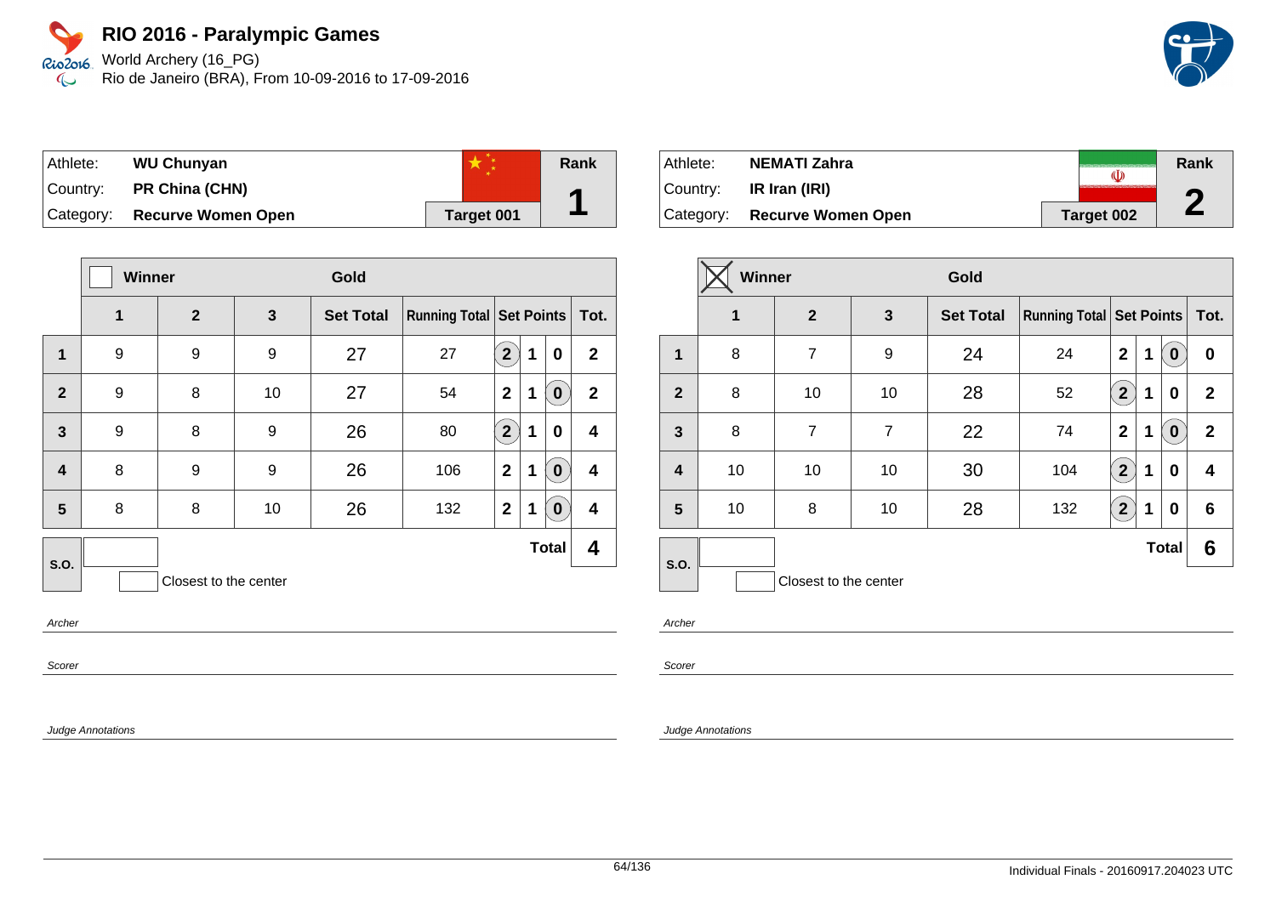Rio2o16, World Archery (16\_PG) Rio de Janeiro (BRA), From 10-09-2016 to 17-09-2016  $\infty$ 

| Athlete:  | <b>WU Chunyan</b>         |            | <b>Rank</b> |
|-----------|---------------------------|------------|-------------|
| Country:  | <b>PR China (CHN)</b>     |            | А           |
| Category: | <b>Recurve Women Open</b> | Target 001 |             |

|                         | Winner |                       |    | Gold             |                                     |                |   |              |              |
|-------------------------|--------|-----------------------|----|------------------|-------------------------------------|----------------|---|--------------|--------------|
|                         | 1      | $\overline{2}$        | 3  | <b>Set Total</b> | <b>Running Total   Set Points  </b> |                |   |              | Tot.         |
| $\mathbf{1}$            | 9      | 9                     | 9  | 27               | 27                                  | $\overline{2}$ | 1 | 0            | $\mathbf{2}$ |
| $\overline{2}$          | 9      | 8                     | 10 | 27               | 54                                  | $\mathbf{2}$   | 1 | 0            | $\mathbf{2}$ |
| $\mathbf{3}$            | 9      | 8                     | 9  | 26               | 80                                  | $2^{1}$        | 1 | 0            | 4            |
| $\overline{\mathbf{4}}$ | 8      | 9                     | 9  | 26               | 106                                 | $\overline{2}$ | 1 | 0            | 4            |
| 5                       | 8      | 8                     | 10 | 26               | 132                                 | $\mathbf{2}$   | 1 | $\bf{0}$     | 4            |
| S.O.                    |        |                       |    |                  |                                     |                |   | <b>Total</b> | 4            |
|                         |        | Closest to the center |    |                  |                                     |                |   |              |              |

Archer

Scorer

Judge Annotations

Athlete: **NEMATI Zahra Rank**  $\overline{\mathbb{Q}}$ Country: **IR Iran (IRI) 2** Category: **Recurve Women Open Target 002** 

|                | <b>Winner</b>     |                       |                | Gold             |                                 |                         |   |              |              |
|----------------|-------------------|-----------------------|----------------|------------------|---------------------------------|-------------------------|---|--------------|--------------|
|                | 1<br>$\mathbf{2}$ |                       | 3              | <b>Set Total</b> | <b>Running Total Set Points</b> |                         |   |              | Tot.         |
| $\mathbf{1}$   | 8                 | $\overline{7}$        | 9              | 24               | 24                              | $\overline{2}$          | 1 | $\bf{0}$     | $\bf{0}$     |
| $\overline{2}$ | 8                 | 10                    | 10             | 28               | 52                              | $\overline{\mathbf{2}}$ | 1 | 0            | $\mathbf{2}$ |
| $\mathbf{3}$   | 8                 | $\overline{7}$        | $\overline{7}$ | 22               | 74                              | $\mathbf 2$             | 1 | $\bf{0}$     | $\mathbf{2}$ |
| 4              | 10                | 10                    | 10             | 30               | 104                             | $\mathbf{2}^{\circ}$    | 1 | 0            | 4            |
| 5              | 10                | 8                     | 10             | 28               | 132                             | $\overline{2}$          | 1 | 0            | 6            |
| S.O.           |                   |                       |                |                  |                                 |                         |   | <b>Total</b> | 6            |
|                |                   | Closest to the center |                |                  |                                 |                         |   |              |              |

Archer

Scorer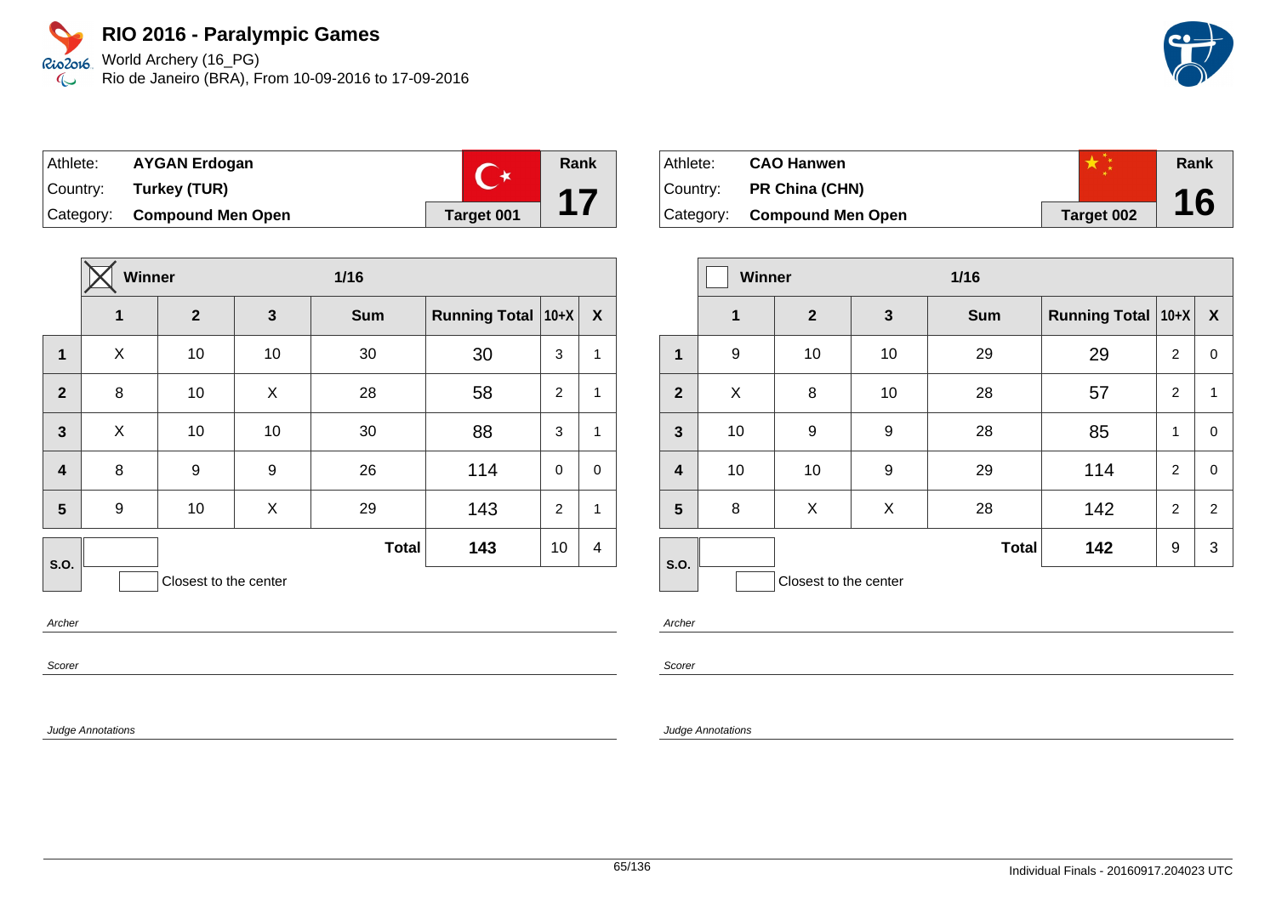World Archery (16\_PG) Rio2016 Rio de Janeiro (BRA), From 10-09-2016 to 17-09-2016  $\infty$ 



| Athlete:  | <b>AYGAN Erdogan</b>     |            | Rank |
|-----------|--------------------------|------------|------|
| ∣Country: | Turkey (TUR)             |            | 17   |
| Category: | <b>Compound Men Open</b> | Target 001 |      |

|                         | Winner |              |    | $1/16$       |                      |             |                  |
|-------------------------|--------|--------------|----|--------------|----------------------|-------------|------------------|
|                         | 1      | $\mathbf{2}$ | 3  | <b>Sum</b>   | <b>Running Total</b> | $ 10+X $    | $\boldsymbol{X}$ |
| 1                       | X      | 10           | 10 | 30           | 30                   | 3           | $\mathbf 1$      |
| $\overline{2}$          | 8      | 10           | X  | 28           | 58                   | 2           | $\mathbf{1}$     |
| $\overline{\mathbf{3}}$ | X      | 10           | 10 | 30           | 88                   | 3           | $\mathbf{1}$     |
| $\overline{\mathbf{4}}$ | 8      | 9            | 9  | 26           | 114                  | $\mathbf 0$ | $\mathbf 0$      |
| 5                       | 9      | 10           | X  | 29           | 143                  | 2           | $\mathbf{1}$     |
| S.O.                    |        |              |    | <b>Total</b> | 143                  | 10          | 4                |
| Closest to the center   |        |              |    |              |                      |             |                  |

Archer

Scorer

Judge Annotations

Athlete: **CAO Hanwen** Country: **PR China (CHN)** Category: **Compound Men Open Target 002 Rank 16**

|                         | <b>Winner</b><br>$1/16$ |                       |              |              |                      |                |                  |
|-------------------------|-------------------------|-----------------------|--------------|--------------|----------------------|----------------|------------------|
|                         | $\mathbf 1$             | $\mathbf{2}$          | $\mathbf{3}$ | <b>Sum</b>   | Running Total   10+X |                | $\boldsymbol{X}$ |
| 1                       | 9                       | 10                    | 10           | 29           | 29                   | $\overline{2}$ | 0                |
| $\overline{2}$          | X                       | 8                     | 10           | 28           | 57                   | $\overline{2}$ | $\mathbf{1}$     |
| $\overline{\mathbf{3}}$ | 10                      | 9                     | 9            | 28           | 85                   | 1              | 0                |
| $\overline{\mathbf{4}}$ | 10                      | 10                    | 9            | 29           | 114                  | $\overline{2}$ | $\mathbf 0$      |
| 5                       | 8                       | X                     | X            | 28           | 142                  | 2              | $\overline{2}$   |
| S.O.                    |                         |                       |              | <b>Total</b> | 142                  | 9              | 3                |
|                         |                         | Closest to the center |              |              |                      |                |                  |

Archer

Scorer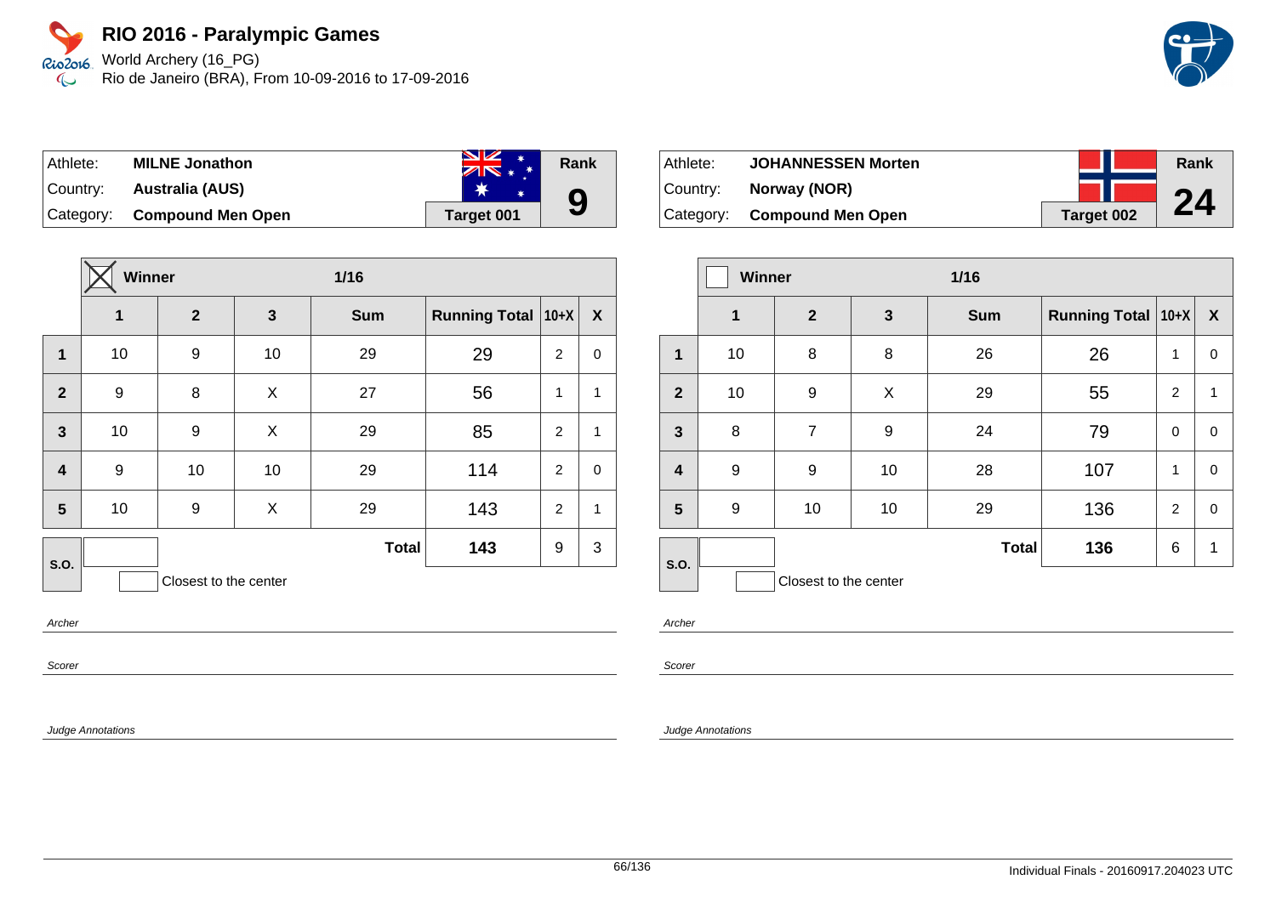World Archery (16\_PG) Rio2016 Rio de Janeiro (BRA), From 10-09-2016 to 17-09-2016  $\infty$ 



| Athlete:  | <b>MILNE Jonathon</b>       | <b>SZ</b><br><b>SAN</b><br>$ZN* *$ | Rank |
|-----------|-----------------------------|------------------------------------|------|
| ⊺Countr∨: | Australia (AUS)             |                                    |      |
|           | Category: Compound Men Open | Target 001                         | 9    |

|                         | Winner |                       |              | 1/16         |                      |                |                  |
|-------------------------|--------|-----------------------|--------------|--------------|----------------------|----------------|------------------|
|                         | 1      | $\mathbf{2}$          | $\mathbf{3}$ | <b>Sum</b>   | <b>Running Total</b> | $10+X$         | $\boldsymbol{X}$ |
| $\mathbf 1$             | 10     | 9                     | 10           | 29           | 29                   | 2              | 0                |
| $\overline{2}$          | 9      | 8                     | X            | 27           | 56                   | 1              | $\mathbf{1}$     |
| $\overline{\mathbf{3}}$ | 10     | 9                     | X            | 29           | 85                   | $\overline{2}$ | $\mathbf{1}$     |
| $\overline{\mathbf{4}}$ | 9      | 10                    | 10           | 29           | 114                  | 2              | $\mathbf 0$      |
| 5                       | 10     | 9                     | X            | 29           | 143                  | $\overline{2}$ | $\mathbf{1}$     |
| S.O.                    |        |                       |              | <b>Total</b> | 143                  | 9              | 3                |
|                         |        | Closest to the center |              |              |                      |                |                  |

Archer

Scorer

Judge Annotations

Athlete: **JOHANNESSEN Morten** Country: **Norway (NOR)** Category: **Compound Men Open Target 002 Rank 24**

|                         | Winner      |                       |              | $1/16$       |                      |                |                  |
|-------------------------|-------------|-----------------------|--------------|--------------|----------------------|----------------|------------------|
|                         | $\mathbf 1$ | 2 <sup>2</sup>        | $\mathbf{3}$ | <b>Sum</b>   | Running Total   10+X |                | $\boldsymbol{X}$ |
| 1                       | 10          | 8                     | 8            | 26           | 26                   | 1              | $\pmb{0}$        |
| $\overline{2}$          | 10          | 9                     | X            | 29           | 55                   | 2              | 1                |
| $\overline{\mathbf{3}}$ | 8           | $\overline{7}$        | 9            | 24           | 79                   | $\mathbf 0$    | $\pmb{0}$        |
| $\overline{\mathbf{r}}$ | 9           | 9                     | 10           | 28           | 107                  | 1              | $\mathbf 0$      |
| 5                       | 9           | 10                    | 10           | 29           | 136                  | $\overline{2}$ | $\mathbf 0$      |
| S.O.                    |             |                       |              | <b>Total</b> | 136                  | 6              | 1                |
|                         |             | Closest to the center |              |              |                      |                |                  |

Archer

Scorer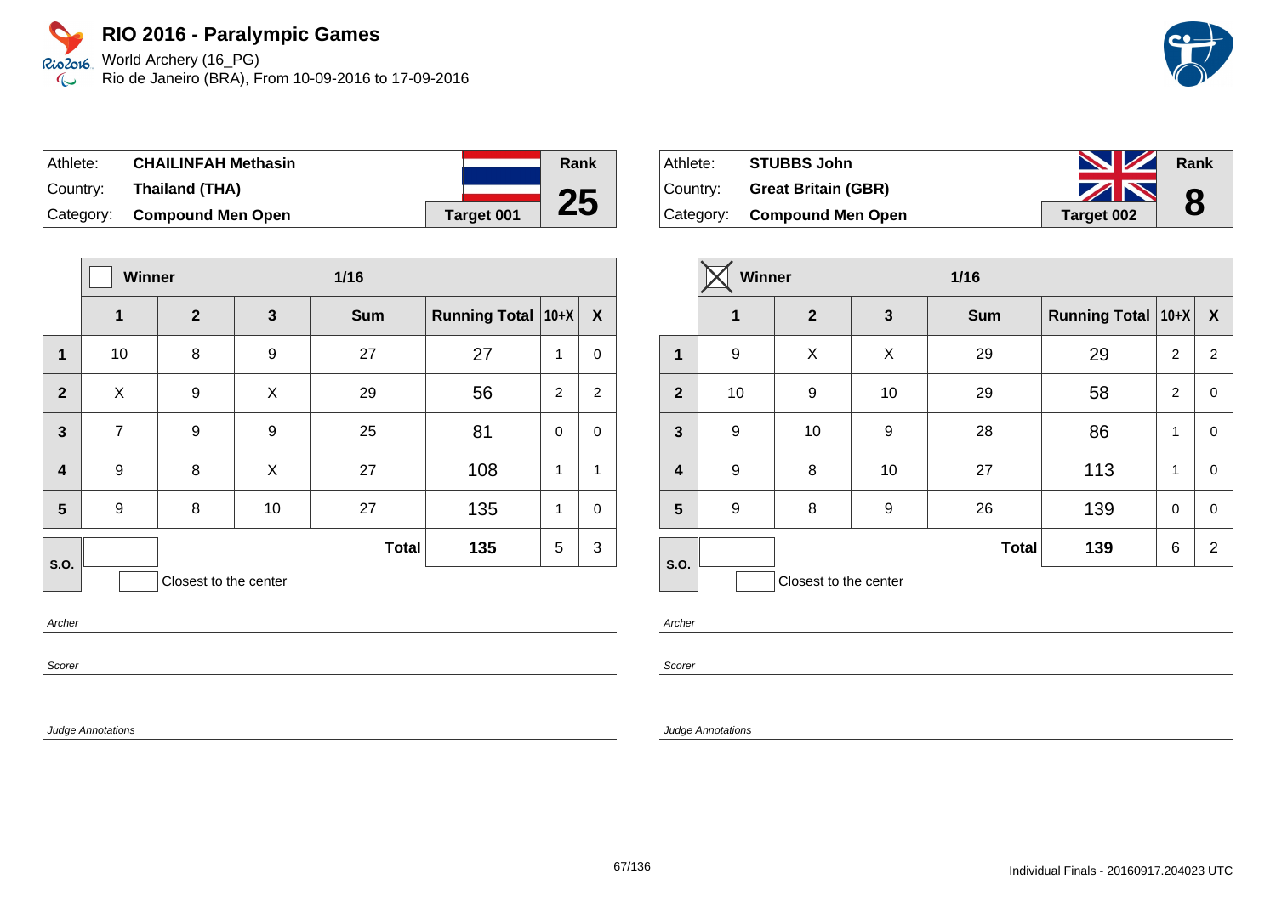World Archery (16\_PG) Rio de Janeiro (BRA), From 10-09-2016 to 17-09-2016

| Athlete:  | <b>CHAILINFAH Methasin</b>  |                   | Rank |
|-----------|-----------------------------|-------------------|------|
| ⊺Countr∨: | Thailand (THA)              |                   |      |
|           | Category: Compound Men Open | <b>Target 001</b> | 25   |

|                         | <b>Winner</b>  |                       |              | $1/16$       |                      |              |                |
|-------------------------|----------------|-----------------------|--------------|--------------|----------------------|--------------|----------------|
|                         | 1              | $\overline{2}$        | $\mathbf{3}$ | <b>Sum</b>   | <b>Running Total</b> | $10+X$       | X              |
| 1                       | 10             | 8                     | 9            | 27           | 27                   | 1            | $\pmb{0}$      |
| $\overline{2}$          | X              | 9                     | X            | 29           | 56                   | 2            | $\overline{2}$ |
| $\mathbf{3}$            | $\overline{7}$ | 9                     | 9            | 25           | 81                   | $\mathbf 0$  | $\mathbf 0$    |
| $\overline{\mathbf{4}}$ | 9              | 8                     | X            | 27           | 108                  | 1            | 1              |
| 5                       | 9              | 8                     | 10           | 27           | 135                  | $\mathbf{1}$ | $\pmb{0}$      |
| <b>S.O.</b>             |                |                       |              | <b>Total</b> | 135                  | 5            | 3              |
|                         |                | Closest to the center |              |              |                      |              |                |

Archer

Scorer

Judge Annotations

| Athlete: | <b>STUBBS John</b>          | <b>NZ</b>  | Rank |
|----------|-----------------------------|------------|------|
| Country: | <b>Great Britain (GBR)</b>  | ZN         | 8    |
|          | Category: Compound Men Open | Target 002 |      |

|                         | <b>Winner</b> |                       |    | $1/16$       |                      |                |                  |
|-------------------------|---------------|-----------------------|----|--------------|----------------------|----------------|------------------|
|                         | $\mathbf{1}$  | $\overline{2}$        | 3  | <b>Sum</b>   | Running Total   10+X |                | $\boldsymbol{X}$ |
| $\mathbf 1$             | 9             | X                     | X  | 29           | 29                   | 2              | $\overline{2}$   |
| $\overline{2}$          | 10            | 9                     | 10 | 29           | 58                   | $\overline{2}$ | $\pmb{0}$        |
| 3                       | 9             | 10                    | 9  | 28           | 86                   | 1              | $\pmb{0}$        |
| $\overline{\mathbf{4}}$ | 9             | 8                     | 10 | 27           | 113                  | 1              | $\mathbf 0$      |
| 5                       | 9             | 8                     | 9  | 26           | 139                  | 0              | $\pmb{0}$        |
| S.O.                    |               |                       |    | <b>Total</b> | 139                  | 6              | $\overline{2}$   |
|                         |               | Closest to the center |    |              |                      |                |                  |

Archer

Scorer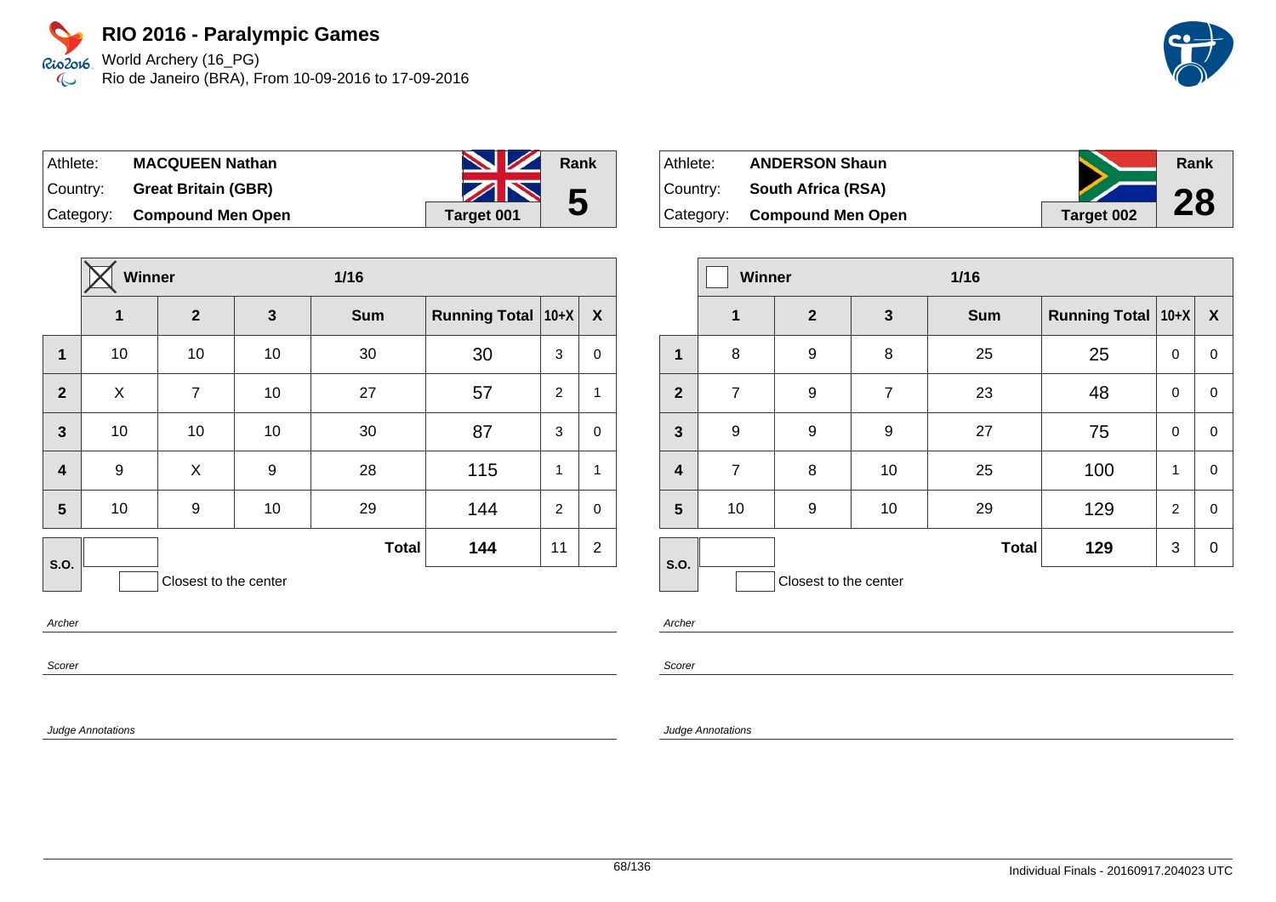World Archery (16\_PG) Rio2016 Rio de Janeiro (BRA), From 10-09-2016 to 17-09-2016  $\infty$ 



| Athlete:  | <b>MACQUEEN Nathan</b>      | <b>NZ</b>  | Rank |
|-----------|-----------------------------|------------|------|
| ∣Countr∨: | <b>Great Britain (GBR)</b>  | ZN         | 5    |
|           | Category: Compound Men Open | Target 001 |      |

|                         | <b>Winner</b> |                       |              | $1/16$       |                      |          |                |
|-------------------------|---------------|-----------------------|--------------|--------------|----------------------|----------|----------------|
|                         | 1             | $\overline{2}$        | $\mathbf{3}$ | <b>Sum</b>   | <b>Running Total</b> | $ 10+X $ | X              |
| 1                       | 10            | 10                    | 10           | 30           | 30                   | 3        | 0              |
| $\overline{2}$          | X             | $\overline{7}$        | 10           | 27           | 57                   | 2        | $\mathbf{1}$   |
| $\mathbf{3}$            | 10            | 10                    | 10           | 30           | 87                   | 3        | $\mathbf 0$    |
| $\overline{\mathbf{4}}$ | 9             | X                     | 9            | 28           | 115                  | 1        | $\mathbf{1}$   |
| 5                       | 10            | 9                     | 10           | 29           | 144                  | 2        | $\mathbf 0$    |
| S.O.                    |               |                       |              | <b>Total</b> | 144                  | 11       | $\overline{2}$ |
|                         |               | Closest to the center |              |              |                      |          |                |

Athlete: **ANDERSON Shaun** Country: **South Africa (RSA)** Category: **Compound Men Open Target 002 Rank 28**

|                  | Winner         |                       |                | $1/16$       |                      |                |                  |
|------------------|----------------|-----------------------|----------------|--------------|----------------------|----------------|------------------|
|                  | 1              | $\mathbf{2}$          | $\mathbf{3}$   | <b>Sum</b>   | <b>Running Total</b> | $ 10+X $       | $\boldsymbol{X}$ |
| 1                | 8              | 9                     | 8              | 25           | 25                   | 0              | $\pmb{0}$        |
| $\overline{2}$   | 7              | 9                     | $\overline{7}$ | 23           | 48                   | 0              | 0                |
| $\mathbf{3}$     | 9              | $9$                   | 9              | 27           | 75                   | $\mathbf 0$    | 0                |
| $\boldsymbol{4}$ | $\overline{7}$ | 8                     | 10             | 25           | 100                  | 1              | $\mathbf 0$      |
| 5                | 10             | 9                     | 10             | 29           | 129                  | $\overline{2}$ | $\mathbf 0$      |
| S.O.             |                |                       |                | <b>Total</b> | 129                  | 3              | $\mathbf 0$      |
|                  |                | Closest to the center |                |              |                      |                |                  |

Archer

Scorer

Judge Annotations

Archer

Scorer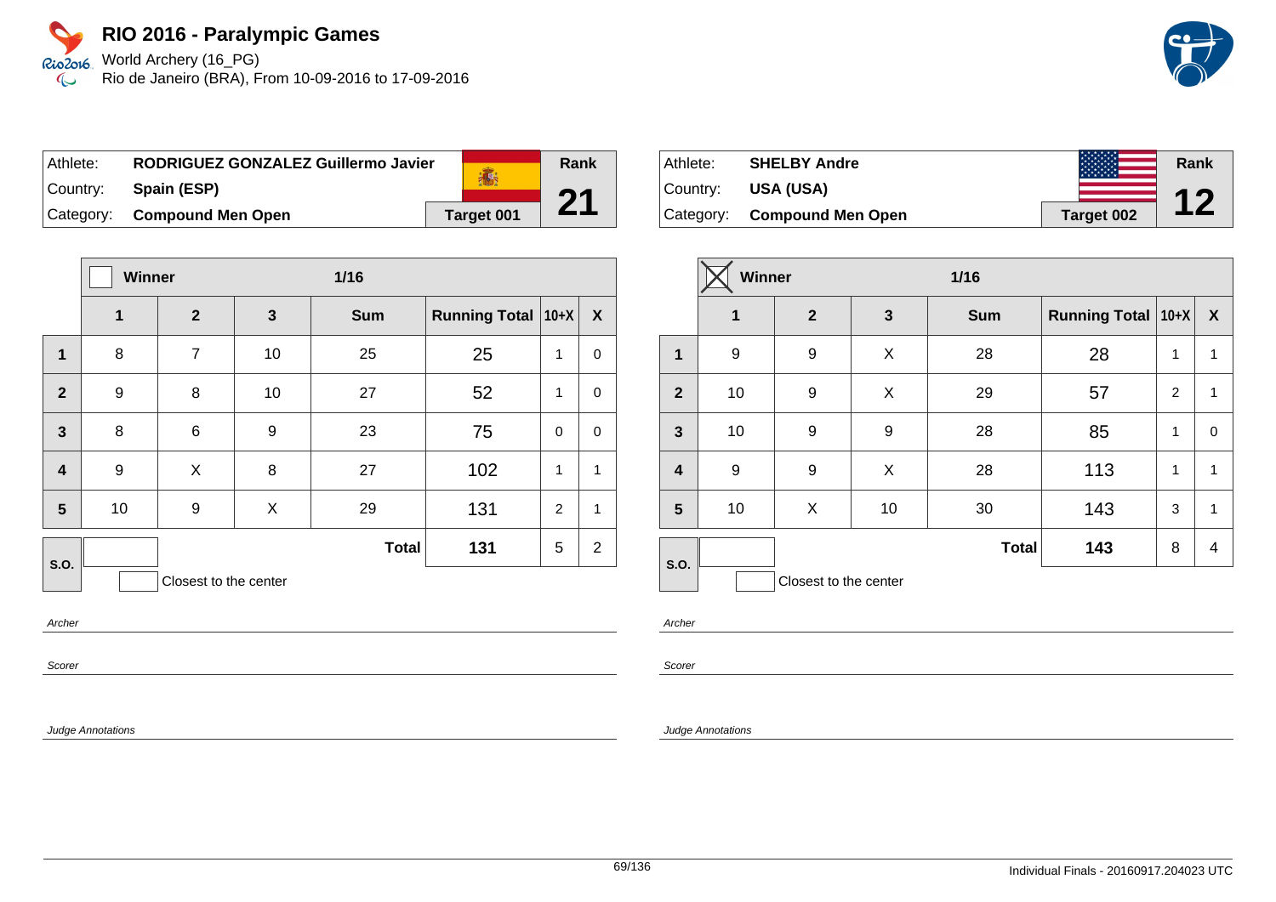

Rio de Janeiro (BRA), From 10-09-2016 to 17-09-2016

| Athlete: | RODRIGUEZ GONZALEZ Guillermo Javier |                   |
|----------|-------------------------------------|-------------------|
| Country: | Spain (ESP)                         | 高                 |
|          | Category: Compound Men Open         | <b>Target 001</b> |

|                         | <b>Winner</b> |                       | 1/16         |              |                      |                |                |
|-------------------------|---------------|-----------------------|--------------|--------------|----------------------|----------------|----------------|
|                         | $\mathbf{1}$  | $\overline{2}$        | $\mathbf{3}$ | <b>Sum</b>   | Running Total   10+X |                | X              |
| $\mathbf{1}$            | 8             | $\overline{7}$        | 10           | 25           | 25                   | 1              | 0              |
| $\overline{2}$          | 9             | 8                     | 10           | 27           | 52                   | 1              | 0              |
| $\overline{3}$          | 8             | 6                     | 9            | 23           | 75                   | 0              | $\mathbf 0$    |
| $\overline{\mathbf{4}}$ | 9             | X                     | 8            | 27           | 102                  | 1              | $\mathbf{1}$   |
| 5                       | 10            | 9                     | X            | 29           | 131                  | $\overline{2}$ | $\mathbf{1}$   |
| <b>S.O.</b>             |               |                       |              | <b>Total</b> | 131                  | 5              | $\overline{2}$ |
|                         |               | Closest to the center |              |              |                      |                |                |

Archer

Scorer

Judge Annotations

| Athlete:  | <b>SHELBY Andre</b>      |            | Rank       |
|-----------|--------------------------|------------|------------|
| Country:  | USA (USA)                |            | <b>A 7</b> |
| Category: | <b>Compound Men Open</b> | Target 002 |            |

|                         | <b>Winner</b> |                       | $1/16$       |              |                           |   |   |
|-------------------------|---------------|-----------------------|--------------|--------------|---------------------------|---|---|
|                         | $\mathbf 1$   | $\overline{2}$        | $\mathbf{3}$ | <b>Sum</b>   | <b>Running Total 10+X</b> |   | X |
| $\mathbf{1}$            | 9             | 9                     | X            | 28           | 28                        | 1 | 1 |
| $\overline{2}$          | 10            | 9                     | X            | 29           | 57                        | 2 | 1 |
| $\mathbf{3}$            | 10            | 9                     | 9            | 28           | 85                        | 1 | 0 |
| $\overline{\mathbf{4}}$ | 9             | 9                     | X            | 28           | 113                       | 1 | 1 |
| $5\phantom{1}$          | 10            | X                     | 10           | 30           | 143                       | 3 | 1 |
| S.O.                    |               |                       |              | <b>Total</b> | 143                       | 8 | 4 |
|                         |               | Closest to the center |              |              |                           |   |   |

Archer

Scorer

#### Judge Annotations

**Rank**

**21**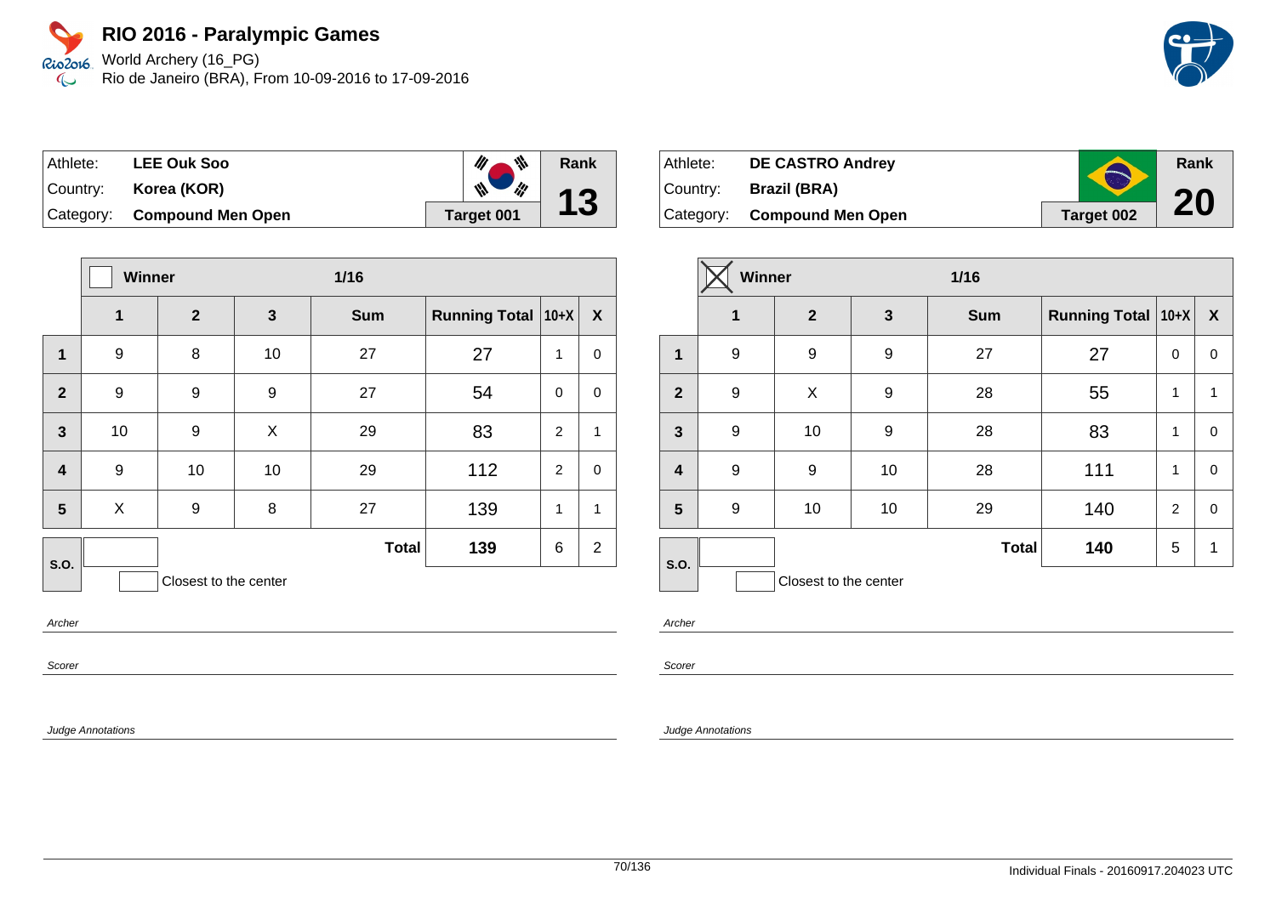World Archery (16\_PG) Rio de Janeiro (BRA), From 10-09-2016 to 17-09-2016

| ⊺Athlete: | <b>LEE Ouk Soo</b>          | $\mathscr{U}_\ell$<br>业        | Rank |
|-----------|-----------------------------|--------------------------------|------|
| Country:  | Korea (KOR)                 | $\mathscr{M}_{\bullet}$<br>III | 13   |
|           | Category: Compound Men Open | Target 001                     |      |

|                         | <b>Winner</b> |                       |              | $1/16$       |                      |                |                |
|-------------------------|---------------|-----------------------|--------------|--------------|----------------------|----------------|----------------|
|                         | $\mathbf{1}$  | $\boldsymbol{2}$      | $\mathbf{3}$ | <b>Sum</b>   | <b>Running Total</b> | $10+X$         | X              |
| $\mathbf{1}$            | 9             | 8                     | 10           | 27           | 27                   | 1              | $\pmb{0}$      |
| $\overline{2}$          | 9             | 9                     | 9            | 27           | 54                   | $\mathbf 0$    | $\pmb{0}$      |
| $\mathbf{3}$            | 10            | 9                     | X            | 29           | 83                   | $\overline{2}$ | 1              |
| $\overline{\mathbf{4}}$ | 9             | 10                    | 10           | 29           | 112                  | $\overline{2}$ | $\mathbf 0$    |
| 5                       | X             | 9                     | 8            | 27           | 139                  | 1              | 1              |
| S.O.                    |               |                       |              | <b>Total</b> | 139                  | 6              | $\overline{2}$ |
|                         |               | Closest to the center |              |              |                      |                |                |

Archer

Scorer

Judge Annotations

| Athlete:    | <b>DE CASTRO Andrey</b>     | $\blacktriangle$ | Rank |
|-------------|-----------------------------|------------------|------|
| ∣Countr∨: ⊥ | <b>Brazil (BRA)</b>         |                  |      |
|             | Category: Compound Men Open | Target 002       | 20   |

|                         | Winner      |                       | $1/16$           |              |                      |                |                  |
|-------------------------|-------------|-----------------------|------------------|--------------|----------------------|----------------|------------------|
|                         | $\mathbf 1$ | $\mathbf{2}$          | 3                | <b>Sum</b>   | Running Total   10+X |                | $\boldsymbol{X}$ |
| $\mathbf 1$             | 9           | 9                     | $\boldsymbol{9}$ | 27           | 27                   | 0              | 0                |
| $\overline{2}$          | 9           | X                     | 9                | 28           | 55                   | 1              | 1                |
| $\mathbf{3}$            | 9           | 10                    | 9                | 28           | 83                   | 1              | 0                |
| $\overline{\mathbf{4}}$ | 9           | 9                     | 10               | 28           | 111                  | 1              | 0                |
| 5                       | 9           | 10                    | 10               | 29           | 140                  | $\overline{2}$ | 0                |
| S.O.                    |             |                       |                  | <b>Total</b> | 140                  | 5              | 1                |
|                         |             | Closest to the center |                  |              |                      |                |                  |

Archer

Scorer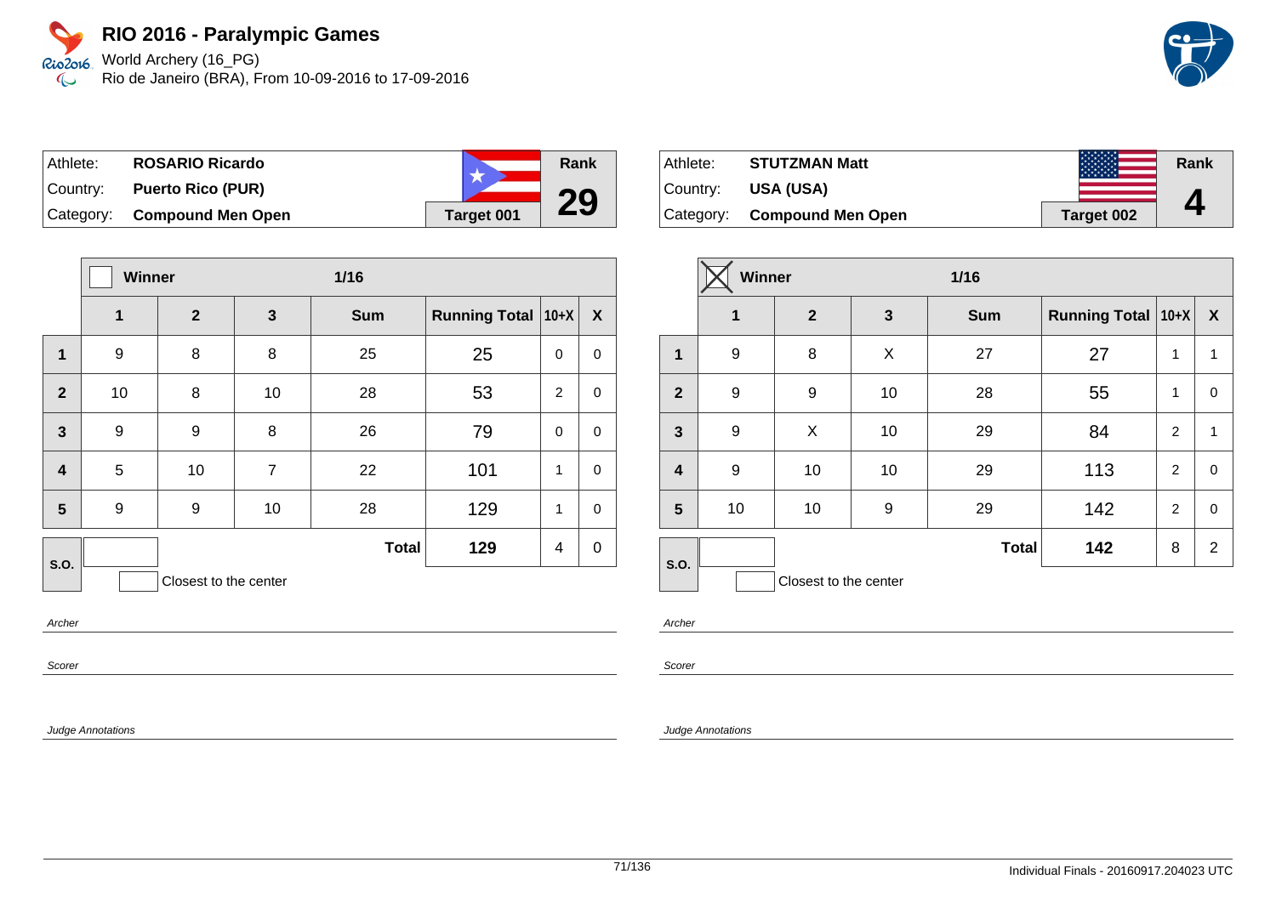World Archery (16\_PG) Rio de Janeiro (BRA), From 10-09-2016 to 17-09-2016

| Athlete:  | <b>ROSARIO Ricardo</b>   |            | Rank |
|-----------|--------------------------|------------|------|
| ⊺Countr∨: | <b>Puerto Rico (PUR)</b> |            |      |
| Category: | <b>Compound Men Open</b> | Target 001 | 29   |

|                         | <b>Winner</b>    |                       | $1/16$         |              |                    |             |             |
|-------------------------|------------------|-----------------------|----------------|--------------|--------------------|-------------|-------------|
|                         | 1                | $\mathbf{2}$          | $\mathbf{3}$   | <b>Sum</b>   | Running Total 10+X |             | X           |
| $\mathbf{1}$            | 9                | 8                     | 8              | 25           | 25                 | $\mathbf 0$ | $\pmb{0}$   |
| $\overline{2}$          | 10               | 8                     | 10             | 28           | 53                 | 2           | $\mathbf 0$ |
| $\overline{3}$          | $\boldsymbol{9}$ | 9                     | 8              | 26           | 79                 | $\mathbf 0$ | $\pmb{0}$   |
| $\overline{\mathbf{4}}$ | 5                | 10                    | $\overline{7}$ | 22           | 101                | 1           | $\pmb{0}$   |
| 5                       | 9                | 9                     | 10             | 28           | 129                | 1           | $\pmb{0}$   |
| S.O.                    |                  |                       |                | <b>Total</b> | 129                | 4           | $\mathbf 0$ |
|                         |                  | Closest to the center |                |              |                    |             |             |

Archer

Scorer

Judge Annotations

| Athlete:  | <b>STUTZMAN Matt</b>        | <b>NANAN</b> | Rank |
|-----------|-----------------------------|--------------|------|
| ⊺Countr∨: | <b>USA (USA)</b>            |              |      |
|           | Category: Compound Men Open | Target 002   |      |

|                         | Winner |                       |              | $1/16$       |                      |                |                  |
|-------------------------|--------|-----------------------|--------------|--------------|----------------------|----------------|------------------|
|                         | 1      | $\overline{2}$        | $\mathbf{3}$ | <b>Sum</b>   | Running Total   10+X |                | $\boldsymbol{X}$ |
| $\mathbf 1$             | 9      | 8                     | X            | 27           | 27                   | 1              | $\mathbf{1}$     |
| $\overline{2}$          | 9      | 9                     | 10           | 28           | 55                   | 1              | 0                |
| 3                       | 9      | X                     | 10           | 29           | 84                   | 2              | $\mathbf{1}$     |
| $\overline{\mathbf{4}}$ | 9      | 10                    | 10           | 29           | 113                  | 2              | $\mathbf 0$      |
| 5                       | 10     | 10                    | 9            | 29           | 142                  | $\overline{2}$ | 0                |
| S.O.                    |        |                       |              | <b>Total</b> | 142                  | 8              | $\overline{2}$   |
|                         |        | Closest to the center |              |              |                      |                |                  |

Archer

Scorer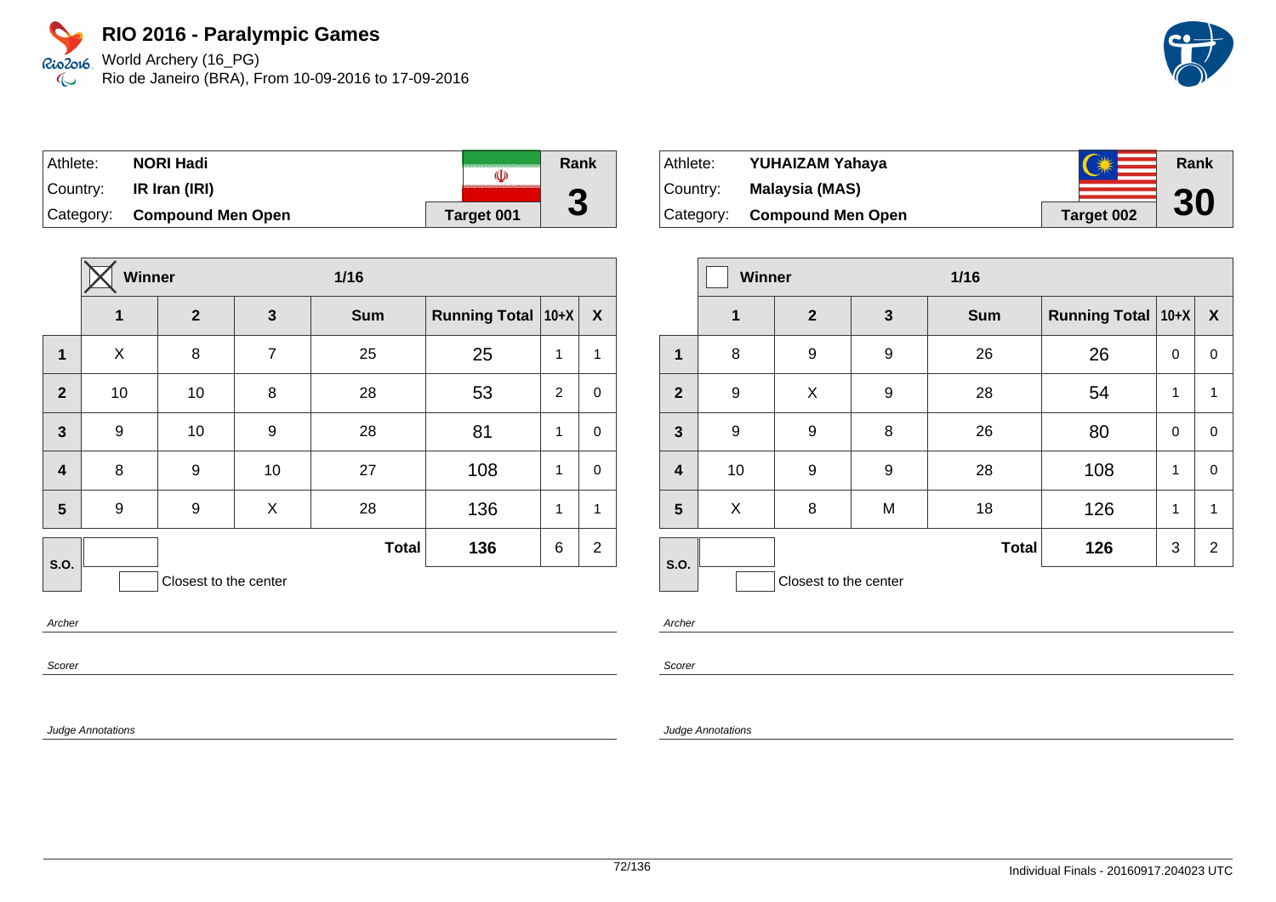World Archery (16\_PG) Rio de Janeiro (BRA), From 10-09-2016 to 17-09-2016

| Athlete: | <b>NORI Hadi</b>            | O          | Rank |
|----------|-----------------------------|------------|------|
| Country: | IR Iran (IRI)               |            | ŋ    |
|          | Category: Compound Men Open | Target 001 | J    |

|                         | <b>Winner</b> |                       |                | $1/16$       |                      |          |                |
|-------------------------|---------------|-----------------------|----------------|--------------|----------------------|----------|----------------|
|                         | 1             | $\overline{2}$        | 3              | <b>Sum</b>   | <b>Running Total</b> | $ 10+X $ | X              |
| $\mathbf{1}$            | X             | 8                     | $\overline{7}$ | 25           | 25                   | 1        | 1              |
| $\overline{2}$          | 10            | 10                    | 8              | 28           | 53                   | 2        | $\mathbf 0$    |
| $\overline{\mathbf{3}}$ | 9             | 10                    | 9              | 28           | 81                   | 1        | $\mathbf 0$    |
| $\overline{\mathbf{4}}$ | 8             | 9                     | 10             | 27           | 108                  | 1        | 0              |
| 5                       | 9             | 9                     | X              | 28           | 136                  | 1        | 1              |
| S.O.                    |               |                       |                | <b>Total</b> | 136                  | 6        | $\overline{2}$ |
|                         |               | Closest to the center |                |              |                      |          |                |

Archer

Scorer

Judge Annotations

| Athlete:  | YUHAIZAM Yahaya             | $\bigcap_{k}$ | Rank |
|-----------|-----------------------------|---------------|------|
| ⊺Countr∨: | Malaysia (MAS)              |               |      |
|           | Category: Compound Men Open | Target 002    | 30   |

|                         | <b>Winner</b> |                       |              | $1/16$       |                           |             |                |
|-------------------------|---------------|-----------------------|--------------|--------------|---------------------------|-------------|----------------|
|                         | $\mathbf 1$   | $\mathbf{2}$          | $\mathbf{3}$ | <b>Sum</b>   | <b>Running Total 10+X</b> |             | X              |
| 1                       | 8             | 9                     | 9            | 26           | 26                        | 0           | $\mathbf 0$    |
| $\mathbf{2}$            | 9             | X                     | 9            | 28           | 54                        | 1           | 1              |
| $\mathbf{3}$            | 9             | 9                     | 8            | 26           | 80                        | $\mathbf 0$ | $\pmb{0}$      |
| $\overline{\mathbf{4}}$ | 10            | 9                     | 9            | 28           | 108                       | 1           | $\mathbf 0$    |
| $5\phantom{1}$          | X             | 8                     | M            | 18           | 126                       | 1           | 1              |
| S.O.                    |               |                       |              | <b>Total</b> | 126                       | 3           | $\overline{2}$ |
|                         |               | Closest to the center |              |              |                           |             |                |

Archer

Scorer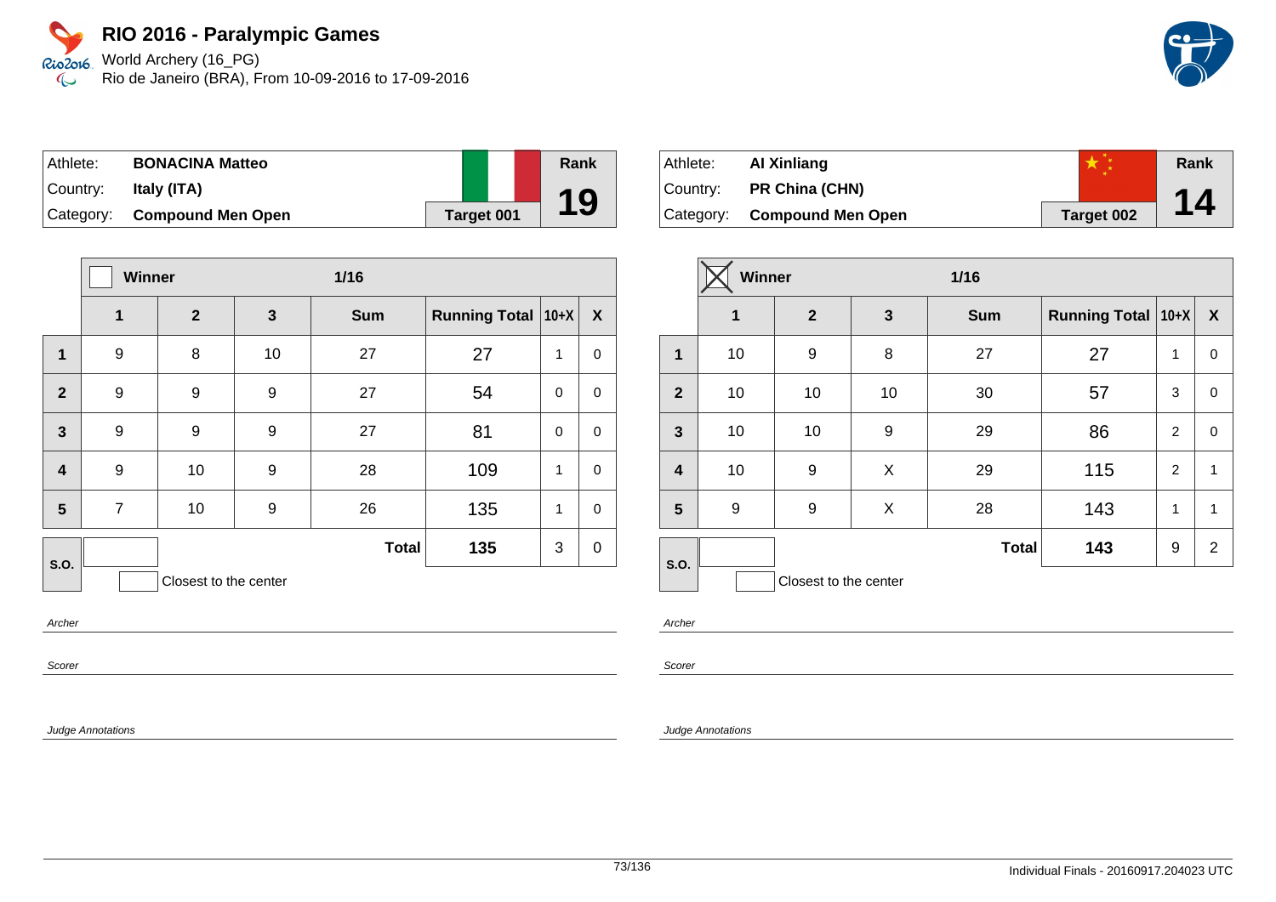World Archery (16\_PG) Rio de Janeiro (BRA), From 10-09-2016 to 17-09-2016

| Athlete:  | <b>BONACINA Matteo</b>      |                   | Rank |
|-----------|-----------------------------|-------------------|------|
| ⊺Countr∨: | Italy (ITA)                 |                   |      |
|           | Category: Compound Men Open | <b>Target 001</b> | 19   |

|                         | <b>Winner</b>  |                       |              | $1/16$       |                           |             |             |
|-------------------------|----------------|-----------------------|--------------|--------------|---------------------------|-------------|-------------|
|                         | 1              | $\overline{2}$        | $\mathbf{3}$ | <b>Sum</b>   | <b>Running Total 10+X</b> |             | X           |
| 1                       | 9              | 8                     | 10           | 27           | 27                        | 1           | $\mathbf 0$ |
| $\overline{2}$          | 9              | 9                     | 9            | 27           | 54                        | $\Omega$    | $\mathbf 0$ |
| $\mathbf{3}$            | 9              | 9                     | 9            | 27           | 81                        | $\mathbf 0$ | $\mathbf 0$ |
| $\overline{\mathbf{4}}$ | 9              | 10                    | 9            | 28           | 109                       | 1           | $\mathbf 0$ |
| 5                       | $\overline{7}$ | 10                    | 9            | 26           | 135                       | 1           | $\mathbf 0$ |
| S.O.                    |                |                       |              | <b>Total</b> | 135                       | 3           | $\mathbf 0$ |
|                         |                | Closest to the center |              |              |                           |             |             |

Archer

Scorer

Judge Annotations

| Athlete:  | Al Xinliang                 |                   | Rank |
|-----------|-----------------------------|-------------------|------|
| ∣Countr∨: | <b>PR China (CHN)</b>       |                   |      |
|           | Category: Compound Men Open | <b>Target 002</b> | 14   |

|                         | <b>Winner</b><br>$1/16$ |                       |              |              |                      |                |              |
|-------------------------|-------------------------|-----------------------|--------------|--------------|----------------------|----------------|--------------|
|                         | $\mathbf{1}$            | $\mathbf{2}$          | $\mathbf{3}$ | <b>Sum</b>   | Running Total   10+X |                | $\mathbf{X}$ |
| 1                       | 10                      | 9                     | 8            | 27           | 27                   | 1              | 0            |
| $\overline{2}$          | 10                      | 10                    | 10           | 30           | 57                   | 3              | 0            |
| $\mathbf{3}$            | 10                      | 10                    | 9            | 29           | 86                   | $\overline{2}$ | 0            |
| $\overline{\mathbf{4}}$ | 10                      | 9                     | X            | 29           | 115                  | 2              | 1            |
| $5\phantom{1}$          | 9                       | 9                     | X            | 28           | 143                  | 1              | 1            |
| S.O.                    |                         |                       |              | <b>Total</b> | 143                  | 9              | 2            |
|                         |                         | Closest to the center |              |              |                      |                |              |

Archer

Scorer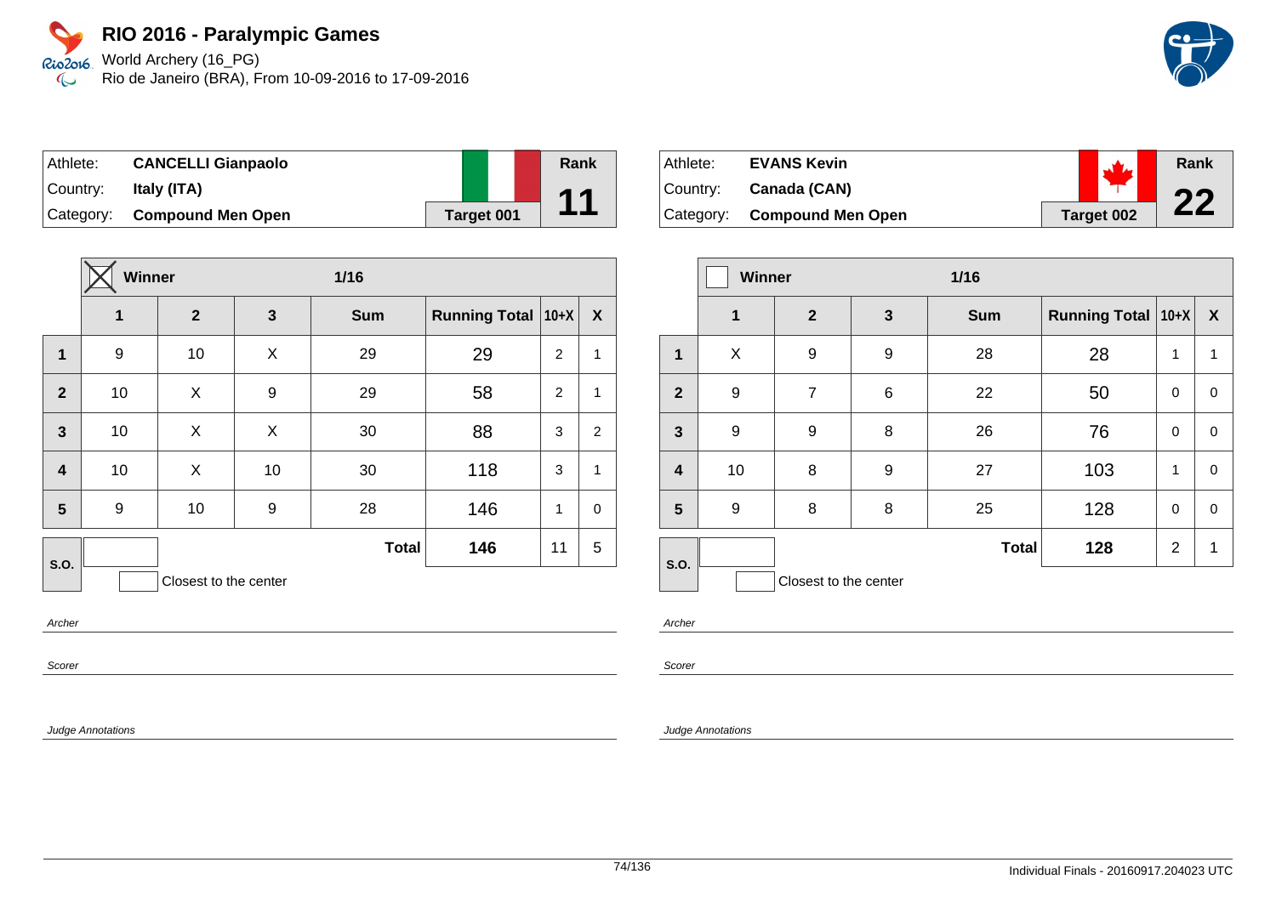World Archery (16\_PG) Rio de Janeiro (BRA), From 10-09-2016 to 17-09-2016

| Athlete:  | <b>CANCELLI Gianpaolo</b> |                   | Rank |
|-----------|---------------------------|-------------------|------|
| Country:  | Italy (ITA)               |                   |      |
| Category: | <b>Compound Men Open</b>  | <b>Target 001</b> |      |

|                         | <b>Winner</b><br>1/16 |                       |    |              |                           |                |                  |
|-------------------------|-----------------------|-----------------------|----|--------------|---------------------------|----------------|------------------|
|                         | 1                     | $\overline{2}$        | 3  | <b>Sum</b>   | <b>Running Total 10+X</b> |                | $\boldsymbol{X}$ |
| $\mathbf{1}$            | 9                     | 10                    | X  | 29           | 29                        | 2              | 1                |
| $\overline{2}$          | 10                    | X                     | 9  | 29           | 58                        | $\overline{2}$ | 1                |
| $\overline{\mathbf{3}}$ | 10                    | X                     | X  | 30           | 88                        | 3              | $\overline{2}$   |
| $\overline{\mathbf{4}}$ | 10                    | X                     | 10 | 30           | 118                       | 3              | 1                |
| $5\phantom{1}$          | 9                     | 10                    | 9  | 28           | 146                       | 1              | $\mathbf 0$      |
| S.O.                    |                       |                       |    | <b>Total</b> | 146                       | 11             | 5                |
|                         |                       | Closest to the center |    |              |                           |                |                  |

Archer

Scorer

Judge Annotations

| Athlete:  | <b>EVANS Kevin</b>       |                   | Rank |
|-----------|--------------------------|-------------------|------|
| Country:  | Canada (CAN)             |                   | nn   |
| Category: | <b>Compound Men Open</b> | <b>Target 002</b> |      |

|                         | Winner<br>$1/16$ |                       |   |              |                      |                |              |
|-------------------------|------------------|-----------------------|---|--------------|----------------------|----------------|--------------|
|                         | $\mathbf{1}$     | $\overline{2}$        | 3 | <b>Sum</b>   | Running Total   10+X |                | $\mathbf{X}$ |
| 1                       | X                | 9                     | 9 | 28           | 28                   | 1              | 1            |
| $\overline{2}$          | 9                | 7                     | 6 | 22           | 50                   | 0              | 0            |
| $\mathbf{3}$            | 9                | 9                     | 8 | 26           | 76                   | $\mathbf 0$    | 0            |
| $\overline{\mathbf{4}}$ | 10               | 8                     | 9 | 27           | 103                  | 1              | $\Omega$     |
| 5                       | 9                | 8                     | 8 | 25           | 128                  | $\mathbf 0$    | 0            |
| S.O.                    |                  |                       |   | <b>Total</b> | 128                  | $\overline{2}$ | 1            |
|                         |                  | Closest to the center |   |              |                      |                |              |

Archer

Scorer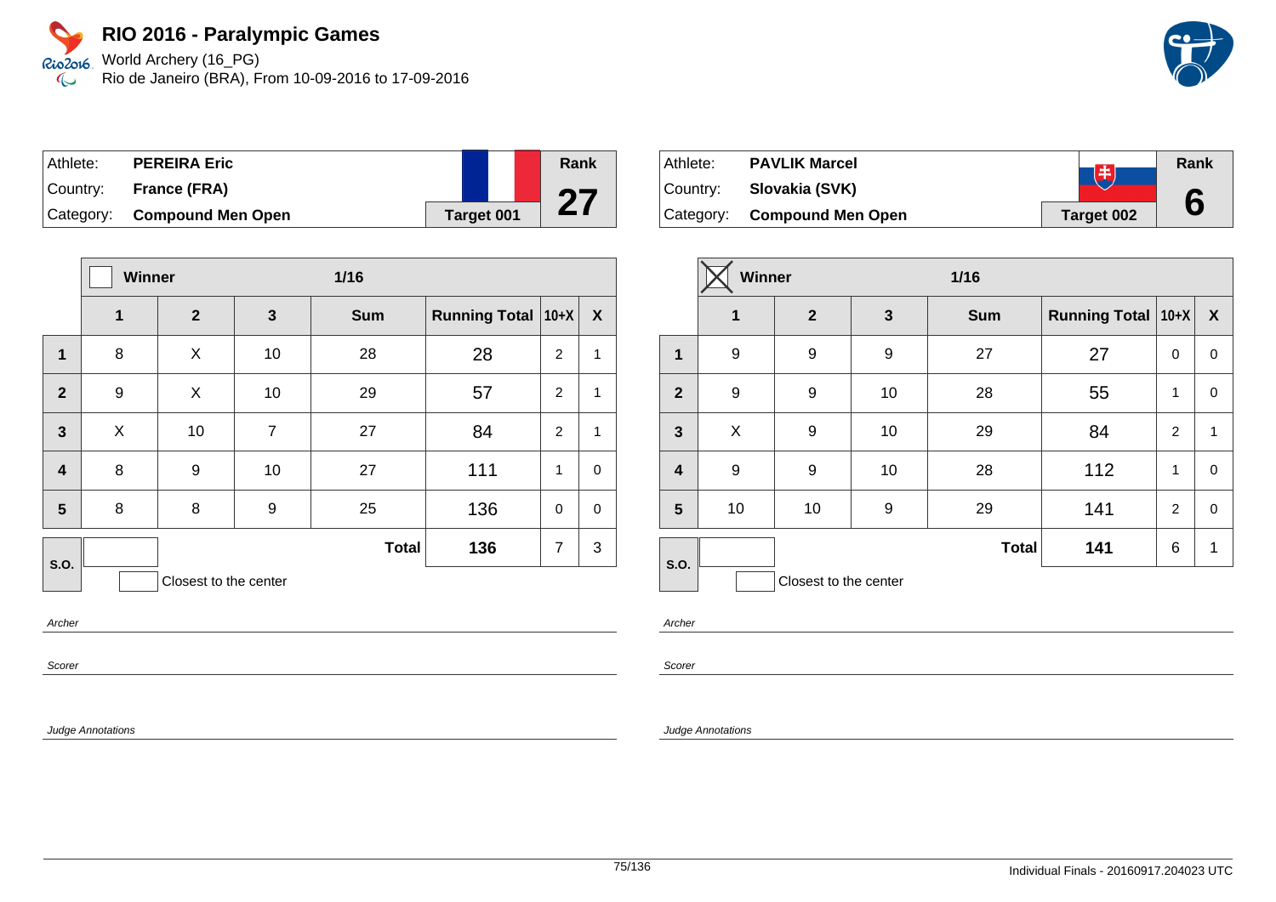World Archery (16\_PG) Rio de Janeiro (BRA), From 10-09-2016 to 17-09-2016

| Athlete:  | <b>PEREIRA Eric</b>         |                   | Rank |
|-----------|-----------------------------|-------------------|------|
| ⊺Countr∨: | <b>France (FRA)</b>         |                   | 07   |
|           | Category: Compound Men Open | <b>Target 001</b> |      |

|                         | <b>Winner</b> |                       |                | $1/16$       |                      |                |              |
|-------------------------|---------------|-----------------------|----------------|--------------|----------------------|----------------|--------------|
|                         | $\mathbf{1}$  | $\overline{2}$        | $\mathbf{3}$   | <b>Sum</b>   | <b>Running Total</b> | $10+X$         | X            |
| 1                       | 8             | X                     | 10             | 28           | 28                   | $\overline{2}$ | $\mathbf{1}$ |
| $\overline{2}$          | 9             | X                     | 10             | 29           | 57                   | 2              | $\mathbf{1}$ |
| $\overline{\mathbf{3}}$ | X             | 10                    | $\overline{7}$ | 27           | 84                   | $\overline{2}$ | 1            |
| $\boldsymbol{4}$        | 8             | 9                     | 10             | 27           | 111                  | 1              | $\mathbf 0$  |
| 5                       | 8             | 8                     | 9              | 25           | 136                  | $\Omega$       | $\mathbf 0$  |
| S.O.                    |               |                       |                | <b>Total</b> | 136                  | $\overline{7}$ | 3            |
|                         |               | Closest to the center |                |              |                      |                |              |

Archer

Scorer

Judge Annotations

| Athlete:  | <b>PAVLIK Marcel</b>        | 串          | Rank |
|-----------|-----------------------------|------------|------|
| ⊺Countr∨: | Slovakia (SVK)              |            |      |
|           | Category: Compound Men Open | Target 002 |      |

|                         | <b>Winner</b> |                       |                  | $1/16$       |                      |                |                  |
|-------------------------|---------------|-----------------------|------------------|--------------|----------------------|----------------|------------------|
|                         | $\mathbf 1$   | $\mathbf{2}$          | 3                | <b>Sum</b>   | Running Total   10+X |                | $\boldsymbol{X}$ |
| $\mathbf 1$             | 9             | 9                     | $\boldsymbol{9}$ | 27           | 27                   | 0              | 0                |
| $\overline{2}$          | 9             | 9                     | 10               | 28           | 55                   | 1              | 0                |
| $\mathbf{3}$            | X             | 9                     | 10               | 29           | 84                   | $\overline{2}$ | $\mathbf{1}$     |
| $\overline{\mathbf{4}}$ | 9             | 9                     | 10               | 28           | 112                  | 1              | 0                |
| 5                       | 10            | 10                    | 9                | 29           | 141                  | $\overline{2}$ | 0                |
| S.O.                    |               |                       |                  | <b>Total</b> | 141                  | 6              | 1                |
|                         |               | Closest to the center |                  |              |                      |                |                  |

Archer

Scorer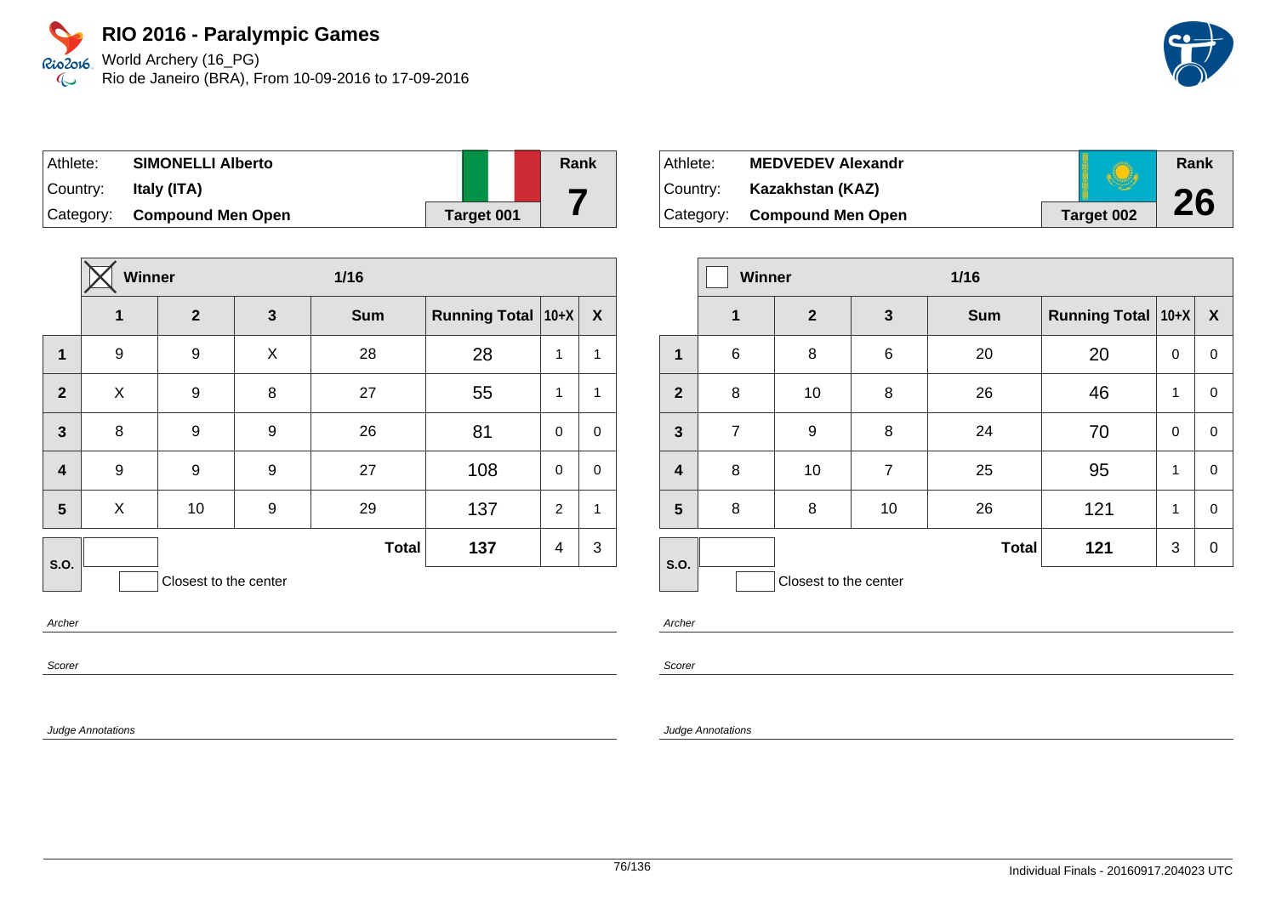World Archery (16\_PG) Rio de Janeiro (BRA), From 10-09-2016 to 17-09-2016

| Athlete:  | <b>SIMONELLI Alberto</b>    |                   |  | Rank |
|-----------|-----------------------------|-------------------|--|------|
| ⊺Countr∨: | Italy (ITA)                 |                   |  |      |
|           | Category: Compound Men Open | <b>Target 001</b> |  |      |

|                         | Winner |                       |              | 1/16         |                      |                |                  |
|-------------------------|--------|-----------------------|--------------|--------------|----------------------|----------------|------------------|
|                         | 1      | $\mathbf{2}$          | $\mathbf{3}$ | <b>Sum</b>   | Running Total   10+X |                | $\boldsymbol{X}$ |
| $\mathbf{1}$            | 9      | 9                     | X            | 28           | 28                   | 1              | $\mathbf{1}$     |
| $\overline{2}$          | X      | 9                     | 8            | 27           | 55                   | 1              | $\mathbf{1}$     |
| $\mathbf{3}$            | 8      | 9                     | 9            | 26           | 81                   | $\mathbf 0$    | $\mathbf 0$      |
| $\overline{\mathbf{4}}$ | 9      | 9                     | 9            | 27           | 108                  | $\mathbf 0$    | $\mathbf 0$      |
| 5                       | X      | 10                    | 9            | 29           | 137                  | 2              | $\mathbf{1}$     |
| <b>S.O.</b>             |        |                       |              | <b>Total</b> | 137                  | $\overline{4}$ | 3                |
|                         |        | Closest to the center |              |              |                      |                |                  |

Archer

Scorer

Judge Annotations

| Athlete:   | <b>MEDVEDEV Alexandr</b> |                   | Rank |
|------------|--------------------------|-------------------|------|
| ⊺Countr∨:  | Kazakhstan (KAZ)         |                   |      |
| ∣Categorv: | <b>Compound Men Open</b> | <b>Target 002</b> | 26   |

|                         | <b>Winner</b>  |                       |                | $1/16$       |                      |   |                  |
|-------------------------|----------------|-----------------------|----------------|--------------|----------------------|---|------------------|
|                         | $\mathbf{1}$   | $\mathbf{2}$          | 3              | <b>Sum</b>   | Running Total   10+X |   | $\boldsymbol{X}$ |
| 1                       | 6              | 8                     | 6              | 20           | 20                   | 0 | 0                |
| $\mathbf{2}$            | 8              | 10                    | 8              | 26           | 46                   | 1 | 0                |
| $\mathbf{3}$            | $\overline{7}$ | 9                     | 8              | 24           | 70                   | 0 | 0                |
| $\overline{\mathbf{4}}$ | 8              | 10                    | $\overline{7}$ | 25           | 95                   | 1 | 0                |
| $5\phantom{a}$          | 8              | 8                     | 10             | 26           | 121                  | 1 | 0                |
| S.O.                    |                |                       |                | <b>Total</b> | 121                  | 3 | 0                |
|                         |                | Closest to the center |                |              |                      |   |                  |

Archer

Scorer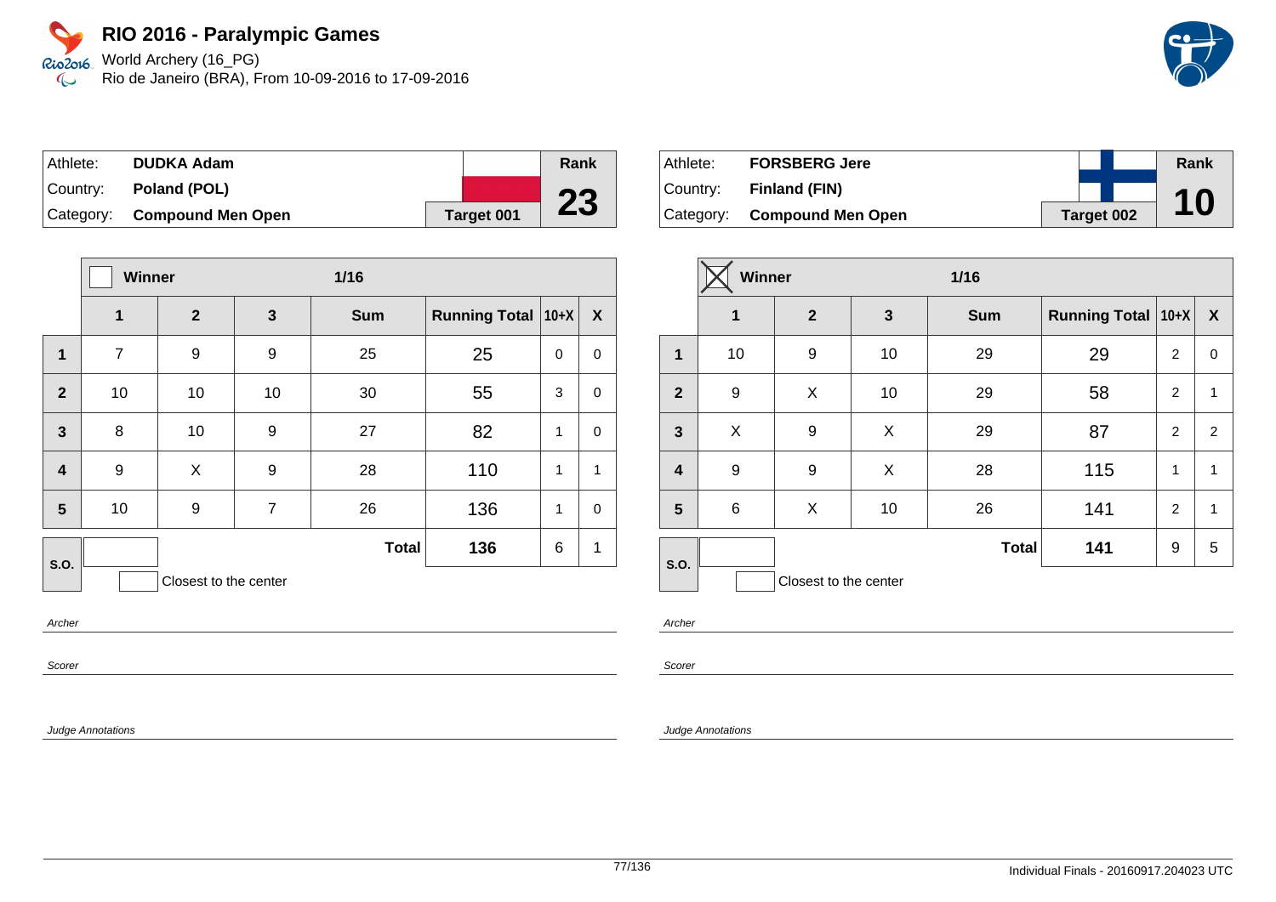World Archery (16\_PG) Rio de Janeiro (BRA), From 10-09-2016 to 17-09-2016

| Athlete:  | <b>DUDKA Adam</b>           |                   | Rank |
|-----------|-----------------------------|-------------------|------|
| ⊺Countr∨: | Poland (POL)                |                   |      |
|           | Category: Compound Men Open | <b>Target 001</b> | 23   |

|                         | Winner<br>$1/16$ |                       |                |              |                      |             |                  |
|-------------------------|------------------|-----------------------|----------------|--------------|----------------------|-------------|------------------|
|                         | 1                | $\mathbf{2}$          | $\mathbf{3}$   | <b>Sum</b>   | <b>Running Total</b> | $ 10+X $    | $\boldsymbol{X}$ |
| 1                       | $\overline{7}$   | 9                     | 9              | 25           | 25                   | $\mathbf 0$ | 0                |
| $\overline{2}$          | 10               | 10                    | 10             | 30           | 55                   | 3           | $\mathbf 0$      |
| $\mathbf{3}$            | 8                | 10                    | 9              | 27           | 82                   | 1           | $\pmb{0}$        |
| $\overline{\mathbf{4}}$ | 9                | X                     | 9              | 28           | 110                  | 1           | $\mathbf{1}$     |
| 5                       | 10               | 9                     | $\overline{7}$ | 26           | 136                  | 1           | $\mathbf 0$      |
| S.O.                    |                  |                       |                | <b>Total</b> | 136                  | 6           | 1                |
|                         |                  | Closest to the center |                |              |                      |             |                  |

Archer

Scorer

Judge Annotations

| Athlete:    | <b>FORSBERG Jere</b>        |            | Rank |
|-------------|-----------------------------|------------|------|
| ∣Countr∨: l | Finland (FIN)               |            |      |
|             | Category: Compound Men Open | Target 002 | 10   |

|                         | Winner      |                       |              | $1/16$       |                      |                |                  |
|-------------------------|-------------|-----------------------|--------------|--------------|----------------------|----------------|------------------|
|                         | $\mathbf 1$ | $\mathbf{2}$          | $\mathbf{3}$ | <b>Sum</b>   | Running Total   10+X |                | $\boldsymbol{X}$ |
| 1                       | 10          | 9                     | 10           | 29           | 29                   | 2              | 0                |
| $\overline{2}$          | 9           | X                     | 10           | 29           | 58                   | $\overline{2}$ | 1                |
| $\overline{\mathbf{3}}$ | X           | 9                     | X            | 29           | 87                   | $\overline{2}$ | 2                |
| $\overline{\mathbf{r}}$ | 9           | 9                     | X            | 28           | 115                  | 1              | 1                |
| 5                       | $\,6$       | X                     | 10           | 26           | 141                  | $\overline{2}$ | 1                |
| S.O.                    |             |                       |              | <b>Total</b> | 141                  | 9              | 5                |
|                         |             | Closest to the center |              |              |                      |                |                  |

Archer

Scorer

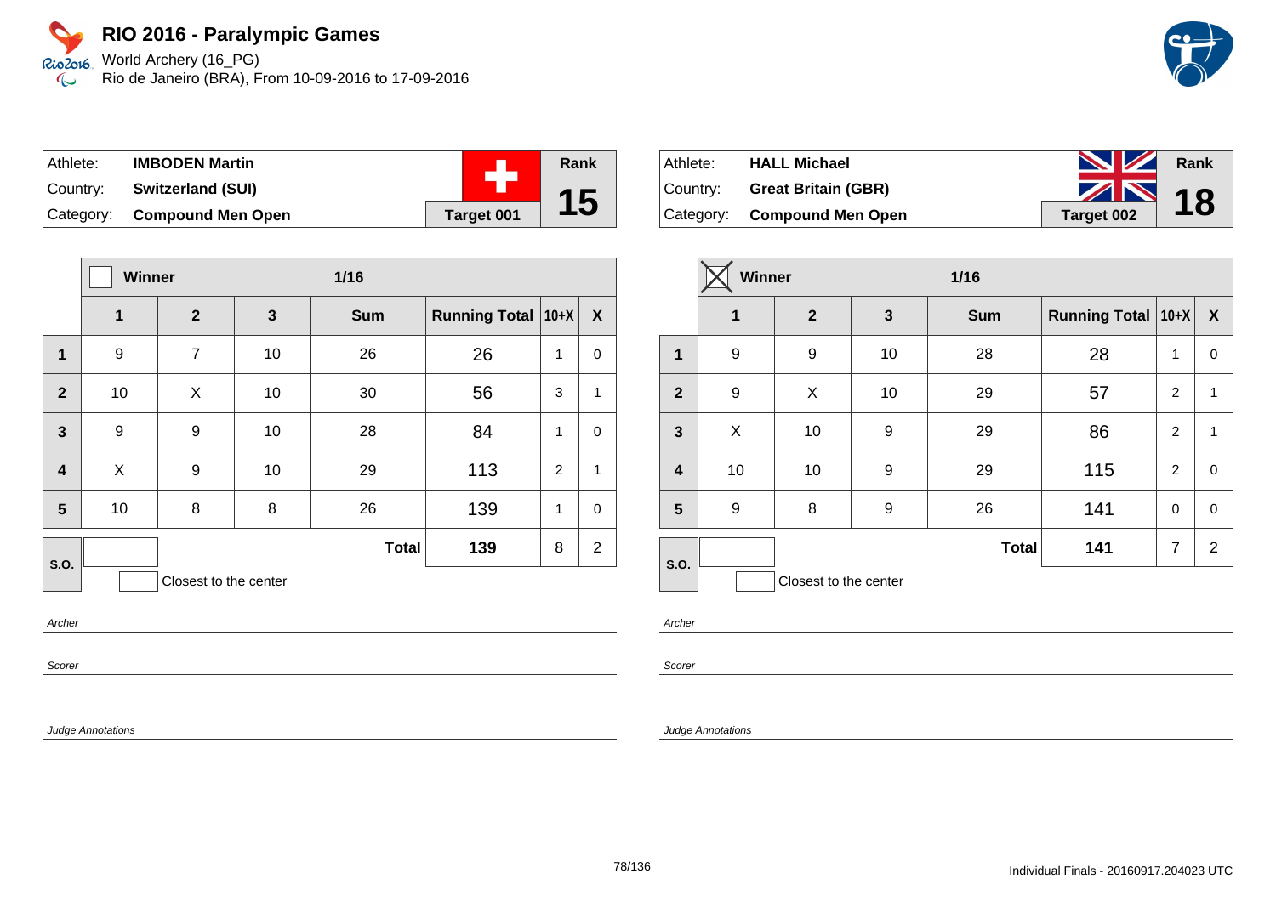World Archery (16\_PG) Rio de Janeiro (BRA), From 10-09-2016 to 17-09-2016

| Athlete:  | <b>IMBODEN Martin</b>       |            | <b>Rank</b> |
|-----------|-----------------------------|------------|-------------|
| ∣Countr∨: | <b>Switzerland (SUI)</b>    |            |             |
|           | Category: Compound Men Open | Target 001 | 15          |

|                  | <b>Winner</b><br>$1/16$ |                       |              |              |                      |   |                  |
|------------------|-------------------------|-----------------------|--------------|--------------|----------------------|---|------------------|
|                  | 1                       | $\overline{2}$        | $\mathbf{3}$ | <b>Sum</b>   | Running Total   10+X |   | $\boldsymbol{X}$ |
| 1                | 9                       | $\overline{7}$        | 10           | 26           | 26                   | 1 | 0                |
| $\overline{2}$   | 10                      | X                     | 10           | 30           | 56                   | 3 | $\mathbf{1}$     |
| $\mathbf{3}$     | 9                       | 9                     | 10           | 28           | 84                   | 1 | $\pmb{0}$        |
| $\boldsymbol{4}$ | X                       | 9                     | 10           | 29           | 113                  | 2 | $\mathbf{1}$     |
| 5                | 10                      | 8                     | 8            | 26           | 139                  | 1 | $\mathbf 0$      |
| S.O.             |                         |                       |              | <b>Total</b> | 139                  | 8 | $\overline{2}$   |
|                  |                         | Closest to the center |              |              |                      |   |                  |

Archer

Scorer

Judge Annotations

| Athlete: | <b>HALL Michael</b>          | <b>No. 12 Rank</b> |  |
|----------|------------------------------|--------------------|--|
|          | Country: Great Britain (GBR) | $\frac{1}{2}$ 18   |  |
|          | Category: Compound Men Open  | Target 002         |  |

|                | Winner |                       |              | $1/16$       |                      |                |                  |  |
|----------------|--------|-----------------------|--------------|--------------|----------------------|----------------|------------------|--|
|                | 1      | $\mathbf{2}$          | $\mathbf{3}$ | <b>Sum</b>   | Running Total   10+X |                | $\boldsymbol{X}$ |  |
| 1              | 9      | 9                     | 10           | 28           | 28                   | 1              | 0                |  |
| $\overline{2}$ | 9      | X                     | 10           | 29           | 57                   | $\overline{2}$ | 1                |  |
| $\mathbf{3}$   | X      | 10                    | 9            | 29           | 86                   | $\overline{2}$ | 1                |  |
| 4              | 10     | 10                    | 9            | 29           | 115                  | 2              | $\pmb{0}$        |  |
| 5              | 9      | 8                     | 9            | 26           | 141                  | $\mathbf 0$    | $\pmb{0}$        |  |
| S.O.           |        |                       |              | <b>Total</b> | 141                  | $\overline{7}$ | $\overline{2}$   |  |
|                |        | Closest to the center |              |              |                      |                |                  |  |

Archer

Scorer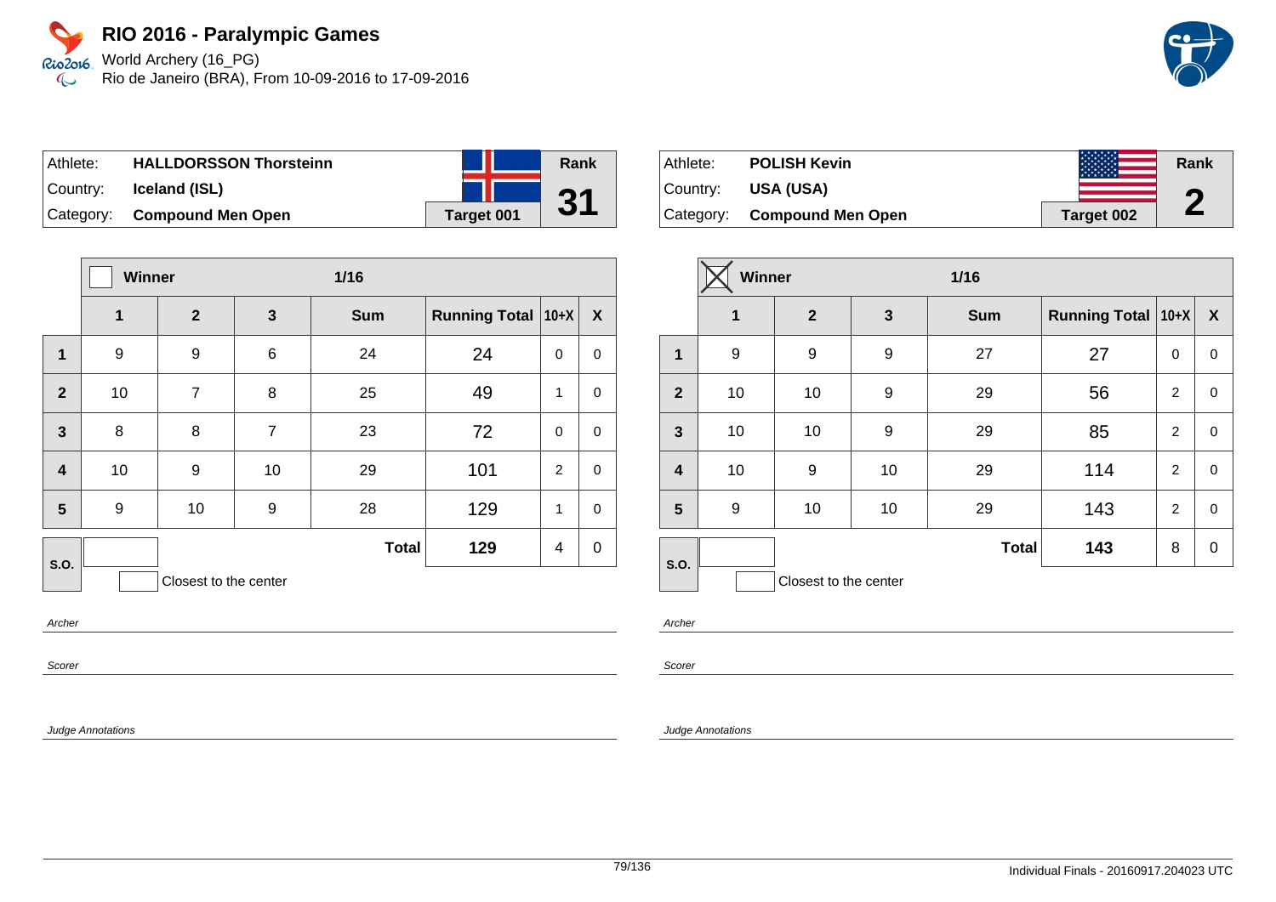World Archery (16\_PG) Rio de Janeiro (BRA), From 10-09-2016 to 17-09-2016

| ⊺Athlete: | <b>HALLDORSSON Thorsteinn</b> |            |
|-----------|-------------------------------|------------|
| ∣Country: | Iceland (ISL)                 |            |
|           | Category: Compound Men Open   | Target 001 |

|                         |    | <b>Winner</b><br>$1/16$ |                |              |                      |                |                  |
|-------------------------|----|-------------------------|----------------|--------------|----------------------|----------------|------------------|
|                         | 1  | $\mathbf{2}$            | $\mathbf{3}$   | <b>Sum</b>   | <b>Running Total</b> | $10+X$         | $\boldsymbol{X}$ |
| $\mathbf{1}$            | 9  | 9                       | $\,6$          | 24           | 24                   | $\Omega$       | 0                |
| $\mathbf{2}$            | 10 | $\overline{7}$          | 8              | 25           | 49                   | 1              | $\mathbf 0$      |
| $\mathbf{3}$            | 8  | 8                       | $\overline{7}$ | 23           | 72                   | $\mathbf 0$    | $\mathbf 0$      |
| $\overline{\mathbf{4}}$ | 10 | 9                       | 10             | 29           | 101                  | 2              | $\mathbf 0$      |
| 5                       | 9  | 10                      | 9              | 28           | 129                  | 1              | $\mathbf 0$      |
| S.O.                    |    |                         |                | <b>Total</b> | 129                  | $\overline{4}$ | $\pmb{0}$        |
|                         |    | Closest to the center   |                |              |                      |                |                  |

Archer

Scorer

Judge Annotations

| Athlete:    | <b>POLISH Kevin</b>      | きんきょきょきょき  | Rank       |
|-------------|--------------------------|------------|------------|
| ∣Countr∨: ⊥ | <b>USA (USA)</b>         |            | n          |
| Category:   | <b>Compound Men Open</b> | Target 002 | $\sqrt{2}$ |

|                         | Winner |                       |              | $1/16$       |                           |                |                  |
|-------------------------|--------|-----------------------|--------------|--------------|---------------------------|----------------|------------------|
|                         | 1      | $\overline{2}$        | $\mathbf{3}$ | <b>Sum</b>   | <b>Running Total 10+X</b> |                | $\boldsymbol{X}$ |
| $\mathbf 1$             | 9      | 9                     | 9            | 27           | 27                        | $\mathbf 0$    | 0                |
| $\overline{2}$          | 10     | 10                    | 9            | 29           | 56                        | 2              | 0                |
| $\mathbf{3}$            | 10     | 10                    | 9            | 29           | 85                        | $\overline{2}$ | $\pmb{0}$        |
| $\overline{\mathbf{4}}$ | 10     | 9                     | 10           | 29           | 114                       | 2              | $\mathbf 0$      |
| 5                       | 9      | 10                    | 10           | 29           | 143                       | $\overline{2}$ | 0                |
| S.O.                    |        |                       |              | <b>Total</b> | 143                       | 8              | $\mathbf 0$      |
|                         |        | Closest to the center |              |              |                           |                |                  |

Archer

**Rank**

**31**

Scorer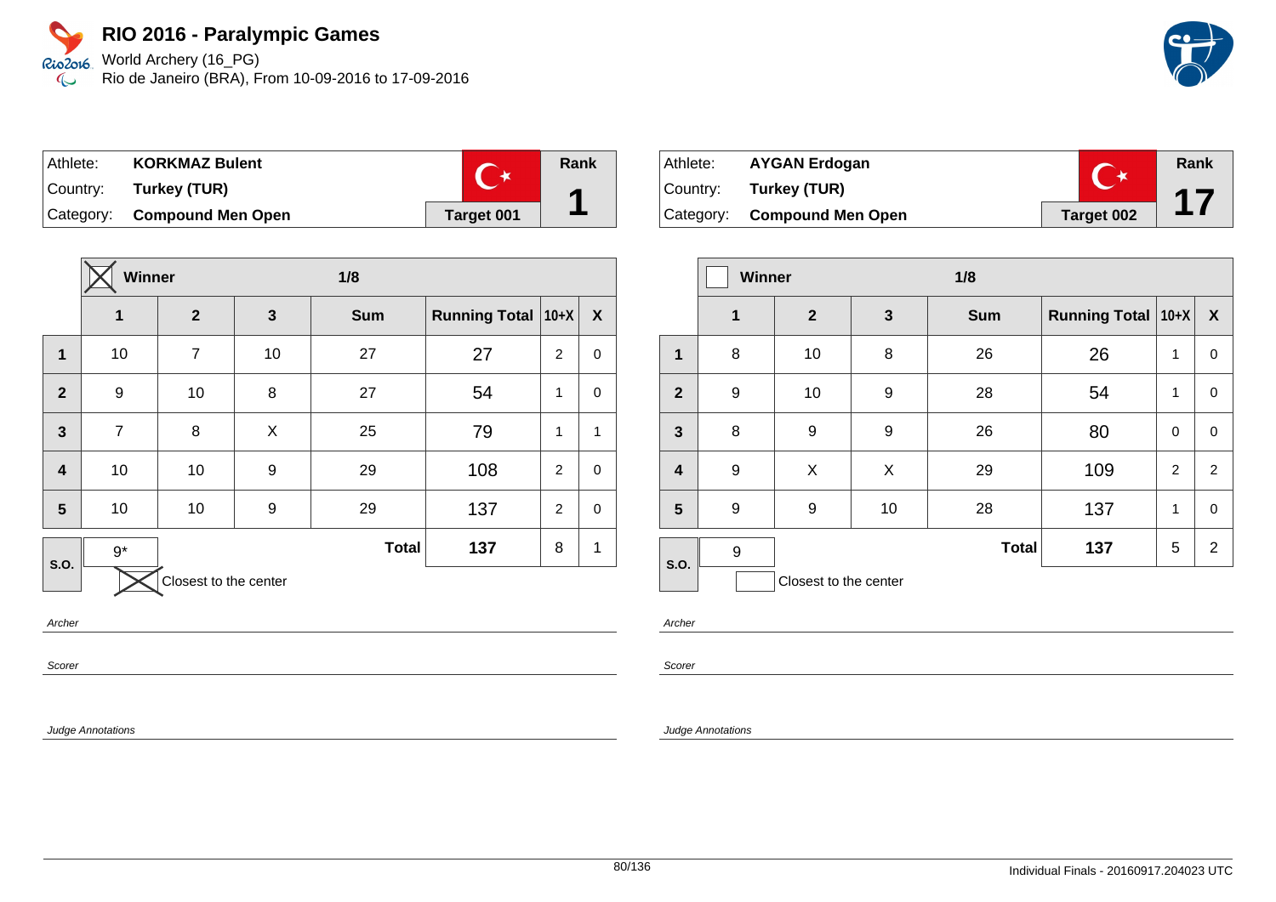World Archery (16\_PG) Rio de Janeiro (BRA), From 10-09-2016 to 17-09-2016

| Athlete: | <b>KORKMAZ Bulent</b>       |            | Rank |
|----------|-----------------------------|------------|------|
|          | Country: Turkey (TUR)       |            |      |
|          | Category: Compound Men Open | Target 001 |      |

|                         | Winner         |                       |              | 1/8          |                      |                |                  |
|-------------------------|----------------|-----------------------|--------------|--------------|----------------------|----------------|------------------|
|                         | 1              | $\mathbf{2}$          | $\mathbf{3}$ | <b>Sum</b>   | <b>Running Total</b> | $ 10+X $       | $\boldsymbol{X}$ |
| 1                       | 10             | $\overline{7}$        | 10           | 27           | 27                   | $\overline{2}$ | $\pmb{0}$        |
| $\overline{2}$          | 9              | 10                    | 8            | 27           | 54                   | 1              | 0                |
| $\overline{3}$          | $\overline{7}$ | 8                     | X            | 25           | 79                   | $\mathbf{1}$   | 1                |
| $\overline{\mathbf{4}}$ | 10             | 10                    | 9            | 29           | 108                  | 2              | $\mathbf 0$      |
| 5                       | 10             | 10                    | 9            | 29           | 137                  | $\overline{2}$ | $\pmb{0}$        |
| S.O.                    | $9*$           |                       |              | <b>Total</b> | 137                  | 8              | 1                |
|                         |                | Closest to the center |              |              |                      |                |                  |

Archer

Scorer

Judge Annotations

| Athlete: | <b>AYGAN Erdogan</b>        |            | Rank |
|----------|-----------------------------|------------|------|
|          | Country: Turkey (TUR)       |            |      |
|          | Category: Compound Men Open | Target 002 |      |

|                         | Winner      |                       |              | 1/8          |                      |          |                  |
|-------------------------|-------------|-----------------------|--------------|--------------|----------------------|----------|------------------|
|                         | $\mathbf 1$ | $\mathbf{2}$          | $\mathbf{3}$ | <b>Sum</b>   | <b>Running Total</b> | $ 10+X $ | $\boldsymbol{X}$ |
| 1                       | 8           | 10                    | 8            | 26           | 26                   | 1        | 0                |
| $\overline{2}$          | 9           | 10                    | 9            | 28           | 54                   | 1        | 0                |
| $\mathbf{3}$            | 8           | 9                     | 9            | 26           | 80                   | 0        | 0                |
| $\overline{\mathbf{4}}$ | 9           | X                     | X            | 29           | 109                  | 2        | 2                |
| 5                       | 9           | 9                     | 10           | 28           | 137                  | 1        | 0                |
| S.O.                    | 9           |                       |              | <b>Total</b> | 137                  | 5        | $\overline{2}$   |
|                         |             | Closest to the center |              |              |                      |          |                  |

Archer

Scorer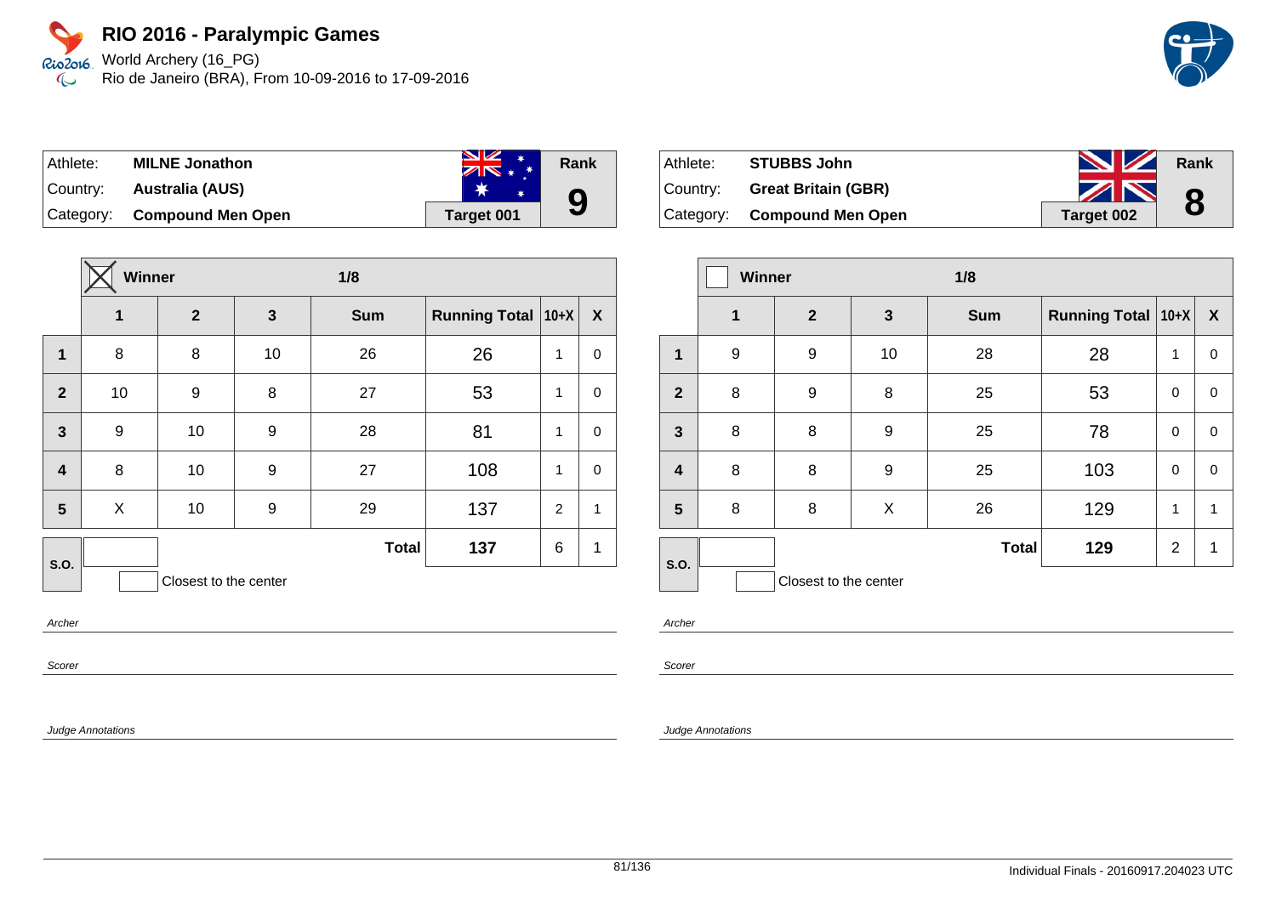World Archery (16\_PG) Rio de Janeiro (BRA), From 10-09-2016 to 17-09-2016

| Athlete:  | <b>MILNE Jonathon</b>       | <b>NZ</b><br><b>The Second Second</b><br>$ZN* *$ | Rank |
|-----------|-----------------------------|--------------------------------------------------|------|
| ∣Countrv: | Australia (AUS)             |                                                  |      |
|           | Category: Compound Men Open | Target 001                                       | 9    |

|                  | Winner           |                       |              | 1/8          |                      |        |              |
|------------------|------------------|-----------------------|--------------|--------------|----------------------|--------|--------------|
|                  | 1                | $\boldsymbol{2}$      | $\mathbf{3}$ | <b>Sum</b>   | <b>Running Total</b> | $10+X$ | X            |
| $\mathbf{1}$     | 8                | 8                     | 10           | 26           | 26                   | 1      | 0            |
| $\mathbf{2}$     | 10               | 9                     | 8            | 27           | 53                   | 1      | $\mathbf 0$  |
| $\mathbf{3}$     | $\boldsymbol{9}$ | 10                    | 9            | 28           | 81                   | 1      | $\mathbf 0$  |
| $\boldsymbol{4}$ | 8                | 10                    | 9            | 27           | 108                  | 1      | $\mathbf 0$  |
| 5                | X                | 10                    | 9            | 29           | 137                  | 2      | $\mathbf{1}$ |
| <b>S.O.</b>      |                  |                       |              | <b>Total</b> | 137                  | 6      | 1            |
|                  |                  | Closest to the center |              |              |                      |        |              |

Archer

Scorer

Judge Annotations

| Athlete: | <b>STUBBS John</b>          | <b>NZ</b>         | Rank |
|----------|-----------------------------|-------------------|------|
| Country: | <b>Great Britain (GBR)</b>  | ZN                | 8    |
|          | Category: Compound Men Open | <b>Target 002</b> |      |

|                         | <b>Winner</b> |                       | 1/8 |              |                      |                |                  |
|-------------------------|---------------|-----------------------|-----|--------------|----------------------|----------------|------------------|
|                         | 1             | $\mathbf{2}$          | 3   | <b>Sum</b>   | Running Total   10+X |                | $\boldsymbol{X}$ |
| 1                       | 9             | 9                     | 10  | 28           | 28                   | 1              | 0                |
| $\overline{2}$          | 8             | 9                     | 8   | 25           | 53                   | 0              | $\mathbf 0$      |
| $\overline{\mathbf{3}}$ | 8             | 8                     | 9   | 25           | 78                   | $\mathbf 0$    | $\pmb{0}$        |
| $\overline{\mathbf{4}}$ | 8             | 8                     | 9   | 25           | 103                  | $\mathbf 0$    | $\mathbf 0$      |
| 5                       | 8             | 8                     | X   | 26           | 129                  | 1              | 1                |
| S.O.                    |               |                       |     | <b>Total</b> | 129                  | $\overline{2}$ | 1                |
|                         |               | Closest to the center |     |              |                      |                |                  |

Archer

Scorer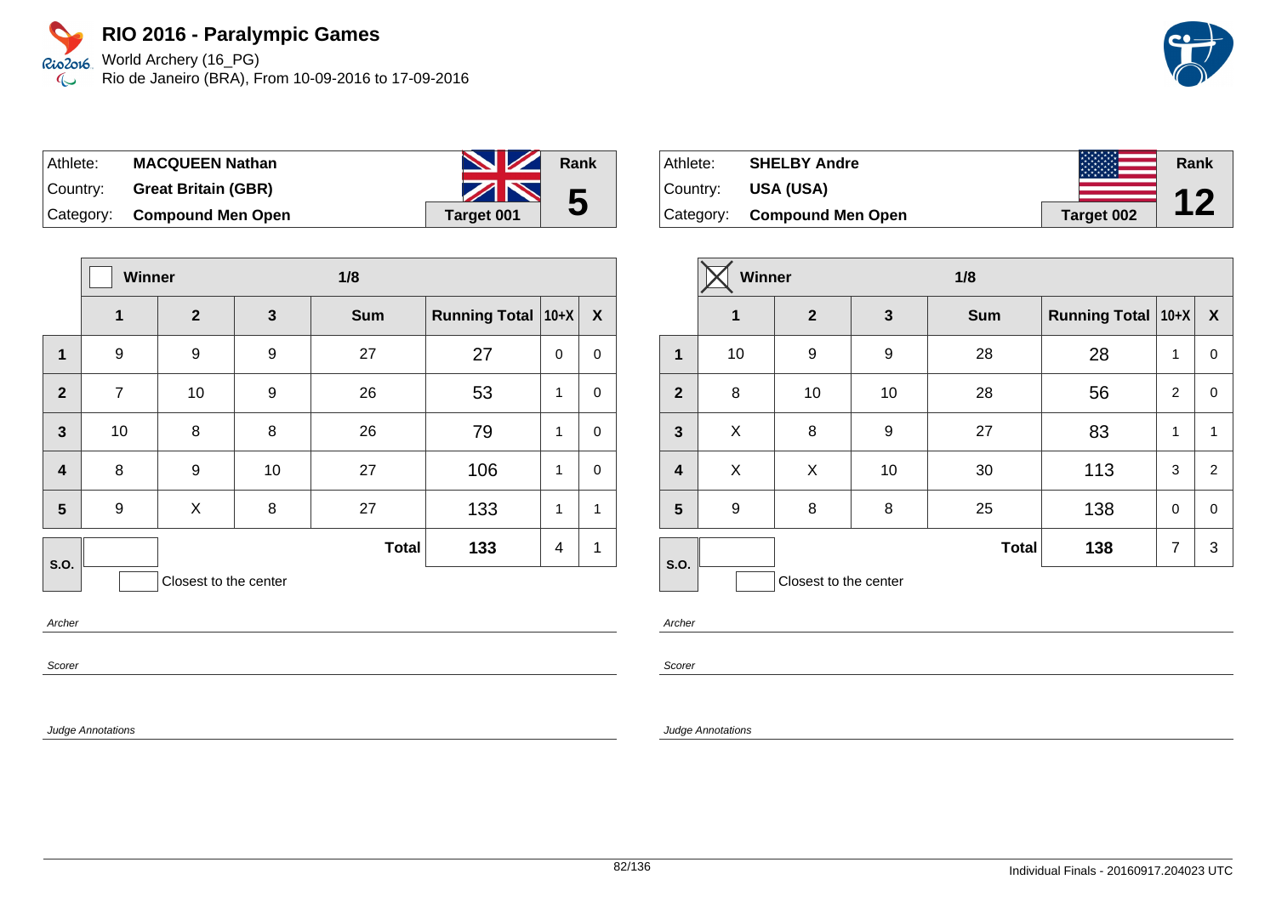World Archery (16\_PG) Rio de Janeiro (BRA), From 10-09-2016 to 17-09-2016

| Athlete:  | <b>MACQUEEN Nathan</b>      | <b>NZ</b>  | Rank |
|-----------|-----------------------------|------------|------|
| ∣Countr∨: | <b>Great Britain (GBR)</b>  | ZN         | 5    |
|           | Category: Compound Men Open | Target 001 |      |

|                         | <b>Winner</b>  |                       | 1/8          |              |                      |              |             |
|-------------------------|----------------|-----------------------|--------------|--------------|----------------------|--------------|-------------|
|                         | 1              | $\overline{2}$        | $\mathbf{3}$ | <b>Sum</b>   | <b>Running Total</b> | $10+X$       | X           |
| $\mathbf{1}$            | 9              | 9                     | 9            | 27           | 27                   | 0            | 0           |
| $\overline{2}$          | $\overline{7}$ | 10                    | 9            | 26           | 53                   | 1            | 0           |
| $\overline{\mathbf{3}}$ | 10             | 8                     | 8            | 26           | 79                   | $\mathbf{1}$ | $\mathbf 0$ |
| $\overline{\mathbf{4}}$ | 8              | 9                     | 10           | 27           | 106                  | $\mathbf{1}$ | 0           |
| 5                       | 9              | X                     | 8            | 27           | 133                  | 1            | 1           |
| <b>S.O.</b>             |                |                       |              | <b>Total</b> | 133                  | 4            | 1           |
|                         |                | Closest to the center |              |              |                      |              |             |

Archer

Scorer

Judge Annotations

| Athlete:  | <b>SHELBY Andre</b>      |            | Rank      |
|-----------|--------------------------|------------|-----------|
| Country:  | <b>USA (USA)</b>         |            | <b>17</b> |
| Category: | <b>Compound Men Open</b> | Target 002 |           |

|                         | Winner      |                       | 1/8<br>Running Total   10+X  <br>$\mathbf{3}$<br><b>Sum</b> |              |     |                  |              |
|-------------------------|-------------|-----------------------|-------------------------------------------------------------|--------------|-----|------------------|--------------|
|                         | $\mathbf 1$ | $\mathbf{2}$          |                                                             |              |     | $\boldsymbol{X}$ |              |
| 1                       | 10          | 9                     | 9                                                           | 28           | 28  | 1                | 0            |
| $\overline{2}$          | 8           | 10                    | 10                                                          | 28           | 56  | $\overline{2}$   | 0            |
| $\mathbf{3}$            | X           | 8                     | 9                                                           | 27           | 83  | 1                | $\mathbf{1}$ |
| $\overline{\mathbf{4}}$ | X           | X                     | 10                                                          | 30           | 113 | 3                | 2            |
| 5                       | 9           | 8                     | 8                                                           | 25           | 138 | $\mathbf 0$      | 0            |
| S.O.                    |             |                       |                                                             | <b>Total</b> | 138 | $\overline{7}$   | 3            |
|                         |             | Closest to the center |                                                             |              |     |                  |              |

Archer

Scorer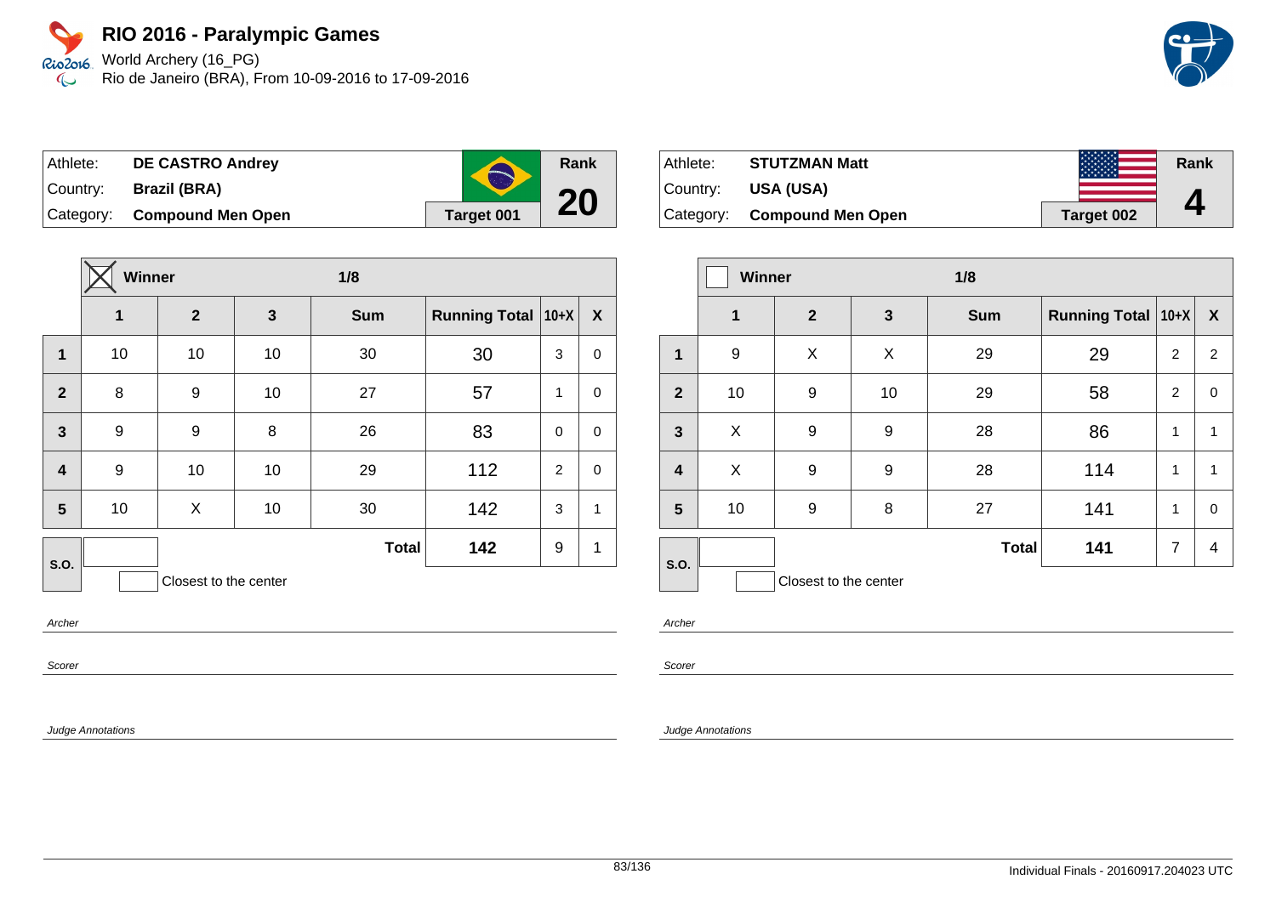World Archery (16\_PG) Rio de Janeiro (BRA), From 10-09-2016 to 17-09-2016



| Athlete: | <b>DE CASTRO Andrey</b>     | <b>TANK</b> |
|----------|-----------------------------|-------------|
|          | Country: Brazil (BRA)       |             |
|          | Category: Compound Men Open | Target 001  |

|                         | Winner |              |    | 1/8          |                      |             |                  |
|-------------------------|--------|--------------|----|--------------|----------------------|-------------|------------------|
|                         | 1      | $\mathbf{2}$ | 3  | <b>Sum</b>   | <b>Running Total</b> | $ 10+X $    | $\boldsymbol{X}$ |
| $\mathbf{1}$            | 10     | 10           | 10 | 30           | 30                   | 3           | 0                |
| $\overline{2}$          | 8      | 9            | 10 | 27           | 57                   | 1           | $\mathbf 0$      |
| $\overline{\mathbf{3}}$ | 9      | 9            | 8  | 26           | 83                   | $\mathbf 0$ | $\mathbf 0$      |
| $\overline{\mathbf{4}}$ | 9      | 10           | 10 | 29           | 112                  | 2           | $\mathbf 0$      |
| 5                       | 10     | X            | 10 | 30           | 142                  | 3           | $\mathbf{1}$     |
| S.O.                    |        |              |    | <b>Total</b> | 142                  | 9           | 1                |
| Closest to the center   |        |              |    |              |                      |             |                  |

Archer

Scorer

Judge Annotations

| Athlete:  | <b>STUTZMAN Matt</b>        |            | Rank |
|-----------|-----------------------------|------------|------|
| ⊺Countr∨: | USA (USA)                   |            |      |
|           | Category: Compound Men Open | Target 002 | 4    |

|                         | <b>Winner</b> |                       | 1/8                                                     |              |     |                |              |
|-------------------------|---------------|-----------------------|---------------------------------------------------------|--------------|-----|----------------|--------------|
|                         | 1             | $\mathbf{2}$          | <b>Running Total 10+X</b><br>$\mathbf{3}$<br><b>Sum</b> |              |     | X              |              |
| 1                       | 9             | X                     | X                                                       | 29           | 29  | 2              | 2            |
| $\overline{2}$          | 10            | 9                     | 10                                                      | 29           | 58  | $\overline{2}$ | 0            |
| $\mathbf{3}$            | X             | 9                     | 9                                                       | 28           | 86  | 1              | $\mathbf{1}$ |
| $\overline{\mathbf{4}}$ | X             | 9                     | 9                                                       | 28           | 114 | 1              | 1            |
| $5\phantom{.0}$         | 10            | 9                     | 8                                                       | 27           | 141 | 1              | 0            |
| S.O.                    |               |                       |                                                         | <b>Total</b> | 141 | $\overline{7}$ | 4            |
|                         |               | Closest to the center |                                                         |              |     |                |              |

Archer

Scorer

#### Judge Annotations

**Rank**

**20**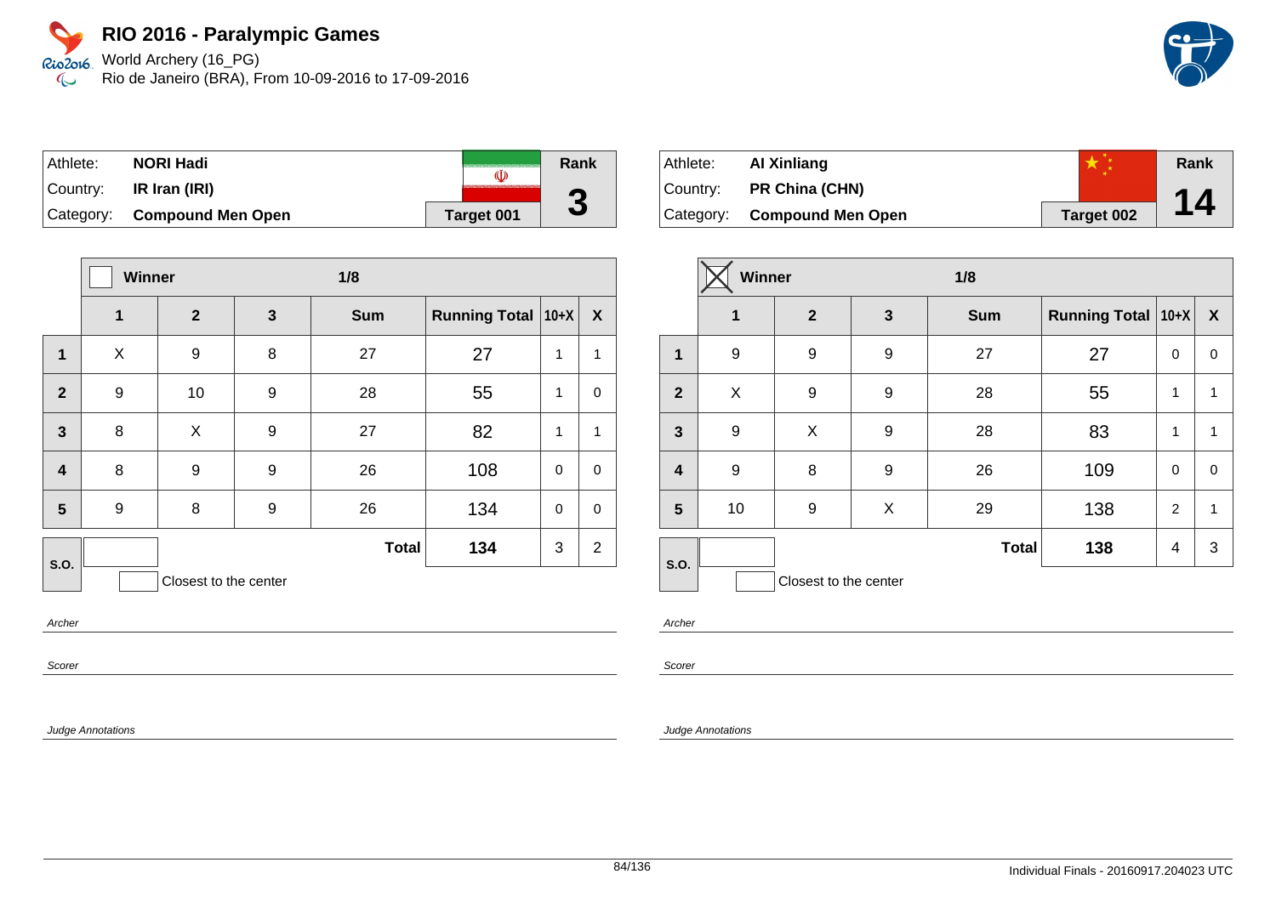World Archery (16\_PG) Rio de Janeiro (BRA), From 10-09-2016 to 17-09-2016

| Athlete:  | NORI Hadi                   | (I)        | Rank         |
|-----------|-----------------------------|------------|--------------|
| ⊺Countr∨: | IR Iran (IRI)               |            | G            |
|           | Category: Compound Men Open | Target 001 | $\mathbf{c}$ |

|                         | <b>Winner</b> |                       |                  | 1/8          |                      |             |                  |
|-------------------------|---------------|-----------------------|------------------|--------------|----------------------|-------------|------------------|
|                         | 1             | $\mathbf{2}$          | 3                | <b>Sum</b>   | Running Total   10+X |             | $\boldsymbol{X}$ |
| 1                       | X             | 9                     | 8                | 27           | 27                   | 1           | $\mathbf 1$      |
| $\overline{2}$          | 9             | 10                    | $\boldsymbol{9}$ | 28           | 55                   | 1           | $\mathbf 0$      |
| $\mathbf{3}$            | 8             | X                     | 9                | 27           | 82                   | 1           | $\mathbf 1$      |
| $\overline{\mathbf{4}}$ | 8             | 9                     | 9                | 26           | 108                  | $\mathbf 0$ | $\mathbf 0$      |
| 5                       | 9             | 8                     | 9                | 26           | 134                  | $\mathbf 0$ | $\mathbf 0$      |
| S.O.                    |               |                       |                  | <b>Total</b> | 134                  | 3           | $\overline{2}$   |
|                         |               | Closest to the center |                  |              |                      |             |                  |

Archer

Scorer

Judge Annotations

| Athlete:    | Al Xinliang                 |            | Rank |
|-------------|-----------------------------|------------|------|
| ∣Countr∨: ⊥ | <b>PR China (CHN)</b>       |            |      |
|             | Category: Compound Men Open | Target 002 | 14   |

|                         | <b>Winner</b> |                       |                                                      | 1/8          |     |                  |              |
|-------------------------|---------------|-----------------------|------------------------------------------------------|--------------|-----|------------------|--------------|
|                         | 1             | $\mathbf{2}$          | Running Total   10+X  <br>$\mathbf{3}$<br><b>Sum</b> |              |     | $\boldsymbol{X}$ |              |
| 1                       | 9             | 9                     | 9                                                    | 27           | 27  | $\mathbf 0$      | 0            |
| $\overline{2}$          | X             | 9                     | 9                                                    | 28           | 55  | 1                | 1            |
| $\mathbf{3}$            | 9             | X                     | 9                                                    | 28           | 83  | 1                | $\mathbf{1}$ |
| $\overline{\mathbf{r}}$ | 9             | 8                     | 9                                                    | 26           | 109 | 0                | 0            |
| 5                       | 10            | 9                     | X                                                    | 29           | 138 | $\overline{2}$   | 1            |
| S.O.                    |               |                       |                                                      | <b>Total</b> | 138 | 4                | 3            |
|                         |               | Closest to the center |                                                      |              |     |                  |              |

Archer

Scorer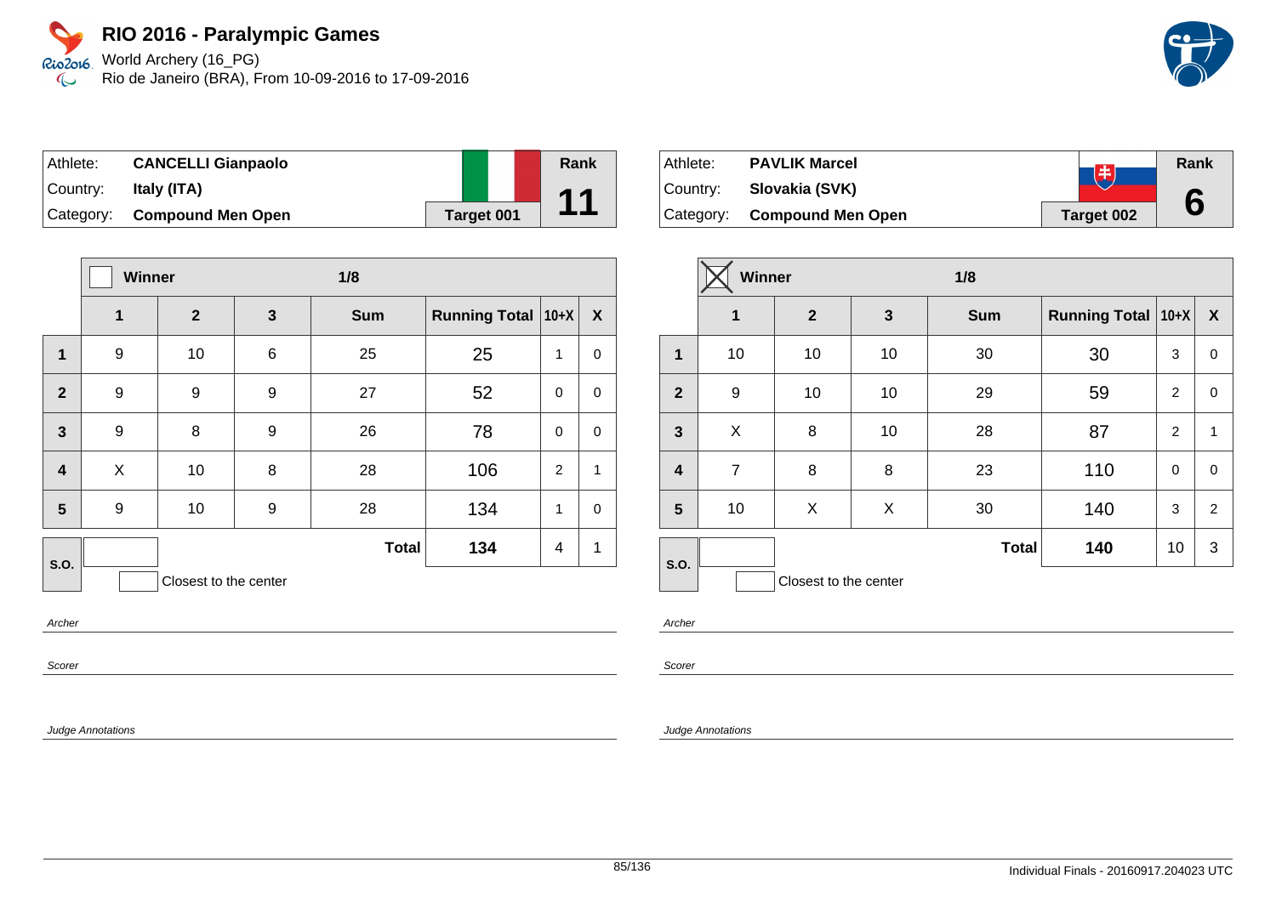Rio2o16 World Archery (16\_PG) Rio de Janeiro (BRA), From 10-09-2016 to 17-09-2016  $\infty$ 

| Athlete:  | <b>CANCELLI Gianpaolo</b> |            | Rank                                                       |
|-----------|---------------------------|------------|------------------------------------------------------------|
| ⊺Countr∨: | Italy (ITA)               |            | $\begin{array}{c} \n \textbf{4} \textbf{4} \n \end{array}$ |
| Category: | <b>Compound Men Open</b>  | Target 001 |                                                            |

|                         | Winner |                       |                 | 1/8          |                      |             |                  |
|-------------------------|--------|-----------------------|-----------------|--------------|----------------------|-------------|------------------|
|                         | 1      | $\mathbf{2}$          | $\mathbf{3}$    | <b>Sum</b>   | Running Total   10+X |             | $\boldsymbol{X}$ |
| 1                       | 9      | 10                    | $6\phantom{1}6$ | 25           | 25                   | 1           | $\pmb{0}$        |
| $\overline{2}$          | 9      | 9                     | 9               | 27           | 52                   | $\mathbf 0$ | $\mathbf 0$      |
| $\mathbf{3}$            | 9      | 8                     | 9               | 26           | 78                   | $\mathbf 0$ | $\pmb{0}$        |
| $\overline{\mathbf{4}}$ | X      | 10                    | 8               | 28           | 106                  | 2           | $\mathbf{1}$     |
| 5                       | 9      | 10                    | 9               | 28           | 134                  | 1           | $\mathbf 0$      |
| S.O.                    |        |                       |                 | <b>Total</b> | 134                  | 4           | 1                |
|                         |        | Closest to the center |                 |              |                      |             |                  |

Archer

Scorer

Judge Annotations

| Athlete:  | <b>PAVLIK Marcel</b>        | 由          | Rank |
|-----------|-----------------------------|------------|------|
| ⊺Countr∨: | Slovakia (SVK)              |            |      |
|           | Category: Compound Men Open | Target 002 | 6    |

|                         | Winner         |                       |              | 1/8          |                      |                |                  |
|-------------------------|----------------|-----------------------|--------------|--------------|----------------------|----------------|------------------|
|                         | $\mathbf 1$    | $\mathbf{2}$          | $\mathbf{3}$ | <b>Sum</b>   | Running Total   10+X |                | $\boldsymbol{X}$ |
| 1                       | 10             | 10                    | 10           | 30           | 30                   | 3              | 0                |
| $\overline{2}$          | 9              | 10                    | 10           | 29           | 59                   | $\overline{2}$ | 0                |
| $\mathbf{3}$            | X              | 8                     | 10           | 28           | 87                   | $\overline{2}$ | $\mathbf{1}$     |
| $\overline{\mathbf{4}}$ | $\overline{7}$ | 8                     | 8            | 23           | 110                  | 0              | 0                |
| 5                       | 10             | X                     | X            | 30           | 140                  | 3              | $\overline{2}$   |
| S.O.                    |                |                       |              | <b>Total</b> | 140                  | 10             | 3                |
|                         |                | Closest to the center |              |              |                      |                |                  |

Archer

Scorer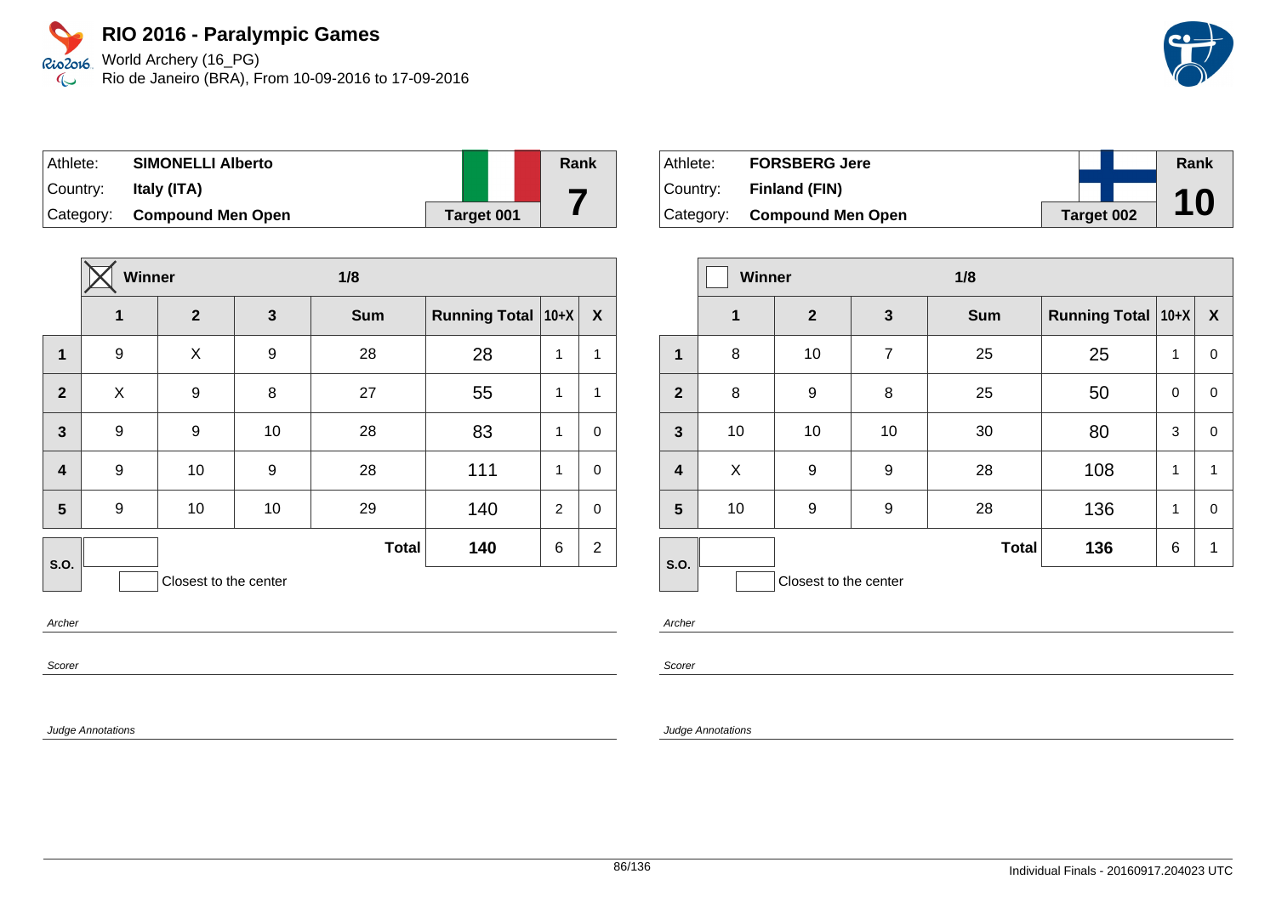World Archery (16\_PG) Rio de Janeiro (BRA), From 10-09-2016 to 17-09-2016

| Athlete: | <b>SIMONELLI Alberto</b>    |            | Rank |
|----------|-----------------------------|------------|------|
| Country: | Italy (ITA)                 |            |      |
|          | Category: Compound Men Open | Target 001 |      |

|                         | Winner           |                       |    | 1/8          |                      |                |                  |
|-------------------------|------------------|-----------------------|----|--------------|----------------------|----------------|------------------|
|                         | $\mathbf{1}$     | $\mathbf{2}$          | 3  | <b>Sum</b>   | <b>Running Total</b> | $ 10+X $       | $\boldsymbol{X}$ |
| $\mathbf{1}$            | 9                | X                     | 9  | 28           | 28                   | 1              | 1                |
| $\overline{2}$          | X                | 9                     | 8  | 27           | 55                   | 1              | 1                |
| $\mathbf{3}$            | $\boldsymbol{9}$ | 9                     | 10 | 28           | 83                   | 1              | $\mathbf 0$      |
| $\overline{\mathbf{4}}$ | 9                | 10                    | 9  | 28           | 111                  | 1              | $\pmb{0}$        |
| 5                       | 9                | 10                    | 10 | 29           | 140                  | $\overline{2}$ | $\mathbf 0$      |
| S.O.                    |                  |                       |    | <b>Total</b> | 140                  | 6              | $\overline{2}$   |
|                         |                  | Closest to the center |    |              |                      |                |                  |

Archer

Scorer

Judge Annotations

| Athlete:  | <b>FORSBERG Jere</b>        |            | Rank |
|-----------|-----------------------------|------------|------|
| ∣Countr∨: | Finland (FIN)               |            |      |
|           | Category: Compound Men Open | Target 002 | 10   |

|                         | <b>Winner</b> |                       |                | 1/8          |                      |              |                           |  |
|-------------------------|---------------|-----------------------|----------------|--------------|----------------------|--------------|---------------------------|--|
|                         | $\mathbf 1$   | $\mathbf{2}$          | 3              | <b>Sum</b>   | <b>Running Total</b> | $ 10+X $     | $\boldsymbol{\mathsf{X}}$ |  |
| 1                       | 8             | 10                    | $\overline{7}$ | 25           | 25                   | 1            | 0                         |  |
| $\mathbf{2}$            | 8             | 9                     | 8              | 25           | 50                   | 0            | 0                         |  |
| $\mathbf{3}$            | 10            | 10                    | 10             | 30           | 80                   | 3            | 0                         |  |
| $\overline{\mathbf{4}}$ | X             | 9                     | 9              | 28           | 108                  | 1            | 1                         |  |
| $5\phantom{1}$          | 10            | 9                     | 9              | 28           | 136                  | $\mathbf{1}$ | 0                         |  |
| S.O.                    |               |                       |                | <b>Total</b> | 136                  | 6            | $\mathbf{1}$              |  |
|                         |               | Closest to the center |                |              |                      |              |                           |  |

Archer

Scorer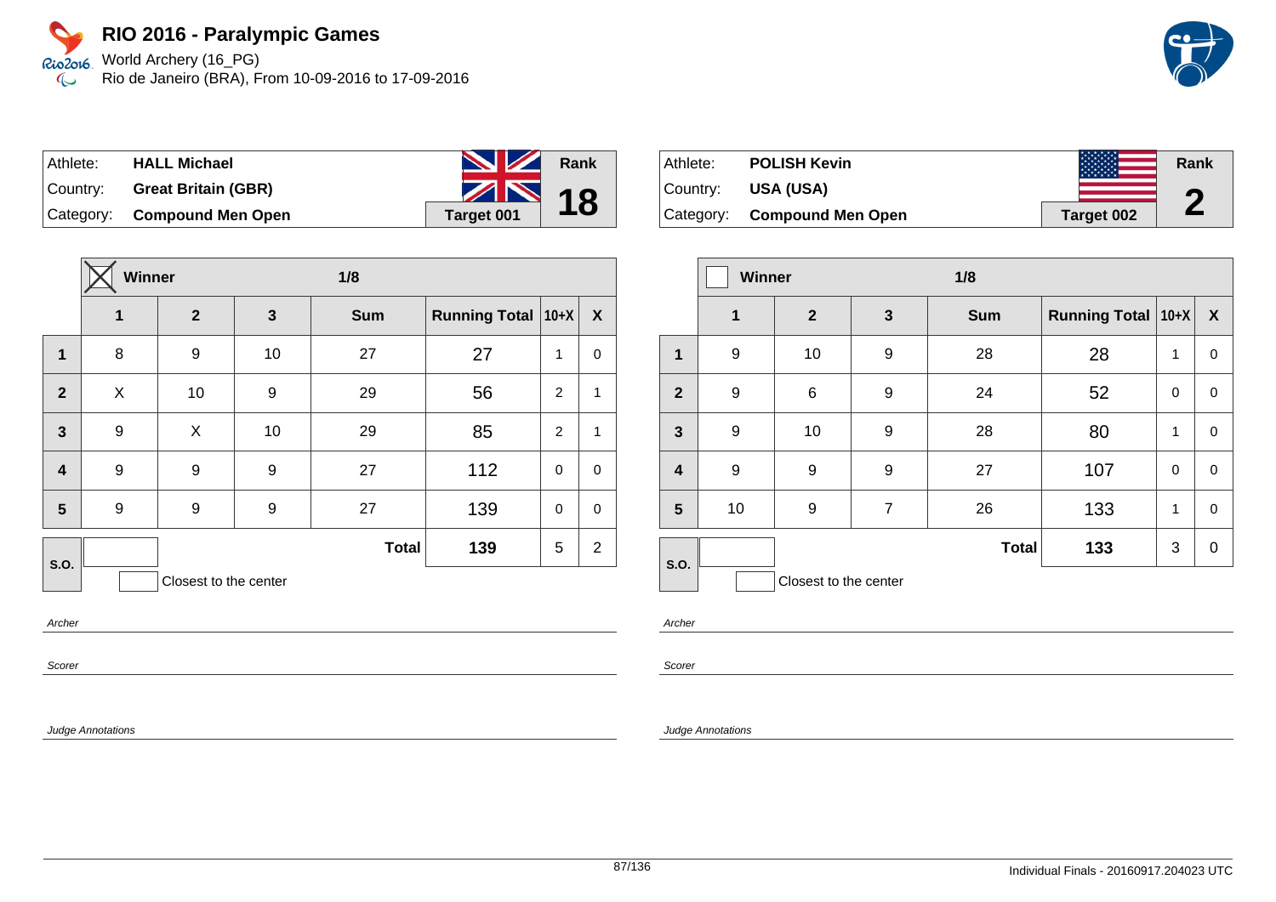Athlete: **HALL Michael**

World Archery (16\_PG) Rio2016 Rio de Janeiro (BRA), From 10-09-2016 to 17-09-2016  $\infty$ 

| Country: Great Britain (GBR) | 18                |
|------------------------------|-------------------|
| Category: Compound Men Open  | <b>Target 001</b> |
|                              |                   |
|                              |                   |

|                         |   | <b>Winner</b><br>1/8  |              |              |                      |             |                  |
|-------------------------|---|-----------------------|--------------|--------------|----------------------|-------------|------------------|
|                         | 1 | $\overline{2}$        | $\mathbf{3}$ | <b>Sum</b>   | Running Total   10+X |             | $\boldsymbol{X}$ |
| 1                       | 8 | 9                     | 10           | 27           | 27                   | 1           | 0                |
| $\overline{2}$          | X | 10                    | 9            | 29           | 56                   | 2           | 1                |
| $\overline{\mathbf{3}}$ | 9 | X                     | 10           | 29           | 85                   | 2           | 1                |
| $\overline{\mathbf{4}}$ | 9 | 9                     | 9            | 27           | 112                  | 0           | $\mathbf 0$      |
| 5                       | 9 | 9                     | 9            | 27           | 139                  | $\mathbf 0$ | $\mathbf 0$      |
| <b>S.O.</b>             |   |                       |              | <b>Total</b> | 139                  | 5           | $\overline{2}$   |
|                         |   | Closest to the center |              |              |                      |             |                  |

Archer

Scorer

Judge Annotations

Athlete: **POLISH Kevin** Country: **USA (USA)** Category: **Compound Men Open Target 002 Rank 2**

|                         | Winner      |                       | 1/8              |              |                      |             |                  |
|-------------------------|-------------|-----------------------|------------------|--------------|----------------------|-------------|------------------|
|                         | $\mathbf 1$ | $\mathbf{2}$          | 3                | <b>Sum</b>   | Running Total   10+X |             | $\boldsymbol{X}$ |
| 1                       | 9           | 10                    | $\boldsymbol{9}$ | 28           | 28                   | 1           | 0                |
| $\mathbf{2}$            | 9           | $\,6$                 | 9                | 24           | 52                   | $\mathbf 0$ | 0                |
| $\mathbf{3}$            | 9           | 10                    | 9                | 28           | 80                   | 1           | 0                |
| $\overline{\mathbf{4}}$ | 9           | 9                     | 9                | 27           | 107                  | $\mathbf 0$ | 0                |
| $5\phantom{1}$          | 10          | 9                     | $\overline{7}$   | 26           | 133                  | 1           | 0                |
| S.O.                    |             |                       |                  | <b>Total</b> | 133                  | 3           | 0                |
|                         |             | Closest to the center |                  |              |                      |             |                  |

Archer

Scorer

#### Judge Annotations

**Rank**

**NZ** 

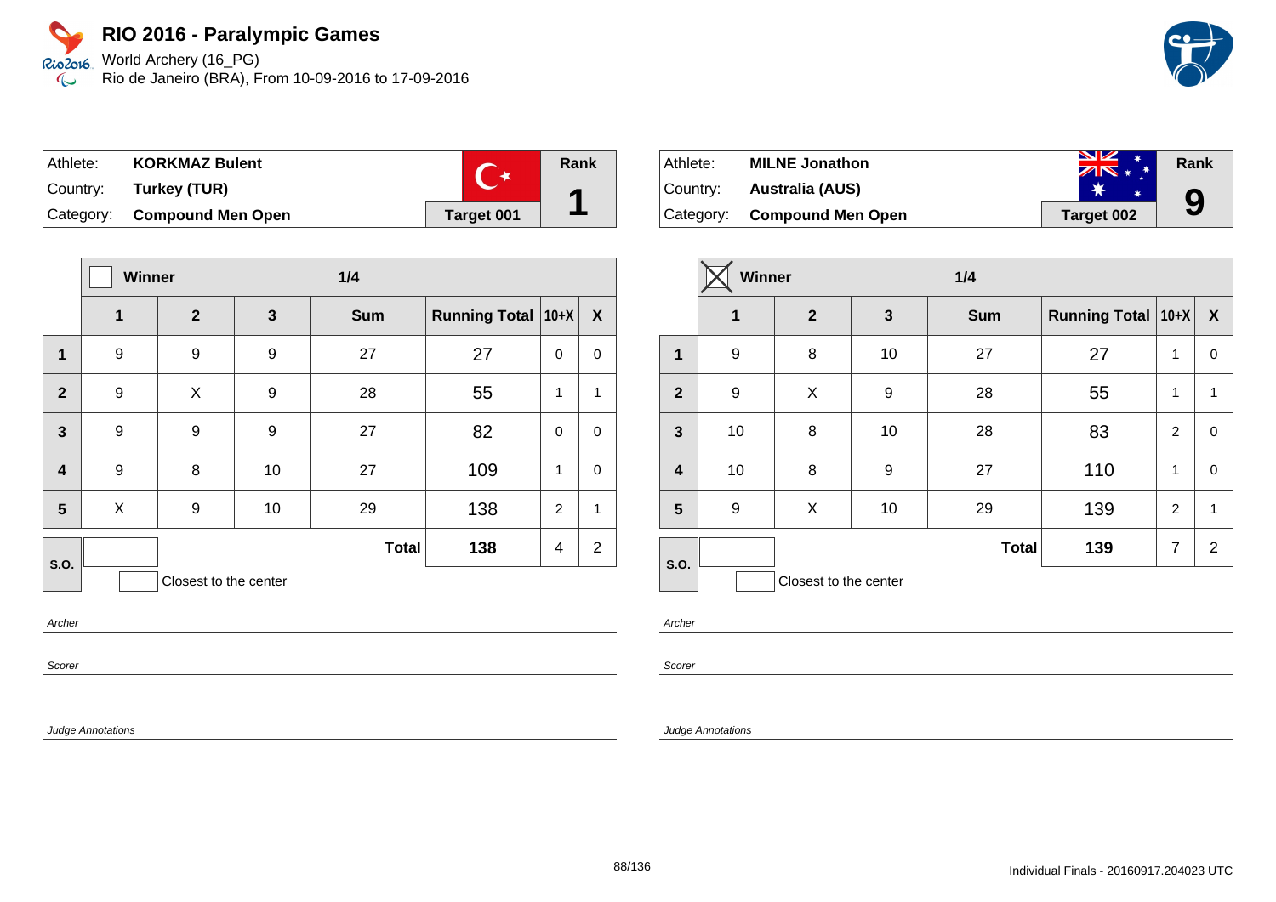World Archery (16\_PG) Rio de Janeiro (BRA), From 10-09-2016 to 17-09-2016

| Athlete: | <b>KORKMAZ Bulent</b>       |            | Rank |
|----------|-----------------------------|------------|------|
|          | Country: Turkey (TUR)       |            | ◢    |
|          | Category: Compound Men Open | Target 001 |      |

|                         | Winner |                       |              | 1/4          |                      |                |                |
|-------------------------|--------|-----------------------|--------------|--------------|----------------------|----------------|----------------|
|                         | 1      | $\overline{2}$        | $\mathbf{3}$ | <b>Sum</b>   | Running Total   10+X |                | X              |
| 1                       | 9      | 9                     | 9            | 27           | 27                   | 0              | 0              |
| $\overline{2}$          | 9      | X                     | 9            | 28           | 55                   | 1              | $\mathbf{1}$   |
| $\overline{\mathbf{3}}$ | 9      | 9                     | 9            | 27           | 82                   | $\mathbf 0$    | $\mathbf 0$    |
| $\overline{\mathbf{4}}$ | 9      | 8                     | 10           | 27           | 109                  | 1              | $\mathbf 0$    |
| 5                       | X      | 9                     | 10           | 29           | 138                  | $\overline{2}$ | $\mathbf{1}$   |
| S.O.                    |        |                       |              | <b>Total</b> | 138                  | 4              | $\overline{2}$ |
|                         |        | Closest to the center |              |              |                      |                |                |

Archer

Scorer

Judge Annotations

| ∣Athlete:   | <b>MILNE Jonathon</b>       | <b>NZ</b><br>$ZN$ * * | Rank |
|-------------|-----------------------------|-----------------------|------|
| ∣Countr∨: ⊥ | Australia (AUS)             |                       |      |
|             | Category: Compound Men Open | Target 002            | 9    |

|                | Winner           |                       |              |              |                      |                |                  |
|----------------|------------------|-----------------------|--------------|--------------|----------------------|----------------|------------------|
|                | 1                | $\mathbf{2}$          | $\mathbf{3}$ | <b>Sum</b>   | Running Total   10+X |                | $\boldsymbol{X}$ |
| $\mathbf 1$    | 9                | 8                     | 10           | 27           | 27                   | 1              | $\mathbf 0$      |
| $\overline{2}$ | 9                | X                     | 9            | 28           | 55                   | 1              | 1                |
| 3              | 10               | 8                     | 10           | 28           | 83                   | $\overline{2}$ | $\mathbf 0$      |
| $\overline{4}$ | 10               | 8                     | 9            | 27           | 110                  | 1              | $\mathbf 0$      |
| 5              | $\boldsymbol{9}$ | X                     | 10           | 29           | 139                  | $\overline{2}$ | 1                |
| S.O.           |                  |                       |              | <b>Total</b> | 139                  | $\overline{7}$ | $\overline{2}$   |
|                |                  | Closest to the center |              |              |                      |                |                  |

Archer

Scorer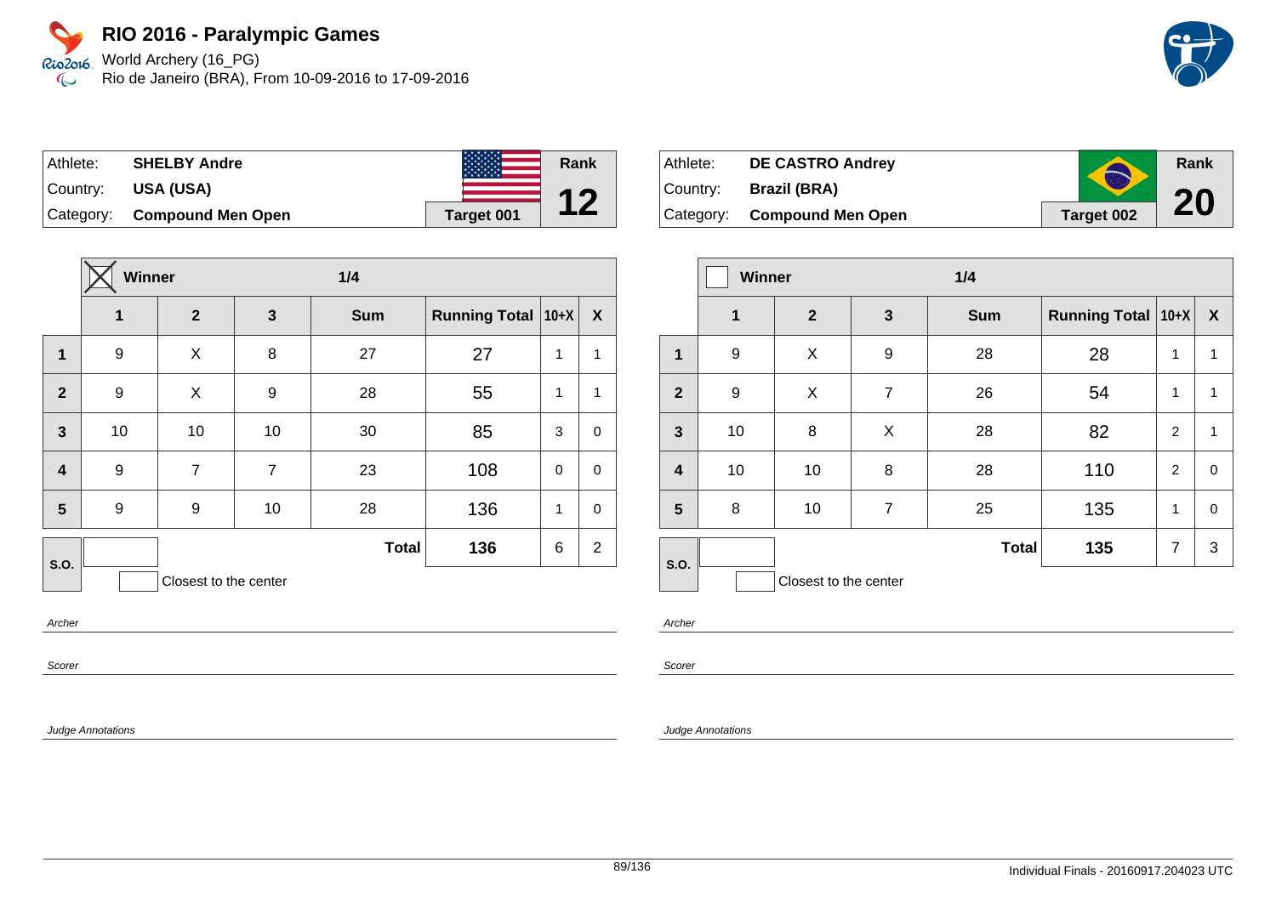World Archery (16\_PG) Rio de Janeiro (BRA), From 10-09-2016 to 17-09-2016



| Athlete: | <b>SHELBY Andre</b>         | <b>大大大大大大大</b> | Rank |
|----------|-----------------------------|----------------|------|
|          | Country: USA (USA)          |                |      |
|          | Category: Compound Men Open | Target 001     |      |

|                         | Winner       |                       | 1/4            |              |                      |             |                |
|-------------------------|--------------|-----------------------|----------------|--------------|----------------------|-------------|----------------|
|                         | $\mathbf{1}$ | $\mathbf{2}$          | 3              | <b>Sum</b>   | <b>Running Total</b> | $ 10+X $    | X              |
| $\mathbf{1}$            | 9            | X                     | 8              | 27           | 27                   | 1           | $\mathbf{1}$   |
| $\overline{2}$          | 9            | X                     | 9              | 28           | 55                   | 1           | $\mathbf{1}$   |
| 3                       | 10           | 10                    | 10             | 30           | 85                   | 3           | $\mathbf 0$    |
| $\overline{\mathbf{4}}$ | 9            | $\overline{7}$        | $\overline{7}$ | 23           | 108                  | $\mathbf 0$ | $\mathbf 0$    |
| 5                       | 9            | 9                     | 10             | 28           | 136                  | 1           | $\mathbf 0$    |
| S.O.                    |              |                       |                | <b>Total</b> | 136                  | 6           | $\overline{2}$ |
|                         |              | Closest to the center |                |              |                      |             |                |

Archer

Scorer

Judge Annotations

| Athlete: | <b>DE CASTRO Andrey</b>     | A                 | Rank |
|----------|-----------------------------|-------------------|------|
| Country: | <b>Brazil (BRA)</b>         |                   |      |
|          | Category: Compound Men Open | <b>Target 002</b> | 20   |

|                         | <b>Winner</b> |                       |                | 1/4          |                      |                |                  |
|-------------------------|---------------|-----------------------|----------------|--------------|----------------------|----------------|------------------|
|                         | $\mathbf 1$   | $\mathbf{2}$          | $\mathbf{3}$   | <b>Sum</b>   | Running Total   10+X |                | $\boldsymbol{X}$ |
| 1                       | 9             | X                     | 9              | 28           | 28                   | 1              | 1                |
| $\overline{2}$          | 9             | X                     | $\overline{7}$ | 26           | 54                   | 1              | 1                |
| $\mathbf{3}$            | 10            | 8                     | X              | 28           | 82                   | $\overline{2}$ | 1                |
| $\overline{\mathbf{4}}$ | 10            | 10                    | 8              | 28           | 110                  | 2              | $\mathbf 0$      |
| 5                       | 8             | 10                    | $\overline{7}$ | 25           | 135                  | 1              | $\mathbf 0$      |
| S.O.                    |               |                       |                | <b>Total</b> | 135                  | $\overline{7}$ | 3                |
|                         |               | Closest to the center |                |              |                      |                |                  |

Archer

Scorer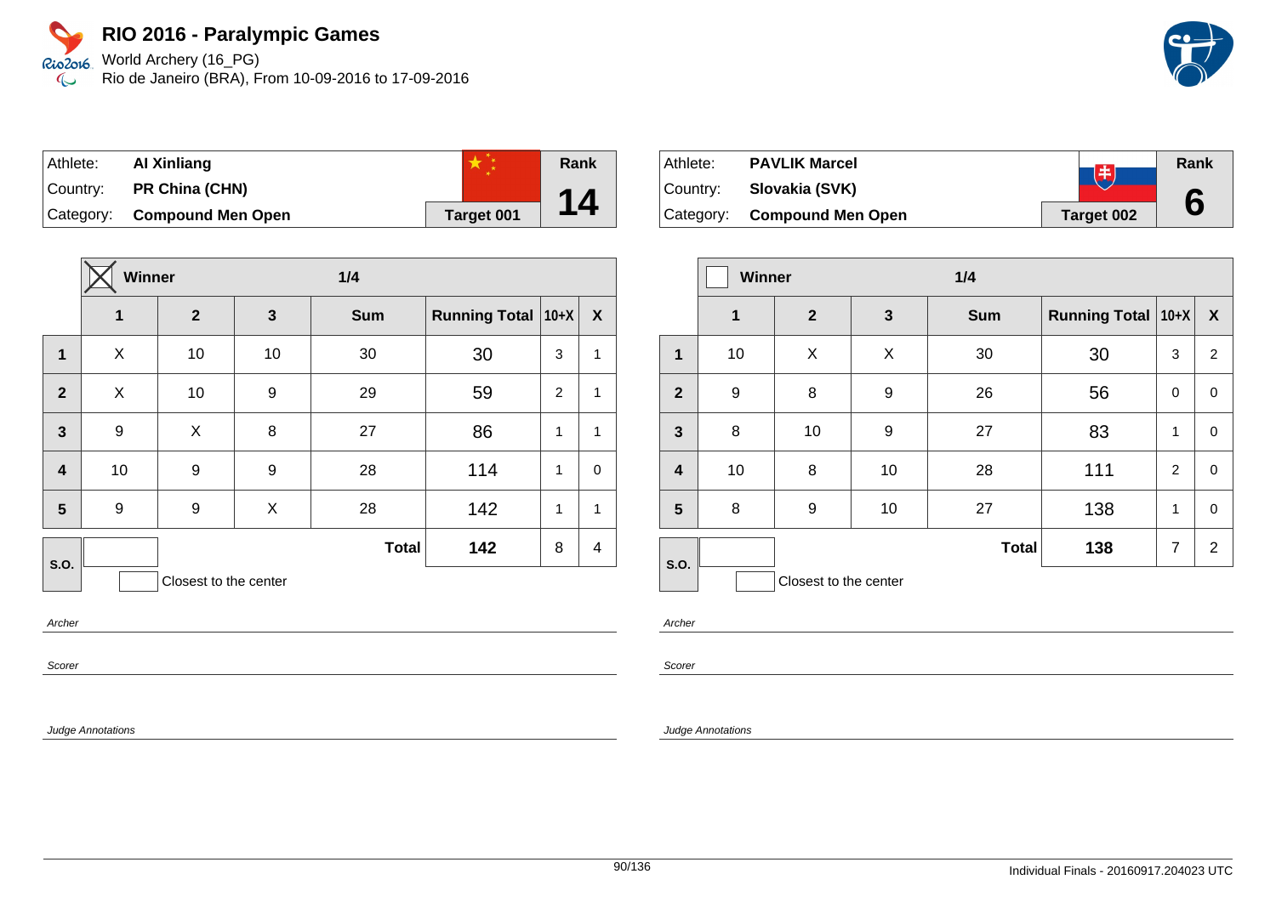World Archery (16\_PG) Rio de Janeiro (BRA), From 10-09-2016 to 17-09-2016



| Athlete: | Al Xinliang                 |            | Rank |
|----------|-----------------------------|------------|------|
|          | Country: PR China (CHN)     |            |      |
|          | Category: Compound Men Open | Target 001 | 14   |

|                         | Winner         |                       |              | 1/4          |                      |          |              |
|-------------------------|----------------|-----------------------|--------------|--------------|----------------------|----------|--------------|
|                         | $\overline{1}$ | $\overline{2}$        | $\mathbf{3}$ | <b>Sum</b>   | <b>Running Total</b> | $ 10+X $ | X            |
| 1                       | X              | 10                    | 10           | 30           | 30                   | 3        | $\mathbf{1}$ |
| $\mathbf{2}$            | X              | 10                    | 9            | 29           | 59                   | 2        | $\mathbf{1}$ |
| $\mathbf{3}$            | 9              | X                     | 8            | 27           | 86                   | 1        | $\mathbf{1}$ |
| $\overline{\mathbf{4}}$ | 10             | 9                     | 9            | 28           | 114                  | 1        | $\mathbf 0$  |
| 5                       | 9              | 9                     | X            | 28           | 142                  | 1        | $\mathbf{1}$ |
| S.O.                    |                |                       |              | <b>Total</b> | 142                  | 8        | 4            |
|                         |                | Closest to the center |              |              |                      |          |              |

Archer

Scorer

Judge Annotations

| Athlete:  | <b>PAVLIK Marcel</b>        | 电          | Rank |
|-----------|-----------------------------|------------|------|
| ⊺Countr∨: | Slovakia (SVK)              |            |      |
|           | Category: Compound Men Open | Target 002 | 6    |

|                         | <b>Winner</b> |                       |    | 1/4          |                               |                |                  |
|-------------------------|---------------|-----------------------|----|--------------|-------------------------------|----------------|------------------|
|                         | $\mathbf 1$   | $\mathbf{2}$          | 3  | <b>Sum</b>   | <b>Running Total   10+X  </b> |                | $\boldsymbol{X}$ |
| 1                       | 10            | X                     | X  | 30           | 30                            | 3              | 2                |
| $\mathbf{2}$            | 9             | 8                     | 9  | 26           | 56                            | $\mathbf 0$    | 0                |
| $\mathbf{3}$            | 8             | 10                    | 9  | 27           | 83                            | 1              | 0                |
| $\overline{\mathbf{4}}$ | 10            | 8                     | 10 | 28           | 111                           | $\overline{2}$ | $\Omega$         |
| $5\phantom{1}$          | 8             | 9                     | 10 | 27           | 138                           | 1              | 0                |
| S.O.                    |               |                       |    | <b>Total</b> | 138                           | 7              | $\overline{2}$   |
|                         |               | Closest to the center |    |              |                               |                |                  |

Archer

Scorer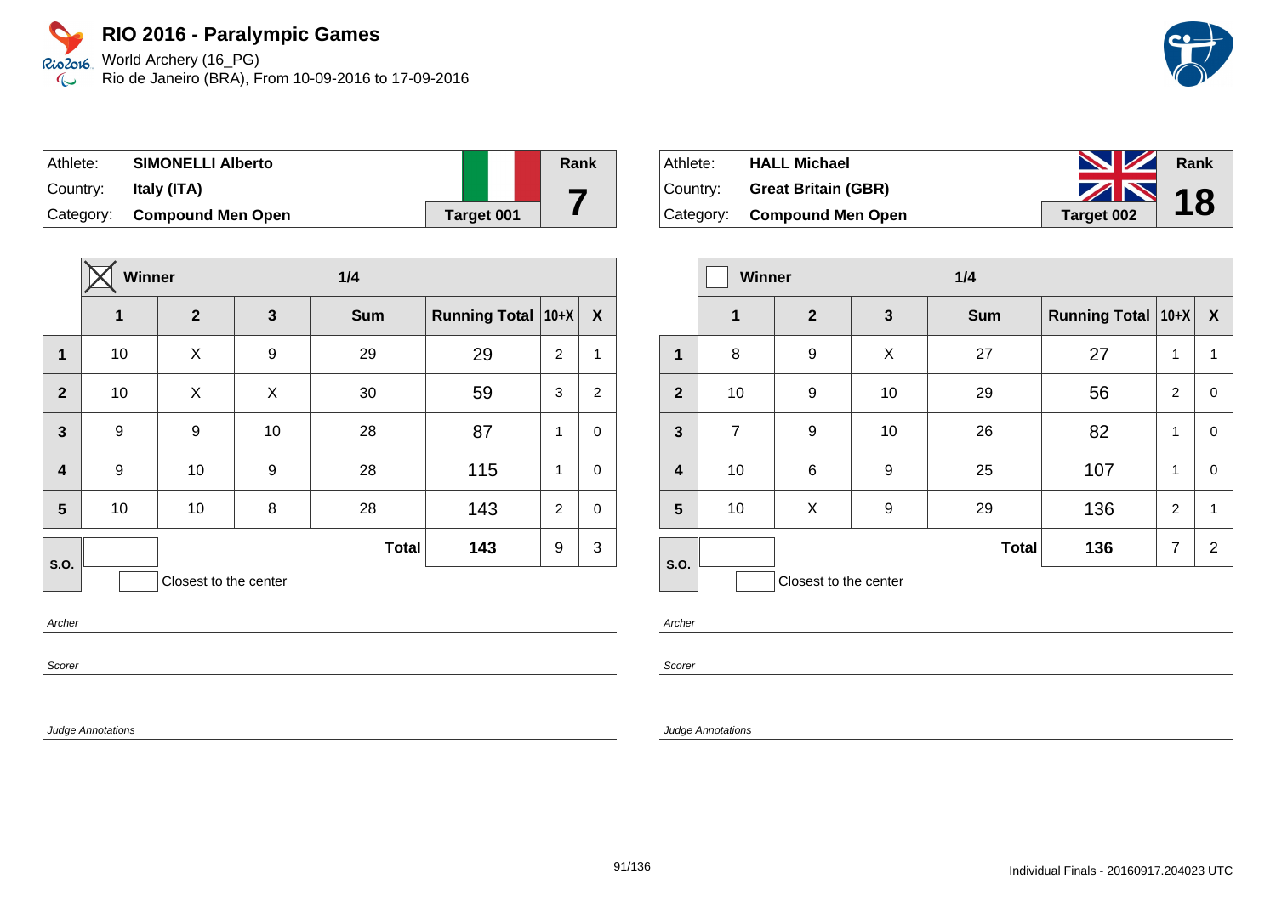World Archery (16\_PG) Rio de Janeiro (BRA), From 10-09-2016 to 17-09-2016

| Athlete:    | <b>SIMONELLI Alberto</b>    |            | Rank |
|-------------|-----------------------------|------------|------|
| ∣Country: ⊥ | Italy (ITA)                 |            |      |
|             | Category: Compound Men Open | Target 001 |      |

|                         | Winner |                       | 1/4 |              |                      |                |                |
|-------------------------|--------|-----------------------|-----|--------------|----------------------|----------------|----------------|
|                         | 1      | $\overline{2}$        | 3   | <b>Sum</b>   | <b>Running Total</b> | $10+X$         | X              |
| $\mathbf{1}$            | 10     | X                     | 9   | 29           | 29                   | 2              | $\mathbf{1}$   |
| $\overline{2}$          | 10     | X                     | X   | 30           | 59                   | 3              | $\overline{c}$ |
| $\mathbf{3}$            | 9      | 9                     | 10  | 28           | 87                   | 1              | $\mathbf 0$    |
| $\overline{\mathbf{4}}$ | 9      | 10                    | 9   | 28           | 115                  | 1              | $\mathbf 0$    |
| 5                       | 10     | 10                    | 8   | 28           | 143                  | $\overline{2}$ | $\mathbf 0$    |
| <b>S.O.</b>             |        |                       |     | <b>Total</b> | 143                  | 9              | 3              |
|                         |        | Closest to the center |     |              |                      |                |                |

Archer

Scorer

Judge Annotations

| Athlete: | <b>HALL Michael</b>         | <b>No. 12 Rank</b> |  |
|----------|-----------------------------|--------------------|--|
| Country: | <b>Great Britain (GBR)</b>  | $\frac{1}{2}$ 18   |  |
|          | Category: Compound Men Open | Target 002         |  |

|                         | Winner         |                       |    | 1/4          |                      |                |                  |
|-------------------------|----------------|-----------------------|----|--------------|----------------------|----------------|------------------|
|                         | $\mathbf 1$    | $\mathbf{2}$          | 3  | <b>Sum</b>   | Running Total   10+X |                | $\boldsymbol{X}$ |
| 1                       | 8              | 9                     | X  | 27           | 27                   | 1              | 1                |
| $\overline{2}$          | 10             | 9                     | 10 | 29           | 56                   | 2              | 0                |
| $\overline{\mathbf{3}}$ | $\overline{7}$ | 9                     | 10 | 26           | 82                   | 1              | $\pmb{0}$        |
| $\overline{\mathbf{r}}$ | 10             | 6                     | 9  | 25           | 107                  | 1              | $\mathbf 0$      |
| 5                       | 10             | X                     | 9  | 29           | 136                  | $\overline{2}$ | 1                |
| S.O.                    |                |                       |    | <b>Total</b> | 136                  | $\overline{7}$ | $\overline{2}$   |
|                         |                | Closest to the center |    |              |                      |                |                  |

Archer

Scorer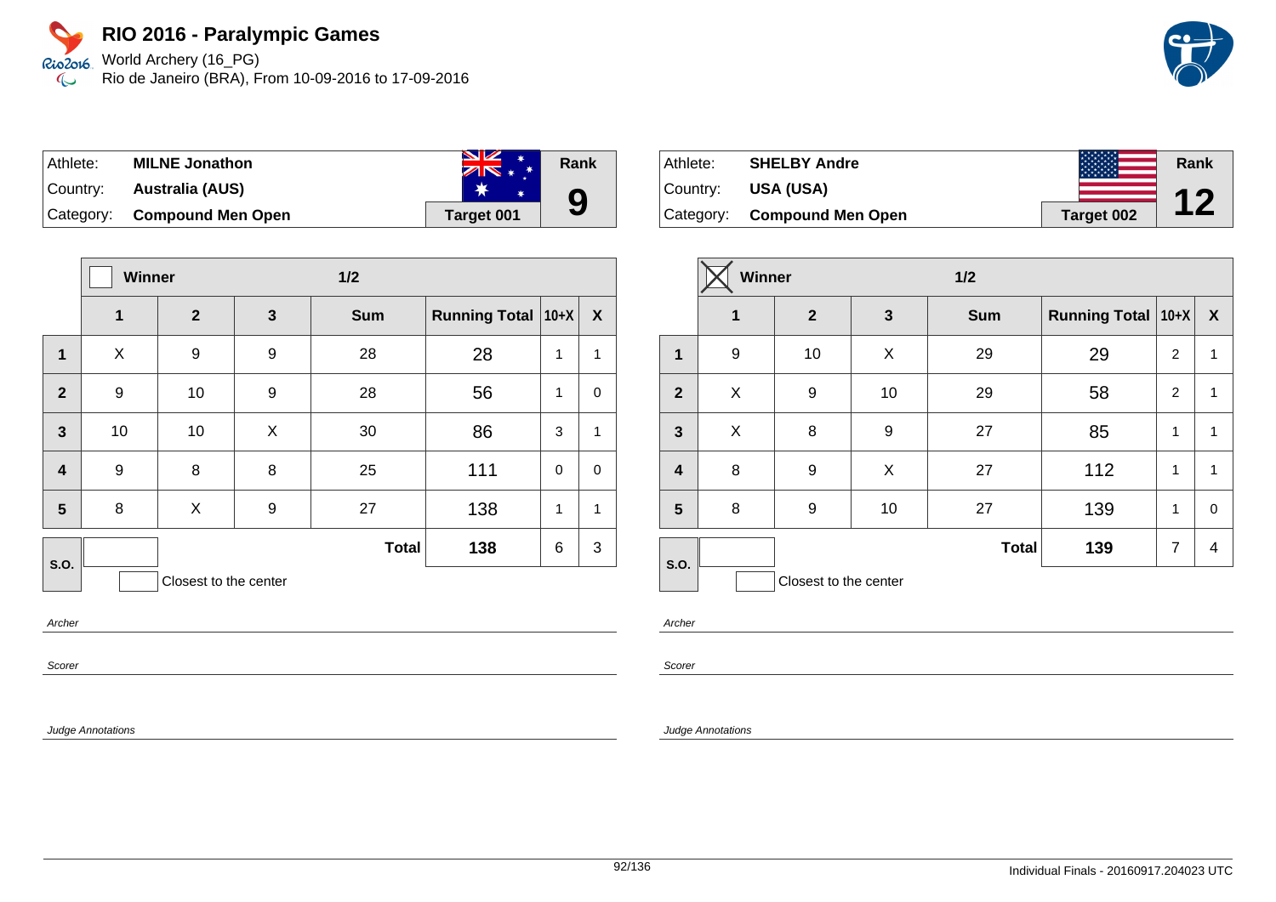World Archery (16\_PG) Rio de Janeiro (BRA), From 10-09-2016 to 17-09-2016

| Athlete:  | <b>MILNE Jonathon</b>       | $\blacksquare$<br>$ZN*$ | Rank |
|-----------|-----------------------------|-------------------------|------|
| ∣Countrv: | Australia (AUS)             |                         |      |
|           | Category: Compound Men Open | <b>Target 001</b>       | 9    |

|                  | Winner |                       | $1/2$        |              |                      |          |                  |
|------------------|--------|-----------------------|--------------|--------------|----------------------|----------|------------------|
|                  | 1      | $\overline{2}$        | $\mathbf{3}$ | <b>Sum</b>   | Running Total   10+X |          | $\boldsymbol{X}$ |
| 1                | X      | 9                     | 9            | 28           | 28                   | 1        | $\mathbf{1}$     |
| $\overline{2}$   | 9      | 10                    | 9            | 28           | 56                   | 1        | $\mathbf 0$      |
| $\mathbf{3}$     | 10     | 10                    | X            | 30           | 86                   | 3        | $\mathbf{1}$     |
| $\boldsymbol{4}$ | 9      | 8                     | 8            | 25           | 111                  | $\Omega$ | $\mathbf 0$      |
| 5                | 8      | X                     | 9            | 27           | 138                  | 1        | $\mathbf{1}$     |
| <b>S.O.</b>      |        |                       |              | <b>Total</b> | 138                  | 6        | 3                |
|                  |        | Closest to the center |              |              |                      |          |                  |

Archer

Scorer

Judge Annotations

| Athlete:  | <b>SHELBY Andre</b>      |            | Rank      |
|-----------|--------------------------|------------|-----------|
| Country:  | <b>USA (USA)</b>         |            | <b>17</b> |
| Category: | <b>Compound Men Open</b> | Target 002 |           |

|                         | <b>Winner</b> |                       | $1/2$        |              |                      |                |              |
|-------------------------|---------------|-----------------------|--------------|--------------|----------------------|----------------|--------------|
|                         | 1             | $\mathbf{2}$          | $\mathbf{3}$ | <b>Sum</b>   | Running Total   10+X |                | X            |
| 1                       | 9             | 10                    | X            | 29           | 29                   | 2              | $\mathbf{1}$ |
| $\overline{2}$          | X             | 9                     | 10           | 29           | 58                   | $\overline{2}$ | 1            |
| $\overline{\mathbf{3}}$ | X             | 8                     | 9            | 27           | 85                   | 1              | $\mathbf{1}$ |
| $\overline{\mathbf{4}}$ | 8             | 9                     | X            | 27           | 112                  | 1              | 1            |
| 5                       | 8             | 9                     | 10           | 27           | 139                  | 1              | 0            |
| S.O.                    |               |                       |              | <b>Total</b> | 139                  | $\overline{7}$ | 4            |
|                         |               | Closest to the center |              |              |                      |                |              |

Archer

Scorer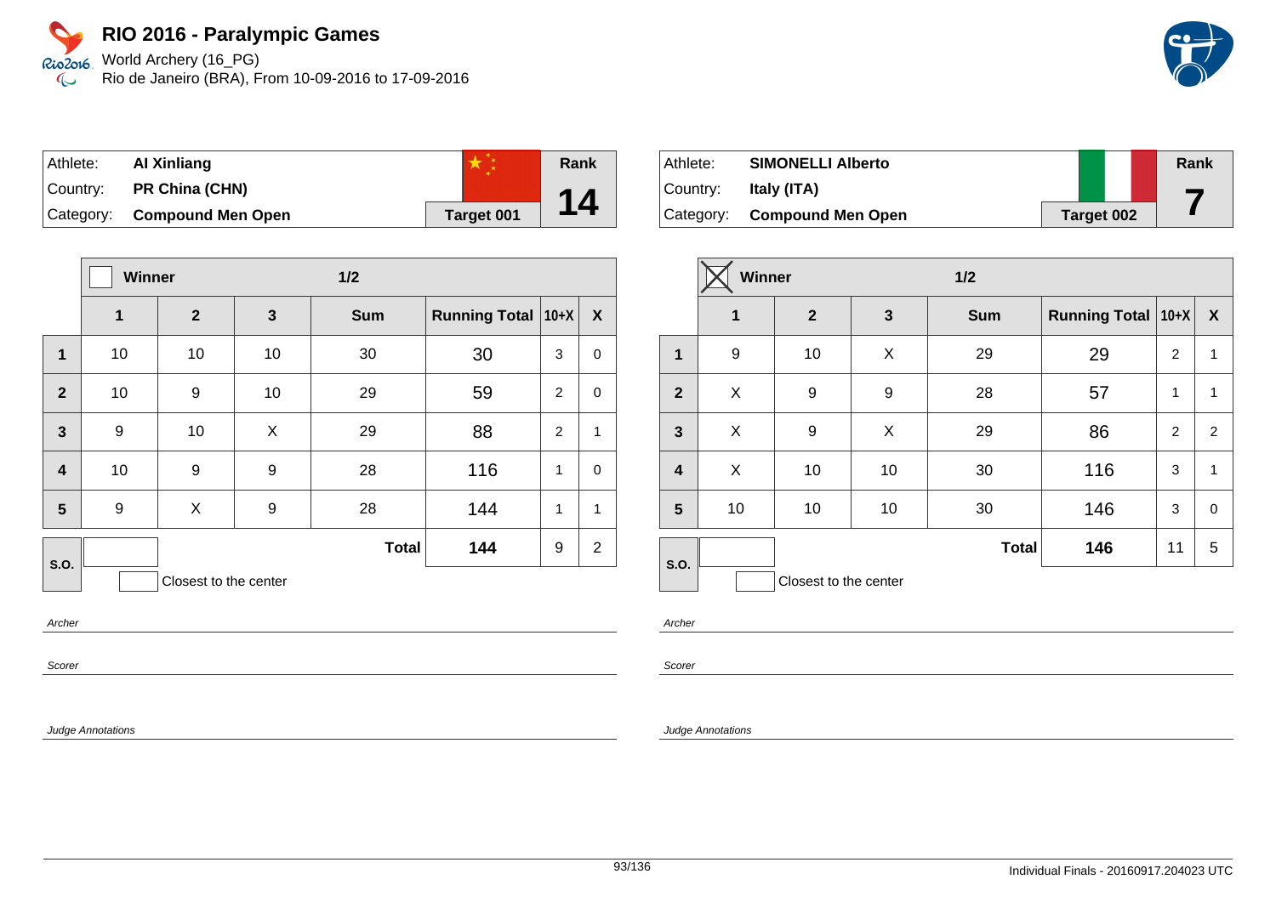World Archery (16\_PG) Rio de Janeiro (BRA), From 10-09-2016 to 17-09-2016



| Athlete: | Al Xinliang                 |            | Rank |
|----------|-----------------------------|------------|------|
| Country: | <b>PR China (CHN)</b>       |            |      |
|          | Category: Compound Men Open | Target 001 | 14   |

|                         | <b>Winner</b>    |                       | $1/2$        |              |                      |                |                |
|-------------------------|------------------|-----------------------|--------------|--------------|----------------------|----------------|----------------|
|                         | 1                | $\mathbf{2}$          | $\mathbf{3}$ | <b>Sum</b>   | <b>Running Total</b> | $10+X$         | X              |
| $\mathbf{1}$            | 10               | 10                    | 10           | 30           | 30                   | 3              | 0              |
| $\overline{2}$          | 10               | 9                     | 10           | 29           | 59                   | 2              | $\mathbf 0$    |
| $\mathbf{3}$            | $\boldsymbol{9}$ | 10                    | X            | 29           | 88                   | $\overline{2}$ | $\mathbf{1}$   |
| $\overline{\mathbf{4}}$ | 10               | 9                     | 9            | 28           | 116                  | 1              | $\mathbf 0$    |
| 5                       | $\boldsymbol{9}$ | X                     | 9            | 28           | 144                  | 1              | $\mathbf{1}$   |
| <b>S.O.</b>             |                  |                       |              | <b>Total</b> | 144                  | 9              | $\overline{2}$ |
|                         |                  | Closest to the center |              |              |                      |                |                |

Archer

Scorer

Judge Annotations

| Athlete:  | <b>SIMONELLI Alberto</b>    |            | Rank |
|-----------|-----------------------------|------------|------|
| ⊺Countr∨: | Italy (ITA)                 |            |      |
|           | Category: Compound Men Open | Target 002 |      |

|                         | <b>Winner</b> |                       |              | 1/2          |                          |                |             |
|-------------------------|---------------|-----------------------|--------------|--------------|--------------------------|----------------|-------------|
|                         | 1             | $\mathbf{2}$          | $\mathbf{3}$ | <b>Sum</b>   | Running Total $ 10+X $ X |                |             |
| 1                       | 9             | 10                    | X            | 29           | 29                       | $\overline{c}$ | 1           |
| $\overline{2}$          | Χ             | 9                     | 9            | 28           | 57                       | 1              | 1           |
| $\mathbf{3}$            | X             | 9                     | X            | 29           | 86                       | $\overline{2}$ | 2           |
| $\overline{\mathbf{4}}$ | X             | 10                    | 10           | 30           | 116                      | 3              | 1           |
| $5\phantom{1}$          | 10            | 10                    | 10           | 30           | 146                      | 3              | $\mathbf 0$ |
|                         |               |                       |              | <b>Total</b> | 146                      | 11             | 5           |
| S.O.                    |               | Closest to the center |              |              |                          |                |             |

Archer

Scorer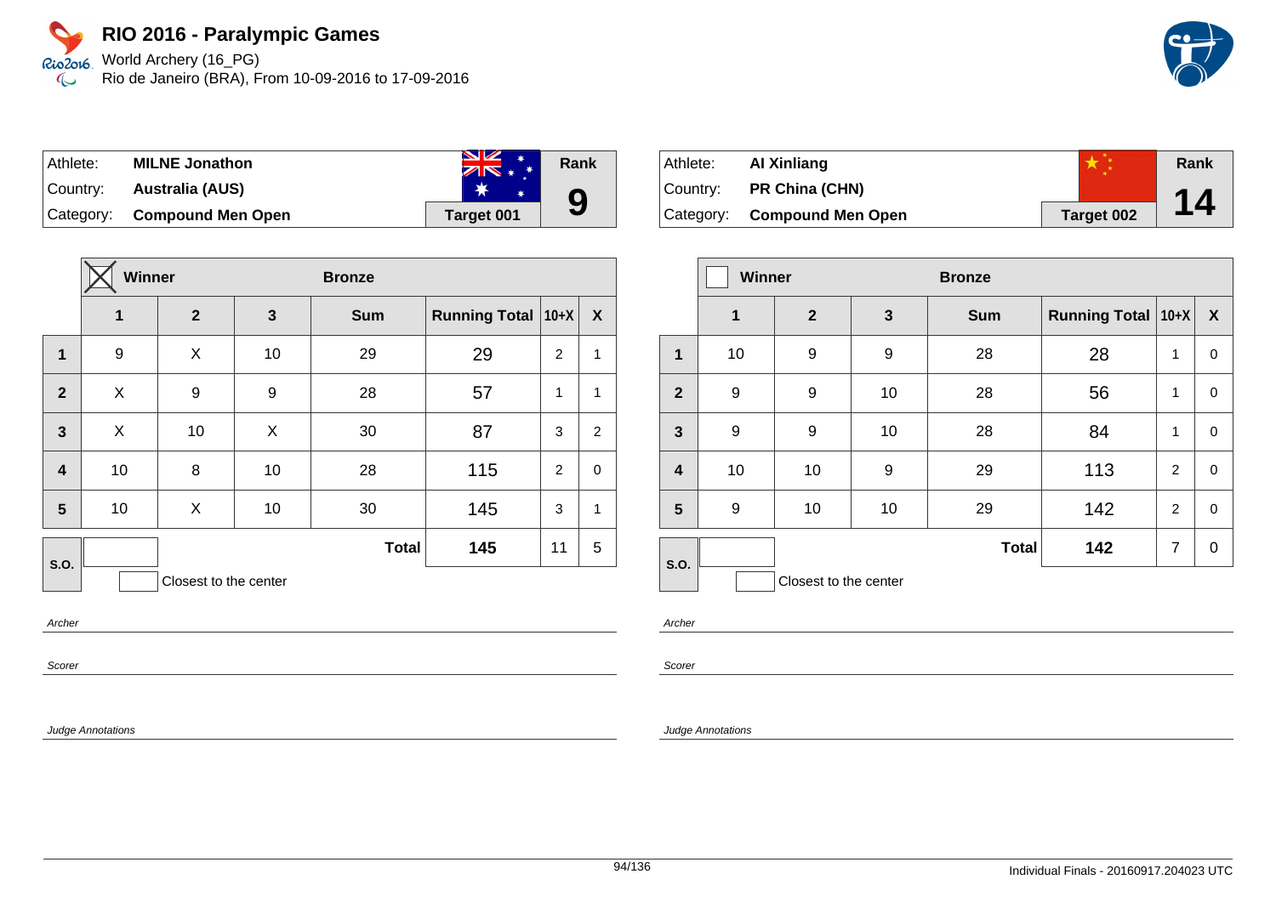World Archery (16\_PG) Rio de Janeiro (BRA), From 10-09-2016 to 17-09-2016



| Athlete:  | <b>MILNE Jonathon</b>       | $\blacksquare$<br>$ZN$ * * | Rank |
|-----------|-----------------------------|----------------------------|------|
| ⊺Countr∨: | Australia (AUS)             |                            |      |
|           | Category: Compound Men Open | Target 001                 | 9    |

|                         | Winner |                       |    | <b>Bronze</b> |                      |                |                  |
|-------------------------|--------|-----------------------|----|---------------|----------------------|----------------|------------------|
|                         | 1      | $\mathbf{2}$          | 3  | <b>Sum</b>    | <b>Running Total</b> | $ 10+X $       | $\boldsymbol{X}$ |
| $\mathbf{1}$            | 9      | X                     | 10 | 29            | 29                   | $\overline{2}$ | $\mathbf{1}$     |
| $\overline{2}$          | X      | 9                     | 9  | 28            | 57                   | 1              | $\mathbf{1}$     |
| $\overline{\mathbf{3}}$ | X      | 10                    | X  | 30            | 87                   | 3              | $\overline{c}$   |
| $\overline{\mathbf{4}}$ | 10     | 8                     | 10 | 28            | 115                  | 2              | $\mathbf 0$      |
| 5                       | 10     | X                     | 10 | 30            | 145                  | 3              | $\mathbf{1}$     |
| S.O.                    |        |                       |    | <b>Total</b>  | 145                  | 11             | 5                |
|                         |        | Closest to the center |    |               |                      |                |                  |

Archer

Scorer

Judge Annotations

| ∣Athlete: l | Al Xinliang                 |            | Rank |
|-------------|-----------------------------|------------|------|
| ∣Countr∨: ⊥ | <b>PR China (CHN)</b>       |            |      |
|             | Category: Compound Men Open | Target 002 | 14   |

|                         | <b>Winner</b> |                       |              | <b>Bronze</b> |                      |                |             |
|-------------------------|---------------|-----------------------|--------------|---------------|----------------------|----------------|-------------|
|                         | $\mathbf 1$   | $\overline{2}$        | $\mathbf{3}$ | <b>Sum</b>    | Running Total   10+X |                | X           |
| 1                       | 10            | 9                     | 9            | 28            | 28                   | 1              | 0           |
| $\overline{2}$          | 9             | 9                     | 10           | 28            | 56                   | 1              | 0           |
| $\overline{\mathbf{3}}$ | 9             | 9                     | 10           | 28            | 84                   | 1              | 0           |
| $\overline{\mathbf{r}}$ | 10            | 10                    | 9            | 29            | 113                  | $\overline{c}$ | $\mathbf 0$ |
| 5                       | 9             | 10                    | 10           | 29            | 142                  | $\overline{2}$ | 0           |
| S.O.                    |               |                       |              | <b>Total</b>  | 142                  | 7              | 0           |
|                         |               | Closest to the center |              |               |                      |                |             |

Archer

Scorer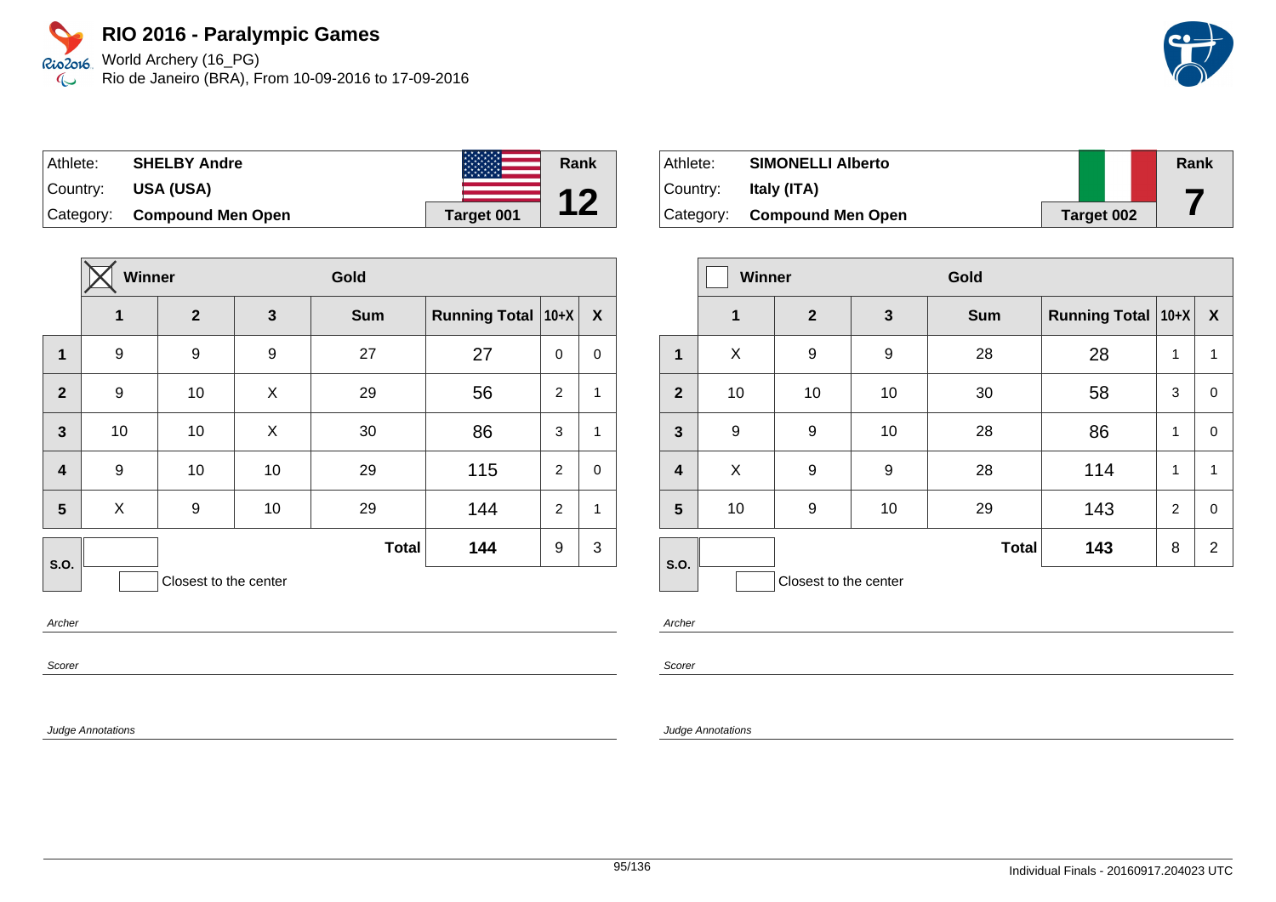World Archery (16\_PG) Rio de Janeiro (BRA), From 10-09-2016 to 17-09-2016

| ⊺Athlete:   | <b>SHELBY Andre</b>      |            | Rank |
|-------------|--------------------------|------------|------|
| ∣Country: i | USA (USA)                |            |      |
| Category:   | <b>Compound Men Open</b> | Target 001 | Ł.   |

|                         | Winner |                       |              | Gold         |                      |             |             |  |
|-------------------------|--------|-----------------------|--------------|--------------|----------------------|-------------|-------------|--|
|                         | 1      | $\overline{2}$        | $\mathbf{3}$ | <b>Sum</b>   | Running Total   10+X |             | X           |  |
| 1                       | 9      | 9                     | 9            | 27           | 27                   | $\mathbf 0$ | 0           |  |
| $\overline{2}$          | 9      | 10                    | X            | 29           | 56                   | 2           | 1           |  |
| $\mathbf{3}$            | 10     | 10                    | X            | 30           | 86                   | 3           | 1           |  |
| $\overline{\mathbf{4}}$ | 9      | 10                    | 10           | 29           | 115                  | 2           | $\mathbf 0$ |  |
| 5                       | X      | 9                     | 10           | 29           | 144                  | 2           | 1           |  |
| <b>S.O.</b>             |        |                       |              | <b>Total</b> | 144                  | 9           | 3           |  |
|                         |        | Closest to the center |              |              |                      |             |             |  |

Archer

Scorer

Judge Annotations

| Athlete:  | <b>SIMONELLI Alberto</b>    |            | Rank |
|-----------|-----------------------------|------------|------|
| ⊺Countr∨: | Italy (ITA)                 |            |      |
|           | Category: Compound Men Open | Target 002 |      |

|                         | Winner      |                       |    | Gold         |                      |                |                |
|-------------------------|-------------|-----------------------|----|--------------|----------------------|----------------|----------------|
|                         | $\mathbf 1$ | $\overline{2}$        | 3  | <b>Sum</b>   | Running Total   10+X |                | X              |
| 1                       | X           | 9                     | 9  | 28           | 28                   | 1              | 1              |
| $\overline{2}$          | 10          | 10                    | 10 | 30           | 58                   | 3              | 0              |
| $\mathbf{3}$            | 9           | 9                     | 10 | 28           | 86                   | 1              | 0              |
| $\overline{\mathbf{4}}$ | X           | 9                     | 9  | 28           | 114                  | 1              | 1              |
| 5                       | 10          | 9                     | 10 | 29           | 143                  | $\overline{2}$ | $\Omega$       |
|                         |             |                       |    | <b>Total</b> | 143                  | 8              | $\overline{2}$ |
| S.O.                    |             | Closest to the center |    |              |                      |                |                |

Archer

Scorer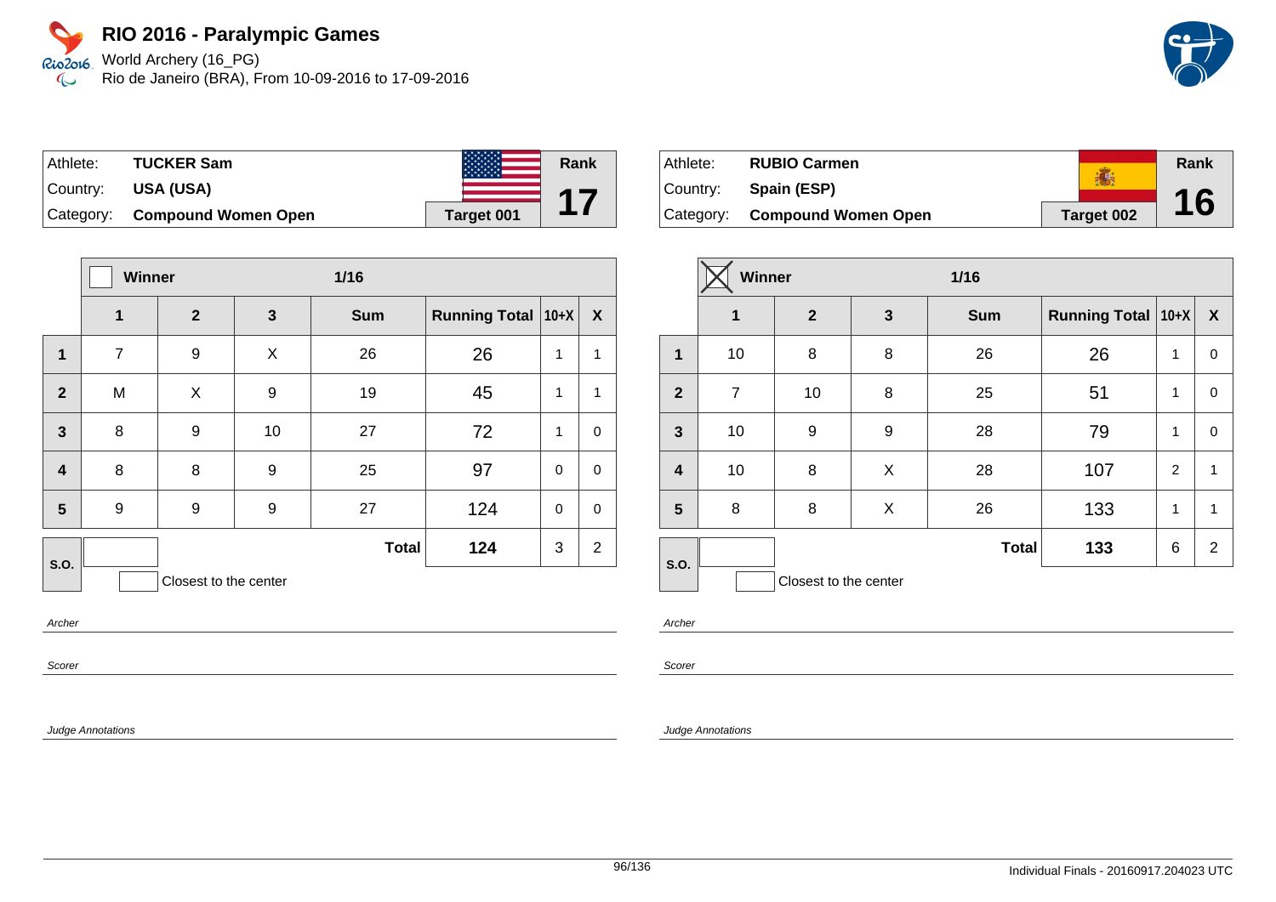World Archery (16\_PG) Rio de Janeiro (BRA), From 10-09-2016 to 17-09-2016

| Athlete:  | <b>TUCKER Sam</b>          |            | Rank |
|-----------|----------------------------|------------|------|
| ∣Countr∨: | USA (USA)                  |            |      |
| Category: | <b>Compound Women Open</b> | Target 001 |      |

|                         | Winner         |                       |              | $1/16$       |                      |              |                           |
|-------------------------|----------------|-----------------------|--------------|--------------|----------------------|--------------|---------------------------|
|                         | 1              | $\overline{2}$        | $\mathbf{3}$ | <b>Sum</b>   | Running Total   10+X |              | $\boldsymbol{\mathsf{X}}$ |
| $\mathbf{1}$            | $\overline{7}$ | 9                     | X            | 26           | 26                   | 1            | 1                         |
| $\mathbf{2}$            | M              | X                     | 9            | 19           | 45                   | 1            | 1                         |
| $\mathbf{3}$            | 8              | 9                     | 10           | 27           | 72                   | $\mathbf{1}$ | $\mathbf 0$               |
| $\overline{\mathbf{4}}$ | 8              | 8                     | 9            | 25           | 97                   | $\mathbf 0$  | 0                         |
| 5                       | 9              | 9                     | 9            | 27           | 124                  | $\mathbf 0$  | 0                         |
| S.O.                    |                |                       |              | <b>Total</b> | 124                  | 3            | $\overline{2}$            |
|                         |                | Closest to the center |              |              |                      |              |                           |

Archer

Scorer

Judge Annotations

| Athlete:  | <b>RUBIO Carmen</b>           | <b>The State</b>  | Rank |
|-----------|-------------------------------|-------------------|------|
| ⊺Countr∨: | Spain (ESP)                   |                   |      |
|           | Category: Compound Women Open | <b>Target 002</b> | 16   |

|                         | <b>Winner</b>  |                       |              | $1/16$       |                      |   |                  |
|-------------------------|----------------|-----------------------|--------------|--------------|----------------------|---|------------------|
|                         | $\mathbf 1$    | $\overline{2}$        | $\mathbf{3}$ | <b>Sum</b>   | Running Total   10+X |   | $\boldsymbol{X}$ |
| $\mathbf{1}$            | 10             | 8                     | 8            | 26           | 26                   | 1 | 0                |
| $\overline{2}$          | $\overline{7}$ | 10                    | 8            | 25           | 51                   | 1 | 0                |
| $\mathbf{3}$            | 10             | $\boldsymbol{9}$      | 9            | 28           | 79                   | 1 | $\mathbf 0$      |
| $\overline{\mathbf{4}}$ | 10             | 8                     | X            | 28           | 107                  | 2 | $\mathbf{1}$     |
| 5                       | 8              | 8                     | X            | 26           | 133                  | 1 | 1                |
| S.O.                    |                |                       |              | <b>Total</b> | 133                  | 6 | $\overline{2}$   |
|                         |                | Closest to the center |              |              |                      |   |                  |

Archer

Scorer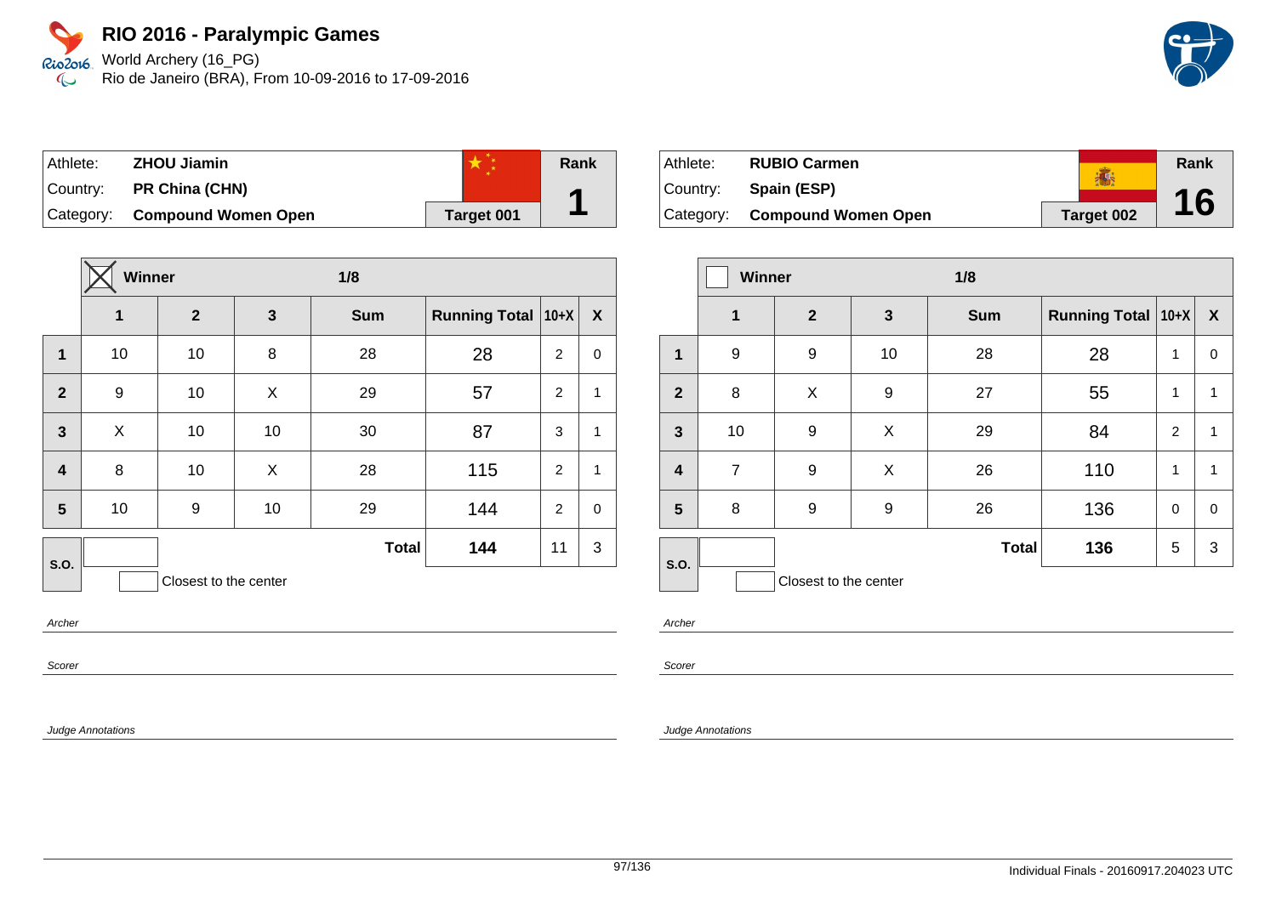World Archery (16\_PG) Rio de Janeiro (BRA), From 10-09-2016 to 17-09-2016

| Athlete: | <b>ZHOU Jiamin</b>            |            | Rank |
|----------|-------------------------------|------------|------|
| Country: | <b>PR China (CHN)</b>         |            |      |
|          | Category: Compound Women Open | Target 001 |      |

|                  | Winner |                       |    | 1/8          |                      |                |                  |
|------------------|--------|-----------------------|----|--------------|----------------------|----------------|------------------|
|                  | 1      | $\overline{2}$        | 3  | <b>Sum</b>   | <b>Running Total</b> | $10+X$         | $\boldsymbol{X}$ |
| $\mathbf{1}$     | 10     | 10                    | 8  | 28           | 28                   | $\overline{2}$ | $\mathbf 0$      |
| $\overline{2}$   | 9      | 10                    | X  | 29           | 57                   | 2              | $\mathbf{1}$     |
| $\overline{3}$   | X      | 10                    | 10 | 30           | 87                   | 3              | $\mathbf{1}$     |
| $\boldsymbol{4}$ | 8      | 10                    | X  | 28           | 115                  | $\overline{2}$ | $\mathbf{1}$     |
| 5                | 10     | 9                     | 10 | 29           | 144                  | 2              | $\mathbf 0$      |
| S.O.             |        |                       |    | <b>Total</b> | 144                  | 11             | 3                |
|                  |        | Closest to the center |    |              |                      |                |                  |

Archer

Scorer

Judge Annotations

| Athlete:  | <b>RUBIO Carmen</b>           |            | Rank |
|-----------|-------------------------------|------------|------|
| ⊺Countr∨: | Spain (ESP)                   |            |      |
|           | Category: Compound Women Open | Target 002 | 16   |

|                         | Winner         |                       |              | 1/8          |                      |                |                  |
|-------------------------|----------------|-----------------------|--------------|--------------|----------------------|----------------|------------------|
|                         | $\mathbf 1$    | $\mathbf{2}$          | $\mathbf{3}$ | <b>Sum</b>   | Running Total   10+X |                | $\boldsymbol{X}$ |
| 1                       | 9              | 9                     | 10           | 28           | 28                   | 1              | 0                |
| $\overline{2}$          | 8              | X                     | 9            | 27           | 55                   | 1              | 1                |
| $\mathbf{3}$            | 10             | 9                     | X            | 29           | 84                   | $\overline{2}$ | 1                |
| $\overline{\mathbf{4}}$ | $\overline{7}$ | 9                     | X            | 26           | 110                  | 1              | 1                |
| 5                       | 8              | 9                     | 9            | 26           | 136                  | $\mathbf 0$    | $\mathbf 0$      |
| S.O.                    |                |                       |              | <b>Total</b> | 136                  | 5              | 3                |
|                         |                | Closest to the center |              |              |                      |                |                  |

Archer

Scorer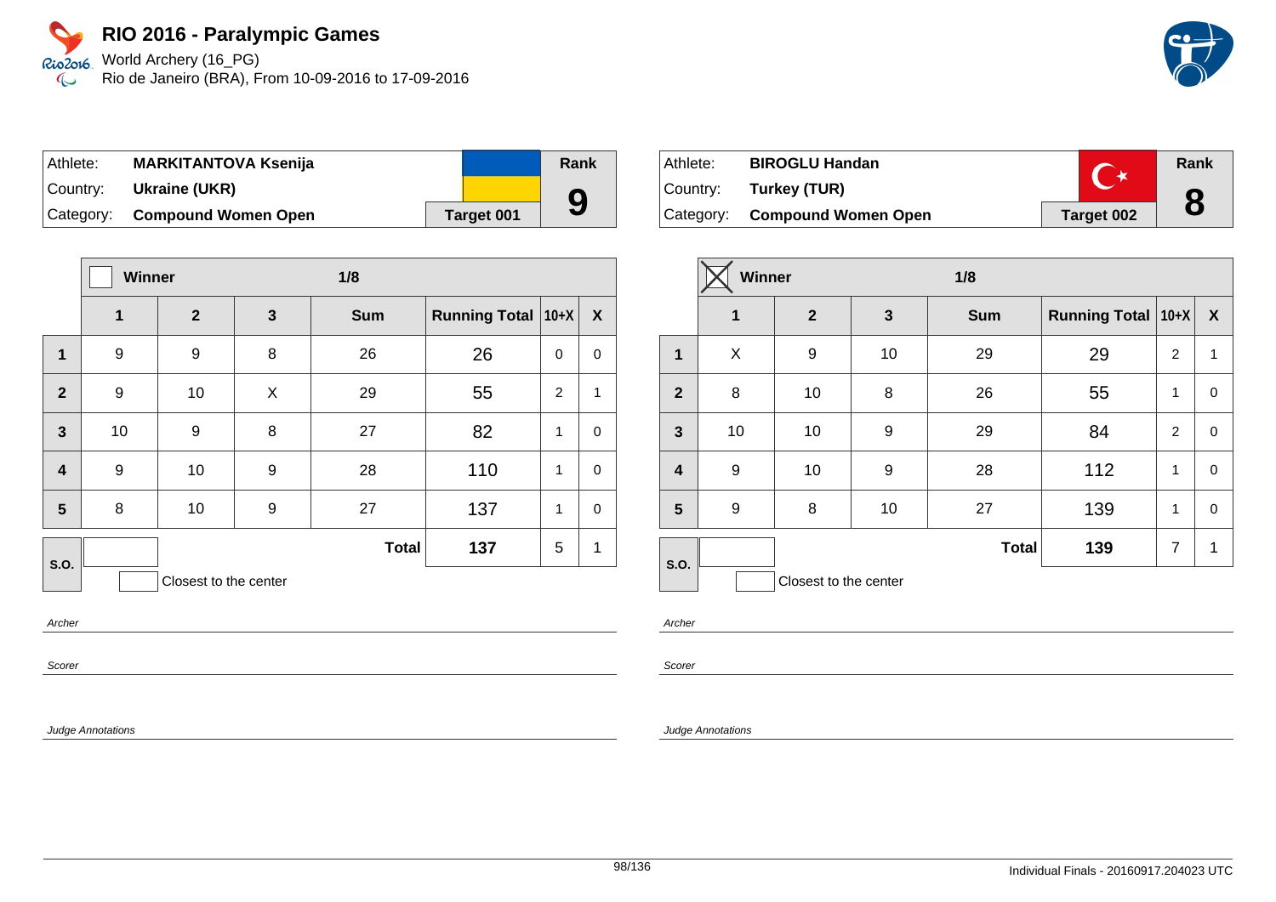Rio2o16 World Archery (16\_PG) Rio de Janeiro (BRA), From 10-09-2016 to 17-09-2016  $\infty$ 

| Athlete: | <b>MARKITANTOVA Ksenija</b>   |            | Rank |
|----------|-------------------------------|------------|------|
| Country: | Ukraine (UKR)                 |            |      |
|          | Category: Compound Women Open | Target 001 | 9    |

|                         | Winner       |                       |              | 1/8          |                      |             |                  |
|-------------------------|--------------|-----------------------|--------------|--------------|----------------------|-------------|------------------|
|                         | $\mathbf{1}$ | $\overline{2}$        | $\mathbf{3}$ | <b>Sum</b>   | Running Total   10+X |             | $\boldsymbol{X}$ |
| 1                       | 9            | 9                     | 8            | 26           | 26                   | $\mathbf 0$ | 0                |
| $\overline{2}$          | 9            | 10                    | X            | 29           | 55                   | 2           | $\mathbf{1}$     |
| $\mathbf{3}$            | 10           | $9$                   | 8            | 27           | 82                   | 1           | $\mathbf 0$      |
| $\overline{\mathbf{4}}$ | 9            | 10                    | 9            | 28           | 110                  | 1           | $\mathbf 0$      |
| 5                       | 8            | 10                    | 9            | 27           | 137                  | 1           | $\mathbf 0$      |
| <b>S.O.</b>             |              |                       |              | <b>Total</b> | 137                  | 5           | 1                |
|                         |              | Closest to the center |              |              |                      |             |                  |

Archer

Scorer

Judge Annotations

| Athlete: | <b>BIROGLU Handan</b>         |            | Rank |
|----------|-------------------------------|------------|------|
|          | Country: Turkey (TUR)         |            |      |
|          | Category: Compound Women Open | Target 002 | 8    |

|                         | <b>Winner</b> |                       | 1/8          |              |                               |                |              |
|-------------------------|---------------|-----------------------|--------------|--------------|-------------------------------|----------------|--------------|
|                         | 1             | $\mathbf{2}$          | $\mathbf{3}$ | <b>Sum</b>   | <b>Running Total   10+X  </b> |                | $\mathbf{X}$ |
| 1                       | X             | 9                     | 10           | 29           | 29                            | 2              | 1            |
| $\overline{2}$          | 8             | 10                    | 8            | 26           | 55                            | $\mathbf{1}$   | 0            |
| $\mathbf{3}$            | 10            | 10                    | 9            | 29           | 84                            | $\overline{2}$ | 0            |
| $\overline{\mathbf{4}}$ | 9             | 10                    | 9            | 28           | 112                           | 1              | 0            |
| $5\phantom{1}$          | 9             | 8                     | 10           | 27           | 139                           | $\mathbf{1}$   | 0            |
| S.O.                    |               |                       |              | <b>Total</b> | 139                           | $\overline{7}$ | 1            |
|                         |               | Closest to the center |              |              |                               |                |              |

Archer

Scorer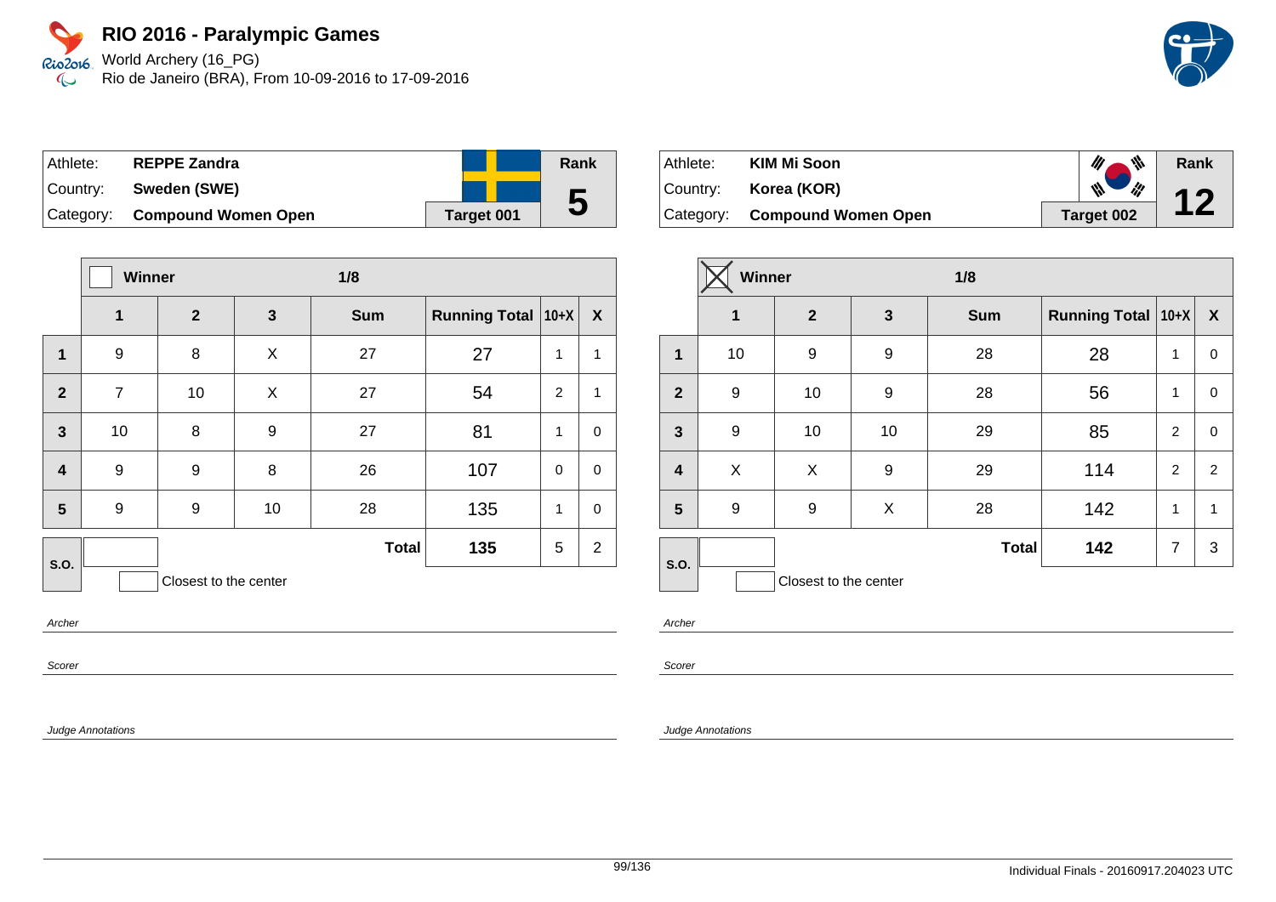World Archery (16\_PG) Rio de Janeiro (BRA), From 10-09-2016 to 17-09-2016

| Athlete:  | <b>REPPE Zandra</b>        |            | Rank |
|-----------|----------------------------|------------|------|
| Country:  | Sweden (SWE)               |            |      |
| Category: | <b>Compound Women Open</b> | Target 001 | 5    |

|                         | <b>Winner</b>  |                       |    | 1/8          |                      |                |                  |
|-------------------------|----------------|-----------------------|----|--------------|----------------------|----------------|------------------|
|                         | 1              | $\mathbf{2}$          | 3  | <b>Sum</b>   | Running Total   10+X |                | $\boldsymbol{X}$ |
| 1                       | 9              | 8                     | X  | 27           | 27                   | 1              | 1                |
| $\overline{2}$          | $\overline{7}$ | 10                    | X  | 27           | 54                   | $\overline{2}$ | $\mathbf{1}$     |
| $\mathbf{3}$            | 10             | 8                     | 9  | 27           | 81                   | 1              | $\pmb{0}$        |
| $\overline{\mathbf{4}}$ | 9              | 9                     | 8  | 26           | 107                  | $\mathbf 0$    | $\mathbf 0$      |
| 5                       | 9              | 9                     | 10 | 28           | 135                  | 1              | $\mathbf 0$      |
| S.O.                    |                |                       |    | <b>Total</b> | 135                  | 5              | $\overline{2}$   |
|                         |                | Closest to the center |    |              |                      |                |                  |

Archer

Scorer

Judge Annotations

| Athlete: | <b>KIM Mi Soon</b>            | $\psi$ .                                                      | Rank |
|----------|-------------------------------|---------------------------------------------------------------|------|
| Country: | Korea (KOR)                   | $\frac{d\mathbf{y}}{d\mathbf{y}}$<br>$\frac{d\mathbf{y}}{dt}$ |      |
|          | Category: Compound Women Open | Target 002                                                    |      |

|                         | Winner           |                       | 1/8          |              |                      |                |                  |
|-------------------------|------------------|-----------------------|--------------|--------------|----------------------|----------------|------------------|
|                         | $\mathbf 1$      | $\overline{2}$        | $\mathbf{3}$ | <b>Sum</b>   | Running Total   10+X |                | $\boldsymbol{X}$ |
| $\mathbf{1}$            | 10               | 9                     | 9            | 28           | 28                   | 1              | 0                |
| $\overline{2}$          | 9                | 10                    | 9            | 28           | 56                   | 1              | 0                |
| $\mathbf{3}$            | $\boldsymbol{9}$ | 10                    | 10           | 29           | 85                   | $\overline{c}$ | 0                |
| $\overline{\mathbf{4}}$ | X                | X                     | 9            | 29           | 114                  | $\overline{c}$ | 2                |
| 5                       | 9                | 9                     | X            | 28           | 142                  | 1              | 1                |
| S.O.                    |                  |                       |              | <b>Total</b> | 142                  | $\overline{7}$ | 3                |
|                         |                  | Closest to the center |              |              |                      |                |                  |

Archer

Scorer

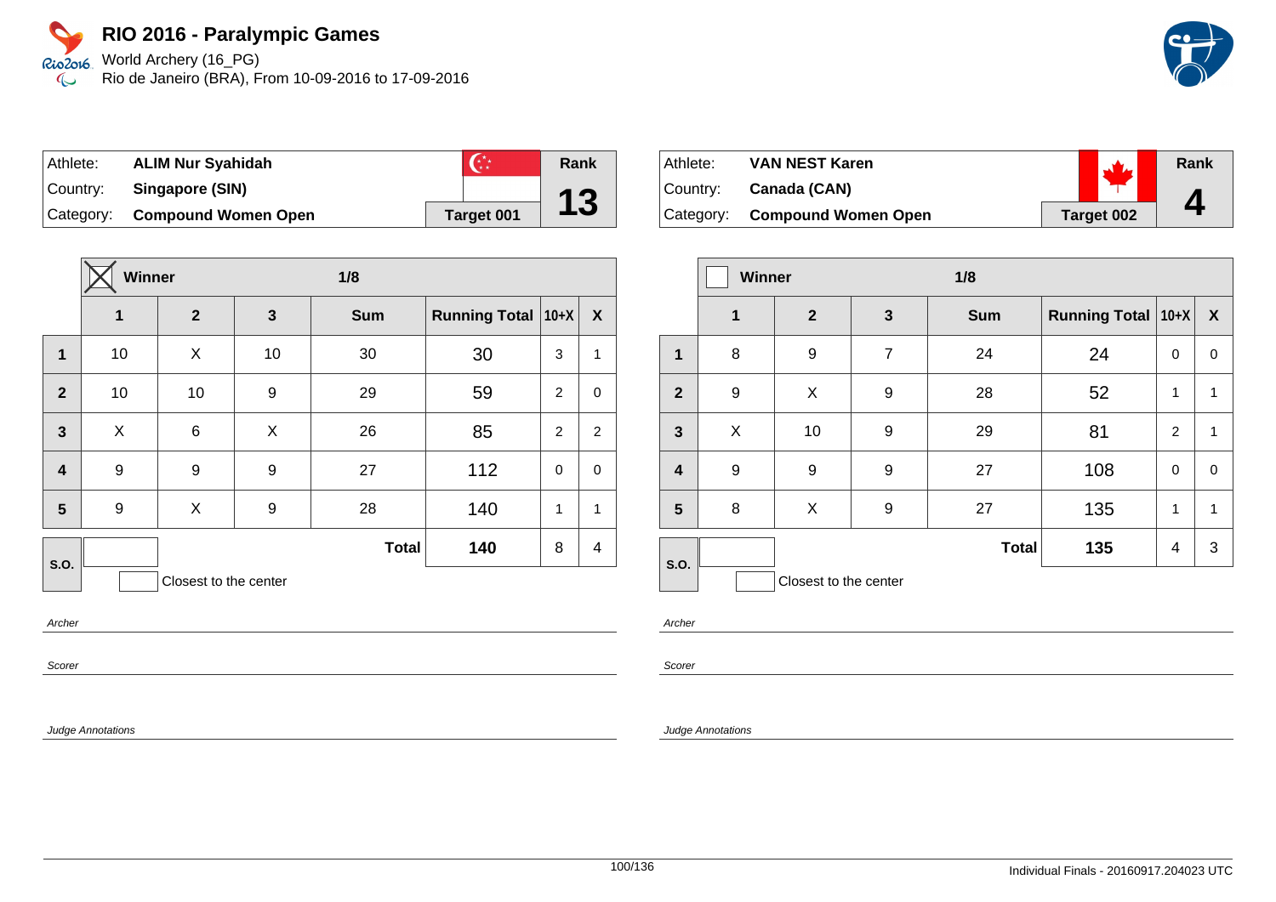World Archery (16\_PG) Rio de Janeiro (BRA), From 10-09-2016 to 17-09-2016

| Athlete:  | <b>ALIM Nur Syahidah</b>   | $\mathbb{C}^*$ | Rank |
|-----------|----------------------------|----------------|------|
| Country:  | Singapore (SIN)            |                |      |
| Category: | <b>Compound Women Open</b> | Target 001     | 13   |

|                         | Winner |                       | 1/8 |              |                      |                |                |
|-------------------------|--------|-----------------------|-----|--------------|----------------------|----------------|----------------|
|                         | 1      | $\mathbf{2}$          | 3   | <b>Sum</b>   | <b>Running Total</b> | $10+X$         | X              |
| 1                       | 10     | X                     | 10  | 30           | 30                   | 3              | $\mathbf{1}$   |
| $\overline{2}$          | 10     | 10                    | 9   | 29           | 59                   | 2              | $\mathbf 0$    |
| $\overline{\mathbf{3}}$ | X      | 6                     | X   | 26           | 85                   | $\overline{2}$ | $\overline{2}$ |
| $\overline{\mathbf{4}}$ | 9      | 9                     | 9   | 27           | 112                  | $\mathbf 0$    | $\mathbf 0$    |
| 5                       | 9      | X                     | 9   | 28           | 140                  | 1              | 1              |
| S.O.                    |        |                       |     | <b>Total</b> | 140                  | 8              | 4              |
|                         |        | Closest to the center |     |              |                      |                |                |

Archer

Scorer

Judge Annotations

| Athlete:    | <b>VAN NEST Karen</b>         |            | $\mathbf{w}$ | Rank |
|-------------|-------------------------------|------------|--------------|------|
| ∣Countr∨: ⊥ | Canada (CAN)                  |            |              |      |
|             | Category: Compound Women Open | Target 002 |              |      |

|                         | <b>Winner</b> |                       | 1/8              |              |                           |                |                  |
|-------------------------|---------------|-----------------------|------------------|--------------|---------------------------|----------------|------------------|
|                         | $\mathbf 1$   | $\mathbf{2}$          | $\mathbf{3}$     | <b>Sum</b>   | <b>Running Total 10+X</b> |                | $\boldsymbol{X}$ |
| 1                       | 8             | 9                     | $\overline{7}$   | 24           | 24                        | 0              | $\mathbf 0$      |
| $\overline{2}$          | 9             | X                     | 9                | 28           | 52                        | 1              | 1                |
| $\mathbf{3}$            | X             | 10                    | 9                | 29           | 81                        | 2              | 1                |
| $\overline{\mathbf{4}}$ | 9             | 9                     | $\boldsymbol{9}$ | 27           | 108                       | 0              | $\mathbf 0$      |
| $5\phantom{a}$          | 8             | X                     | 9                | 27           | 135                       | 1              | 1                |
| S.O.                    |               |                       |                  | <b>Total</b> | 135                       | $\overline{4}$ | 3                |
|                         |               | Closest to the center |                  |              |                           |                |                  |

Archer

Scorer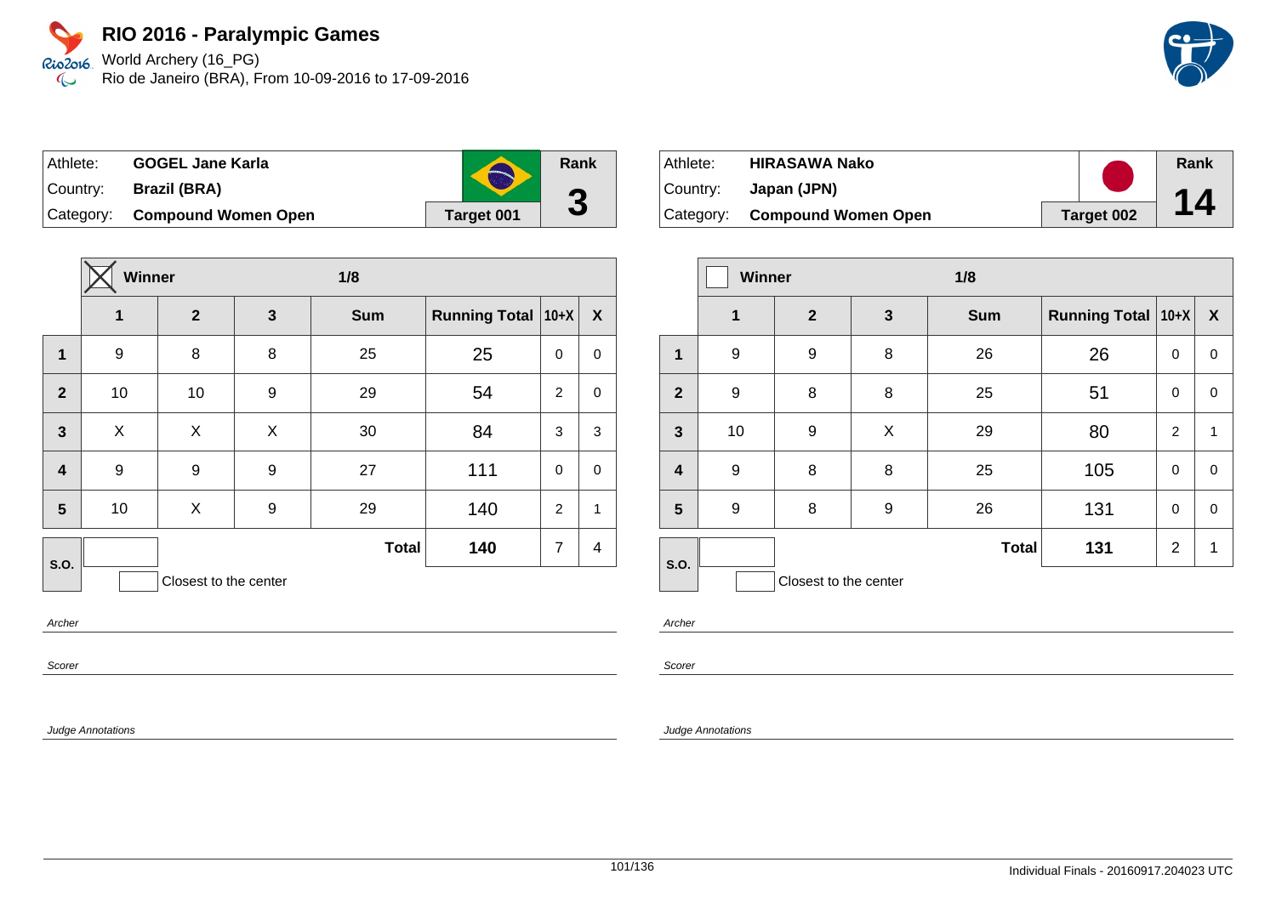World Archery (16\_PG) Rio de Janeiro (BRA), From 10-09-2016 to 17-09-2016

| <b>GOGEL Jane Karla</b><br>⊺Athlete: |                               | $\blacktriangleright$ | Rank |
|--------------------------------------|-------------------------------|-----------------------|------|
|                                      | Country: Brazil (BRA)         |                       | G    |
|                                      | Category: Compound Women Open | Target 001            | U    |

|                         | Winner |                       |              | 1/8          |                      |                |                  |
|-------------------------|--------|-----------------------|--------------|--------------|----------------------|----------------|------------------|
|                         | 1      | $\mathbf{2}$          | $\mathbf{3}$ | <b>Sum</b>   | <b>Running Total</b> | $ 10+X $       | $\boldsymbol{X}$ |
| $\mathbf{1}$            | 9      | 8                     | 8            | 25           | 25                   | 0              | 0                |
| $\mathbf{2}$            | 10     | 10                    | 9            | 29           | 54                   | $\overline{2}$ | $\mathbf 0$      |
| $\overline{\mathbf{3}}$ | X      | X                     | X            | 30           | 84                   | 3              | 3                |
| $\overline{\mathbf{4}}$ | 9      | 9                     | 9            | 27           | 111                  | $\mathbf 0$    | $\mathbf 0$      |
| 5                       | 10     | X                     | 9            | 29           | 140                  | $\overline{2}$ | $\mathbf{1}$     |
| S.O.                    |        |                       |              | <b>Total</b> | 140                  | $\overline{7}$ | 4                |
|                         |        | Closest to the center |              |              |                      |                |                  |

Archer

Scorer

Judge Annotations

| Athlete:  | <b>HIRASAWA Nako</b>          |            | Rank |
|-----------|-------------------------------|------------|------|
| ⊺Countr∨: | Japan (JPN)                   |            |      |
|           | Category: Compound Women Open | Target 002 | 14   |

|                         | Winner      |                       | 1/8 |              |                      |                |   |
|-------------------------|-------------|-----------------------|-----|--------------|----------------------|----------------|---|
|                         | $\mathbf 1$ | $\mathbf{2}$          | 3   | <b>Sum</b>   | Running Total   10+X |                | X |
| 1                       | 9           | 9                     | 8   | 26           | 26                   | 0              | 0 |
| $\overline{2}$          | 9           | 8                     | 8   | 25           | 51                   | 0              | 0 |
| $\mathbf{3}$            | 10          | 9                     | X   | 29           | 80                   | $\overline{2}$ | 1 |
| $\overline{\mathbf{4}}$ | 9           | 8                     | 8   | 25           | 105                  | $\mathbf 0$    | 0 |
| 5                       | 9           | 8                     | 9   | 26           | 131                  | $\mathbf 0$    | 0 |
| S.O.                    |             |                       |     | <b>Total</b> | 131                  | 2              | 1 |
|                         |             | Closest to the center |     |              |                      |                |   |

Archer

Scorer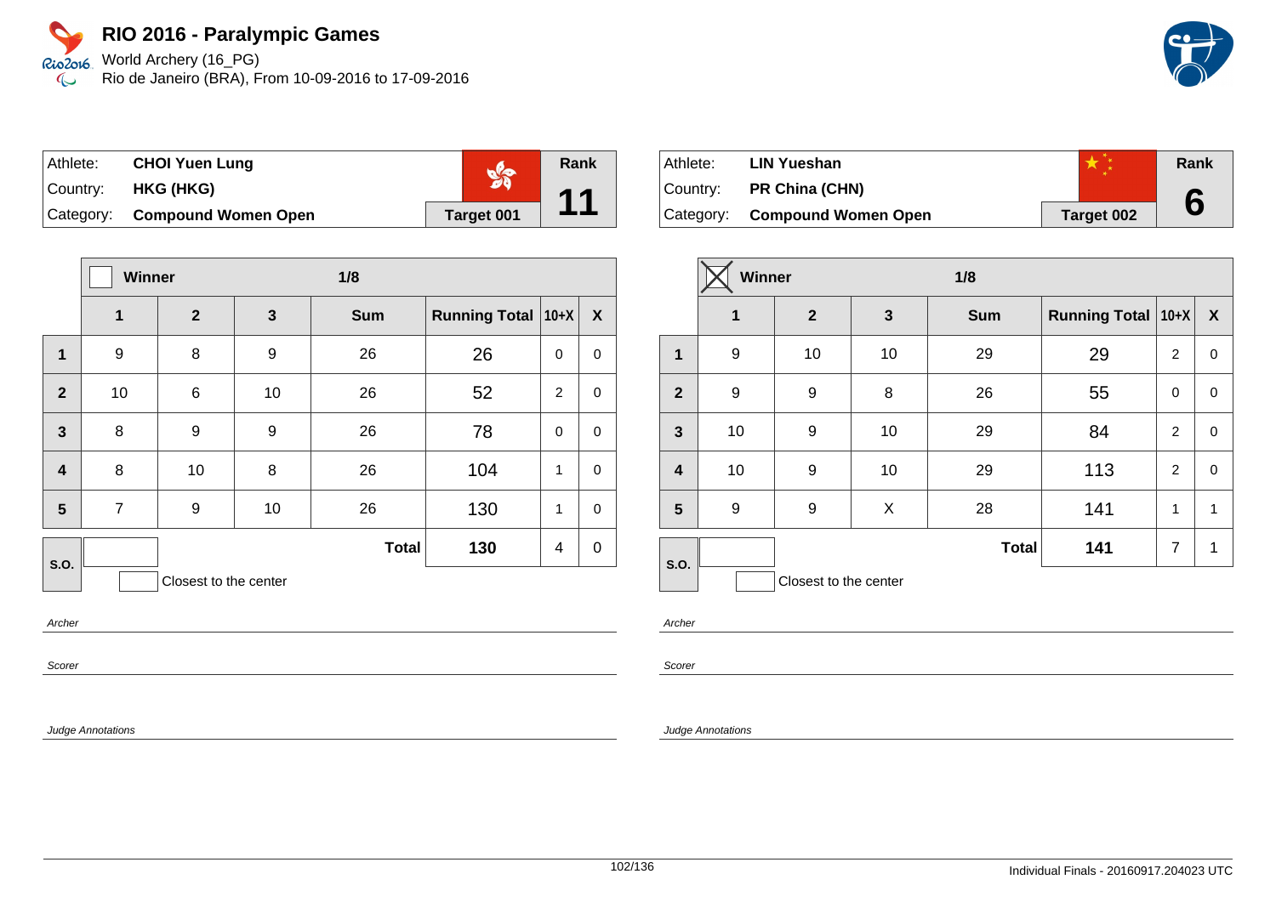World Archery (16\_PG) Rio de Janeiro (BRA), From 10-09-2016 to 17-09-2016

| ∣Athlete: | <b>CHOI Yuen Lung</b>         |            | Rank            |
|-----------|-------------------------------|------------|-----------------|
| Country:  | HKG (HKG)                     |            | $\overline{44}$ |
|           | Category: Compound Women Open | Target 001 |                 |

|                         | Winner         |                       |    | 1/8          |                      |             |             |
|-------------------------|----------------|-----------------------|----|--------------|----------------------|-------------|-------------|
|                         | 1              | $\overline{2}$        | 3  | <b>Sum</b>   | <b>Running Total</b> | $10+X$      | X           |
| 1                       | 9              | 8                     | 9  | 26           | 26                   | 0           | $\mathbf 0$ |
| $\overline{2}$          | 10             | 6                     | 10 | 26           | 52                   | 2           | $\mathbf 0$ |
| $\overline{\mathbf{3}}$ | 8              | 9                     | 9  | 26           | 78                   | $\mathbf 0$ | $\mathbf 0$ |
| $\overline{\mathbf{4}}$ | 8              | 10                    | 8  | 26           | 104                  | 1           | $\mathbf 0$ |
| 5                       | $\overline{7}$ | 9                     | 10 | 26           | 130                  | 1           | $\mathbf 0$ |
| S.O.                    |                |                       |    | <b>Total</b> | 130                  | 4           | $\mathbf 0$ |
|                         |                | Closest to the center |    |              |                      |             |             |

Archer

Scorer

Judge Annotations

| Athlete:  | <b>LIN Yueshan</b>            |            | Rank |
|-----------|-------------------------------|------------|------|
| ∣Country: | <b>PR China (CHN)</b>         |            |      |
|           | Category: Compound Women Open | Target 002 |      |

|                         | <b>Winner</b>    |                       |              | 1/8          |                      |                |                  |
|-------------------------|------------------|-----------------------|--------------|--------------|----------------------|----------------|------------------|
|                         | $\mathbf 1$      | $\mathbf{2}$          | $\mathbf{3}$ | <b>Sum</b>   | Running Total   10+X |                | $\boldsymbol{X}$ |
| 1                       | 9                | 10                    | 10           | 29           | 29                   | 2              | 0                |
| $\overline{2}$          | $\boldsymbol{9}$ | 9                     | 8            | 26           | 55                   | 0              | 0                |
| $\mathbf{3}$            | 10               | 9                     | 10           | 29           | 84                   | $\overline{2}$ | 0                |
| $\overline{\mathbf{4}}$ | 10               | 9                     | 10           | 29           | 113                  | 2              | 0                |
| 5                       | 9                | 9                     | X            | 28           | 141                  | 1              | 1                |
| S.O.                    |                  |                       |              | <b>Total</b> | 141                  | $\overline{7}$ | 1                |
|                         |                  | Closest to the center |              |              |                      |                |                  |

Archer

Scorer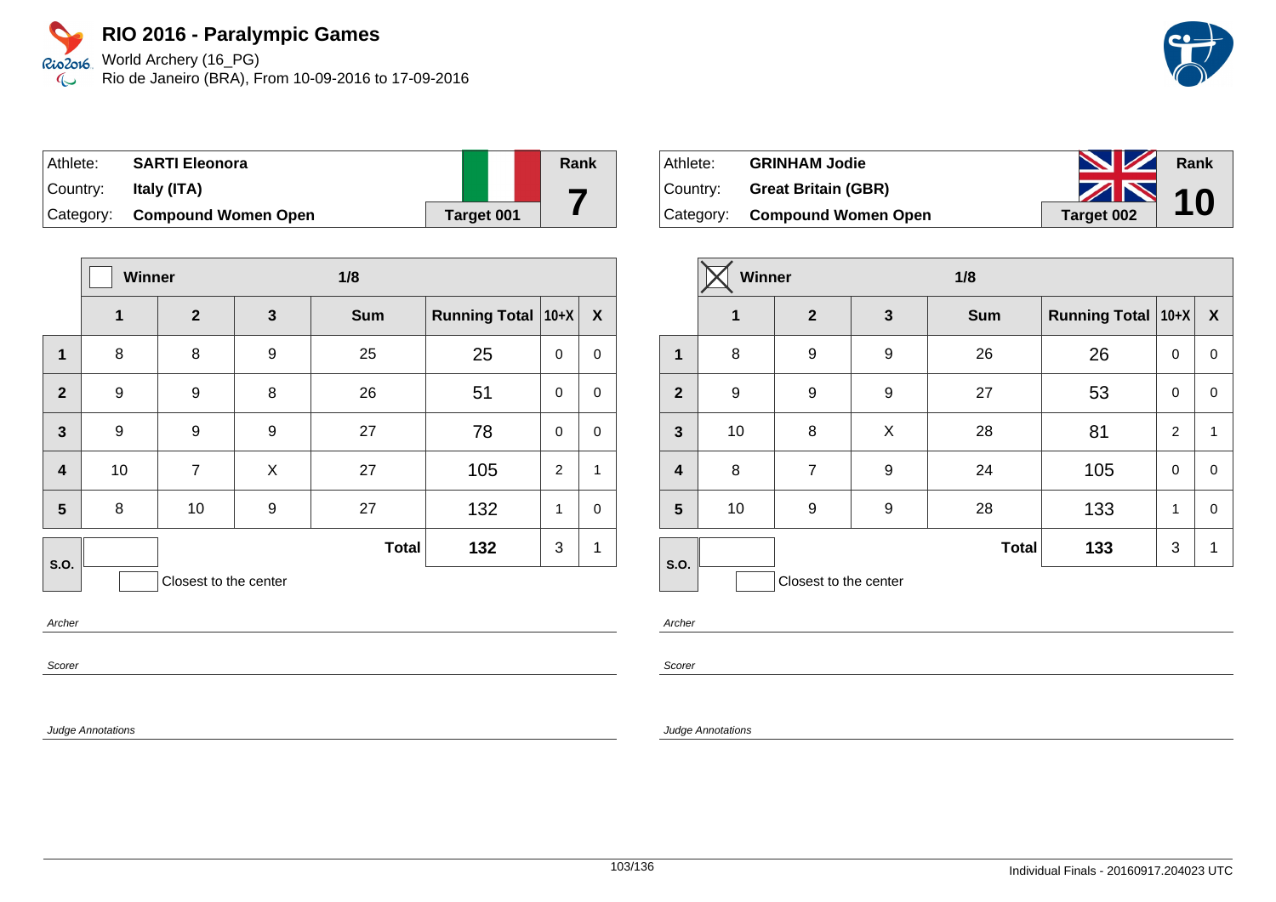World Archery (16\_PG) Rio de Janeiro (BRA), From 10-09-2016 to 17-09-2016

| Athlete:   | <b>SARTI Eleonora</b>      |            | Rank |
|------------|----------------------------|------------|------|
| ⊺Countr∨:  | Italy (ITA)                |            |      |
| ⊺Categorv: | <b>Compound Women Open</b> | Target 001 |      |

|                         | Winner           |                       |              | 1/8          |                      |                |              |
|-------------------------|------------------|-----------------------|--------------|--------------|----------------------|----------------|--------------|
|                         | 1                | $\mathbf{2}$          | $\mathbf{3}$ | <b>Sum</b>   | <b>Running Total</b> | $10+X$         | X            |
| 1                       | 8                | 8                     | 9            | 25           | 25                   | $\mathbf 0$    | $\mathbf 0$  |
| $\overline{2}$          | 9                | 9                     | 8            | 26           | 51                   | $\Omega$       | $\mathbf 0$  |
| $\mathbf{3}$            | $\boldsymbol{9}$ | 9                     | 9            | 27           | 78                   | $\mathbf 0$    | $\mathbf 0$  |
| $\overline{\mathbf{4}}$ | 10               | 7                     | X            | 27           | 105                  | $\overline{2}$ | $\mathbf{1}$ |
| 5                       | 8                | 10                    | 9            | 27           | 132                  | 1              | $\mathbf 0$  |
| S.O.                    |                  |                       |              | <b>Total</b> | 132                  | 3              | 1            |
|                         |                  | Closest to the center |              |              |                      |                |              |

Archer

Scorer

Judge Annotations

| Athlete: | <b>GRINHAM Jodie</b>          | <b>NZ</b>  | Rank |
|----------|-------------------------------|------------|------|
| Country: | <b>Great Britain (GBR)</b>    | $\sim$ 10  |      |
|          | Category: Compound Women Open | Target 002 |      |

|                         | Winner       |                       |   | 1/8          |                           |              |              |
|-------------------------|--------------|-----------------------|---|--------------|---------------------------|--------------|--------------|
|                         | $\mathbf{1}$ | $\overline{2}$        | 3 | <b>Sum</b>   | <b>Running Total 10+X</b> |              | X            |
| 1                       | 8            | 9                     | 9 | 26           | 26                        | 0            | $\mathbf 0$  |
| $\overline{2}$          | 9            | 9                     | 9 | 27           | 53                        | 0            | 0            |
| $\mathbf{3}$            | 10           | 8                     | X | 28           | 81                        | 2            | $\mathbf{1}$ |
| $\overline{\mathbf{4}}$ | 8            | $\overline{7}$        | 9 | 24           | 105                       | 0            | $\mathbf 0$  |
| $5\phantom{.0}$         | 10           | 9                     | 9 | 28           | 133                       | $\mathbf{1}$ | 0            |
| S.O.                    |              |                       |   | <b>Total</b> | 133                       | 3            | $\mathbf{1}$ |
|                         |              | Closest to the center |   |              |                           |              |              |

Archer

Scorer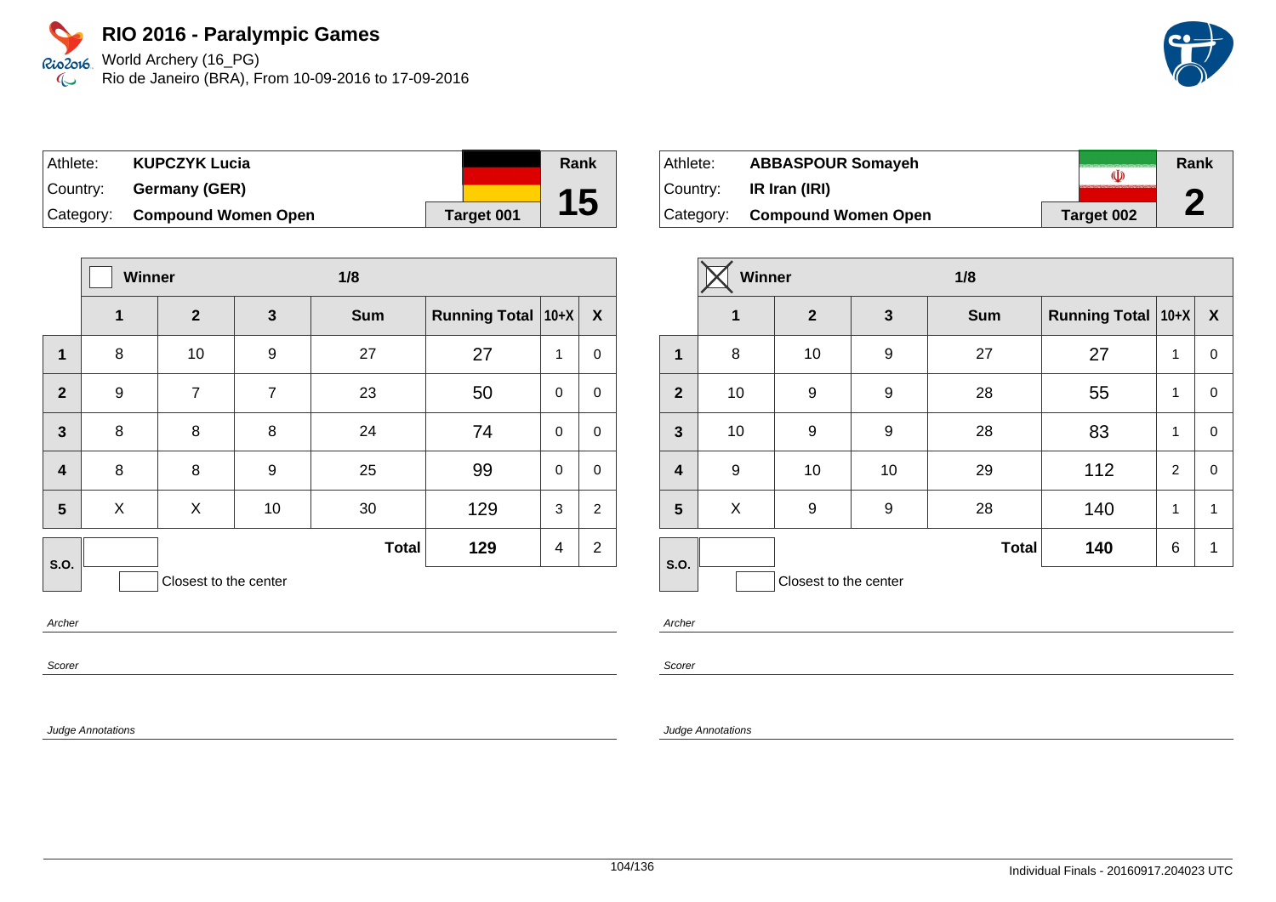World Archery (16\_PG) Rio de Janeiro (BRA), From 10-09-2016 to 17-09-2016

| Athlete: | <b>KUPCZYK Lucia</b>          |            | Rank |
|----------|-------------------------------|------------|------|
| Country: | Germany (GER)                 |            |      |
|          | Category: Compound Women Open | Target 001 | 15   |

|                         | Winner | 1/8                   |                |              |                      |             |                |
|-------------------------|--------|-----------------------|----------------|--------------|----------------------|-------------|----------------|
|                         | 1      | $\mathbf{2}$          | $\mathbf{3}$   | <b>Sum</b>   | <b>Running Total</b> | $10+X$      | X              |
| 1                       | 8      | 10                    | 9              | 27           | 27                   | 1           | $\mathbf 0$    |
| $\overline{2}$          | 9      | $\overline{7}$        | $\overline{7}$ | 23           | 50                   | $\Omega$    | $\mathbf 0$    |
| $\mathbf{3}$            | 8      | 8                     | 8              | 24           | 74                   | $\mathbf 0$ | $\mathbf 0$    |
| $\overline{\mathbf{4}}$ | 8      | 8                     | 9              | 25           | 99                   | $\mathbf 0$ | $\mathbf 0$    |
| 5                       | X      | X                     | 10             | 30           | 129                  | 3           | $\overline{2}$ |
| S.O.                    |        |                       |                | <b>Total</b> | 129                  | 4           | $\overline{2}$ |
|                         |        | Closest to the center |                |              |                      |             |                |

Archer

Scorer

Judge Annotations

| Athlete:  | <b>ABBASPOUR Somayeh</b>      |            | Rank |
|-----------|-------------------------------|------------|------|
| ⊺Countr∨: | IR Iran (IRI)                 |            | Л    |
|           | Category: Compound Women Open | Target 002 | Z.   |

|                         | Winner      |                       |                  | 1/8          |                      |                |                  |
|-------------------------|-------------|-----------------------|------------------|--------------|----------------------|----------------|------------------|
|                         | $\mathbf 1$ | $\mathbf{2}$          | 3                | <b>Sum</b>   | Running Total   10+X |                | $\boldsymbol{X}$ |
| $\mathbf 1$             | 8           | 10                    | $\boldsymbol{9}$ | 27           | 27                   | 1              | 0                |
| $\overline{2}$          | 10          | 9                     | 9                | 28           | 55                   | 1              | 0                |
| $\mathbf{3}$            | 10          | 9                     | 9                | 28           | 83                   | 1              | 0                |
| $\overline{\mathbf{4}}$ | 9           | 10                    | 10               | 29           | 112                  | $\overline{c}$ | 0                |
| 5                       | X           | 9                     | 9                | 28           | 140                  | 1              | 1                |
| S.O.                    |             |                       |                  | <b>Total</b> | 140                  | 6              | 1                |
|                         |             | Closest to the center |                  |              |                      |                |                  |

Archer

Scorer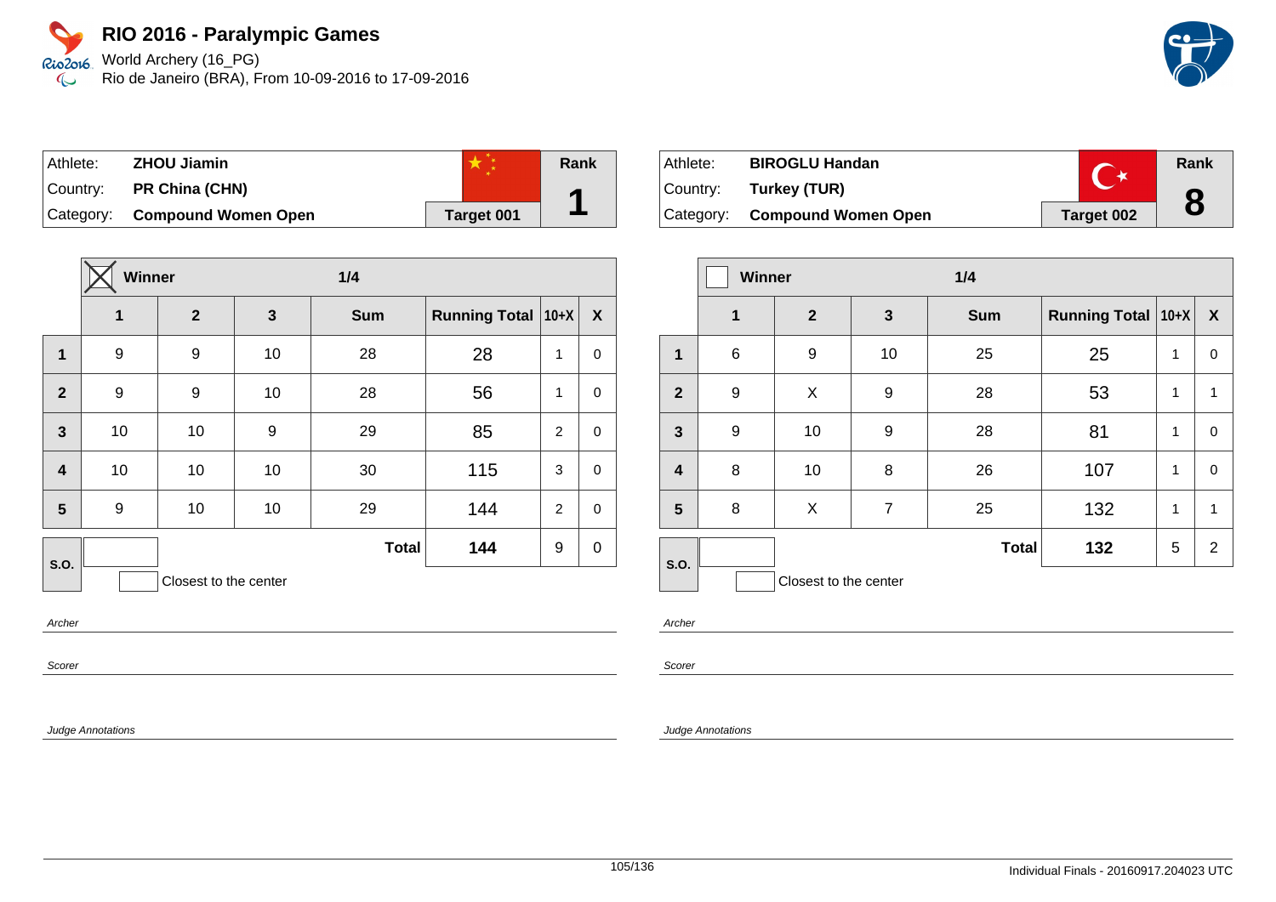World Archery (16\_PG) Rio de Janeiro (BRA), From 10-09-2016 to 17-09-2016

| Athlete: | <b>ZHOU Jiamin</b>            |            | Rank |
|----------|-------------------------------|------------|------|
| Country: | <b>PR China (CHN)</b>         |            |      |
|          | Category: Compound Women Open | Target 001 |      |

|                         | <b>Winner</b> |                       |    | 1/4          |                      |                |             |
|-------------------------|---------------|-----------------------|----|--------------|----------------------|----------------|-------------|
|                         | 1             | $\mathbf{2}$          | 3  | <b>Sum</b>   | <b>Running Total</b> | $ 10+X $       | X           |
| $\mathbf{1}$            | 9             | 9                     | 10 | 28           | 28                   | 1              | $\mathbf 0$ |
| $\overline{2}$          | 9             | 9                     | 10 | 28           | 56                   | 1              | $\mathbf 0$ |
| $\overline{\mathbf{3}}$ | 10            | 10                    | 9  | 29           | 85                   | $\overline{2}$ | $\mathbf 0$ |
| $\overline{\mathbf{4}}$ | 10            | 10                    | 10 | 30           | 115                  | 3              | $\mathbf 0$ |
| 5                       | 9             | 10                    | 10 | 29           | 144                  | 2              | $\mathbf 0$ |
| S.O.                    |               |                       |    | <b>Total</b> | 144                  | 9              | $\mathbf 0$ |
|                         |               | Closest to the center |    |              |                      |                |             |

Archer

Scorer

Judge Annotations

| Athlete: | <b>BIROGLU Handan</b>         |            | Rank |
|----------|-------------------------------|------------|------|
|          | Country: Turkey (TUR)         |            |      |
|          | Category: Compound Women Open | Target 002 | 8    |

|                         | <b>Winner</b> |                       |                | 1/4          |                      |   |                  |
|-------------------------|---------------|-----------------------|----------------|--------------|----------------------|---|------------------|
|                         | 1             | $\mathbf{2}$          | 3              | <b>Sum</b>   | Running Total   10+X |   | $\boldsymbol{X}$ |
| $\mathbf 1$             | 6             | 9                     | 10             | 25           | 25                   | 1 | $\mathbf 0$      |
| $\overline{2}$          | 9             | X                     | 9              | 28           | 53                   | 1 | 1                |
| $\overline{\mathbf{3}}$ | 9             | 10                    | 9              | 28           | 81                   | 1 | $\pmb{0}$        |
| $\overline{4}$          | 8             | 10                    | 8              | 26           | 107                  | 1 | $\mathbf 0$      |
| 5                       | 8             | X                     | $\overline{7}$ | 25           | 132                  | 1 | 1                |
| S.O.                    |               |                       |                | <b>Total</b> | 132                  | 5 | $\overline{2}$   |
|                         |               | Closest to the center |                |              |                      |   |                  |

Archer

Scorer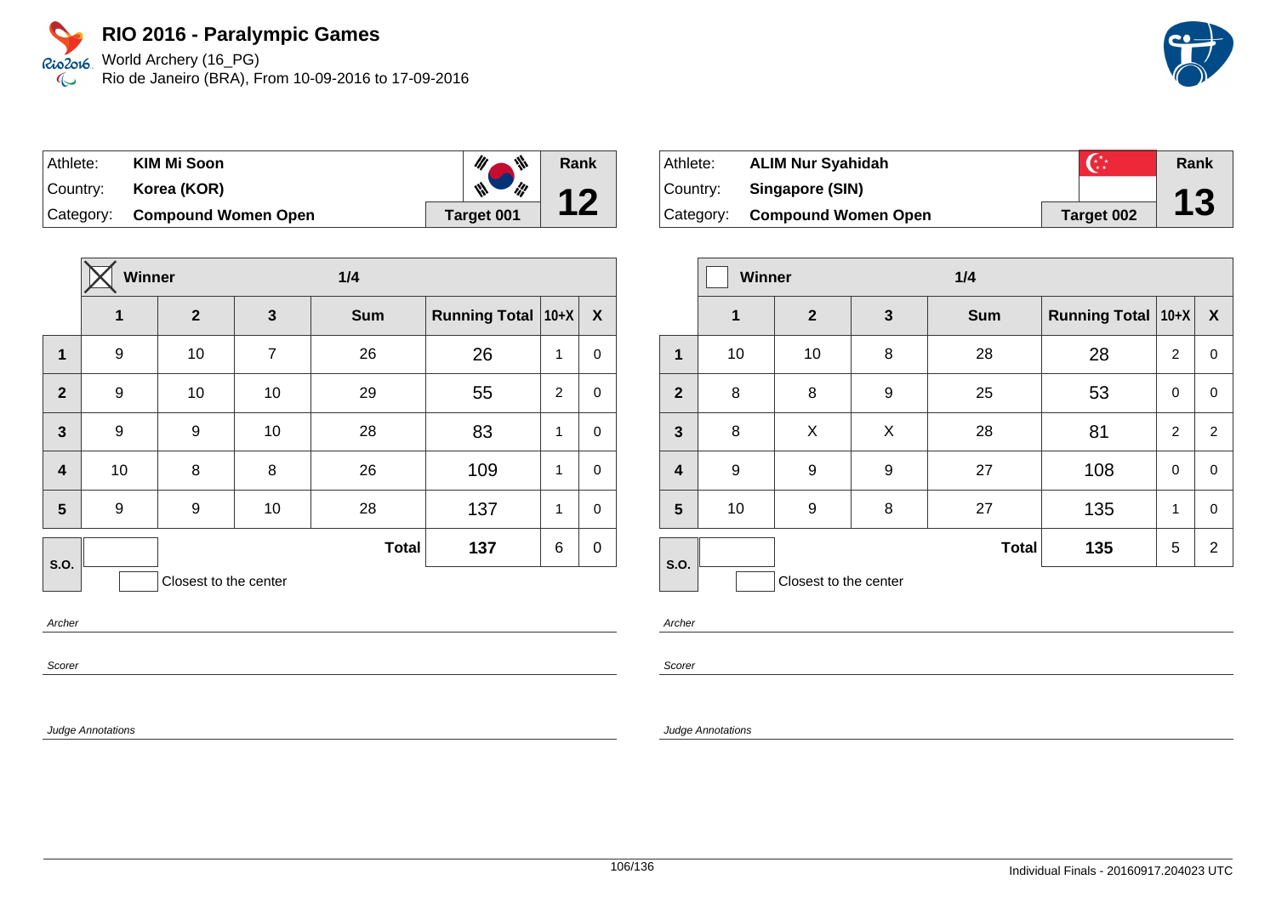World Archery (16\_PG) Rio de Janeiro (BRA), From 10-09-2016 to 17-09-2016

| Athlete:   | KIM Mi Soon                   | $\psi$ ,   | Rank |
|------------|-------------------------------|------------|------|
| Country: I | Korea (KOR)                   | i¦!<br>₩   | 12   |
|            | Category: Compound Women Open | Target 001 |      |

|                         | Winner |                       | 1/4            |              |                      |                |             |
|-------------------------|--------|-----------------------|----------------|--------------|----------------------|----------------|-------------|
|                         | 1      | $\mathbf{2}$          | 3              | <b>Sum</b>   | <b>Running Total</b> | $ 10+X $       | X           |
| $\mathbf{1}$            | 9      | 10                    | $\overline{7}$ | 26           | 26                   | 1              | $\mathbf 0$ |
| $\mathbf{2}$            | 9      | 10                    | 10             | 29           | 55                   | $\overline{2}$ | $\mathbf 0$ |
| $\overline{\mathbf{3}}$ | 9      | 9                     | 10             | 28           | 83                   | 1              | $\mathbf 0$ |
| $\overline{\mathbf{4}}$ | 10     | 8                     | 8              | 26           | 109                  | 1              | $\mathbf 0$ |
| 5                       | 9      | 9                     | 10             | 28           | 137                  | 1              | $\mathbf 0$ |
| S.O.                    |        |                       |                | <b>Total</b> | 137                  | 6              | $\mathbf 0$ |
|                         |        | Closest to the center |                |              |                      |                |             |

Archer

Scorer

Judge Annotations

| Athlete: | <b>ALIM Nur Syahidah</b>      |            | Rank |
|----------|-------------------------------|------------|------|
| Country: | Singapore (SIN)               |            |      |
|          | Category: Compound Women Open | Target 002 | 13   |

|                         | <b>Winner</b> |                       |              | 1/4          |                      |                |                  |
|-------------------------|---------------|-----------------------|--------------|--------------|----------------------|----------------|------------------|
|                         | $\mathbf 1$   | $\overline{2}$        | $\mathbf{3}$ | <b>Sum</b>   | Running Total   10+X |                | $\boldsymbol{X}$ |
| 1                       | 10            | 10                    | 8            | 28           | 28                   | $\overline{2}$ | 0                |
| $\overline{2}$          | 8             | 8                     | 9            | 25           | 53                   | 0              | 0                |
| $\overline{\mathbf{3}}$ | 8             | X                     | X            | 28           | 81                   | $\overline{2}$ | 2                |
| $\overline{\mathbf{4}}$ | 9             | 9                     | 9            | 27           | 108                  | $\mathbf 0$    | 0                |
| $5\phantom{.0}$         | 10            | 9                     | 8            | 27           | 135                  | 1              | 0                |
| S.O.                    |               |                       |              | <b>Total</b> | 135                  | 5              | $\overline{2}$   |
|                         |               | Closest to the center |              |              |                      |                |                  |

Archer

Scorer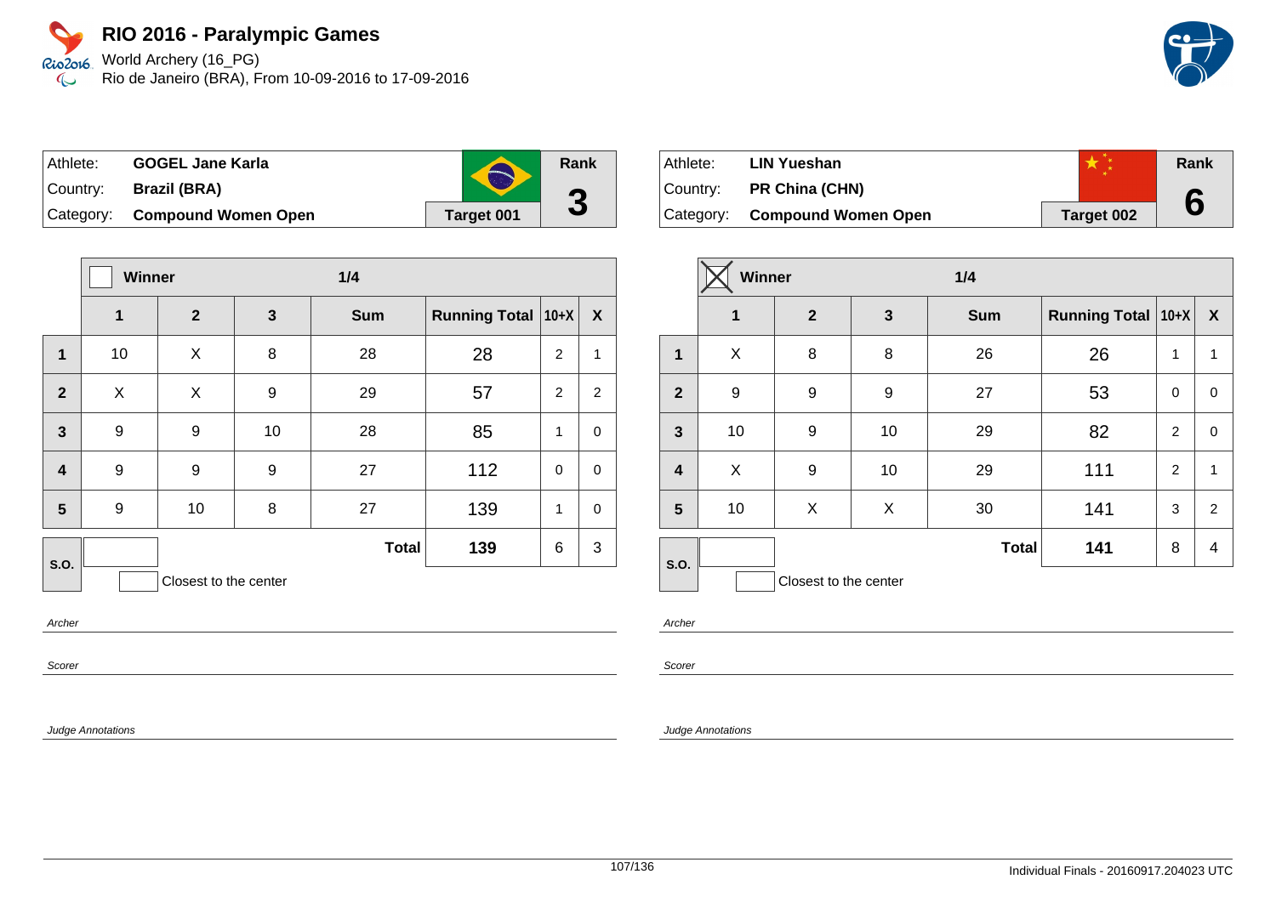World Archery (16\_PG) Rio de Janeiro (BRA), From 10-09-2016 to 17-09-2016

| ⊺Athlete:  | <b>GOGEL Jane Karla</b>       | S                 | Rank      |
|------------|-------------------------------|-------------------|-----------|
| Country: I | Brazil (BRA)                  |                   | $\bullet$ |
|            | Category: Compound Women Open | <b>Target 001</b> |           |

|                         | <b>Winner</b> |                       |              | 1/4          |                      |          |                  |
|-------------------------|---------------|-----------------------|--------------|--------------|----------------------|----------|------------------|
|                         | 1             | $\boldsymbol{2}$      | $\mathbf{3}$ | <b>Sum</b>   | Running Total   10+X |          | $\boldsymbol{X}$ |
| 1                       | 10            | X                     | 8            | 28           | 28                   | 2        | $\mathbf{1}$     |
| $\overline{2}$          | X             | X                     | 9            | 29           | 57                   | 2        | 2                |
| $\overline{\mathbf{3}}$ | 9             | 9                     | 10           | 28           | 85                   | 1        | $\pmb{0}$        |
| $\overline{\mathbf{4}}$ | 9             | 9                     | 9            | 27           | 112                  | $\Omega$ | $\mathbf 0$      |
| 5                       | 9             | 10                    | 8            | 27           | 139                  | 1        | $\mathbf 0$      |
| S.O.                    |               |                       |              | <b>Total</b> | 139                  | 6        | 3                |
|                         |               | Closest to the center |              |              |                      |          |                  |

Archer

Scorer

Judge Annotations

| Athlete: | <b>LIN Yueshan</b>            |            | Rank |
|----------|-------------------------------|------------|------|
| Country: | <b>PR China (CHN)</b>         |            |      |
|          | Category: Compound Women Open | Target 002 | 6    |

|                         | Winner      |                       |              | 1/4          |                      |             |              |
|-------------------------|-------------|-----------------------|--------------|--------------|----------------------|-------------|--------------|
|                         | $\mathbf 1$ | $\mathbf{2}$          | $\mathbf{3}$ | <b>Sum</b>   | Running Total   10+X |             | $\mathbf{X}$ |
| 1                       | X           | 8                     | 8            | 26           | 26                   | 1           | 1            |
| $\overline{2}$          | 9           | 9                     | 9            | 27           | 53                   | $\mathbf 0$ | 0            |
| $\mathbf{3}$            | 10          | 9                     | 10           | 29           | 82                   | 2           | 0            |
| $\overline{\mathbf{4}}$ | X           | 9                     | 10           | 29           | 111                  | 2           | 1            |
| 5                       | 10          | X                     | X            | 30           | 141                  | 3           | 2            |
| S.O.                    |             |                       |              | <b>Total</b> | 141                  | 8           | 4            |
|                         |             | Closest to the center |              |              |                      |             |              |

Archer

Scorer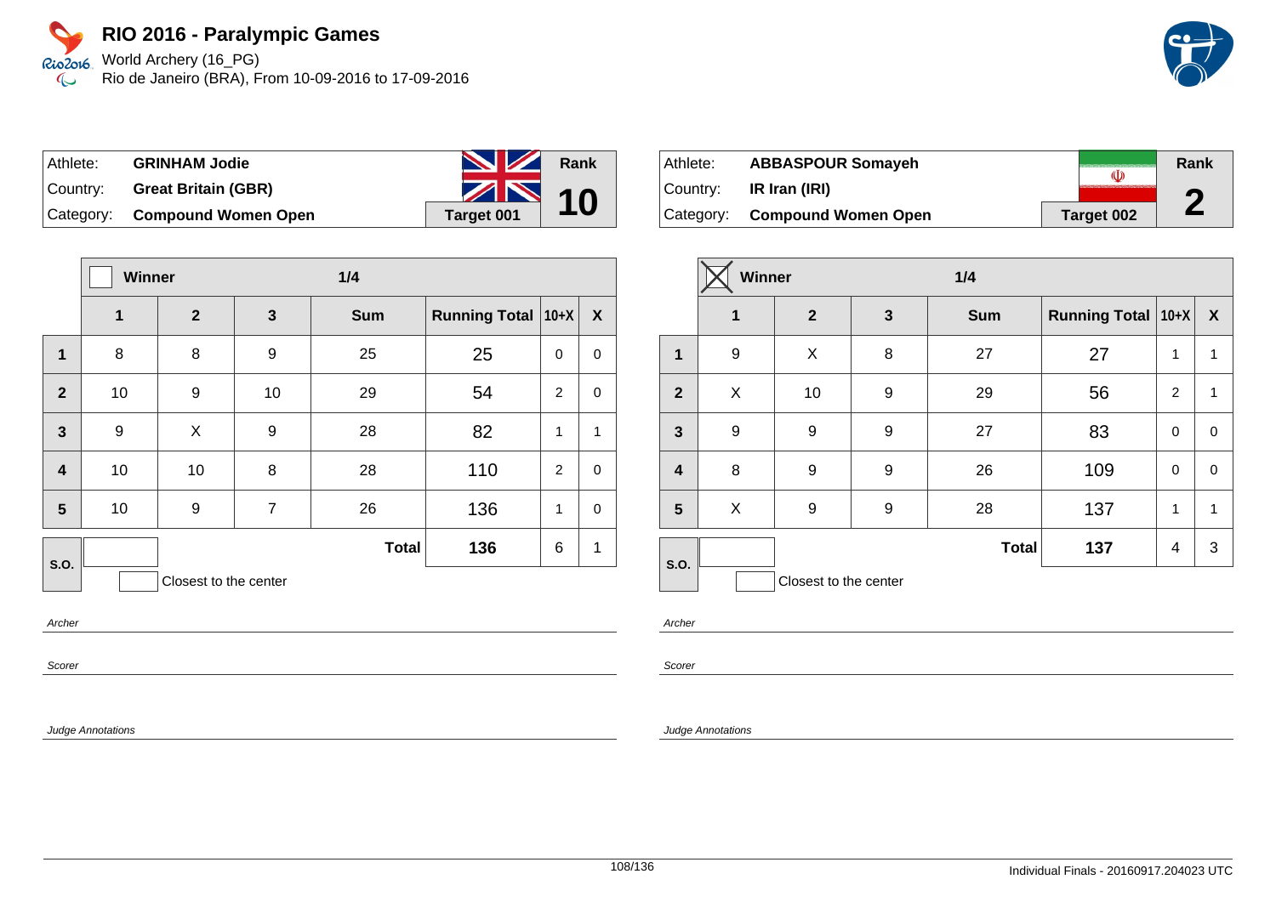World Archery (16\_PG) Rio de Janeiro (BRA), From 10-09-2016 to 17-09-2016

| Athlete: | <b>GRINHAM Jodie</b>          | <b>No. 12 Rank</b> |  |
|----------|-------------------------------|--------------------|--|
| Country: | <b>Great Britain (GBR)</b>    | $\sim$ 10          |  |
|          | Category: Compound Women Open | Target 001         |  |

|                         | <b>Winner</b> |                       |                | 1/4          |                      |                |             |
|-------------------------|---------------|-----------------------|----------------|--------------|----------------------|----------------|-------------|
|                         | $\mathbf{1}$  | $\mathbf{2}$          | $\mathbf{3}$   | <b>Sum</b>   | <b>Running Total</b> | $10+X$         | X           |
| $\mathbf{1}$            | 8             | 8                     | 9              | 25           | 25                   | $\mathbf 0$    | $\pmb{0}$   |
| $\overline{2}$          | 10            | 9                     | 10             | 29           | 54                   | 2              | $\mathbf 0$ |
| $\overline{\mathbf{3}}$ | 9             | X                     | 9              | 28           | 82                   | 1              | 1           |
| $\overline{\mathbf{4}}$ | 10            | 10                    | 8              | 28           | 110                  | $\overline{2}$ | $\mathbf 0$ |
| 5                       | 10            | 9                     | $\overline{7}$ | 26           | 136                  | 1              | $\pmb{0}$   |
| <b>S.O.</b>             |               |                       |                | <b>Total</b> | 136                  | 6              | 1           |
|                         |               | Closest to the center |                |              |                      |                |             |

Archer

Scorer

Judge Annotations

| Athlete:    | <b>ABBASPOUR Somayeh</b>   |            | Rank |
|-------------|----------------------------|------------|------|
| ∣Countr∨: ⊥ | IR Iran (IRI)              |            | ◚    |
| Category:   | <b>Compound Women Open</b> | Target 002 | Z,   |

|                         | Winner      |                       |                  | 1/4          |                      |                |            |
|-------------------------|-------------|-----------------------|------------------|--------------|----------------------|----------------|------------|
|                         | $\mathbf 1$ | $\overline{2}$        | 3                | <b>Sum</b>   | Running Total   10+X |                | X          |
| $\mathbf 1$             | 9           | X                     | 8                | 27           | 27                   | 1              | 1          |
| $\overline{2}$          | X           | 10                    | 9                | 29           | 56                   | $\overline{2}$ | 1          |
| 3                       | 9           | 9                     | $\boldsymbol{9}$ | 27           | 83                   | 0              | $\pmb{0}$  |
| $\overline{\mathbf{4}}$ | 8           | 9                     | 9                | 26           | 109                  | 0              | 0          |
| 5                       | X           | 9                     | 9                | 28           | 137                  | $\mathbf{1}$   | 1          |
| S.O.                    |             |                       |                  | <b>Total</b> | 137                  | 4              | $\sqrt{3}$ |
|                         |             | Closest to the center |                  |              |                      |                |            |

Archer

Scorer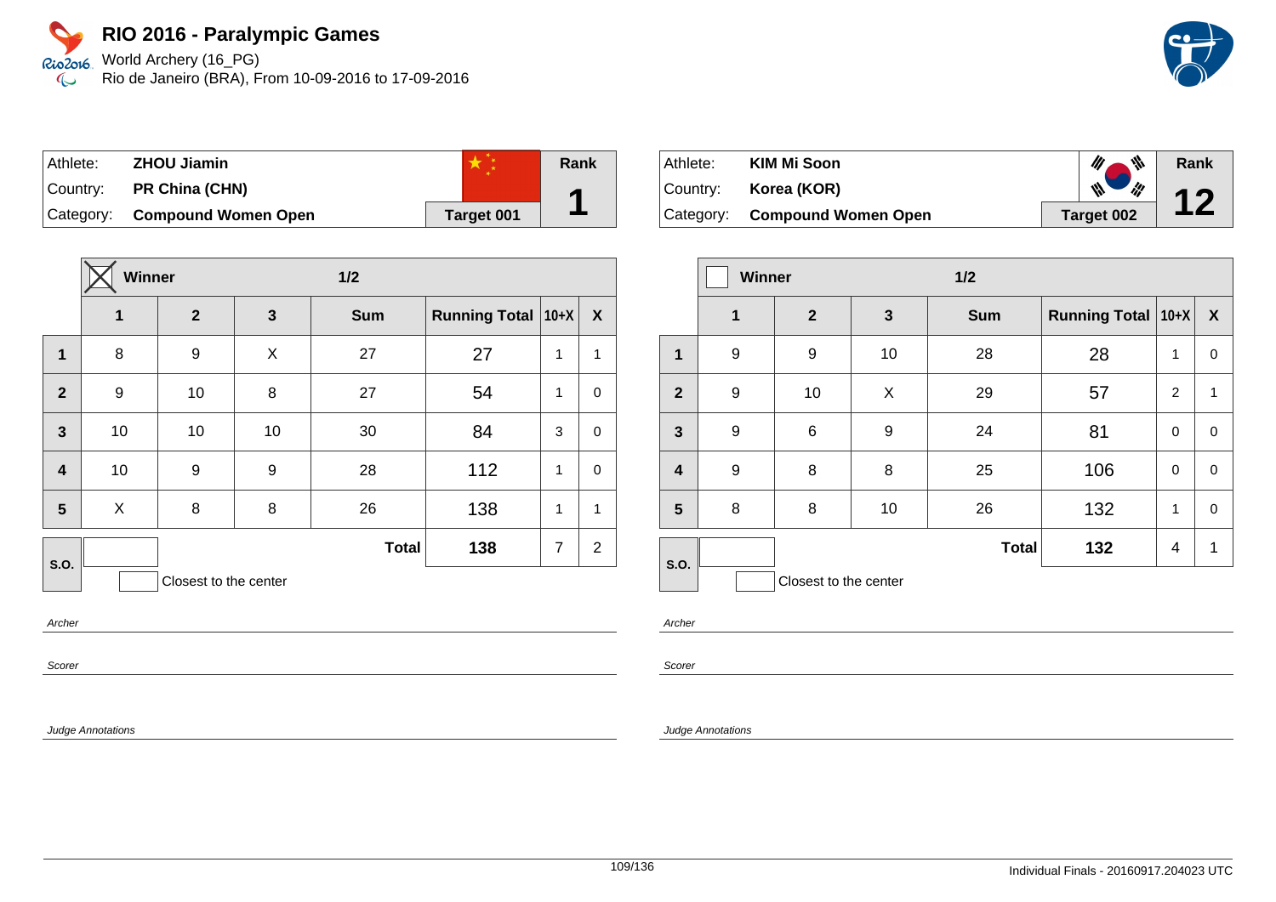World Archery (16\_PG) Rio de Janeiro (BRA), From 10-09-2016 to 17-09-2016

| Athlete: | <b>ZHOU Jiamin</b>            |            | Rank |
|----------|-------------------------------|------------|------|
| Country: | PR China (CHN)                |            |      |
|          | Category: Compound Women Open | Target 001 |      |

|                         | Winner |                       |              | $1/2$        |                      |                |                |
|-------------------------|--------|-----------------------|--------------|--------------|----------------------|----------------|----------------|
|                         | 1      | $\overline{2}$        | $\mathbf{3}$ | <b>Sum</b>   | <b>Running Total</b> | $ 10+X $       | X              |
| 1                       | 8      | 9                     | X            | 27           | 27                   | 1              | $\mathbf 1$    |
| $\mathbf{2}$            | 9      | 10                    | 8            | 27           | 54                   | 1              | $\mathbf 0$    |
| $\mathbf{3}$            | 10     | 10                    | 10           | 30           | 84                   | 3              | $\mathbf 0$    |
| $\overline{\mathbf{4}}$ | 10     | 9                     | 9            | 28           | 112                  | 1              | $\mathbf 0$    |
| 5                       | X      | 8                     | 8            | 26           | 138                  | 1              | $\mathbf 1$    |
| S.O.                    |        |                       |              | <b>Total</b> | 138                  | $\overline{7}$ | $\overline{2}$ |
|                         |        | Closest to the center |              |              |                      |                |                |

Archer

Scorer

Judge Annotations

| Athlete: | <b>KIM Mi Soon</b>            | $\mathscr{U}$ $\mathscr{V}$ | Rank |
|----------|-------------------------------|-----------------------------|------|
|          | Country: <b>Korea (KOR)</b>   | $\mathbb{N}$ $\mathbb{N}$   | 12   |
|          | Category: Compound Women Open | Target 002                  |      |

|                         | <b>Winner</b> |                       |    | 1/2          |                           |                |                  |
|-------------------------|---------------|-----------------------|----|--------------|---------------------------|----------------|------------------|
|                         | 1             | $\mathbf{2}$          | 3  | <b>Sum</b>   | <b>Running Total 10+X</b> |                | $\boldsymbol{X}$ |
| 1                       | 9             | 9                     | 10 | 28           | 28                        | 1              | 0                |
| $\overline{2}$          | 9             | 10                    | X  | 29           | 57                        | $\overline{2}$ | 1                |
| $\mathbf{3}$            | 9             | 6                     | 9  | 24           | 81                        | $\mathbf 0$    | 0                |
| $\overline{\mathbf{4}}$ | 9             | 8                     | 8  | 25           | 106                       | 0              | 0                |
| $5\phantom{1}$          | 8             | 8                     | 10 | 26           | 132                       | $\mathbf{1}$   | 0                |
| S.O.                    |               |                       |    | <b>Total</b> | 132                       | 4              | 1                |
|                         |               | Closest to the center |    |              |                           |                |                  |

Archer

Scorer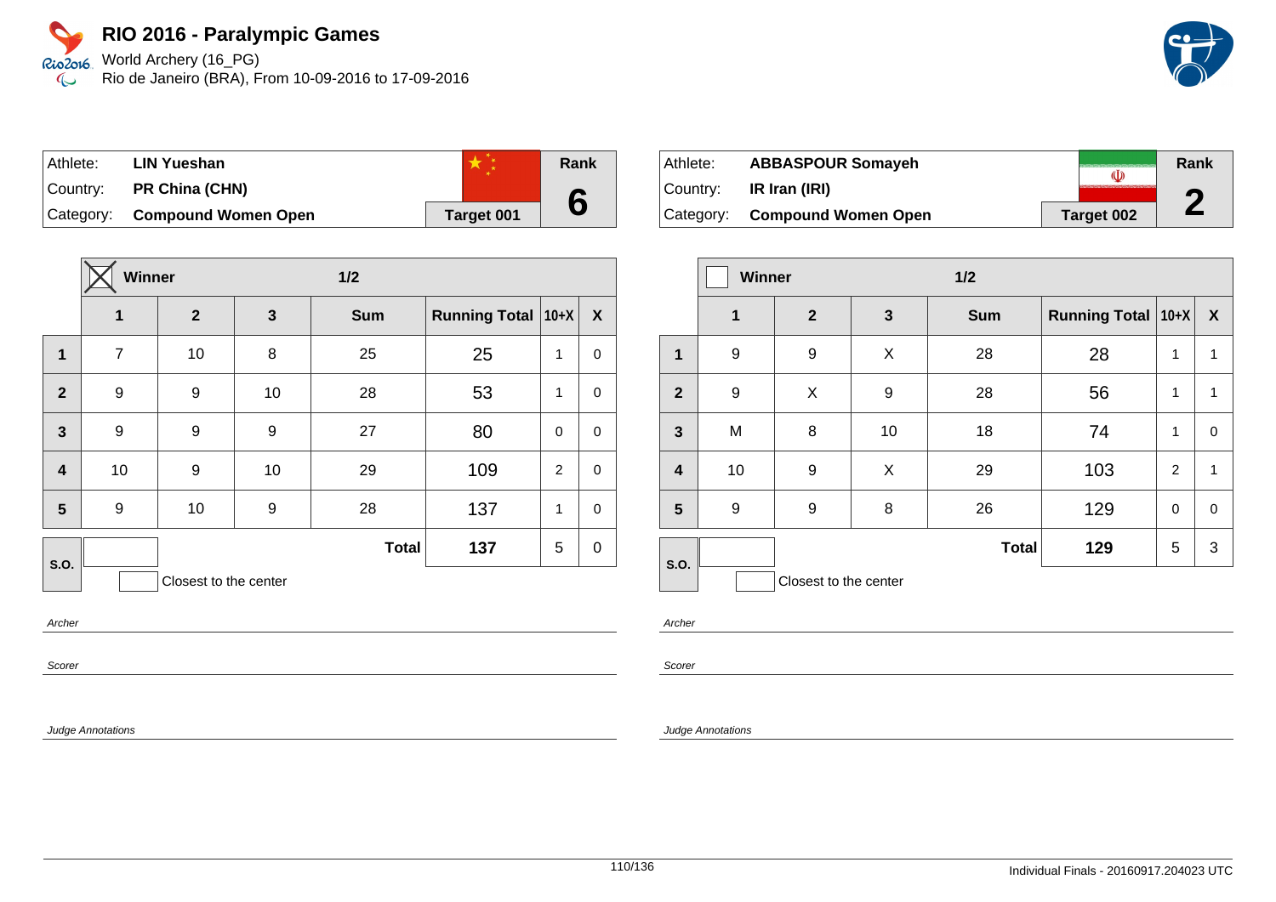World Archery (16\_PG) Rio de Janeiro (BRA), From 10-09-2016 to 17-09-2016



| Athlete: | <b>LIN Yueshan</b>            |            | Rank |
|----------|-------------------------------|------------|------|
| Country: | <b>PR China (CHN)</b>         |            |      |
|          | Category: Compound Women Open | Target 001 |      |

|                         | Winner         |                       |    | $1/2$        |                      |                |                  |
|-------------------------|----------------|-----------------------|----|--------------|----------------------|----------------|------------------|
|                         | 1              | $\overline{2}$        | 3  | <b>Sum</b>   | <b>Running Total</b> | $10+X$         | $\boldsymbol{X}$ |
| $\mathbf{1}$            | $\overline{7}$ | 10                    | 8  | 25           | 25                   | 1              | 0                |
| $\overline{2}$          | 9              | 9                     | 10 | 28           | 53                   | 1              | 0                |
| $\overline{\mathbf{3}}$ | 9              | 9                     | 9  | 27           | 80                   | $\mathbf 0$    | $\mathbf 0$      |
| $\overline{\mathbf{4}}$ | 10             | 9                     | 10 | 29           | 109                  | $\overline{2}$ | $\pmb{0}$        |
| 5                       | 9              | 10                    | 9  | 28           | 137                  | 1              | $\mathbf 0$      |
| S.O.                    |                |                       |    | <b>Total</b> | 137                  | 5              | $\pmb{0}$        |
|                         |                | Closest to the center |    |              |                      |                |                  |

Archer

Scorer

Judge Annotations

| Athlete:  | <b>ABBASPOUR Somayeh</b>   |            | Rank |
|-----------|----------------------------|------------|------|
| Country:  | IR Iran (IRI)              |            | Л    |
| Category: | <b>Compound Women Open</b> | Target 002 | Z.   |

|                         | Winner      |                       |    | $1/2$        |                      |             |                  |
|-------------------------|-------------|-----------------------|----|--------------|----------------------|-------------|------------------|
|                         | $\mathbf 1$ | $\mathbf{2}$          | 3  | <b>Sum</b>   | Running Total   10+X |             | $\boldsymbol{X}$ |
| $\mathbf 1$             | 9           | 9                     | X  | 28           | 28                   | 1           | 1                |
| $\overline{2}$          | 9           | X                     | 9  | 28           | 56                   | 1           | 1                |
| $\mathbf{3}$            | M           | 8                     | 10 | 18           | 74                   | 1           | $\pmb{0}$        |
| $\overline{\mathbf{4}}$ | 10          | 9                     | X  | 29           | 103                  | 2           | 1                |
| 5                       | 9           | 9                     | 8  | 26           | 129                  | $\mathbf 0$ | $\pmb{0}$        |
| S.O.                    |             |                       |    | <b>Total</b> | 129                  | 5           | 3                |
|                         |             | Closest to the center |    |              |                      |             |                  |

Archer

Scorer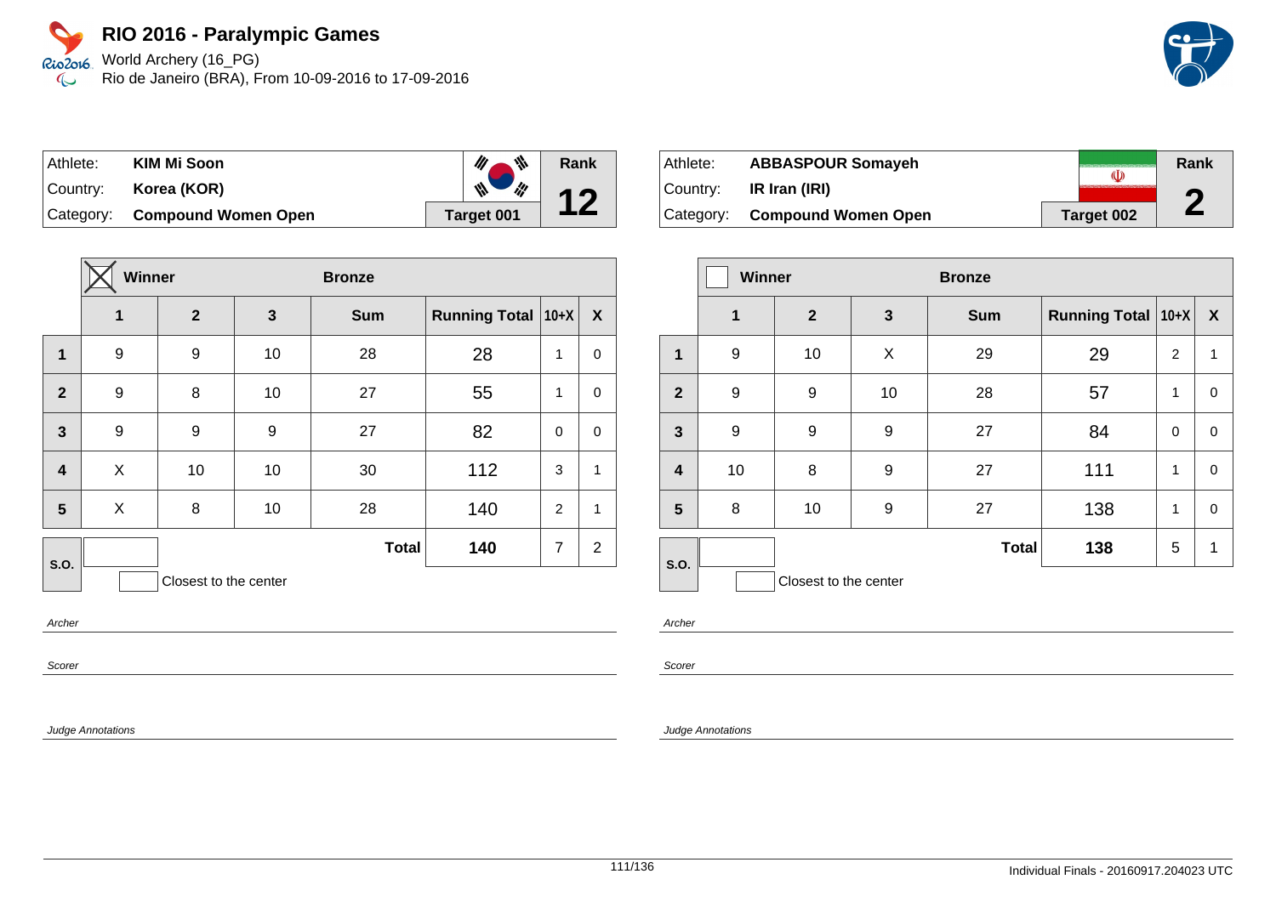World Archery (16\_PG) Rio de Janeiro (BRA), From 10-09-2016 to 17-09-2016

| Athlete:   | <b>KIM Mi Soon</b>         | ₩<br>III . | Rank |
|------------|----------------------------|------------|------|
| Country: I | Korea (KOR)                | W          | 12   |
| Category:  | <b>Compound Women Open</b> | Target 001 |      |

|                         | Winner |                       |              | <b>Bronze</b> |                      |                |                  |
|-------------------------|--------|-----------------------|--------------|---------------|----------------------|----------------|------------------|
|                         | 1      | $\overline{2}$        | $\mathbf{3}$ | <b>Sum</b>    | <b>Running Total</b> | $10+X$         | $\boldsymbol{X}$ |
| $\mathbf 1$             | 9      | 9                     | 10           | 28            | 28                   | 1              | $\mathbf 0$      |
| $\overline{2}$          | 9      | 8                     | 10           | 27            | 55                   | 1              | $\mathbf 0$      |
| $\mathbf{3}$            | 9      | 9                     | 9            | 27            | 82                   | $\mathbf 0$    | $\mathbf 0$      |
| $\overline{\mathbf{4}}$ | X      | 10                    | 10           | 30            | 112                  | 3              | $\mathbf{1}$     |
| 5                       | X      | 8                     | 10           | 28            | 140                  | 2              | $\mathbf{1}$     |
| <b>S.O.</b>             |        |                       |              | <b>Total</b>  | 140                  | $\overline{7}$ | $\overline{2}$   |
|                         |        | Closest to the center |              |               |                      |                |                  |

Archer

Scorer

Judge Annotations

| Athlete: | <b>ABBASPOUR Somayeh</b>      |            | Rank |
|----------|-------------------------------|------------|------|
| Country: | IR Iran (IRI)                 |            | ◚    |
|          | Category: Compound Women Open | Target 002 | Ł    |

|                         | <b>Winner</b>    |                       |              | <b>Bronze</b> |                      |             |                  |
|-------------------------|------------------|-----------------------|--------------|---------------|----------------------|-------------|------------------|
|                         | $\mathbf 1$      | $\mathbf{2}$          | $\mathbf{3}$ | <b>Sum</b>    | <b>Running Total</b> | $ 10+X $    | $\boldsymbol{X}$ |
| 1                       | 9                | 10                    | X            | 29            | 29                   | 2           | 1                |
| $\overline{2}$          | 9                | 9                     | 10           | 28            | 57                   | 1           | 0                |
| 3                       | $\boldsymbol{9}$ | 9                     | 9            | 27            | 84                   | $\mathbf 0$ | 0                |
| $\overline{\mathbf{4}}$ | 10               | 8                     | 9            | 27            | 111                  | 1           | $\mathbf 0$      |
| 5                       | 8                | 10                    | 9            | 27            | 138                  | 1           | 0                |
| S.O.                    |                  |                       |              | <b>Total</b>  | 138                  | 5           | 1                |
|                         |                  | Closest to the center |              |               |                      |             |                  |

Archer

Scorer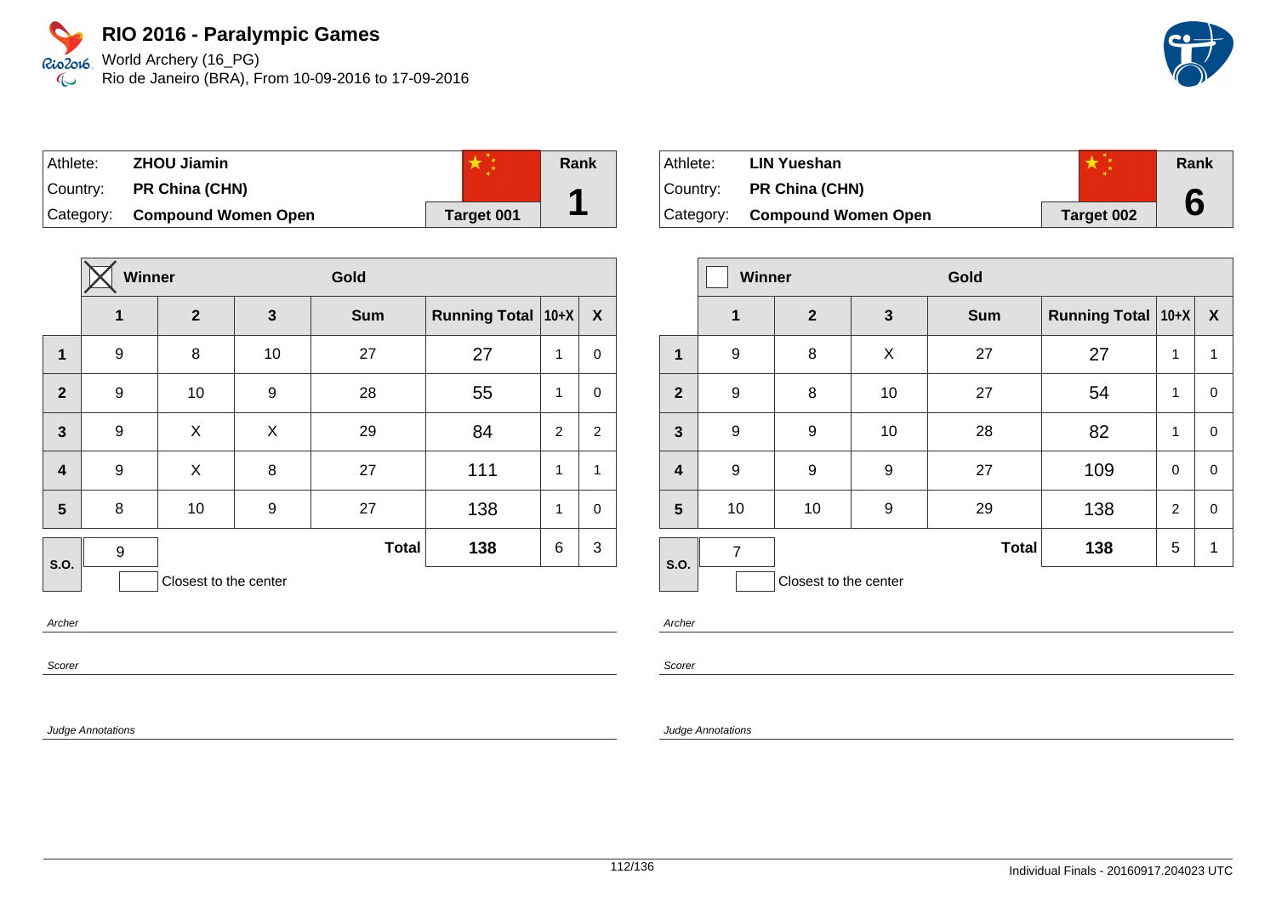World Archery (16\_PG) Rio de Janeiro (BRA), From 10-09-2016 to 17-09-2016

| Athlete: | <b>ZHOU Jiamin</b>            |            | Rank |
|----------|-------------------------------|------------|------|
|          | Country: PR China (CHN)       |            |      |
|          | Category: Compound Women Open | Target 001 |      |

|                | Winner           |                       |    | Gold         |                      |                |                |
|----------------|------------------|-----------------------|----|--------------|----------------------|----------------|----------------|
|                | $\mathbf{1}$     | $\mathbf{2}$          | 3  | <b>Sum</b>   | <b>Running Total</b> | $10+X$         | X              |
| $\mathbf{1}$   | 9                | 8                     | 10 | 27           | 27                   | 1              | $\mathbf 0$    |
| $\overline{2}$ | 9                | 10                    | 9  | 28           | 55                   | 1              | $\mathbf 0$    |
| $\mathbf{3}$   | 9                | X                     | X  | 29           | 84                   | $\overline{2}$ | $\overline{c}$ |
| $\overline{4}$ | 9                | X                     | 8  | 27           | 111                  | 1              | $\mathbf{1}$   |
| 5              | 8                | 10                    | 9  | 27           | 138                  | 1              | $\mathbf 0$    |
| S.O.           | $\boldsymbol{9}$ |                       |    | <b>Total</b> | 138                  | 6              | 3              |
|                |                  | Closest to the center |    |              |                      |                |                |

Archer

Scorer

Judge Annotations

| Athlete: | <b>LIN Yueshan</b>            |                   | Rank |
|----------|-------------------------------|-------------------|------|
| Country: | <b>PR China (CHN)</b>         |                   |      |
|          | Category: Compound Women Open | <b>Target 002</b> |      |

|                         | Winner<br>Gold |                       |    |              |                      |                |              |
|-------------------------|----------------|-----------------------|----|--------------|----------------------|----------------|--------------|
|                         | $\mathbf 1$    | $\mathbf{2}$          | 3  | <b>Sum</b>   | Running Total   10+X |                | $\mathbf{x}$ |
| 1                       | 9              | 8                     | X  | 27           | 27                   | 1              | 1            |
| $\overline{2}$          | 9              | 8                     | 10 | 27           | 54                   | 1              | 0            |
| 3                       | 9              | 9                     | 10 | 28           | 82                   | 1              | 0            |
| $\overline{\mathbf{4}}$ | 9              | 9                     | 9  | 27           | 109                  | $\mathbf 0$    | 0            |
| 5                       | 10             | 10                    | 9  | 29           | 138                  | $\overline{2}$ | $\mathbf 0$  |
| S.O.                    | $\overline{7}$ |                       |    | <b>Total</b> | 138                  | 5              | 1            |
|                         |                | Closest to the center |    |              |                      |                |              |

Archer

Scorer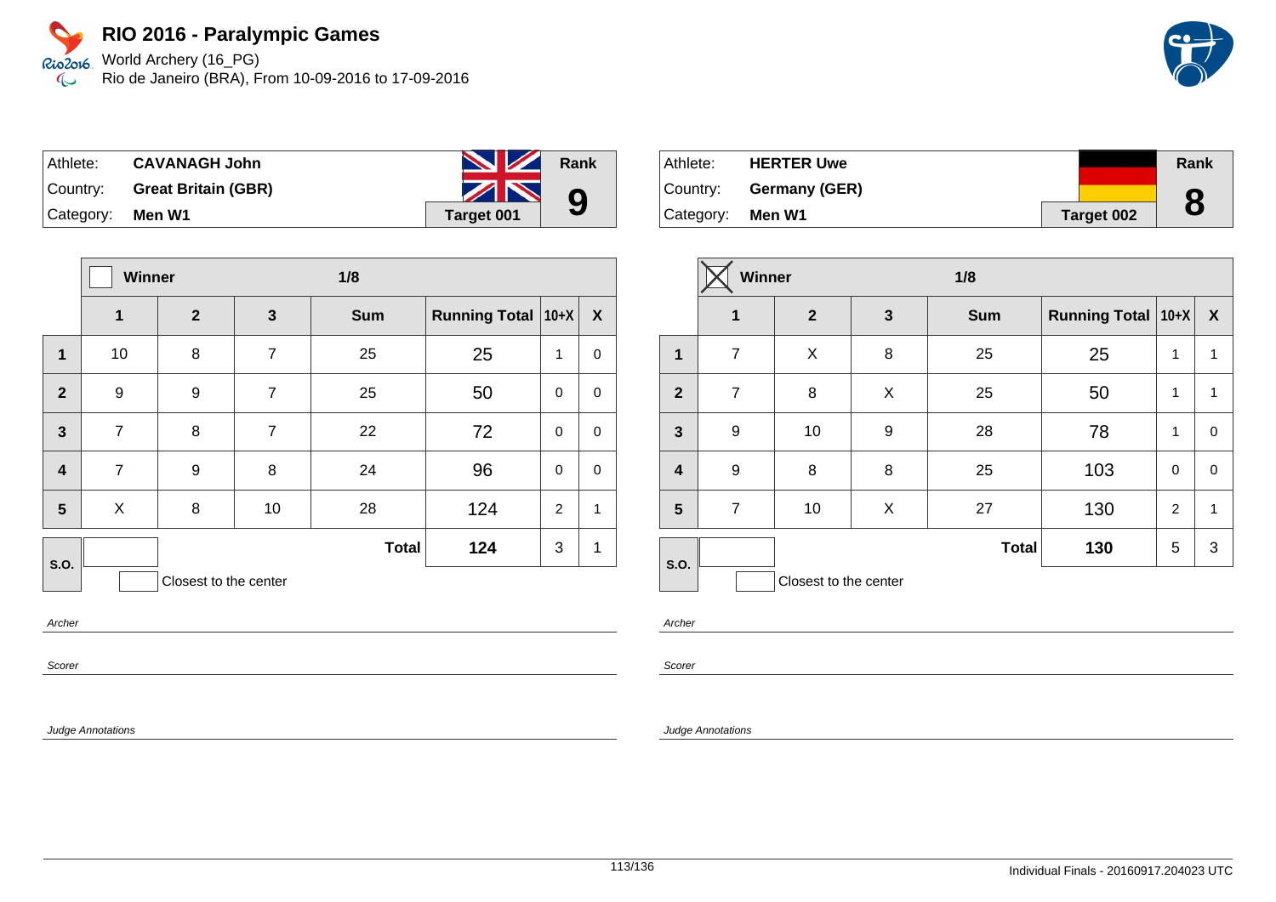World Archery (16\_PG) Rio de Janeiro (BRA), From 10-09-2016 to 17-09-2016

| ∣ Athlete: ⊦     | <b>CAVANAGH John</b>         | <b>No. 12 Rank</b> |   |
|------------------|------------------------------|--------------------|---|
|                  | Country: Great Britain (GBR) | ZN                 | 9 |
| Category: Men W1 |                              | Target 001         |   |

|                         |                | Winner<br>1/8         |                |              |                      |                |           |
|-------------------------|----------------|-----------------------|----------------|--------------|----------------------|----------------|-----------|
|                         | $\mathbf{1}$   | $\boldsymbol{2}$      | $\mathbf{3}$   | <b>Sum</b>   | <b>Running Total</b> | $10+X$         | X         |
| 1                       | 10             | 8                     | $\overline{7}$ | 25           | 25                   | 1              | $\pmb{0}$ |
| $\overline{2}$          | 9              | 9                     | $\overline{7}$ | 25           | 50                   | $\mathbf 0$    | $\pmb{0}$ |
| $\overline{3}$          | $\overline{7}$ | 8                     | $\overline{7}$ | 22           | 72                   | $\mathbf 0$    | $\pmb{0}$ |
| $\overline{\mathbf{4}}$ | $\overline{7}$ | 9                     | 8              | 24           | 96                   | $\mathbf 0$    | $\pmb{0}$ |
| 5                       | X              | 8                     | 10             | 28           | 124                  | $\overline{2}$ | 1         |
| <b>S.O.</b>             |                |                       |                | <b>Total</b> | 124                  | 3              | 1         |
|                         |                | Closest to the center |                |              |                      |                |           |

Archer

Scorer

Judge Annotations

| ∣Athlete: | <b>HERTER Uwe</b> |            | Rank |
|-----------|-------------------|------------|------|
| Country:  | Germany (GER)     |            |      |
| Category: | Men W1            | Target 002 | 8    |

|              | Winner         |                       |              | 1/8          |                    |                |                  |
|--------------|----------------|-----------------------|--------------|--------------|--------------------|----------------|------------------|
|              | 1              | $\overline{2}$        | $\mathbf{3}$ | <b>Sum</b>   | Running Total 10+X |                | $\boldsymbol{X}$ |
| $\mathbf{1}$ | $\overline{7}$ | X                     | 8            | 25           | 25                 | 1              | 1                |
| $\mathbf{2}$ | $\overline{7}$ | 8                     | X            | 25           | 50                 | 1              | 1                |
| $\mathbf{3}$ | 9              | 10                    | 9            | 28           | 78                 | 1              | $\mathbf 0$      |
| 4            | 9              | 8                     | 8            | 25           | 103                | $\Omega$       | $\mathbf 0$      |
| 5            | $\overline{7}$ | 10                    | X            | 27           | 130                | $\overline{2}$ | 1                |
| S.O.         |                |                       |              | <b>Total</b> | 130                | 5              | 3                |
|              |                | Closest to the center |              |              |                    |                |                  |

Archer

Scorer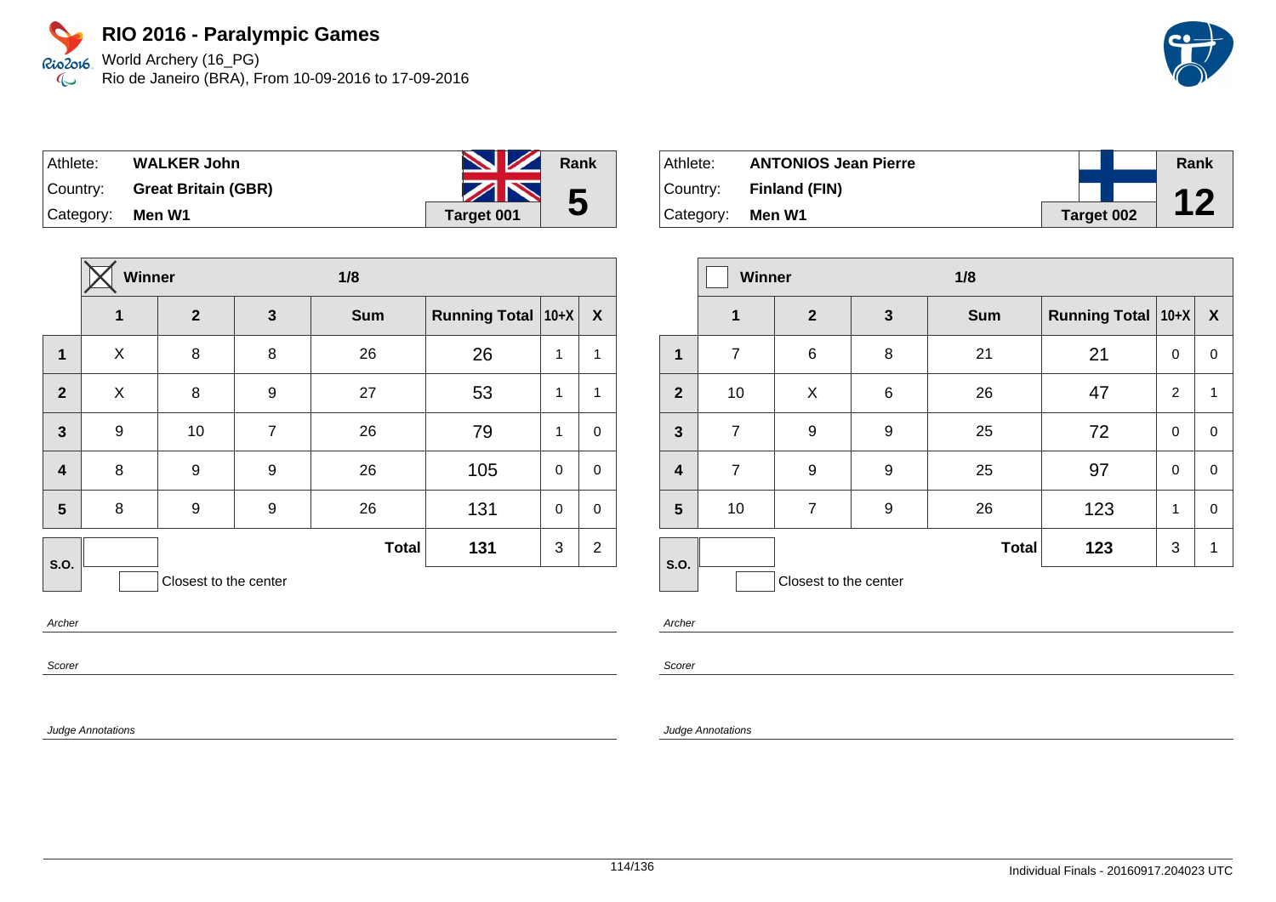Rio2o16, World Archery (16\_PG) Rio de Janeiro (BRA), From 10-09-2016 to 17-09-2016  $\infty$ 

| Athlete:  | <b>WALKER John</b>         | <b>No. 12 Rank</b> |                |
|-----------|----------------------------|--------------------|----------------|
| Country:  | <b>Great Britain (GBR)</b> | ZN                 | $5\phantom{1}$ |
| Category: | Men W1                     | Target 001         |                |

|                         | <b>Winner</b>           |                       |                | 1/8          |                      |              |                |
|-------------------------|-------------------------|-----------------------|----------------|--------------|----------------------|--------------|----------------|
|                         | $\overline{\mathbf{1}}$ | $\overline{2}$        | $\mathbf{3}$   | <b>Sum</b>   | Running Total   10+X |              | X              |
| 1                       | X                       | 8                     | 8              | 26           | 26                   | $\mathbf{1}$ | 1              |
| $\overline{2}$          | X                       | 8                     | 9              | 27           | 53                   | 1            | 1              |
| 3                       | 9                       | 10                    | $\overline{7}$ | 26           | 79                   | 1            | $\mathbf 0$    |
| $\overline{\mathbf{4}}$ | 8                       | 9                     | 9              | 26           | 105                  | $\mathbf 0$  | 0              |
| 5                       | 8                       | 9                     | 9              | 26           | 131                  | $\mathbf 0$  | $\mathbf 0$    |
| S.O.                    |                         |                       |                | <b>Total</b> | 131                  | 3            | $\overline{2}$ |
|                         |                         | Closest to the center |                |              |                      |              |                |

Athlete: **ANTONIOS Jean Pierre** Country: **Finland (FIN)** Category: **Men W1 Target 002 Rank 12**

|                         | Winner         |                       | 1/8          |              |                      |   |                  |
|-------------------------|----------------|-----------------------|--------------|--------------|----------------------|---|------------------|
|                         | $\mathbf{1}$   | $\overline{2}$        | $\mathbf{3}$ | <b>Sum</b>   | Running Total   10+X |   | $\boldsymbol{X}$ |
| 1                       | $\overline{7}$ | 6                     | 8            | 21           | 21                   | 0 | 0                |
| $\overline{2}$          | 10             | X                     | 6            | 26           | 47                   | 2 | $\mathbf{1}$     |
| $\overline{\mathbf{3}}$ | $\overline{7}$ | 9                     | 9            | 25           | 72                   | 0 | 0                |
| $\overline{\mathbf{4}}$ | $\overline{7}$ | 9                     | 9            | 25           | 97                   | 0 | 0                |
| 5                       | 10             | $\overline{7}$        | 9            | 26           | 123                  | 1 | 0                |
| S.O.                    |                |                       |              | <b>Total</b> | 123                  | 3 | 1                |
|                         |                | Closest to the center |              |              |                      |   |                  |

Archer

Scorer

Judge Annotations

Archer

Scorer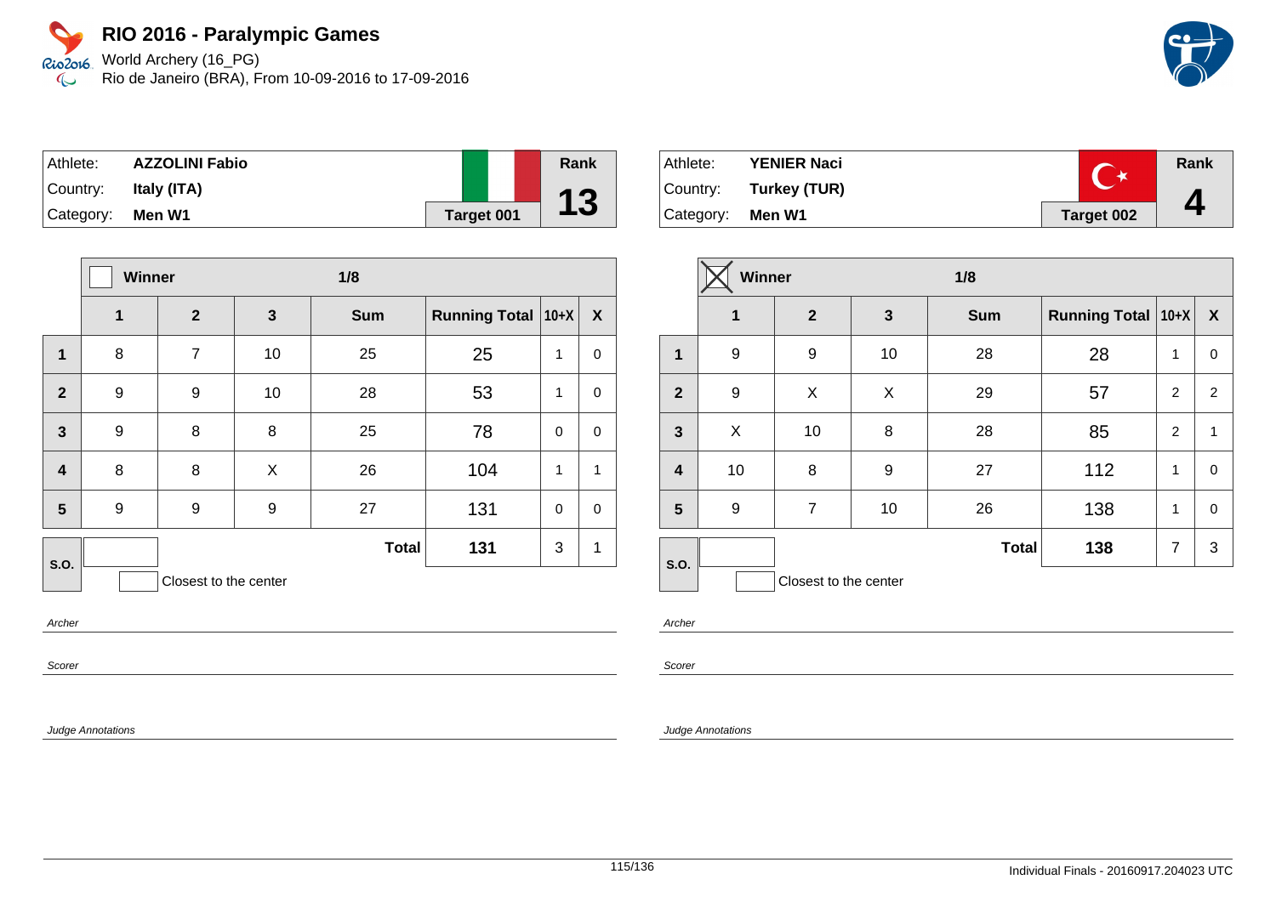World Archery (16\_PG) Rio de Janeiro (BRA), From 10-09-2016 to 17-09-2016



| Athlete:  | <b>AZZOLINI Fabio</b> |                   | Rank |
|-----------|-----------------------|-------------------|------|
| Country:  | Italy (ITA)           |                   |      |
| Category: | Men W1                | <b>Target 001</b> | 13   |

|                         | Winner |                       |              | 1/8          |                      |             |              |
|-------------------------|--------|-----------------------|--------------|--------------|----------------------|-------------|--------------|
|                         | 1      | $\overline{2}$        | $\mathbf{3}$ | <b>Sum</b>   | Running Total   10+X |             | X            |
| 1                       | 8      | $\overline{7}$        | 10           | 25           | 25                   | 1           | $\mathbf 0$  |
| $\overline{2}$          | 9      | 9                     | 10           | 28           | 53                   | 1           | $\mathbf 0$  |
| $\overline{3}$          | 9      | 8                     | 8            | 25           | 78                   | $\mathbf 0$ | $\mathbf 0$  |
| $\overline{\mathbf{4}}$ | 8      | 8                     | X            | 26           | 104                  | $\mathbf 1$ | $\mathbf{1}$ |
| 5                       | 9      | 9                     | 9            | 27           | 131                  | $\Omega$    | $\mathbf 0$  |
| <b>S.O.</b>             |        |                       |              | <b>Total</b> | 131                  | 3           | 1            |
|                         |        | Closest to the center |              |              |                      |             |              |

Archer

Scorer

Judge Annotations

| Athlete:         | <b>YENIER Naci</b>    |            | Rank |
|------------------|-----------------------|------------|------|
|                  | Country: Turkey (TUR) |            |      |
| Category: Men W1 |                       | Target 002 |      |

|                         | <b>Winner</b>    |                       |              | 1/8          |                               |                |                  |
|-------------------------|------------------|-----------------------|--------------|--------------|-------------------------------|----------------|------------------|
|                         | 1                | $\mathbf{2}$          | $\mathbf{3}$ | <b>Sum</b>   | <b>Running Total   10+X  </b> |                | $\boldsymbol{X}$ |
| 1                       | 9                | 9                     | 10           | 28           | 28                            | 1              | 0                |
| $\overline{2}$          | 9                | X                     | X            | 29           | 57                            | $\overline{2}$ | 2                |
| $\overline{\mathbf{3}}$ | X                | 10                    | 8            | 28           | 85                            | $\overline{2}$ | $\mathbf{1}$     |
| $\overline{\mathbf{r}}$ | 10               | 8                     | 9            | 27           | 112                           | 1              | 0                |
| 5                       | $\boldsymbol{9}$ | $\overline{7}$        | 10           | 26           | 138                           | 1              | 0                |
| S.O.                    |                  |                       |              | <b>Total</b> | 138                           | $\overline{7}$ | 3                |
|                         |                  | Closest to the center |              |              |                               |                |                  |

Archer

Scorer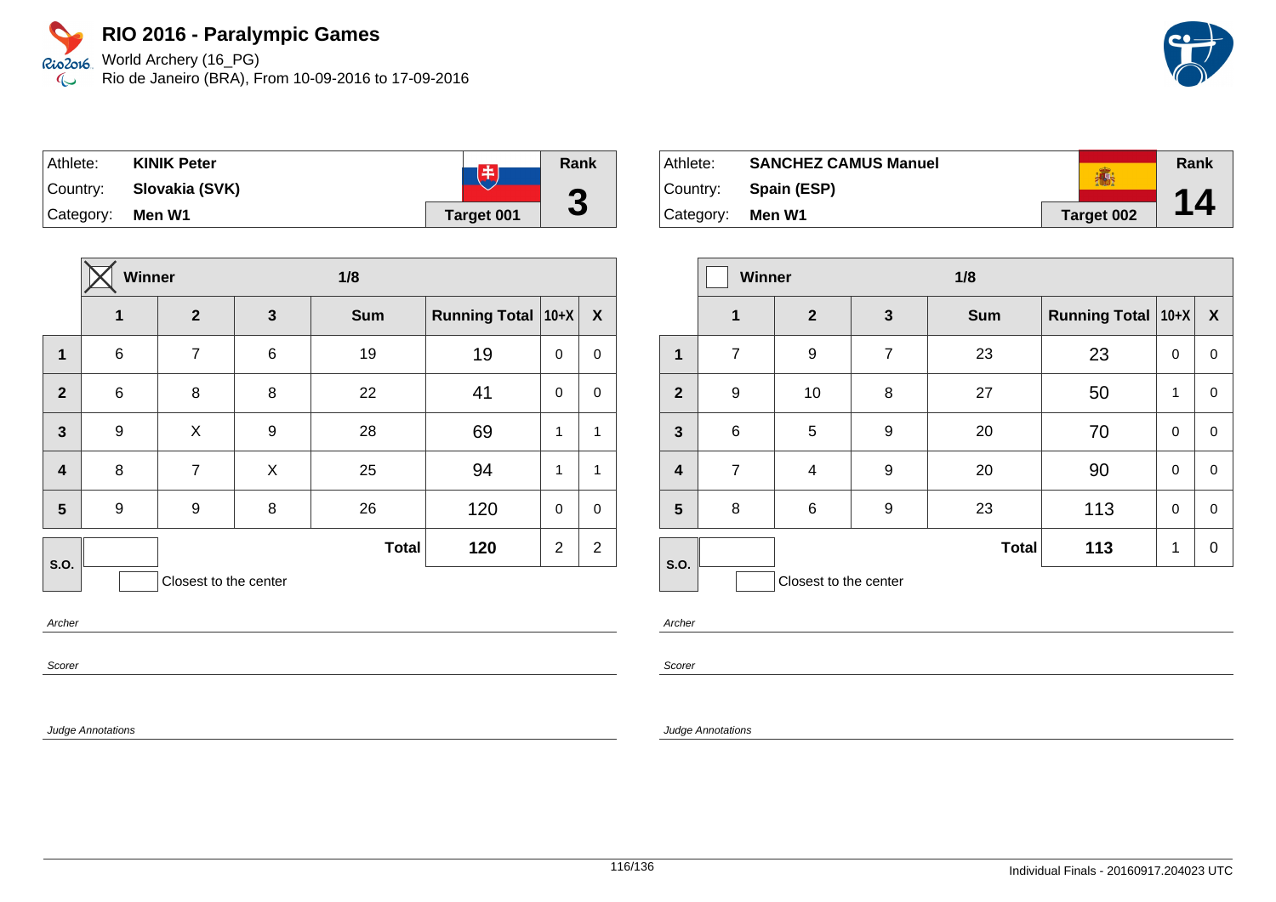Rio2o16, World Archery (16\_PG) Rio de Janeiro (BRA), From 10-09-2016 to 17-09-2016  $\infty$ 

| Athlete:  | <b>KINIK Peter</b> | 臣                 | Rank |
|-----------|--------------------|-------------------|------|
| Country:  | Slovakia (SVK)     |                   |      |
| Category: | Men W1             | <b>Target 001</b> | J    |

|                         | Winner           |                       |   | 1/8          |                      |                |                  |
|-------------------------|------------------|-----------------------|---|--------------|----------------------|----------------|------------------|
|                         | 1                | $\overline{2}$        | 3 | <b>Sum</b>   | Running Total   10+X |                | $\boldsymbol{X}$ |
| $\mathbf{1}$            | $\,6$            | 7                     | 6 | 19           | 19                   | $\mathbf 0$    | $\pmb{0}$        |
| $\overline{2}$          | $\,6$            | 8                     | 8 | 22           | 41                   | 0              | 0                |
| $\overline{\mathbf{3}}$ | $\boldsymbol{9}$ | X                     | 9 | 28           | 69                   | 1              | 1                |
| $\overline{\mathbf{4}}$ | 8                | $\overline{7}$        | X | 25           | 94                   | $\mathbf{1}$   | 1                |
| 5                       | 9                | 9                     | 8 | 26           | 120                  | $\mathbf 0$    | $\mathbf 0$      |
| S.O.                    |                  |                       |   | <b>Total</b> | 120                  | $\overline{2}$ | $\overline{2}$   |
|                         |                  | Closest to the center |   |              |                      |                |                  |

Archer

Scorer

Judge Annotations

Athlete: **SANCHEZ CAMUS Manuel Rank** ● Country: **Spain (ESP) 14** Category: **Men W1 Target 002**

|                         | <b>Winner</b>    |                       |                | 1/8          |                      |          |                  |
|-------------------------|------------------|-----------------------|----------------|--------------|----------------------|----------|------------------|
|                         | $\mathbf 1$      | $\mathbf{2}$          | $\mathbf{3}$   | <b>Sum</b>   | Running Total   10+X |          | $\boldsymbol{X}$ |
| $\mathbf{1}$            | $\overline{7}$   | 9                     | $\overline{7}$ | 23           | 23                   | $\Omega$ | $\mathbf 0$      |
| $\overline{2}$          | $\boldsymbol{9}$ | 10                    | 8              | 27           | 50                   | 1        | 0                |
| $\mathbf{3}$            | $6\phantom{1}6$  | 5                     | 9              | 20           | 70                   | $\Omega$ | $\mathbf 0$      |
| $\overline{\mathbf{4}}$ | $\overline{7}$   | $\overline{4}$        | 9              | 20           | 90                   | $\Omega$ | $\mathbf 0$      |
| 5                       | 8                | 6                     | 9              | 23           | 113                  | 0        | $\mathbf 0$      |
| S.O.                    |                  |                       |                | <b>Total</b> | 113                  | 1        | 0                |
|                         |                  | Closest to the center |                |              |                      |          |                  |

Archer

Scorer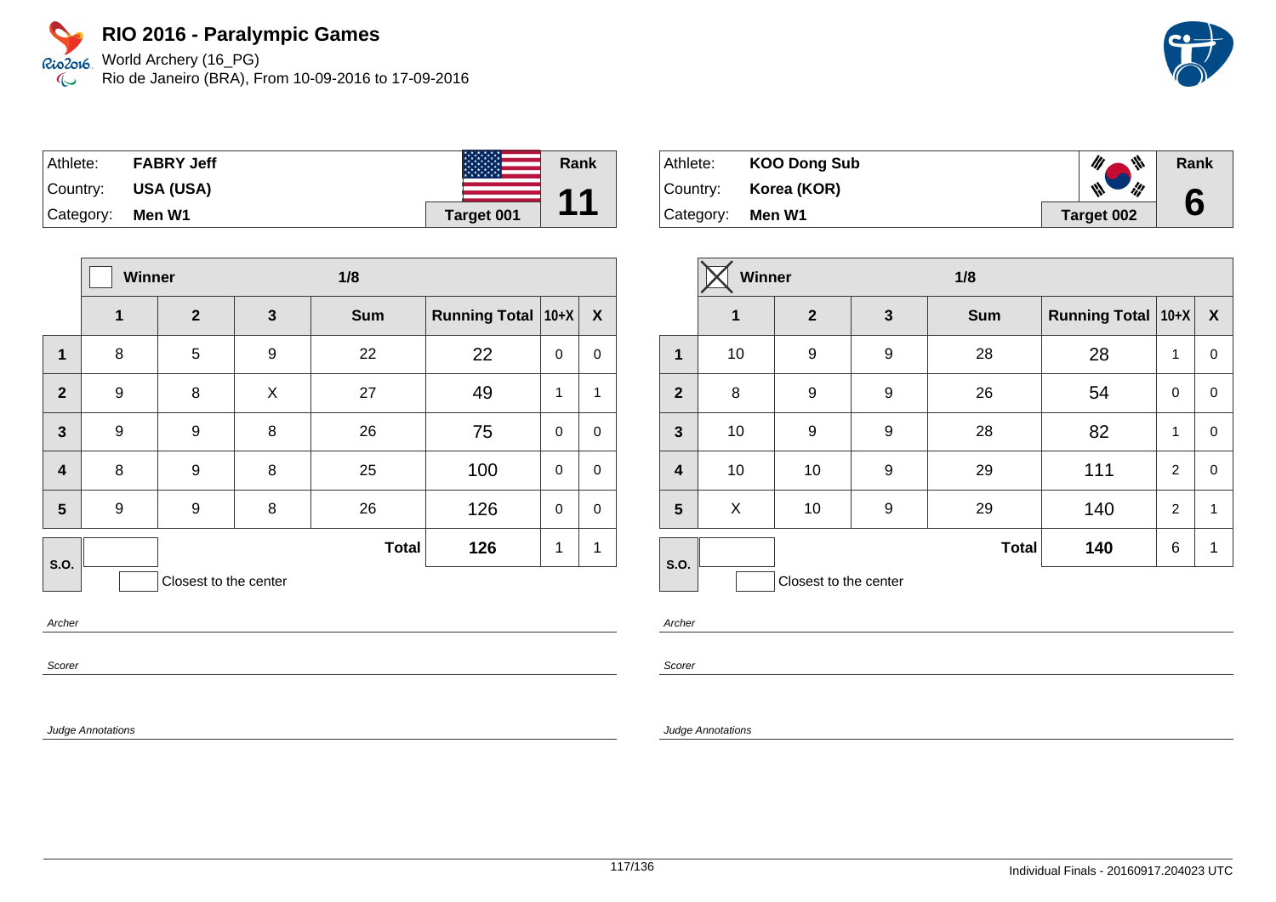World Archery (16\_PG) Rio de Janeiro (BRA), From 10-09-2016 to 17-09-2016



| Athlete:  | <b>FABRY Jeff</b> |            | Rank      |
|-----------|-------------------|------------|-----------|
| Country:  | <b>USA (USA)</b>  |            | <b>44</b> |
| Category: | Men W1            | Target 001 |           |

|                         | Winner |                       |   | 1/8          |                      |             |              |
|-------------------------|--------|-----------------------|---|--------------|----------------------|-------------|--------------|
|                         | 1      | $\overline{2}$        | 3 | <b>Sum</b>   | <b>Running Total</b> | $10+X$      | $\mathbf{X}$ |
| 1                       | 8      | 5                     | 9 | 22           | 22                   | $\pmb{0}$   | 0            |
| $\overline{2}$          | 9      | 8                     | X | 27           | 49                   | 1           | 1            |
| $\overline{\mathbf{3}}$ | 9      | 9                     | 8 | 26           | 75                   | $\pmb{0}$   | $\mathbf 0$  |
| $\overline{\mathbf{4}}$ | 8      | 9                     | 8 | 25           | 100                  | $\pmb{0}$   | 0            |
| 5                       | 9      | 9                     | 8 | 26           | 126                  | $\mathbf 0$ | 0            |
| S.O.                    |        |                       |   | <b>Total</b> | 126                  | 1           | 1            |
|                         |        | Closest to the center |   |              |                      |             |              |

Archer

Scorer

Judge Annotations

| Athlete:  | <b>KOO Dong Sub</b> | ₩          | Rank |
|-----------|---------------------|------------|------|
| Country:  | Korea (KOR)         | ill<br>₩   |      |
| Category: | Men W1              | Target 002 |      |

|                         | Winner |                       |   | 1/8          |                      |                |                  |
|-------------------------|--------|-----------------------|---|--------------|----------------------|----------------|------------------|
|                         | 1      | $\mathbf{2}$          | 3 | <b>Sum</b>   | Running Total   10+X |                | $\boldsymbol{X}$ |
| $\mathbf{1}$            | 10     | 9                     | 9 | 28           | 28                   | 1              | $\mathbf 0$      |
| $\overline{2}$          | 8      | 9                     | 9 | 26           | 54                   | $\mathbf 0$    | 0                |
| $\mathbf{3}$            | 10     | 9                     | 9 | 28           | 82                   | $\mathbf{1}$   | $\mathbf 0$      |
| $\overline{\mathbf{4}}$ | 10     | 10                    | 9 | 29           | 111                  | 2              | $\mathbf 0$      |
| 5                       | X      | 10                    | 9 | 29           | 140                  | $\overline{2}$ | 1                |
| S.O.                    |        |                       |   | <b>Total</b> | 140                  | 6              | 1                |
|                         |        | Closest to the center |   |              |                      |                |                  |

Archer

Scorer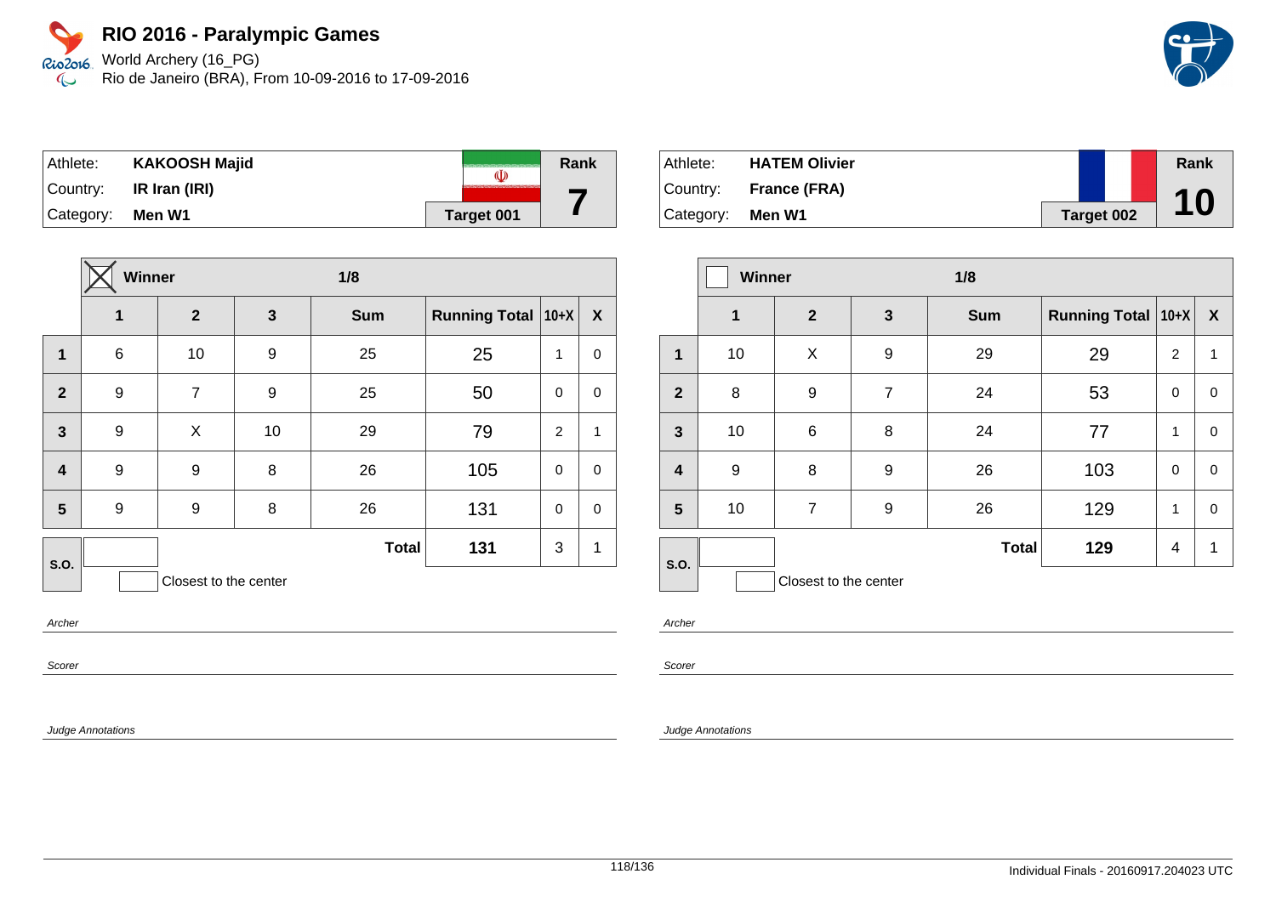Rio2o16. World Archery (16\_PG) Rio de Janeiro (BRA), From 10-09-2016 to 17-09-2016  $\infty$ 



| Athlete:             | <b>KAKOOSH Majid</b>                  | (I)               | Rank |
|----------------------|---------------------------------------|-------------------|------|
|                      | $\vert$ Country: <b>IR Iran (IRI)</b> |                   |      |
| $ $ Category: Men W1 |                                       | <b>Target 001</b> |      |

|                         | Winner           |                       |                  | 1/8          |                      |                |             |
|-------------------------|------------------|-----------------------|------------------|--------------|----------------------|----------------|-------------|
|                         | 1                | $\overline{2}$        | $\mathbf{3}$     | <b>Sum</b>   | <b>Running Total</b> | $10+X$         | X           |
| 1                       | $\,6$            | 10                    | $\boldsymbol{9}$ | 25           | 25                   | 1              | $\mathbf 0$ |
| $\overline{2}$          | $\boldsymbol{9}$ | $\overline{7}$        | 9                | 25           | 50                   | $\mathbf 0$    | $\pmb{0}$   |
| $\mathbf{3}$            | 9                | X                     | 10               | 29           | 79                   | $\overline{2}$ | 1           |
| $\overline{\mathbf{4}}$ | 9                | 9                     | 8                | 26           | 105                  | $\mathbf 0$    | $\mathbf 0$ |
| 5                       | 9                | 9                     | 8                | 26           | 131                  | $\mathbf 0$    | $\mathbf 0$ |
| S.O.                    |                  |                       |                  | <b>Total</b> | 131                  | 3              | 1           |
|                         |                  | Closest to the center |                  |              |                      |                |             |

Athlete: **HATEM Olivier** Country: **France (FRA)** Category: **Men W1 Target 002 Rank 10**

|                         | <b>Winner</b> |                       |              | 1/8          |                      |   |                  |
|-------------------------|---------------|-----------------------|--------------|--------------|----------------------|---|------------------|
|                         | 1             | $\mathbf{2}$          | $\mathbf{3}$ | <b>Sum</b>   | Running Total   10+X |   | $\boldsymbol{X}$ |
| 1                       | 10            | X                     | 9            | 29           | 29                   | 2 | $\mathbf{1}$     |
| $\overline{2}$          | 8             | 9                     | 7            | 24           | 53                   | 0 | 0                |
| $\mathbf{3}$            | 10            | $6\phantom{1}6$       | 8            | 24           | 77                   | 1 | 0                |
| $\overline{\mathbf{r}}$ | 9             | 8                     | 9            | 26           | 103                  | 0 | $\mathbf 0$      |
| $5\phantom{1}$          | 10            | $\overline{7}$        | 9            | 26           | 129                  | 1 | 0                |
| S.O.                    |               |                       |              | <b>Total</b> | 129                  | 4 | 1                |
|                         |               | Closest to the center |              |              |                      |   |                  |

Archer

Scorer

Judge Annotations

Archer

Scorer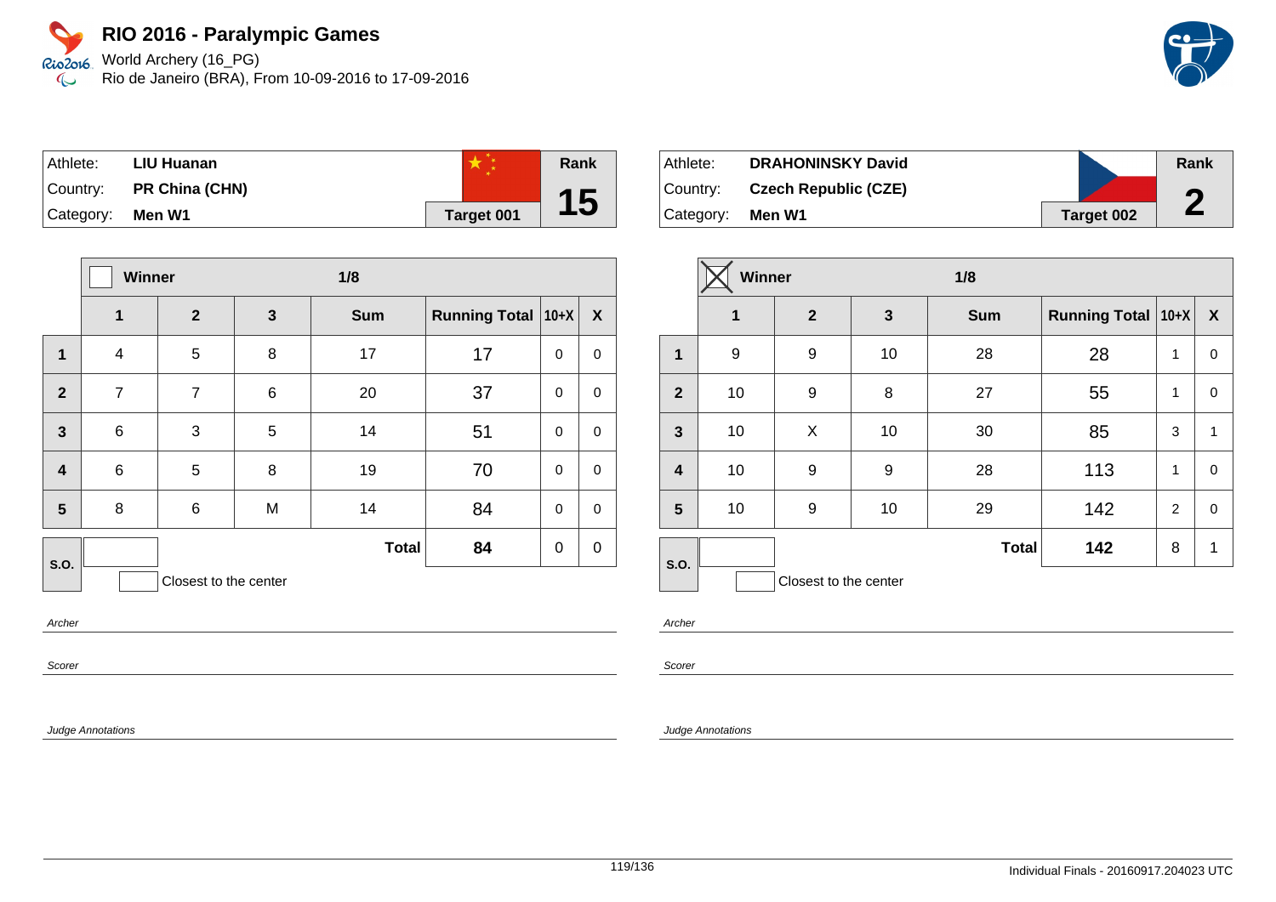World Archery (16\_PG) Rio de Janeiro (BRA), From 10-09-2016 to 17-09-2016

| Athlete:  | LIU Huanan            |            | Rank |
|-----------|-----------------------|------------|------|
| Country:  | <b>PR China (CHN)</b> |            |      |
| Category: | Men W1                | Target 001 | 15   |

|                         | Winner         |                       |              | 1/8          |                      |             |             |  |
|-------------------------|----------------|-----------------------|--------------|--------------|----------------------|-------------|-------------|--|
|                         | 1              | $\mathbf{2}$          | $\mathbf{3}$ | <b>Sum</b>   | <b>Running Total</b> | $10+X$      | X           |  |
| 1                       | 4              | 5                     | 8            | 17           | 17                   | $\mathbf 0$ | 0           |  |
| $\overline{2}$          | $\overline{7}$ | $\overline{7}$        | $\,6$        | 20           | 37                   | $\Omega$    | $\mathbf 0$ |  |
| $\mathbf{3}$            | $\,6$          | 3                     | 5            | 14           | 51                   | $\mathbf 0$ | $\mathbf 0$ |  |
| $\overline{\mathbf{4}}$ | $\,6$          | 5                     | 8            | 19           | 70                   | $\mathbf 0$ | $\mathbf 0$ |  |
| 5                       | 8              | 6                     | M            | 14           | 84                   | $\Omega$    | $\mathbf 0$ |  |
| S.O.                    |                |                       |              | <b>Total</b> | 84                   | $\mathbf 0$ | $\mathbf 0$ |  |
|                         |                | Closest to the center |              |              |                      |             |             |  |

Archer

Scorer

Judge Annotations

| Athlete:  | <b>DRAHONINSKY David</b>    |            | Rank |
|-----------|-----------------------------|------------|------|
| ∣Country: | <b>Czech Republic (CZE)</b> |            | U    |
| Category: | Men W1                      | Target 002 | Z    |

|                         | Winner      |                       |    | 1/8          |                           |                |              |
|-------------------------|-------------|-----------------------|----|--------------|---------------------------|----------------|--------------|
|                         | $\mathbf 1$ | $\overline{2}$        | 3  | <b>Sum</b>   | <b>Running Total 10+X</b> |                | X            |
| $\mathbf 1$             | 9           | 9                     | 10 | 28           | 28                        | 1              | 0            |
| $\overline{2}$          | 10          | 9                     | 8  | 27           | 55                        | 1              | 0            |
| $\overline{\mathbf{3}}$ | 10          | X                     | 10 | 30           | 85                        | 3              | $\mathbf{1}$ |
| $\overline{\mathbf{4}}$ | 10          | 9                     | 9  | 28           | 113                       | 1              | 0            |
| 5                       | 10          | 9                     | 10 | 29           | 142                       | $\overline{2}$ | 0            |
| S.O.                    |             |                       |    | <b>Total</b> | 142                       | 8              | 1            |
|                         |             | Closest to the center |    |              |                           |                |              |

Archer

Scorer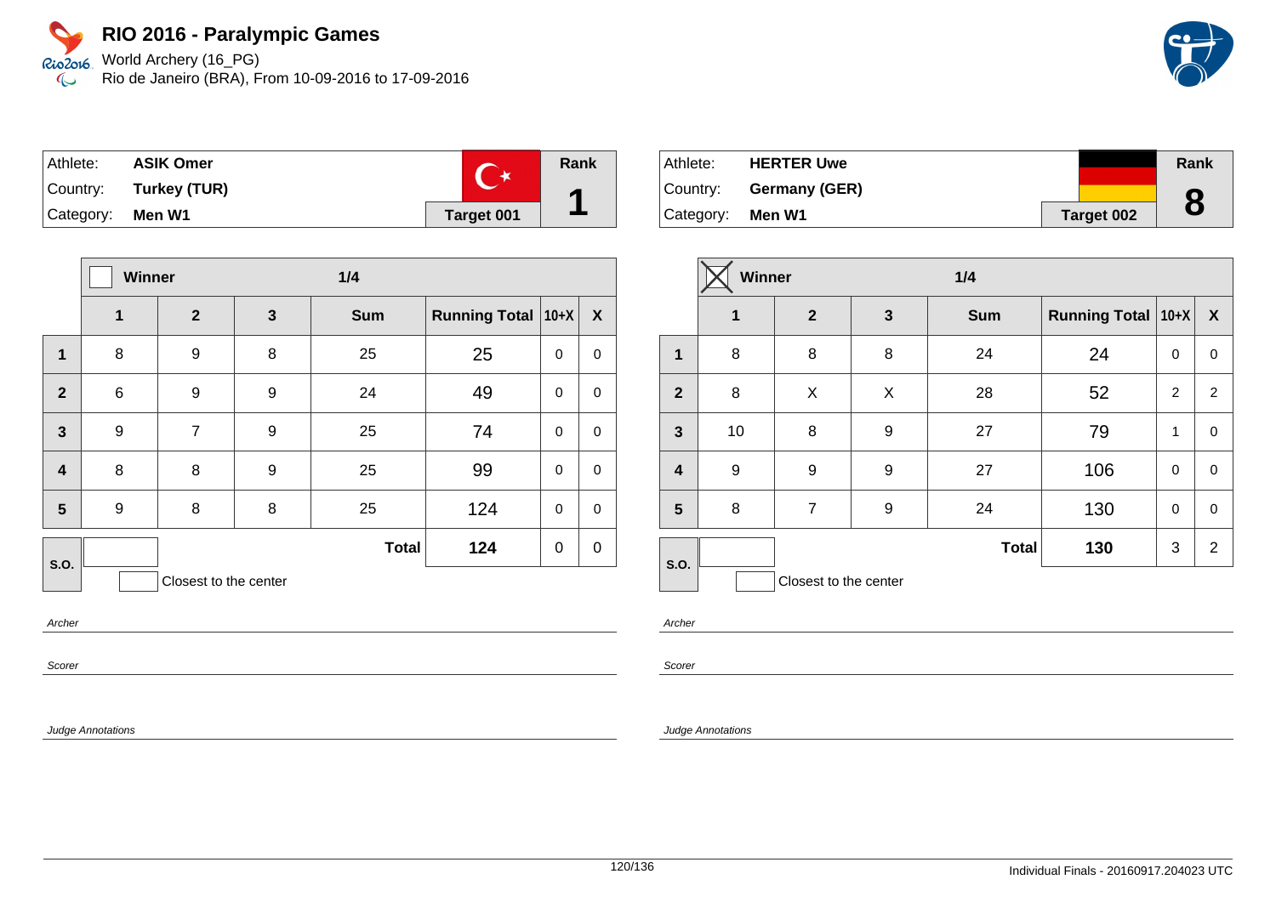World Archery (16\_PG) Rio de Janeiro (BRA), From 10-09-2016 to 17-09-2016

| Athlete:  | <b>ASIK Omer</b>      |            | Rank |
|-----------|-----------------------|------------|------|
|           | Country: Turkey (TUR) |            |      |
| Category: | Men W1                | Target 001 |      |

|                         |                  | Winner<br>1/4         |              |              |                      |             |             |
|-------------------------|------------------|-----------------------|--------------|--------------|----------------------|-------------|-------------|
|                         | 1                | $\mathbf{2}$          | $\mathbf{3}$ | <b>Sum</b>   | <b>Running Total</b> | $10+X$      | X           |
| 1                       | 8                | 9                     | 8            | 25           | 25                   | $\mathbf 0$ | $\pmb{0}$   |
| $\overline{2}$          | $\,6$            | 9                     | 9            | 24           | 49                   | $\mathbf 0$ | $\pmb{0}$   |
| $\mathbf{3}$            | $\boldsymbol{9}$ | $\overline{7}$        | 9            | 25           | 74                   | $\mathbf 0$ | $\pmb{0}$   |
| $\overline{\mathbf{4}}$ | 8                | 8                     | 9            | 25           | 99                   | $\mathbf 0$ | $\pmb{0}$   |
| 5                       | 9                | 8                     | 8            | 25           | 124                  | $\mathbf 0$ | $\mathbf 0$ |
| S.O.                    |                  |                       |              | <b>Total</b> | 124                  | 0           | $\mathbf 0$ |
|                         |                  | Closest to the center |              |              |                      |             |             |

Archer

Scorer

Judge Annotations

| ∣ Athlete: | <b>HERTER Uwe</b>      |            | Rank |
|------------|------------------------|------------|------|
|            | Country: Germany (GER) |            |      |
| Category:  | Men W1                 | Target 002 | 8    |

|                         | Winner      |                       |   | 1/4          |                      |                |                |
|-------------------------|-------------|-----------------------|---|--------------|----------------------|----------------|----------------|
|                         | $\mathbf 1$ | $\overline{2}$        | 3 | <b>Sum</b>   | Running Total   10+X |                | X              |
| $\mathbf 1$             | 8           | 8                     | 8 | 24           | 24                   | $\Omega$       | 0              |
| $\overline{2}$          | 8           | X                     | X | 28           | 52                   | $\overline{2}$ | $\overline{2}$ |
| 3                       | 10          | 8                     | 9 | 27           | 79                   | 1              | $\pmb{0}$      |
| $\overline{\mathbf{4}}$ | 9           | 9                     | 9 | 27           | 106                  | $\mathbf 0$    | 0              |
| 5                       | 8           | $\overline{7}$        | 9 | 24           | 130                  | $\mathbf 0$    | 0              |
| S.O.                    |             |                       |   | <b>Total</b> | 130                  | 3              | $\overline{2}$ |
|                         |             | Closest to the center |   |              |                      |                |                |

Archer

Scorer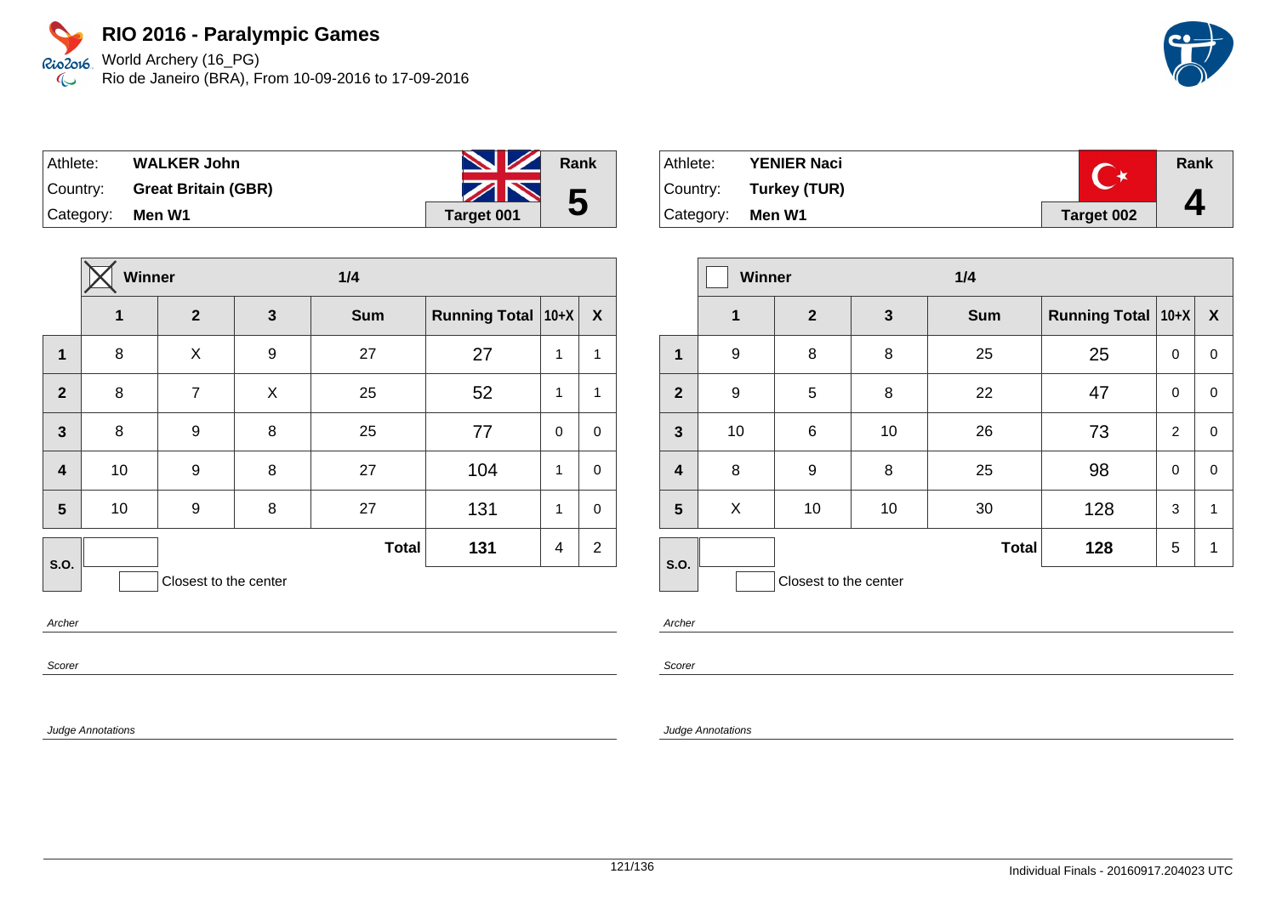Rio2o16 World Archery (16\_PG) Rio de Janeiro (BRA), From 10-09-2016 to 17-09-2016  $\infty$ 

| Athlete:  | <b>WALKER John</b>         | <b>No. 12 Rank</b> |   |
|-----------|----------------------------|--------------------|---|
| Country:  | <b>Great Britain (GBR)</b> | ZN                 | 5 |
| Category: | Men W1                     | <b>Target 001</b>  |   |

|                         | Winner |                       |              | 1/4          |                      |             |                |
|-------------------------|--------|-----------------------|--------------|--------------|----------------------|-------------|----------------|
|                         | 1      | $\mathbf{2}$          | $\mathbf{3}$ | <b>Sum</b>   | <b>Running Total</b> | $ 10+X $    | X              |
| $\mathbf{1}$            | 8      | X                     | 9            | 27           | 27                   | 1           | 1              |
| $\overline{2}$          | 8      | $\overline{7}$        | X            | 25           | 52                   | 1           | $\mathbf{1}$   |
| $\overline{\mathbf{3}}$ | 8      | 9                     | 8            | 25           | 77                   | $\mathbf 0$ | $\mathbf 0$    |
| $\overline{\mathbf{4}}$ | 10     | 9                     | 8            | 27           | 104                  | 1           | $\mathbf 0$    |
| 5                       | 10     | 9                     | 8            | 27           | 131                  | 1           | $\mathbf 0$    |
| S.O.                    |        |                       |              | <b>Total</b> | 131                  | 4           | $\overline{2}$ |
|                         |        | Closest to the center |              |              |                      |             |                |

Athlete: **YENIER Naci Rank**  $C^{\star}$ Country: **Turkey (TUR) 4** Category: **Men W1 Target 002** 

|                         | Winner         |                       |    | 1/4          |                               |                |                  |
|-------------------------|----------------|-----------------------|----|--------------|-------------------------------|----------------|------------------|
|                         | $\overline{1}$ | $\overline{2}$        | 3  | <b>Sum</b>   | <b>Running Total   10+X  </b> |                | $\boldsymbol{X}$ |
| 1                       | 9              | 8                     | 8  | 25           | 25                            | $\mathbf 0$    | 0                |
| $\overline{2}$          | 9              | 5                     | 8  | 22           | 47                            | 0              | 0                |
| $\mathbf{3}$            | 10             | 6                     | 10 | 26           | 73                            | $\overline{2}$ | 0                |
| $\overline{\mathbf{4}}$ | 8              | 9                     | 8  | 25           | 98                            | $\mathbf 0$    | $\Omega$         |
| 5                       | X              | 10                    | 10 | 30           | 128                           | 3              | 1                |
| S.O.                    |                |                       |    | <b>Total</b> | 128                           | 5              | 1                |
|                         |                | Closest to the center |    |              |                               |                |                  |

Archer

Scorer

Judge Annotations

Archer

Scorer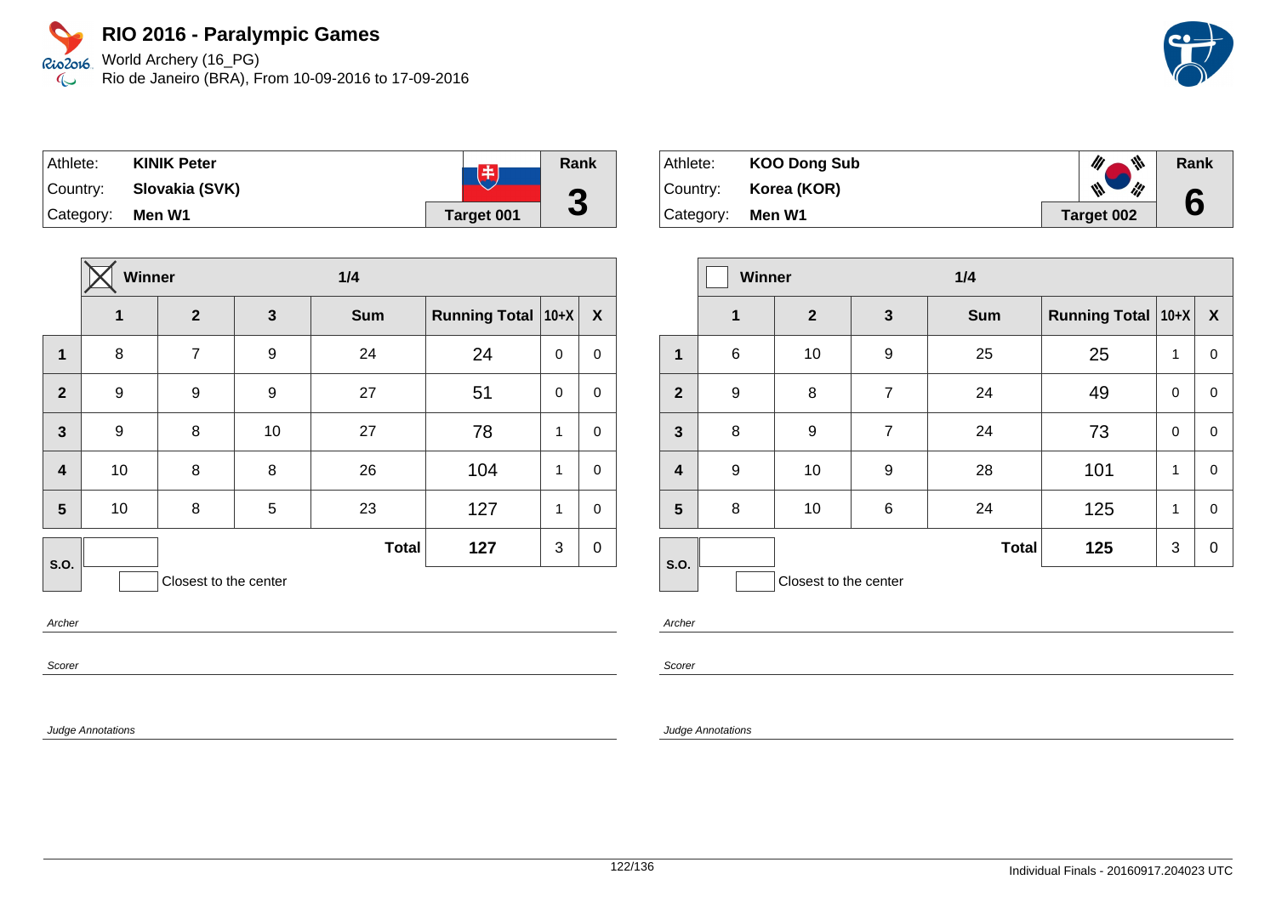World Archery (16\_PG) Rio de Janeiro (BRA), From 10-09-2016 to 17-09-2016

| Athlete:  | <b>KINIK Peter</b> | 中                 | Rank |
|-----------|--------------------|-------------------|------|
| Country:  | Slovakia (SVK)     |                   | Ø    |
| Category: | Men W1             | <b>Target 001</b> | J    |

|                         | Winner           |                       |              | 1/4          |                      |             |             |
|-------------------------|------------------|-----------------------|--------------|--------------|----------------------|-------------|-------------|
|                         | 1                | $\mathbf{2}$          | $\mathbf{3}$ | <b>Sum</b>   | <b>Running Total</b> | $10+X$      | X           |
| 1                       | 8                | 7                     | 9            | 24           | 24                   | $\mathbf 0$ | $\mathbf 0$ |
| $\overline{2}$          | 9                | 9                     | 9            | 27           | 51                   | $\Omega$    | $\mathbf 0$ |
| $\mathbf{3}$            | $\boldsymbol{9}$ | 8                     | 10           | 27           | 78                   | 1           | $\mathbf 0$ |
| $\overline{\mathbf{4}}$ | 10               | 8                     | 8            | 26           | 104                  | 1           | $\mathbf 0$ |
| 5                       | 10               | 8                     | 5            | 23           | 127                  | 1           | $\mathbf 0$ |
| <b>S.O.</b>             |                  |                       |              | <b>Total</b> | 127                  | 3           | $\mathbf 0$ |
|                         |                  | Closest to the center |              |              |                      |             |             |

Archer

Scorer

Judge Annotations

| Athlete:  | <b>KOO Dong Sub</b> | ₩          | Rank |
|-----------|---------------------|------------|------|
| Country:  | Korea (KOR)         | ill<br>₩   |      |
| Category: | Men W1              | Target 002 | 6    |

|                         | Winner           |                       |                | 1/4          |                      |             |                  |
|-------------------------|------------------|-----------------------|----------------|--------------|----------------------|-------------|------------------|
|                         | $\mathbf 1$      | $\mathbf{2}$          | $\mathbf{3}$   | <b>Sum</b>   | Running Total   10+X |             | $\boldsymbol{X}$ |
| 1                       | 6                | 10                    | 9              | 25           | 25                   | 1           | 0                |
| $\overline{2}$          | $\boldsymbol{9}$ | 8                     | $\overline{7}$ | 24           | 49                   | $\mathbf 0$ | 0                |
| $\mathbf{3}$            | 8                | $9$                   | $\overline{7}$ | 24           | 73                   | $\mathbf 0$ | 0                |
| $\overline{\mathbf{4}}$ | 9                | 10                    | 9              | 28           | 101                  | 1           | 0                |
| 5                       | 8                | 10                    | 6              | 24           | 125                  | 1           | 0                |
| S.O.                    |                  |                       |                | <b>Total</b> | 125                  | 3           | 0                |
|                         |                  | Closest to the center |                |              |                      |             |                  |

Archer

Scorer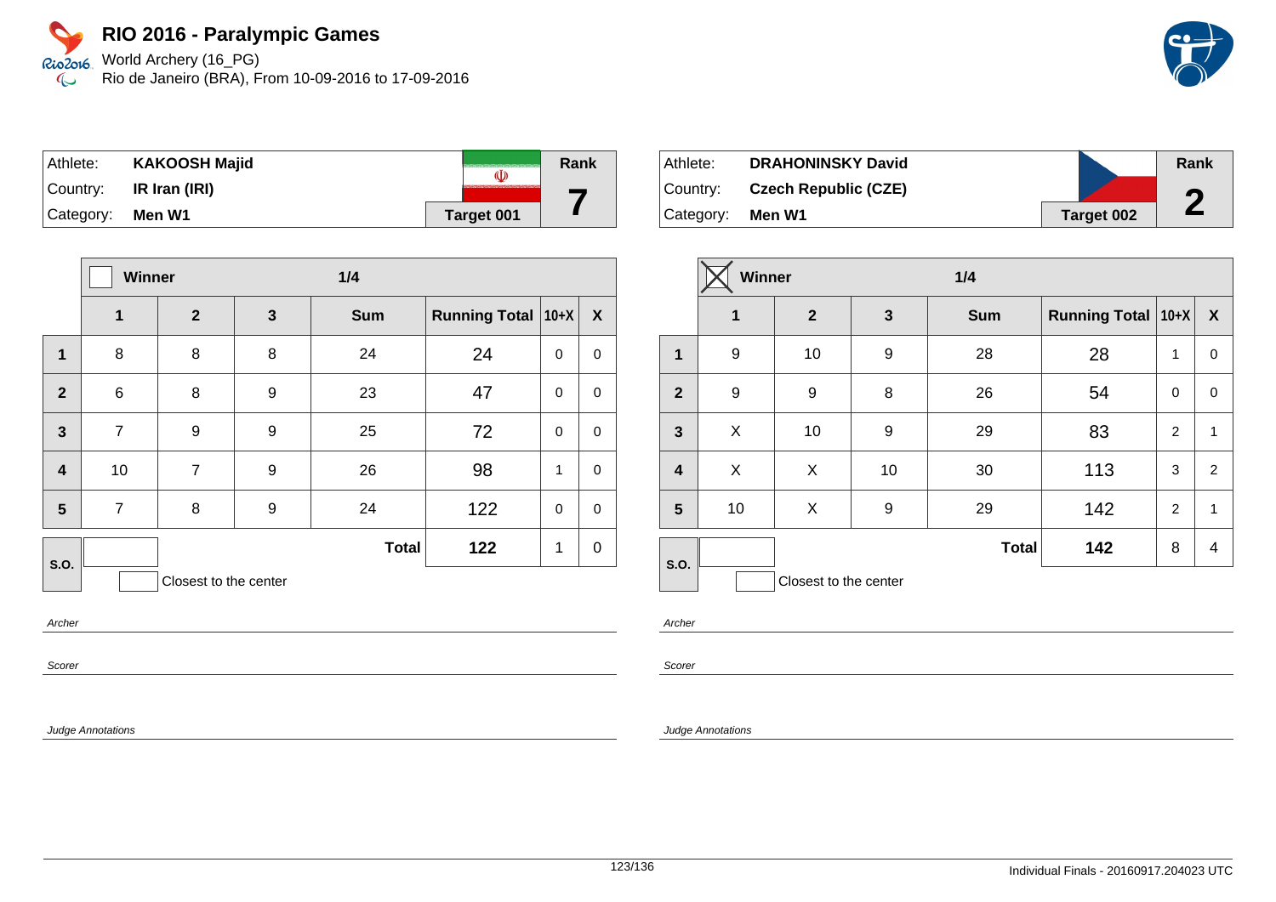World Archery (16\_PG) Rio de Janeiro (BRA), From 10-09-2016 to 17-09-2016

| ⊺Athlete: | <b>KAKOOSH Majid</b> | (I)               | Rank |
|-----------|----------------------|-------------------|------|
| ∣Country: | IR Iran (IRI)        |                   |      |
| Category: | Men W1               | <b>Target 001</b> |      |

|                         | Winner         |                       |              | 1/4          |                      |             |             |
|-------------------------|----------------|-----------------------|--------------|--------------|----------------------|-------------|-------------|
|                         | 1              | $\mathbf{2}$          | $\mathbf{3}$ | <b>Sum</b>   | <b>Running Total</b> | $10+X$      | X           |
| $\mathbf{1}$            | 8              | 8                     | 8            | 24           | 24                   | $\mathbf 0$ | $\pmb{0}$   |
| $\overline{2}$          | 6              | 8                     | 9            | 23           | 47                   | $\mathbf 0$ | $\pmb{0}$   |
| $\mathbf{3}$            | $\overline{7}$ | 9                     | 9            | 25           | 72                   | $\mathbf 0$ | $\mathbf 0$ |
| $\overline{\mathbf{4}}$ | 10             | $\overline{7}$        | 9            | 26           | 98                   | 1           | $\pmb{0}$   |
| 5                       | $\overline{7}$ | 8                     | 9            | 24           | 122                  | $\mathbf 0$ | $\pmb{0}$   |
| S.O.                    |                |                       |              | <b>Total</b> | 122                  | 1           | $\mathbf 0$ |
|                         |                | Closest to the center |              |              |                      |             |             |

Archer

Scorer

Judge Annotations

| Athlete:  | <b>DRAHONINSKY David</b>    |            | Rank |
|-----------|-----------------------------|------------|------|
| ⊺Country: | <b>Czech Republic (CZE)</b> |            | ▞    |
| Category: | Men W1                      | Target 002 |      |

|                         | Winner           |                       |    | 1/4          |                      |                |                  |
|-------------------------|------------------|-----------------------|----|--------------|----------------------|----------------|------------------|
|                         | 1                | $\mathbf{2}$          | 3  | <b>Sum</b>   | Running Total   10+X |                | $\boldsymbol{X}$ |
| $\mathbf{1}$            | 9                | 10                    | 9  | 28           | 28                   | 1              | $\mathbf 0$      |
| $\mathbf{2}$            | $\boldsymbol{9}$ | 9                     | 8  | 26           | 54                   | $\mathbf 0$    | 0                |
| $\mathbf{3}$            | X                | 10                    | 9  | 29           | 83                   | 2              | $\mathbf{1}$     |
| $\overline{\mathbf{4}}$ | X                | X                     | 10 | 30           | 113                  | 3              | 2                |
| $5\phantom{1}$          | 10               | X                     | 9  | 29           | 142                  | $\overline{2}$ | 1                |
| S.O.                    |                  |                       |    | <b>Total</b> | 142                  | 8              | 4                |
|                         |                  | Closest to the center |    |              |                      |                |                  |

Archer

Scorer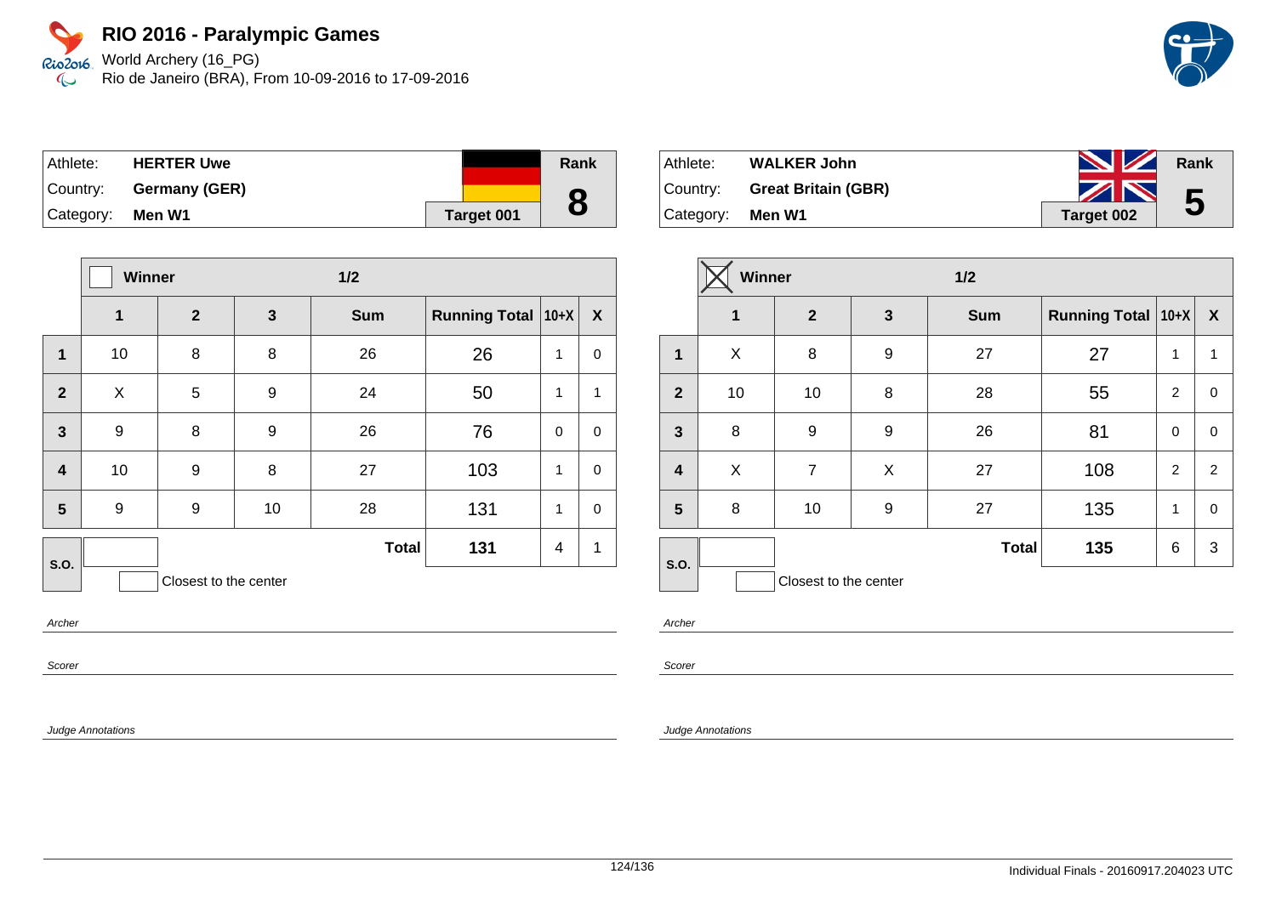World Archery (16\_PG) Rio de Janeiro (BRA), From 10-09-2016 to 17-09-2016

| ⊺Athlete:        | <b>HERTER Uwe</b>      |            | Rank |
|------------------|------------------------|------------|------|
|                  | Country: Germany (GER) |            |      |
| Category: Men W1 |                        | Target 001 | 8    |

|                         | <b>Winner</b> |                       | $1/2$ |              |                               |                |                  |
|-------------------------|---------------|-----------------------|-------|--------------|-------------------------------|----------------|------------------|
|                         | 1             | $\boldsymbol{2}$      | 3     | <b>Sum</b>   | <b>Running Total   10+X  </b> |                | $\boldsymbol{X}$ |
| 1                       | 10            | 8                     | 8     | 26           | 26                            | 1              | 0                |
| $\overline{2}$          | X             | 5                     | 9     | 24           | 50                            | 1              | $\mathbf{1}$     |
| $\mathbf{3}$            | 9             | 8                     | 9     | 26           | 76                            | $\mathbf 0$    | $\mathbf 0$      |
| $\overline{\mathbf{4}}$ | 10            | 9                     | 8     | 27           | 103                           | 1              | $\mathbf 0$      |
| 5                       | 9             | 9                     | 10    | 28           | 131                           | 1              | $\mathbf 0$      |
| <b>S.O.</b>             |               |                       |       | <b>Total</b> | 131                           | $\overline{4}$ | 1                |
|                         |               | Closest to the center |       |              |                               |                |                  |

Archer

Scorer

Judge Annotations

| Athlete:         | <b>WALKER John</b>           | <b>No. 12 Rank</b> |   |
|------------------|------------------------------|--------------------|---|
|                  | Country: Great Britain (GBR) | ZN                 | 5 |
| Category: Men W1 |                              | Target 002         |   |

|                         | <b>Winner</b> |                       |   | $1/2$        |                           |                |   |
|-------------------------|---------------|-----------------------|---|--------------|---------------------------|----------------|---|
|                         | 1             | $\overline{2}$        | 3 | <b>Sum</b>   | <b>Running Total 10+X</b> |                | X |
| 1                       | X             | 8                     | 9 | 27           | 27                        | 1              | 1 |
| $\overline{2}$          | 10            | 10                    | 8 | 28           | 55                        | $\overline{2}$ | 0 |
| $\mathbf{3}$            | 8             | 9                     | 9 | 26           | 81                        | $\mathbf 0$    | 0 |
| $\overline{\mathbf{4}}$ | X             | $\overline{7}$        | X | 27           | 108                       | 2              | 2 |
| $5\phantom{.0}$         | 8             | 10                    | 9 | 27           | 135                       | $\mathbf{1}$   | 0 |
| S.O.                    |               |                       |   | <b>Total</b> | 135                       | 6              | 3 |
|                         |               | Closest to the center |   |              |                           |                |   |

Archer

Scorer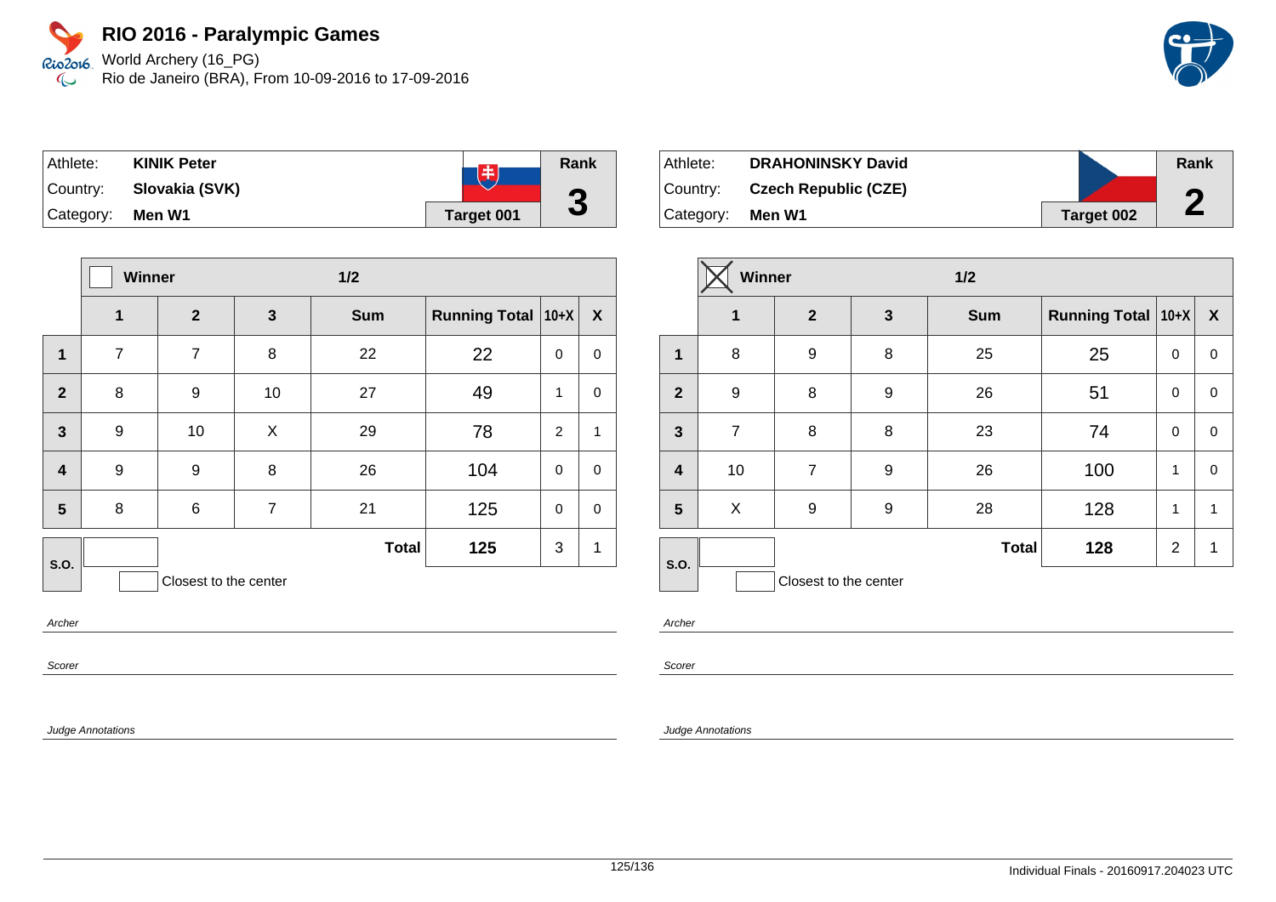World Archery (16\_PG) Rio de Janeiro (BRA), From 10-09-2016 to 17-09-2016

| Athlete:  | <b>KINIK Peter</b> | 8                 | Rank |
|-----------|--------------------|-------------------|------|
| Country:  | Slovakia (SVK)     |                   |      |
| Category: | Men W1             | <b>Target 001</b> | J    |

|                         | Winner         |                       | 1/2            |              |                      |                |             |
|-------------------------|----------------|-----------------------|----------------|--------------|----------------------|----------------|-------------|
|                         | 1              | $\mathbf{2}$          | $\mathbf{3}$   | <b>Sum</b>   | <b>Running Total</b> | $10+X$         | X           |
| 1                       | $\overline{7}$ | $\overline{7}$        | 8              | 22           | 22                   | $\mathbf 0$    | $\mathbf 0$ |
| $\overline{2}$          | 8              | 9                     | 10             | 27           | 49                   | 1              | $\mathbf 0$ |
| $\mathbf{3}$            | 9              | 10                    | X              | 29           | 78                   | $\overline{2}$ | 1           |
| $\overline{\mathbf{4}}$ | 9              | 9                     | 8              | 26           | 104                  | $\mathbf 0$    | $\mathbf 0$ |
| 5                       | 8              | 6                     | $\overline{7}$ | 21           | 125                  | $\mathbf 0$    | $\mathbf 0$ |
| S.O.                    |                |                       |                | <b>Total</b> | 125                  | 3              | 1           |
|                         |                | Closest to the center |                |              |                      |                |             |

Archer

Scorer

Judge Annotations

| Athlete:  | <b>DRAHONINSKY David</b>    |            | Rank |
|-----------|-----------------------------|------------|------|
| ⊺Countr∨: | <b>Czech Republic (CZE)</b> |            | n    |
| Category: | Men W1                      | Target 002 | ►    |

|                         | <b>Winner</b>    |                       |   | $1/2$        |                      |                |                  |
|-------------------------|------------------|-----------------------|---|--------------|----------------------|----------------|------------------|
|                         | $\mathbf 1$      | $\mathbf{2}$          | 3 | <b>Sum</b>   | Running Total   10+X |                | $\boldsymbol{X}$ |
| $\mathbf{1}$            | 8                | 9                     | 8 | 25           | 25                   | 0              | $\mathbf 0$      |
| $\mathbf{2}$            | $\boldsymbol{9}$ | 8                     | 9 | 26           | 51                   | 0              | 0                |
| $\mathbf{3}$            | $\overline{7}$   | 8                     | 8 | 23           | 74                   | $\mathbf 0$    | $\mathbf 0$      |
| $\overline{\mathbf{4}}$ | 10               | $\overline{7}$        | 9 | 26           | 100                  | 1              | $\mathbf 0$      |
| 5                       | X                | 9                     | 9 | 28           | 128                  | 1              | 1                |
| S.O.                    |                  |                       |   | <b>Total</b> | 128                  | $\overline{2}$ | 1                |
|                         |                  | Closest to the center |   |              |                      |                |                  |

Archer

Scorer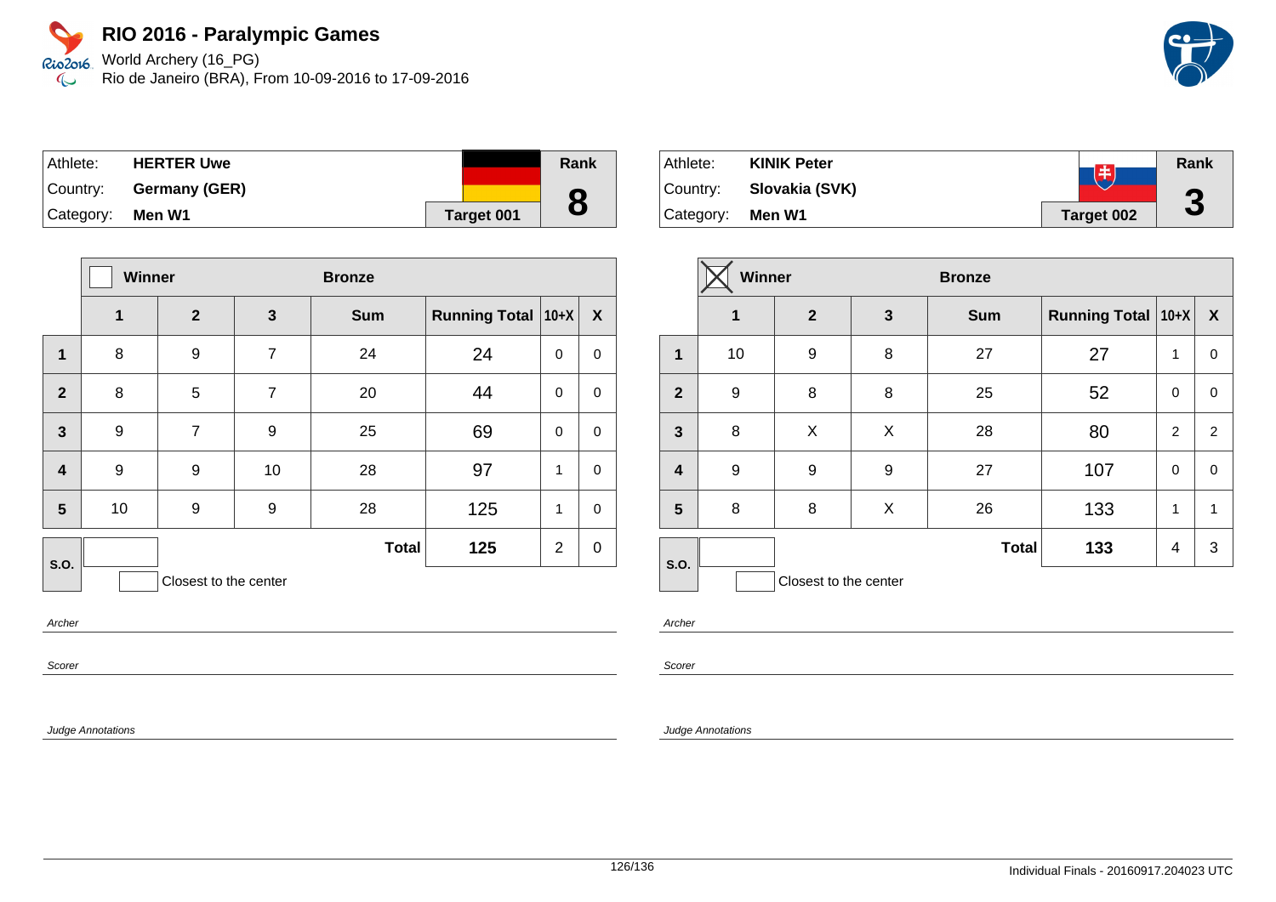Rio2o16, World Archery (16\_PG) Rio de Janeiro (BRA), From 10-09-2016 to 17-09-2016  $\infty$ 

| Athlete:  | <b>HERTER Uwe</b>      |            | Rank |
|-----------|------------------------|------------|------|
|           | Country: Germany (GER) |            |      |
| Category: | Men W1                 | Target 001 | 8    |

|                         | <b>Winner</b> |                       |                | <b>Bronze</b> |                      |                |                  |
|-------------------------|---------------|-----------------------|----------------|---------------|----------------------|----------------|------------------|
|                         | 1             | $\overline{2}$        | $\mathbf{3}$   | <b>Sum</b>    | <b>Running Total</b> | $10+X$         | $\boldsymbol{X}$ |
| $\mathbf{1}$            | 8             | 9                     | $\overline{7}$ | 24            | 24                   | 0              | 0                |
| $\overline{2}$          | 8             | 5                     | $\overline{7}$ | 20            | 44                   | 0              | 0                |
| $\overline{\mathbf{3}}$ | 9             | $\overline{7}$        | 9              | 25            | 69                   | 0              | $\mathbf 0$      |
| $\overline{\mathbf{4}}$ | 9             | 9                     | 10             | 28            | 97                   | 1              | $\mathbf 0$      |
| 5                       | 10            | 9                     | 9              | 28            | 125                  | 1              | 0                |
| S.O.                    |               |                       |                | <b>Total</b>  | 125                  | $\overline{2}$ | $\mathbf 0$      |
|                         |               | Closest to the center |                |               |                      |                |                  |

Archer

Scorer

Judge Annotations

Athlete: **KINIK Peter Rank** Country: **Slovakia (SVK) 3** Category: **Men W1 Target 002** 

|                         | <b>Winner</b> |                       | <b>Bronze</b> |              |                               |                |                  |
|-------------------------|---------------|-----------------------|---------------|--------------|-------------------------------|----------------|------------------|
|                         | 1             | $\mathbf{2}$          | 3             | <b>Sum</b>   | <b>Running Total   10+X  </b> |                | $\boldsymbol{X}$ |
| 1                       | 10            | 9                     | 8             | 27           | 27                            | 1              | 0                |
| $\overline{2}$          | 9             | 8                     | 8             | 25           | 52                            | 0              | 0                |
| $\mathbf{3}$            | 8             | X                     | X             | 28           | 80                            | $\overline{2}$ | $\overline{c}$   |
| $\overline{\mathbf{4}}$ | 9             | 9                     | 9             | 27           | 107                           | 0              | 0                |
| 5                       | 8             | 8                     | X             | 26           | 133                           | 1              | 1                |
| S.O.                    |               |                       |               | <b>Total</b> | 133                           | 4              | 3                |
|                         |               | Closest to the center |               |              |                               |                |                  |

Archer

Scorer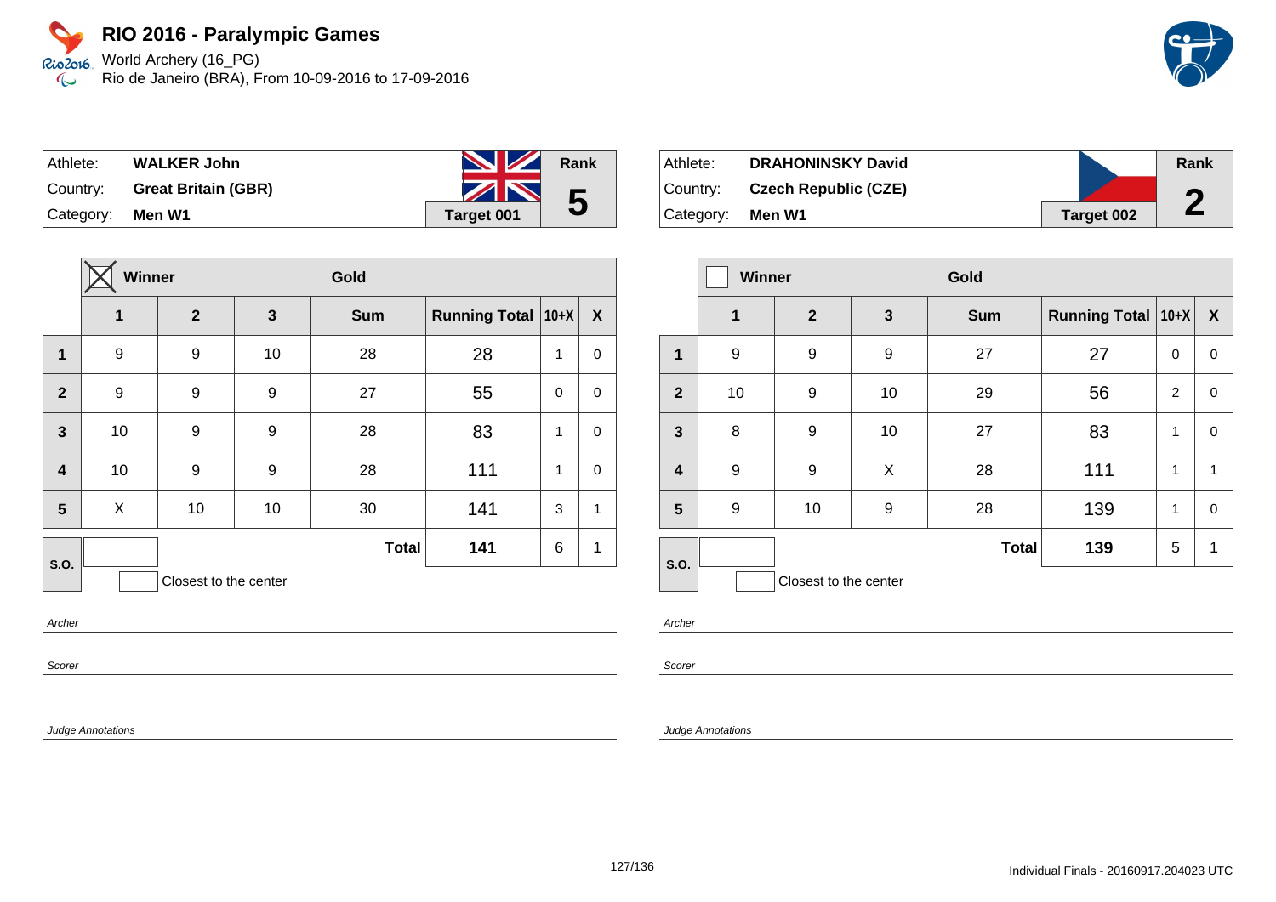World Archery (16\_PG) Rio2016 Rio de Janeiro (BRA), From 10-09-2016 to 17-09-2016  $\infty$ 



| Athlete:  | <b>WALKER John</b>         | <b>No. 7 Rank</b>     |   |
|-----------|----------------------------|-----------------------|---|
| Country:  | <b>Great Britain (GBR)</b> | $\blacktriangleright$ | 5 |
| Category: | Men W1                     | <b>Target 001</b>     |   |

|                         | <b>Winner</b>    |                       |                  | Gold         |                      |              |             |
|-------------------------|------------------|-----------------------|------------------|--------------|----------------------|--------------|-------------|
|                         | 1                | $\overline{2}$        | $\mathbf{3}$     | <b>Sum</b>   | Running Total   10+X |              | X           |
| 1                       | 9                | 9                     | 10               | 28           | 28                   | 1            | 0           |
| $\overline{2}$          | $\boldsymbol{9}$ | $\boldsymbol{9}$      | 9                | 27           | 55                   | $\mathbf 0$  | 0           |
| $\overline{\mathbf{3}}$ | 10               | 9                     | $\boldsymbol{9}$ | 28           | 83                   | $\mathbf{1}$ | $\mathbf 0$ |
| $\overline{\mathbf{4}}$ | 10               | 9                     | 9                | 28           | 111                  | 1            | 0           |
| $5\phantom{.0}$         | X                | 10                    | 10               | 30           | 141                  | 3            | 1           |
| S.O.                    |                  |                       |                  | <b>Total</b> | 141                  | 6            | 1           |
|                         |                  | Closest to the center |                  |              |                      |              |             |

Athlete: **DRAHONINSKY David** Country: **Czech Republic (CZE)** Category: **Men W1 Target 002 Rank 2**

|                  | <b>Winner</b> |                       |              | Gold         |                      |   |                  |
|------------------|---------------|-----------------------|--------------|--------------|----------------------|---|------------------|
|                  | 1             | $\mathbf{2}$          | $\mathbf{3}$ | <b>Sum</b>   | Running Total   10+X |   | $\boldsymbol{X}$ |
| 1                | 9             | 9                     | 9            | 27           | 27                   | 0 | 0                |
| $\overline{2}$   | 10            | 9                     | 10           | 29           | 56                   | 2 | 0                |
| $\mathbf{3}$     | 8             | 9                     | 10           | 27           | 83                   | 1 | 0                |
| $\boldsymbol{4}$ | 9             | 9                     | X            | 28           | 111                  | 1 | $\mathbf{1}$     |
| 5                | 9             | 10                    | 9            | 28           | 139                  | 1 | 0                |
| S.O.             |               |                       |              | <b>Total</b> | 139                  | 5 | 1                |
|                  |               | Closest to the center |              |              |                      |   |                  |

Archer

Scorer

Judge Annotations

Archer

Scorer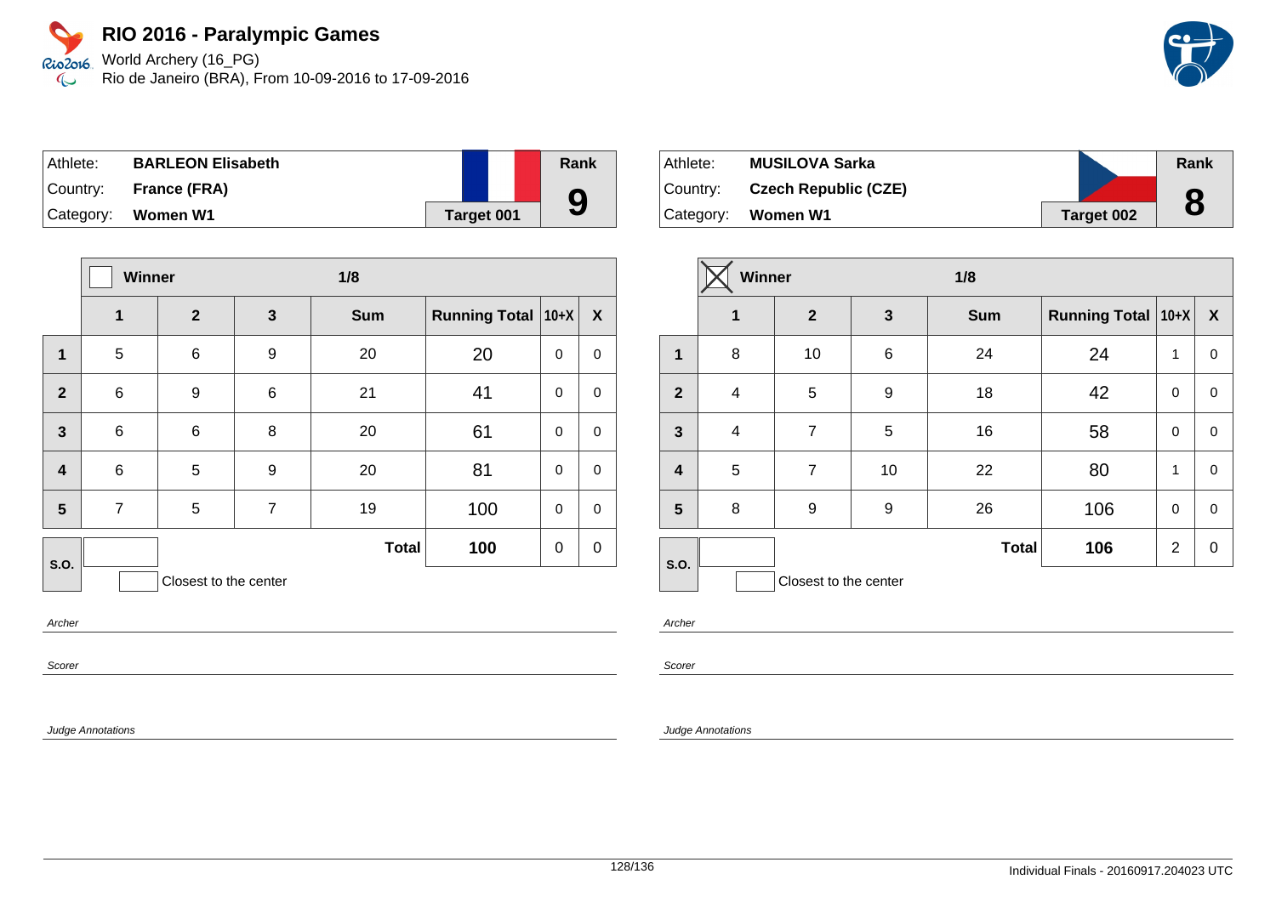World Archery (16\_PG) Rio de Janeiro (BRA), From 10-09-2016 to 17-09-2016

| Athlete: | <b>BARLEON Elisabeth</b> |                   | Rank |
|----------|--------------------------|-------------------|------|
|          | Country: France (FRA)    |                   |      |
|          | Category: Women W1       | <b>Target 001</b> | 9    |

|                         | <b>Winner</b>  |                       |                | 1/8          |                      |             |             |
|-------------------------|----------------|-----------------------|----------------|--------------|----------------------|-------------|-------------|
|                         | 1              | $\mathbf{2}$          | $\mathbf{3}$   | <b>Sum</b>   | <b>Running Total</b> | $10+X$      | X           |
| 1                       | 5              | 6                     | 9              | 20           | 20                   | 0           | 0           |
| $\overline{2}$          | $\,6$          | 9                     | 6              | 21           | 41                   | $\mathbf 0$ | $\mathbf 0$ |
| $\overline{3}$          | $\,6$          | 6                     | 8              | 20           | 61                   | $\mathbf 0$ | $\mathbf 0$ |
| $\overline{\mathbf{4}}$ | $\,6$          | 5                     | 9              | 20           | 81                   | $\mathbf 0$ | 0           |
| 5                       | $\overline{7}$ | 5                     | $\overline{7}$ | 19           | 100                  | $\mathbf 0$ | $\mathbf 0$ |
| S.O.                    |                |                       |                | <b>Total</b> | 100                  | 0           | $\mathbf 0$ |
|                         |                | Closest to the center |                |              |                      |             |             |

Archer

Scorer

Judge Annotations

| ∣Athlete: | <b>MUSILOVA Sarka</b>       |            | Rank |
|-----------|-----------------------------|------------|------|
| Country:  | <b>Czech Republic (CZE)</b> |            | O    |
| Category: | Women W1                    | Target 002 | O    |

|                         | Winner         |                       | 1/8             |              |                      |                |                  |
|-------------------------|----------------|-----------------------|-----------------|--------------|----------------------|----------------|------------------|
|                         | $\mathbf{1}$   | $\mathbf{2}$          | $\mathbf{3}$    | <b>Sum</b>   | Running Total   10+X |                | $\boldsymbol{X}$ |
| $\mathbf{1}$            | 8              | 10                    | $6\phantom{1}6$ | 24           | 24                   | 1              | 0                |
| $\overline{2}$          | $\overline{4}$ | 5                     | 9               | 18           | 42                   | $\mathbf 0$    | 0                |
| $\mathbf{3}$            | $\overline{4}$ | $\overline{7}$        | 5               | 16           | 58                   | $\mathbf 0$    | 0                |
| $\overline{\mathbf{4}}$ | 5              | $\overline{7}$        | 10              | 22           | 80                   | 1              | 0                |
| 5                       | 8              | 9                     | 9               | 26           | 106                  | $\mathbf 0$    | 0                |
| S.O.                    |                |                       |                 | <b>Total</b> | 106                  | $\overline{2}$ | 0                |
|                         |                | Closest to the center |                 |              |                      |                |                  |

Archer

Scorer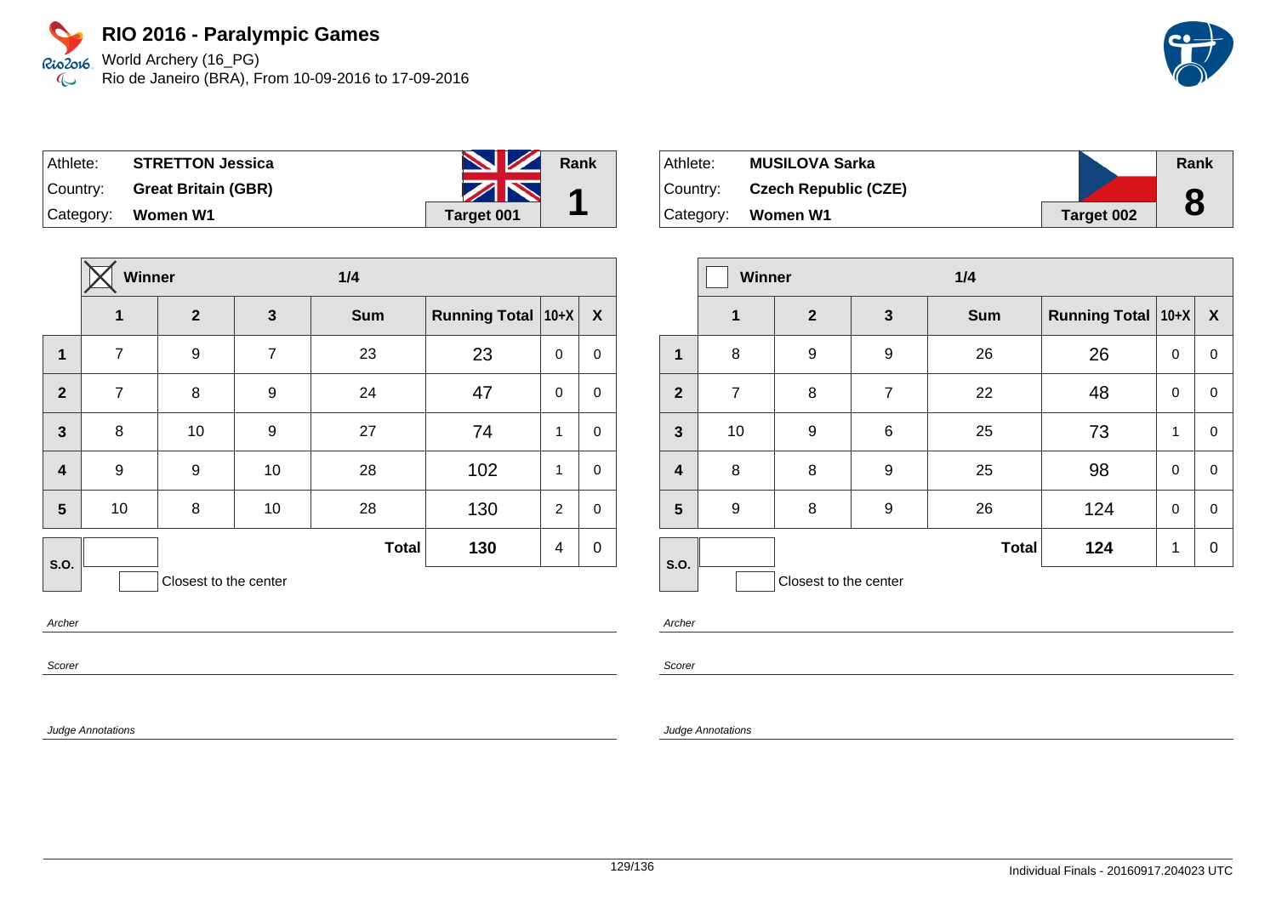World Archery (16\_PG) Rio de Janeiro (BRA), From 10-09-2016 to 17-09-2016

| Athlete: | <b>STRETTON Jessica</b>      | <b>No. 7 Rank</b> |  |
|----------|------------------------------|-------------------|--|
|          | Country: Great Britain (GBR) | ZN                |  |
|          | Category: Women W1           | Target 001        |  |

|                       | Winner         |                |                  | 1/4          |                      |             |              |
|-----------------------|----------------|----------------|------------------|--------------|----------------------|-------------|--------------|
|                       | 1              | $\overline{2}$ | $\mathbf{3}$     | <b>Sum</b>   | <b>Running Total</b> | $10+X$      | $\mathbf{x}$ |
| 1                     | $\overline{7}$ | 9              | $\overline{7}$   | 23           | 23                   | 0           | 0            |
| $\overline{2}$        | $\overline{7}$ | 8              | 9                | 24           | 47                   | $\mathbf 0$ | $\mathbf 0$  |
| $\mathbf{3}$          | 8              | 10             | $\boldsymbol{9}$ | 27           | 74                   | 1           | $\mathbf 0$  |
| 4                     | 9              | 9              | 10               | 28           | 102                  | 1           | 0            |
| 5                     | 10             | 8              | 10               | 28           | 130                  | 2           | $\mathbf 0$  |
| S.O.                  |                |                |                  | <b>Total</b> | 130                  | 4           | $\mathbf 0$  |
| Closest to the center |                |                |                  |              |                      |             |              |

Archer

Scorer

Judge Annotations

| Athlete:   | <b>MUSILOVA Sarka</b>       |            | Rank |
|------------|-----------------------------|------------|------|
| Country: _ | <b>Czech Republic (CZE)</b> |            | O    |
| Category:  | Women W1                    | Target 002 |      |

|                         | Winner         |                       | 1/4              |              |                      |          |                  |
|-------------------------|----------------|-----------------------|------------------|--------------|----------------------|----------|------------------|
|                         | $\mathbf{1}$   | $\mathbf{2}$          | $\mathbf{3}$     | <b>Sum</b>   | <b>Running Total</b> | $ 10+X $ | $\boldsymbol{X}$ |
| 1                       | 8              | 9                     | $\boldsymbol{9}$ | 26           | 26                   | 0        | $\pmb{0}$        |
| $\overline{2}$          | $\overline{7}$ | 8                     | $\overline{7}$   | 22           | 48                   | 0        | 0                |
| $\mathbf{3}$            | 10             | 9                     | 6                | 25           | 73                   | 1        | 0                |
| $\overline{\mathbf{4}}$ | 8              | 8                     | $\boldsymbol{9}$ | 25           | 98                   | 0        | $\pmb{0}$        |
| 5                       | 9              | 8                     | 9                | 26           | 124                  | 0        | 0                |
| S.O.                    |                |                       |                  | <b>Total</b> | 124                  | 1        | $\mathbf 0$      |
|                         |                | Closest to the center |                  |              |                      |          |                  |

Archer

Scorer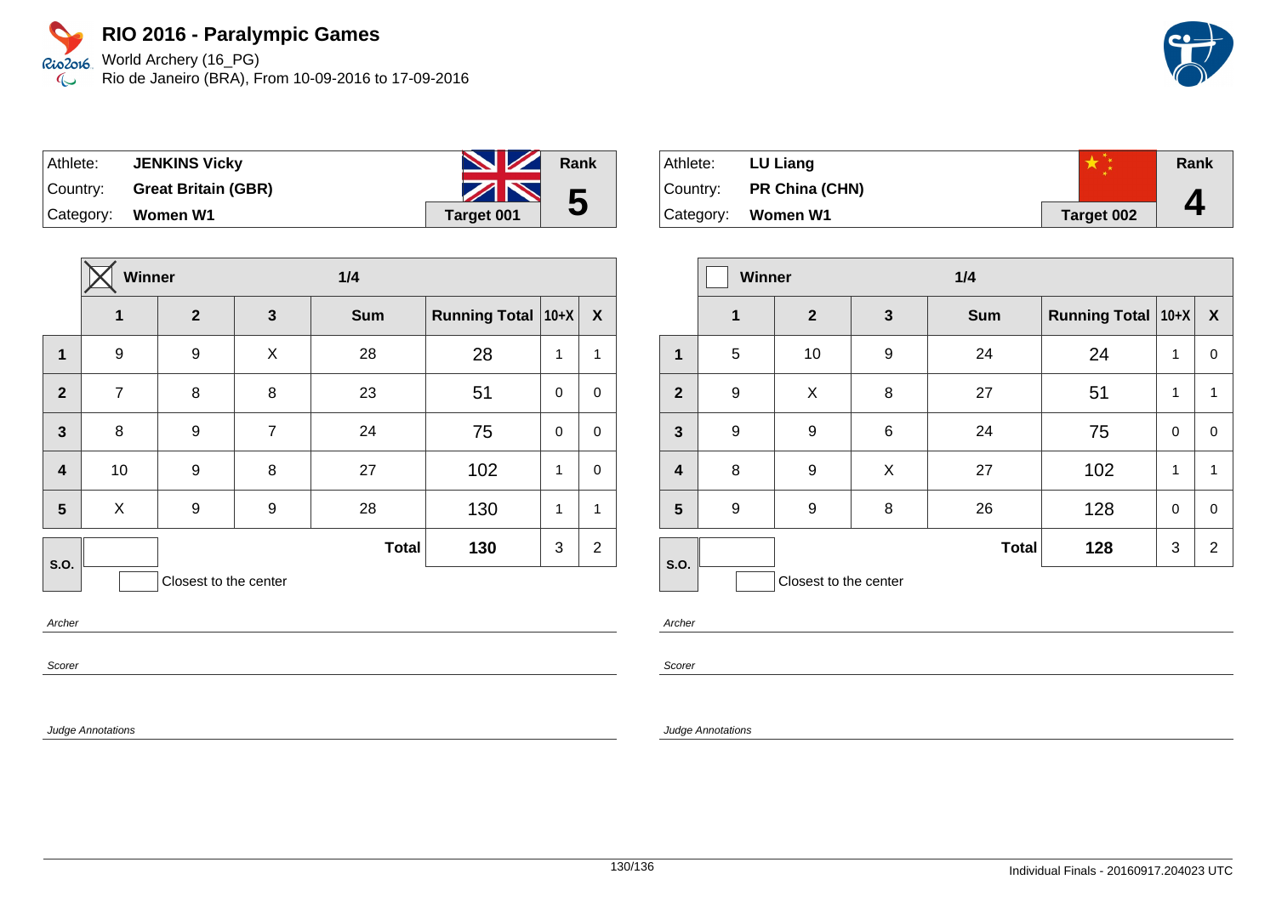World Archery (16\_PG) Rio de Janeiro (BRA), From 10-09-2016 to 17-09-2016

| ∣ Athlete: l | <b>JENKINS Vicky</b>         | <b>NZ</b>  | Rank |
|--------------|------------------------------|------------|------|
|              | Country: Great Britain (GBR) | ZN         | 5    |
|              | Category: Women W1           | Target 001 |      |

|                         | <b>Winner</b>  |                       | 1/4            |              |                      |             |                |
|-------------------------|----------------|-----------------------|----------------|--------------|----------------------|-------------|----------------|
|                         | 1              | $\overline{2}$        | $\mathbf{3}$   | <b>Sum</b>   | <b>Running Total</b> | $10+X$      | X              |
| $\mathbf{1}$            | 9              | 9                     | X              | 28           | 28                   | 1           | 1              |
| $\overline{2}$          | $\overline{7}$ | 8                     | 8              | 23           | 51                   | $\mathbf 0$ | 0              |
| $\overline{\mathbf{3}}$ | 8              | 9                     | $\overline{7}$ | 24           | 75                   | 0           | $\mathbf 0$    |
| $\overline{\mathbf{4}}$ | 10             | 9                     | 8              | 27           | 102                  | 1           | $\mathbf 0$    |
| 5                       | X              | 9                     | 9              | 28           | 130                  | 1           | 1              |
| S.O.                    |                |                       |                | <b>Total</b> | 130                  | 3           | $\overline{2}$ |
|                         |                | Closest to the center |                |              |                      |             |                |

Archer

Scorer

Judge Annotations

| ⊺Athlete: | LU Liang                |            | Rank |
|-----------|-------------------------|------------|------|
|           | Country: PR China (CHN) |            |      |
|           | Category: Women W1      | Target 002 |      |

|                         | <b>Winner</b> |                       | 1/4   |              |                           |              |                  |
|-------------------------|---------------|-----------------------|-------|--------------|---------------------------|--------------|------------------|
|                         | 1             | $\mathbf{2}$          | 3     | <b>Sum</b>   | <b>Running Total 10+X</b> |              | $\boldsymbol{X}$ |
| 1                       | 5             | 10                    | 9     | 24           | 24                        | 1            | 0                |
| $\overline{2}$          | 9             | X                     | 8     | 27           | 51                        | $\mathbf{1}$ | 1                |
| $\mathbf{3}$            | 9             | 9                     | $\,6$ | 24           | 75                        | 0            | 0                |
| $\overline{\mathbf{4}}$ | 8             | 9                     | X     | 27           | 102                       | 1            | 1                |
| 5                       | 9             | 9                     | 8     | 26           | 128                       | 0            | 0                |
| S.O.                    |               |                       |       | <b>Total</b> | 128                       | 3            | $\overline{2}$   |
|                         |               | Closest to the center |       |              |                           |              |                  |

Archer

Scorer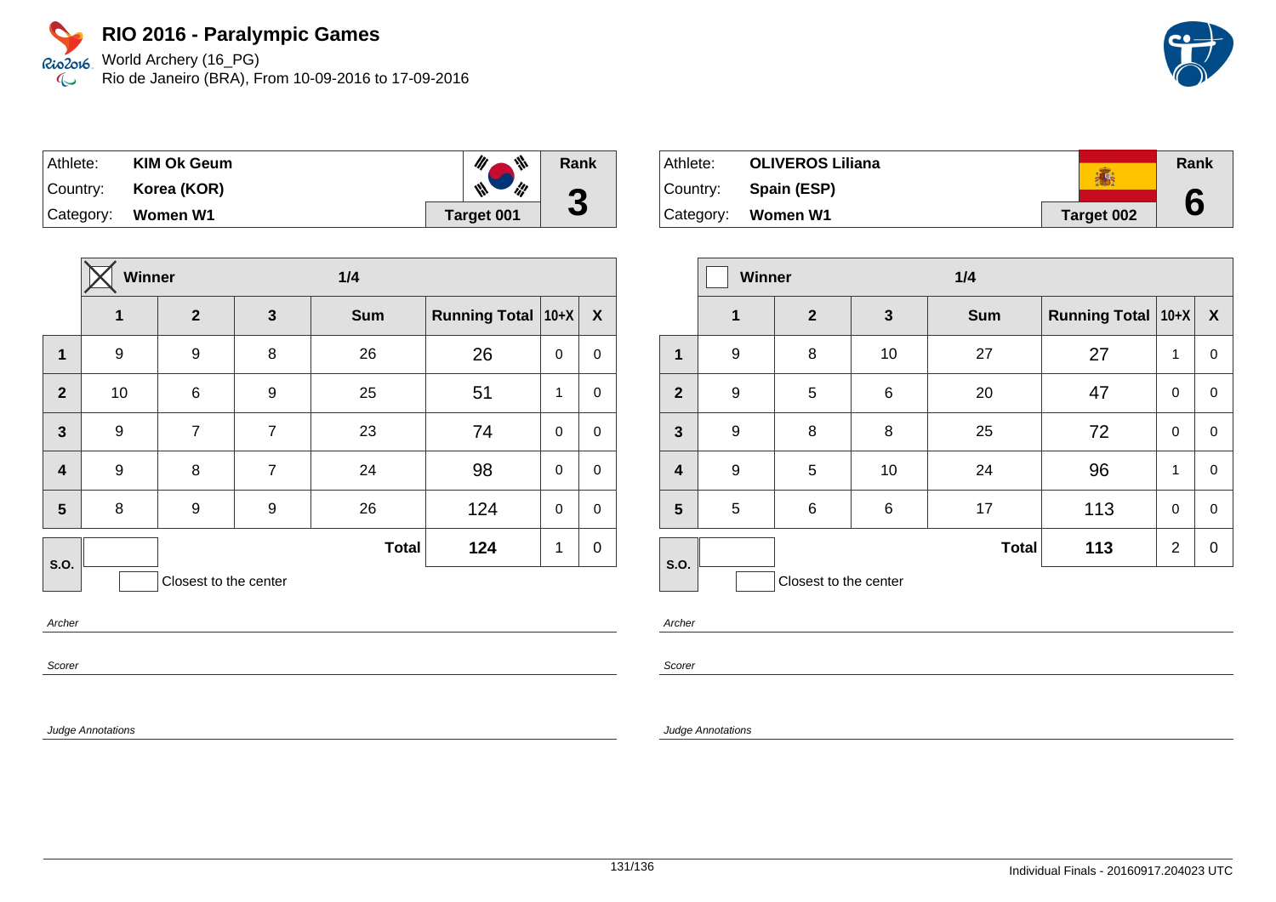World Archery (16\_PG) Rio de Janeiro (BRA), From 10-09-2016 to 17-09-2016

| Athlete: | <b>KIM Ok Geum</b> | ₩<br>M               | Rank      |
|----------|--------------------|----------------------|-----------|
| Country: | Korea (KOR)        | ill<br>$\mathscr{M}$ | $\bullet$ |
|          | Category: Women W1 | <b>Target 001</b>    | J         |

|                         | Winner         |                       | 1/4            |              |                      |             |             |
|-------------------------|----------------|-----------------------|----------------|--------------|----------------------|-------------|-------------|
|                         | $\overline{1}$ | $\mathbf{2}$          | 3              | <b>Sum</b>   | <b>Running Total</b> | $10+X$      | X           |
| $\mathbf{1}$            | 9              | 9                     | 8              | 26           | 26                   | $\mathbf 0$ | $\mathbf 0$ |
| $\overline{2}$          | 10             | $\,6$                 | 9              | 25           | 51                   | 1           | $\mathbf 0$ |
| $\mathbf{3}$            | 9              | 7                     | $\overline{7}$ | 23           | 74                   | $\mathbf 0$ | $\mathbf 0$ |
| $\overline{\mathbf{4}}$ | 9              | 8                     | $\overline{7}$ | 24           | 98                   | $\mathbf 0$ | $\mathbf 0$ |
| 5                       | 8              | 9                     | 9              | 26           | 124                  | $\Omega$    | $\mathbf 0$ |
| <b>S.O.</b>             |                |                       |                | <b>Total</b> | 124                  | 1           | $\mathbf 0$ |
|                         |                | Closest to the center |                |              |                      |             |             |

Archer

Scorer

Judge Annotations

| Athlete: | <b>OLIVEROS Liliana</b> |            | Rank |
|----------|-------------------------|------------|------|
|          | Country: Spain (ESP)    |            |      |
|          | $ $ Category: Women W1  | Target 002 |      |

|                         | <b>Winner</b>    |                       |              | 1/4          |                               |                |              |
|-------------------------|------------------|-----------------------|--------------|--------------|-------------------------------|----------------|--------------|
|                         | $\mathbf{1}$     | $\mathbf{2}$          | $\mathbf{3}$ | <b>Sum</b>   | <b>Running Total   10+X  </b> |                | $\mathbf{X}$ |
| 1                       | $\boldsymbol{9}$ | 8                     | 10           | 27           | 27                            | 1              | 0            |
| $\overline{2}$          | 9                | $\mathbf 5$           | $\,6$        | 20           | 47                            | $\mathbf 0$    | 0            |
| $\mathbf{3}$            | 9                | 8                     | 8            | 25           | 72                            | 0              | 0            |
| $\overline{\mathbf{4}}$ | 9                | 5                     | 10           | 24           | 96                            | 1              | 0            |
| 5                       | 5                | 6                     | $\,6$        | 17           | 113                           | $\mathbf 0$    | 0            |
| S.O.                    |                  |                       |              | <b>Total</b> | 113                           | $\overline{2}$ | 0            |
|                         |                  | Closest to the center |              |              |                               |                |              |

Archer

Scorer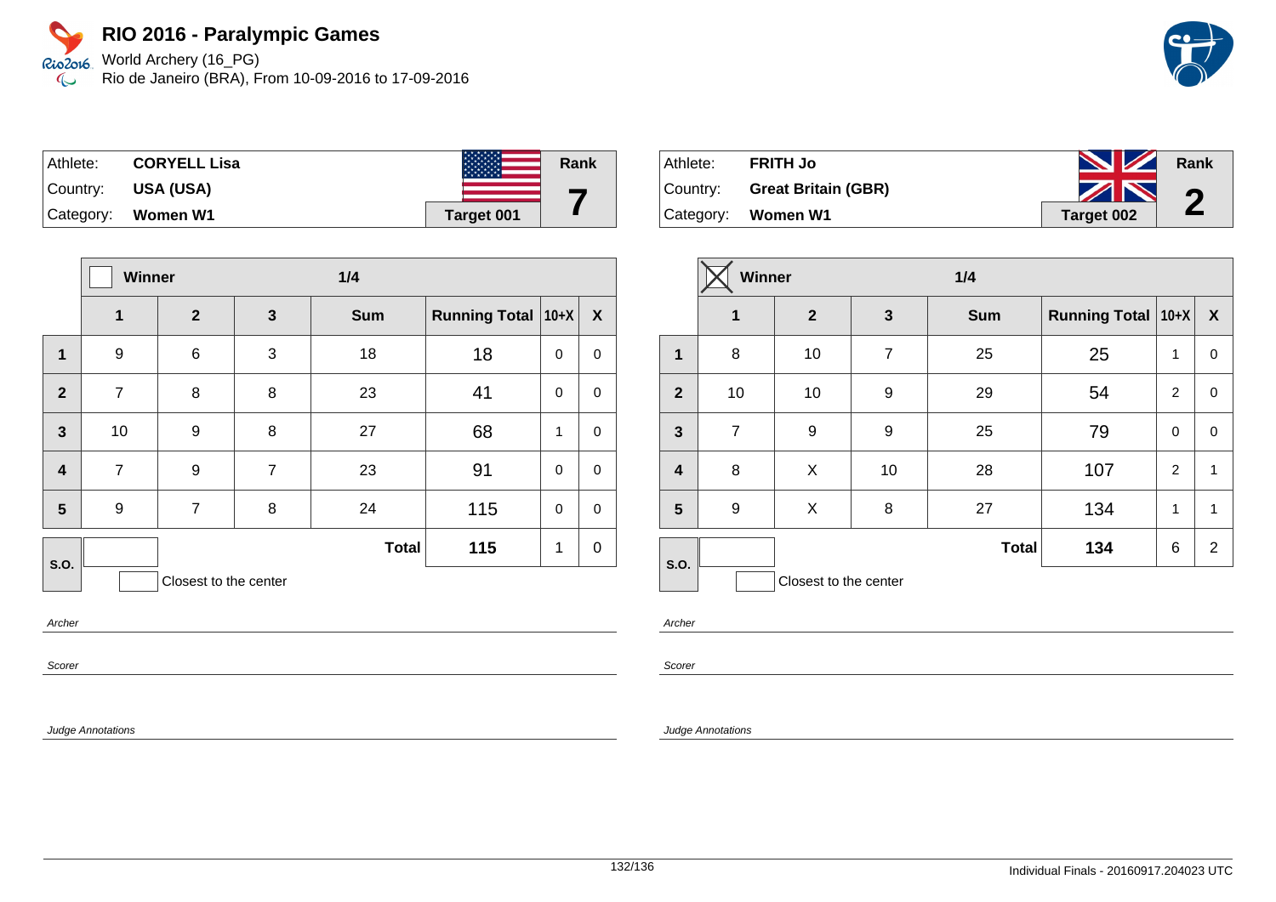World Archery (16\_PG) Rio de Janeiro (BRA), From 10-09-2016 to 17-09-2016



| Athlete:  | <b>CORYELL Lisa</b> | <b>MANAN</b> | Rank |
|-----------|---------------------|--------------|------|
| Country:  | <b>USA (USA)</b>    |              |      |
| Category: | Women W1            | Target 001   |      |

|                         | Winner           |                       |                | 1/4          |                      |              |             |
|-------------------------|------------------|-----------------------|----------------|--------------|----------------------|--------------|-------------|
|                         | 1                | $\boldsymbol{2}$      | $\mathbf{3}$   | <b>Sum</b>   | <b>Running Total</b> | $10+X$       | X           |
| 1                       | 9                | $\,6$                 | 3              | 18           | 18                   | $\mathbf 0$  | $\pmb{0}$   |
| $\overline{2}$          | $\overline{7}$   | 8                     | 8              | 23           | 41                   | $\mathbf 0$  | $\pmb{0}$   |
| $\mathbf{3}$            | 10               | 9                     | 8              | 27           | 68                   | $\mathbf{1}$ | $\mathbf 0$ |
| $\overline{\mathbf{4}}$ | $\overline{7}$   | 9                     | $\overline{7}$ | 23           | 91                   | $\mathbf 0$  | $\pmb{0}$   |
| 5                       | $\boldsymbol{9}$ | $\overline{7}$        | 8              | 24           | 115                  | $\mathbf 0$  | $\pmb{0}$   |
| S.O.                    |                  |                       |                | <b>Total</b> | 115                  | 1            | $\mathbf 0$ |
|                         |                  | Closest to the center |                |              |                      |              |             |

Archer

Scorer

Judge Annotations

| Athlete: | <b>FRITH Jo</b>              | <b>No. 12 Rank</b> |            |
|----------|------------------------------|--------------------|------------|
|          | Country: Great Britain (GBR) | ZN                 | $\sqrt{2}$ |
|          | Category: Women W1           | Target 002         |            |

|                | Winner           |                       |                | 1/4          |                      |                |                  |
|----------------|------------------|-----------------------|----------------|--------------|----------------------|----------------|------------------|
|                | 1                | $\mathbf{2}$          | 3              | <b>Sum</b>   | Running Total   10+X |                | $\boldsymbol{X}$ |
| $\mathbf 1$    | 8                | 10                    | $\overline{7}$ | 25           | 25                   | 1              | $\pmb{0}$        |
| $\overline{2}$ | 10               | $10$                  | 9              | 29           | 54                   | $\overline{2}$ | $\mathbf 0$      |
| $\mathbf{3}$   | $\overline{7}$   | $9$                   | 9              | 25           | 79                   | $\mathbf 0$    | $\pmb{0}$        |
| $\overline{4}$ | 8                | X                     | 10             | 28           | 107                  | 2              | $\mathbf{1}$     |
| 5              | $\boldsymbol{9}$ | X                     | 8              | 27           | 134                  | $\mathbf{1}$   | $\mathbf{1}$     |
| S.O.           |                  |                       |                | <b>Total</b> | 134                  | 6              | $\overline{2}$   |
|                |                  | Closest to the center |                |              |                      |                |                  |

Archer

Scorer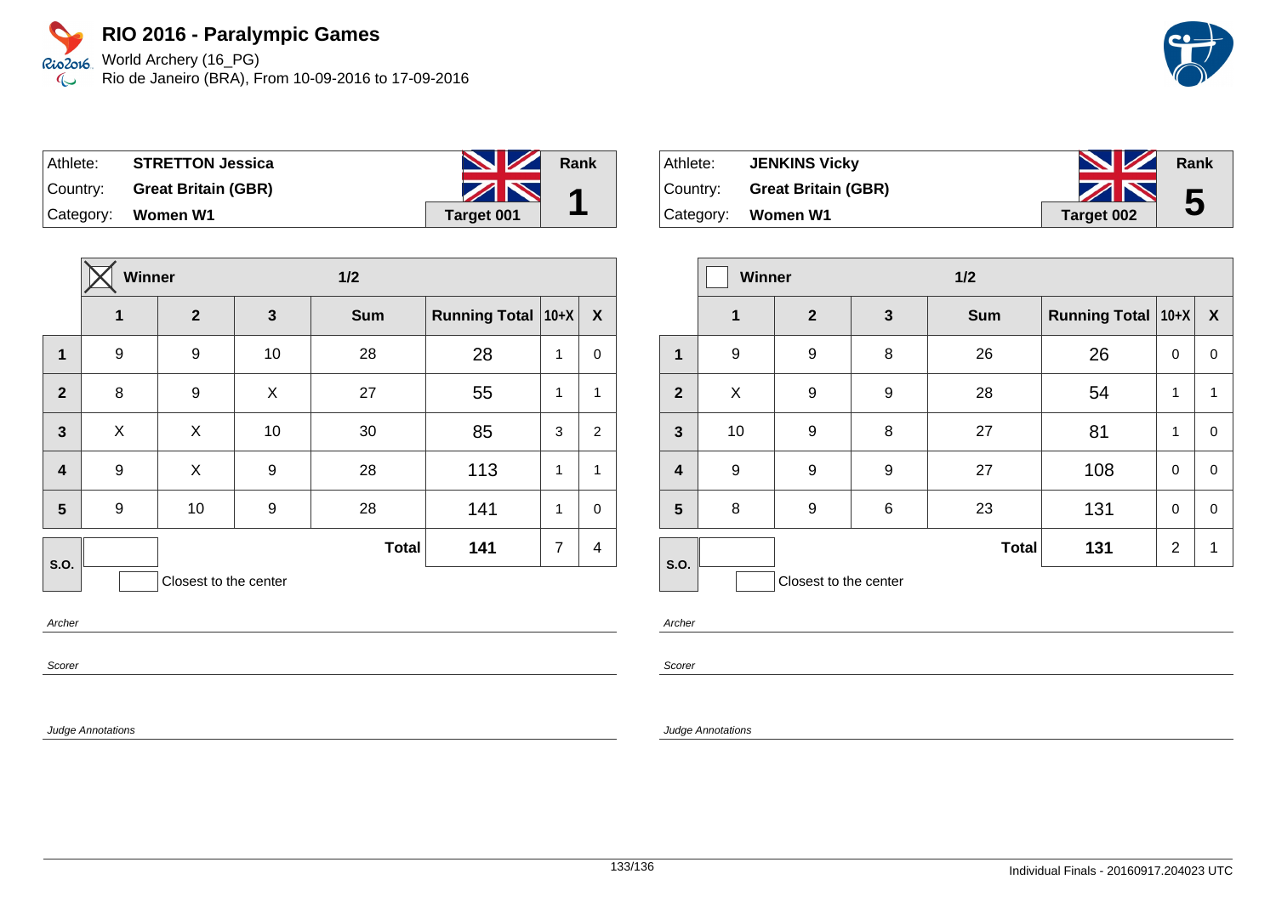World Archery (16\_PG) Rio de Janeiro (BRA), From 10-09-2016 to 17-09-2016

| Athlete: . | <b>STRETTON Jessica</b>      | <b>NZ</b>  | Rank |
|------------|------------------------------|------------|------|
|            | Country: Great Britain (GBR) | ZN         |      |
|            | Category: Women W1           | Target 001 |      |

|                         | <b>Winner</b>    |                       |              | 1/2          |                      |                |                  |
|-------------------------|------------------|-----------------------|--------------|--------------|----------------------|----------------|------------------|
|                         | 1                | $\overline{2}$        | $\mathbf{3}$ | <b>Sum</b>   | <b>Running Total</b> | $10+X$         | $\boldsymbol{X}$ |
| 1                       | 9                | 9                     | 10           | 28           | 28                   | 1              | 0                |
| $\overline{2}$          | 8                | 9                     | X            | 27           | 55                   | 1              | 1                |
| $\mathbf{3}$            | X                | X                     | 10           | 30           | 85                   | $\sqrt{3}$     | $\overline{c}$   |
| $\overline{\mathbf{4}}$ | 9                | X                     | 9            | 28           | 113                  | 1              | 1                |
| 5                       | $\boldsymbol{9}$ | 10                    | 9            | 28           | 141                  | 1              | $\mathbf 0$      |
| S.O.                    |                  |                       |              | <b>Total</b> | 141                  | $\overline{7}$ | 4                |
|                         |                  | Closest to the center |              |              |                      |                |                  |

Archer

Scorer

Judge Annotations

| Athlete: | <b>JENKINS Vicky</b>         | <b>No. 12 Rank</b> |   |
|----------|------------------------------|--------------------|---|
|          | Country: Great Britain (GBR) | ZN                 | 5 |
|          | Category: Women W1           | Target 002         |   |

|                | <b>Winner</b> |                       |              | $1/2$        |                      |                |                  |
|----------------|---------------|-----------------------|--------------|--------------|----------------------|----------------|------------------|
|                | $\mathbf 1$   | $\overline{2}$        | $\mathbf{3}$ | <b>Sum</b>   | Running Total   10+X |                | $\boldsymbol{X}$ |
| 1              | 9             | 9                     | 8            | 26           | 26                   | 0              | 0                |
| $\overline{2}$ | X             | 9                     | 9            | 28           | 54                   | 1              | 1                |
| $\mathbf{3}$   | 10            | 9                     | 8            | 27           | 81                   | 1              | 0                |
| 4              | 9             | 9                     | 9            | 27           | 108                  | $\mathbf 0$    | 0                |
| 5              | 8             | 9                     | $\,6$        | 23           | 131                  | 0              | 0                |
| S.O.           |               |                       |              | <b>Total</b> | 131                  | $\overline{2}$ | 1                |
|                |               | Closest to the center |              |              |                      |                |                  |

Archer

Scorer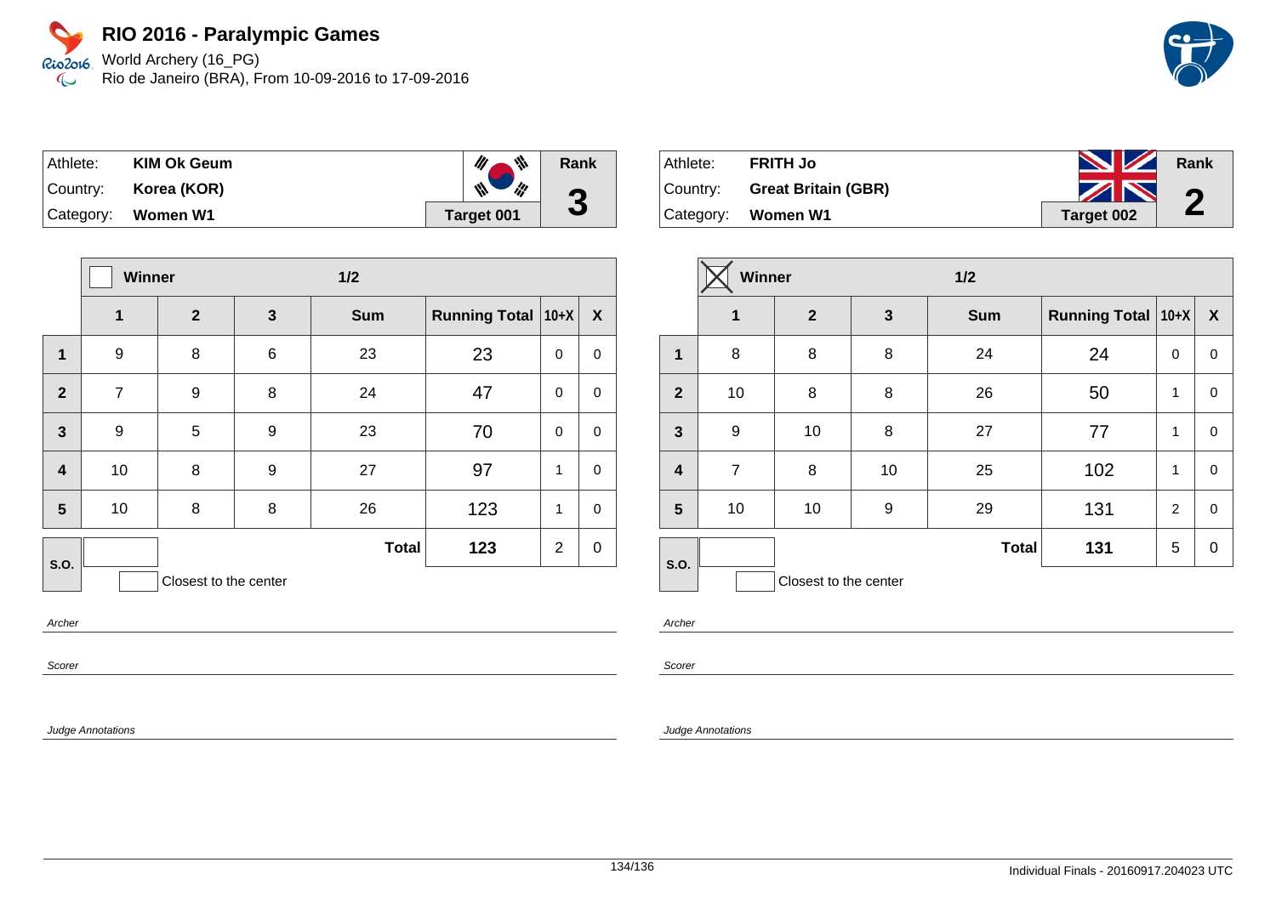World Archery (16\_PG) Rio de Janeiro (BRA), From 10-09-2016 to 17-09-2016



| Athlete:  | <b>KIM Ok Geum</b> | 带                    | Rank      |
|-----------|--------------------|----------------------|-----------|
| ∣Country: | Korea (KOR)        | $\mathscr{U}$<br>ill | $\bullet$ |
|           | Category: Women W1 | Target 001           | J         |

|                         | Winner         |                       |              | $1/2$        |                      |                |                  |
|-------------------------|----------------|-----------------------|--------------|--------------|----------------------|----------------|------------------|
|                         | $\mathbf{1}$   | $\mathbf{2}$          | $\mathbf{3}$ | <b>Sum</b>   | <b>Running Total</b> | $10+X$         | X                |
| 1                       | 9              | 8                     | 6            | 23           | 23                   | 0              | $\pmb{0}$        |
| $\overline{2}$          | $\overline{7}$ | 9                     | 8            | 24           | 47                   | $\mathbf 0$    | $\pmb{0}$        |
| $\overline{\mathbf{3}}$ | 9              | 5                     | 9            | 23           | 70                   | $\mathbf 0$    | $\pmb{0}$        |
| $\overline{\mathbf{4}}$ | 10             | 8                     | 9            | 27           | 97                   | 1              | $\mathbf 0$      |
| 5                       | 10             | 8                     | 8            | 26           | 123                  | 1              | $\mathbf 0$      |
| S.O.                    |                |                       |              | <b>Total</b> | 123                  | $\overline{2}$ | $\boldsymbol{0}$ |
|                         |                | Closest to the center |              |              |                      |                |                  |

Archer

Scorer

Judge Annotations

| Athlete: | <b>FRITH Jo</b>              | <b>NZ</b>  | Rank                  |
|----------|------------------------------|------------|-----------------------|
|          | Country: Great Britain (GBR) | ZN         | $\bigcap$             |
|          | Category: Women W1           | Target 002 | $\blacktriangleright$ |

|                         | Winner         |                       |              | $1/2$        |                      |                |                  |
|-------------------------|----------------|-----------------------|--------------|--------------|----------------------|----------------|------------------|
|                         | 1              | $\mathbf{2}$          | $\mathbf{3}$ | <b>Sum</b>   | Running Total   10+X |                | $\boldsymbol{X}$ |
| $\mathbf 1$             | 8              | 8                     | 8            | 24           | 24                   | $\Omega$       | $\mathbf 0$      |
| $\overline{2}$          | 10             | 8                     | 8            | 26           | 50                   | 1              | 0                |
| 3                       | 9              | 10                    | 8            | 27           | 77                   | 1              | $\mathbf 0$      |
| $\overline{\mathbf{4}}$ | $\overline{7}$ | 8                     | 10           | 25           | 102                  | 1              | $\mathbf 0$      |
| 5                       | 10             | 10                    | 9            | 29           | 131                  | $\overline{2}$ | $\mathbf 0$      |
| S.O.                    |                |                       |              | <b>Total</b> | 131                  | 5              | 0                |
|                         |                | Closest to the center |              |              |                      |                |                  |

Archer

Scorer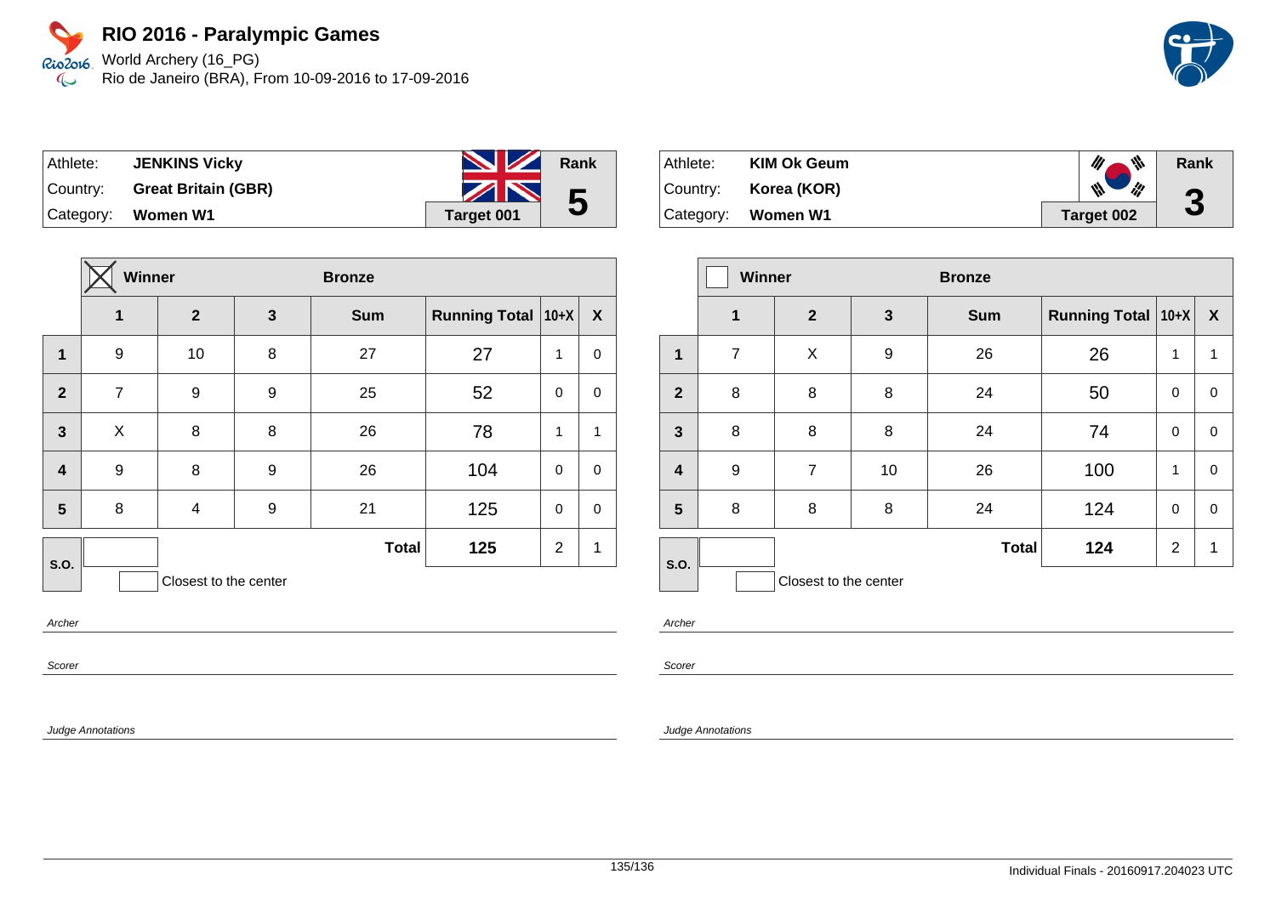Rio2o16, World Archery (16\_PG) Rio de Janeiro (BRA), From 10-09-2016 to 17-09-2016  $\infty$ 

| Athlete: | <b>JENKINS Vicky</b>       | <b>NZ</b>         | Rank |
|----------|----------------------------|-------------------|------|
| Country: | <b>Great Britain (GBR)</b> | ZN                | 5    |
|          | Category: Women W1         | <b>Target 001</b> |      |

|                         | <b>Winner</b>  |                       |              | <b>Bronze</b> |                      |                |             |
|-------------------------|----------------|-----------------------|--------------|---------------|----------------------|----------------|-------------|
|                         | 1              | $\overline{2}$        | $\mathbf{3}$ | <b>Sum</b>    | Running Total   10+X |                | X           |
| 1                       | 9              | 10                    | 8            | 27            | 27                   | 1              | 0           |
| $\overline{2}$          | $\overline{7}$ | 9                     | 9            | 25            | 52                   | $\mathbf 0$    | 0           |
| $\mathbf{3}$            | X              | 8                     | 8            | 26            | 78                   | 1              | 1           |
| $\overline{\mathbf{4}}$ | 9              | 8                     | 9            | 26            | 104                  | $\mathbf 0$    | 0           |
| $5\phantom{a}$          | 8              | 4                     | 9            | 21            | 125                  | $\mathbf 0$    | $\mathbf 0$ |
| <b>S.O.</b>             |                |                       |              | <b>Total</b>  | 125                  | $\overline{2}$ | 1           |
|                         |                | Closest to the center |              |               |                      |                |             |

Athlete: **KIM Ok Geum**  $\mathscr{U}$  $\frac{d\mathbf{r}}{d\mathbf{r}}$ **Rank** Country: **Korea (KOR)**  $\mathscr{U}$ lif **3** Category: **Women W1 Target 002**

|                         | <b>Winner</b>  |                       | <b>Bronze</b> |              |                      |                |                           |
|-------------------------|----------------|-----------------------|---------------|--------------|----------------------|----------------|---------------------------|
|                         | $\mathbf 1$    | $\overline{2}$        | 3             | <b>Sum</b>   | Running Total   10+X |                | $\boldsymbol{\mathsf{X}}$ |
| 1                       | $\overline{7}$ | X                     | 9             | 26           | 26                   | 1              | 1                         |
| $\overline{2}$          | 8              | 8                     | 8             | 24           | 50                   | 0              | 0                         |
| $\mathbf{3}$            | 8              | 8                     | 8             | 24           | 74                   | $\mathbf 0$    | $\mathbf 0$               |
| $\overline{\mathbf{4}}$ | 9              | $\overline{7}$        | 10            | 26           | 100                  | 1              | $\mathbf 0$               |
| 5                       | 8              | 8                     | 8             | 24           | 124                  | 0              | 0                         |
| S.O.                    |                |                       |               | <b>Total</b> | 124                  | $\overline{2}$ | 1                         |
|                         |                | Closest to the center |               |              |                      |                |                           |

Archer

Scorer

Judge Annotations

Archer

Scorer